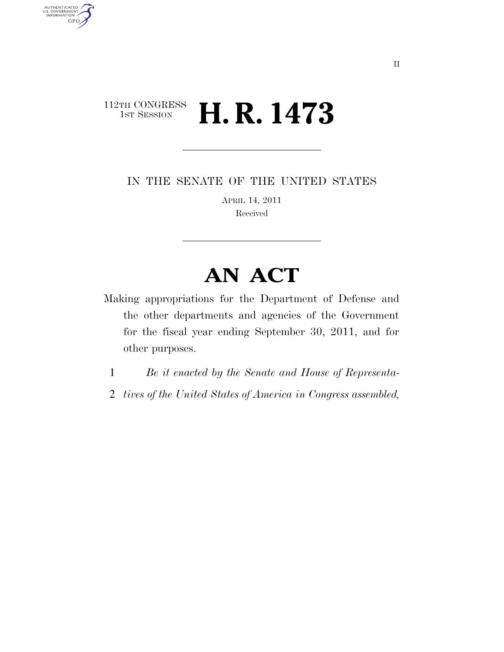# $\begin{array}{c} \textbf{112TH CONGRESS} \\ \textbf{1ST SESION} \end{array}$ **H. R. 1473**

AUTHENTICATED<br>U.S. GOVERNMENT<br>INFORMATION

**GPO** 

IN THE SENATE OF THE UNITED STATES

APRIL 14, 2011 Received

# **AN ACT**

Making appropriations for the Department of Defense and the other departments and agencies of the Government for the fiscal year ending September 30, 2011, and for other purposes.

- 1 *Be it enacted by the Senate and House of Representa-*
- 2 *tives of the United States of America in Congress assembled,*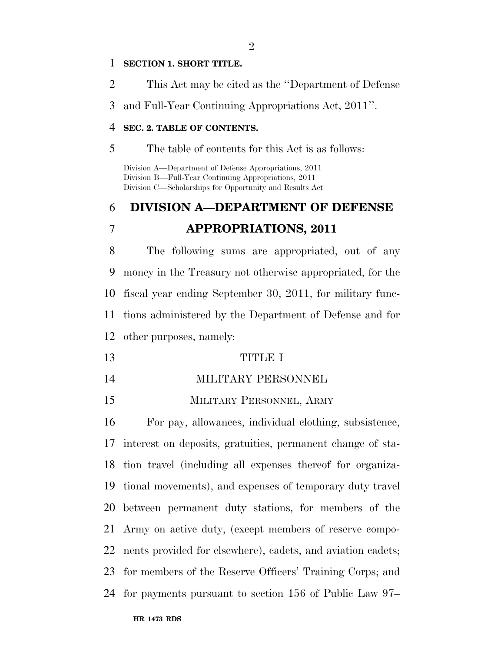#### **SECTION 1. SHORT TITLE.**

This Act may be cited as the ''Department of Defense

and Full-Year Continuing Appropriations Act, 2011''.

### **SEC. 2. TABLE OF CONTENTS.**

The table of contents for this Act is as follows:

Division A—Department of Defense Appropriations, 2011 Division B—Full-Year Continuing Appropriations, 2011 Division C—Scholarships for Opportunity and Results Act

# **DIVISION A—DEPARTMENT OF DEFENSE APPROPRIATIONS, 2011**

 The following sums are appropriated, out of any money in the Treasury not otherwise appropriated, for the fiscal year ending September 30, 2011, for military func- tions administered by the Department of Defense and for other purposes, namely:

- TITLE I
- MILITARY PERSONNEL
- MILITARY PERSONNEL, ARMY

 For pay, allowances, individual clothing, subsistence, interest on deposits, gratuities, permanent change of sta- tion travel (including all expenses thereof for organiza- tional movements), and expenses of temporary duty travel between permanent duty stations, for members of the Army on active duty, (except members of reserve compo- nents provided for elsewhere), cadets, and aviation cadets; for members of the Reserve Officers' Training Corps; and for payments pursuant to section 156 of Public Law 97–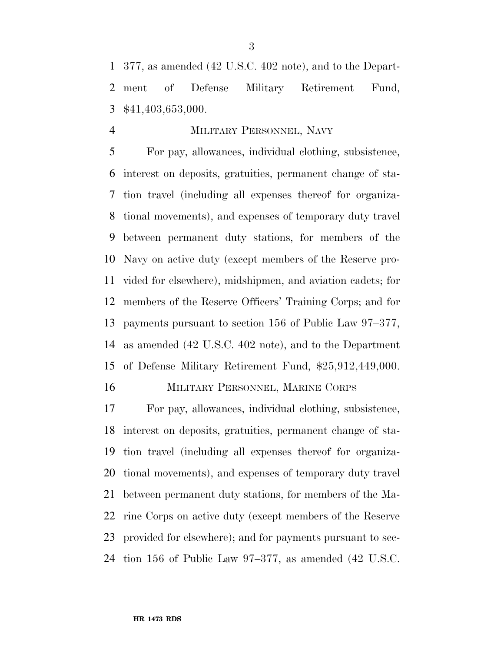377, as amended (42 U.S.C. 402 note), and to the Depart- ment of Defense Military Retirement Fund, \$41,403,653,000.

# MILITARY PERSONNEL, NAVY

 For pay, allowances, individual clothing, subsistence, interest on deposits, gratuities, permanent change of sta- tion travel (including all expenses thereof for organiza- tional movements), and expenses of temporary duty travel between permanent duty stations, for members of the Navy on active duty (except members of the Reserve pro- vided for elsewhere), midshipmen, and aviation cadets; for members of the Reserve Officers' Training Corps; and for payments pursuant to section 156 of Public Law 97–377, as amended (42 U.S.C. 402 note), and to the Department of Defense Military Retirement Fund, \$25,912,449,000.

MILITARY PERSONNEL, MARINE CORPS

 For pay, allowances, individual clothing, subsistence, interest on deposits, gratuities, permanent change of sta- tion travel (including all expenses thereof for organiza- tional movements), and expenses of temporary duty travel between permanent duty stations, for members of the Ma- rine Corps on active duty (except members of the Reserve provided for elsewhere); and for payments pursuant to sec-tion 156 of Public Law 97–377, as amended (42 U.S.C.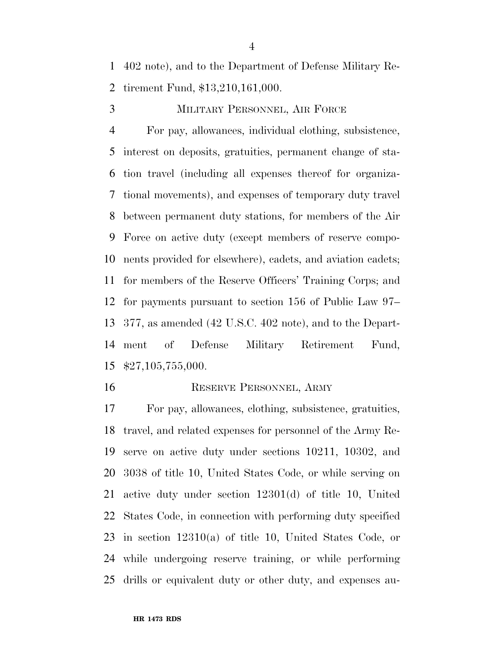402 note), and to the Department of Defense Military Re-tirement Fund, \$13,210,161,000.

MILITARY PERSONNEL, AIR FORCE

 For pay, allowances, individual clothing, subsistence, interest on deposits, gratuities, permanent change of sta- tion travel (including all expenses thereof for organiza- tional movements), and expenses of temporary duty travel between permanent duty stations, for members of the Air Force on active duty (except members of reserve compo- nents provided for elsewhere), cadets, and aviation cadets; for members of the Reserve Officers' Training Corps; and for payments pursuant to section 156 of Public Law 97– 377, as amended (42 U.S.C. 402 note), and to the Depart- ment of Defense Military Retirement Fund, \$27,105,755,000.

#### 16 RESERVE PERSONNEL, ARMY

 For pay, allowances, clothing, subsistence, gratuities, travel, and related expenses for personnel of the Army Re- serve on active duty under sections 10211, 10302, and 3038 of title 10, United States Code, or while serving on active duty under section 12301(d) of title 10, United States Code, in connection with performing duty specified in section 12310(a) of title 10, United States Code, or while undergoing reserve training, or while performing drills or equivalent duty or other duty, and expenses au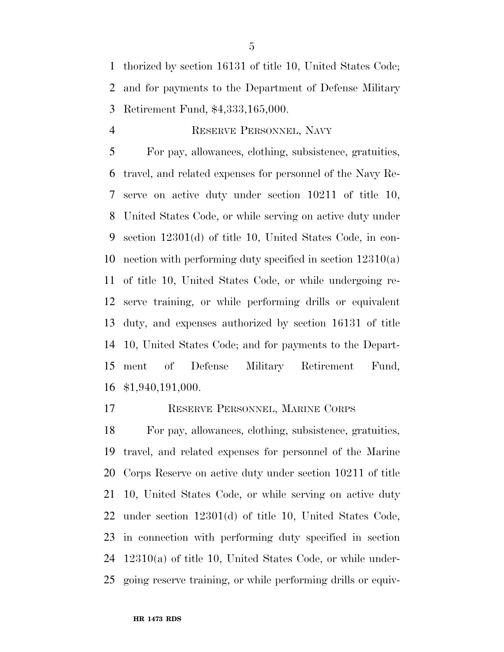thorized by section 16131 of title 10, United States Code; and for payments to the Department of Defense Military Retirement Fund, \$4,333,165,000.

# RESERVE PERSONNEL, NAVY

 For pay, allowances, clothing, subsistence, gratuities, travel, and related expenses for personnel of the Navy Re- serve on active duty under section 10211 of title 10, United States Code, or while serving on active duty under section 12301(d) of title 10, United States Code, in con- nection with performing duty specified in section 12310(a) of title 10, United States Code, or while undergoing re- serve training, or while performing drills or equivalent duty, and expenses authorized by section 16131 of title 10, United States Code; and for payments to the Depart- ment of Defense Military Retirement Fund, \$1,940,191,000.

RESERVE PERSONNEL, MARINE CORPS

 For pay, allowances, clothing, subsistence, gratuities, travel, and related expenses for personnel of the Marine Corps Reserve on active duty under section 10211 of title 10, United States Code, or while serving on active duty under section 12301(d) of title 10, United States Code, in connection with performing duty specified in section 12310(a) of title 10, United States Code, or while under-going reserve training, or while performing drills or equiv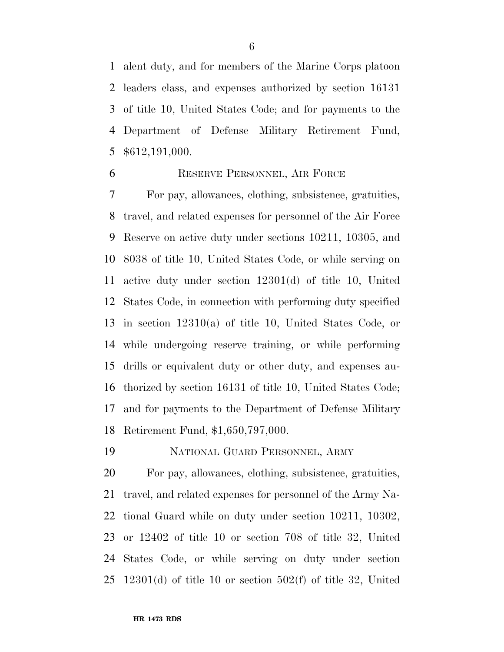alent duty, and for members of the Marine Corps platoon leaders class, and expenses authorized by section 16131 of title 10, United States Code; and for payments to the Department of Defense Military Retirement Fund, \$612,191,000.

# RESERVE PERSONNEL, AIR FORCE

 For pay, allowances, clothing, subsistence, gratuities, travel, and related expenses for personnel of the Air Force Reserve on active duty under sections 10211, 10305, and 8038 of title 10, United States Code, or while serving on active duty under section 12301(d) of title 10, United States Code, in connection with performing duty specified in section 12310(a) of title 10, United States Code, or while undergoing reserve training, or while performing drills or equivalent duty or other duty, and expenses au- thorized by section 16131 of title 10, United States Code; and for payments to the Department of Defense Military Retirement Fund, \$1,650,797,000.

NATIONAL GUARD PERSONNEL, ARMY

 For pay, allowances, clothing, subsistence, gratuities, travel, and related expenses for personnel of the Army Na- tional Guard while on duty under section 10211, 10302, or 12402 of title 10 or section 708 of title 32, United States Code, or while serving on duty under section 12301(d) of title 10 or section 502(f) of title 32, United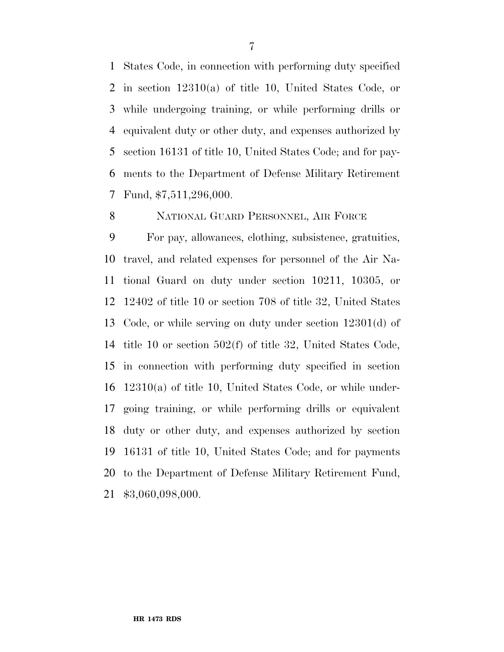States Code, in connection with performing duty specified in section 12310(a) of title 10, United States Code, or while undergoing training, or while performing drills or equivalent duty or other duty, and expenses authorized by section 16131 of title 10, United States Code; and for pay- ments to the Department of Defense Military Retirement Fund, \$7,511,296,000.

NATIONAL GUARD PERSONNEL, AIR FORCE

 For pay, allowances, clothing, subsistence, gratuities, travel, and related expenses for personnel of the Air Na- tional Guard on duty under section 10211, 10305, or 12402 of title 10 or section 708 of title 32, United States Code, or while serving on duty under section 12301(d) of title 10 or section 502(f) of title 32, United States Code, in connection with performing duty specified in section 12310(a) of title 10, United States Code, or while under- going training, or while performing drills or equivalent duty or other duty, and expenses authorized by section 16131 of title 10, United States Code; and for payments to the Department of Defense Military Retirement Fund, \$3,060,098,000.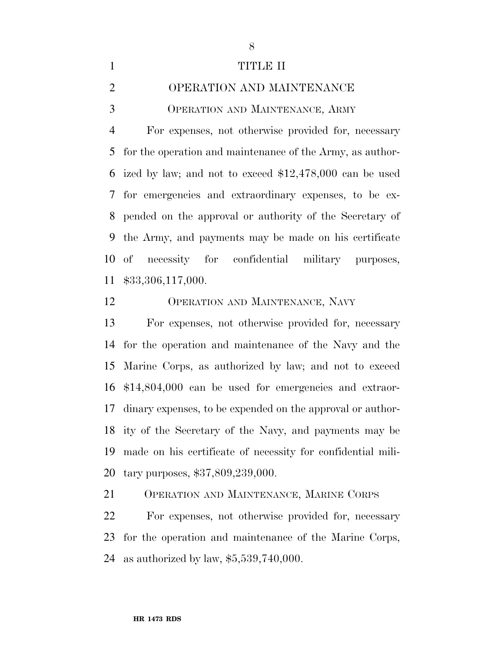| 1              | TITLE II                                                    |
|----------------|-------------------------------------------------------------|
| $\overline{2}$ | OPERATION AND MAINTENANCE                                   |
| 3              | OPERATION AND MAINTENANCE, ARMY                             |
| 4              | For expenses, not otherwise provided for, necessary         |
|                | 5 for the operation and maintenance of the Army, as author- |
|                | 6 ized by law; and not to exceed $$12,478,000$ can be used  |
|                | 7 for emergencies and extraordinary expenses, to be ex-     |
|                | 8 pended on the approval or authority of the Secretary of   |
|                | 9 the Army, and payments may be made on his certificate     |
|                | 10 of necessity for confidential military purposes,         |
|                | 11 \$33,306,117,000.                                        |
|                |                                                             |

OPERATION AND MAINTENANCE, NAVY

 For expenses, not otherwise provided for, necessary for the operation and maintenance of the Navy and the Marine Corps, as authorized by law; and not to exceed \$14,804,000 can be used for emergencies and extraor- dinary expenses, to be expended on the approval or author- ity of the Secretary of the Navy, and payments may be made on his certificate of necessity for confidential mili-tary purposes, \$37,809,239,000.

OPERATION AND MAINTENANCE, MARINE CORPS

**HR 1473 RDS**

 For expenses, not otherwise provided for, necessary for the operation and maintenance of the Marine Corps, as authorized by law, \$5,539,740,000.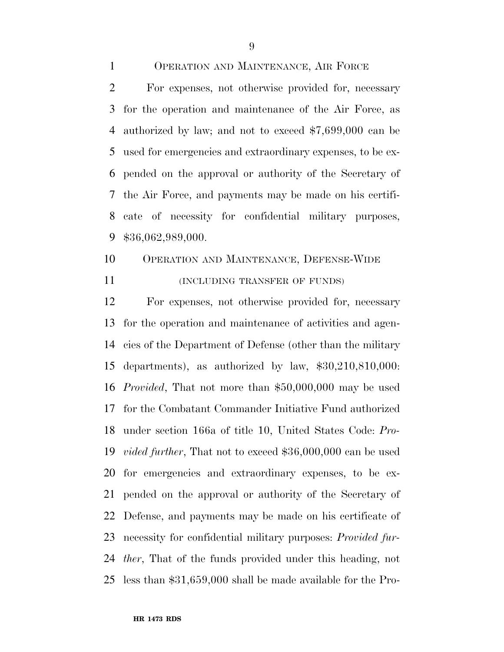- OPERATION AND MAINTENANCE, AIR FORCE For expenses, not otherwise provided for, necessary for the operation and maintenance of the Air Force, as authorized by law; and not to exceed \$7,699,000 can be used for emergencies and extraordinary expenses, to be ex- pended on the approval or authority of the Secretary of the Air Force, and payments may be made on his certifi-cate of necessity for confidential military purposes,
- \$36,062,989,000.
- OPERATION AND MAINTENANCE, DEFENSE-WIDE **INCLUDING TRANSFER OF FUNDS**)

 For expenses, not otherwise provided for, necessary for the operation and maintenance of activities and agen- cies of the Department of Defense (other than the military departments), as authorized by law, \$30,210,810,000: *Provided*, That not more than \$50,000,000 may be used for the Combatant Commander Initiative Fund authorized under section 166a of title 10, United States Code: *Pro- vided further*, That not to exceed \$36,000,000 can be used for emergencies and extraordinary expenses, to be ex- pended on the approval or authority of the Secretary of Defense, and payments may be made on his certificate of necessity for confidential military purposes: *Provided fur- ther*, That of the funds provided under this heading, not less than \$31,659,000 shall be made available for the Pro-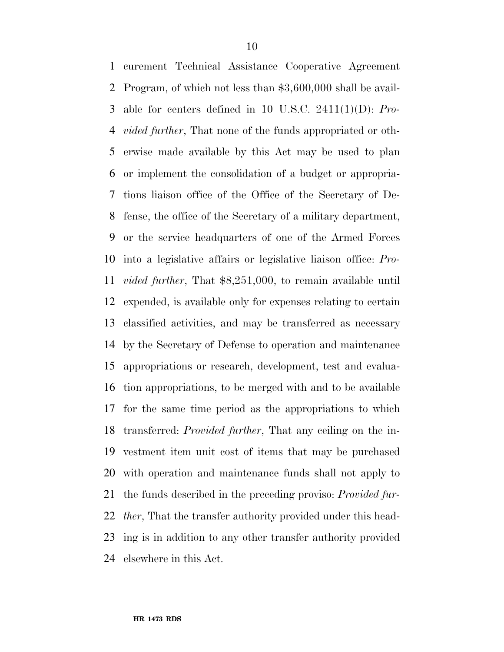curement Technical Assistance Cooperative Agreement Program, of which not less than \$3,600,000 shall be avail- able for centers defined in 10 U.S.C. 2411(1)(D): *Pro- vided further*, That none of the funds appropriated or oth- erwise made available by this Act may be used to plan or implement the consolidation of a budget or appropria- tions liaison office of the Office of the Secretary of De- fense, the office of the Secretary of a military department, or the service headquarters of one of the Armed Forces into a legislative affairs or legislative liaison office: *Pro- vided further*, That \$8,251,000, to remain available until expended, is available only for expenses relating to certain classified activities, and may be transferred as necessary by the Secretary of Defense to operation and maintenance appropriations or research, development, test and evalua- tion appropriations, to be merged with and to be available for the same time period as the appropriations to which transferred: *Provided further*, That any ceiling on the in- vestment item unit cost of items that may be purchased with operation and maintenance funds shall not apply to the funds described in the preceding proviso: *Provided fur- ther*, That the transfer authority provided under this head- ing is in addition to any other transfer authority provided elsewhere in this Act.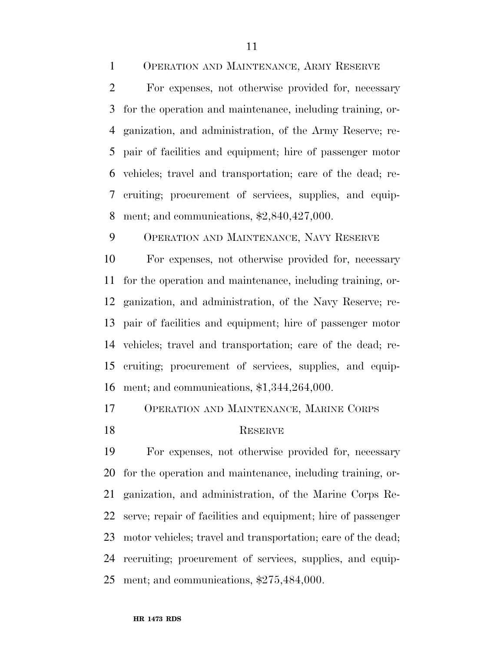OPERATION AND MAINTENANCE, ARMY RESERVE

 For expenses, not otherwise provided for, necessary for the operation and maintenance, including training, or- ganization, and administration, of the Army Reserve; re- pair of facilities and equipment; hire of passenger motor vehicles; travel and transportation; care of the dead; re- cruiting; procurement of services, supplies, and equip-ment; and communications, \$2,840,427,000.

OPERATION AND MAINTENANCE, NAVY RESERVE

 For expenses, not otherwise provided for, necessary for the operation and maintenance, including training, or- ganization, and administration, of the Navy Reserve; re- pair of facilities and equipment; hire of passenger motor vehicles; travel and transportation; care of the dead; re- cruiting; procurement of services, supplies, and equip-ment; and communications, \$1,344,264,000.

OPERATION AND MAINTENANCE, MARINE CORPS

# 18 RESERVE

 For expenses, not otherwise provided for, necessary for the operation and maintenance, including training, or- ganization, and administration, of the Marine Corps Re- serve; repair of facilities and equipment; hire of passenger motor vehicles; travel and transportation; care of the dead; recruiting; procurement of services, supplies, and equip-ment; and communications, \$275,484,000.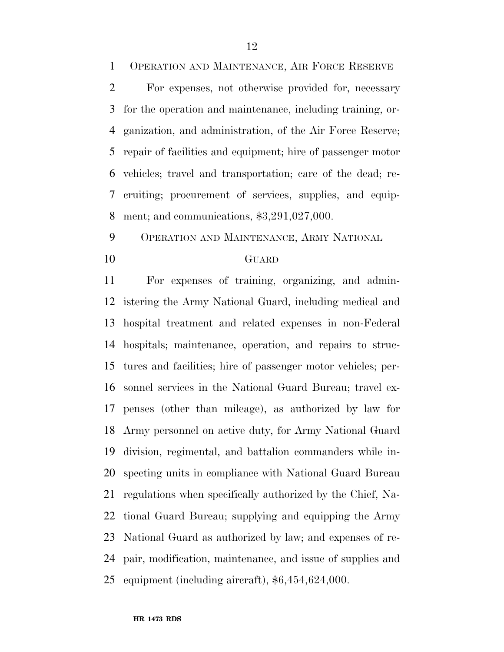OPERATION AND MAINTENANCE, AIR FORCE RESERVE

 For expenses, not otherwise provided for, necessary for the operation and maintenance, including training, or- ganization, and administration, of the Air Force Reserve; repair of facilities and equipment; hire of passenger motor vehicles; travel and transportation; care of the dead; re- cruiting; procurement of services, supplies, and equip-ment; and communications, \$3,291,027,000.

OPERATION AND MAINTENANCE, ARMY NATIONAL

# GUARD

 For expenses of training, organizing, and admin- istering the Army National Guard, including medical and hospital treatment and related expenses in non-Federal hospitals; maintenance, operation, and repairs to struc- tures and facilities; hire of passenger motor vehicles; per- sonnel services in the National Guard Bureau; travel ex- penses (other than mileage), as authorized by law for Army personnel on active duty, for Army National Guard division, regimental, and battalion commanders while in- specting units in compliance with National Guard Bureau regulations when specifically authorized by the Chief, Na- tional Guard Bureau; supplying and equipping the Army National Guard as authorized by law; and expenses of re- pair, modification, maintenance, and issue of supplies and equipment (including aircraft), \$6,454,624,000.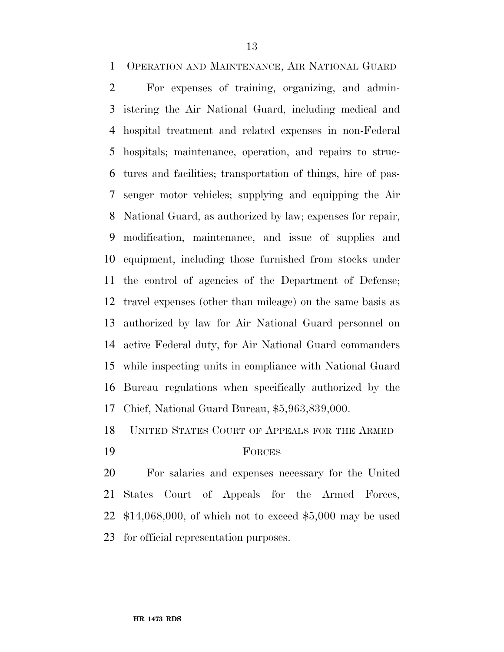OPERATION AND MAINTENANCE, AIR NATIONAL GUARD

 For expenses of training, organizing, and admin- istering the Air National Guard, including medical and hospital treatment and related expenses in non-Federal hospitals; maintenance, operation, and repairs to struc- tures and facilities; transportation of things, hire of pas- senger motor vehicles; supplying and equipping the Air National Guard, as authorized by law; expenses for repair, modification, maintenance, and issue of supplies and equipment, including those furnished from stocks under the control of agencies of the Department of Defense; travel expenses (other than mileage) on the same basis as authorized by law for Air National Guard personnel on active Federal duty, for Air National Guard commanders while inspecting units in compliance with National Guard Bureau regulations when specifically authorized by the Chief, National Guard Bureau, \$5,963,839,000.

UNITED STATES COURT OF APPEALS FOR THE ARMED

### FORCES

 For salaries and expenses necessary for the United States Court of Appeals for the Armed Forces, \$14,068,000, of which not to exceed \$5,000 may be used for official representation purposes.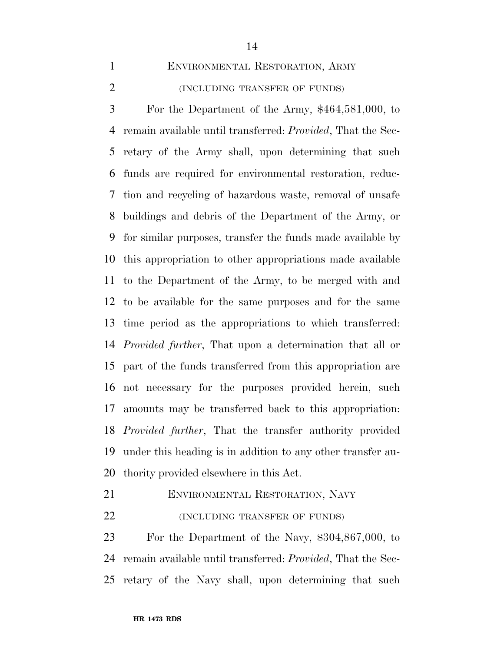ENVIRONMENTAL RESTORATION, ARMY

 (INCLUDING TRANSFER OF FUNDS) For the Department of the Army, \$464,581,000, to remain available until transferred: *Provided*, That the Sec- retary of the Army shall, upon determining that such funds are required for environmental restoration, reduc-

 tion and recycling of hazardous waste, removal of unsafe buildings and debris of the Department of the Army, or for similar purposes, transfer the funds made available by this appropriation to other appropriations made available to the Department of the Army, to be merged with and to be available for the same purposes and for the same time period as the appropriations to which transferred: *Provided further*, That upon a determination that all or part of the funds transferred from this appropriation are not necessary for the purposes provided herein, such amounts may be transferred back to this appropriation: *Provided further*, That the transfer authority provided under this heading is in addition to any other transfer au-thority provided elsewhere in this Act.

ENVIRONMENTAL RESTORATION, NAVY

**(INCLUDING TRANSFER OF FUNDS)** 

 For the Department of the Navy, \$304,867,000, to remain available until transferred: *Provided*, That the Sec-retary of the Navy shall, upon determining that such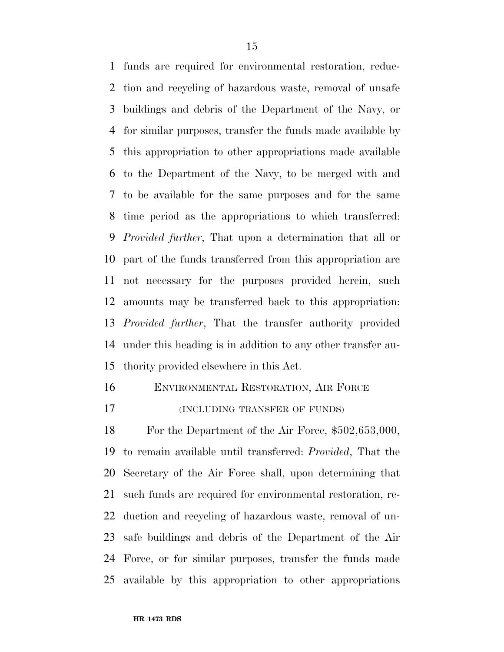funds are required for environmental restoration, reduc- tion and recycling of hazardous waste, removal of unsafe buildings and debris of the Department of the Navy, or for similar purposes, transfer the funds made available by this appropriation to other appropriations made available to the Department of the Navy, to be merged with and to be available for the same purposes and for the same time period as the appropriations to which transferred: *Provided further*, That upon a determination that all or part of the funds transferred from this appropriation are not necessary for the purposes provided herein, such amounts may be transferred back to this appropriation: *Provided further*, That the transfer authority provided under this heading is in addition to any other transfer au-thority provided elsewhere in this Act.

ENVIRONMENTAL RESTORATION, AIR FORCE

**(INCLUDING TRANSFER OF FUNDS)** 

 For the Department of the Air Force, \$502,653,000, to remain available until transferred: *Provided*, That the Secretary of the Air Force shall, upon determining that such funds are required for environmental restoration, re- duction and recycling of hazardous waste, removal of un- safe buildings and debris of the Department of the Air Force, or for similar purposes, transfer the funds made available by this appropriation to other appropriations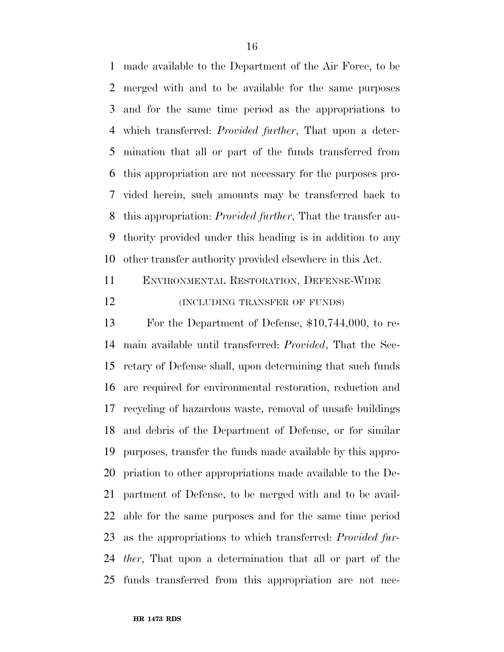made available to the Department of the Air Force, to be merged with and to be available for the same purposes and for the same time period as the appropriations to which transferred: *Provided further*, That upon a deter- mination that all or part of the funds transferred from this appropriation are not necessary for the purposes pro- vided herein, such amounts may be transferred back to this appropriation: *Provided further*, That the transfer au- thority provided under this heading is in addition to any other transfer authority provided elsewhere in this Act.

 ENVIRONMENTAL RESTORATION, DEFENSE-WIDE **(INCLUDING TRANSFER OF FUNDS)** 

 For the Department of Defense, \$10,744,000, to re- main available until transferred: *Provided*, That the Sec- retary of Defense shall, upon determining that such funds are required for environmental restoration, reduction and recycling of hazardous waste, removal of unsafe buildings and debris of the Department of Defense, or for similar purposes, transfer the funds made available by this appro- priation to other appropriations made available to the De- partment of Defense, to be merged with and to be avail- able for the same purposes and for the same time period as the appropriations to which transferred: *Provided fur- ther*, That upon a determination that all or part of the funds transferred from this appropriation are not nec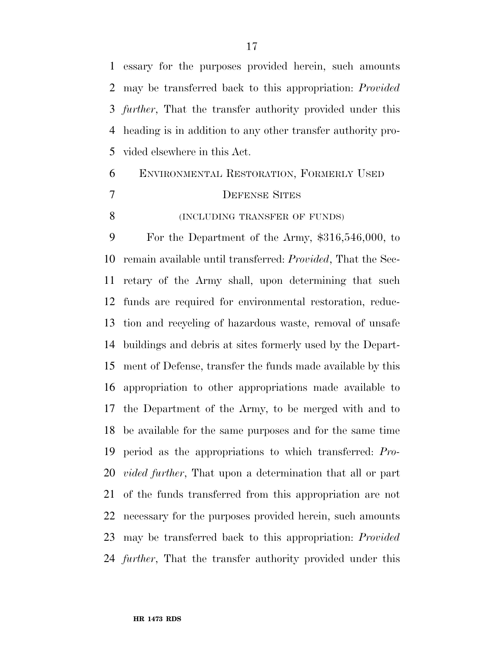essary for the purposes provided herein, such amounts may be transferred back to this appropriation: *Provided further*, That the transfer authority provided under this heading is in addition to any other transfer authority pro-vided elsewhere in this Act.

# ENVIRONMENTAL RESTORATION, FORMERLY USED DEFENSE SITES **(INCLUDING TRANSFER OF FUNDS)**

 For the Department of the Army, \$316,546,000, to remain available until transferred: *Provided*, That the Sec- retary of the Army shall, upon determining that such funds are required for environmental restoration, reduc- tion and recycling of hazardous waste, removal of unsafe buildings and debris at sites formerly used by the Depart- ment of Defense, transfer the funds made available by this appropriation to other appropriations made available to the Department of the Army, to be merged with and to be available for the same purposes and for the same time period as the appropriations to which transferred: *Pro- vided further*, That upon a determination that all or part of the funds transferred from this appropriation are not necessary for the purposes provided herein, such amounts may be transferred back to this appropriation: *Provided further*, That the transfer authority provided under this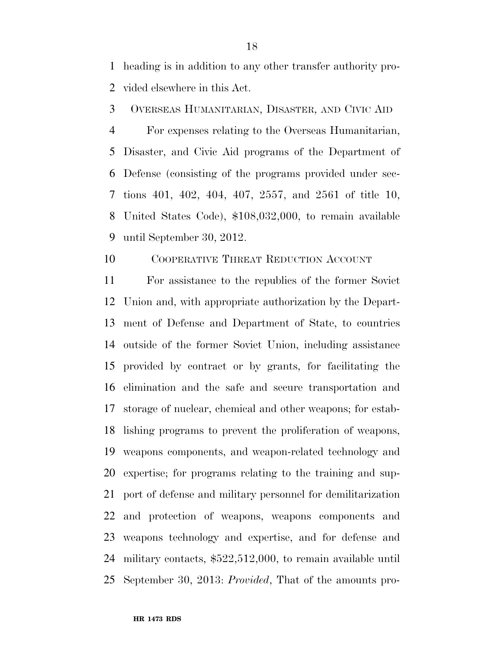heading is in addition to any other transfer authority pro-vided elsewhere in this Act.

OVERSEAS HUMANITARIAN, DISASTER, AND CIVIC AID

 For expenses relating to the Overseas Humanitarian, Disaster, and Civic Aid programs of the Department of Defense (consisting of the programs provided under sec- tions 401, 402, 404, 407, 2557, and 2561 of title 10, United States Code), \$108,032,000, to remain available until September 30, 2012.

COOPERATIVE THREAT REDUCTION ACCOUNT

 For assistance to the republics of the former Soviet Union and, with appropriate authorization by the Depart- ment of Defense and Department of State, to countries outside of the former Soviet Union, including assistance provided by contract or by grants, for facilitating the elimination and the safe and secure transportation and storage of nuclear, chemical and other weapons; for estab- lishing programs to prevent the proliferation of weapons, weapons components, and weapon-related technology and expertise; for programs relating to the training and sup- port of defense and military personnel for demilitarization and protection of weapons, weapons components and weapons technology and expertise, and for defense and military contacts, \$522,512,000, to remain available until September 30, 2013: *Provided*, That of the amounts pro-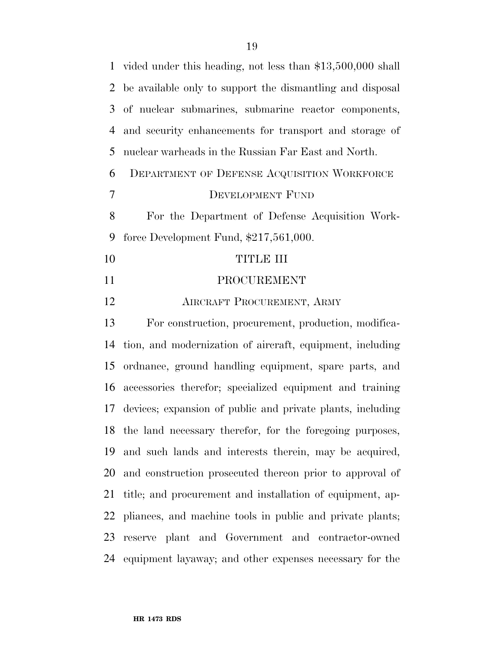|                | 1 vided under this heading, not less than \$13,500,000 shall |
|----------------|--------------------------------------------------------------|
| $\overline{2}$ | be available only to support the dismantling and disposal    |
| 3              | of nuclear submarines, submarine reactor components,         |
| $\overline{4}$ | and security enhancements for transport and storage of       |
| 5              | nuclear warheads in the Russian Far East and North.          |
| 6              | DEPARTMENT OF DEFENSE ACQUISITION WORKFORCE                  |
| 7              | DEVELOPMENT FUND                                             |
| 8              | For the Department of Defense Acquisition Work-              |
| 9              | force Development Fund, $$217,561,000$ .                     |
| 10             | <b>TITLE III</b>                                             |
| 11             | PROCUREMENT                                                  |
| 12             | AIRCRAFT PROCUREMENT, ARMY                                   |
| 13             | For construction, procurement, production, modifica-         |
| 14             | tion, and modernization of aircraft, equipment, including    |
| 15             | ordnance, ground handling equipment, spare parts, and        |
| 16             | accessories therefor; specialized equipment and training     |
| 17             | devices; expansion of public and private plants, including   |
|                | 18 the land necessary therefor, for the foregoing purposes,  |
| 19             | and such lands and interests therein, may be acquired,       |
|                | 20 and construction prosecuted thereon prior to approval of  |
| 21             | title; and procurement and installation of equipment, ap-    |
| 22             | pliances, and machine tools in public and private plants;    |
| 23             | reserve plant and Government and contractor-owned            |
|                |                                                              |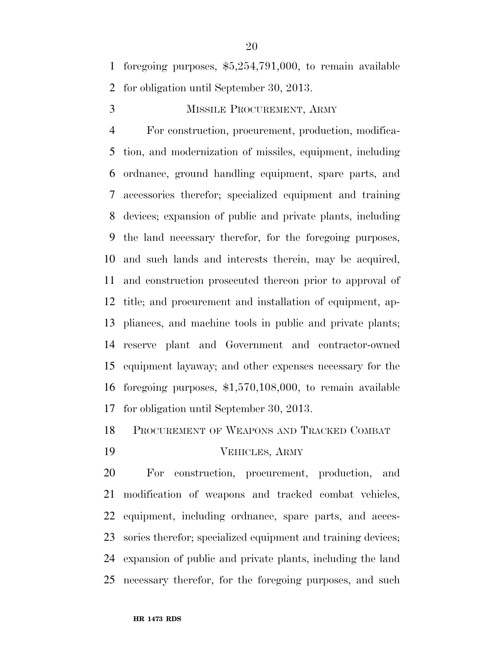foregoing purposes, \$5,254,791,000, to remain available for obligation until September 30, 2013.

# MISSILE PROCUREMENT, ARMY

 For construction, procurement, production, modifica- tion, and modernization of missiles, equipment, including ordnance, ground handling equipment, spare parts, and accessories therefor; specialized equipment and training devices; expansion of public and private plants, including the land necessary therefor, for the foregoing purposes, and such lands and interests therein, may be acquired, and construction prosecuted thereon prior to approval of title; and procurement and installation of equipment, ap- pliances, and machine tools in public and private plants; reserve plant and Government and contractor-owned equipment layaway; and other expenses necessary for the foregoing purposes, \$1,570,108,000, to remain available for obligation until September 30, 2013.

PROCUREMENT OF WEAPONS AND TRACKED COMBAT

VEHICLES, ARMY

 For construction, procurement, production, and modification of weapons and tracked combat vehicles, equipment, including ordnance, spare parts, and acces- sories therefor; specialized equipment and training devices; expansion of public and private plants, including the land necessary therefor, for the foregoing purposes, and such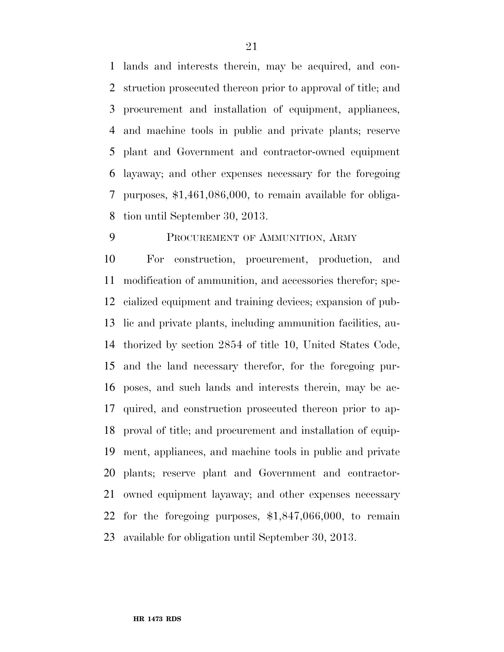lands and interests therein, may be acquired, and con- struction prosecuted thereon prior to approval of title; and procurement and installation of equipment, appliances, and machine tools in public and private plants; reserve plant and Government and contractor-owned equipment layaway; and other expenses necessary for the foregoing purposes, \$1,461,086,000, to remain available for obliga-tion until September 30, 2013.

# PROCUREMENT OF AMMUNITION, ARMY

 For construction, procurement, production, and modification of ammunition, and accessories therefor; spe- cialized equipment and training devices; expansion of pub- lic and private plants, including ammunition facilities, au- thorized by section 2854 of title 10, United States Code, and the land necessary therefor, for the foregoing pur- poses, and such lands and interests therein, may be ac- quired, and construction prosecuted thereon prior to ap- proval of title; and procurement and installation of equip- ment, appliances, and machine tools in public and private plants; reserve plant and Government and contractor- owned equipment layaway; and other expenses necessary for the foregoing purposes, \$1,847,066,000, to remain available for obligation until September 30, 2013.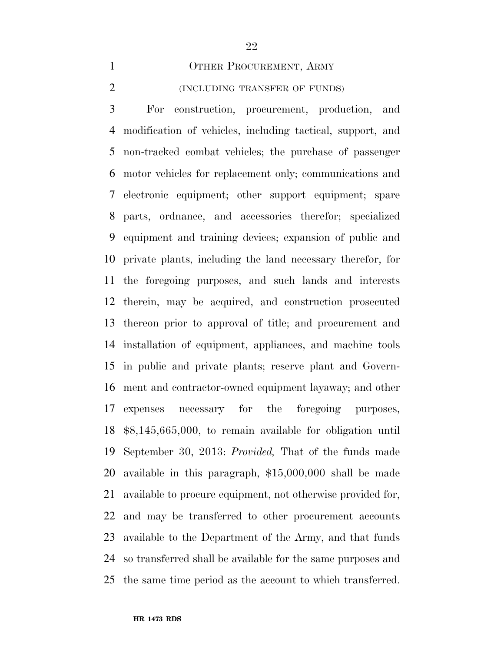#### 1 OTHER PROCUREMENT, ARMY

#### (INCLUDING TRANSFER OF FUNDS)

 For construction, procurement, production, and modification of vehicles, including tactical, support, and non-tracked combat vehicles; the purchase of passenger motor vehicles for replacement only; communications and electronic equipment; other support equipment; spare parts, ordnance, and accessories therefor; specialized equipment and training devices; expansion of public and private plants, including the land necessary therefor, for the foregoing purposes, and such lands and interests therein, may be acquired, and construction prosecuted thereon prior to approval of title; and procurement and installation of equipment, appliances, and machine tools in public and private plants; reserve plant and Govern- ment and contractor-owned equipment layaway; and other expenses necessary for the foregoing purposes, \$8,145,665,000, to remain available for obligation until September 30, 2013: *Provided,* That of the funds made available in this paragraph, \$15,000,000 shall be made available to procure equipment, not otherwise provided for, and may be transferred to other procurement accounts available to the Department of the Army, and that funds so transferred shall be available for the same purposes and the same time period as the account to which transferred.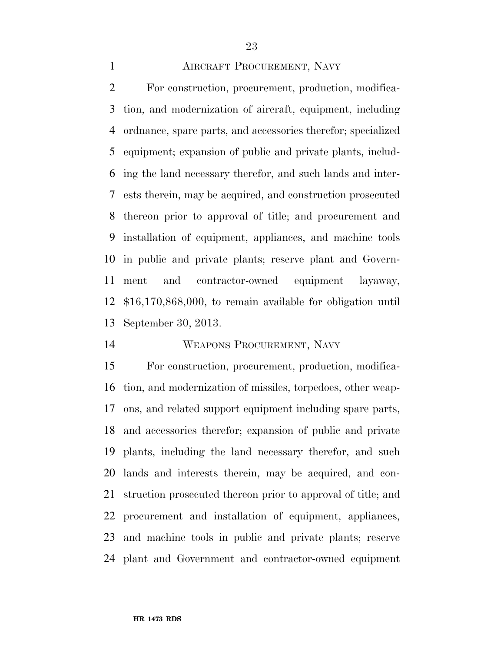# AIRCRAFT PROCUREMENT, NAVY

 For construction, procurement, production, modifica- tion, and modernization of aircraft, equipment, including ordnance, spare parts, and accessories therefor; specialized equipment; expansion of public and private plants, includ- ing the land necessary therefor, and such lands and inter- ests therein, may be acquired, and construction prosecuted thereon prior to approval of title; and procurement and installation of equipment, appliances, and machine tools in public and private plants; reserve plant and Govern- ment and contractor-owned equipment layaway, \$16,170,868,000, to remain available for obligation until September 30, 2013.

# WEAPONS PROCUREMENT, NAVY

 For construction, procurement, production, modifica- tion, and modernization of missiles, torpedoes, other weap- ons, and related support equipment including spare parts, and accessories therefor; expansion of public and private plants, including the land necessary therefor, and such lands and interests therein, may be acquired, and con- struction prosecuted thereon prior to approval of title; and procurement and installation of equipment, appliances, and machine tools in public and private plants; reserve plant and Government and contractor-owned equipment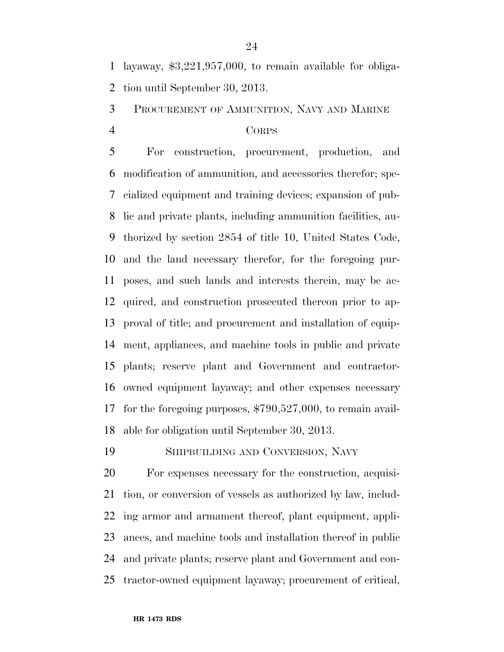layaway, \$3,221,957,000, to remain available for obliga-tion until September 30, 2013.

PROCUREMENT OF AMMUNITION, NAVY AND MARINE

### CORPS

 For construction, procurement, production, and modification of ammunition, and accessories therefor; spe- cialized equipment and training devices; expansion of pub- lic and private plants, including ammunition facilities, au- thorized by section 2854 of title 10, United States Code, and the land necessary therefor, for the foregoing pur- poses, and such lands and interests therein, may be ac- quired, and construction prosecuted thereon prior to ap- proval of title; and procurement and installation of equip- ment, appliances, and machine tools in public and private plants; reserve plant and Government and contractor- owned equipment layaway; and other expenses necessary for the foregoing purposes, \$790,527,000, to remain avail-able for obligation until September 30, 2013.

SHIPBUILDING AND CONVERSION, NAVY

 For expenses necessary for the construction, acquisi- tion, or conversion of vessels as authorized by law, includ- ing armor and armament thereof, plant equipment, appli- ances, and machine tools and installation thereof in public and private plants; reserve plant and Government and con-tractor-owned equipment layaway; procurement of critical,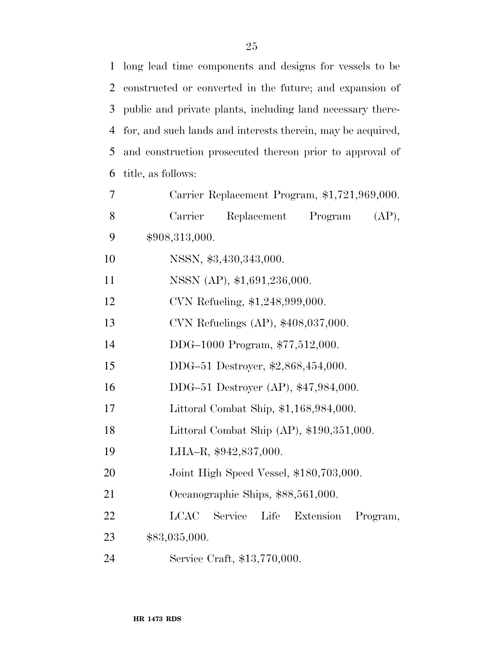| $\mathbf{1}$ | long lead time components and designs for vessels to be     |
|--------------|-------------------------------------------------------------|
| 2            | constructed or converted in the future; and expansion of    |
| 3            | public and private plants, including land necessary there-  |
| 4            | for, and such lands and interests therein, may be acquired, |
| 5            | and construction prosecuted thereon prior to approval of    |
| 6            | title, as follows:                                          |
| $\tau$       | Carrier Replacement Program, \$1,721,969,000.               |
| 8            | Carrier<br>Replacement<br>Program<br>(AP),                  |
| 9            | \$908,313,000.                                              |
| 10           | NSSN, \$3,430,343,000.                                      |
| 11           | NSSN (AP), \$1,691,236,000.                                 |
| 12           | CVN Refueling, \$1,248,999,000.                             |
| 13           | CVN Refuelings (AP), \$408,037,000.                         |
| 14           | DDG-1000 Program, \$77,512,000.                             |
| 15           | DDG-51 Destroyer, \$2,868,454,000.                          |
| 16           | DDG-51 Destroyer (AP), \$47,984,000.                        |
| 17           | Littoral Combat Ship, \$1,168,984,000.                      |
| 18           | Littoral Combat Ship (AP), \$190,351,000.                   |
| 19           | LHA-R, \$942,837,000.                                       |
| 20           | Joint High Speed Vessel, \$180,703,000.                     |
| 21           | Oceanographic Ships, \$88,561,000.                          |
| 22           | <b>LCAC</b><br>Service<br>Life<br>Extension<br>Program,     |
| 23           | \$83,035,000.                                               |
| 24           | Service Craft, \$13,770,000.                                |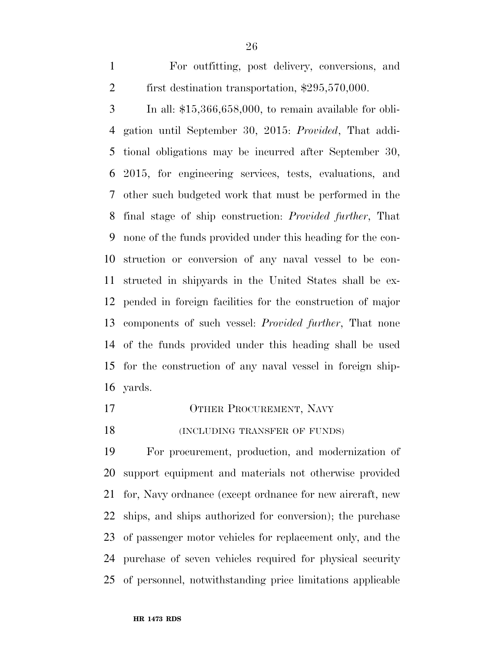For outfitting, post delivery, conversions, and first destination transportation, \$295,570,000.

 In all: \$15,366,658,000, to remain available for obli- gation until September 30, 2015: *Provided*, That addi- tional obligations may be incurred after September 30, 2015, for engineering services, tests, evaluations, and other such budgeted work that must be performed in the final stage of ship construction: *Provided further*, That none of the funds provided under this heading for the con- struction or conversion of any naval vessel to be con- structed in shipyards in the United States shall be ex- pended in foreign facilities for the construction of major components of such vessel: *Provided further*, That none of the funds provided under this heading shall be used for the construction of any naval vessel in foreign ship-yards.

- 17 OTHER PROCUREMENT, NAVY
- 18 (INCLUDING TRANSFER OF FUNDS)

 For procurement, production, and modernization of support equipment and materials not otherwise provided for, Navy ordnance (except ordnance for new aircraft, new ships, and ships authorized for conversion); the purchase of passenger motor vehicles for replacement only, and the purchase of seven vehicles required for physical security of personnel, notwithstanding price limitations applicable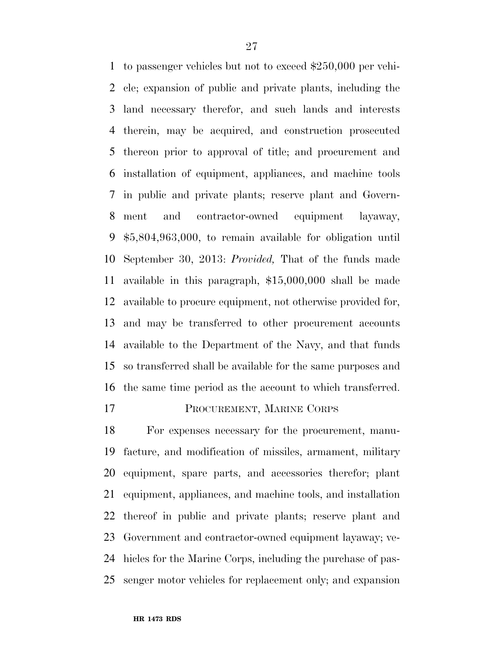to passenger vehicles but not to exceed \$250,000 per vehi- cle; expansion of public and private plants, including the land necessary therefor, and such lands and interests therein, may be acquired, and construction prosecuted thereon prior to approval of title; and procurement and installation of equipment, appliances, and machine tools in public and private plants; reserve plant and Govern- ment and contractor-owned equipment layaway, \$5,804,963,000, to remain available for obligation until September 30, 2013: *Provided,* That of the funds made available in this paragraph, \$15,000,000 shall be made available to procure equipment, not otherwise provided for, and may be transferred to other procurement accounts available to the Department of the Navy, and that funds so transferred shall be available for the same purposes and the same time period as the account to which transferred.

# PROCUREMENT, MARINE CORPS

 For expenses necessary for the procurement, manu- facture, and modification of missiles, armament, military equipment, spare parts, and accessories therefor; plant equipment, appliances, and machine tools, and installation thereof in public and private plants; reserve plant and Government and contractor-owned equipment layaway; ve- hicles for the Marine Corps, including the purchase of pas-senger motor vehicles for replacement only; and expansion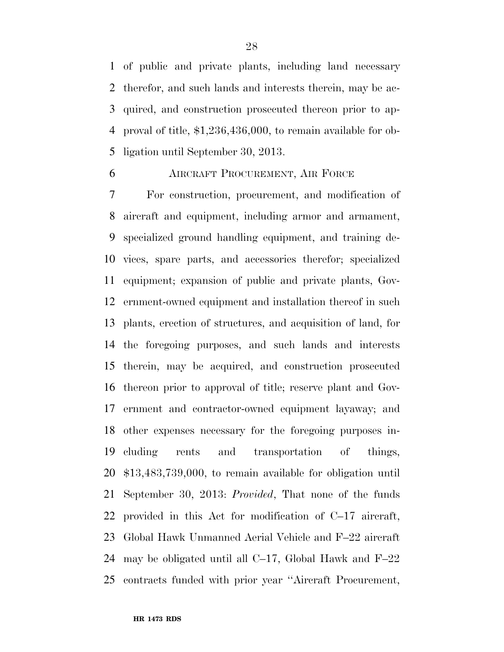of public and private plants, including land necessary therefor, and such lands and interests therein, may be ac- quired, and construction prosecuted thereon prior to ap- proval of title, \$1,236,436,000, to remain available for ob-ligation until September 30, 2013.

# AIRCRAFT PROCUREMENT, AIR FORCE

 For construction, procurement, and modification of aircraft and equipment, including armor and armament, specialized ground handling equipment, and training de- vices, spare parts, and accessories therefor; specialized equipment; expansion of public and private plants, Gov- ernment-owned equipment and installation thereof in such plants, erection of structures, and acquisition of land, for the foregoing purposes, and such lands and interests therein, may be acquired, and construction prosecuted thereon prior to approval of title; reserve plant and Gov- ernment and contractor-owned equipment layaway; and other expenses necessary for the foregoing purposes in- cluding rents and transportation of things, \$13,483,739,000, to remain available for obligation until September 30, 2013: *Provided*, That none of the funds provided in this Act for modification of C–17 aircraft, Global Hawk Unmanned Aerial Vehicle and F–22 aircraft may be obligated until all C–17, Global Hawk and F–22 contracts funded with prior year ''Aircraft Procurement,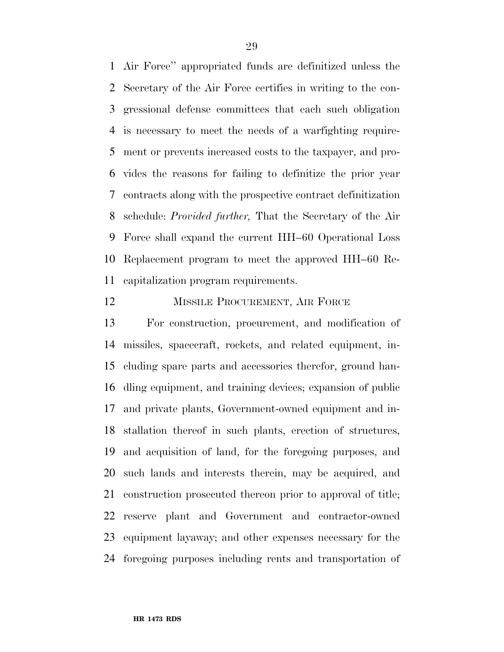Air Force'' appropriated funds are definitized unless the Secretary of the Air Force certifies in writing to the con- gressional defense committees that each such obligation is necessary to meet the needs of a warfighting require- ment or prevents increased costs to the taxpayer, and pro- vides the reasons for failing to definitize the prior year contracts along with the prospective contract definitization schedule: *Provided further,* That the Secretary of the Air Force shall expand the current HH–60 Operational Loss Replacement program to meet the approved HH–60 Re-capitalization program requirements.

#### 12 MISSILE PROCUREMENT, AIR FORCE

 For construction, procurement, and modification of missiles, spacecraft, rockets, and related equipment, in- cluding spare parts and accessories therefor, ground han- dling equipment, and training devices; expansion of public and private plants, Government-owned equipment and in- stallation thereof in such plants, erection of structures, and acquisition of land, for the foregoing purposes, and such lands and interests therein, may be acquired, and construction prosecuted thereon prior to approval of title; reserve plant and Government and contractor-owned equipment layaway; and other expenses necessary for the foregoing purposes including rents and transportation of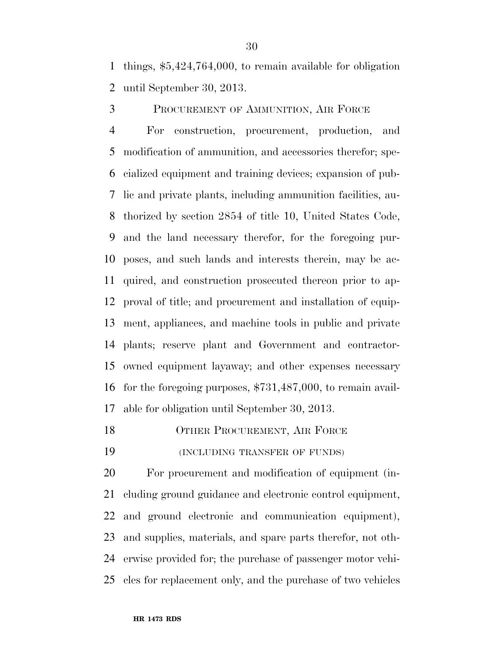things, \$5,424,764,000, to remain available for obligation until September 30, 2013.

PROCUREMENT OF AMMUNITION, AIR FORCE

 For construction, procurement, production, and modification of ammunition, and accessories therefor; spe- cialized equipment and training devices; expansion of pub- lic and private plants, including ammunition facilities, au- thorized by section 2854 of title 10, United States Code, and the land necessary therefor, for the foregoing pur- poses, and such lands and interests therein, may be ac- quired, and construction prosecuted thereon prior to ap- proval of title; and procurement and installation of equip- ment, appliances, and machine tools in public and private plants; reserve plant and Government and contractor- owned equipment layaway; and other expenses necessary for the foregoing purposes, \$731,487,000, to remain avail-able for obligation until September 30, 2013.

18 OTHER PROCUREMENT, AIR FORCE

(INCLUDING TRANSFER OF FUNDS)

 For procurement and modification of equipment (in- cluding ground guidance and electronic control equipment, and ground electronic and communication equipment), and supplies, materials, and spare parts therefor, not oth- erwise provided for; the purchase of passenger motor vehi-cles for replacement only, and the purchase of two vehicles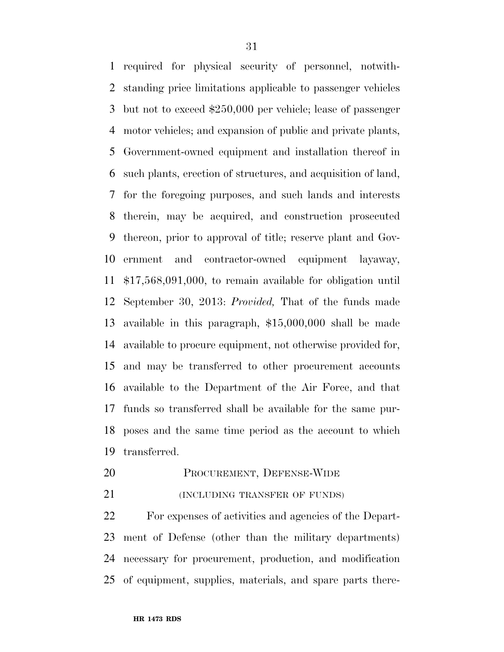required for physical security of personnel, notwith- standing price limitations applicable to passenger vehicles but not to exceed \$250,000 per vehicle; lease of passenger motor vehicles; and expansion of public and private plants, Government-owned equipment and installation thereof in such plants, erection of structures, and acquisition of land, for the foregoing purposes, and such lands and interests therein, may be acquired, and construction prosecuted thereon, prior to approval of title; reserve plant and Gov- ernment and contractor-owned equipment layaway, \$17,568,091,000, to remain available for obligation until September 30, 2013: *Provided,* That of the funds made available in this paragraph, \$15,000,000 shall be made available to procure equipment, not otherwise provided for, and may be transferred to other procurement accounts available to the Department of the Air Force, and that funds so transferred shall be available for the same pur- poses and the same time period as the account to which transferred.

- PROCUREMENT, DEFENSE-WIDE
- **(INCLUDING TRANSFER OF FUNDS)**

 For expenses of activities and agencies of the Depart- ment of Defense (other than the military departments) necessary for procurement, production, and modification of equipment, supplies, materials, and spare parts there-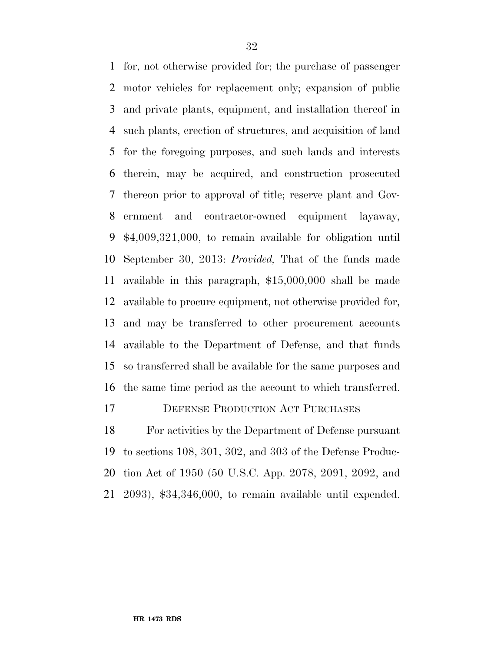for, not otherwise provided for; the purchase of passenger motor vehicles for replacement only; expansion of public and private plants, equipment, and installation thereof in such plants, erection of structures, and acquisition of land for the foregoing purposes, and such lands and interests therein, may be acquired, and construction prosecuted thereon prior to approval of title; reserve plant and Gov- ernment and contractor-owned equipment layaway, \$4,009,321,000, to remain available for obligation until September 30, 2013: *Provided,* That of the funds made available in this paragraph, \$15,000,000 shall be made available to procure equipment, not otherwise provided for, and may be transferred to other procurement accounts available to the Department of Defense, and that funds so transferred shall be available for the same purposes and the same time period as the account to which transferred.

# DEFENSE PRODUCTION ACT PURCHASES

 For activities by the Department of Defense pursuant to sections 108, 301, 302, and 303 of the Defense Produc- tion Act of 1950 (50 U.S.C. App. 2078, 2091, 2092, and 2093), \$34,346,000, to remain available until expended.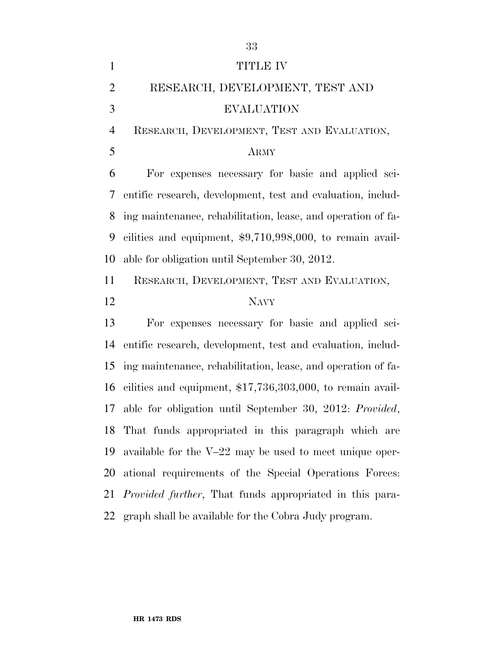| $\mathbf{1}$   | TITLE IV                                                        |
|----------------|-----------------------------------------------------------------|
| $\overline{2}$ | RESEARCH, DEVELOPMENT, TEST AND                                 |
| 3              | <b>EVALUATION</b>                                               |
| $\overline{4}$ | RESEARCH, DEVELOPMENT, TEST AND EVALUATION,                     |
| 5              | <b>ARMY</b>                                                     |
| 6              | For expenses necessary for basic and applied sci-               |
| 7              | entific research, development, test and evaluation, includ-     |
| 8              | ing maintenance, rehabilitation, lease, and operation of fa-    |
| 9              | cilities and equipment, $$9,710,998,000$ , to remain avail-     |
| 10             | able for obligation until September 30, 2012.                   |
| 11             | RESEARCH, DEVELOPMENT, TEST AND EVALUATION,                     |
| 12             | <b>NAVY</b>                                                     |
| 13             | For expenses necessary for basic and applied sci-               |
| 14             | entific research, development, test and evaluation, includ-     |
| 15             | ing maintenance, rehabilitation, lease, and operation of fa-    |
| 16             | cilities and equipment, $$17,736,303,000$ , to remain avail-    |
| 17             | able for obligation until September 30, 2012: Provided,         |
|                | 18 That funds appropriated in this paragraph which are          |
|                |                                                                 |
| 19             | available for the $V-22$ may be used to meet unique oper-       |
| 20             | ational requirements of the Special Operations Forces:          |
| 21             | <i>Provided further</i> , That funds appropriated in this para- |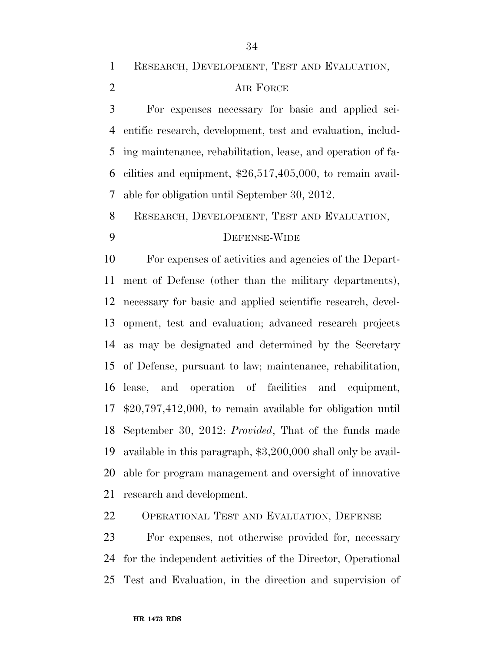RESEARCH, DEVELOPMENT, TEST AND EVALUATION,

### 2 AIR FORCE

 For expenses necessary for basic and applied sci- entific research, development, test and evaluation, includ- ing maintenance, rehabilitation, lease, and operation of fa- cilities and equipment, \$26,517,405,000, to remain avail-able for obligation until September 30, 2012.

RESEARCH, DEVELOPMENT, TEST AND EVALUATION,

# DEFENSE-WIDE

 For expenses of activities and agencies of the Depart- ment of Defense (other than the military departments), necessary for basic and applied scientific research, devel- opment, test and evaluation; advanced research projects as may be designated and determined by the Secretary of Defense, pursuant to law; maintenance, rehabilitation, lease, and operation of facilities and equipment, \$20,797,412,000, to remain available for obligation until September 30, 2012: *Provided*, That of the funds made available in this paragraph, \$3,200,000 shall only be avail- able for program management and oversight of innovative research and development.

OPERATIONAL TEST AND EVALUATION, DEFENSE

 For expenses, not otherwise provided for, necessary for the independent activities of the Director, Operational Test and Evaluation, in the direction and supervision of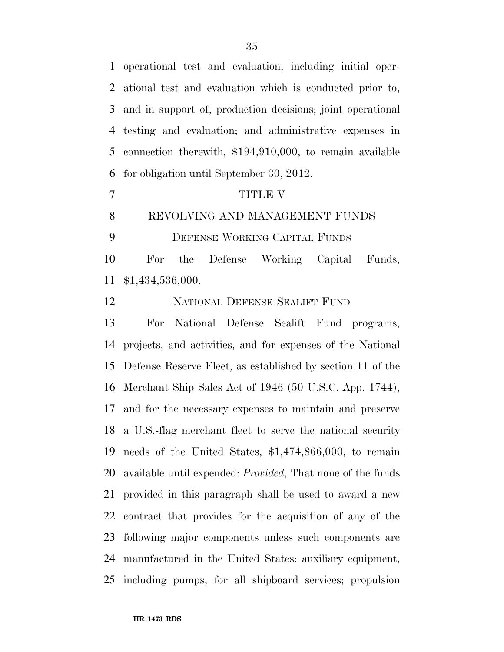operational test and evaluation, including initial oper- ational test and evaluation which is conducted prior to, and in support of, production decisions; joint operational testing and evaluation; and administrative expenses in connection therewith, \$194,910,000, to remain available for obligation until September 30, 2012.

### 7 TITLE V

#### REVOLVING AND MANAGEMENT FUNDS

DEFENSE WORKING CAPITAL FUNDS

 For the Defense Working Capital Funds, \$1,434,536,000.

NATIONAL DEFENSE SEALIFT FUND

 For National Defense Sealift Fund programs, projects, and activities, and for expenses of the National Defense Reserve Fleet, as established by section 11 of the Merchant Ship Sales Act of 1946 (50 U.S.C. App. 1744), and for the necessary expenses to maintain and preserve a U.S.-flag merchant fleet to serve the national security needs of the United States, \$1,474,866,000, to remain available until expended: *Provided*, That none of the funds provided in this paragraph shall be used to award a new contract that provides for the acquisition of any of the following major components unless such components are manufactured in the United States: auxiliary equipment, including pumps, for all shipboard services; propulsion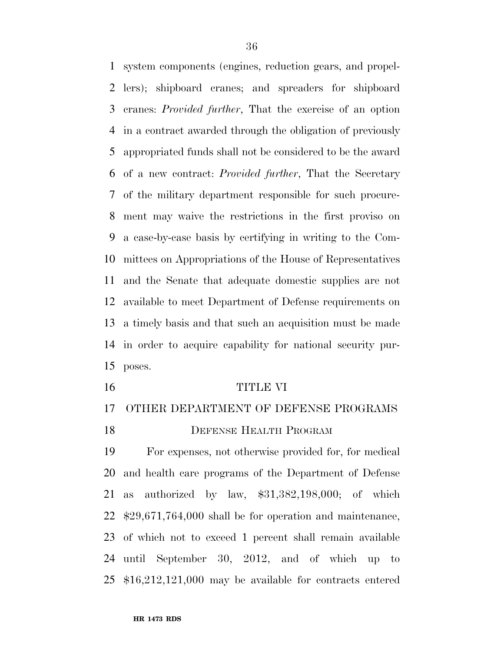system components (engines, reduction gears, and propel- lers); shipboard cranes; and spreaders for shipboard cranes: *Provided further*, That the exercise of an option in a contract awarded through the obligation of previously appropriated funds shall not be considered to be the award of a new contract: *Provided further*, That the Secretary of the military department responsible for such procure- ment may waive the restrictions in the first proviso on a case-by-case basis by certifying in writing to the Com- mittees on Appropriations of the House of Representatives and the Senate that adequate domestic supplies are not available to meet Department of Defense requirements on a timely basis and that such an acquisition must be made in order to acquire capability for national security pur-poses.

#### TITLE VI

# OTHER DEPARTMENT OF DEFENSE PROGRAMS

**DEFENSE HEALTH PROGRAM** 

 For expenses, not otherwise provided for, for medical and health care programs of the Department of Defense as authorized by law, \$31,382,198,000; of which \$29,671,764,000 shall be for operation and maintenance, of which not to exceed 1 percent shall remain available until September 30, 2012, and of which up to \$16,212,121,000 may be available for contracts entered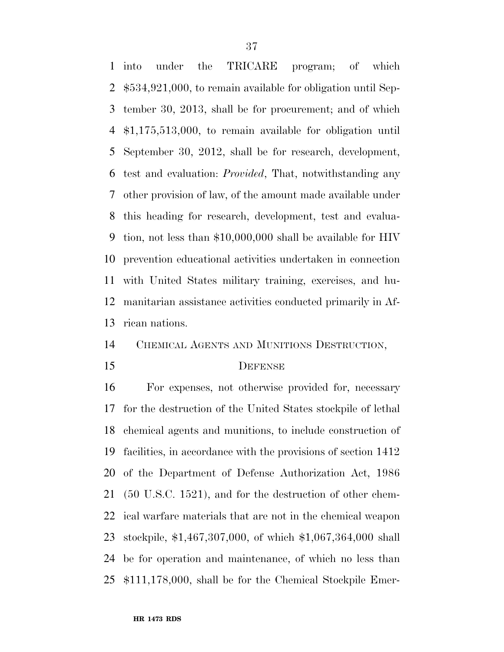into under the TRICARE program; of which \$534,921,000, to remain available for obligation until Sep- tember 30, 2013, shall be for procurement; and of which \$1,175,513,000, to remain available for obligation until September 30, 2012, shall be for research, development, test and evaluation: *Provided*, That, notwithstanding any other provision of law, of the amount made available under this heading for research, development, test and evalua- tion, not less than \$10,000,000 shall be available for HIV prevention educational activities undertaken in connection with United States military training, exercises, and hu- manitarian assistance activities conducted primarily in Af-rican nations.

# CHEMICAL AGENTS AND MUNITIONS DESTRUCTION,

## DEFENSE

 For expenses, not otherwise provided for, necessary for the destruction of the United States stockpile of lethal chemical agents and munitions, to include construction of facilities, in accordance with the provisions of section 1412 of the Department of Defense Authorization Act, 1986 (50 U.S.C. 1521), and for the destruction of other chem- ical warfare materials that are not in the chemical weapon stockpile, \$1,467,307,000, of which \$1,067,364,000 shall be for operation and maintenance, of which no less than \$111,178,000, shall be for the Chemical Stockpile Emer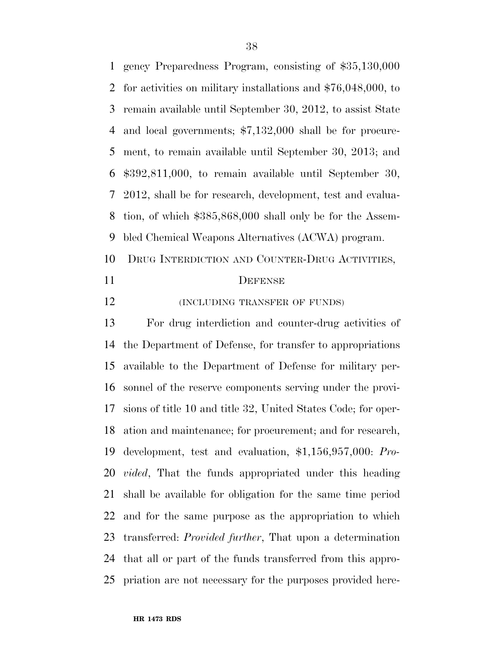gency Preparedness Program, consisting of \$35,130,000 for activities on military installations and \$76,048,000, to remain available until September 30, 2012, to assist State and local governments; \$7,132,000 shall be for procure- ment, to remain available until September 30, 2013; and \$392,811,000, to remain available until September 30, 2012, shall be for research, development, test and evalua- tion, of which \$385,868,000 shall only be for the Assem-bled Chemical Weapons Alternatives (ACWA) program.

- DRUG INTERDICTION AND COUNTER-DRUG ACTIVITIES,
- 

#### DEFENSE

**(INCLUDING TRANSFER OF FUNDS)** 

 For drug interdiction and counter-drug activities of the Department of Defense, for transfer to appropriations available to the Department of Defense for military per- sonnel of the reserve components serving under the provi- sions of title 10 and title 32, United States Code; for oper- ation and maintenance; for procurement; and for research, development, test and evaluation, \$1,156,957,000: *Pro- vided*, That the funds appropriated under this heading shall be available for obligation for the same time period and for the same purpose as the appropriation to which transferred: *Provided further*, That upon a determination that all or part of the funds transferred from this appro-priation are not necessary for the purposes provided here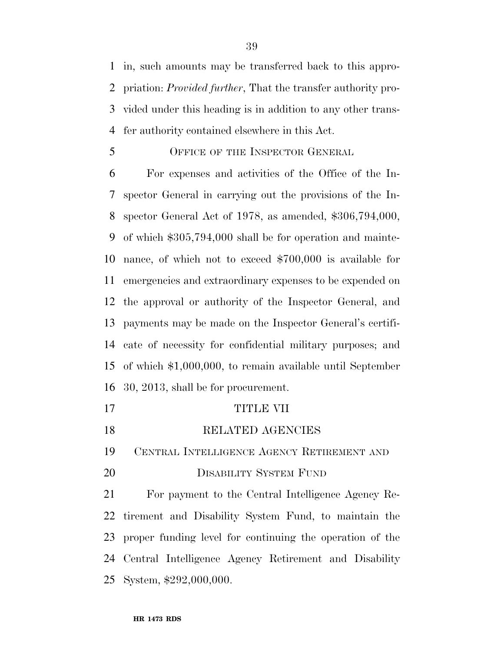in, such amounts may be transferred back to this appro- priation: *Provided further*, That the transfer authority pro- vided under this heading is in addition to any other trans-fer authority contained elsewhere in this Act.

### OFFICE OF THE INSPECTOR GENERAL

 For expenses and activities of the Office of the In- spector General in carrying out the provisions of the In- spector General Act of 1978, as amended, \$306,794,000, of which \$305,794,000 shall be for operation and mainte- nance, of which not to exceed \$700,000 is available for emergencies and extraordinary expenses to be expended on the approval or authority of the Inspector General, and payments may be made on the Inspector General's certifi- cate of necessity for confidential military purposes; and of which \$1,000,000, to remain available until September 30, 2013, shall be for procurement.

- 17 TITLE VII
- 18 RELATED AGENCIES

CENTRAL INTELLIGENCE AGENCY RETIREMENT AND

20 DISABILITY SYSTEM FUND

 For payment to the Central Intelligence Agency Re- tirement and Disability System Fund, to maintain the proper funding level for continuing the operation of the Central Intelligence Agency Retirement and Disability System, \$292,000,000.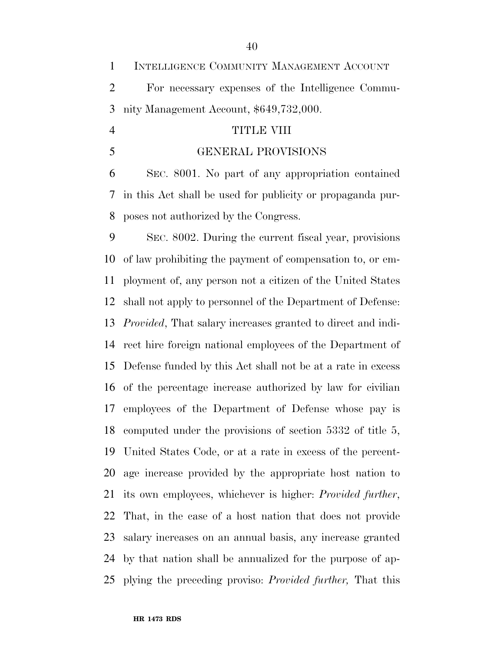|   | 1 INTELLIGENCE COMMUNITY MANAGEMENT ACCOUNT       |
|---|---------------------------------------------------|
| 2 | For necessary expenses of the Intelligence Commu- |
|   | 3 nity Management Account, \$649,732,000.         |

## TITLE VIII

GENERAL PROVISIONS

 SEC. 8001. No part of any appropriation contained in this Act shall be used for publicity or propaganda pur-poses not authorized by the Congress.

 SEC. 8002. During the current fiscal year, provisions of law prohibiting the payment of compensation to, or em- ployment of, any person not a citizen of the United States shall not apply to personnel of the Department of Defense: *Provided*, That salary increases granted to direct and indi- rect hire foreign national employees of the Department of Defense funded by this Act shall not be at a rate in excess of the percentage increase authorized by law for civilian employees of the Department of Defense whose pay is computed under the provisions of section 5332 of title 5, United States Code, or at a rate in excess of the percent- age increase provided by the appropriate host nation to its own employees, whichever is higher: *Provided further*, That, in the case of a host nation that does not provide salary increases on an annual basis, any increase granted by that nation shall be annualized for the purpose of ap-plying the preceding proviso: *Provided further,* That this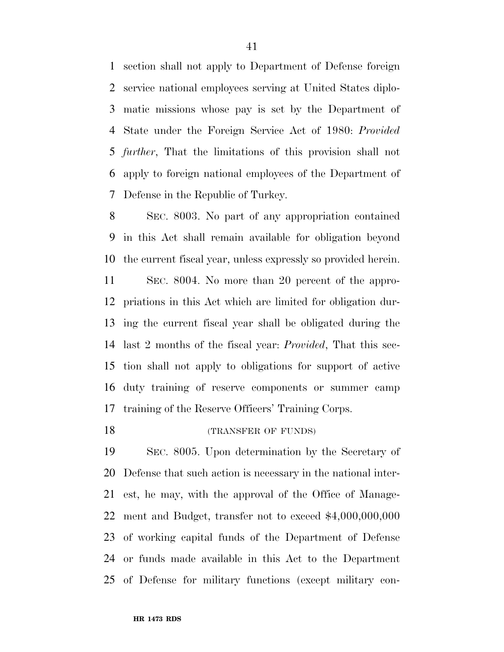section shall not apply to Department of Defense foreign service national employees serving at United States diplo- matic missions whose pay is set by the Department of State under the Foreign Service Act of 1980: *Provided further*, That the limitations of this provision shall not apply to foreign national employees of the Department of Defense in the Republic of Turkey.

 SEC. 8003. No part of any appropriation contained in this Act shall remain available for obligation beyond the current fiscal year, unless expressly so provided herein.

 SEC. 8004. No more than 20 percent of the appro- priations in this Act which are limited for obligation dur- ing the current fiscal year shall be obligated during the last 2 months of the fiscal year: *Provided*, That this sec- tion shall not apply to obligations for support of active duty training of reserve components or summer camp training of the Reserve Officers' Training Corps.

18 (TRANSFER OF FUNDS)

 SEC. 8005. Upon determination by the Secretary of Defense that such action is necessary in the national inter- est, he may, with the approval of the Office of Manage- ment and Budget, transfer not to exceed \$4,000,000,000 of working capital funds of the Department of Defense or funds made available in this Act to the Department of Defense for military functions (except military con-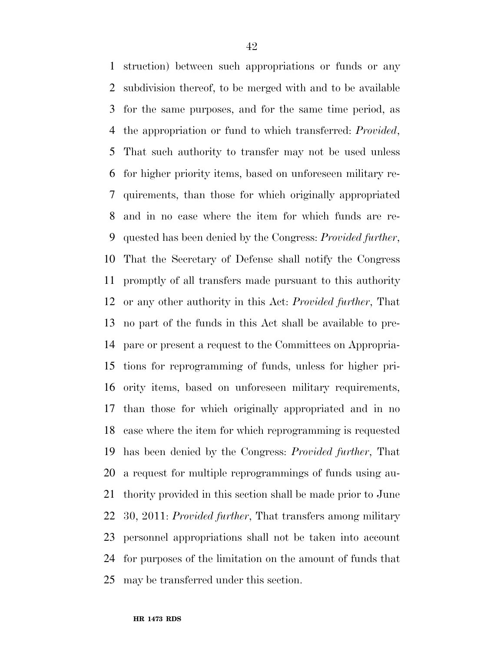struction) between such appropriations or funds or any subdivision thereof, to be merged with and to be available for the same purposes, and for the same time period, as the appropriation or fund to which transferred: *Provided*, That such authority to transfer may not be used unless for higher priority items, based on unforeseen military re- quirements, than those for which originally appropriated and in no case where the item for which funds are re- quested has been denied by the Congress: *Provided further*, That the Secretary of Defense shall notify the Congress promptly of all transfers made pursuant to this authority or any other authority in this Act: *Provided further*, That no part of the funds in this Act shall be available to pre- pare or present a request to the Committees on Appropria- tions for reprogramming of funds, unless for higher pri- ority items, based on unforeseen military requirements, than those for which originally appropriated and in no case where the item for which reprogramming is requested has been denied by the Congress: *Provided further*, That a request for multiple reprogrammings of funds using au- thority provided in this section shall be made prior to June 30, 2011: *Provided further*, That transfers among military personnel appropriations shall not be taken into account for purposes of the limitation on the amount of funds that may be transferred under this section.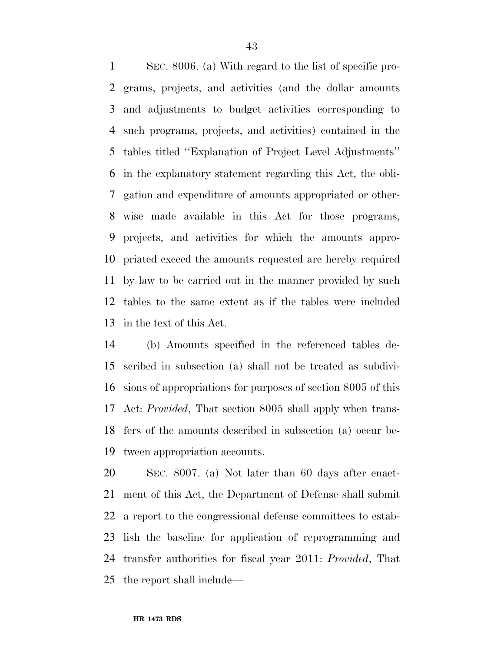SEC. 8006. (a) With regard to the list of specific pro- grams, projects, and activities (and the dollar amounts and adjustments to budget activities corresponding to such programs, projects, and activities) contained in the tables titled ''Explanation of Project Level Adjustments'' in the explanatory statement regarding this Act, the obli- gation and expenditure of amounts appropriated or other- wise made available in this Act for those programs, projects, and activities for which the amounts appro- priated exceed the amounts requested are hereby required by law to be carried out in the manner provided by such tables to the same extent as if the tables were included in the text of this Act.

 (b) Amounts specified in the referenced tables de- scribed in subsection (a) shall not be treated as subdivi- sions of appropriations for purposes of section 8005 of this Act: *Provided*, That section 8005 shall apply when trans- fers of the amounts described in subsection (a) occur be-tween appropriation accounts.

 SEC. 8007. (a) Not later than 60 days after enact- ment of this Act, the Department of Defense shall submit a report to the congressional defense committees to estab- lish the baseline for application of reprogramming and transfer authorities for fiscal year 2011: *Provided*, That the report shall include—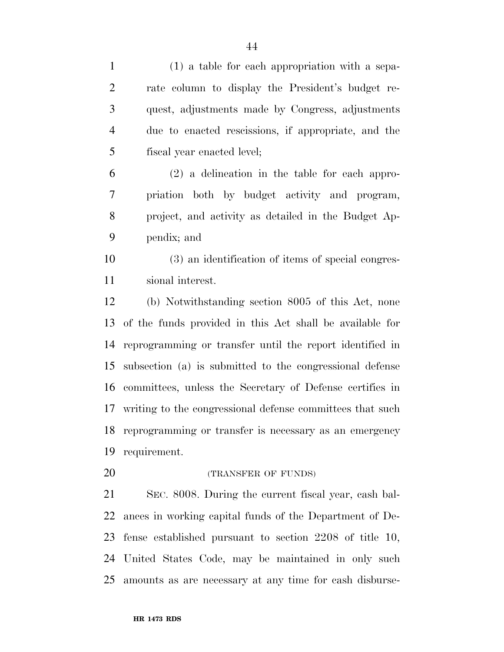| $\mathbf{1}$   | $(1)$ a table for each appropriation with a sepa-         |
|----------------|-----------------------------------------------------------|
| $\overline{2}$ | rate column to display the President's budget re-         |
| 3              | quest, adjustments made by Congress, adjustments          |
| $\overline{4}$ | due to enacted rescissions, if appropriate, and the       |
| 5              | fiscal year enacted level;                                |
| 6              | $(2)$ a delineation in the table for each appro-          |
| $\overline{7}$ | priation both by budget activity and program,             |
| 8              | project, and activity as detailed in the Budget Ap-       |
| 9              | pendix; and                                               |
| 10             | (3) an identification of items of special congres-        |
| 11             | sional interest.                                          |
| 12             | (b) Notwithstanding section 8005 of this Act, none        |
| 13             | of the funds provided in this Act shall be available for  |
| 14             | reprogramming or transfer until the report identified in  |
| 15             | subsection (a) is submitted to the congressional defense  |
| 16             | committees, unless the Secretary of Defense certifies in  |
| 17             | writing to the congressional defense committees that such |
| 18             | reprogramming or transfer is necessary as an emergency    |
| 19             | requirement.                                              |
| 20             | (TRANSFER OF FUNDS)                                       |
| 21             | SEC. 8008. During the current fiscal year, cash bal-      |
| 22             | ances in working capital funds of the Department of De-   |
| 23             | fense established pursuant to section $2208$ of title 10, |
| 24             | United States Code, may be maintained in only such        |
| 25             | amounts as are necessary at any time for eash disburse-   |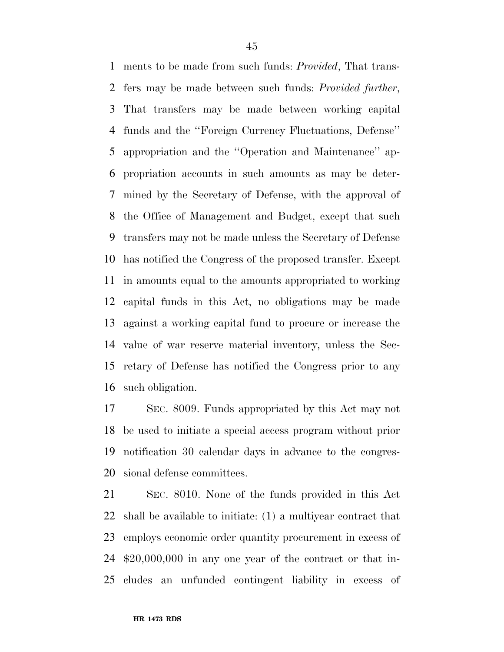ments to be made from such funds: *Provided*, That trans- fers may be made between such funds: *Provided further*, That transfers may be made between working capital funds and the ''Foreign Currency Fluctuations, Defense'' appropriation and the ''Operation and Maintenance'' ap- propriation accounts in such amounts as may be deter- mined by the Secretary of Defense, with the approval of the Office of Management and Budget, except that such transfers may not be made unless the Secretary of Defense has notified the Congress of the proposed transfer. Except in amounts equal to the amounts appropriated to working capital funds in this Act, no obligations may be made against a working capital fund to procure or increase the value of war reserve material inventory, unless the Sec- retary of Defense has notified the Congress prior to any such obligation.

 SEC. 8009. Funds appropriated by this Act may not be used to initiate a special access program without prior notification 30 calendar days in advance to the congres-sional defense committees.

 SEC. 8010. None of the funds provided in this Act shall be available to initiate: (1) a multiyear contract that employs economic order quantity procurement in excess of \$20,000,000 in any one year of the contract or that in-cludes an unfunded contingent liability in excess of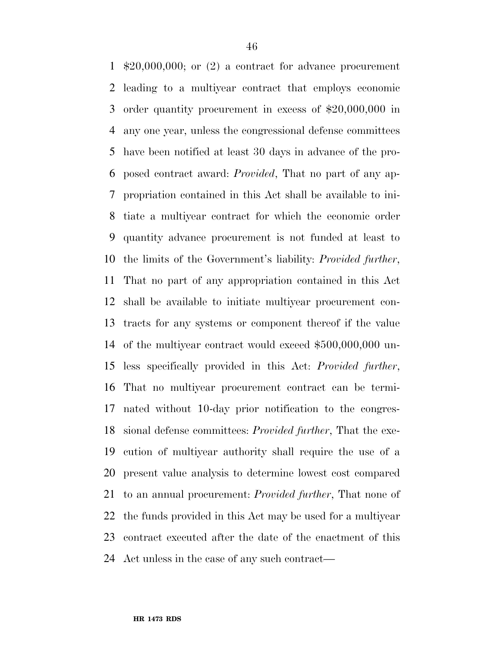\$20,000,000; or (2) a contract for advance procurement leading to a multiyear contract that employs economic order quantity procurement in excess of \$20,000,000 in any one year, unless the congressional defense committees have been notified at least 30 days in advance of the pro- posed contract award: *Provided*, That no part of any ap- propriation contained in this Act shall be available to ini- tiate a multiyear contract for which the economic order quantity advance procurement is not funded at least to the limits of the Government's liability: *Provided further*, That no part of any appropriation contained in this Act shall be available to initiate multiyear procurement con- tracts for any systems or component thereof if the value of the multiyear contract would exceed \$500,000,000 un- less specifically provided in this Act: *Provided further*, That no multiyear procurement contract can be termi- nated without 10-day prior notification to the congres- sional defense committees: *Provided further*, That the exe- cution of multiyear authority shall require the use of a present value analysis to determine lowest cost compared to an annual procurement: *Provided further*, That none of the funds provided in this Act may be used for a multiyear contract executed after the date of the enactment of this Act unless in the case of any such contract—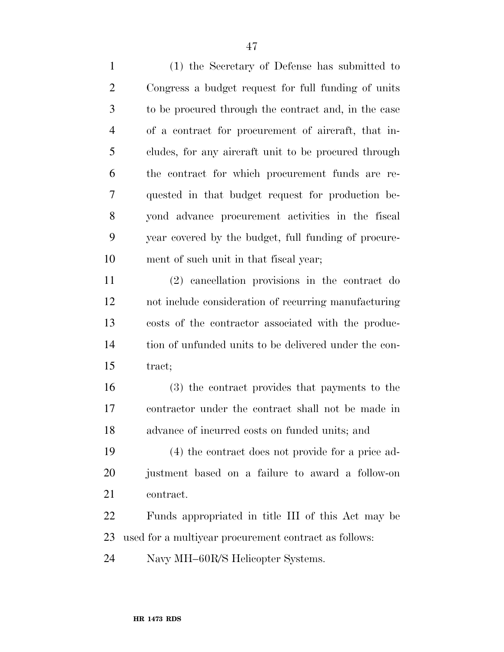(1) the Secretary of Defense has submitted to Congress a budget request for full funding of units to be procured through the contract and, in the case of a contract for procurement of aircraft, that in- cludes, for any aircraft unit to be procured through the contract for which procurement funds are re- quested in that budget request for production be- yond advance procurement activities in the fiscal year covered by the budget, full funding of procure-ment of such unit in that fiscal year;

 (2) cancellation provisions in the contract do not include consideration of recurring manufacturing costs of the contractor associated with the produc- tion of unfunded units to be delivered under the con-tract;

 (3) the contract provides that payments to the contractor under the contract shall not be made in advance of incurred costs on funded units; and

 (4) the contract does not provide for a price ad- justment based on a failure to award a follow-on contract.

 Funds appropriated in title III of this Act may be used for a multiyear procurement contract as follows:

Navy MH–60R/S Helicopter Systems.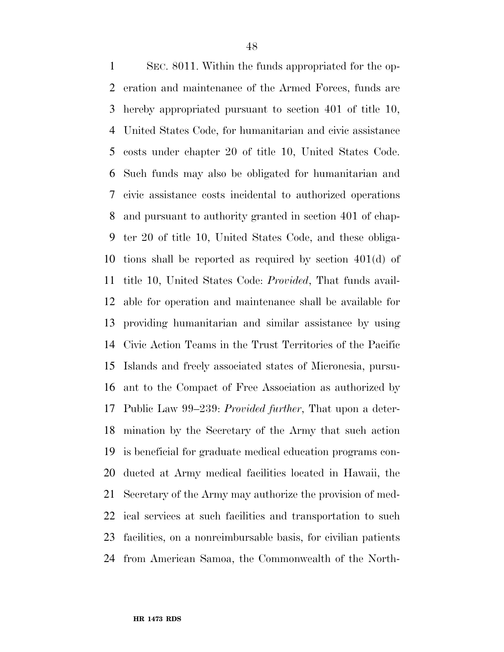SEC. 8011. Within the funds appropriated for the op- eration and maintenance of the Armed Forces, funds are hereby appropriated pursuant to section 401 of title 10, United States Code, for humanitarian and civic assistance costs under chapter 20 of title 10, United States Code. Such funds may also be obligated for humanitarian and civic assistance costs incidental to authorized operations and pursuant to authority granted in section 401 of chap- ter 20 of title 10, United States Code, and these obliga- tions shall be reported as required by section 401(d) of title 10, United States Code: *Provided*, That funds avail- able for operation and maintenance shall be available for providing humanitarian and similar assistance by using Civic Action Teams in the Trust Territories of the Pacific Islands and freely associated states of Micronesia, pursu- ant to the Compact of Free Association as authorized by Public Law 99–239: *Provided further*, That upon a deter- mination by the Secretary of the Army that such action is beneficial for graduate medical education programs con- ducted at Army medical facilities located in Hawaii, the Secretary of the Army may authorize the provision of med- ical services at such facilities and transportation to such facilities, on a nonreimbursable basis, for civilian patients from American Samoa, the Commonwealth of the North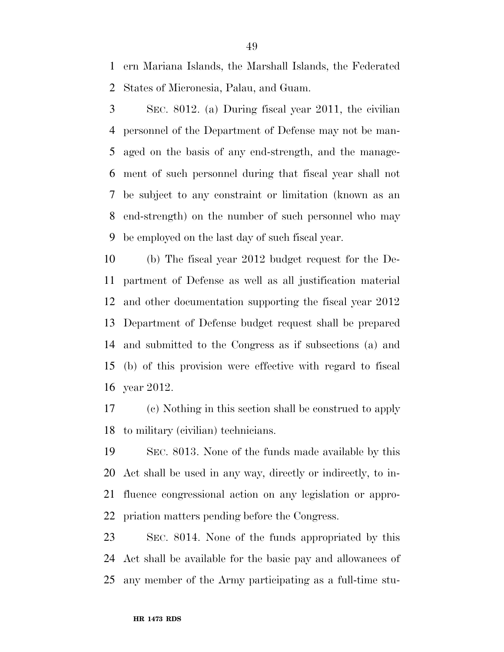ern Mariana Islands, the Marshall Islands, the Federated States of Micronesia, Palau, and Guam.

 SEC. 8012. (a) During fiscal year 2011, the civilian personnel of the Department of Defense may not be man- aged on the basis of any end-strength, and the manage- ment of such personnel during that fiscal year shall not be subject to any constraint or limitation (known as an end-strength) on the number of such personnel who may be employed on the last day of such fiscal year.

 (b) The fiscal year 2012 budget request for the De- partment of Defense as well as all justification material and other documentation supporting the fiscal year 2012 Department of Defense budget request shall be prepared and submitted to the Congress as if subsections (a) and (b) of this provision were effective with regard to fiscal year 2012.

 (c) Nothing in this section shall be construed to apply to military (civilian) technicians.

 SEC. 8013. None of the funds made available by this Act shall be used in any way, directly or indirectly, to in- fluence congressional action on any legislation or appro-priation matters pending before the Congress.

 SEC. 8014. None of the funds appropriated by this Act shall be available for the basic pay and allowances of any member of the Army participating as a full-time stu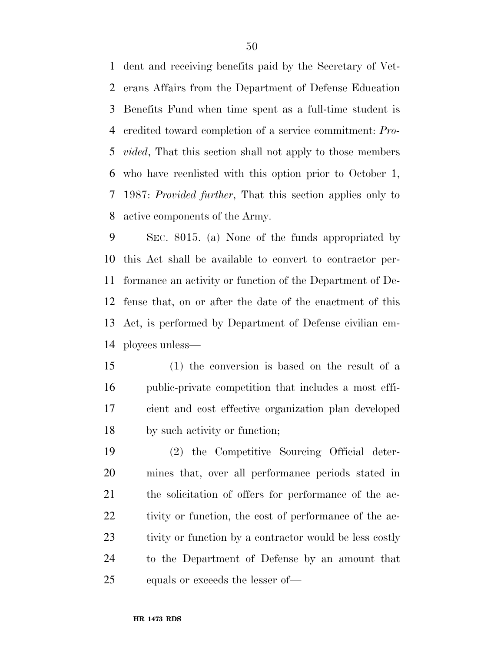dent and receiving benefits paid by the Secretary of Vet- erans Affairs from the Department of Defense Education Benefits Fund when time spent as a full-time student is credited toward completion of a service commitment: *Pro- vided*, That this section shall not apply to those members who have reenlisted with this option prior to October 1, 1987: *Provided further*, That this section applies only to active components of the Army.

 SEC. 8015. (a) None of the funds appropriated by this Act shall be available to convert to contractor per- formance an activity or function of the Department of De- fense that, on or after the date of the enactment of this Act, is performed by Department of Defense civilian em-ployees unless—

 (1) the conversion is based on the result of a public-private competition that includes a most effi- cient and cost effective organization plan developed by such activity or function;

 (2) the Competitive Sourcing Official deter- mines that, over all performance periods stated in the solicitation of offers for performance of the ac-22 tivity or function, the cost of performance of the ac-23 tivity or function by a contractor would be less costly to the Department of Defense by an amount that equals or exceeds the lesser of—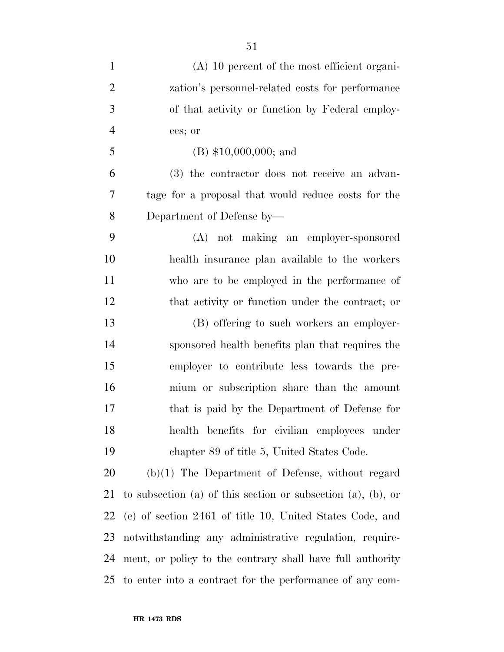| $\mathbf{1}$   | $(A)$ 10 percent of the most efficient organi-               |
|----------------|--------------------------------------------------------------|
| $\overline{2}$ | zation's personnel-related costs for performance             |
| 3              | of that activity or function by Federal employ-              |
| 4              | ees; or                                                      |
| 5              | $(B)$ \$10,000,000; and                                      |
| 6              | (3) the contractor does not receive an advan-                |
| 7              | tage for a proposal that would reduce costs for the          |
| 8              | Department of Defense by-                                    |
| 9              | (A) not making an employer-sponsored                         |
| 10             | health insurance plan available to the workers               |
| 11             | who are to be employed in the performance of                 |
| 12             | that activity or function under the contract; or             |
| 13             | (B) offering to such workers an employer-                    |
| 14             | sponsored health benefits plan that requires the             |
| 15             | employer to contribute less towards the pre-                 |
| 16             | mium or subscription share than the amount                   |
| 17             | that is paid by the Department of Defense for                |
| 18             | health benefits for civilian employees under                 |
| 19             | chapter 89 of title 5, United States Code.                   |
| 20             | $(b)(1)$ The Department of Defense, without regard           |
| 21             | to subsection (a) of this section or subsection (a), (b), or |
| 22             | (c) of section 2461 of title 10, United States Code, and     |
| 23             | notwithstanding any administrative regulation, require-      |
| 24             | ment, or policy to the contrary shall have full authority    |
| 25             | to enter into a contract for the performance of any com-     |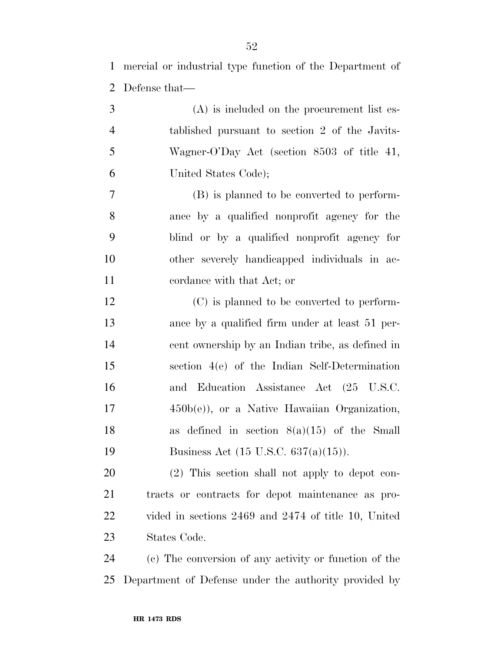mercial or industrial type function of the Department of Defense that—

- (A) is included on the procurement list es- tablished pursuant to section 2 of the Javits- Wagner-O'Day Act (section 8503 of title 41, United States Code); (B) is planned to be converted to perform-ance by a qualified nonprofit agency for the
- blind or by a qualified nonprofit agency for other severely handicapped individuals in ac-cordance with that Act; or
- (C) is planned to be converted to perform- ance by a qualified firm under at least 51 per- cent ownership by an Indian tribe, as defined in section 4(e) of the Indian Self-Determination and Education Assistance Act (25 U.S.C. 450b(e)), or a Native Hawaiian Organization, as defined in section 8(a)(15) of the Small 19 Business Act (15 U.S.C. 637(a)(15)).

 (2) This section shall not apply to depot con- tracts or contracts for depot maintenance as pro- vided in sections 2469 and 2474 of title 10, United States Code.

 (c) The conversion of any activity or function of the Department of Defense under the authority provided by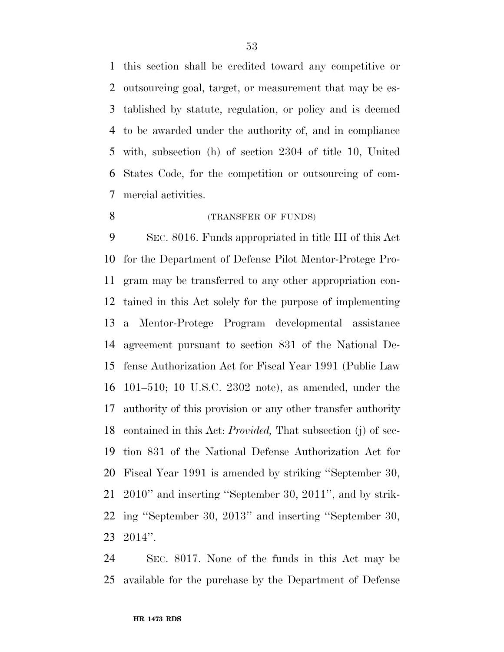this section shall be credited toward any competitive or outsourcing goal, target, or measurement that may be es- tablished by statute, regulation, or policy and is deemed to be awarded under the authority of, and in compliance with, subsection (h) of section 2304 of title 10, United States Code, for the competition or outsourcing of com-mercial activities.

(TRANSFER OF FUNDS)

 SEC. 8016. Funds appropriated in title III of this Act for the Department of Defense Pilot Mentor-Protege Pro- gram may be transferred to any other appropriation con- tained in this Act solely for the purpose of implementing a Mentor-Protege Program developmental assistance agreement pursuant to section 831 of the National De- fense Authorization Act for Fiscal Year 1991 (Public Law 101–510; 10 U.S.C. 2302 note), as amended, under the authority of this provision or any other transfer authority contained in this Act: *Provided,* That subsection (j) of sec- tion 831 of the National Defense Authorization Act for Fiscal Year 1991 is amended by striking ''September 30, 2010'' and inserting ''September 30, 2011'', and by strik- ing ''September 30, 2013'' and inserting ''September 30, 2014''.

 SEC. 8017. None of the funds in this Act may be available for the purchase by the Department of Defense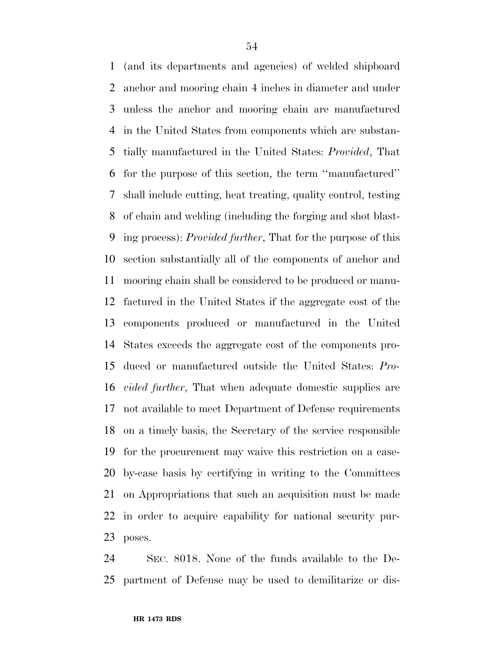(and its departments and agencies) of welded shipboard anchor and mooring chain 4 inches in diameter and under unless the anchor and mooring chain are manufactured in the United States from components which are substan- tially manufactured in the United States: *Provided*, That for the purpose of this section, the term ''manufactured'' shall include cutting, heat treating, quality control, testing of chain and welding (including the forging and shot blast- ing process): *Provided further*, That for the purpose of this section substantially all of the components of anchor and mooring chain shall be considered to be produced or manu- factured in the United States if the aggregate cost of the components produced or manufactured in the United States exceeds the aggregate cost of the components pro- duced or manufactured outside the United States: *Pro- vided further*, That when adequate domestic supplies are not available to meet Department of Defense requirements on a timely basis, the Secretary of the service responsible for the procurement may waive this restriction on a case- by-case basis by certifying in writing to the Committees on Appropriations that such an acquisition must be made in order to acquire capability for national security pur-poses.

 SEC. 8018. None of the funds available to the De-partment of Defense may be used to demilitarize or dis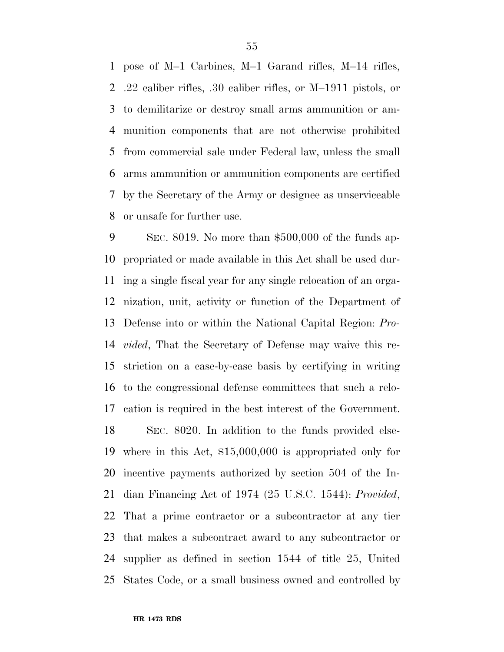pose of M–1 Carbines, M–1 Garand rifles, M–14 rifles, .22 caliber rifles, .30 caliber rifles, or M–1911 pistols, or to demilitarize or destroy small arms ammunition or am- munition components that are not otherwise prohibited from commercial sale under Federal law, unless the small arms ammunition or ammunition components are certified by the Secretary of the Army or designee as unserviceable or unsafe for further use.

 SEC. 8019. No more than \$500,000 of the funds ap- propriated or made available in this Act shall be used dur- ing a single fiscal year for any single relocation of an orga- nization, unit, activity or function of the Department of Defense into or within the National Capital Region: *Pro- vided*, That the Secretary of Defense may waive this re- striction on a case-by-case basis by certifying in writing to the congressional defense committees that such a relo- cation is required in the best interest of the Government. SEC. 8020. In addition to the funds provided else- where in this Act, \$15,000,000 is appropriated only for incentive payments authorized by section 504 of the In- dian Financing Act of 1974 (25 U.S.C. 1544): *Provided*, That a prime contractor or a subcontractor at any tier that makes a subcontract award to any subcontractor or supplier as defined in section 1544 of title 25, United States Code, or a small business owned and controlled by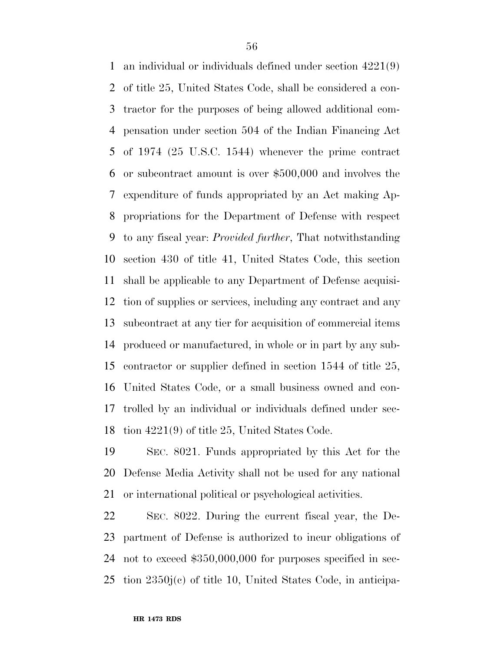an individual or individuals defined under section 4221(9) of title 25, United States Code, shall be considered a con- tractor for the purposes of being allowed additional com- pensation under section 504 of the Indian Financing Act of 1974 (25 U.S.C. 1544) whenever the prime contract or subcontract amount is over \$500,000 and involves the expenditure of funds appropriated by an Act making Ap- propriations for the Department of Defense with respect to any fiscal year: *Provided further*, That notwithstanding section 430 of title 41, United States Code, this section shall be applicable to any Department of Defense acquisi- tion of supplies or services, including any contract and any subcontract at any tier for acquisition of commercial items produced or manufactured, in whole or in part by any sub- contractor or supplier defined in section 1544 of title 25, United States Code, or a small business owned and con- trolled by an individual or individuals defined under sec-tion 4221(9) of title 25, United States Code.

 SEC. 8021. Funds appropriated by this Act for the Defense Media Activity shall not be used for any national or international political or psychological activities.

 SEC. 8022. During the current fiscal year, the De- partment of Defense is authorized to incur obligations of not to exceed \$350,000,000 for purposes specified in sec-tion 2350j(c) of title 10, United States Code, in anticipa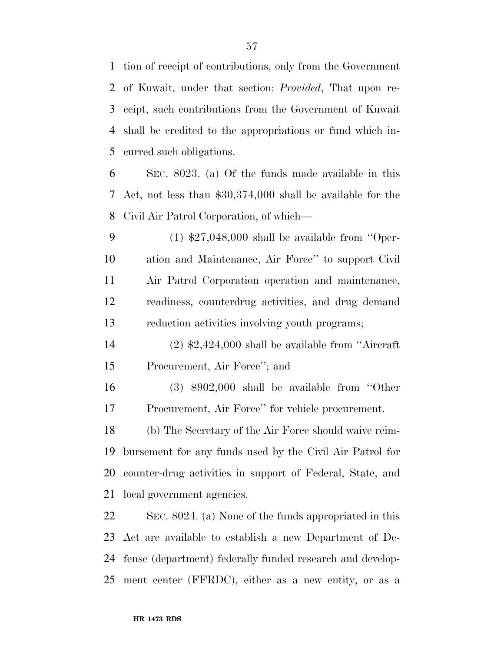tion of receipt of contributions, only from the Government of Kuwait, under that section: *Provided*, That upon re- ceipt, such contributions from the Government of Kuwait shall be credited to the appropriations or fund which in-curred such obligations.

 SEC. 8023. (a) Of the funds made available in this Act, not less than \$30,374,000 shall be available for the Civil Air Patrol Corporation, of which—

 (1) \$27,048,000 shall be available from ''Oper- ation and Maintenance, Air Force'' to support Civil Air Patrol Corporation operation and maintenance, readiness, counterdrug activities, and drug demand reduction activities involving youth programs;

 (2) \$2,424,000 shall be available from ''Aircraft Procurement, Air Force''; and

 (3) \$902,000 shall be available from ''Other Procurement, Air Force'' for vehicle procurement.

 (b) The Secretary of the Air Force should waive reim- bursement for any funds used by the Civil Air Patrol for counter-drug activities in support of Federal, State, and local government agencies.

 SEC. 8024. (a) None of the funds appropriated in this Act are available to establish a new Department of De- fense (department) federally funded research and develop-ment center (FFRDC), either as a new entity, or as a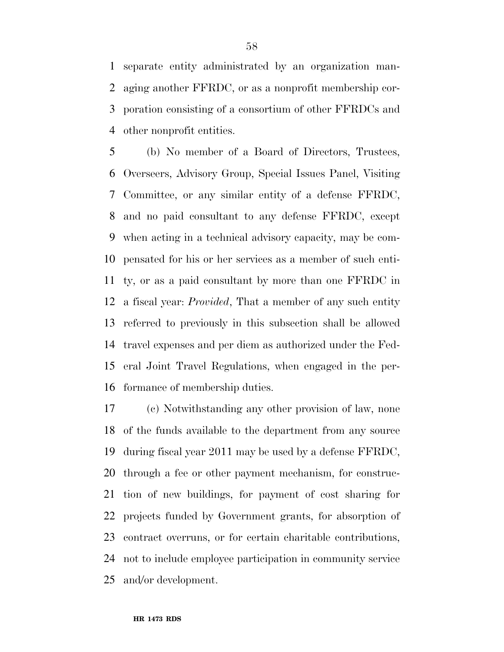separate entity administrated by an organization man- aging another FFRDC, or as a nonprofit membership cor- poration consisting of a consortium of other FFRDCs and other nonprofit entities.

 (b) No member of a Board of Directors, Trustees, Overseers, Advisory Group, Special Issues Panel, Visiting Committee, or any similar entity of a defense FFRDC, and no paid consultant to any defense FFRDC, except when acting in a technical advisory capacity, may be com- pensated for his or her services as a member of such enti- ty, or as a paid consultant by more than one FFRDC in a fiscal year: *Provided*, That a member of any such entity referred to previously in this subsection shall be allowed travel expenses and per diem as authorized under the Fed- eral Joint Travel Regulations, when engaged in the per-formance of membership duties.

 (c) Notwithstanding any other provision of law, none of the funds available to the department from any source during fiscal year 2011 may be used by a defense FFRDC, through a fee or other payment mechanism, for construc- tion of new buildings, for payment of cost sharing for projects funded by Government grants, for absorption of contract overruns, or for certain charitable contributions, not to include employee participation in community service and/or development.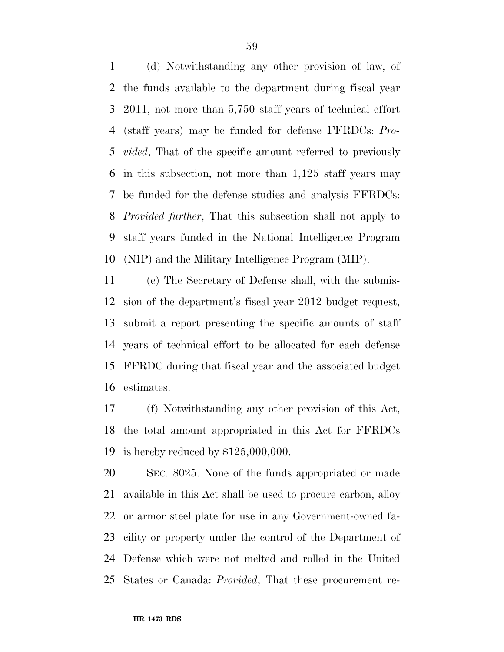(d) Notwithstanding any other provision of law, of the funds available to the department during fiscal year 2011, not more than 5,750 staff years of technical effort (staff years) may be funded for defense FFRDCs: *Pro- vided*, That of the specific amount referred to previously in this subsection, not more than 1,125 staff years may be funded for the defense studies and analysis FFRDCs: *Provided further*, That this subsection shall not apply to staff years funded in the National Intelligence Program (NIP) and the Military Intelligence Program (MIP).

 (e) The Secretary of Defense shall, with the submis- sion of the department's fiscal year 2012 budget request, submit a report presenting the specific amounts of staff years of technical effort to be allocated for each defense FFRDC during that fiscal year and the associated budget estimates.

 (f) Notwithstanding any other provision of this Act, the total amount appropriated in this Act for FFRDCs is hereby reduced by \$125,000,000.

 SEC. 8025. None of the funds appropriated or made available in this Act shall be used to procure carbon, alloy or armor steel plate for use in any Government-owned fa- cility or property under the control of the Department of Defense which were not melted and rolled in the United States or Canada: *Provided*, That these procurement re-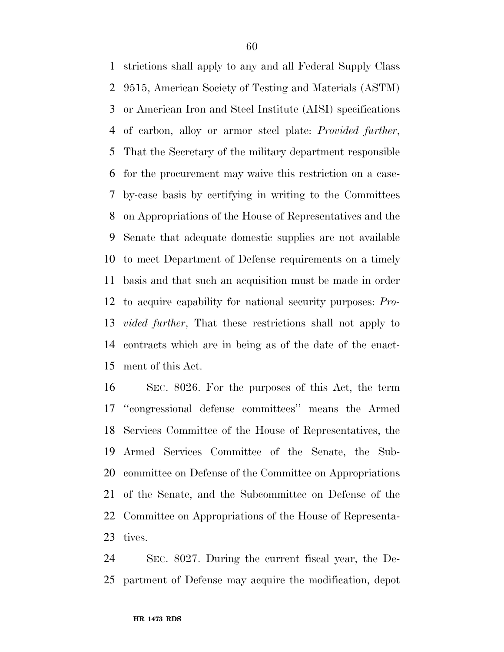strictions shall apply to any and all Federal Supply Class 9515, American Society of Testing and Materials (ASTM) or American Iron and Steel Institute (AISI) specifications of carbon, alloy or armor steel plate: *Provided further*, That the Secretary of the military department responsible for the procurement may waive this restriction on a case- by-case basis by certifying in writing to the Committees on Appropriations of the House of Representatives and the Senate that adequate domestic supplies are not available to meet Department of Defense requirements on a timely basis and that such an acquisition must be made in order to acquire capability for national security purposes: *Pro- vided further*, That these restrictions shall not apply to contracts which are in being as of the date of the enact-ment of this Act.

 SEC. 8026. For the purposes of this Act, the term ''congressional defense committees'' means the Armed Services Committee of the House of Representatives, the Armed Services Committee of the Senate, the Sub- committee on Defense of the Committee on Appropriations of the Senate, and the Subcommittee on Defense of the Committee on Appropriations of the House of Representa-tives.

 SEC. 8027. During the current fiscal year, the De-partment of Defense may acquire the modification, depot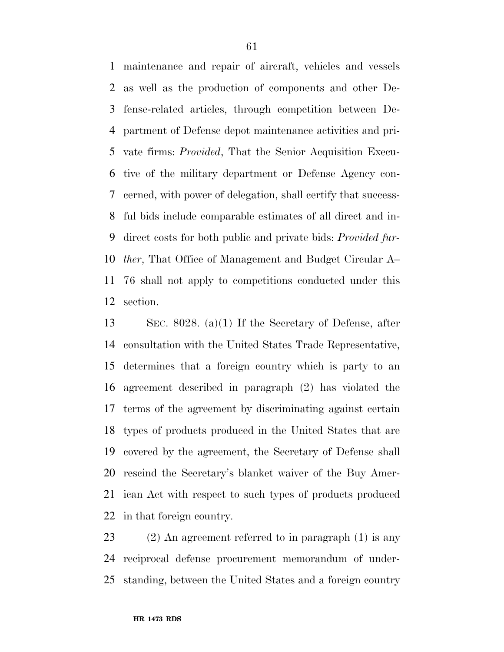maintenance and repair of aircraft, vehicles and vessels as well as the production of components and other De- fense-related articles, through competition between De- partment of Defense depot maintenance activities and pri- vate firms: *Provided*, That the Senior Acquisition Execu- tive of the military department or Defense Agency con- cerned, with power of delegation, shall certify that success- ful bids include comparable estimates of all direct and in- direct costs for both public and private bids: *Provided fur- ther*, That Office of Management and Budget Circular A– 76 shall not apply to competitions conducted under this section.

 SEC. 8028. (a)(1) If the Secretary of Defense, after consultation with the United States Trade Representative, determines that a foreign country which is party to an agreement described in paragraph (2) has violated the terms of the agreement by discriminating against certain types of products produced in the United States that are covered by the agreement, the Secretary of Defense shall rescind the Secretary's blanket waiver of the Buy Amer- ican Act with respect to such types of products produced in that foreign country.

 (2) An agreement referred to in paragraph (1) is any reciprocal defense procurement memorandum of under-standing, between the United States and a foreign country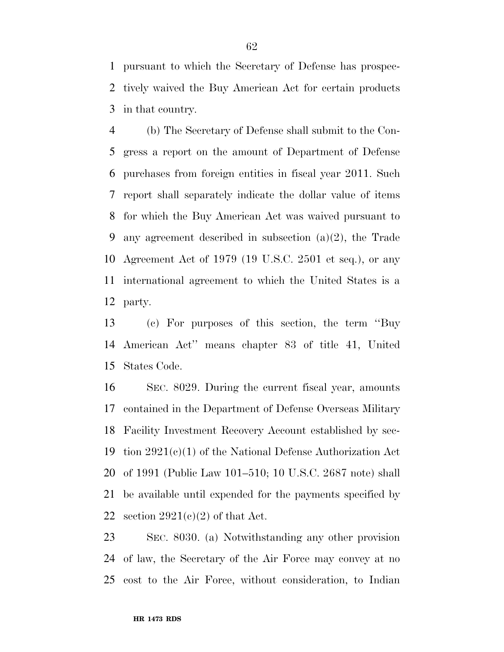pursuant to which the Secretary of Defense has prospec- tively waived the Buy American Act for certain products in that country.

 (b) The Secretary of Defense shall submit to the Con- gress a report on the amount of Department of Defense purchases from foreign entities in fiscal year 2011. Such report shall separately indicate the dollar value of items for which the Buy American Act was waived pursuant to any agreement described in subsection (a)(2), the Trade Agreement Act of 1979 (19 U.S.C. 2501 et seq.), or any international agreement to which the United States is a party.

 (c) For purposes of this section, the term ''Buy American Act'' means chapter 83 of title 41, United States Code.

 SEC. 8029. During the current fiscal year, amounts contained in the Department of Defense Overseas Military Facility Investment Recovery Account established by sec-19 tion  $2921(c)(1)$  of the National Defense Authorization Act of 1991 (Public Law 101–510; 10 U.S.C. 2687 note) shall be available until expended for the payments specified by 22 section  $2921(e)(2)$  of that Act.

 SEC. 8030. (a) Notwithstanding any other provision of law, the Secretary of the Air Force may convey at no cost to the Air Force, without consideration, to Indian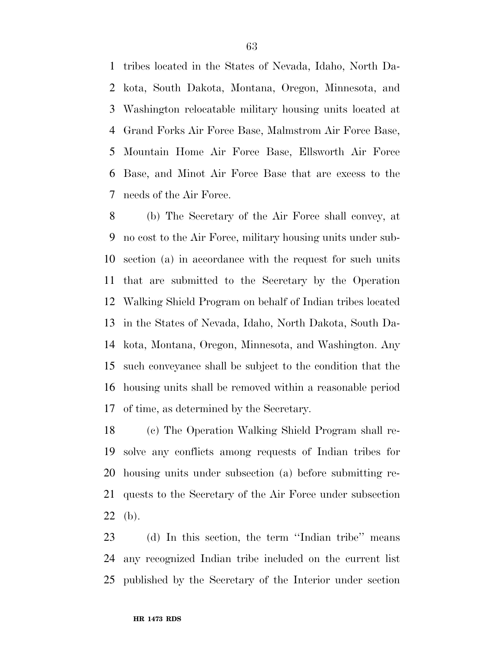tribes located in the States of Nevada, Idaho, North Da- kota, South Dakota, Montana, Oregon, Minnesota, and Washington relocatable military housing units located at Grand Forks Air Force Base, Malmstrom Air Force Base, Mountain Home Air Force Base, Ellsworth Air Force Base, and Minot Air Force Base that are excess to the needs of the Air Force.

 (b) The Secretary of the Air Force shall convey, at no cost to the Air Force, military housing units under sub- section (a) in accordance with the request for such units that are submitted to the Secretary by the Operation Walking Shield Program on behalf of Indian tribes located in the States of Nevada, Idaho, North Dakota, South Da- kota, Montana, Oregon, Minnesota, and Washington. Any such conveyance shall be subject to the condition that the housing units shall be removed within a reasonable period of time, as determined by the Secretary.

 (c) The Operation Walking Shield Program shall re- solve any conflicts among requests of Indian tribes for housing units under subsection (a) before submitting re- quests to the Secretary of the Air Force under subsection (b).

 (d) In this section, the term ''Indian tribe'' means any recognized Indian tribe included on the current list published by the Secretary of the Interior under section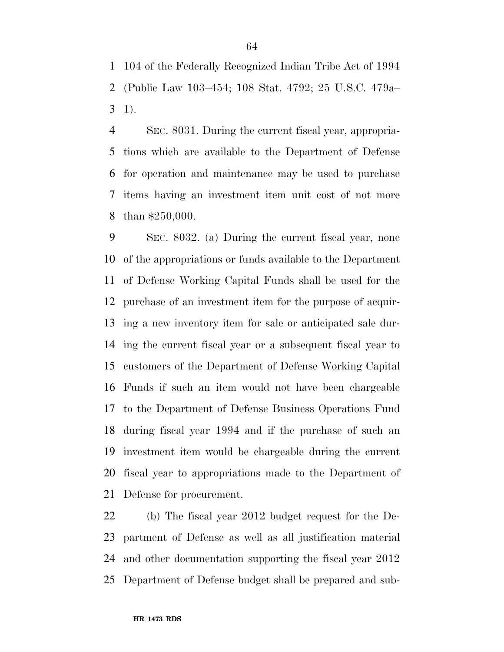104 of the Federally Recognized Indian Tribe Act of 1994 (Public Law 103–454; 108 Stat. 4792; 25 U.S.C. 479a– 1).

 SEC. 8031. During the current fiscal year, appropria- tions which are available to the Department of Defense for operation and maintenance may be used to purchase items having an investment item unit cost of not more than \$250,000.

 SEC. 8032. (a) During the current fiscal year, none of the appropriations or funds available to the Department of Defense Working Capital Funds shall be used for the purchase of an investment item for the purpose of acquir- ing a new inventory item for sale or anticipated sale dur- ing the current fiscal year or a subsequent fiscal year to customers of the Department of Defense Working Capital Funds if such an item would not have been chargeable to the Department of Defense Business Operations Fund during fiscal year 1994 and if the purchase of such an investment item would be chargeable during the current fiscal year to appropriations made to the Department of Defense for procurement.

 (b) The fiscal year 2012 budget request for the De- partment of Defense as well as all justification material and other documentation supporting the fiscal year 2012 Department of Defense budget shall be prepared and sub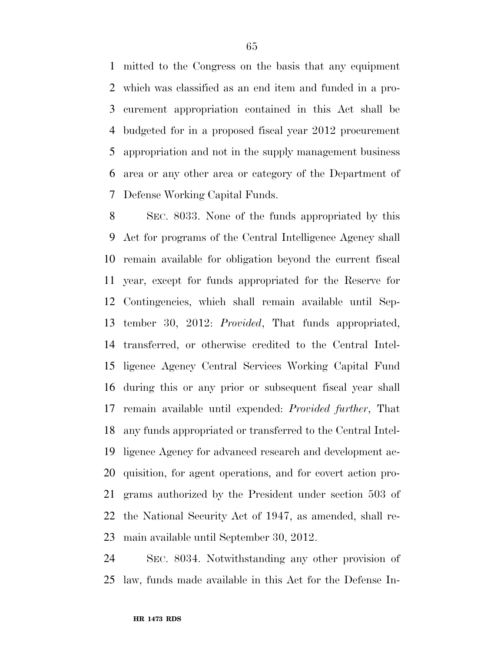mitted to the Congress on the basis that any equipment which was classified as an end item and funded in a pro- curement appropriation contained in this Act shall be budgeted for in a proposed fiscal year 2012 procurement appropriation and not in the supply management business area or any other area or category of the Department of Defense Working Capital Funds.

 SEC. 8033. None of the funds appropriated by this Act for programs of the Central Intelligence Agency shall remain available for obligation beyond the current fiscal year, except for funds appropriated for the Reserve for Contingencies, which shall remain available until Sep- tember 30, 2012: *Provided*, That funds appropriated, transferred, or otherwise credited to the Central Intel- ligence Agency Central Services Working Capital Fund during this or any prior or subsequent fiscal year shall remain available until expended: *Provided further*, That any funds appropriated or transferred to the Central Intel- ligence Agency for advanced research and development ac- quisition, for agent operations, and for covert action pro- grams authorized by the President under section 503 of the National Security Act of 1947, as amended, shall re-main available until September 30, 2012.

 SEC. 8034. Notwithstanding any other provision of law, funds made available in this Act for the Defense In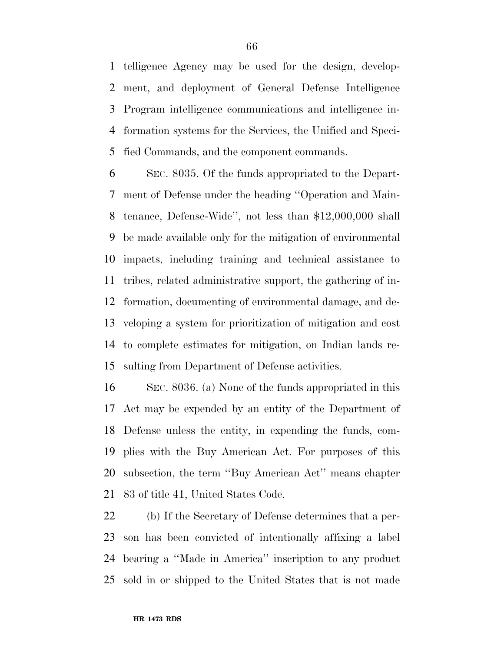telligence Agency may be used for the design, develop- ment, and deployment of General Defense Intelligence Program intelligence communications and intelligence in- formation systems for the Services, the Unified and Speci-fied Commands, and the component commands.

 SEC. 8035. Of the funds appropriated to the Depart- ment of Defense under the heading ''Operation and Main- tenance, Defense-Wide'', not less than \$12,000,000 shall be made available only for the mitigation of environmental impacts, including training and technical assistance to tribes, related administrative support, the gathering of in- formation, documenting of environmental damage, and de- veloping a system for prioritization of mitigation and cost to complete estimates for mitigation, on Indian lands re-sulting from Department of Defense activities.

 SEC. 8036. (a) None of the funds appropriated in this Act may be expended by an entity of the Department of Defense unless the entity, in expending the funds, com- plies with the Buy American Act. For purposes of this subsection, the term ''Buy American Act'' means chapter 83 of title 41, United States Code.

 (b) If the Secretary of Defense determines that a per- son has been convicted of intentionally affixing a label bearing a ''Made in America'' inscription to any product sold in or shipped to the United States that is not made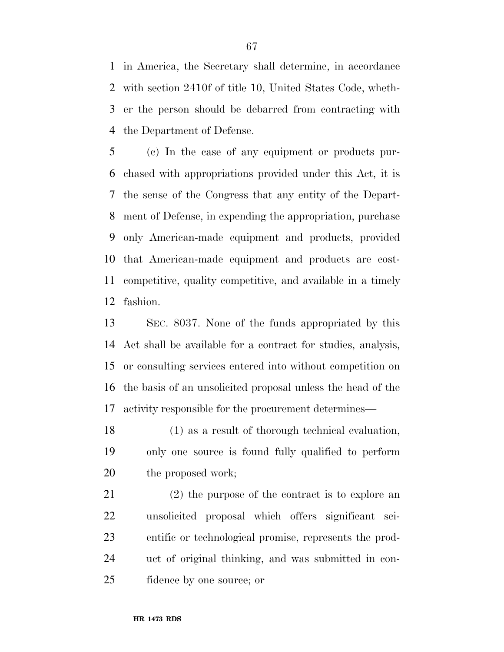in America, the Secretary shall determine, in accordance with section 2410f of title 10, United States Code, wheth- er the person should be debarred from contracting with the Department of Defense.

 (c) In the case of any equipment or products pur- chased with appropriations provided under this Act, it is the sense of the Congress that any entity of the Depart- ment of Defense, in expending the appropriation, purchase only American-made equipment and products, provided that American-made equipment and products are cost- competitive, quality competitive, and available in a timely fashion.

 SEC. 8037. None of the funds appropriated by this Act shall be available for a contract for studies, analysis, or consulting services entered into without competition on the basis of an unsolicited proposal unless the head of the activity responsible for the procurement determines—

 (1) as a result of thorough technical evaluation, only one source is found fully qualified to perform 20 the proposed work;

 (2) the purpose of the contract is to explore an unsolicited proposal which offers significant sci- entific or technological promise, represents the prod- uct of original thinking, and was submitted in con-fidence by one source; or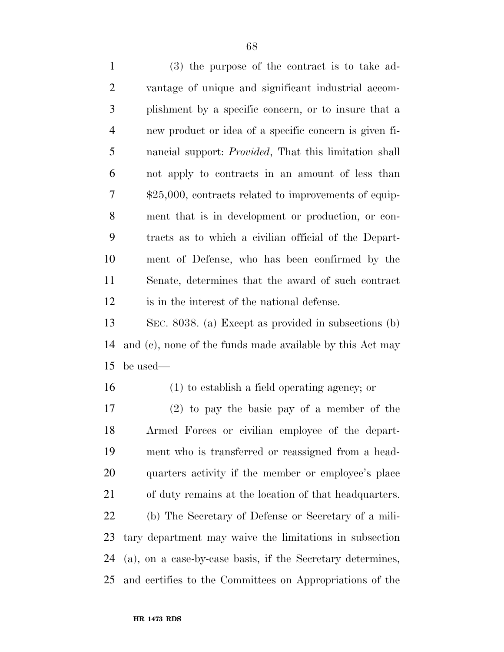(3) the purpose of the contract is to take ad- vantage of unique and significant industrial accom- plishment by a specific concern, or to insure that a new product or idea of a specific concern is given fi- nancial support: *Provided*, That this limitation shall not apply to contracts in an amount of less than \$25,000, contracts related to improvements of equip- ment that is in development or production, or con- tracts as to which a civilian official of the Depart- ment of Defense, who has been confirmed by the Senate, determines that the award of such contract is in the interest of the national defense.

 SEC. 8038. (a) Except as provided in subsections (b) and (c), none of the funds made available by this Act may be used—

(1) to establish a field operating agency; or

 (2) to pay the basic pay of a member of the Armed Forces or civilian employee of the depart- ment who is transferred or reassigned from a head- quarters activity if the member or employee's place of duty remains at the location of that headquarters. (b) The Secretary of Defense or Secretary of a mili- tary department may waive the limitations in subsection (a), on a case-by-case basis, if the Secretary determines, and certifies to the Committees on Appropriations of the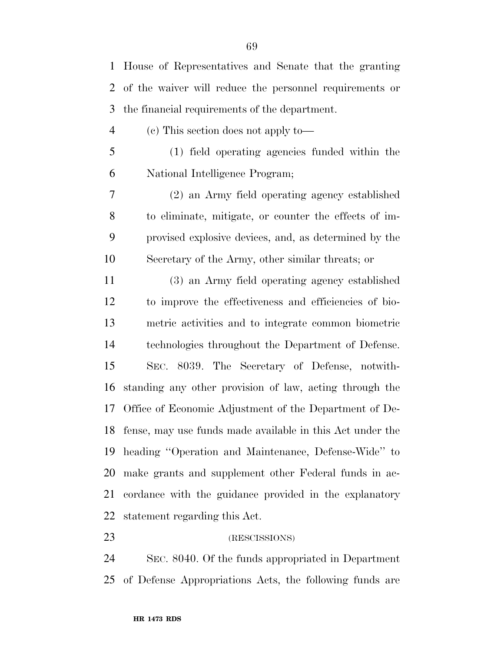House of Representatives and Senate that the granting of the waiver will reduce the personnel requirements or the financial requirements of the department. (c) This section does not apply to— (1) field operating agencies funded within the National Intelligence Program; (2) an Army field operating agency established to eliminate, mitigate, or counter the effects of im- provised explosive devices, and, as determined by the Secretary of the Army, other similar threats; or (3) an Army field operating agency established to improve the effectiveness and efficiencies of bio- metric activities and to integrate common biometric technologies throughout the Department of Defense. SEC. 8039. The Secretary of Defense, notwith- standing any other provision of law, acting through the Office of Economic Adjustment of the Department of De- fense, may use funds made available in this Act under the heading ''Operation and Maintenance, Defense-Wide'' to make grants and supplement other Federal funds in ac- cordance with the guidance provided in the explanatory statement regarding this Act.

## 23 (RESCISSIONS)

 SEC. 8040. Of the funds appropriated in Department of Defense Appropriations Acts, the following funds are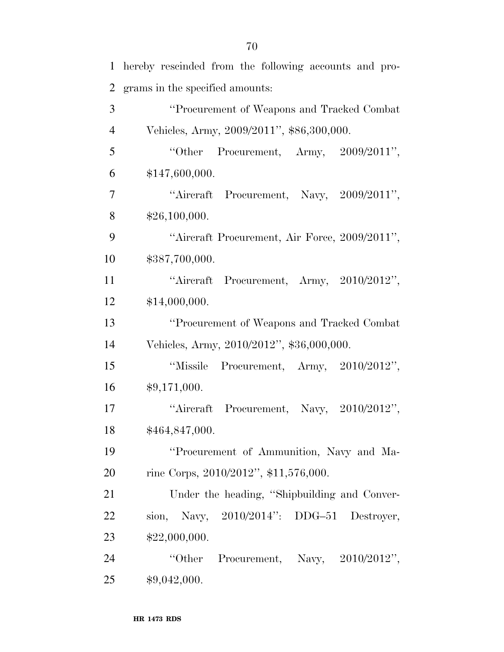| $\mathbf{1}$   | hereby rescinded from the following accounts and pro- |
|----------------|-------------------------------------------------------|
| $\overline{2}$ | grams in the specified amounts:                       |
| 3              | "Procurement of Weapons and Tracked Combat            |
| $\overline{4}$ | Vehicles, Army, 2009/2011", \$86,300,000.             |
| 5              | "Other Procurement, Army, $2009/2011$ ",              |
| 6              | \$147,600,000.                                        |
| 7              | "Aircraft Procurement, Navy, 2009/2011",              |
| 8              | \$26,100,000.                                         |
| 9              | "Aircraft Procurement, Air Force, 2009/2011",         |
| 10             | \$387,700,000.                                        |
| 11             | "Aircraft Procurement, Army, 2010/2012",              |
| 12             | \$14,000,000.                                         |
| 13             | "Procurement of Weapons and Tracked Combat"           |
| 14             | Vehicles, Army, 2010/2012", \$36,000,000.             |
| 15             | "Missile Procurement, Army, 2010/2012",               |
| 16             | \$9,171,000.                                          |
| 17             | "Aircraft Procurement, Navy, 2010/2012",              |
| 18             | \$464,847,000.                                        |
| 19             | "Procurement of Ammunition, Navy and Ma-              |
| 20             | rine Corps, 2010/2012", \$11,576,000.                 |
| 21             | Under the heading, "Shipbuilding and Conver-          |
| 22             | sion, Navy, $2010/2014$ ": DDG-51 Destroyer,          |
| 23             | \$22,000,000.                                         |
| 24             | "Other Procurement, Navy, $2010/2012"$ ,              |
| 25             | \$9,042,000.                                          |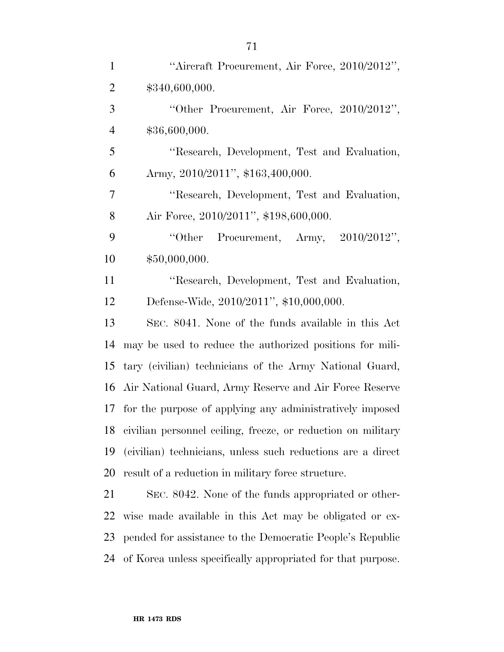| $\mathbf{1}$   | "Aircraft Procurement, Air Force, 2010/2012",                |
|----------------|--------------------------------------------------------------|
| $\overline{2}$ | \$340,600,000.                                               |
| 3              | "Other Procurement, Air Force, 2010/2012",                   |
| $\overline{4}$ | \$36,600,000.                                                |
| 5              | "Research, Development, Test and Evaluation,                 |
| 6              | Army, 2010/2011", \$163,400,000.                             |
| 7              | "Research, Development, Test and Evaluation,                 |
| 8              | Air Force, 2010/2011", \$198,600,000.                        |
| 9              | Procurement, Army, $2010/2012$ ",<br>"Other                  |
| 10             | \$50,000,000.                                                |
| 11             | "Research, Development, Test and Evaluation,                 |
| 12             | Defense-Wide, 2010/2011", \$10,000,000.                      |
| 13             | SEC. 8041. None of the funds available in this Act           |
| 14             | may be used to reduce the authorized positions for mili-     |
| 15             | tary (civilian) technicians of the Army National Guard,      |
| 16             | Air National Guard, Army Reserve and Air Force Reserve       |
| 17             | for the purpose of applying any administratively imposed     |
| 18             | civilian personnel ceiling, freeze, or reduction on military |
| 19             | (civilian) technicians, unless such reductions are a direct  |
| 20             | result of a reduction in military force structure.           |
| 21             | SEC. 8042. None of the funds appropriated or other-          |
| 22             | wise made available in this Act may be obligated or ex-      |
| 23             | pended for assistance to the Democratic People's Republic    |
| 24             | of Korea unless specifically appropriated for that purpose.  |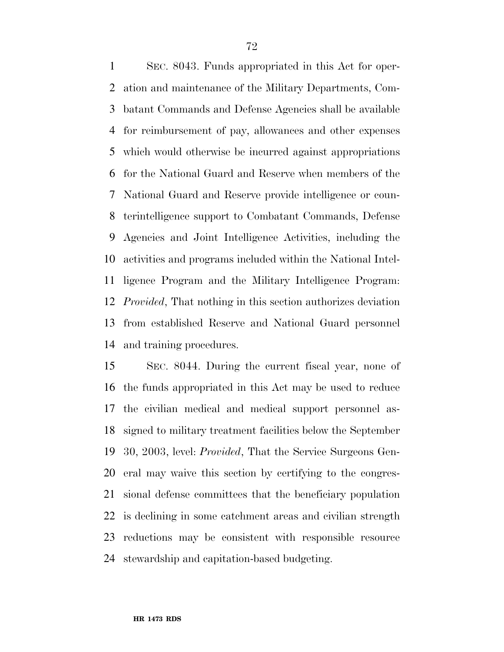SEC. 8043. Funds appropriated in this Act for oper- ation and maintenance of the Military Departments, Com- batant Commands and Defense Agencies shall be available for reimbursement of pay, allowances and other expenses which would otherwise be incurred against appropriations for the National Guard and Reserve when members of the National Guard and Reserve provide intelligence or coun- terintelligence support to Combatant Commands, Defense Agencies and Joint Intelligence Activities, including the activities and programs included within the National Intel- ligence Program and the Military Intelligence Program: *Provided*, That nothing in this section authorizes deviation from established Reserve and National Guard personnel and training procedures.

 SEC. 8044. During the current fiscal year, none of the funds appropriated in this Act may be used to reduce the civilian medical and medical support personnel as- signed to military treatment facilities below the September 30, 2003, level: *Provided*, That the Service Surgeons Gen- eral may waive this section by certifying to the congres- sional defense committees that the beneficiary population is declining in some catchment areas and civilian strength reductions may be consistent with responsible resource stewardship and capitation-based budgeting.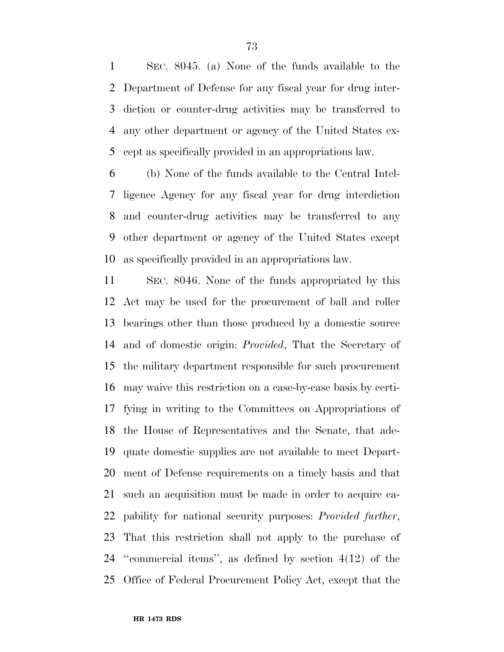SEC. 8045. (a) None of the funds available to the Department of Defense for any fiscal year for drug inter- diction or counter-drug activities may be transferred to any other department or agency of the United States ex-cept as specifically provided in an appropriations law.

 (b) None of the funds available to the Central Intel- ligence Agency for any fiscal year for drug interdiction and counter-drug activities may be transferred to any other department or agency of the United States except as specifically provided in an appropriations law.

 SEC. 8046. None of the funds appropriated by this Act may be used for the procurement of ball and roller bearings other than those produced by a domestic source and of domestic origin: *Provided*, That the Secretary of the military department responsible for such procurement may waive this restriction on a case-by-case basis by certi- fying in writing to the Committees on Appropriations of the House of Representatives and the Senate, that ade- quate domestic supplies are not available to meet Depart- ment of Defense requirements on a timely basis and that such an acquisition must be made in order to acquire ca- pability for national security purposes: *Provided further*, That this restriction shall not apply to the purchase of ''commercial items'', as defined by section 4(12) of the Office of Federal Procurement Policy Act, except that the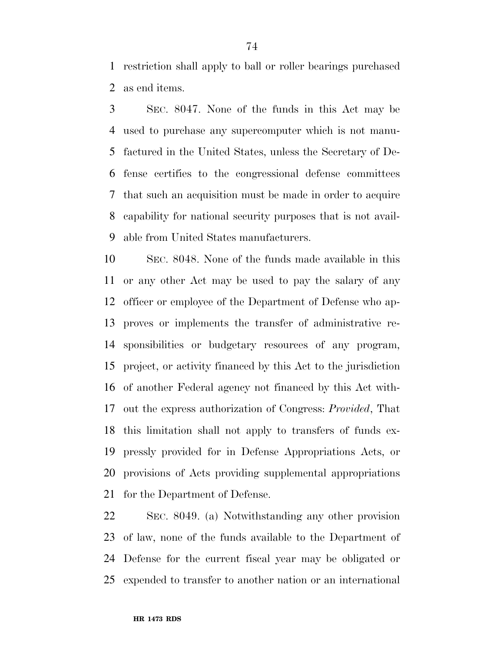restriction shall apply to ball or roller bearings purchased as end items.

 SEC. 8047. None of the funds in this Act may be used to purchase any supercomputer which is not manu- factured in the United States, unless the Secretary of De- fense certifies to the congressional defense committees that such an acquisition must be made in order to acquire capability for national security purposes that is not avail-able from United States manufacturers.

 SEC. 8048. None of the funds made available in this or any other Act may be used to pay the salary of any officer or employee of the Department of Defense who ap- proves or implements the transfer of administrative re- sponsibilities or budgetary resources of any program, project, or activity financed by this Act to the jurisdiction of another Federal agency not financed by this Act with- out the express authorization of Congress: *Provided*, That this limitation shall not apply to transfers of funds ex- pressly provided for in Defense Appropriations Acts, or provisions of Acts providing supplemental appropriations for the Department of Defense.

 SEC. 8049. (a) Notwithstanding any other provision of law, none of the funds available to the Department of Defense for the current fiscal year may be obligated or expended to transfer to another nation or an international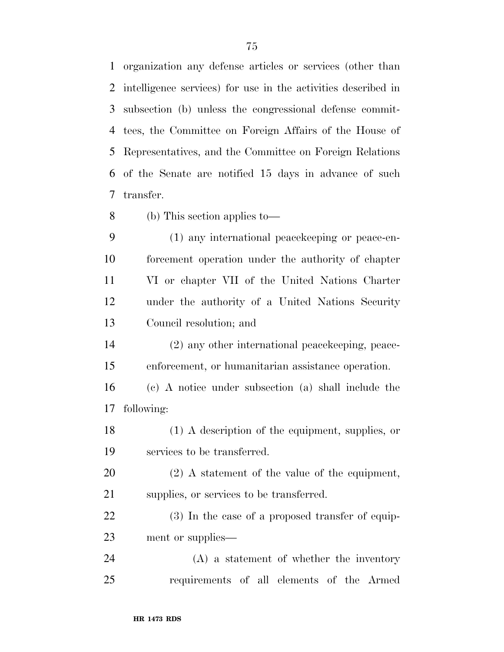organization any defense articles or services (other than intelligence services) for use in the activities described in subsection (b) unless the congressional defense commit- tees, the Committee on Foreign Affairs of the House of Representatives, and the Committee on Foreign Relations of the Senate are notified 15 days in advance of such transfer.

- (b) This section applies to—
- (1) any international peacekeeping or peace-en- forcement operation under the authority of chapter VI or chapter VII of the United Nations Charter under the authority of a United Nations Security Council resolution; and
- (2) any other international peacekeeping, peace-enforcement, or humanitarian assistance operation.
- (c) A notice under subsection (a) shall include the following:
- (1) A description of the equipment, supplies, or services to be transferred.
- (2) A statement of the value of the equipment, 21 supplies, or services to be transferred.
- 22 (3) In the case of a proposed transfer of equip-ment or supplies—
- (A) a statement of whether the inventory requirements of all elements of the Armed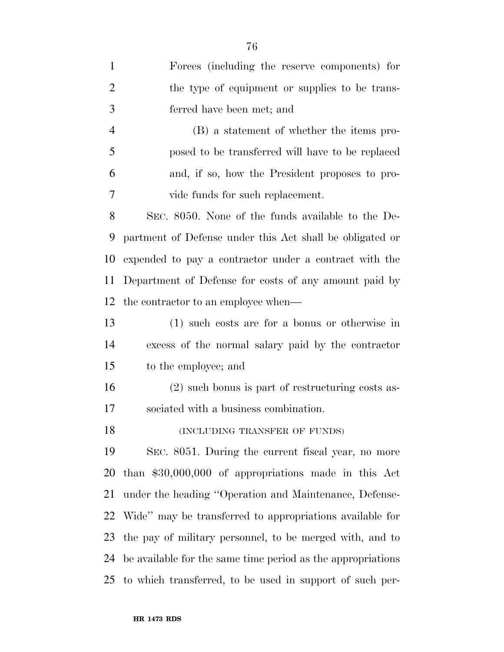| $\mathbf{1}$   | Forces (including the reserve components) for               |
|----------------|-------------------------------------------------------------|
| $\overline{2}$ | the type of equipment or supplies to be trans-              |
| 3              | ferred have been met; and                                   |
| $\overline{4}$ | (B) a statement of whether the items pro-                   |
| 5              | posed to be transferred will have to be replaced            |
| 6              | and, if so, how the President proposes to pro-              |
| 7              | vide funds for such replacement.                            |
| 8              | SEC. 8050. None of the funds available to the De-           |
| 9              | partment of Defense under this Act shall be obligated or    |
| 10             | expended to pay a contractor under a contract with the      |
| 11             | Department of Defense for costs of any amount paid by       |
| 12             | the contractor to an employee when—                         |
| 13             | $(1)$ such costs are for a bonus or otherwise in            |
| 14             | excess of the normal salary paid by the contractor          |
| 15             | to the employee; and                                        |
| 16             | (2) such bonus is part of restructuring costs as-           |
| 17             | sociated with a business combination.                       |
| 18             | (INCLUDING TRANSFER OF FUNDS)                               |
| 19             | SEC. 8051. During the current fiscal year, no more          |
| 20             | than $$30,000,000$ of appropriations made in this Act       |
| 21             | under the heading "Operation and Maintenance, Defense-      |
| 22             | Wide" may be transferred to appropriations available for    |
| 23             | the pay of military personnel, to be merged with, and to    |
| 24             | be available for the same time period as the appropriations |
|                | 25 to which transferred, to be used in support of such per- |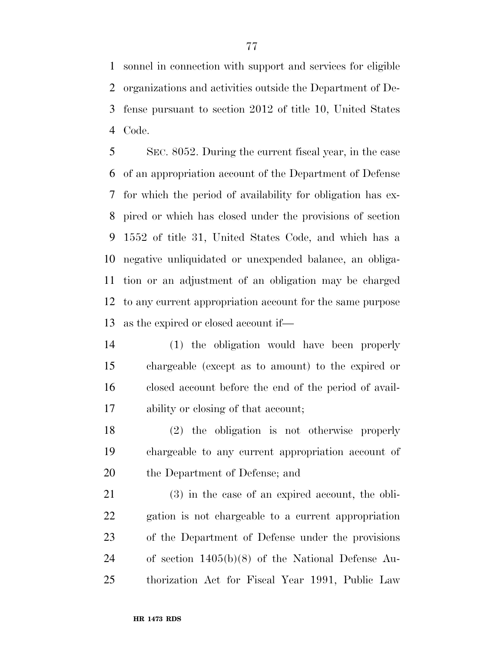sonnel in connection with support and services for eligible organizations and activities outside the Department of De- fense pursuant to section 2012 of title 10, United States Code.

 SEC. 8052. During the current fiscal year, in the case of an appropriation account of the Department of Defense for which the period of availability for obligation has ex- pired or which has closed under the provisions of section 1552 of title 31, United States Code, and which has a negative unliquidated or unexpended balance, an obliga- tion or an adjustment of an obligation may be charged to any current appropriation account for the same purpose as the expired or closed account if—

 (1) the obligation would have been properly chargeable (except as to amount) to the expired or closed account before the end of the period of avail-ability or closing of that account;

 (2) the obligation is not otherwise properly chargeable to any current appropriation account of the Department of Defense; and

 (3) in the case of an expired account, the obli- gation is not chargeable to a current appropriation of the Department of Defense under the provisions of section 1405(b)(8) of the National Defense Au-thorization Act for Fiscal Year 1991, Public Law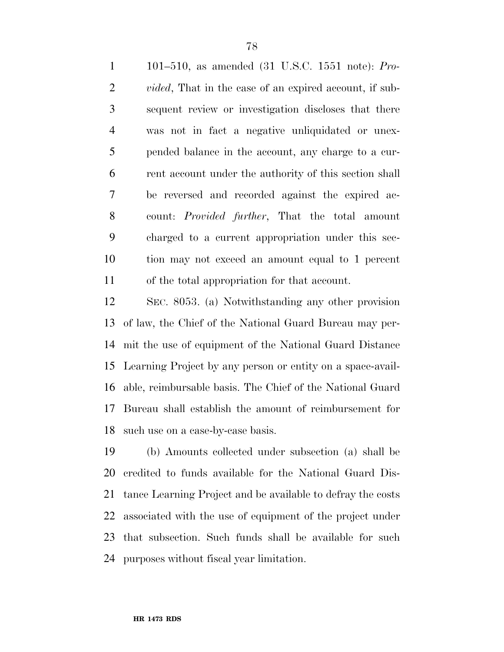101–510, as amended (31 U.S.C. 1551 note): *Pro- vided*, That in the case of an expired account, if sub- sequent review or investigation discloses that there was not in fact a negative unliquidated or unex- pended balance in the account, any charge to a cur- rent account under the authority of this section shall be reversed and recorded against the expired ac- count: *Provided further*, That the total amount charged to a current appropriation under this sec- tion may not exceed an amount equal to 1 percent of the total appropriation for that account.

 SEC. 8053. (a) Notwithstanding any other provision of law, the Chief of the National Guard Bureau may per- mit the use of equipment of the National Guard Distance Learning Project by any person or entity on a space-avail- able, reimbursable basis. The Chief of the National Guard Bureau shall establish the amount of reimbursement for such use on a case-by-case basis.

 (b) Amounts collected under subsection (a) shall be credited to funds available for the National Guard Dis- tance Learning Project and be available to defray the costs associated with the use of equipment of the project under that subsection. Such funds shall be available for such purposes without fiscal year limitation.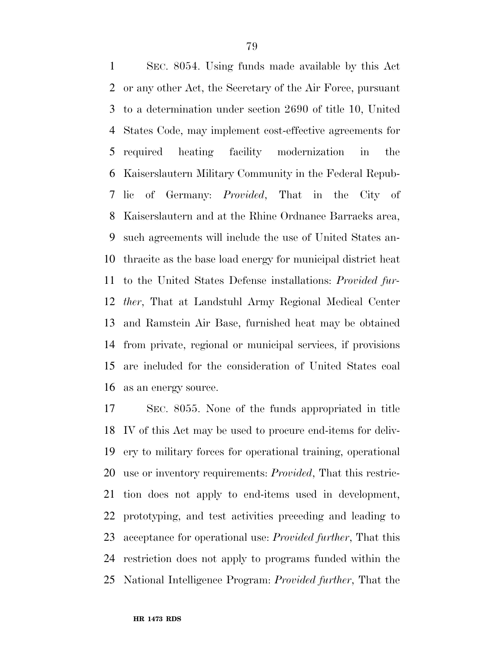SEC. 8054. Using funds made available by this Act or any other Act, the Secretary of the Air Force, pursuant to a determination under section 2690 of title 10, United States Code, may implement cost-effective agreements for required heating facility modernization in the Kaiserslautern Military Community in the Federal Repub- lic of Germany: *Provided*, That in the City of Kaiserslautern and at the Rhine Ordnance Barracks area, such agreements will include the use of United States an- thracite as the base load energy for municipal district heat to the United States Defense installations: *Provided fur- ther*, That at Landstuhl Army Regional Medical Center and Ramstein Air Base, furnished heat may be obtained from private, regional or municipal services, if provisions are included for the consideration of United States coal as an energy source.

 SEC. 8055. None of the funds appropriated in title IV of this Act may be used to procure end-items for deliv- ery to military forces for operational training, operational use or inventory requirements: *Provided*, That this restric- tion does not apply to end-items used in development, prototyping, and test activities preceding and leading to acceptance for operational use: *Provided further*, That this restriction does not apply to programs funded within the National Intelligence Program: *Provided further*, That the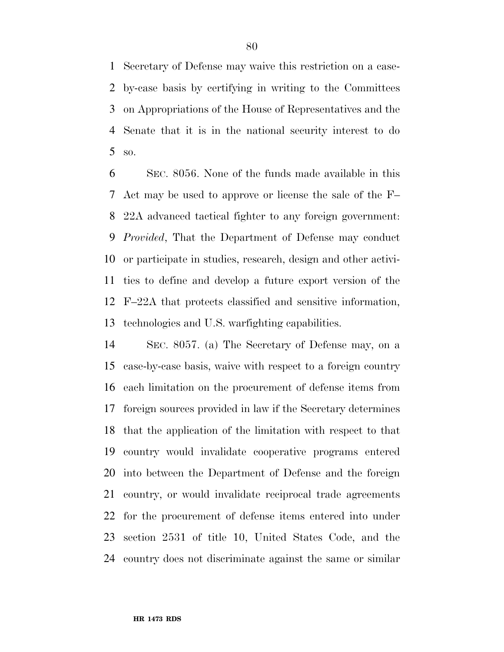Secretary of Defense may waive this restriction on a case- by-case basis by certifying in writing to the Committees on Appropriations of the House of Representatives and the Senate that it is in the national security interest to do so.

 SEC. 8056. None of the funds made available in this Act may be used to approve or license the sale of the F– 22A advanced tactical fighter to any foreign government: *Provided*, That the Department of Defense may conduct or participate in studies, research, design and other activi- ties to define and develop a future export version of the F–22A that protects classified and sensitive information, technologies and U.S. warfighting capabilities.

 SEC. 8057. (a) The Secretary of Defense may, on a case-by-case basis, waive with respect to a foreign country each limitation on the procurement of defense items from foreign sources provided in law if the Secretary determines that the application of the limitation with respect to that country would invalidate cooperative programs entered into between the Department of Defense and the foreign country, or would invalidate reciprocal trade agreements for the procurement of defense items entered into under section 2531 of title 10, United States Code, and the country does not discriminate against the same or similar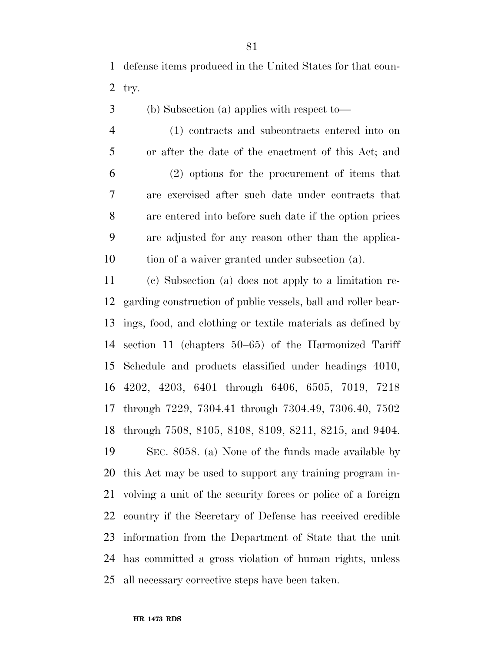defense items produced in the United States for that coun-2 try.

- (b) Subsection (a) applies with respect to—
- (1) contracts and subcontracts entered into on or after the date of the enactment of this Act; and (2) options for the procurement of items that are exercised after such date under contracts that are entered into before such date if the option prices are adjusted for any reason other than the applica-tion of a waiver granted under subsection (a).

 (c) Subsection (a) does not apply to a limitation re- garding construction of public vessels, ball and roller bear- ings, food, and clothing or textile materials as defined by section 11 (chapters 50–65) of the Harmonized Tariff Schedule and products classified under headings 4010, 4202, 4203, 6401 through 6406, 6505, 7019, 7218 through 7229, 7304.41 through 7304.49, 7306.40, 7502 through 7508, 8105, 8108, 8109, 8211, 8215, and 9404. SEC. 8058. (a) None of the funds made available by this Act may be used to support any training program in- volving a unit of the security forces or police of a foreign country if the Secretary of Defense has received credible information from the Department of State that the unit has committed a gross violation of human rights, unless all necessary corrective steps have been taken.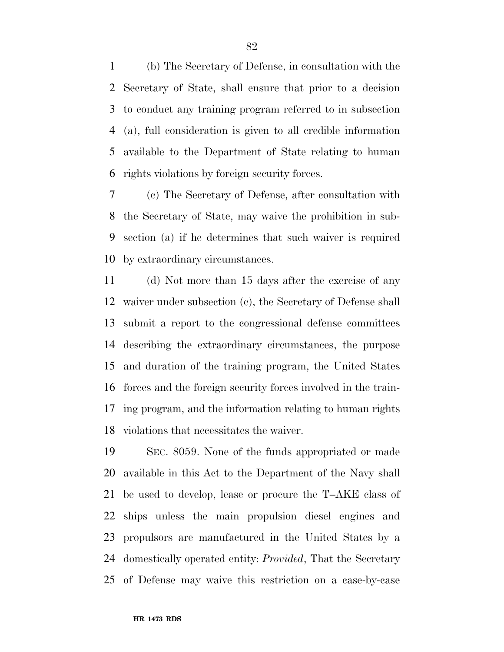(b) The Secretary of Defense, in consultation with the Secretary of State, shall ensure that prior to a decision to conduct any training program referred to in subsection (a), full consideration is given to all credible information available to the Department of State relating to human rights violations by foreign security forces.

 (c) The Secretary of Defense, after consultation with the Secretary of State, may waive the prohibition in sub- section (a) if he determines that such waiver is required by extraordinary circumstances.

 (d) Not more than 15 days after the exercise of any waiver under subsection (c), the Secretary of Defense shall submit a report to the congressional defense committees describing the extraordinary circumstances, the purpose and duration of the training program, the United States forces and the foreign security forces involved in the train- ing program, and the information relating to human rights violations that necessitates the waiver.

 SEC. 8059. None of the funds appropriated or made available in this Act to the Department of the Navy shall be used to develop, lease or procure the T–AKE class of ships unless the main propulsion diesel engines and propulsors are manufactured in the United States by a domestically operated entity: *Provided*, That the Secretary of Defense may waive this restriction on a case-by-case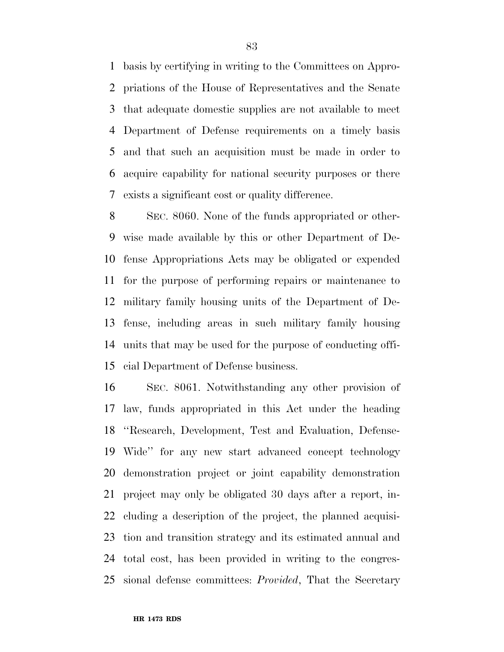basis by certifying in writing to the Committees on Appro- priations of the House of Representatives and the Senate that adequate domestic supplies are not available to meet Department of Defense requirements on a timely basis and that such an acquisition must be made in order to acquire capability for national security purposes or there exists a significant cost or quality difference.

 SEC. 8060. None of the funds appropriated or other- wise made available by this or other Department of De- fense Appropriations Acts may be obligated or expended for the purpose of performing repairs or maintenance to military family housing units of the Department of De- fense, including areas in such military family housing units that may be used for the purpose of conducting offi-cial Department of Defense business.

 SEC. 8061. Notwithstanding any other provision of law, funds appropriated in this Act under the heading ''Research, Development, Test and Evaluation, Defense- Wide'' for any new start advanced concept technology demonstration project or joint capability demonstration project may only be obligated 30 days after a report, in- cluding a description of the project, the planned acquisi- tion and transition strategy and its estimated annual and total cost, has been provided in writing to the congres-sional defense committees: *Provided*, That the Secretary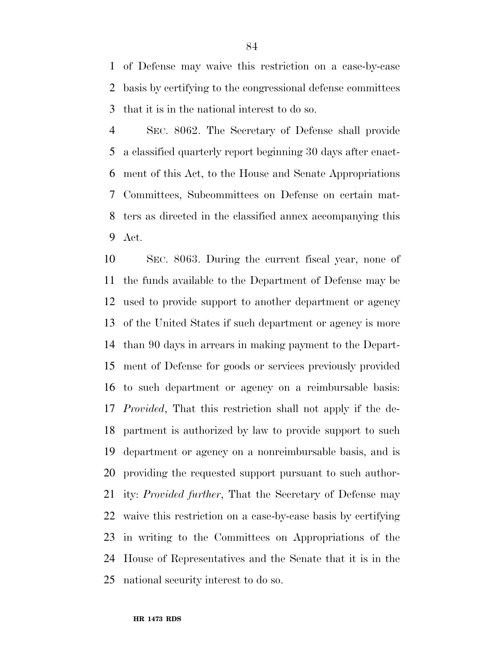of Defense may waive this restriction on a case-by-case basis by certifying to the congressional defense committees that it is in the national interest to do so.

 SEC. 8062. The Secretary of Defense shall provide a classified quarterly report beginning 30 days after enact- ment of this Act, to the House and Senate Appropriations Committees, Subcommittees on Defense on certain mat- ters as directed in the classified annex accompanying this Act.

 SEC. 8063. During the current fiscal year, none of the funds available to the Department of Defense may be used to provide support to another department or agency of the United States if such department or agency is more than 90 days in arrears in making payment to the Depart- ment of Defense for goods or services previously provided to such department or agency on a reimbursable basis: *Provided*, That this restriction shall not apply if the de- partment is authorized by law to provide support to such department or agency on a nonreimbursable basis, and is providing the requested support pursuant to such author- ity: *Provided further*, That the Secretary of Defense may waive this restriction on a case-by-case basis by certifying in writing to the Committees on Appropriations of the House of Representatives and the Senate that it is in the national security interest to do so.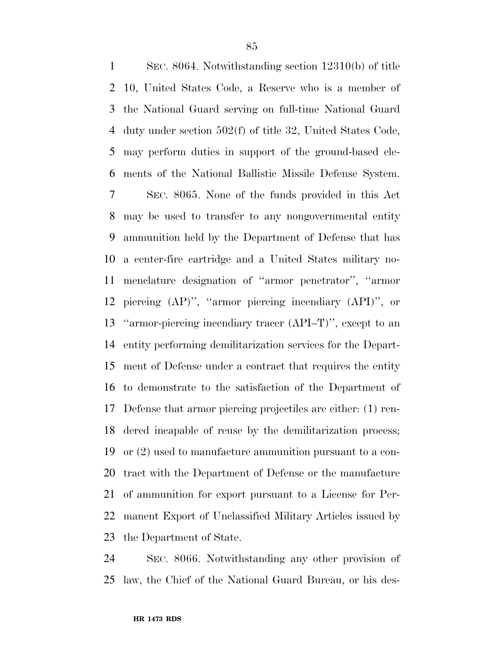SEC. 8064. Notwithstanding section 12310(b) of title 10, United States Code, a Reserve who is a member of the National Guard serving on full-time National Guard duty under section 502(f) of title 32, United States Code, may perform duties in support of the ground-based ele- ments of the National Ballistic Missile Defense System. SEC. 8065. None of the funds provided in this Act may be used to transfer to any nongovernmental entity ammunition held by the Department of Defense that has a center-fire cartridge and a United States military no- menclature designation of ''armor penetrator'', ''armor piercing (AP)'', ''armor piercing incendiary (API)'', or ''armor-piercing incendiary tracer (API–T)'', except to an entity performing demilitarization services for the Depart- ment of Defense under a contract that requires the entity to demonstrate to the satisfaction of the Department of Defense that armor piercing projectiles are either: (1) ren- dered incapable of reuse by the demilitarization process; or (2) used to manufacture ammunition pursuant to a con- tract with the Department of Defense or the manufacture of ammunition for export pursuant to a License for Per- manent Export of Unclassified Military Articles issued by the Department of State.

 SEC. 8066. Notwithstanding any other provision of law, the Chief of the National Guard Bureau, or his des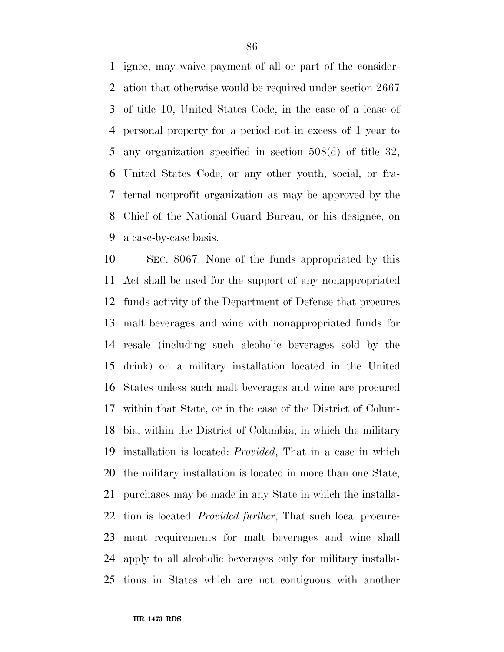ignee, may waive payment of all or part of the consider- ation that otherwise would be required under section 2667 of title 10, United States Code, in the case of a lease of personal property for a period not in excess of 1 year to any organization specified in section 508(d) of title 32, United States Code, or any other youth, social, or fra- ternal nonprofit organization as may be approved by the Chief of the National Guard Bureau, or his designee, on a case-by-case basis.

 SEC. 8067. None of the funds appropriated by this Act shall be used for the support of any nonappropriated funds activity of the Department of Defense that procures malt beverages and wine with nonappropriated funds for resale (including such alcoholic beverages sold by the drink) on a military installation located in the United States unless such malt beverages and wine are procured within that State, or in the case of the District of Colum- bia, within the District of Columbia, in which the military installation is located: *Provided*, That in a case in which the military installation is located in more than one State, purchases may be made in any State in which the installa- tion is located: *Provided further*, That such local procure- ment requirements for malt beverages and wine shall apply to all alcoholic beverages only for military installa-tions in States which are not contiguous with another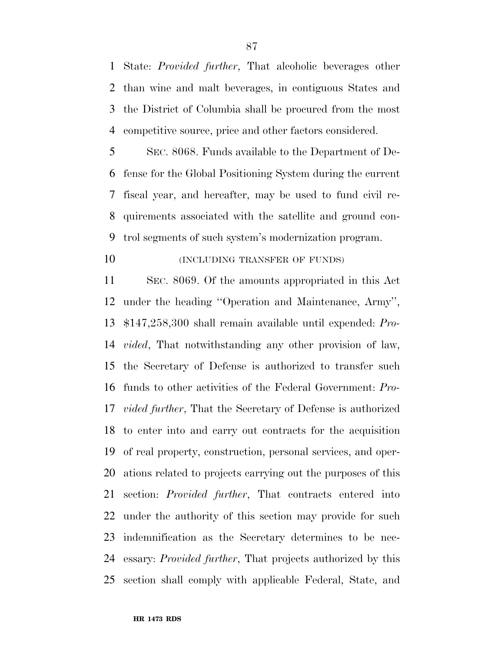State: *Provided further*, That alcoholic beverages other than wine and malt beverages, in contiguous States and the District of Columbia shall be procured from the most competitive source, price and other factors considered.

 SEC. 8068. Funds available to the Department of De- fense for the Global Positioning System during the current fiscal year, and hereafter, may be used to fund civil re- quirements associated with the satellite and ground con-trol segments of such system's modernization program.

## **(INCLUDING TRANSFER OF FUNDS)**

 SEC. 8069. Of the amounts appropriated in this Act under the heading ''Operation and Maintenance, Army'', \$147,258,300 shall remain available until expended: *Pro- vided*, That notwithstanding any other provision of law, the Secretary of Defense is authorized to transfer such funds to other activities of the Federal Government: *Pro- vided further*, That the Secretary of Defense is authorized to enter into and carry out contracts for the acquisition of real property, construction, personal services, and oper- ations related to projects carrying out the purposes of this section: *Provided further*, That contracts entered into under the authority of this section may provide for such indemnification as the Secretary determines to be nec- essary: *Provided further*, That projects authorized by this section shall comply with applicable Federal, State, and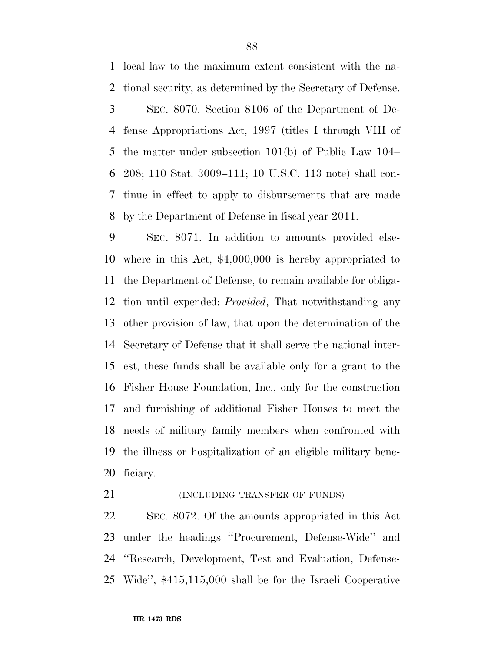local law to the maximum extent consistent with the na- tional security, as determined by the Secretary of Defense. SEC. 8070. Section 8106 of the Department of De- fense Appropriations Act, 1997 (titles I through VIII of the matter under subsection 101(b) of Public Law 104– 208; 110 Stat. 3009–111; 10 U.S.C. 113 note) shall con- tinue in effect to apply to disbursements that are made by the Department of Defense in fiscal year 2011.

 SEC. 8071. In addition to amounts provided else- where in this Act, \$4,000,000 is hereby appropriated to the Department of Defense, to remain available for obliga- tion until expended: *Provided*, That notwithstanding any other provision of law, that upon the determination of the Secretary of Defense that it shall serve the national inter- est, these funds shall be available only for a grant to the Fisher House Foundation, Inc., only for the construction and furnishing of additional Fisher Houses to meet the needs of military family members when confronted with the illness or hospitalization of an eligible military bene-ficiary.

**(INCLUDING TRANSFER OF FUNDS)** 

 SEC. 8072. Of the amounts appropriated in this Act under the headings ''Procurement, Defense-Wide'' and ''Research, Development, Test and Evaluation, Defense-Wide'', \$415,115,000 shall be for the Israeli Cooperative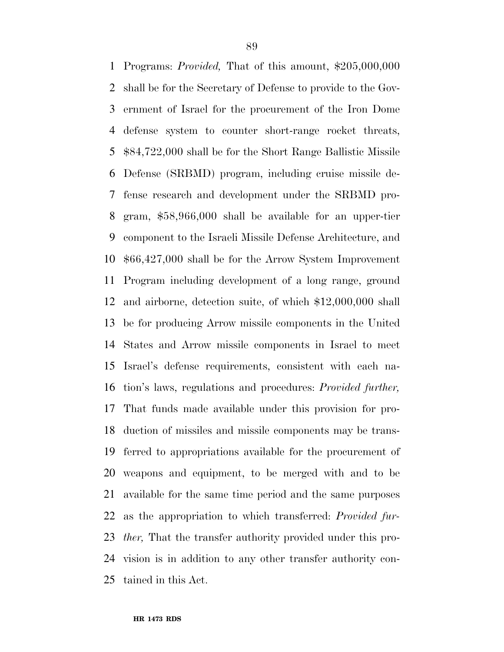Programs: *Provided,* That of this amount, \$205,000,000 shall be for the Secretary of Defense to provide to the Gov- ernment of Israel for the procurement of the Iron Dome defense system to counter short-range rocket threats, \$84,722,000 shall be for the Short Range Ballistic Missile Defense (SRBMD) program, including cruise missile de- fense research and development under the SRBMD pro- gram, \$58,966,000 shall be available for an upper-tier component to the Israeli Missile Defense Architecture, and \$66,427,000 shall be for the Arrow System Improvement Program including development of a long range, ground and airborne, detection suite, of which \$12,000,000 shall be for producing Arrow missile components in the United States and Arrow missile components in Israel to meet Israel's defense requirements, consistent with each na- tion's laws, regulations and procedures: *Provided further,*  That funds made available under this provision for pro- duction of missiles and missile components may be trans- ferred to appropriations available for the procurement of weapons and equipment, to be merged with and to be available for the same time period and the same purposes as the appropriation to which transferred: *Provided fur- ther,* That the transfer authority provided under this pro- vision is in addition to any other transfer authority con-tained in this Act.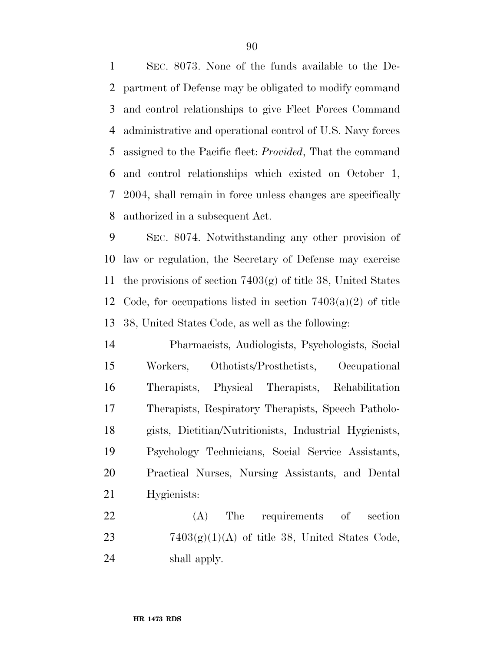SEC. 8073. None of the funds available to the De- partment of Defense may be obligated to modify command and control relationships to give Fleet Forces Command administrative and operational control of U.S. Navy forces assigned to the Pacific fleet: *Provided*, That the command and control relationships which existed on October 1, 2004, shall remain in force unless changes are specifically authorized in a subsequent Act.

 SEC. 8074. Notwithstanding any other provision of law or regulation, the Secretary of Defense may exercise the provisions of section 7403(g) of title 38, United States 12 Code, for occupations listed in section  $7403(a)(2)$  of title 38, United States Code, as well as the following:

 Pharmacists, Audiologists, Psychologists, Social Workers, Othotists/Prosthetists, Occupational Therapists, Physical Therapists, Rehabilitation Therapists, Respiratory Therapists, Speech Patholo- gists, Dietitian/Nutritionists, Industrial Hygienists, Psychology Technicians, Social Service Assistants, Practical Nurses, Nursing Assistants, and Dental Hygienists:

 (A) The requirements of section 23  $7403(g)(1)(A)$  of title 38, United States Code, shall apply.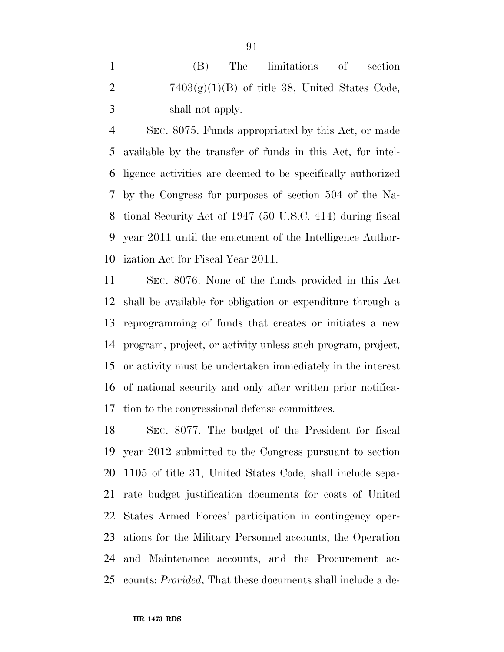(B) The limitations of section 2 7403 $(g)(1)(B)$  of title 38, United States Code, shall not apply.

 SEC. 8075. Funds appropriated by this Act, or made available by the transfer of funds in this Act, for intel- ligence activities are deemed to be specifically authorized by the Congress for purposes of section 504 of the Na- tional Security Act of 1947 (50 U.S.C. 414) during fiscal year 2011 until the enactment of the Intelligence Author-ization Act for Fiscal Year 2011.

 SEC. 8076. None of the funds provided in this Act shall be available for obligation or expenditure through a reprogramming of funds that creates or initiates a new program, project, or activity unless such program, project, or activity must be undertaken immediately in the interest of national security and only after written prior notifica-tion to the congressional defense committees.

 SEC. 8077. The budget of the President for fiscal year 2012 submitted to the Congress pursuant to section 1105 of title 31, United States Code, shall include sepa- rate budget justification documents for costs of United States Armed Forces' participation in contingency oper- ations for the Military Personnel accounts, the Operation and Maintenance accounts, and the Procurement ac-counts: *Provided*, That these documents shall include a de-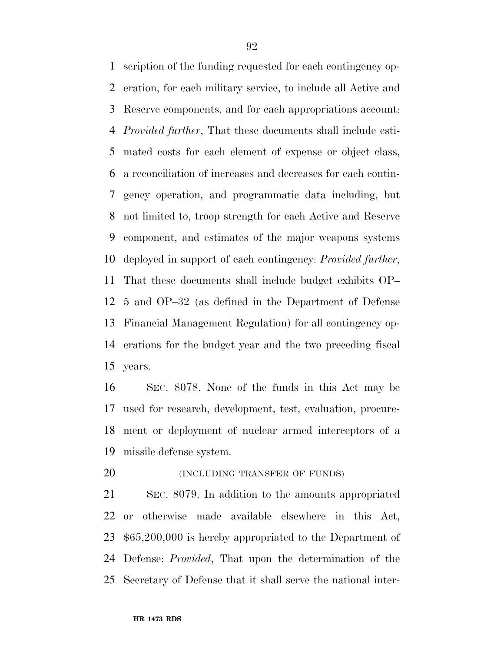scription of the funding requested for each contingency op- eration, for each military service, to include all Active and Reserve components, and for each appropriations account: *Provided further*, That these documents shall include esti- mated costs for each element of expense or object class, a reconciliation of increases and decreases for each contin- gency operation, and programmatic data including, but not limited to, troop strength for each Active and Reserve component, and estimates of the major weapons systems deployed in support of each contingency: *Provided further*, That these documents shall include budget exhibits OP– 5 and OP–32 (as defined in the Department of Defense Financial Management Regulation) for all contingency op- erations for the budget year and the two preceding fiscal years.

 SEC. 8078. None of the funds in this Act may be used for research, development, test, evaluation, procure- ment or deployment of nuclear armed interceptors of a missile defense system.

**(INCLUDING TRANSFER OF FUNDS)** 

 SEC. 8079. In addition to the amounts appropriated or otherwise made available elsewhere in this Act, \$65,200,000 is hereby appropriated to the Department of Defense: *Provided*, That upon the determination of the Secretary of Defense that it shall serve the national inter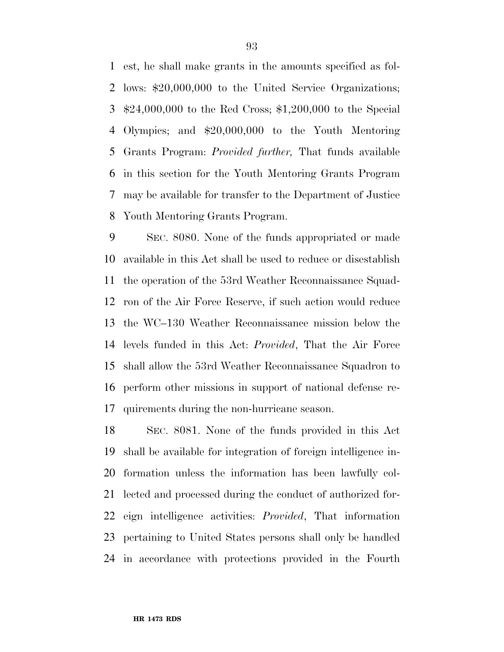est, he shall make grants in the amounts specified as fol- lows: \$20,000,000 to the United Service Organizations; \$24,000,000 to the Red Cross; \$1,200,000 to the Special Olympics; and \$20,000,000 to the Youth Mentoring Grants Program: *Provided further,* That funds available in this section for the Youth Mentoring Grants Program may be available for transfer to the Department of Justice Youth Mentoring Grants Program.

 SEC. 8080. None of the funds appropriated or made available in this Act shall be used to reduce or disestablish the operation of the 53rd Weather Reconnaissance Squad- ron of the Air Force Reserve, if such action would reduce the WC–130 Weather Reconnaissance mission below the levels funded in this Act: *Provided*, That the Air Force shall allow the 53rd Weather Reconnaissance Squadron to perform other missions in support of national defense re-quirements during the non-hurricane season.

 SEC. 8081. None of the funds provided in this Act shall be available for integration of foreign intelligence in- formation unless the information has been lawfully col- lected and processed during the conduct of authorized for- eign intelligence activities: *Provided*, That information pertaining to United States persons shall only be handled in accordance with protections provided in the Fourth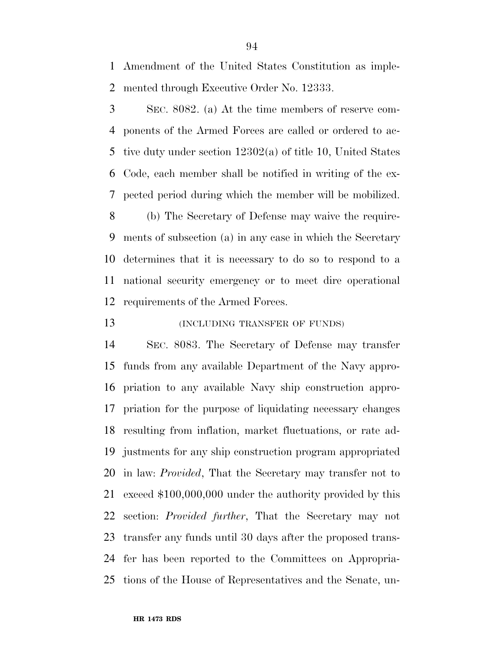Amendment of the United States Constitution as imple-mented through Executive Order No. 12333.

 SEC. 8082. (a) At the time members of reserve com- ponents of the Armed Forces are called or ordered to ac- tive duty under section 12302(a) of title 10, United States Code, each member shall be notified in writing of the ex- pected period during which the member will be mobilized. (b) The Secretary of Defense may waive the require- ments of subsection (a) in any case in which the Secretary determines that it is necessary to do so to respond to a national security emergency or to meet dire operational requirements of the Armed Forces.

## **(INCLUDING TRANSFER OF FUNDS)**

 SEC. 8083. The Secretary of Defense may transfer funds from any available Department of the Navy appro- priation to any available Navy ship construction appro- priation for the purpose of liquidating necessary changes resulting from inflation, market fluctuations, or rate ad- justments for any ship construction program appropriated in law: *Provided*, That the Secretary may transfer not to exceed \$100,000,000 under the authority provided by this section: *Provided further*, That the Secretary may not transfer any funds until 30 days after the proposed trans- fer has been reported to the Committees on Appropria-tions of the House of Representatives and the Senate, un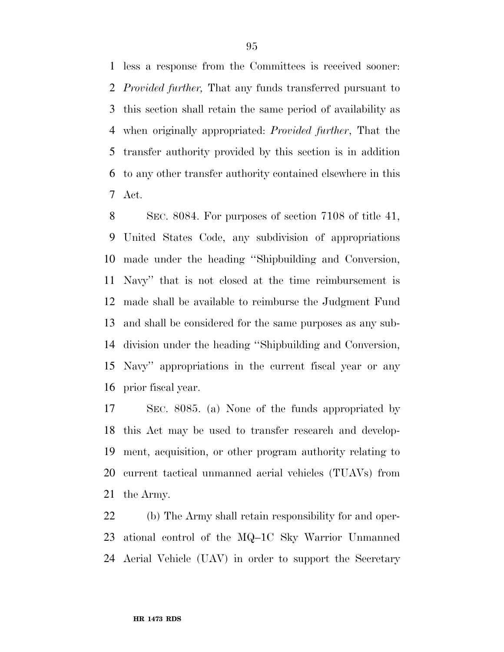less a response from the Committees is received sooner: *Provided further,* That any funds transferred pursuant to this section shall retain the same period of availability as when originally appropriated: *Provided further*, That the transfer authority provided by this section is in addition to any other transfer authority contained elsewhere in this Act.

 SEC. 8084. For purposes of section 7108 of title 41, United States Code, any subdivision of appropriations made under the heading ''Shipbuilding and Conversion, Navy'' that is not closed at the time reimbursement is made shall be available to reimburse the Judgment Fund and shall be considered for the same purposes as any sub- division under the heading ''Shipbuilding and Conversion, Navy'' appropriations in the current fiscal year or any prior fiscal year.

 SEC. 8085. (a) None of the funds appropriated by this Act may be used to transfer research and develop- ment, acquisition, or other program authority relating to current tactical unmanned aerial vehicles (TUAVs) from the Army.

 (b) The Army shall retain responsibility for and oper- ational control of the MQ–1C Sky Warrior Unmanned Aerial Vehicle (UAV) in order to support the Secretary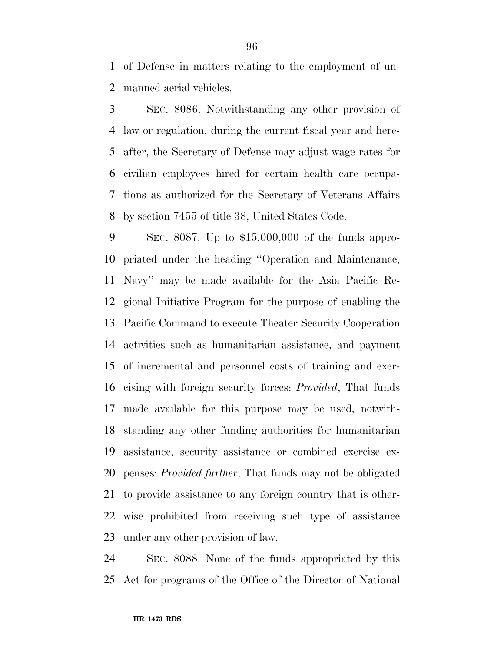of Defense in matters relating to the employment of un-manned aerial vehicles.

 SEC. 8086. Notwithstanding any other provision of law or regulation, during the current fiscal year and here- after, the Secretary of Defense may adjust wage rates for civilian employees hired for certain health care occupa- tions as authorized for the Secretary of Veterans Affairs by section 7455 of title 38, United States Code.

 SEC. 8087. Up to \$15,000,000 of the funds appro- priated under the heading ''Operation and Maintenance, Navy'' may be made available for the Asia Pacific Re- gional Initiative Program for the purpose of enabling the Pacific Command to execute Theater Security Cooperation activities such as humanitarian assistance, and payment of incremental and personnel costs of training and exer- cising with foreign security forces: *Provided*, That funds made available for this purpose may be used, notwith- standing any other funding authorities for humanitarian assistance, security assistance or combined exercise ex- penses: *Provided further*, That funds may not be obligated to provide assistance to any foreign country that is other- wise prohibited from receiving such type of assistance under any other provision of law.

 SEC. 8088. None of the funds appropriated by this Act for programs of the Office of the Director of National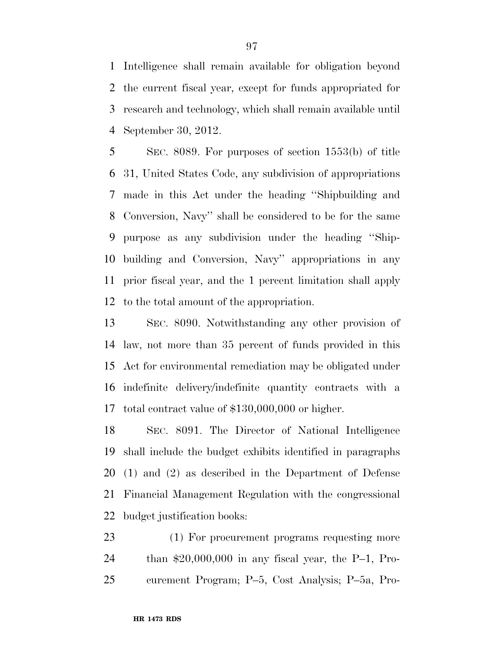Intelligence shall remain available for obligation beyond the current fiscal year, except for funds appropriated for research and technology, which shall remain available until September 30, 2012.

 SEC. 8089. For purposes of section 1553(b) of title 31, United States Code, any subdivision of appropriations made in this Act under the heading ''Shipbuilding and Conversion, Navy'' shall be considered to be for the same purpose as any subdivision under the heading ''Ship- building and Conversion, Navy'' appropriations in any prior fiscal year, and the 1 percent limitation shall apply to the total amount of the appropriation.

 SEC. 8090. Notwithstanding any other provision of law, not more than 35 percent of funds provided in this Act for environmental remediation may be obligated under indefinite delivery/indefinite quantity contracts with a total contract value of \$130,000,000 or higher.

 SEC. 8091. The Director of National Intelligence shall include the budget exhibits identified in paragraphs (1) and (2) as described in the Department of Defense Financial Management Regulation with the congressional budget justification books:

 (1) For procurement programs requesting more than \$20,000,000 in any fiscal year, the P–1, Pro-curement Program; P–5, Cost Analysis; P–5a, Pro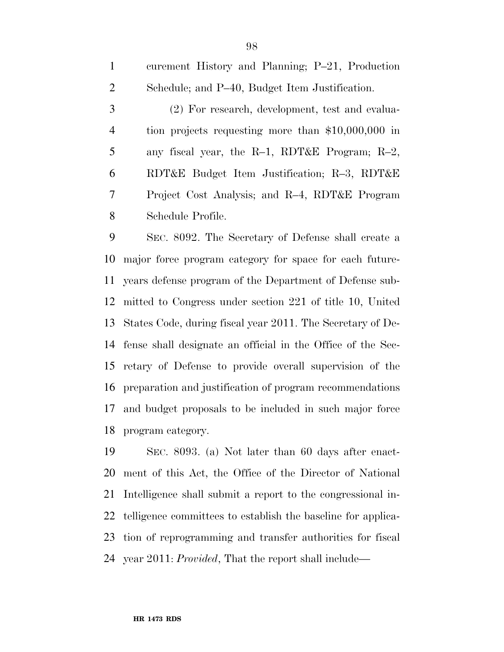curement History and Planning; P–21, Production Schedule; and P–40, Budget Item Justification. (2) For research, development, test and evalua- tion projects requesting more than \$10,000,000 in any fiscal year, the R–1, RDT&E Program; R–2, RDT&E Budget Item Justification; R–3, RDT&E Project Cost Analysis; and R–4, RDT&E Program Schedule Profile.

 SEC. 8092. The Secretary of Defense shall create a major force program category for space for each future- years defense program of the Department of Defense sub- mitted to Congress under section 221 of title 10, United States Code, during fiscal year 2011. The Secretary of De- fense shall designate an official in the Office of the Sec- retary of Defense to provide overall supervision of the preparation and justification of program recommendations and budget proposals to be included in such major force program category.

 SEC. 8093. (a) Not later than 60 days after enact- ment of this Act, the Office of the Director of National Intelligence shall submit a report to the congressional in- telligence committees to establish the baseline for applica- tion of reprogramming and transfer authorities for fiscal year 2011: *Provided*, That the report shall include—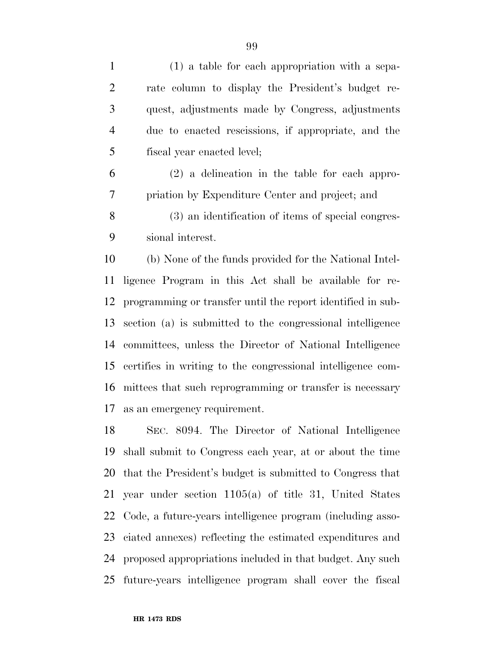| $\mathbf{1}$   | (1) a table for each appropriation with a sepa-     |
|----------------|-----------------------------------------------------|
| 2              | rate column to display the President's budget re-   |
| 3              | quest, adjustments made by Congress, adjustments    |
| $\overline{4}$ | due to enacted rescissions, if appropriate, and the |
| 5              | fiscal year enacted level;                          |
| 6              | $(2)$ a delineation in the table for each appro-    |
|                | priation by Expenditure Center and project; and     |
|                |                                                     |

 (3) an identification of items of special congres-sional interest.

 (b) None of the funds provided for the National Intel- ligence Program in this Act shall be available for re- programming or transfer until the report identified in sub- section (a) is submitted to the congressional intelligence committees, unless the Director of National Intelligence certifies in writing to the congressional intelligence com- mittees that such reprogramming or transfer is necessary as an emergency requirement.

 SEC. 8094. The Director of National Intelligence shall submit to Congress each year, at or about the time that the President's budget is submitted to Congress that year under section 1105(a) of title 31, United States Code, a future-years intelligence program (including asso- ciated annexes) reflecting the estimated expenditures and proposed appropriations included in that budget. Any such future-years intelligence program shall cover the fiscal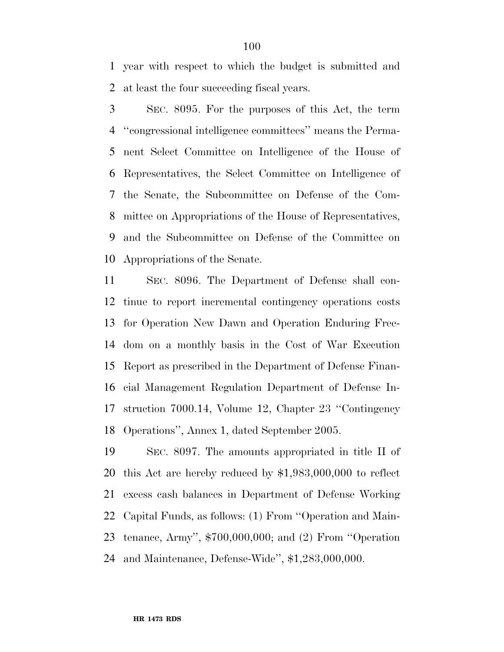year with respect to which the budget is submitted and at least the four succeeding fiscal years.

 SEC. 8095. For the purposes of this Act, the term ''congressional intelligence committees'' means the Perma- nent Select Committee on Intelligence of the House of Representatives, the Select Committee on Intelligence of the Senate, the Subcommittee on Defense of the Com- mittee on Appropriations of the House of Representatives, and the Subcommittee on Defense of the Committee on Appropriations of the Senate.

 SEC. 8096. The Department of Defense shall con- tinue to report incremental contingency operations costs for Operation New Dawn and Operation Enduring Free- dom on a monthly basis in the Cost of War Execution Report as prescribed in the Department of Defense Finan- cial Management Regulation Department of Defense In- struction 7000.14, Volume 12, Chapter 23 ''Contingency Operations'', Annex 1, dated September 2005.

 SEC. 8097. The amounts appropriated in title II of this Act are hereby reduced by \$1,983,000,000 to reflect excess cash balances in Department of Defense Working Capital Funds, as follows: (1) From ''Operation and Main- tenance, Army'', \$700,000,000; and (2) From ''Operation and Maintenance, Defense-Wide'', \$1,283,000,000.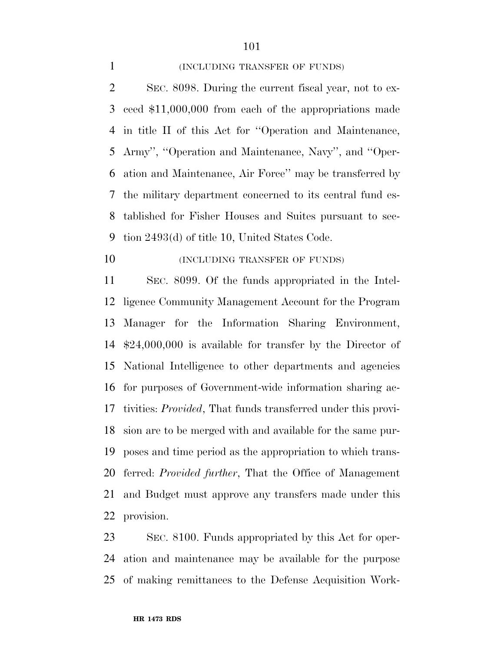#### 1 (INCLUDING TRANSFER OF FUNDS)

 SEC. 8098. During the current fiscal year, not to ex- ceed \$11,000,000 from each of the appropriations made in title II of this Act for ''Operation and Maintenance, Army'', ''Operation and Maintenance, Navy'', and ''Oper- ation and Maintenance, Air Force'' may be transferred by the military department concerned to its central fund es- tablished for Fisher Houses and Suites pursuant to sec-tion 2493(d) of title 10, United States Code.

# **(INCLUDING TRANSFER OF FUNDS)**

 SEC. 8099. Of the funds appropriated in the Intel- ligence Community Management Account for the Program Manager for the Information Sharing Environment, \$24,000,000 is available for transfer by the Director of National Intelligence to other departments and agencies for purposes of Government-wide information sharing ac- tivities: *Provided*, That funds transferred under this provi- sion are to be merged with and available for the same pur- poses and time period as the appropriation to which trans- ferred: *Provided further*, That the Office of Management and Budget must approve any transfers made under this provision.

 SEC. 8100. Funds appropriated by this Act for oper- ation and maintenance may be available for the purpose of making remittances to the Defense Acquisition Work-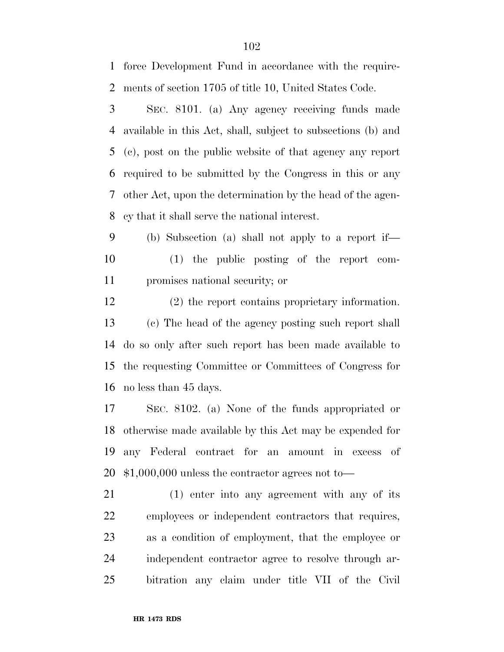SEC. 8101. (a) Any agency receiving funds made available in this Act, shall, subject to subsections (b) and (c), post on the public website of that agency any report required to be submitted by the Congress in this or any other Act, upon the determination by the head of the agen- cy that it shall serve the national interest. (2) the report contains proprietary information. SEC. 8102. (a) None of the funds appropriated or (1) enter into any agreement with any of its

(b) Subsection (a) shall not apply to a report if—

 (1) the public posting of the report com-promises national security; or

 (c) The head of the agency posting such report shall do so only after such report has been made available to the requesting Committee or Committees of Congress for no less than 45 days.

 otherwise made available by this Act may be expended for any Federal contract for an amount in excess of \$1,000,000 unless the contractor agrees not to—

 employees or independent contractors that requires, as a condition of employment, that the employee or independent contractor agree to resolve through ar-bitration any claim under title VII of the Civil

force Development Fund in accordance with the require-

ments of section 1705 of title 10, United States Code.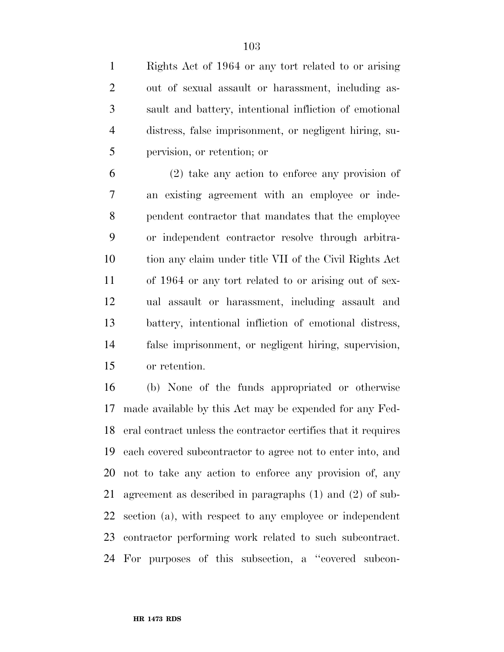Rights Act of 1964 or any tort related to or arising out of sexual assault or harassment, including as- sault and battery, intentional infliction of emotional distress, false imprisonment, or negligent hiring, su-pervision, or retention; or

 (2) take any action to enforce any provision of an existing agreement with an employee or inde- pendent contractor that mandates that the employee or independent contractor resolve through arbitra- tion any claim under title VII of the Civil Rights Act of 1964 or any tort related to or arising out of sex- ual assault or harassment, including assault and battery, intentional infliction of emotional distress, false imprisonment, or negligent hiring, supervision, or retention.

 (b) None of the funds appropriated or otherwise made available by this Act may be expended for any Fed- eral contract unless the contractor certifies that it requires each covered subcontractor to agree not to enter into, and not to take any action to enforce any provision of, any agreement as described in paragraphs (1) and (2) of sub- section (a), with respect to any employee or independent contractor performing work related to such subcontract. For purposes of this subsection, a ''covered subcon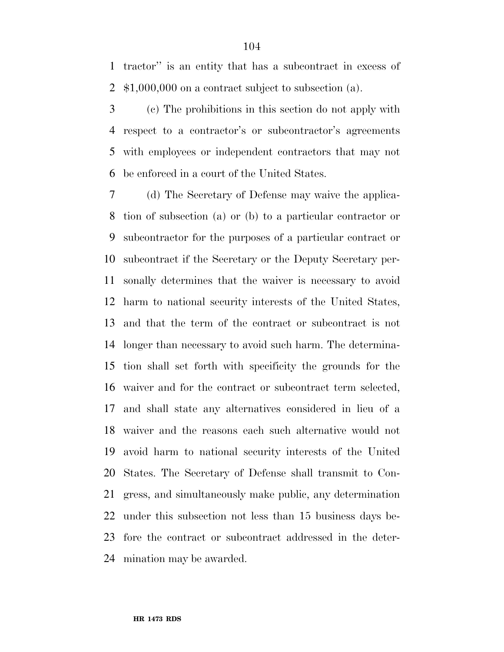tractor'' is an entity that has a subcontract in excess of \$1,000,000 on a contract subject to subsection (a).

 (c) The prohibitions in this section do not apply with respect to a contractor's or subcontractor's agreements with employees or independent contractors that may not be enforced in a court of the United States.

 (d) The Secretary of Defense may waive the applica- tion of subsection (a) or (b) to a particular contractor or subcontractor for the purposes of a particular contract or subcontract if the Secretary or the Deputy Secretary per- sonally determines that the waiver is necessary to avoid harm to national security interests of the United States, and that the term of the contract or subcontract is not longer than necessary to avoid such harm. The determina- tion shall set forth with specificity the grounds for the waiver and for the contract or subcontract term selected, and shall state any alternatives considered in lieu of a waiver and the reasons each such alternative would not avoid harm to national security interests of the United States. The Secretary of Defense shall transmit to Con- gress, and simultaneously make public, any determination under this subsection not less than 15 business days be- fore the contract or subcontract addressed in the deter-mination may be awarded.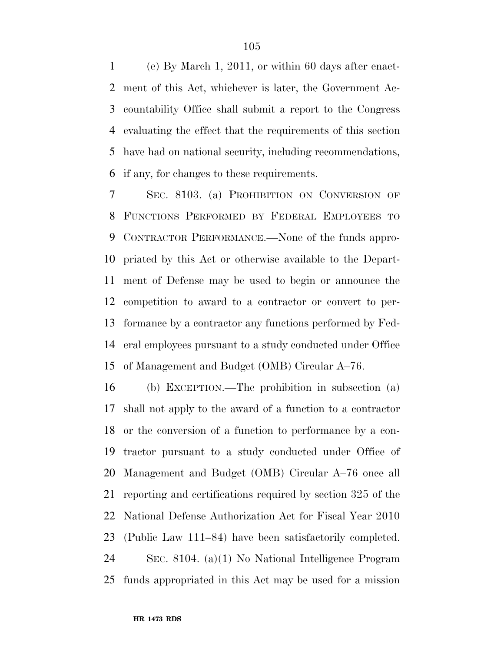(e) By March 1, 2011, or within 60 days after enact- ment of this Act, whichever is later, the Government Ac- countability Office shall submit a report to the Congress evaluating the effect that the requirements of this section have had on national security, including recommendations, if any, for changes to these requirements.

 SEC. 8103. (a) PROHIBITION ON CONVERSION OF FUNCTIONS PERFORMED BY FEDERAL EMPLOYEES TO CONTRACTOR PERFORMANCE.—None of the funds appro- priated by this Act or otherwise available to the Depart- ment of Defense may be used to begin or announce the competition to award to a contractor or convert to per- formance by a contractor any functions performed by Fed- eral employees pursuant to a study conducted under Office of Management and Budget (OMB) Circular A–76.

 (b) EXCEPTION.—The prohibition in subsection (a) shall not apply to the award of a function to a contractor or the conversion of a function to performance by a con- tractor pursuant to a study conducted under Office of Management and Budget (OMB) Circular A–76 once all reporting and certifications required by section 325 of the National Defense Authorization Act for Fiscal Year 2010 (Public Law 111–84) have been satisfactorily completed. SEC. 8104. (a)(1) No National Intelligence Program funds appropriated in this Act may be used for a mission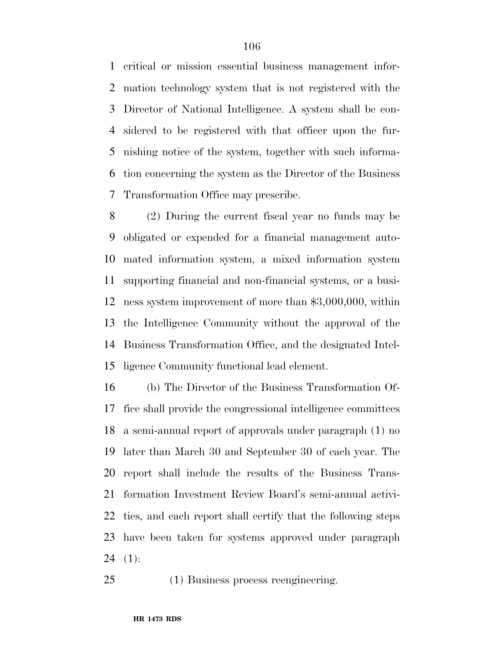critical or mission essential business management infor- mation technology system that is not registered with the Director of National Intelligence. A system shall be con- sidered to be registered with that officer upon the fur- nishing notice of the system, together with such informa- tion concerning the system as the Director of the Business Transformation Office may prescribe.

 (2) During the current fiscal year no funds may be obligated or expended for a financial management auto- mated information system, a mixed information system supporting financial and non-financial systems, or a busi- ness system improvement of more than \$3,000,000, within the Intelligence Community without the approval of the Business Transformation Office, and the designated Intel-ligence Community functional lead element.

 (b) The Director of the Business Transformation Of- fice shall provide the congressional intelligence committees a semi-annual report of approvals under paragraph (1) no later than March 30 and September 30 of each year. The report shall include the results of the Business Trans- formation Investment Review Board's semi-annual activi- ties, and each report shall certify that the following steps have been taken for systems approved under paragraph 24  $(1)$ :

(1) Business process reengineering.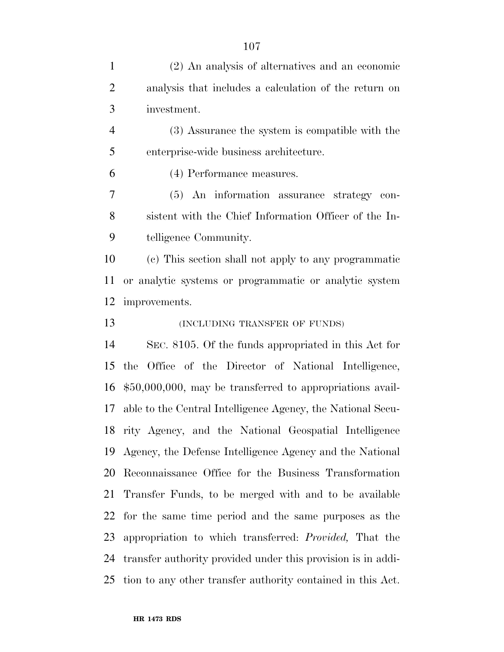(2) An analysis of alternatives and an economic analysis that includes a calculation of the return on investment. (3) Assurance the system is compatible with the enterprise-wide business architecture. (4) Performance measures. (5) An information assurance strategy con- sistent with the Chief Information Officer of the In- telligence Community. (c) This section shall not apply to any programmatic or analytic systems or programmatic or analytic system improvements. **(INCLUDING TRANSFER OF FUNDS)**  SEC. 8105. Of the funds appropriated in this Act for the Office of the Director of National Intelligence, \$50,000,000, may be transferred to appropriations avail- able to the Central Intelligence Agency, the National Secu- rity Agency, and the National Geospatial Intelligence Agency, the Defense Intelligence Agency and the National Reconnaissance Office for the Business Transformation Transfer Funds, to be merged with and to be available for the same time period and the same purposes as the appropriation to which transferred: *Provided,* That the transfer authority provided under this provision is in addi-

tion to any other transfer authority contained in this Act.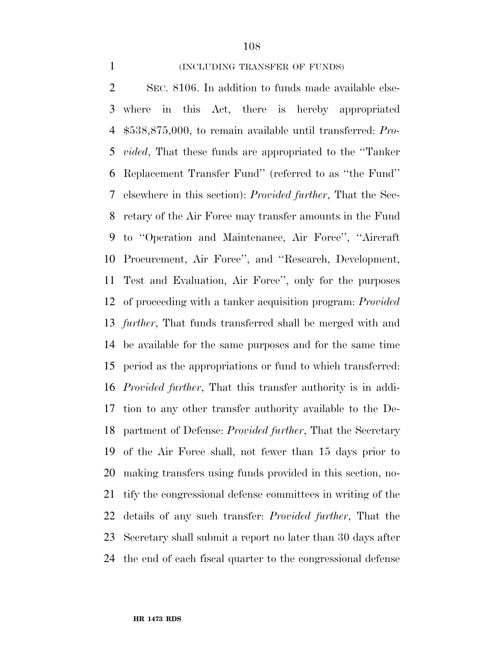#### 1 (INCLUDING TRANSFER OF FUNDS)

 SEC. 8106. In addition to funds made available else- where in this Act, there is hereby appropriated \$538,875,000, to remain available until transferred: *Pro- vided*, That these funds are appropriated to the ''Tanker Replacement Transfer Fund'' (referred to as ''the Fund'' elsewhere in this section): *Provided further*, That the Sec- retary of the Air Force may transfer amounts in the Fund to ''Operation and Maintenance, Air Force'', ''Aircraft Procurement, Air Force'', and ''Research, Development, Test and Evaluation, Air Force'', only for the purposes of proceeding with a tanker acquisition program: *Provided further*, That funds transferred shall be merged with and be available for the same purposes and for the same time period as the appropriations or fund to which transferred: *Provided further*, That this transfer authority is in addi- tion to any other transfer authority available to the De- partment of Defense: *Provided further*, That the Secretary of the Air Force shall, not fewer than 15 days prior to making transfers using funds provided in this section, no- tify the congressional defense committees in writing of the details of any such transfer: *Provided further*, That the Secretary shall submit a report no later than 30 days after the end of each fiscal quarter to the congressional defense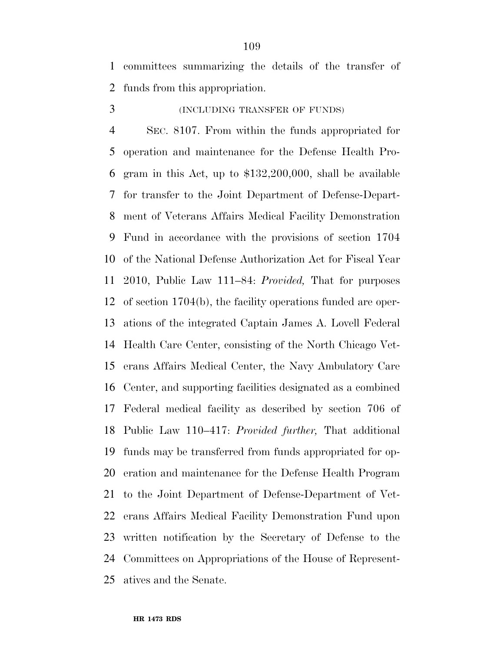committees summarizing the details of the transfer of funds from this appropriation.

## (INCLUDING TRANSFER OF FUNDS)

 SEC. 8107. From within the funds appropriated for operation and maintenance for the Defense Health Pro- gram in this Act, up to \$132,200,000, shall be available for transfer to the Joint Department of Defense-Depart- ment of Veterans Affairs Medical Facility Demonstration Fund in accordance with the provisions of section 1704 of the National Defense Authorization Act for Fiscal Year 2010, Public Law 111–84: *Provided,* That for purposes of section 1704(b), the facility operations funded are oper- ations of the integrated Captain James A. Lovell Federal Health Care Center, consisting of the North Chicago Vet- erans Affairs Medical Center, the Navy Ambulatory Care Center, and supporting facilities designated as a combined Federal medical facility as described by section 706 of Public Law 110–417: *Provided further,* That additional funds may be transferred from funds appropriated for op- eration and maintenance for the Defense Health Program to the Joint Department of Defense-Department of Vet- erans Affairs Medical Facility Demonstration Fund upon written notification by the Secretary of Defense to the Committees on Appropriations of the House of Represent-atives and the Senate.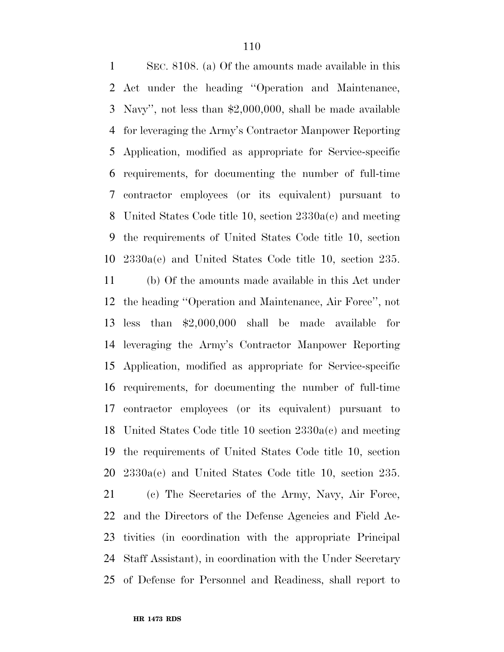SEC. 8108. (a) Of the amounts made available in this Act under the heading ''Operation and Maintenance, Navy'', not less than \$2,000,000, shall be made available for leveraging the Army's Contractor Manpower Reporting Application, modified as appropriate for Service-specific requirements, for documenting the number of full-time contractor employees (or its equivalent) pursuant to United States Code title 10, section 2330a(c) and meeting the requirements of United States Code title 10, section 2330a(e) and United States Code title 10, section 235. (b) Of the amounts made available in this Act under the heading ''Operation and Maintenance, Air Force'', not less than \$2,000,000 shall be made available for leveraging the Army's Contractor Manpower Reporting Application, modified as appropriate for Service-specific requirements, for documenting the number of full-time contractor employees (or its equivalent) pursuant to United States Code title 10 section 2330a(c) and meeting the requirements of United States Code title 10, section 2330a(e) and United States Code title 10, section 235. (c) The Secretaries of the Army, Navy, Air Force, and the Directors of the Defense Agencies and Field Ac- tivities (in coordination with the appropriate Principal Staff Assistant), in coordination with the Under Secretary of Defense for Personnel and Readiness, shall report to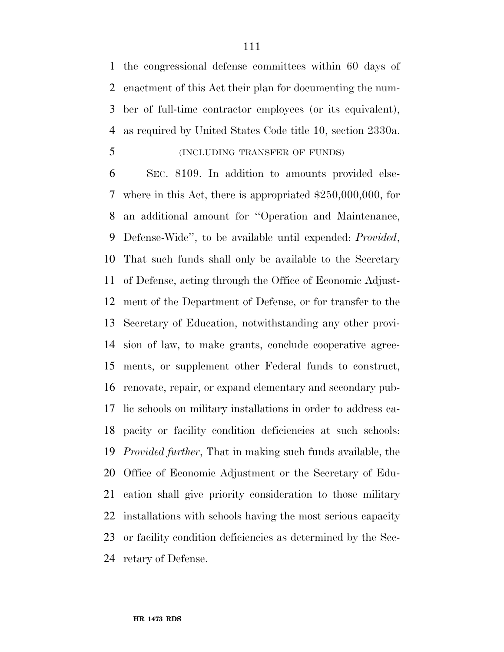the congressional defense committees within 60 days of enactment of this Act their plan for documenting the num- ber of full-time contractor employees (or its equivalent), as required by United States Code title 10, section 2330a.

## (INCLUDING TRANSFER OF FUNDS)

 SEC. 8109. In addition to amounts provided else- where in this Act, there is appropriated \$250,000,000, for an additional amount for ''Operation and Maintenance, Defense-Wide'', to be available until expended: *Provided*, That such funds shall only be available to the Secretary of Defense, acting through the Office of Economic Adjust- ment of the Department of Defense, or for transfer to the Secretary of Education, notwithstanding any other provi- sion of law, to make grants, conclude cooperative agree- ments, or supplement other Federal funds to construct, renovate, repair, or expand elementary and secondary pub- lic schools on military installations in order to address ca- pacity or facility condition deficiencies at such schools: *Provided further*, That in making such funds available, the Office of Economic Adjustment or the Secretary of Edu- cation shall give priority consideration to those military installations with schools having the most serious capacity or facility condition deficiencies as determined by the Sec-retary of Defense.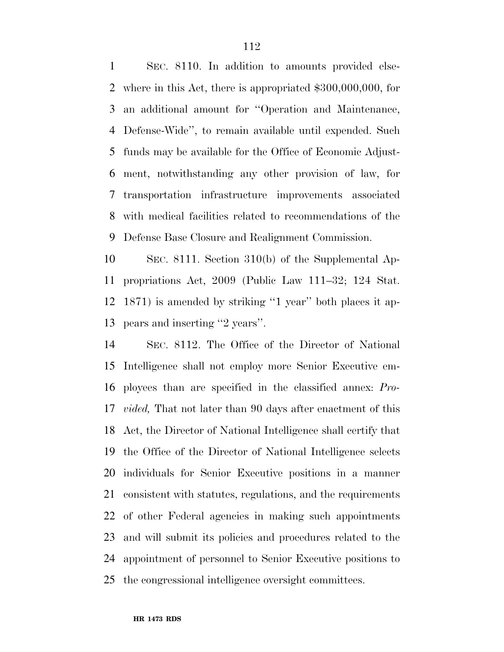SEC. 8110. In addition to amounts provided else- where in this Act, there is appropriated \$300,000,000, for an additional amount for ''Operation and Maintenance, Defense-Wide'', to remain available until expended. Such funds may be available for the Office of Economic Adjust- ment, notwithstanding any other provision of law, for transportation infrastructure improvements associated with medical facilities related to recommendations of the Defense Base Closure and Realignment Commission.

 SEC. 8111. Section 310(b) of the Supplemental Ap- propriations Act, 2009 (Public Law 111–32; 124 Stat. 1871) is amended by striking ''1 year'' both places it ap-pears and inserting ''2 years''.

 SEC. 8112. The Office of the Director of National Intelligence shall not employ more Senior Executive em- ployees than are specified in the classified annex: *Pro- vided,* That not later than 90 days after enactment of this Act, the Director of National Intelligence shall certify that the Office of the Director of National Intelligence selects individuals for Senior Executive positions in a manner consistent with statutes, regulations, and the requirements of other Federal agencies in making such appointments and will submit its policies and procedures related to the appointment of personnel to Senior Executive positions to the congressional intelligence oversight committees.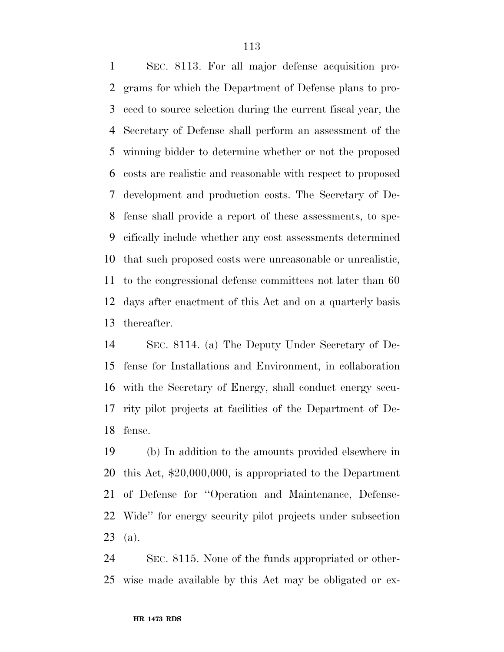SEC. 8113. For all major defense acquisition pro- grams for which the Department of Defense plans to pro- ceed to source selection during the current fiscal year, the Secretary of Defense shall perform an assessment of the winning bidder to determine whether or not the proposed costs are realistic and reasonable with respect to proposed development and production costs. The Secretary of De- fense shall provide a report of these assessments, to spe- cifically include whether any cost assessments determined that such proposed costs were unreasonable or unrealistic, to the congressional defense committees not later than 60 days after enactment of this Act and on a quarterly basis thereafter.

 SEC. 8114. (a) The Deputy Under Secretary of De- fense for Installations and Environment, in collaboration with the Secretary of Energy, shall conduct energy secu- rity pilot projects at facilities of the Department of De-fense.

 (b) In addition to the amounts provided elsewhere in this Act, \$20,000,000, is appropriated to the Department of Defense for ''Operation and Maintenance, Defense- Wide'' for energy security pilot projects under subsection (a).

 SEC. 8115. None of the funds appropriated or other-wise made available by this Act may be obligated or ex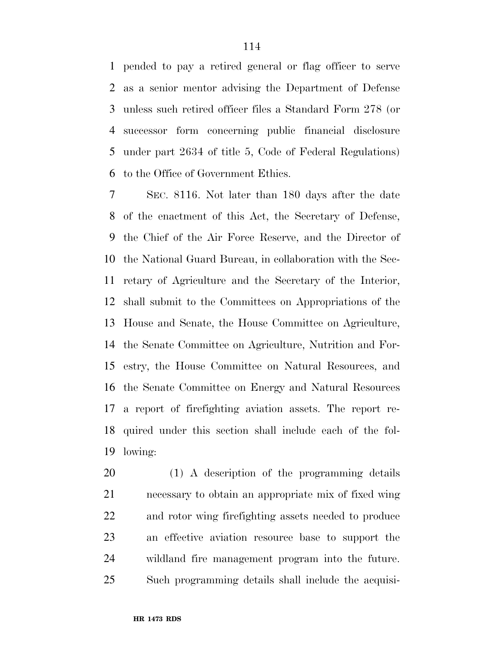pended to pay a retired general or flag officer to serve as a senior mentor advising the Department of Defense unless such retired officer files a Standard Form 278 (or successor form concerning public financial disclosure under part 2634 of title 5, Code of Federal Regulations) to the Office of Government Ethics.

 SEC. 8116. Not later than 180 days after the date of the enactment of this Act, the Secretary of Defense, the Chief of the Air Force Reserve, and the Director of the National Guard Bureau, in collaboration with the Sec- retary of Agriculture and the Secretary of the Interior, shall submit to the Committees on Appropriations of the House and Senate, the House Committee on Agriculture, the Senate Committee on Agriculture, Nutrition and For- estry, the House Committee on Natural Resources, and the Senate Committee on Energy and Natural Resources a report of firefighting aviation assets. The report re- quired under this section shall include each of the fol-lowing:

 (1) A description of the programming details necessary to obtain an appropriate mix of fixed wing and rotor wing firefighting assets needed to produce an effective aviation resource base to support the wildland fire management program into the future. Such programming details shall include the acquisi-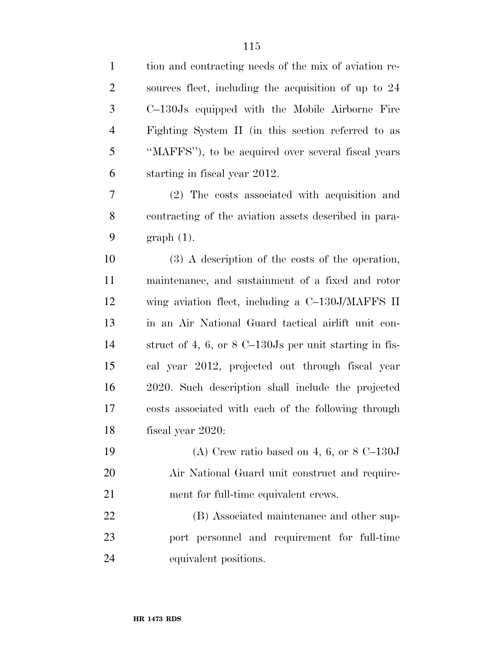| $\mathbf{1}$   | tion and contracting needs of the mix of aviation re-                     |
|----------------|---------------------------------------------------------------------------|
| $\overline{2}$ | sources fleet, including the acquisition of up to 24                      |
| 3              | C-130Js equipped with the Mobile Airborne Fire                            |
| $\overline{4}$ | Fighting System II (in this section referred to as                        |
| 5              | "MAFFS"), to be acquired over several fiscal years                        |
| 6              | starting in fiscal year 2012.                                             |
| 7              | (2) The costs associated with acquisition and                             |
| 8              | contracting of the aviation assets described in para-                     |
| 9              | $graph(1)$ .                                                              |
| 10             | $(3)$ A description of the costs of the operation,                        |
| 11             | maintenance, and sustainment of a fixed and rotor                         |
| 12             | wing aviation fleet, including a C-130J/MAFFS II                          |
| 13             | in an Air National Guard tactical airlift unit con-                       |
| 14             | struct of 4, 6, or $8 \text{ C}-130 \text{ Js}$ per unit starting in fis- |
| 15             | cal year 2012, projected out through fiscal year                          |
| 16             | 2020. Such description shall include the projected                        |
| 17             | costs associated with each of the following through                       |
| 18             | fiscal year 2020:                                                         |
| 19             | (A) Crew ratio based on 4, 6, or $8 \text{ C}-130 \text{ J}$              |
| 20             | Air National Guard unit construct and require-                            |
| 21             | ment for full-time equivalent crews.                                      |
| 22             | (B) Associated maintenance and other sup-                                 |
| 23             | port personnel and requirement for full-time                              |
| 24             | equivalent positions.                                                     |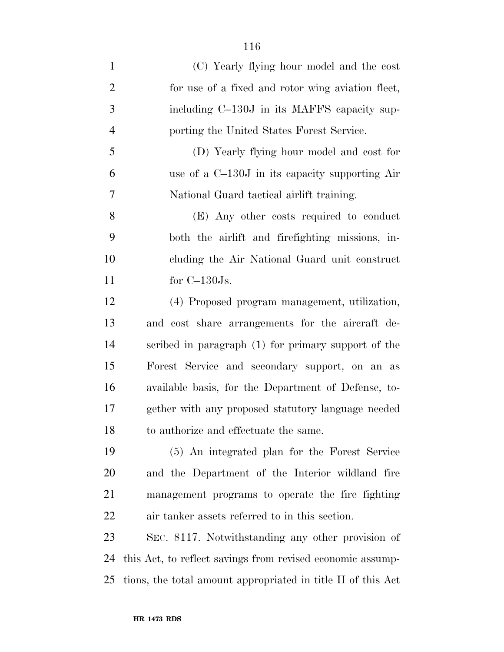| $\mathbf{1}$   | (C) Yearly flying hour model and the cost                    |
|----------------|--------------------------------------------------------------|
| $\overline{2}$ | for use of a fixed and rotor wing aviation fleet,            |
| 3              | including C-130J in its MAFFS capacity sup-                  |
| $\overline{4}$ | porting the United States Forest Service.                    |
| $\mathfrak{S}$ | (D) Yearly flying hour model and cost for                    |
| 6              | use of a C-130J in its capacity supporting Air               |
| 7              | National Guard tactical airlift training.                    |
| 8              | (E) Any other costs required to conduct                      |
| 9              | both the airlift and firefighting missions, in-              |
| 10             | cluding the Air National Guard unit construct                |
| 11             | for $C-130Js$ .                                              |
| 12             | (4) Proposed program management, utilization,                |
| 13             | and cost share arrangements for the aircraft de-             |
| 14             | scribed in paragraph (1) for primary support of the          |
| 15             | Forest Service and secondary support, on an as               |
| 16             | available basis, for the Department of Defense, to-          |
| 17             | gether with any proposed statutory language needed           |
| 18             | to authorize and effectuate the same.                        |
| 19             | (5) An integrated plan for the Forest Service                |
| 20             | and the Department of the Interior wildland fire             |
| 21             | management programs to operate the fire fighting             |
| 22             | air tanker assets referred to in this section.               |
| 23             | SEC. 8117. Notwithstanding any other provision of            |
| 24             | this Act, to reflect savings from revised economic assump-   |
| 25             | tions, the total amount appropriated in title II of this Act |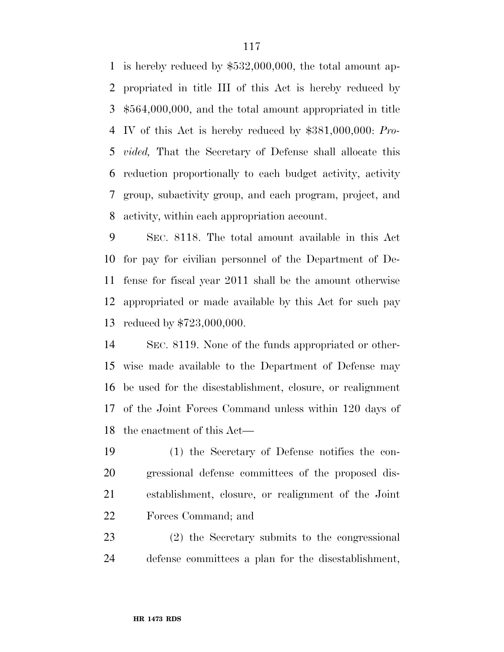is hereby reduced by \$532,000,000, the total amount ap- propriated in title III of this Act is hereby reduced by \$564,000,000, and the total amount appropriated in title IV of this Act is hereby reduced by \$381,000,000: *Pro- vided,* That the Secretary of Defense shall allocate this reduction proportionally to each budget activity, activity group, subactivity group, and each program, project, and activity, within each appropriation account.

 SEC. 8118. The total amount available in this Act for pay for civilian personnel of the Department of De- fense for fiscal year 2011 shall be the amount otherwise appropriated or made available by this Act for such pay reduced by \$723,000,000.

 SEC. 8119. None of the funds appropriated or other- wise made available to the Department of Defense may be used for the disestablishment, closure, or realignment of the Joint Forces Command unless within 120 days of the enactment of this Act—

 (1) the Secretary of Defense notifies the con- gressional defense committees of the proposed dis- establishment, closure, or realignment of the Joint Forces Command; and

 (2) the Secretary submits to the congressional defense committees a plan for the disestablishment,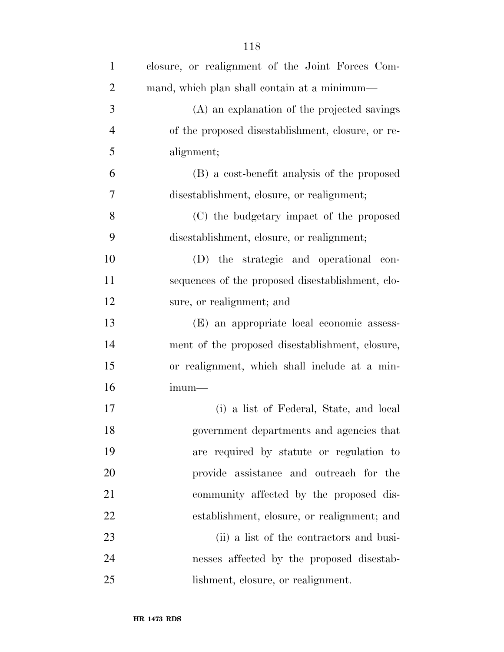| $\mathbf{1}$   | closure, or realignment of the Joint Forces Com-  |
|----------------|---------------------------------------------------|
| $\overline{2}$ | mand, which plan shall contain at a minimum—      |
| 3              | (A) an explanation of the projected savings       |
| $\overline{4}$ | of the proposed disestablishment, closure, or re- |
| 5              | alignment;                                        |
| 6              | (B) a cost-benefit analysis of the proposed       |
| 7              | disestablishment, closure, or realignment;        |
| 8              | (C) the budgetary impact of the proposed          |
| 9              | disestablishment, closure, or realignment;        |
| 10             | (D) the strategic and operational con-            |
| 11             | sequences of the proposed disestablishment, clo-  |
| 12             | sure, or realignment; and                         |
| 13             | (E) an appropriate local economic assess-         |
| 14             | ment of the proposed disestablishment, closure,   |
| 15             | or realignment, which shall include at a min-     |
| 16             | $imum-$                                           |
| 17             | (i) a list of Federal, State, and local           |
| 18             | government departments and agencies that          |
| 19             | are required by statute or regulation to          |
| 20             | provide assistance and outreach for the           |
| 21             | community affected by the proposed dis-           |
| 22             | establishment, closure, or realignment; and       |
| 23             | (ii) a list of the contractors and busi-          |
| 24             | nesses affected by the proposed disestab-         |
| 25             | lishment, closure, or realignment.                |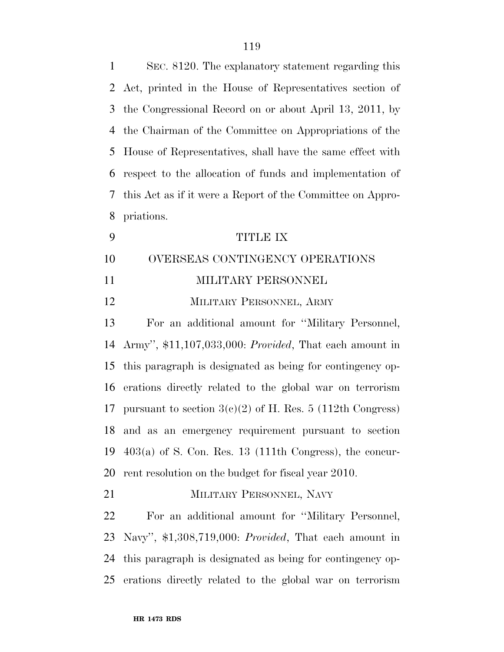| $\mathbf{1}$ | SEC. 8120. The explanatory statement regarding this             |
|--------------|-----------------------------------------------------------------|
| 2            | Act, printed in the House of Representatives section of         |
| 3            | the Congressional Record on or about April 13, 2011, by         |
| 4            | the Chairman of the Committee on Appropriations of the          |
| 5            | House of Representatives, shall have the same effect with       |
| 6            | respect to the allocation of funds and implementation of        |
| 7            | this Act as if it were a Report of the Committee on Appro-      |
| 8            | priations.                                                      |
| 9            | <b>TITLE IX</b>                                                 |
| 10           | OVERSEAS CONTINGENCY OPERATIONS                                 |
| 11           | MILITARY PERSONNEL                                              |
| 12           | MILITARY PERSONNEL, ARMY                                        |
| 13           | For an additional amount for "Military Personnel,               |
| 14           | Army", \$11,107,033,000: <i>Provided</i> , That each amount in  |
| 15           | this paragraph is designated as being for contingency op-       |
| 16           | erations directly related to the global war on terrorism        |
| 17           | pursuant to section $3(c)(2)$ of H. Res. 5 (112th Congress)     |
|              | 18 and as an emergency requirement pursuant to section          |
| 19           | $403(a)$ of S. Con. Res. 13 (111th Congress), the concur-       |
| 20           | rent resolution on the budget for fiscal year 2010.             |
| 21           | MILITARY PERSONNEL, NAVY                                        |
| 22           | For an additional amount for "Military Personnel,               |
| 23           | Navy", $$1,308,719,000$ : <i>Provided</i> , That each amount in |
| 24           | this paragraph is designated as being for contingency op-       |
| 25           | erations directly related to the global war on terrorism        |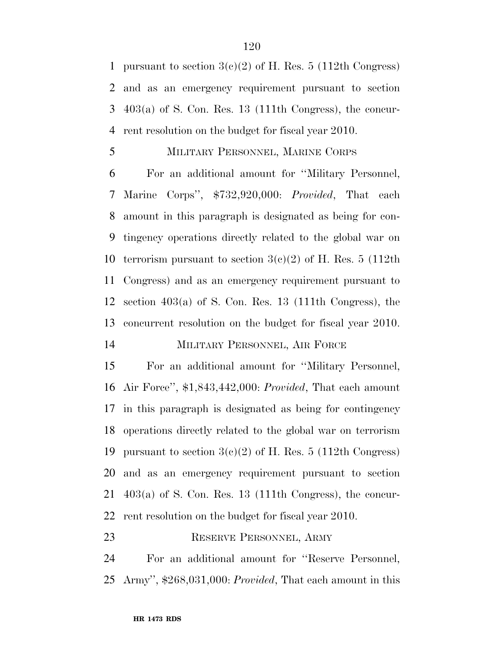1 pursuant to section  $3(c)(2)$  of H. Res. 5 (112th Congress) and as an emergency requirement pursuant to section 403(a) of S. Con. Res. 13 (111th Congress), the concur-rent resolution on the budget for fiscal year 2010.

### MILITARY PERSONNEL, MARINE CORPS

 For an additional amount for ''Military Personnel, Marine Corps'', \$732,920,000: *Provided*, That each amount in this paragraph is designated as being for con- tingency operations directly related to the global war on 10 terrorism pursuant to section  $3(c)(2)$  of H. Res. 5 (112th Congress) and as an emergency requirement pursuant to section 403(a) of S. Con. Res. 13 (111th Congress), the concurrent resolution on the budget for fiscal year 2010. MILITARY PERSONNEL, AIR FORCE

 For an additional amount for ''Military Personnel, Air Force'', \$1,843,442,000: *Provided*, That each amount in this paragraph is designated as being for contingency operations directly related to the global war on terrorism 19 pursuant to section  $3(c)(2)$  of H. Res. 5 (112th Congress) and as an emergency requirement pursuant to section 403(a) of S. Con. Res. 13 (111th Congress), the concur-rent resolution on the budget for fiscal year 2010.

## RESERVE PERSONNEL, ARMY

 For an additional amount for ''Reserve Personnel, Army'', \$268,031,000: *Provided*, That each amount in this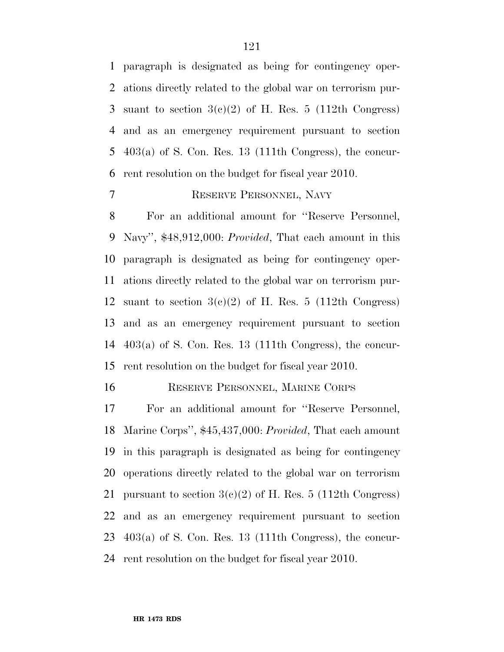paragraph is designated as being for contingency oper- ations directly related to the global war on terrorism pur-3 suant to section  $3(e)(2)$  of H. Res. 5 (112th Congress) and as an emergency requirement pursuant to section 403(a) of S. Con. Res. 13 (111th Congress), the concur-rent resolution on the budget for fiscal year 2010.

### RESERVE PERSONNEL, NAVY

 For an additional amount for ''Reserve Personnel, Navy'', \$48,912,000: *Provided*, That each amount in this paragraph is designated as being for contingency oper- ations directly related to the global war on terrorism pur-12 suant to section  $3(c)(2)$  of H. Res. 5 (112th Congress) and as an emergency requirement pursuant to section 403(a) of S. Con. Res. 13 (111th Congress), the concur-rent resolution on the budget for fiscal year 2010.

#### RESERVE PERSONNEL, MARINE CORPS

 For an additional amount for ''Reserve Personnel, Marine Corps'', \$45,437,000: *Provided*, That each amount in this paragraph is designated as being for contingency operations directly related to the global war on terrorism 21 pursuant to section  $3(c)(2)$  of H. Res. 5 (112th Congress) and as an emergency requirement pursuant to section  $403(a)$  of S. Con. Res. 13 (111th Congress), the concur-rent resolution on the budget for fiscal year 2010.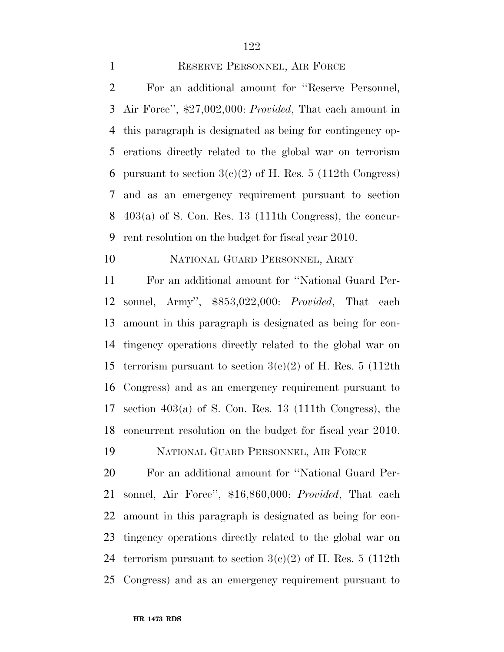1 RESERVE PERSONNEL, AIR FORCE

 For an additional amount for ''Reserve Personnel, Air Force'', \$27,002,000: *Provided*, That each amount in this paragraph is designated as being for contingency op- erations directly related to the global war on terrorism 6 pursuant to section  $3(c)(2)$  of H. Res. 5 (112th Congress) and as an emergency requirement pursuant to section 403(a) of S. Con. Res. 13 (111th Congress), the concur-rent resolution on the budget for fiscal year 2010.

## NATIONAL GUARD PERSONNEL, ARMY

 For an additional amount for ''National Guard Per- sonnel, Army'', \$853,022,000: *Provided*, That each amount in this paragraph is designated as being for con- tingency operations directly related to the global war on 15 terrorism pursuant to section  $3(c)(2)$  of H. Res. 5 (112th Congress) and as an emergency requirement pursuant to section 403(a) of S. Con. Res. 13 (111th Congress), the concurrent resolution on the budget for fiscal year 2010.

NATIONAL GUARD PERSONNEL, AIR FORCE

 For an additional amount for ''National Guard Per- sonnel, Air Force'', \$16,860,000: *Provided*, That each amount in this paragraph is designated as being for con- tingency operations directly related to the global war on 24 terrorism pursuant to section  $3(c)(2)$  of H. Res. 5 (112th Congress) and as an emergency requirement pursuant to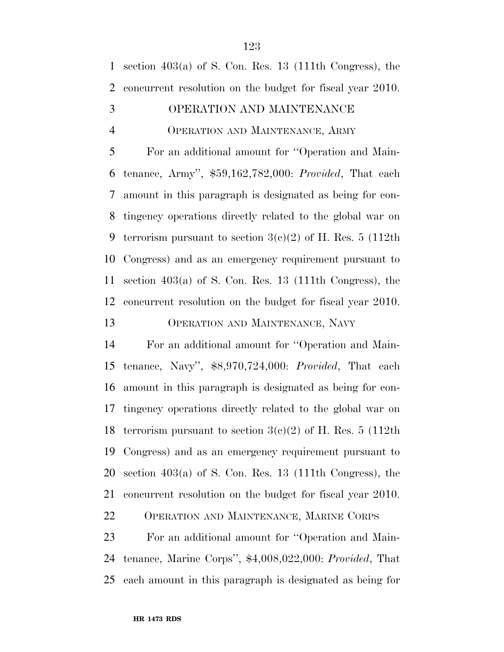section 403(a) of S. Con. Res. 13 (111th Congress), the concurrent resolution on the budget for fiscal year 2010.

## OPERATION AND MAINTENANCE

### OPERATION AND MAINTENANCE, ARMY

 For an additional amount for ''Operation and Main- tenance, Army'', \$59,162,782,000: *Provided*, That each amount in this paragraph is designated as being for con- tingency operations directly related to the global war on 9 terrorism pursuant to section  $3(e)(2)$  of H. Res. 5 (112th Congress) and as an emergency requirement pursuant to section 403(a) of S. Con. Res. 13 (111th Congress), the concurrent resolution on the budget for fiscal year 2010.

## OPERATION AND MAINTENANCE, NAVY

 For an additional amount for ''Operation and Main- tenance, Navy'', \$8,970,724,000: *Provided*, That each amount in this paragraph is designated as being for con- tingency operations directly related to the global war on 18 terrorism pursuant to section  $3(c)(2)$  of H. Res. 5 (112th Congress) and as an emergency requirement pursuant to section 403(a) of S. Con. Res. 13 (111th Congress), the concurrent resolution on the budget for fiscal year 2010.

OPERATION AND MAINTENANCE, MARINE CORPS

 For an additional amount for ''Operation and Main- tenance, Marine Corps'', \$4,008,022,000: *Provided*, That each amount in this paragraph is designated as being for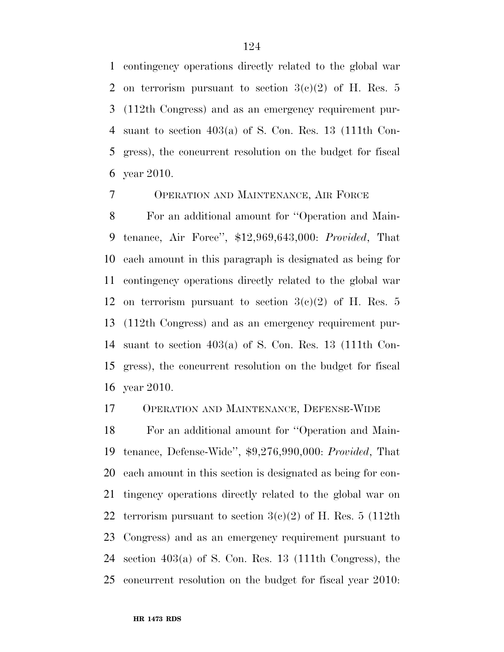contingency operations directly related to the global war 2 on terrorism pursuant to section  $3(c)(2)$  of H. Res. 5 (112th Congress) and as an emergency requirement pur- suant to section 403(a) of S. Con. Res. 13 (111th Con- gress), the concurrent resolution on the budget for fiscal year 2010.

OPERATION AND MAINTENANCE, AIR FORCE

 For an additional amount for ''Operation and Main- tenance, Air Force'', \$12,969,643,000: *Provided*, That each amount in this paragraph is designated as being for contingency operations directly related to the global war 12 on terrorism pursuant to section  $3(e)(2)$  of H. Res. 5 (112th Congress) and as an emergency requirement pur- suant to section 403(a) of S. Con. Res. 13 (111th Con- gress), the concurrent resolution on the budget for fiscal year 2010.

### OPERATION AND MAINTENANCE, DEFENSE-WIDE

 For an additional amount for ''Operation and Main- tenance, Defense-Wide'', \$9,276,990,000: *Provided*, That each amount in this section is designated as being for con- tingency operations directly related to the global war on 22 terrorism pursuant to section  $3(c)(2)$  of H. Res. 5 (112th) Congress) and as an emergency requirement pursuant to section 403(a) of S. Con. Res. 13 (111th Congress), the concurrent resolution on the budget for fiscal year 2010: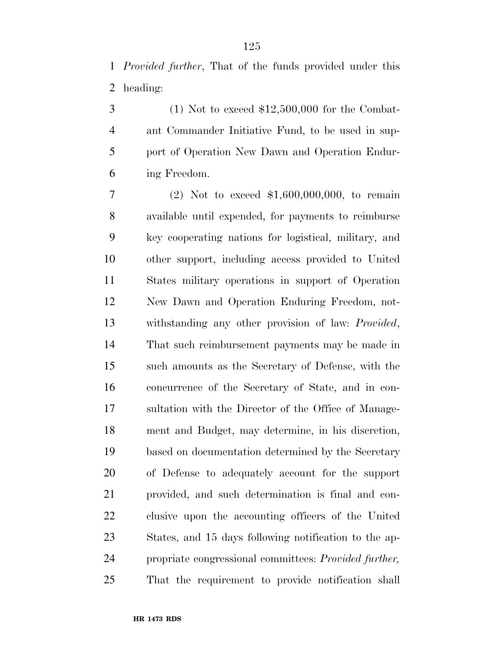$3 \qquad (1)$  Not to exceed \$12,500,000 for the Combat- ant Commander Initiative Fund, to be used in sup- port of Operation New Dawn and Operation Endur-ing Freedom.

 (2) Not to exceed \$1,600,000,000, to remain available until expended, for payments to reimburse key cooperating nations for logistical, military, and other support, including access provided to United States military operations in support of Operation New Dawn and Operation Enduring Freedom, not- withstanding any other provision of law: *Provided*, That such reimbursement payments may be made in such amounts as the Secretary of Defense, with the concurrence of the Secretary of State, and in con- sultation with the Director of the Office of Manage- ment and Budget, may determine, in his discretion, based on documentation determined by the Secretary of Defense to adequately account for the support provided, and such determination is final and con- clusive upon the accounting officers of the United States, and 15 days following notification to the ap- propriate congressional committees: *Provided further,*  That the requirement to provide notification shall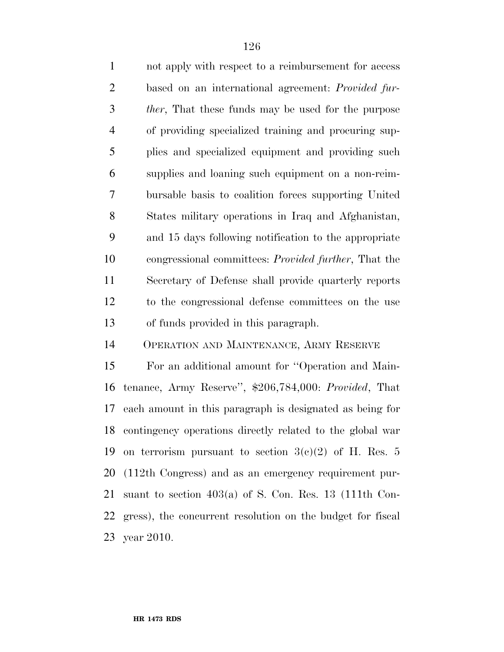not apply with respect to a reimbursement for access based on an international agreement: *Provided fur- ther*, That these funds may be used for the purpose of providing specialized training and procuring sup- plies and specialized equipment and providing such supplies and loaning such equipment on a non-reim- bursable basis to coalition forces supporting United States military operations in Iraq and Afghanistan, and 15 days following notification to the appropriate congressional committees: *Provided further*, That the Secretary of Defense shall provide quarterly reports to the congressional defense committees on the use of funds provided in this paragraph.

OPERATION AND MAINTENANCE, ARMY RESERVE

 For an additional amount for ''Operation and Main- tenance, Army Reserve'', \$206,784,000: *Provided*, That each amount in this paragraph is designated as being for contingency operations directly related to the global war 19 on terrorism pursuant to section  $3(e)(2)$  of H. Res. 5 (112th Congress) and as an emergency requirement pur- suant to section 403(a) of S. Con. Res. 13 (111th Con- gress), the concurrent resolution on the budget for fiscal year 2010.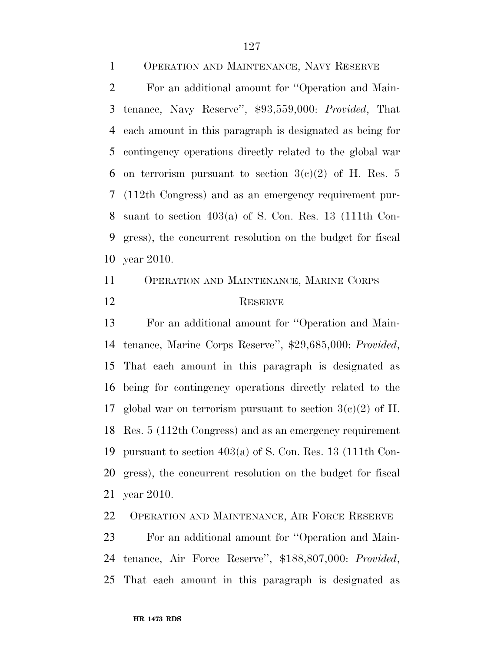OPERATION AND MAINTENANCE, NAVY RESERVE For an additional amount for ''Operation and Main- tenance, Navy Reserve'', \$93,559,000: *Provided*, That each amount in this paragraph is designated as being for contingency operations directly related to the global war 6 on terrorism pursuant to section  $3(c)(2)$  of H. Res. 5 (112th Congress) and as an emergency requirement pur- suant to section 403(a) of S. Con. Res. 13 (111th Con- gress), the concurrent resolution on the budget for fiscal year 2010.

## OPERATION AND MAINTENANCE, MARINE CORPS 12 RESERVE

 For an additional amount for ''Operation and Main- tenance, Marine Corps Reserve'', \$29,685,000: *Provided*, That each amount in this paragraph is designated as being for contingency operations directly related to the 17 global war on terrorism pursuant to section  $3(c)(2)$  of H. Res. 5 (112th Congress) and as an emergency requirement pursuant to section 403(a) of S. Con. Res. 13 (111th Con- gress), the concurrent resolution on the budget for fiscal year 2010.

OPERATION AND MAINTENANCE, AIR FORCE RESERVE

 For an additional amount for ''Operation and Main- tenance, Air Force Reserve'', \$188,807,000: *Provided*, That each amount in this paragraph is designated as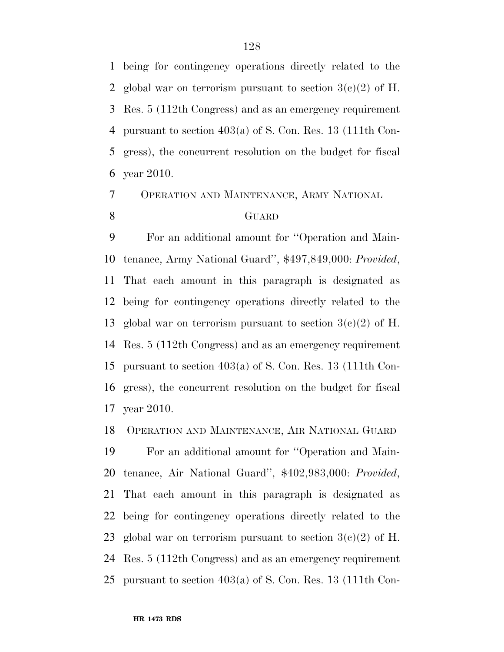being for contingency operations directly related to the 2 global war on terrorism pursuant to section  $3(c)(2)$  of H. Res. 5 (112th Congress) and as an emergency requirement pursuant to section 403(a) of S. Con. Res. 13 (111th Con- gress), the concurrent resolution on the budget for fiscal year 2010.

OPERATION AND MAINTENANCE, ARMY NATIONAL

## GUARD

 For an additional amount for ''Operation and Main- tenance, Army National Guard'', \$497,849,000: *Provided*, That each amount in this paragraph is designated as being for contingency operations directly related to the 13 global war on terrorism pursuant to section  $3(c)(2)$  of H. Res. 5 (112th Congress) and as an emergency requirement pursuant to section 403(a) of S. Con. Res. 13 (111th Con- gress), the concurrent resolution on the budget for fiscal year 2010.

OPERATION AND MAINTENANCE, AIR NATIONAL GUARD

 For an additional amount for ''Operation and Main- tenance, Air National Guard'', \$402,983,000: *Provided*, That each amount in this paragraph is designated as being for contingency operations directly related to the 23 global war on terrorism pursuant to section  $3(c)(2)$  of H. Res. 5 (112th Congress) and as an emergency requirement pursuant to section 403(a) of S. Con. Res. 13 (111th Con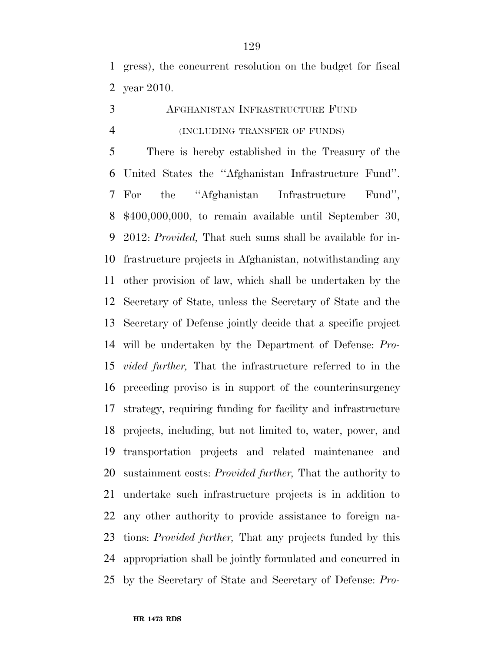gress), the concurrent resolution on the budget for fiscal year 2010.

## AFGHANISTAN INFRASTRUCTURE FUND (INCLUDING TRANSFER OF FUNDS)

 There is hereby established in the Treasury of the United States the ''Afghanistan Infrastructure Fund''. For the ''Afghanistan Infrastructure Fund'', \$400,000,000, to remain available until September 30, 2012: *Provided,* That such sums shall be available for in- frastructure projects in Afghanistan, notwithstanding any other provision of law, which shall be undertaken by the Secretary of State, unless the Secretary of State and the Secretary of Defense jointly decide that a specific project will be undertaken by the Department of Defense: *Pro- vided further,* That the infrastructure referred to in the preceding proviso is in support of the counterinsurgency strategy, requiring funding for facility and infrastructure projects, including, but not limited to, water, power, and transportation projects and related maintenance and sustainment costs: *Provided further,* That the authority to undertake such infrastructure projects is in addition to any other authority to provide assistance to foreign na- tions: *Provided further,* That any projects funded by this appropriation shall be jointly formulated and concurred in by the Secretary of State and Secretary of Defense: *Pro-*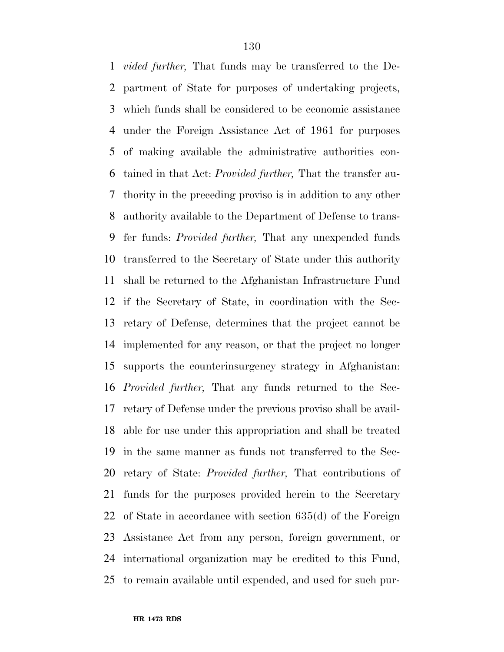*vided further,* That funds may be transferred to the De- partment of State for purposes of undertaking projects, which funds shall be considered to be economic assistance under the Foreign Assistance Act of 1961 for purposes of making available the administrative authorities con- tained in that Act: *Provided further,* That the transfer au- thority in the preceding proviso is in addition to any other authority available to the Department of Defense to trans- fer funds: *Provided further,* That any unexpended funds transferred to the Secretary of State under this authority shall be returned to the Afghanistan Infrastructure Fund if the Secretary of State, in coordination with the Sec- retary of Defense, determines that the project cannot be implemented for any reason, or that the project no longer supports the counterinsurgency strategy in Afghanistan: *Provided further,* That any funds returned to the Sec- retary of Defense under the previous proviso shall be avail- able for use under this appropriation and shall be treated in the same manner as funds not transferred to the Sec- retary of State: *Provided further,* That contributions of funds for the purposes provided herein to the Secretary of State in accordance with section 635(d) of the Foreign Assistance Act from any person, foreign government, or international organization may be credited to this Fund, to remain available until expended, and used for such pur-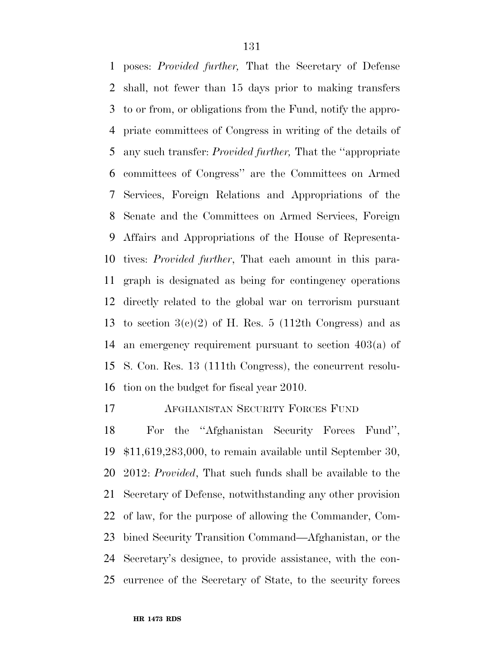poses: *Provided further,* That the Secretary of Defense shall, not fewer than 15 days prior to making transfers to or from, or obligations from the Fund, notify the appro- priate committees of Congress in writing of the details of any such transfer: *Provided further,* That the ''appropriate committees of Congress'' are the Committees on Armed Services, Foreign Relations and Appropriations of the Senate and the Committees on Armed Services, Foreign Affairs and Appropriations of the House of Representa- tives: *Provided further*, That each amount in this para- graph is designated as being for contingency operations directly related to the global war on terrorism pursuant 13 to section  $3(e)(2)$  of H. Res. 5 (112th Congress) and as an emergency requirement pursuant to section 403(a) of S. Con. Res. 13 (111th Congress), the concurrent resolu-tion on the budget for fiscal year 2010.

AFGHANISTAN SECURITY FORCES FUND

 For the ''Afghanistan Security Forces Fund'', \$11,619,283,000, to remain available until September 30, 2012: *Provided*, That such funds shall be available to the Secretary of Defense, notwithstanding any other provision of law, for the purpose of allowing the Commander, Com- bined Security Transition Command—Afghanistan, or the Secretary's designee, to provide assistance, with the con-currence of the Secretary of State, to the security forces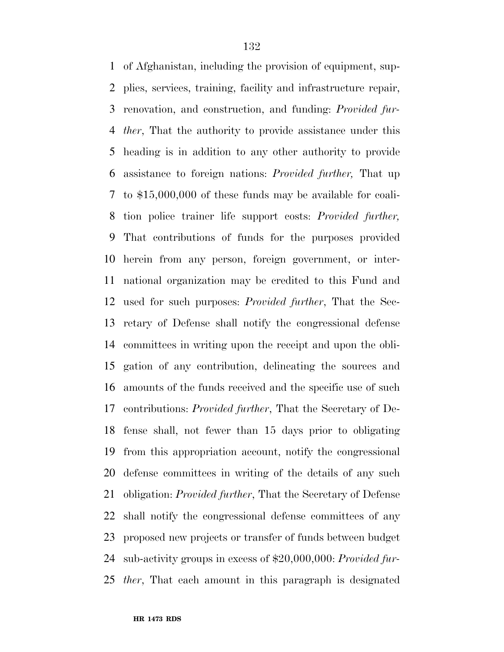of Afghanistan, including the provision of equipment, sup- plies, services, training, facility and infrastructure repair, renovation, and construction, and funding: *Provided fur- ther*, That the authority to provide assistance under this heading is in addition to any other authority to provide assistance to foreign nations: *Provided further,* That up to \$15,000,000 of these funds may be available for coali- tion police trainer life support costs: *Provided further,*  That contributions of funds for the purposes provided herein from any person, foreign government, or inter- national organization may be credited to this Fund and used for such purposes: *Provided further*, That the Sec- retary of Defense shall notify the congressional defense committees in writing upon the receipt and upon the obli- gation of any contribution, delineating the sources and amounts of the funds received and the specific use of such contributions: *Provided further*, That the Secretary of De- fense shall, not fewer than 15 days prior to obligating from this appropriation account, notify the congressional defense committees in writing of the details of any such obligation: *Provided further*, That the Secretary of Defense shall notify the congressional defense committees of any proposed new projects or transfer of funds between budget sub-activity groups in excess of \$20,000,000: *Provided fur-ther*, That each amount in this paragraph is designated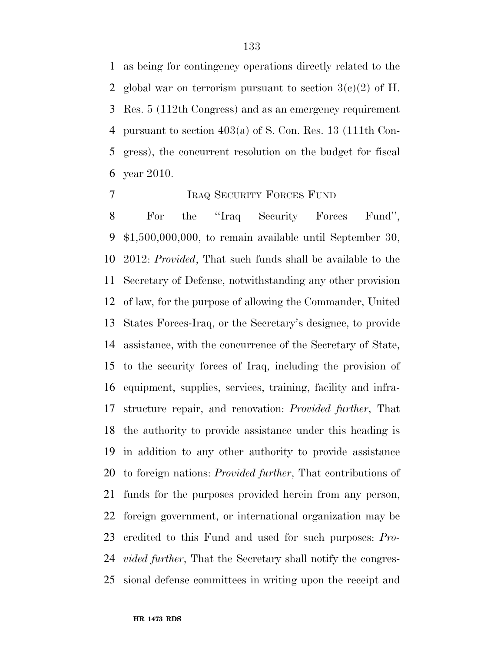as being for contingency operations directly related to the 2 global war on terrorism pursuant to section  $3(e)(2)$  of H. Res. 5 (112th Congress) and as an emergency requirement pursuant to section 403(a) of S. Con. Res. 13 (111th Con- gress), the concurrent resolution on the budget for fiscal year 2010.

### IRAQ SECURITY FORCES FUND

 For the ''Iraq Security Forces Fund'', \$1,500,000,000, to remain available until September 30, 2012: *Provided*, That such funds shall be available to the Secretary of Defense, notwithstanding any other provision of law, for the purpose of allowing the Commander, United States Forces-Iraq, or the Secretary's designee, to provide assistance, with the concurrence of the Secretary of State, to the security forces of Iraq, including the provision of equipment, supplies, services, training, facility and infra- structure repair, and renovation: *Provided further*, That the authority to provide assistance under this heading is in addition to any other authority to provide assistance to foreign nations: *Provided further*, That contributions of funds for the purposes provided herein from any person, foreign government, or international organization may be credited to this Fund and used for such purposes: *Pro- vided further*, That the Secretary shall notify the congres-sional defense committees in writing upon the receipt and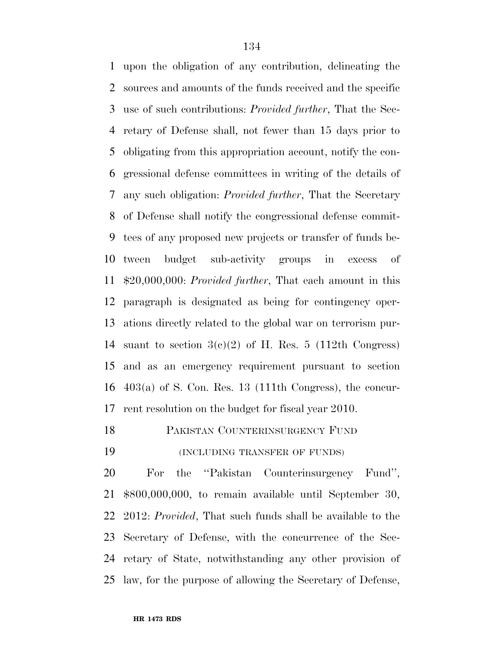upon the obligation of any contribution, delineating the sources and amounts of the funds received and the specific use of such contributions: *Provided further*, That the Sec- retary of Defense shall, not fewer than 15 days prior to obligating from this appropriation account, notify the con- gressional defense committees in writing of the details of any such obligation: *Provided further*, That the Secretary of Defense shall notify the congressional defense commit- tees of any proposed new projects or transfer of funds be- tween budget sub-activity groups in excess of \$20,000,000: *Provided further*, That each amount in this paragraph is designated as being for contingency oper- ations directly related to the global war on terrorism pur-14 suant to section  $3(c)(2)$  of H. Res. 5 (112th Congress) and as an emergency requirement pursuant to section 403(a) of S. Con. Res. 13 (111th Congress), the concur-rent resolution on the budget for fiscal year 2010.

PAKISTAN COUNTERINSURGENCY FUND

(INCLUDING TRANSFER OF FUNDS)

 For the ''Pakistan Counterinsurgency Fund'', \$800,000,000, to remain available until September 30, 2012: *Provided*, That such funds shall be available to the Secretary of Defense, with the concurrence of the Sec- retary of State, notwithstanding any other provision of law, for the purpose of allowing the Secretary of Defense,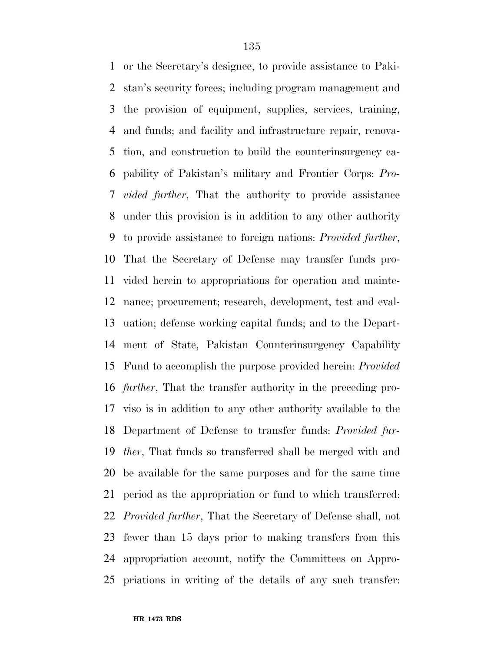or the Secretary's designee, to provide assistance to Paki- stan's security forces; including program management and the provision of equipment, supplies, services, training, and funds; and facility and infrastructure repair, renova- tion, and construction to build the counterinsurgency ca- pability of Pakistan's military and Frontier Corps: *Pro- vided further*, That the authority to provide assistance under this provision is in addition to any other authority to provide assistance to foreign nations: *Provided further*, That the Secretary of Defense may transfer funds pro- vided herein to appropriations for operation and mainte- nance; procurement; research, development, test and eval- uation; defense working capital funds; and to the Depart- ment of State, Pakistan Counterinsurgency Capability Fund to accomplish the purpose provided herein: *Provided further*, That the transfer authority in the preceding pro- viso is in addition to any other authority available to the Department of Defense to transfer funds: *Provided fur- ther*, That funds so transferred shall be merged with and be available for the same purposes and for the same time period as the appropriation or fund to which transferred: *Provided further*, That the Secretary of Defense shall, not fewer than 15 days prior to making transfers from this appropriation account, notify the Committees on Appro-priations in writing of the details of any such transfer: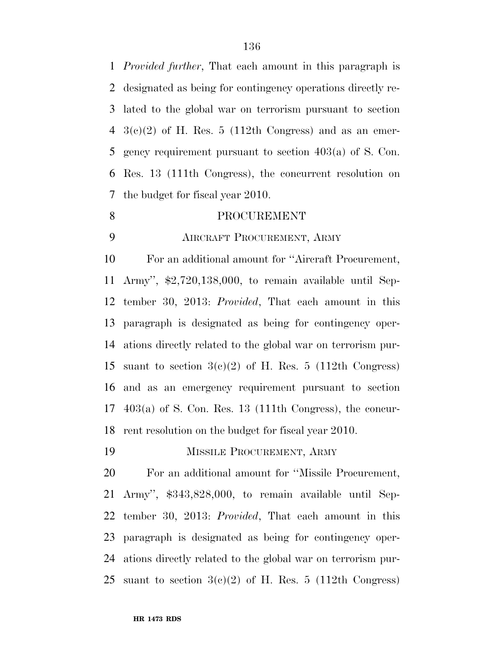*Provided further*, That each amount in this paragraph is designated as being for contingency operations directly re- lated to the global war on terrorism pursuant to section  $4 \text{ } 3(e)(2)$  of H. Res. 5 (112th Congress) and as an emer- gency requirement pursuant to section 403(a) of S. Con. Res. 13 (111th Congress), the concurrent resolution on the budget for fiscal year 2010.

### 8 PROCUREMENT

### AIRCRAFT PROCUREMENT, ARMY

 For an additional amount for ''Aircraft Procurement, Army'', \$2,720,138,000, to remain available until Sep- tember 30, 2013: *Provided*, That each amount in this paragraph is designated as being for contingency oper- ations directly related to the global war on terrorism pur-15 suant to section  $3(c)(2)$  of H. Res. 5 (112th Congress) and as an emergency requirement pursuant to section 403(a) of S. Con. Res. 13 (111th Congress), the concur-rent resolution on the budget for fiscal year 2010.

MISSILE PROCUREMENT, ARMY

 For an additional amount for ''Missile Procurement, Army'', \$343,828,000, to remain available until Sep- tember 30, 2013: *Provided*, That each amount in this paragraph is designated as being for contingency oper- ations directly related to the global war on terrorism pur-25 suant to section  $3(e)(2)$  of H. Res. 5 (112th Congress)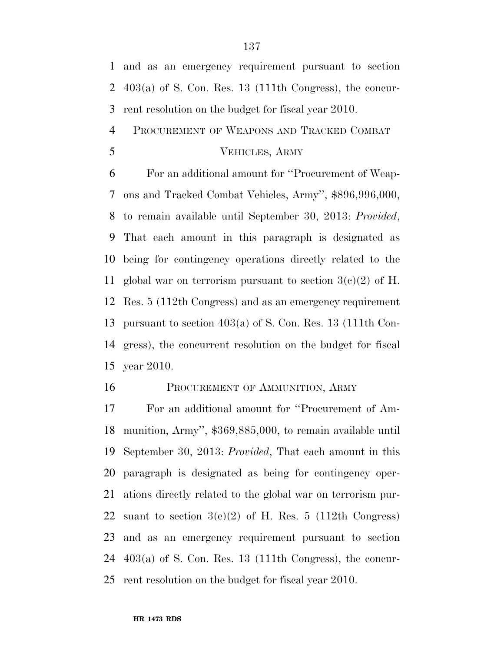and as an emergency requirement pursuant to section 403(a) of S. Con. Res. 13 (111th Congress), the concur-rent resolution on the budget for fiscal year 2010.

PROCUREMENT OF WEAPONS AND TRACKED COMBAT

### VEHICLES, ARMY

 For an additional amount for ''Procurement of Weap- ons and Tracked Combat Vehicles, Army'', \$896,996,000, to remain available until September 30, 2013: *Provided*, That each amount in this paragraph is designated as being for contingency operations directly related to the 11 global war on terrorism pursuant to section  $3(c)(2)$  of H. Res. 5 (112th Congress) and as an emergency requirement pursuant to section 403(a) of S. Con. Res. 13 (111th Con- gress), the concurrent resolution on the budget for fiscal year 2010.

### 16 PROCUREMENT OF AMMUNITION, ARMY

 For an additional amount for ''Procurement of Am- munition, Army'', \$369,885,000, to remain available until September 30, 2013: *Provided*, That each amount in this paragraph is designated as being for contingency oper- ations directly related to the global war on terrorism pur-22 suant to section  $3(e)(2)$  of H. Res. 5 (112th Congress) and as an emergency requirement pursuant to section 403(a) of S. Con. Res. 13 (111th Congress), the concur-rent resolution on the budget for fiscal year 2010.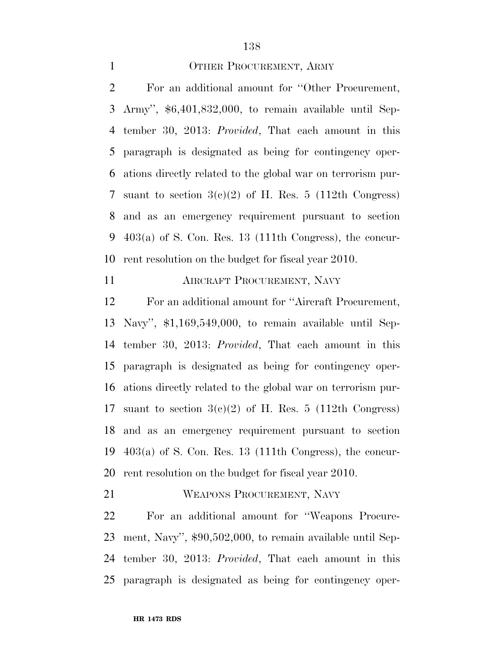### 1 OTHER PROCUREMENT, ARMY

 For an additional amount for ''Other Procurement, Army'', \$6,401,832,000, to remain available until Sep- tember 30, 2013: *Provided*, That each amount in this paragraph is designated as being for contingency oper- ations directly related to the global war on terrorism pur-7 suant to section  $3(c)(2)$  of H. Res. 5 (112th Congress) and as an emergency requirement pursuant to section 403(a) of S. Con. Res. 13 (111th Congress), the concur-rent resolution on the budget for fiscal year 2010.

**AIRCRAFT PROCUREMENT, NAVY** 

 For an additional amount for ''Aircraft Procurement, Navy'', \$1,169,549,000, to remain available until Sep- tember 30, 2013: *Provided*, That each amount in this paragraph is designated as being for contingency oper- ations directly related to the global war on terrorism pur-17 suant to section  $3(c)(2)$  of H. Res. 5 (112th Congress) and as an emergency requirement pursuant to section 403(a) of S. Con. Res. 13 (111th Congress), the concur-rent resolution on the budget for fiscal year 2010.

WEAPONS PROCUREMENT, NAVY

 For an additional amount for ''Weapons Procure- ment, Navy'', \$90,502,000, to remain available until Sep- tember 30, 2013: *Provided*, That each amount in this paragraph is designated as being for contingency oper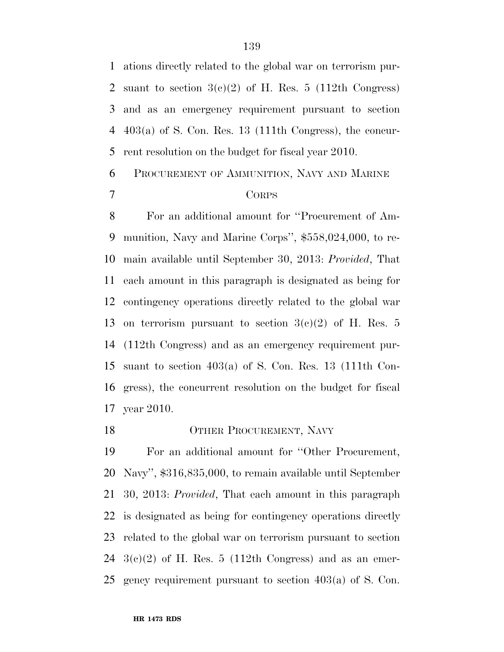ations directly related to the global war on terrorism pur-2 suant to section  $3(c)(2)$  of H. Res. 5 (112th Congress) and as an emergency requirement pursuant to section 403(a) of S. Con. Res. 13 (111th Congress), the concur-rent resolution on the budget for fiscal year 2010.

## PROCUREMENT OF AMMUNITION, NAVY AND MARINE CORPS

 For an additional amount for ''Procurement of Am- munition, Navy and Marine Corps'', \$558,024,000, to re- main available until September 30, 2013: *Provided*, That each amount in this paragraph is designated as being for contingency operations directly related to the global war 13 on terrorism pursuant to section  $3(e)(2)$  of H. Res. 5 (112th Congress) and as an emergency requirement pur- suant to section 403(a) of S. Con. Res. 13 (111th Con- gress), the concurrent resolution on the budget for fiscal year 2010.

### 18 OTHER PROCUREMENT, NAVY

 For an additional amount for ''Other Procurement, Navy'', \$316,835,000, to remain available until September 30, 2013: *Provided*, That each amount in this paragraph is designated as being for contingency operations directly related to the global war on terrorism pursuant to section  $3(c)(2)$  of H. Res. 5 (112th Congress) and as an emer-gency requirement pursuant to section 403(a) of S. Con.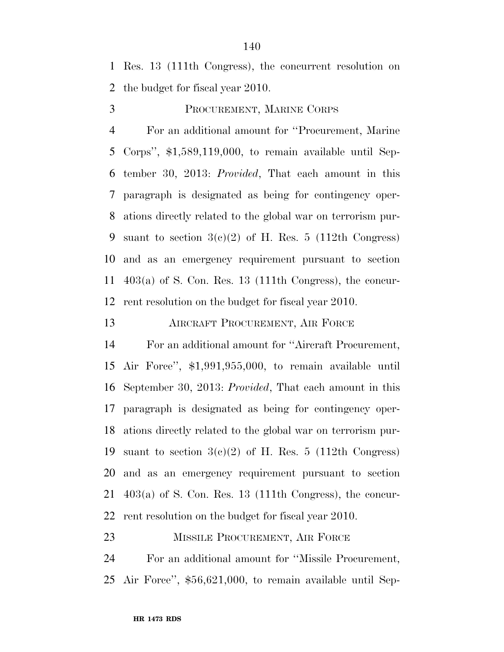Res. 13 (111th Congress), the concurrent resolution on the budget for fiscal year 2010.

PROCUREMENT, MARINE CORPS

 For an additional amount for ''Procurement, Marine Corps'', \$1,589,119,000, to remain available until Sep- tember 30, 2013: *Provided*, That each amount in this paragraph is designated as being for contingency oper- ations directly related to the global war on terrorism pur-9 suant to section  $3(c)(2)$  of H. Res. 5 (112th Congress) and as an emergency requirement pursuant to section 403(a) of S. Con. Res. 13 (111th Congress), the concur-rent resolution on the budget for fiscal year 2010.

AIRCRAFT PROCUREMENT, AIR FORCE

 For an additional amount for ''Aircraft Procurement, Air Force'', \$1,991,955,000, to remain available until September 30, 2013: *Provided*, That each amount in this paragraph is designated as being for contingency oper- ations directly related to the global war on terrorism pur-19 suant to section  $3(c)(2)$  of H. Res. 5 (112th Congress) and as an emergency requirement pursuant to section 403(a) of S. Con. Res. 13 (111th Congress), the concur-rent resolution on the budget for fiscal year 2010.

23 MISSILE PROCUREMENT, AIR FORCE

 For an additional amount for ''Missile Procurement, Air Force'', \$56,621,000, to remain available until Sep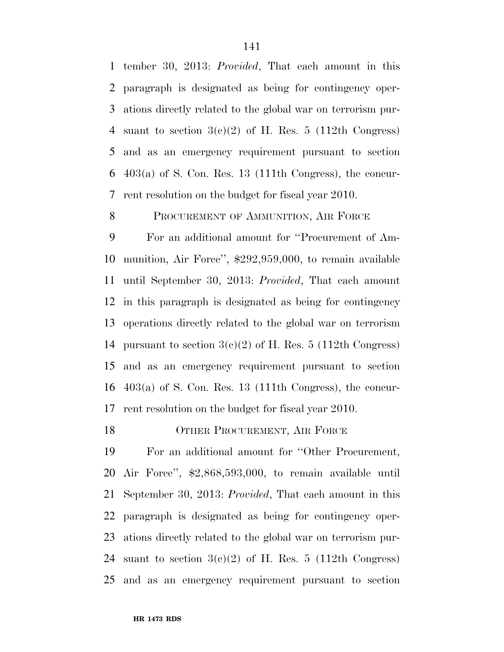tember 30, 2013: *Provided*, That each amount in this paragraph is designated as being for contingency oper- ations directly related to the global war on terrorism pur-4 suant to section  $3(c)(2)$  of H. Res. 5 (112th Congress) and as an emergency requirement pursuant to section 403(a) of S. Con. Res. 13 (111th Congress), the concur-rent resolution on the budget for fiscal year 2010.

### 8 PROCUREMENT OF AMMUNITION, AIR FORCE

 For an additional amount for ''Procurement of Am- munition, Air Force'', \$292,959,000, to remain available until September 30, 2013: *Provided*, That each amount in this paragraph is designated as being for contingency operations directly related to the global war on terrorism 14 pursuant to section  $3(c)(2)$  of H. Res. 5 (112th Congress) and as an emergency requirement pursuant to section 403(a) of S. Con. Res. 13 (111th Congress), the concur-rent resolution on the budget for fiscal year 2010.

18 OTHER PROCUREMENT, AIR FORCE

 For an additional amount for ''Other Procurement, Air Force'', \$2,868,593,000, to remain available until September 30, 2013: *Provided*, That each amount in this paragraph is designated as being for contingency oper- ations directly related to the global war on terrorism pur-24 suant to section  $3(c)(2)$  of H. Res. 5 (112th Congress) and as an emergency requirement pursuant to section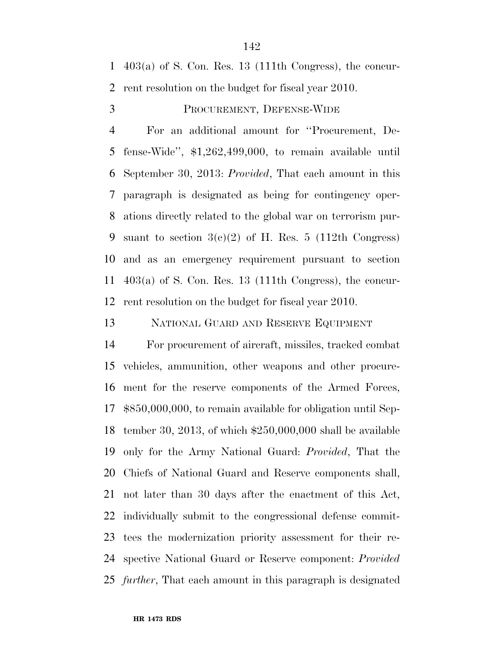403(a) of S. Con. Res. 13 (111th Congress), the concur-rent resolution on the budget for fiscal year 2010.

PROCUREMENT, DEFENSE-WIDE

 For an additional amount for ''Procurement, De- fense-Wide'', \$1,262,499,000, to remain available until September 30, 2013: *Provided*, That each amount in this paragraph is designated as being for contingency oper- ations directly related to the global war on terrorism pur-9 suant to section  $3(c)(2)$  of H. Res. 5 (112th Congress) and as an emergency requirement pursuant to section 403(a) of S. Con. Res. 13 (111th Congress), the concur-rent resolution on the budget for fiscal year 2010.

NATIONAL GUARD AND RESERVE EQUIPMENT

 For procurement of aircraft, missiles, tracked combat vehicles, ammunition, other weapons and other procure- ment for the reserve components of the Armed Forces, \$850,000,000, to remain available for obligation until Sep- tember 30, 2013, of which \$250,000,000 shall be available only for the Army National Guard: *Provided*, That the Chiefs of National Guard and Reserve components shall, not later than 30 days after the enactment of this Act, individually submit to the congressional defense commit- tees the modernization priority assessment for their re- spective National Guard or Reserve component: *Provided further*, That each amount in this paragraph is designated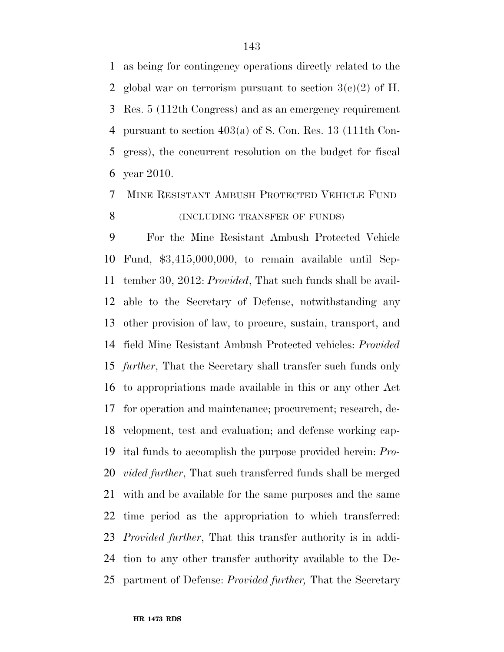as being for contingency operations directly related to the 2 global war on terrorism pursuant to section  $3(c)(2)$  of H. Res. 5 (112th Congress) and as an emergency requirement pursuant to section 403(a) of S. Con. Res. 13 (111th Con- gress), the concurrent resolution on the budget for fiscal year 2010.

# MINE RESISTANT AMBUSH PROTECTED VEHICLE FUND **(INCLUDING TRANSFER OF FUNDS)**

 For the Mine Resistant Ambush Protected Vehicle Fund, \$3,415,000,000, to remain available until Sep- tember 30, 2012: *Provided*, That such funds shall be avail- able to the Secretary of Defense, notwithstanding any other provision of law, to procure, sustain, transport, and field Mine Resistant Ambush Protected vehicles: *Provided further*, That the Secretary shall transfer such funds only to appropriations made available in this or any other Act for operation and maintenance; procurement; research, de- velopment, test and evaluation; and defense working cap- ital funds to accomplish the purpose provided herein: *Pro- vided further*, That such transferred funds shall be merged with and be available for the same purposes and the same time period as the appropriation to which transferred: *Provided further*, That this transfer authority is in addi- tion to any other transfer authority available to the De-partment of Defense: *Provided further,* That the Secretary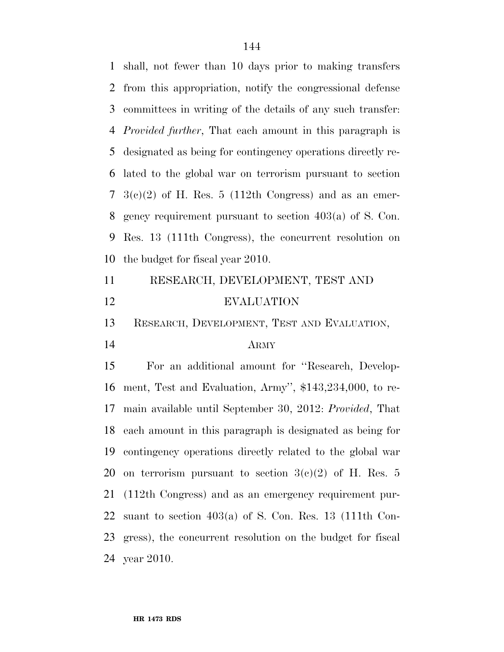shall, not fewer than 10 days prior to making transfers from this appropriation, notify the congressional defense committees in writing of the details of any such transfer: *Provided further*, That each amount in this paragraph is designated as being for contingency operations directly re- lated to the global war on terrorism pursuant to section  $7 \text{ } 3(e)(2)$  of H. Res. 5 (112th Congress) and as an emer- gency requirement pursuant to section 403(a) of S. Con. Res. 13 (111th Congress), the concurrent resolution on the budget for fiscal year 2010.

| 11 | RESEARCH, DEVELOPMENT, TEST AND |
|----|---------------------------------|
| 12 | <b>EVALUATION</b>               |

RESEARCH, DEVELOPMENT, TEST AND EVALUATION,

## ARMY

 For an additional amount for ''Research, Develop- ment, Test and Evaluation, Army'', \$143,234,000, to re- main available until September 30, 2012: *Provided*, That each amount in this paragraph is designated as being for contingency operations directly related to the global war 20 on terrorism pursuant to section  $3(e)(2)$  of H. Res. 5 (112th Congress) and as an emergency requirement pur-22 suant to section  $403(a)$  of S. Con. Res. 13 (111th Con- gress), the concurrent resolution on the budget for fiscal year 2010.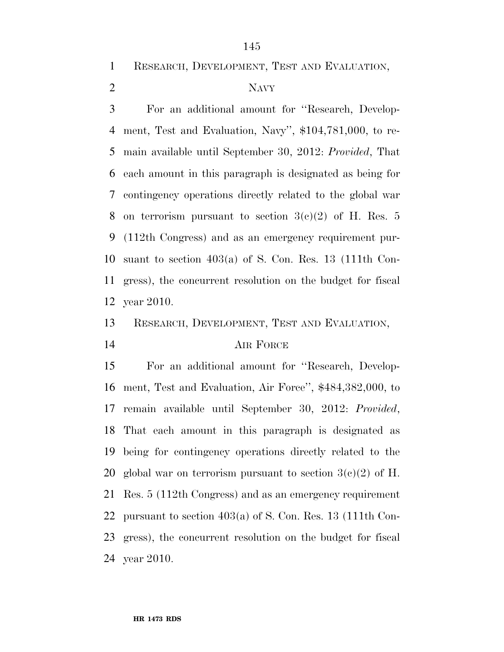RESEARCH, DEVELOPMENT, TEST AND EVALUATION,

## NAVY

 For an additional amount for ''Research, Develop- ment, Test and Evaluation, Navy'', \$104,781,000, to re- main available until September 30, 2012: *Provided*, That each amount in this paragraph is designated as being for contingency operations directly related to the global war 8 on terrorism pursuant to section  $3(c)(2)$  of H. Res. 5 (112th Congress) and as an emergency requirement pur- suant to section 403(a) of S. Con. Res. 13 (111th Con- gress), the concurrent resolution on the budget for fiscal year 2010.

RESEARCH, DEVELOPMENT, TEST AND EVALUATION,

## AIR FORCE

 For an additional amount for ''Research, Develop- ment, Test and Evaluation, Air Force'', \$484,382,000, to remain available until September 30, 2012: *Provided*, That each amount in this paragraph is designated as being for contingency operations directly related to the 20 global war on terrorism pursuant to section  $3(c)(2)$  of H. Res. 5 (112th Congress) and as an emergency requirement pursuant to section 403(a) of S. Con. Res. 13 (111th Con- gress), the concurrent resolution on the budget for fiscal year 2010.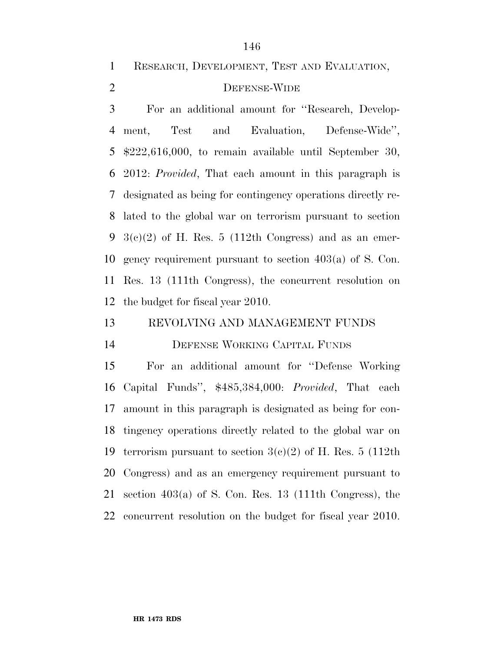RESEARCH, DEVELOPMENT, TEST AND EVALUATION,

## DEFENSE-WIDE

 For an additional amount for ''Research, Develop- ment, Test and Evaluation, Defense-Wide'', \$222,616,000, to remain available until September 30, 2012: *Provided*, That each amount in this paragraph is designated as being for contingency operations directly re- lated to the global war on terrorism pursuant to section  $3(c)(2)$  of H. Res. 5 (112th Congress) and as an emer- gency requirement pursuant to section 403(a) of S. Con. Res. 13 (111th Congress), the concurrent resolution on the budget for fiscal year 2010.

REVOLVING AND MANAGEMENT FUNDS

DEFENSE WORKING CAPITAL FUNDS

 For an additional amount for ''Defense Working Capital Funds'', \$485,384,000: *Provided*, That each amount in this paragraph is designated as being for con- tingency operations directly related to the global war on 19 terrorism pursuant to section  $3(c)(2)$  of H. Res. 5 (112th Congress) and as an emergency requirement pursuant to section 403(a) of S. Con. Res. 13 (111th Congress), the concurrent resolution on the budget for fiscal year 2010.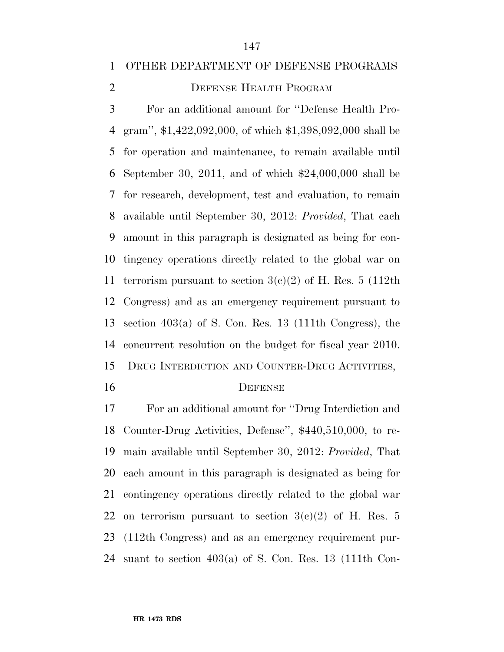### OTHER DEPARTMENT OF DEFENSE PROGRAMS

## 2 DEFENSE HEALTH PROGRAM

 For an additional amount for ''Defense Health Pro- gram'', \$1,422,092,000, of which \$1,398,092,000 shall be for operation and maintenance, to remain available until September 30, 2011, and of which \$24,000,000 shall be for research, development, test and evaluation, to remain available until September 30, 2012: *Provided*, That each amount in this paragraph is designated as being for con- tingency operations directly related to the global war on 11 terrorism pursuant to section  $3(c)(2)$  of H. Res. 5 (112th Congress) and as an emergency requirement pursuant to section 403(a) of S. Con. Res. 13 (111th Congress), the concurrent resolution on the budget for fiscal year 2010. DRUG INTERDICTION AND COUNTER-DRUG ACTIVITIES,

### DEFENSE

 For an additional amount for ''Drug Interdiction and Counter-Drug Activities, Defense'', \$440,510,000, to re- main available until September 30, 2012: *Provided*, That each amount in this paragraph is designated as being for contingency operations directly related to the global war 22 on terrorism pursuant to section  $3(e)(2)$  of H. Res. 5 (112th Congress) and as an emergency requirement pur-suant to section 403(a) of S. Con. Res. 13 (111th Con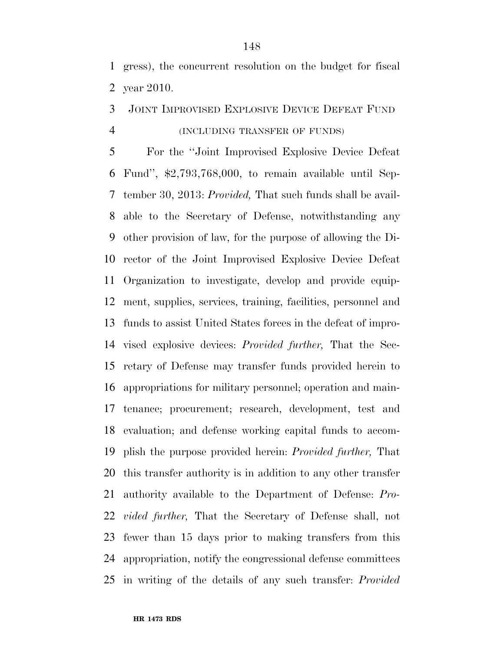gress), the concurrent resolution on the budget for fiscal year 2010.

## JOINT IMPROVISED EXPLOSIVE DEVICE DEFEAT FUND (INCLUDING TRANSFER OF FUNDS)

 For the ''Joint Improvised Explosive Device Defeat Fund'', \$2,793,768,000, to remain available until Sep- tember 30, 2013: *Provided,* That such funds shall be avail- able to the Secretary of Defense, notwithstanding any other provision of law, for the purpose of allowing the Di- rector of the Joint Improvised Explosive Device Defeat Organization to investigate, develop and provide equip- ment, supplies, services, training, facilities, personnel and funds to assist United States forces in the defeat of impro- vised explosive devices: *Provided further,* That the Sec- retary of Defense may transfer funds provided herein to appropriations for military personnel; operation and main- tenance; procurement; research, development, test and evaluation; and defense working capital funds to accom- plish the purpose provided herein: *Provided further,* That this transfer authority is in addition to any other transfer authority available to the Department of Defense: *Pro- vided further,* That the Secretary of Defense shall, not fewer than 15 days prior to making transfers from this appropriation, notify the congressional defense committees in writing of the details of any such transfer: *Provided*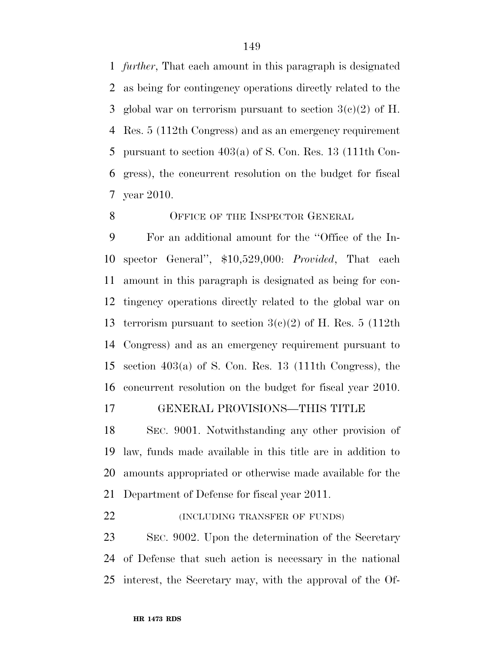*further*, That each amount in this paragraph is designated as being for contingency operations directly related to the 3 global war on terrorism pursuant to section  $3(c)(2)$  of H. Res. 5 (112th Congress) and as an emergency requirement pursuant to section 403(a) of S. Con. Res. 13 (111th Con- gress), the concurrent resolution on the budget for fiscal year 2010.

#### 8 OFFICE OF THE INSPECTOR GENERAL

 For an additional amount for the ''Office of the In- spector General'', \$10,529,000: *Provided*, That each amount in this paragraph is designated as being for con- tingency operations directly related to the global war on 13 terrorism pursuant to section  $3(c)(2)$  of H. Res. 5 (112th Congress) and as an emergency requirement pursuant to section 403(a) of S. Con. Res. 13 (111th Congress), the concurrent resolution on the budget for fiscal year 2010.

## GENERAL PROVISIONS—THIS TITLE

 SEC. 9001. Notwithstanding any other provision of law, funds made available in this title are in addition to amounts appropriated or otherwise made available for the Department of Defense for fiscal year 2011.

**(INCLUDING TRANSFER OF FUNDS)** 

 SEC. 9002. Upon the determination of the Secretary of Defense that such action is necessary in the national interest, the Secretary may, with the approval of the Of-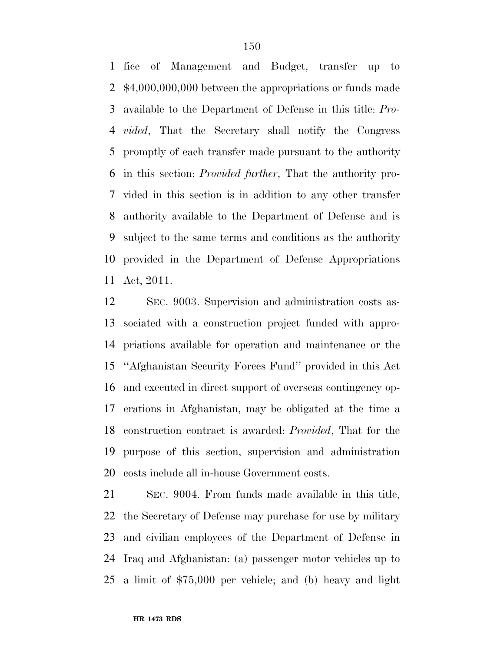fice of Management and Budget, transfer up to \$4,000,000,000 between the appropriations or funds made available to the Department of Defense in this title: *Pro- vided*, That the Secretary shall notify the Congress promptly of each transfer made pursuant to the authority in this section: *Provided further*, That the authority pro- vided in this section is in addition to any other transfer authority available to the Department of Defense and is subject to the same terms and conditions as the authority provided in the Department of Defense Appropriations Act, 2011.

 SEC. 9003. Supervision and administration costs as- sociated with a construction project funded with appro- priations available for operation and maintenance or the ''Afghanistan Security Forces Fund'' provided in this Act and executed in direct support of overseas contingency op- erations in Afghanistan, may be obligated at the time a construction contract is awarded: *Provided*, That for the purpose of this section, supervision and administration costs include all in-house Government costs.

 SEC. 9004. From funds made available in this title, the Secretary of Defense may purchase for use by military and civilian employees of the Department of Defense in Iraq and Afghanistan: (a) passenger motor vehicles up to a limit of \$75,000 per vehicle; and (b) heavy and light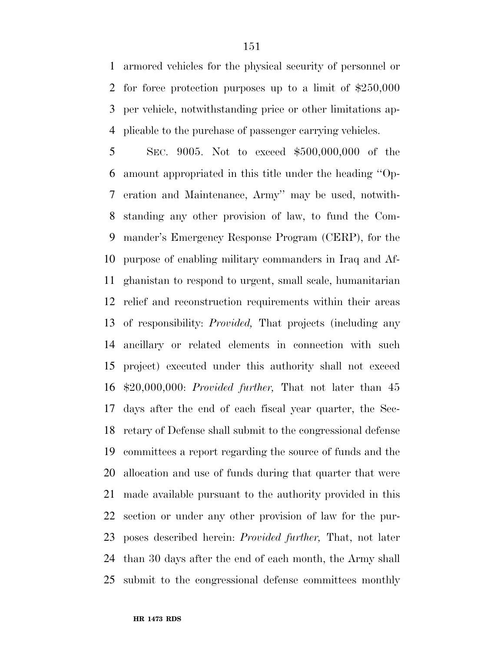armored vehicles for the physical security of personnel or for force protection purposes up to a limit of \$250,000 per vehicle, notwithstanding price or other limitations ap-plicable to the purchase of passenger carrying vehicles.

 SEC. 9005. Not to exceed \$500,000,000 of the amount appropriated in this title under the heading ''Op- eration and Maintenance, Army'' may be used, notwith- standing any other provision of law, to fund the Com- mander's Emergency Response Program (CERP), for the purpose of enabling military commanders in Iraq and Af- ghanistan to respond to urgent, small scale, humanitarian relief and reconstruction requirements within their areas of responsibility: *Provided,* That projects (including any ancillary or related elements in connection with such project) executed under this authority shall not exceed \$20,000,000: *Provided further,* That not later than 45 days after the end of each fiscal year quarter, the Sec- retary of Defense shall submit to the congressional defense committees a report regarding the source of funds and the allocation and use of funds during that quarter that were made available pursuant to the authority provided in this section or under any other provision of law for the pur- poses described herein: *Provided further,* That, not later than 30 days after the end of each month, the Army shall submit to the congressional defense committees monthly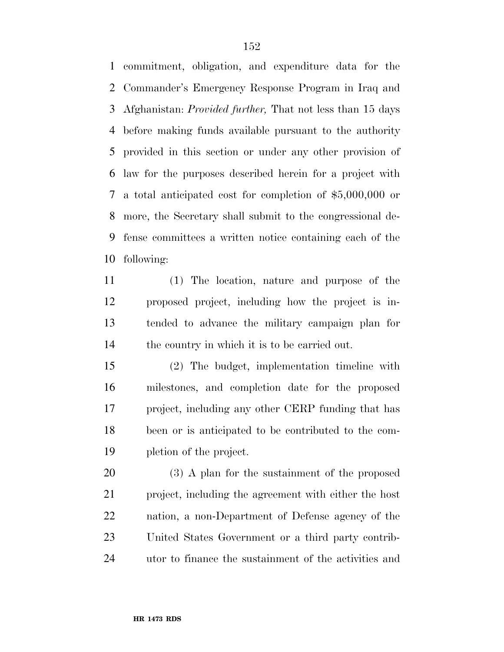commitment, obligation, and expenditure data for the Commander's Emergency Response Program in Iraq and Afghanistan: *Provided further,* That not less than 15 days before making funds available pursuant to the authority provided in this section or under any other provision of law for the purposes described herein for a project with a total anticipated cost for completion of \$5,000,000 or more, the Secretary shall submit to the congressional de- fense committees a written notice containing each of the following:

 (1) The location, nature and purpose of the proposed project, including how the project is in- tended to advance the military campaign plan for the country in which it is to be carried out.

 (2) The budget, implementation timeline with milestones, and completion date for the proposed project, including any other CERP funding that has been or is anticipated to be contributed to the com-pletion of the project.

 (3) A plan for the sustainment of the proposed project, including the agreement with either the host nation, a non-Department of Defense agency of the United States Government or a third party contrib-utor to finance the sustainment of the activities and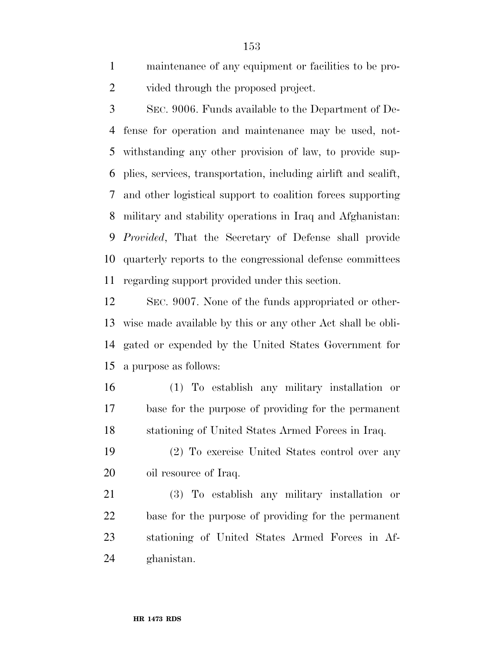maintenance of any equipment or facilities to be pro-2 vided through the proposed project.

 SEC. 9006. Funds available to the Department of De- fense for operation and maintenance may be used, not- withstanding any other provision of law, to provide sup- plies, services, transportation, including airlift and sealift, and other logistical support to coalition forces supporting military and stability operations in Iraq and Afghanistan: *Provided*, That the Secretary of Defense shall provide quarterly reports to the congressional defense committees regarding support provided under this section.

 SEC. 9007. None of the funds appropriated or other- wise made available by this or any other Act shall be obli- gated or expended by the United States Government for a purpose as follows:

 (1) To establish any military installation or base for the purpose of providing for the permanent stationing of United States Armed Forces in Iraq.

 (2) To exercise United States control over any 20 oil resource of Iraq.

 (3) To establish any military installation or base for the purpose of providing for the permanent stationing of United States Armed Forces in Af-ghanistan.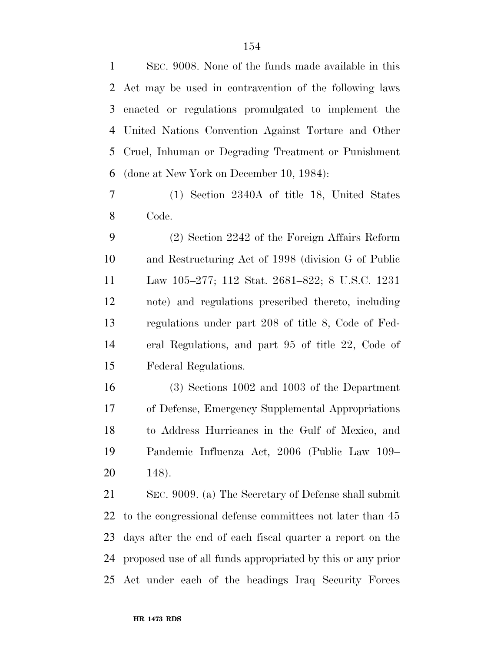SEC. 9008. None of the funds made available in this Act may be used in contravention of the following laws enacted or regulations promulgated to implement the United Nations Convention Against Torture and Other Cruel, Inhuman or Degrading Treatment or Punishment (done at New York on December 10, 1984):

 (1) Section 2340A of title 18, United States Code.

 (2) Section 2242 of the Foreign Affairs Reform and Restructuring Act of 1998 (division G of Public Law 105–277; 112 Stat. 2681–822; 8 U.S.C. 1231 note) and regulations prescribed thereto, including regulations under part 208 of title 8, Code of Fed- eral Regulations, and part 95 of title 22, Code of Federal Regulations.

 (3) Sections 1002 and 1003 of the Department of Defense, Emergency Supplemental Appropriations to Address Hurricanes in the Gulf of Mexico, and Pandemic Influenza Act, 2006 (Public Law 109– 148).

 SEC. 9009. (a) The Secretary of Defense shall submit to the congressional defense committees not later than 45 days after the end of each fiscal quarter a report on the proposed use of all funds appropriated by this or any prior Act under each of the headings Iraq Security Forces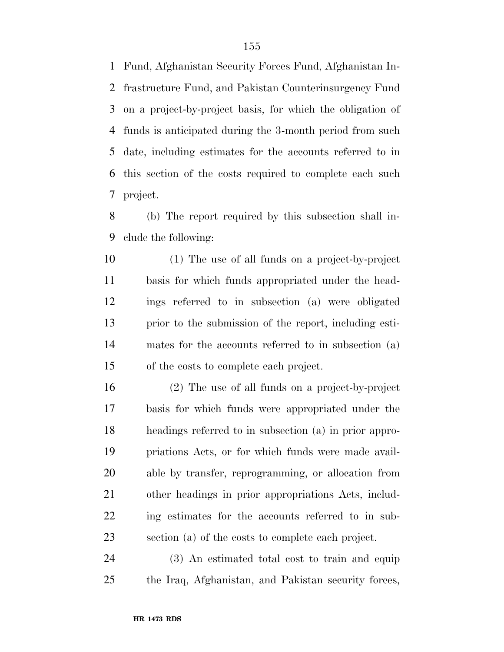Fund, Afghanistan Security Forces Fund, Afghanistan In- frastructure Fund, and Pakistan Counterinsurgency Fund on a project-by-project basis, for which the obligation of funds is anticipated during the 3-month period from such date, including estimates for the accounts referred to in this section of the costs required to complete each such project.

 (b) The report required by this subsection shall in-clude the following:

 (1) The use of all funds on a project-by-project basis for which funds appropriated under the head- ings referred to in subsection (a) were obligated prior to the submission of the report, including esti- mates for the accounts referred to in subsection (a) of the costs to complete each project.

 (2) The use of all funds on a project-by-project basis for which funds were appropriated under the headings referred to in subsection (a) in prior appro- priations Acts, or for which funds were made avail- able by transfer, reprogramming, or allocation from other headings in prior appropriations Acts, includ- ing estimates for the accounts referred to in sub-section (a) of the costs to complete each project.

 (3) An estimated total cost to train and equip the Iraq, Afghanistan, and Pakistan security forces,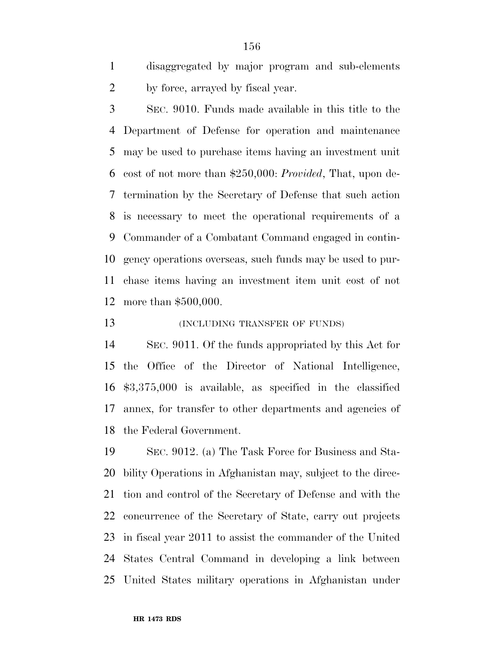disaggregated by major program and sub-elements by force, arrayed by fiscal year.

 SEC. 9010. Funds made available in this title to the Department of Defense for operation and maintenance may be used to purchase items having an investment unit cost of not more than \$250,000: *Provided*, That, upon de- termination by the Secretary of Defense that such action is necessary to meet the operational requirements of a Commander of a Combatant Command engaged in contin- gency operations overseas, such funds may be used to pur- chase items having an investment item unit cost of not more than \$500,000.

**(INCLUDING TRANSFER OF FUNDS)** 

 SEC. 9011. Of the funds appropriated by this Act for the Office of the Director of National Intelligence, \$3,375,000 is available, as specified in the classified annex, for transfer to other departments and agencies of the Federal Government.

 SEC. 9012. (a) The Task Force for Business and Sta- bility Operations in Afghanistan may, subject to the direc- tion and control of the Secretary of Defense and with the concurrence of the Secretary of State, carry out projects in fiscal year 2011 to assist the commander of the United States Central Command in developing a link between United States military operations in Afghanistan under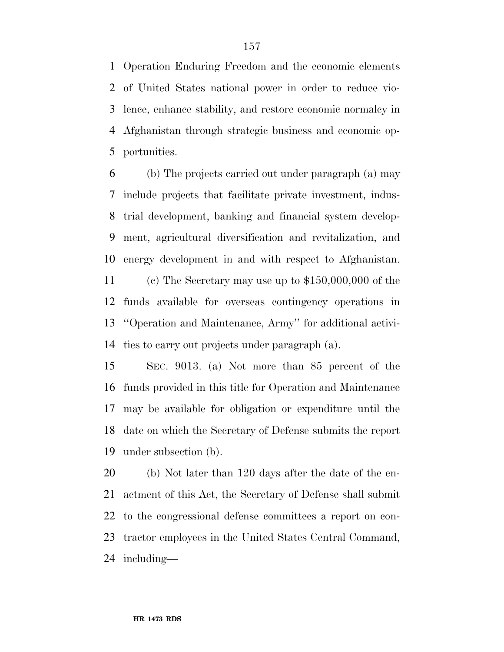Operation Enduring Freedom and the economic elements of United States national power in order to reduce vio- lence, enhance stability, and restore economic normalcy in Afghanistan through strategic business and economic op-portunities.

 (b) The projects carried out under paragraph (a) may include projects that facilitate private investment, indus- trial development, banking and financial system develop- ment, agricultural diversification and revitalization, and energy development in and with respect to Afghanistan. (c) The Secretary may use up to \$150,000,000 of the funds available for overseas contingency operations in ''Operation and Maintenance, Army'' for additional activi-

ties to carry out projects under paragraph (a).

 SEC. 9013. (a) Not more than 85 percent of the funds provided in this title for Operation and Maintenance may be available for obligation or expenditure until the date on which the Secretary of Defense submits the report under subsection (b).

 (b) Not later than 120 days after the date of the en- actment of this Act, the Secretary of Defense shall submit to the congressional defense committees a report on con- tractor employees in the United States Central Command, including—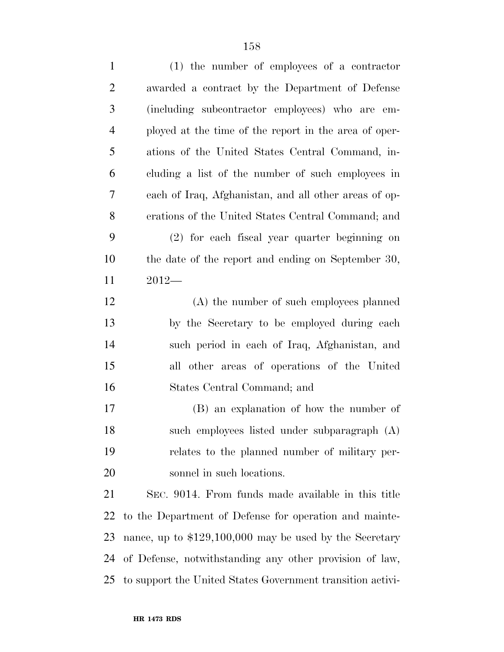| $\mathbf{1}$   | $(1)$ the number of employees of a contractor              |
|----------------|------------------------------------------------------------|
| $\overline{2}$ | awarded a contract by the Department of Defense            |
| 3              | (including subcontractor employees) who are em-            |
| $\overline{4}$ | ployed at the time of the report in the area of oper-      |
| 5              | ations of the United States Central Command, in-           |
| 6              | cluding a list of the number of such employees in          |
| 7              | each of Iraq, Afghanistan, and all other areas of op-      |
| 8              | erations of the United States Central Command; and         |
| 9              | (2) for each fiscal year quarter beginning on              |
| 10             | the date of the report and ending on September 30,         |
| 11             | $2012-$                                                    |
| 12             | (A) the number of such employees planned                   |
| 13             | by the Secretary to be employed during each                |
| 14             | such period in each of Iraq, Afghanistan, and              |
| 15             | all other areas of operations of the United                |
| 16             | States Central Command; and                                |
| 17             | (B) an explanation of how the number of                    |
| 18             | such employees listed under subparagraph (A)               |
| 19             | relates to the planned number of military per-             |
| 20             | sonnel in such locations.                                  |
| 21             | SEC. 9014. From funds made available in this title         |
| 22             | to the Department of Defense for operation and mainte-     |
| 23             | nance, up to $$129,100,000$ may be used by the Secretary   |
| 24             | of Defense, notwithstanding any other provision of law,    |
| 25             | to support the United States Government transition activi- |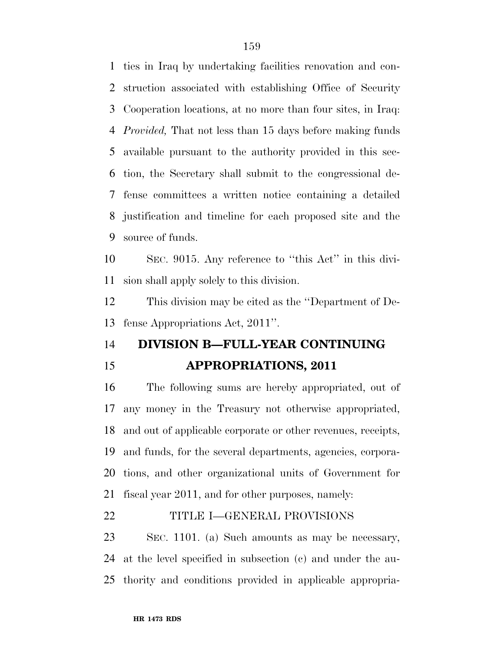ties in Iraq by undertaking facilities renovation and con- struction associated with establishing Office of Security Cooperation locations, at no more than four sites, in Iraq: *Provided,* That not less than 15 days before making funds available pursuant to the authority provided in this sec- tion, the Secretary shall submit to the congressional de- fense committees a written notice containing a detailed justification and timeline for each proposed site and the source of funds.

 SEC. 9015. Any reference to ''this Act'' in this divi-sion shall apply solely to this division.

 This division may be cited as the ''Department of De-fense Appropriations Act, 2011''.

# **DIVISION B—FULL-YEAR CONTINUING APPROPRIATIONS, 2011**

 The following sums are hereby appropriated, out of any money in the Treasury not otherwise appropriated, and out of applicable corporate or other revenues, receipts, and funds, for the several departments, agencies, corpora- tions, and other organizational units of Government for fiscal year 2011, and for other purposes, namely:

## TITLE I—GENERAL PROVISIONS

 SEC. 1101. (a) Such amounts as may be necessary, at the level specified in subsection (c) and under the au-thority and conditions provided in applicable appropria-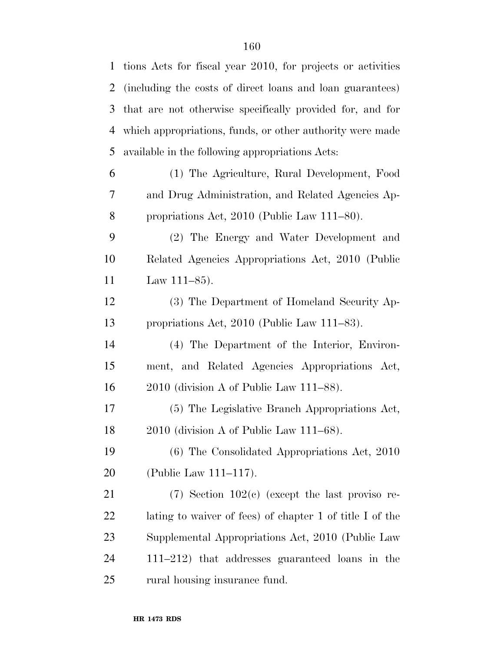| $\mathbf{1}$   | tions Acts for fiscal year 2010, for projects or activities |
|----------------|-------------------------------------------------------------|
| $\overline{2}$ | (including the costs of direct loans and loan guarantees)   |
| 3              | that are not otherwise specifically provided for, and for   |
| 4              | which appropriations, funds, or other authority were made   |
| 5              | available in the following appropriations Acts:             |
| 6              | (1) The Agriculture, Rural Development, Food                |
| 7              | and Drug Administration, and Related Agencies Ap-           |
| 8              | propriations Act, $2010$ (Public Law $111-80$ ).            |
| 9              | (2) The Energy and Water Development and                    |
| 10             | Related Agencies Appropriations Act, 2010 (Public           |
| 11             | Law $111-85$ ).                                             |
| 12             | (3) The Department of Homeland Security Ap-                 |
| 13             | propriations Act, 2010 (Public Law 111–83).                 |
| 14             | (4) The Department of the Interior, Environ-                |
| 15             | ment, and Related Agencies Appropriations Act,              |
| 16             | $2010$ (division A of Public Law $111-88$ ).                |
| 17             | (5) The Legislative Branch Appropriations Act,              |
| 18             | 2010 (division A of Public Law 111-68).                     |
| 19             | (6) The Consolidated Appropriations Act, 2010               |
| 20             | (Public Law 111–117).                                       |
| 21             | $(7)$ Section 102 $(e)$ (except the last proviso re-        |
| 22             | lating to waiver of fees) of chapter 1 of title I of the    |
| 23             | Supplemental Appropriations Act, 2010 (Public Law           |
| 24             | 111–212) that addresses guaranteed loans in the             |
| 25             | rural housing insurance fund.                               |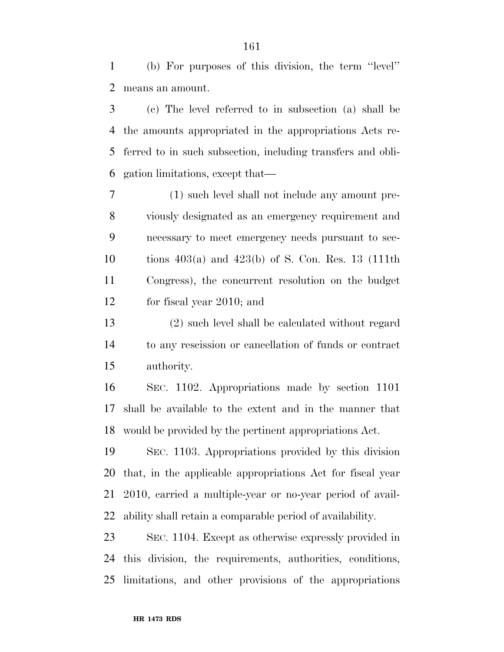(b) For purposes of this division, the term ''level'' means an amount.

 (c) The level referred to in subsection (a) shall be the amounts appropriated in the appropriations Acts re- ferred to in such subsection, including transfers and obli-gation limitations, except that—

 (1) such level shall not include any amount pre- viously designated as an emergency requirement and necessary to meet emergency needs pursuant to sec- tions 403(a) and 423(b) of S. Con. Res. 13 (111th Congress), the concurrent resolution on the budget for fiscal year 2010; and

 (2) such level shall be calculated without regard to any rescission or cancellation of funds or contract authority.

 SEC. 1102. Appropriations made by section 1101 shall be available to the extent and in the manner that would be provided by the pertinent appropriations Act.

 SEC. 1103. Appropriations provided by this division that, in the applicable appropriations Act for fiscal year 2010, carried a multiple-year or no-year period of avail-ability shall retain a comparable period of availability.

 SEC. 1104. Except as otherwise expressly provided in this division, the requirements, authorities, conditions, limitations, and other provisions of the appropriations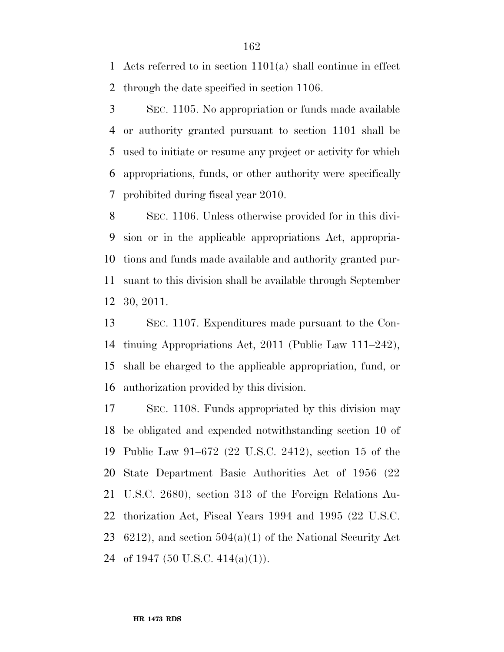Acts referred to in section 1101(a) shall continue in effect through the date specified in section 1106.

 SEC. 1105. No appropriation or funds made available or authority granted pursuant to section 1101 shall be used to initiate or resume any project or activity for which appropriations, funds, or other authority were specifically prohibited during fiscal year 2010.

 SEC. 1106. Unless otherwise provided for in this divi- sion or in the applicable appropriations Act, appropria- tions and funds made available and authority granted pur- suant to this division shall be available through September 30, 2011.

 SEC. 1107. Expenditures made pursuant to the Con- tinuing Appropriations Act, 2011 (Public Law 111–242), shall be charged to the applicable appropriation, fund, or authorization provided by this division.

 SEC. 1108. Funds appropriated by this division may be obligated and expended notwithstanding section 10 of Public Law 91–672 (22 U.S.C. 2412), section 15 of the State Department Basic Authorities Act of 1956 (22 U.S.C. 2680), section 313 of the Foreign Relations Au- thorization Act, Fiscal Years 1994 and 1995 (22 U.S.C. 23 6212), and section  $504(a)(1)$  of the National Security Act 24 of 1947 (50 U.S.C.  $414(a)(1)$ ).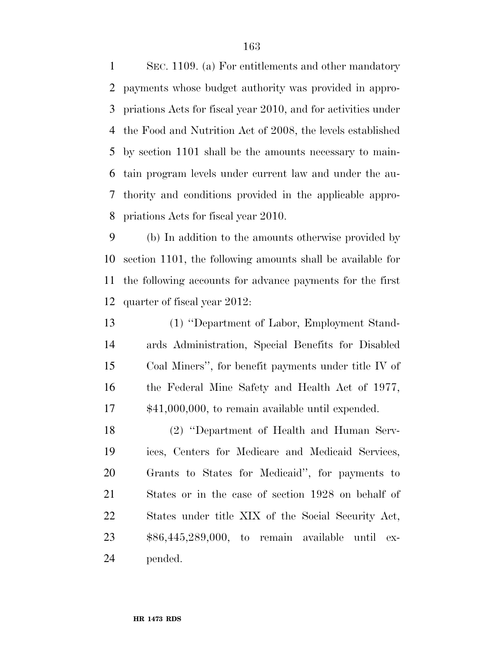SEC. 1109. (a) For entitlements and other mandatory payments whose budget authority was provided in appro- priations Acts for fiscal year 2010, and for activities under the Food and Nutrition Act of 2008, the levels established by section 1101 shall be the amounts necessary to main- tain program levels under current law and under the au- thority and conditions provided in the applicable appro-priations Acts for fiscal year 2010.

 (b) In addition to the amounts otherwise provided by section 1101, the following amounts shall be available for the following accounts for advance payments for the first quarter of fiscal year 2012:

 (1) ''Department of Labor, Employment Stand- ards Administration, Special Benefits for Disabled Coal Miners'', for benefit payments under title IV of the Federal Mine Safety and Health Act of 1977, \$41,000,000, to remain available until expended.

 (2) ''Department of Health and Human Serv- ices, Centers for Medicare and Medicaid Services, Grants to States for Medicaid'', for payments to States or in the case of section 1928 on behalf of States under title XIX of the Social Security Act, \$86,445,289,000, to remain available until ex-pended.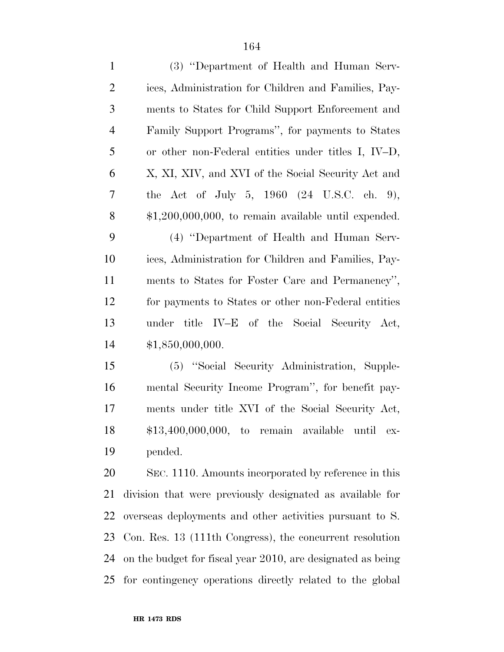| $\mathbf{1}$   | (3) "Department of Health and Human Serv-                   |
|----------------|-------------------------------------------------------------|
| $\overline{2}$ | ices, Administration for Children and Families, Pay-        |
| 3              | ments to States for Child Support Enforcement and           |
| $\overline{4}$ | Family Support Programs", for payments to States            |
| 5              | or other non-Federal entities under titles I, IV-D,         |
| 6              | X, XI, XIV, and XVI of the Social Security Act and          |
| 7              | the Act of July 5, 1960 $(24 \text{ U.S.C. ch. } 9)$ ,      |
| 8              | $$1,200,000,000$ , to remain available until expended.      |
| 9              | (4) "Department of Health and Human Serv-                   |
| 10             | ices, Administration for Children and Families, Pay-        |
| 11             | ments to States for Foster Care and Permanency",            |
| 12             | for payments to States or other non-Federal entities        |
| 13             | under title IV-E of the Social Security Act,                |
| 14             | \$1,850,000,000.                                            |
| 15             | (5) "Social Security Administration, Supple-                |
| 16             | mental Security Income Program", for benefit pay-           |
| 17             | ments under title XVI of the Social Security Act,           |
| 18             | $$13,400,000,000$ , to remain available until ex-           |
| 19             | pended.                                                     |
| 20             | SEC. 1110. Amounts incorporated by reference in this        |
| 21             | division that were previously designated as available for   |
| 22             | overseas deployments and other activities pursuant to S.    |
| 23             | Con. Res. 13 (111th Congress), the concurrent resolution    |
| 24             | on the budget for fiscal year 2010, are designated as being |
| 25             | for contingency operations directly related to the global   |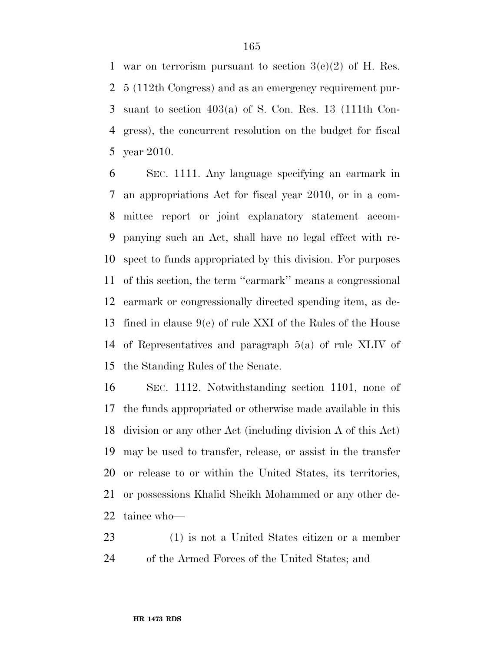1 war on terrorism pursuant to section  $3(c)(2)$  of H. Res. 5 (112th Congress) and as an emergency requirement pur- suant to section 403(a) of S. Con. Res. 13 (111th Con- gress), the concurrent resolution on the budget for fiscal year 2010.

 SEC. 1111. Any language specifying an earmark in an appropriations Act for fiscal year 2010, or in a com- mittee report or joint explanatory statement accom- panying such an Act, shall have no legal effect with re- spect to funds appropriated by this division. For purposes of this section, the term ''earmark'' means a congressional earmark or congressionally directed spending item, as de- fined in clause 9(e) of rule XXI of the Rules of the House of Representatives and paragraph 5(a) of rule XLIV of the Standing Rules of the Senate.

 SEC. 1112. Notwithstanding section 1101, none of the funds appropriated or otherwise made available in this division or any other Act (including division A of this Act) may be used to transfer, release, or assist in the transfer or release to or within the United States, its territories, or possessions Khalid Sheikh Mohammed or any other de-tainee who—

 (1) is not a United States citizen or a member of the Armed Forces of the United States; and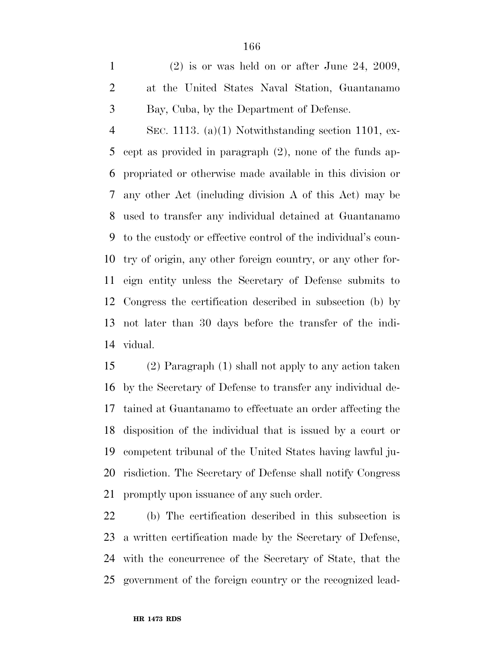(2) is or was held on or after June 24, 2009, at the United States Naval Station, Guantanamo Bay, Cuba, by the Department of Defense.

 SEC. 1113. (a)(1) Notwithstanding section 1101, ex- cept as provided in paragraph (2), none of the funds ap- propriated or otherwise made available in this division or any other Act (including division A of this Act) may be used to transfer any individual detained at Guantanamo to the custody or effective control of the individual's coun- try of origin, any other foreign country, or any other for- eign entity unless the Secretary of Defense submits to Congress the certification described in subsection (b) by not later than 30 days before the transfer of the indi-vidual.

 (2) Paragraph (1) shall not apply to any action taken by the Secretary of Defense to transfer any individual de- tained at Guantanamo to effectuate an order affecting the disposition of the individual that is issued by a court or competent tribunal of the United States having lawful ju- risdiction. The Secretary of Defense shall notify Congress promptly upon issuance of any such order.

 (b) The certification described in this subsection is a written certification made by the Secretary of Defense, with the concurrence of the Secretary of State, that the government of the foreign country or the recognized lead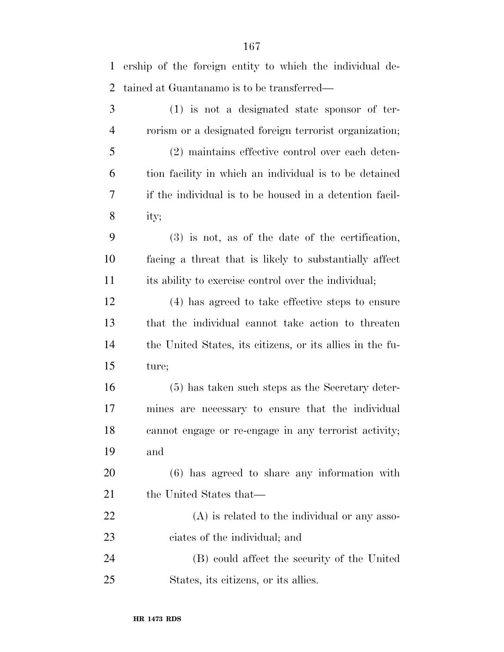ership of the foreign entity to which the individual de-tained at Guantanamo is to be transferred—

 (1) is not a designated state sponsor of ter- rorism or a designated foreign terrorist organization; (2) maintains effective control over each deten- tion facility in which an individual is to be detained if the individual is to be housed in a detention facil- ity; (3) is not, as of the date of the certification, facing a threat that is likely to substantially affect its ability to exercise control over the individual; (4) has agreed to take effective steps to ensure that the individual cannot take action to threaten the United States, its citizens, or its allies in the fu- ture; (5) has taken such steps as the Secretary deter- mines are necessary to ensure that the individual cannot engage or re-engage in any terrorist activity; and (6) has agreed to share any information with 21 the United States that— (A) is related to the individual or any asso- ciates of the individual; and (B) could affect the security of the United States, its citizens, or its allies.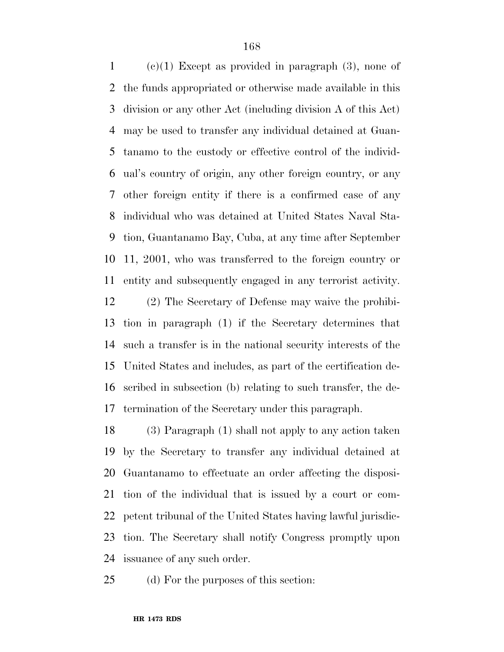1 (c)(1) Except as provided in paragraph  $(3)$ , none of the funds appropriated or otherwise made available in this division or any other Act (including division A of this Act) may be used to transfer any individual detained at Guan- tanamo to the custody or effective control of the individ- ual's country of origin, any other foreign country, or any other foreign entity if there is a confirmed case of any individual who was detained at United States Naval Sta- tion, Guantanamo Bay, Cuba, at any time after September 11, 2001, who was transferred to the foreign country or entity and subsequently engaged in any terrorist activity.

 (2) The Secretary of Defense may waive the prohibi- tion in paragraph (1) if the Secretary determines that such a transfer is in the national security interests of the United States and includes, as part of the certification de- scribed in subsection (b) relating to such transfer, the de-termination of the Secretary under this paragraph.

 (3) Paragraph (1) shall not apply to any action taken by the Secretary to transfer any individual detained at Guantanamo to effectuate an order affecting the disposi- tion of the individual that is issued by a court or com- petent tribunal of the United States having lawful jurisdic- tion. The Secretary shall notify Congress promptly upon issuance of any such order.

(d) For the purposes of this section: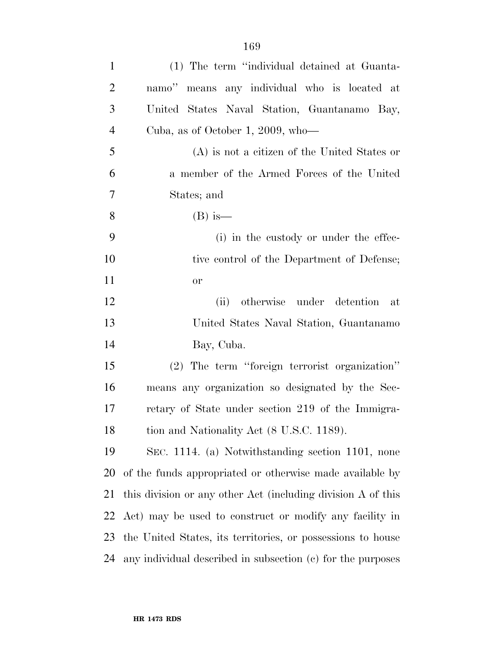| $\mathbf{1}$   | (1) The term "individual detained at Guanta-                 |
|----------------|--------------------------------------------------------------|
| $\overline{2}$ | namo" means any individual who is located at                 |
| 3              | United States Naval Station, Guantanamo Bay,                 |
| $\overline{4}$ | Cuba, as of October 1, 2009, who—                            |
| 5              | (A) is not a citizen of the United States or                 |
| 6              | a member of the Armed Forces of the United                   |
| 7              | States; and                                                  |
| 8              | $(B)$ is—                                                    |
| 9              | (i) in the custody or under the effec-                       |
| 10             | tive control of the Department of Defense;                   |
| 11             | <b>or</b>                                                    |
| 12             | otherwise under detention at<br>(ii)                         |
| 13             | United States Naval Station, Guantanamo                      |
| 14             | Bay, Cuba.                                                   |
| 15             | (2) The term "foreign terrorist organization"                |
| 16             | means any organization so designated by the Sec-             |
| 17             | retary of State under section 219 of the Immigra-            |
| 18             | tion and Nationality Act (8 U.S.C. 1189).                    |
| 19             | SEC. 1114. (a) Notwithstanding section 1101, none            |
| 20             | of the funds appropriated or otherwise made available by     |
| 21             | this division or any other Act (including division A of this |
| 22             | Act) may be used to construct or modify any facility in      |
| 23             | the United States, its territories, or possessions to house  |
| 24             | any individual described in subsection (c) for the purposes  |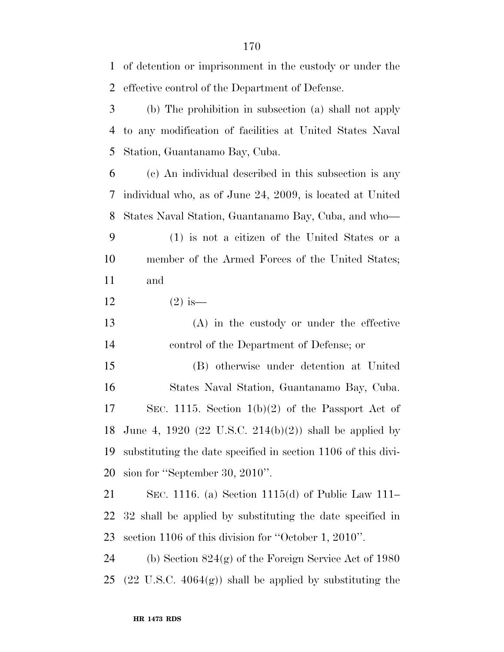of detention or imprisonment in the custody or under the effective control of the Department of Defense. (b) The prohibition in subsection (a) shall not apply to any modification of facilities at United States Naval Station, Guantanamo Bay, Cuba. (c) An individual described in this subsection is any individual who, as of June 24, 2009, is located at United States Naval Station, Guantanamo Bay, Cuba, and who— (1) is not a citizen of the United States or a member of the Armed Forces of the United States; and 12  $(2)$  is— (A) in the custody or under the effective control of the Department of Defense; or (B) otherwise under detention at United States Naval Station, Guantanamo Bay, Cuba. SEC. 1115. Section 1(b)(2) of the Passport Act of June 4, 1920 (22 U.S.C. 214(b)(2)) shall be applied by substituting the date specified in section 1106 of this divi- sion for ''September 30, 2010''. SEC. 1116. (a) Section 1115(d) of Public Law 111– 32 shall be applied by substituting the date specified in section 1106 of this division for ''October 1, 2010''. (b) Section 824(g) of the Foreign Service Act of 1980

25 (22 U.S.C.  $4064(g)$ ) shall be applied by substituting the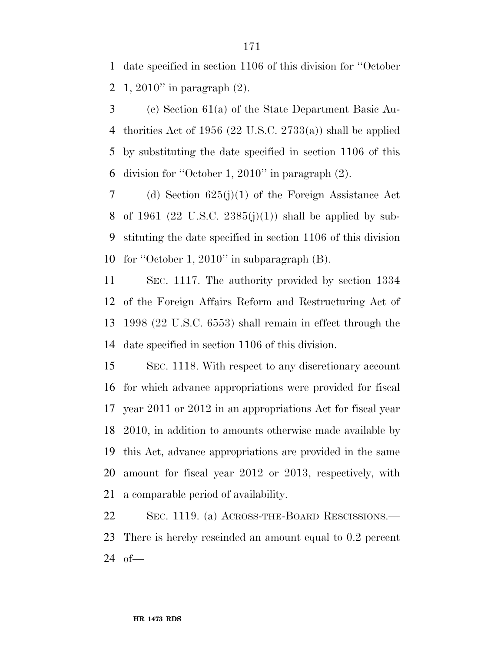date specified in section 1106 of this division for ''October 1, 2010'' in paragraph (2).

 (c) Section 61(a) of the State Department Basic Au- thorities Act of 1956 (22 U.S.C. 2733(a)) shall be applied by substituting the date specified in section 1106 of this division for ''October 1, 2010'' in paragraph (2).

 (d) Section 625(j)(1) of the Foreign Assistance Act 8 of 1961 (22 U.S.C. 2385(j)(1)) shall be applied by sub- stituting the date specified in section 1106 of this division for ''October 1, 2010'' in subparagraph (B).

 SEC. 1117. The authority provided by section 1334 of the Foreign Affairs Reform and Restructuring Act of 1998 (22 U.S.C. 6553) shall remain in effect through the date specified in section 1106 of this division.

 SEC. 1118. With respect to any discretionary account for which advance appropriations were provided for fiscal year 2011 or 2012 in an appropriations Act for fiscal year 2010, in addition to amounts otherwise made available by this Act, advance appropriations are provided in the same amount for fiscal year 2012 or 2013, respectively, with a comparable period of availability.

 SEC. 1119. (a) ACROSS-THE-BOARD RESCISSIONS.— There is hereby rescinded an amount equal to 0.2 percent of—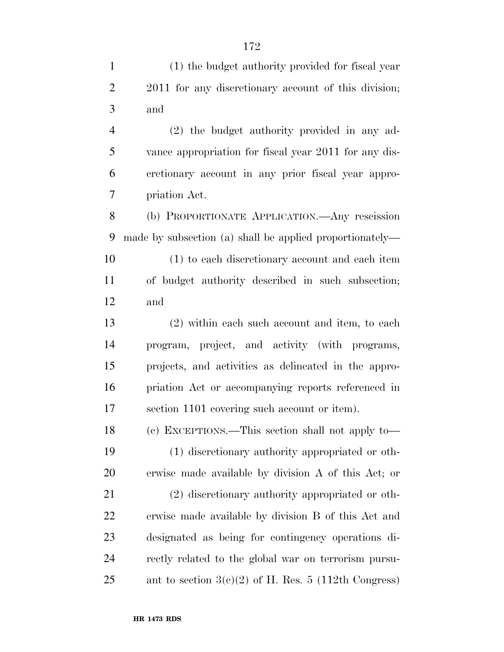(1) the budget authority provided for fiscal year 2011 for any discretionary account of this division; and (2) the budget authority provided in any ad- vance appropriation for fiscal year 2011 for any dis- cretionary account in any prior fiscal year appro- priation Act. (b) PROPORTIONATE APPLICATION.—Any rescission made by subsection (a) shall be applied proportionately— (1) to each discretionary account and each item of budget authority described in such subsection; and (2) within each such account and item, to each program, project, and activity (with programs, projects, and activities as delineated in the appro- priation Act or accompanying reports referenced in section 1101 covering such account or item).

 (c) EXCEPTIONS.—This section shall not apply to— (1) discretionary authority appropriated or oth-erwise made available by division A of this Act; or

 (2) discretionary authority appropriated or oth- erwise made available by division B of this Act and designated as being for contingency operations di- rectly related to the global war on terrorism pursu-25 ant to section  $3(e)(2)$  of H. Res. 5 (112th Congress)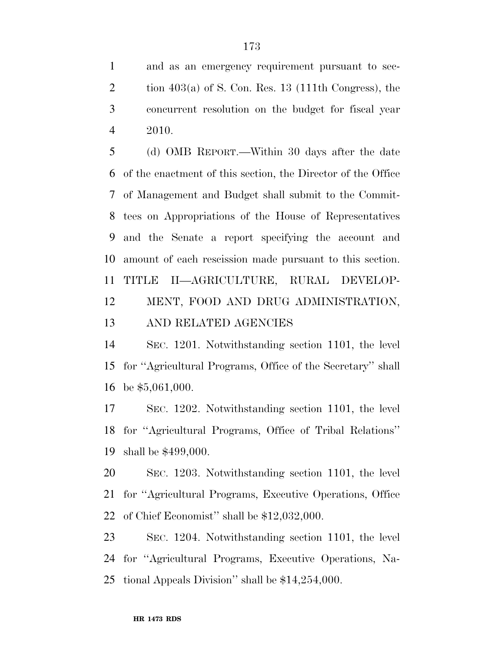and as an emergency requirement pursuant to sec-2 tion  $403(a)$  of S. Con. Res. 13 (111th Congress), the concurrent resolution on the budget for fiscal year 2010.

 (d) OMB REPORT.—Within 30 days after the date of the enactment of this section, the Director of the Office of Management and Budget shall submit to the Commit- tees on Appropriations of the House of Representatives and the Senate a report specifying the account and amount of each rescission made pursuant to this section. TITLE II—AGRICULTURE, RURAL DEVELOP- MENT, FOOD AND DRUG ADMINISTRATION, AND RELATED AGENCIES

 SEC. 1201. Notwithstanding section 1101, the level for ''Agricultural Programs, Office of the Secretary'' shall be \$5,061,000.

 SEC. 1202. Notwithstanding section 1101, the level for ''Agricultural Programs, Office of Tribal Relations'' shall be \$499,000.

 SEC. 1203. Notwithstanding section 1101, the level for ''Agricultural Programs, Executive Operations, Office of Chief Economist'' shall be \$12,032,000.

 SEC. 1204. Notwithstanding section 1101, the level for ''Agricultural Programs, Executive Operations, Na-tional Appeals Division'' shall be \$14,254,000.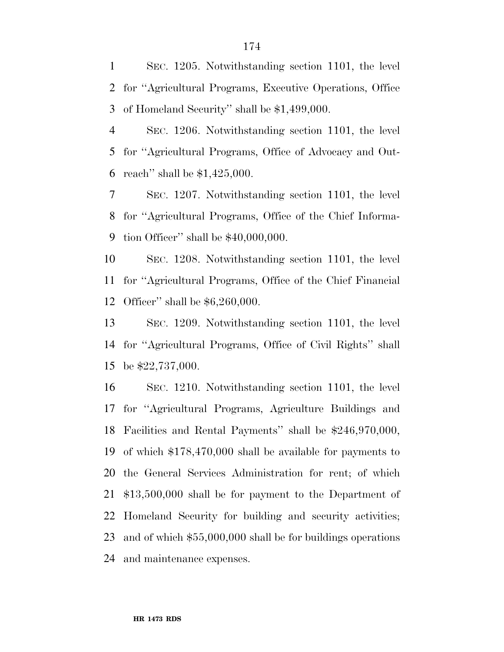SEC. 1205. Notwithstanding section 1101, the level for ''Agricultural Programs, Executive Operations, Office of Homeland Security'' shall be \$1,499,000.

 SEC. 1206. Notwithstanding section 1101, the level for ''Agricultural Programs, Office of Advocacy and Out-reach'' shall be \$1,425,000.

 SEC. 1207. Notwithstanding section 1101, the level for ''Agricultural Programs, Office of the Chief Informa-tion Officer'' shall be \$40,000,000.

 SEC. 1208. Notwithstanding section 1101, the level for ''Agricultural Programs, Office of the Chief Financial Officer'' shall be \$6,260,000.

 SEC. 1209. Notwithstanding section 1101, the level for ''Agricultural Programs, Office of Civil Rights'' shall be \$22,737,000.

 SEC. 1210. Notwithstanding section 1101, the level for ''Agricultural Programs, Agriculture Buildings and Facilities and Rental Payments'' shall be \$246,970,000, of which \$178,470,000 shall be available for payments to the General Services Administration for rent; of which \$13,500,000 shall be for payment to the Department of Homeland Security for building and security activities; and of which \$55,000,000 shall be for buildings operations and maintenance expenses.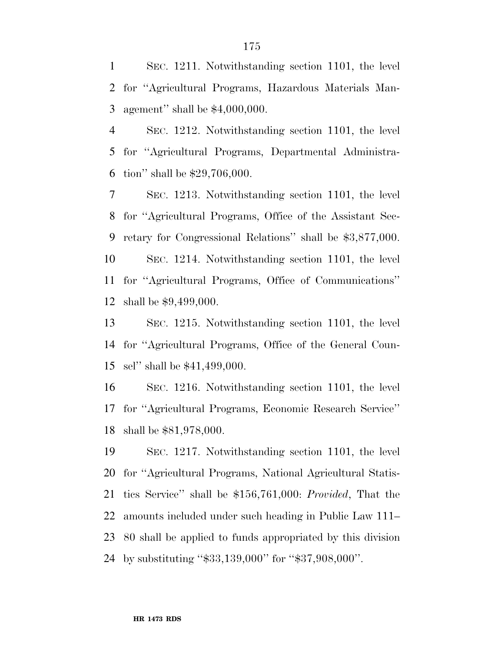SEC. 1211. Notwithstanding section 1101, the level for ''Agricultural Programs, Hazardous Materials Man-agement'' shall be \$4,000,000.

 SEC. 1212. Notwithstanding section 1101, the level for ''Agricultural Programs, Departmental Administra-tion'' shall be \$29,706,000.

 SEC. 1213. Notwithstanding section 1101, the level for ''Agricultural Programs, Office of the Assistant Sec- retary for Congressional Relations'' shall be \$3,877,000. SEC. 1214. Notwithstanding section 1101, the level for ''Agricultural Programs, Office of Communications'' shall be \$9,499,000.

 SEC. 1215. Notwithstanding section 1101, the level for ''Agricultural Programs, Office of the General Coun-sel'' shall be \$41,499,000.

 SEC. 1216. Notwithstanding section 1101, the level for ''Agricultural Programs, Economic Research Service'' shall be \$81,978,000.

 SEC. 1217. Notwithstanding section 1101, the level for ''Agricultural Programs, National Agricultural Statis- tics Service'' shall be \$156,761,000: *Provided*, That the amounts included under such heading in Public Law 111– 80 shall be applied to funds appropriated by this division by substituting ''\$33,139,000'' for ''\$37,908,000''.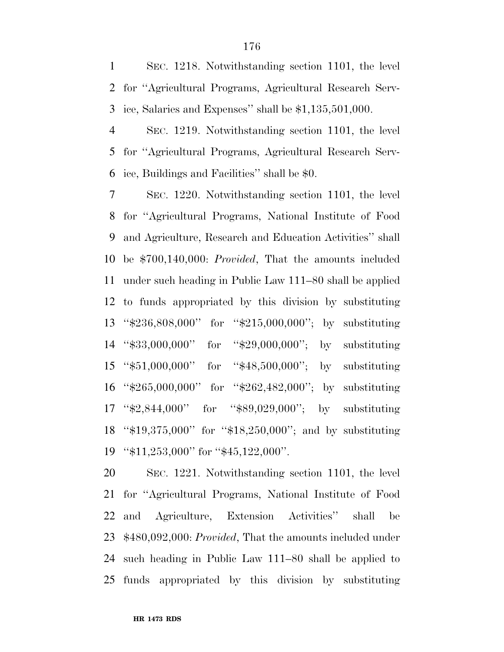SEC. 1218. Notwithstanding section 1101, the level for ''Agricultural Programs, Agricultural Research Serv-ice, Salaries and Expenses'' shall be \$1,135,501,000.

 SEC. 1219. Notwithstanding section 1101, the level for ''Agricultural Programs, Agricultural Research Serv-ice, Buildings and Facilities'' shall be \$0.

 SEC. 1220. Notwithstanding section 1101, the level for ''Agricultural Programs, National Institute of Food and Agriculture, Research and Education Activities'' shall be \$700,140,000: *Provided*, That the amounts included under such heading in Public Law 111–80 shall be applied to funds appropriated by this division by substituting ''\$236,808,000'' for ''\$215,000,000''; by substituting ''\$33,000,000'' for ''\$29,000,000''; by substituting ''\$51,000,000'' for ''\$48,500,000''; by substituting ''\$265,000,000'' for ''\$262,482,000''; by substituting ''\$2,844,000'' for ''\$89,029,000''; by substituting ''\$19,375,000'' for ''\$18,250,000''; and by substituting ''\$11,253,000'' for ''\$45,122,000''.

 SEC. 1221. Notwithstanding section 1101, the level for ''Agricultural Programs, National Institute of Food and Agriculture, Extension Activities'' shall be \$480,092,000: *Provided*, That the amounts included under such heading in Public Law 111–80 shall be applied to funds appropriated by this division by substituting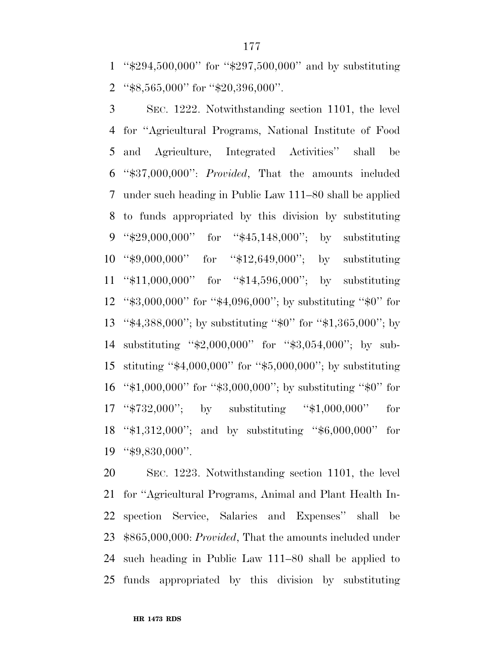''\$294,500,000'' for ''\$297,500,000'' and by substituting ''\$8,565,000'' for ''\$20,396,000''.

 SEC. 1222. Notwithstanding section 1101, the level for ''Agricultural Programs, National Institute of Food and Agriculture, Integrated Activities'' shall be ''\$37,000,000'': *Provided*, That the amounts included under such heading in Public Law 111–80 shall be applied to funds appropriated by this division by substituting ''\$29,000,000'' for ''\$45,148,000''; by substituting ''\$9,000,000'' for ''\$12,649,000''; by substituting ''\$11,000,000'' for ''\$14,596,000''; by substituting ''\$3,000,000'' for ''\$4,096,000''; by substituting ''\$0'' for ''\$4,388,000''; by substituting ''\$0'' for ''\$1,365,000''; by substituting ''\$2,000,000'' for ''\$3,054,000''; by sub- stituting ''\$4,000,000'' for ''\$5,000,000''; by substituting ''\$1,000,000'' for ''\$3,000,000''; by substituting ''\$0'' for ''\$732,000''; by substituting ''\$1,000,000'' for ''\$1,312,000''; and by substituting ''\$6,000,000'' for ''\$9,830,000''.

 SEC. 1223. Notwithstanding section 1101, the level for ''Agricultural Programs, Animal and Plant Health In- spection Service, Salaries and Expenses'' shall be \$865,000,000: *Provided*, That the amounts included under such heading in Public Law 111–80 shall be applied to funds appropriated by this division by substituting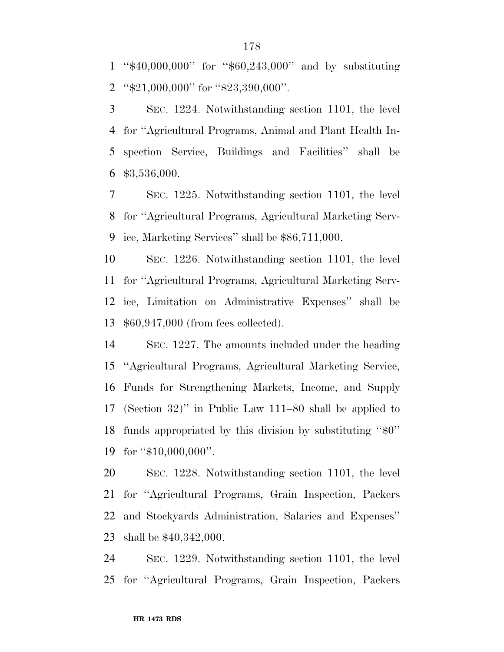''\$40,000,000'' for ''\$60,243,000'' and by substituting ''\$21,000,000'' for ''\$23,390,000''.

 SEC. 1224. Notwithstanding section 1101, the level for ''Agricultural Programs, Animal and Plant Health In- spection Service, Buildings and Facilities'' shall be \$3,536,000.

 SEC. 1225. Notwithstanding section 1101, the level for ''Agricultural Programs, Agricultural Marketing Serv-ice, Marketing Services'' shall be \$86,711,000.

 SEC. 1226. Notwithstanding section 1101, the level for ''Agricultural Programs, Agricultural Marketing Serv- ice, Limitation on Administrative Expenses'' shall be \$60,947,000 (from fees collected).

 SEC. 1227. The amounts included under the heading ''Agricultural Programs, Agricultural Marketing Service, Funds for Strengthening Markets, Income, and Supply (Section 32)'' in Public Law 111–80 shall be applied to funds appropriated by this division by substituting ''\$0'' 19 for "\$10,000,000".

 SEC. 1228. Notwithstanding section 1101, the level for ''Agricultural Programs, Grain Inspection, Packers and Stockyards Administration, Salaries and Expenses'' shall be \$40,342,000.

 SEC. 1229. Notwithstanding section 1101, the level for ''Agricultural Programs, Grain Inspection, Packers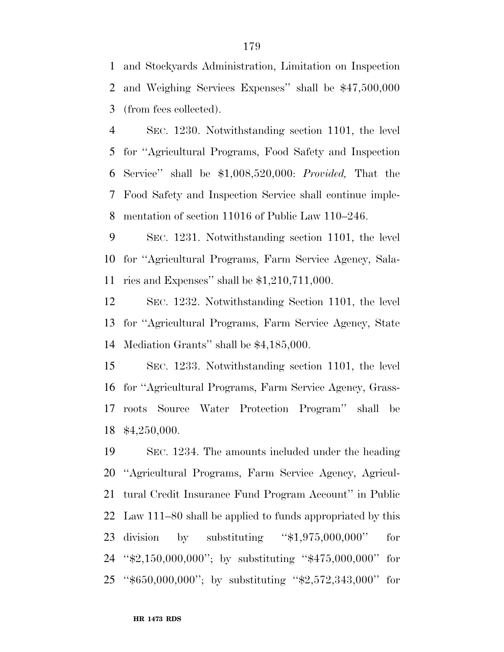and Stockyards Administration, Limitation on Inspection and Weighing Services Expenses'' shall be \$47,500,000 (from fees collected).

 SEC. 1230. Notwithstanding section 1101, the level for ''Agricultural Programs, Food Safety and Inspection Service'' shall be \$1,008,520,000: *Provided,* That the Food Safety and Inspection Service shall continue imple-mentation of section 11016 of Public Law 110–246.

 SEC. 1231. Notwithstanding section 1101, the level for ''Agricultural Programs, Farm Service Agency, Sala-ries and Expenses'' shall be \$1,210,711,000.

 SEC. 1232. Notwithstanding Section 1101, the level for ''Agricultural Programs, Farm Service Agency, State Mediation Grants'' shall be \$4,185,000.

 SEC. 1233. Notwithstanding section 1101, the level for ''Agricultural Programs, Farm Service Agency, Grass- roots Source Water Protection Program'' shall be \$4,250,000.

 SEC. 1234. The amounts included under the heading ''Agricultural Programs, Farm Service Agency, Agricul- tural Credit Insurance Fund Program Account'' in Public Law 111–80 shall be applied to funds appropriated by this division by substituting ''\$1,975,000,000'' for ''\$2,150,000,000''; by substituting ''\$475,000,000'' for ''\$650,000,000''; by substituting ''\$2,572,343,000'' for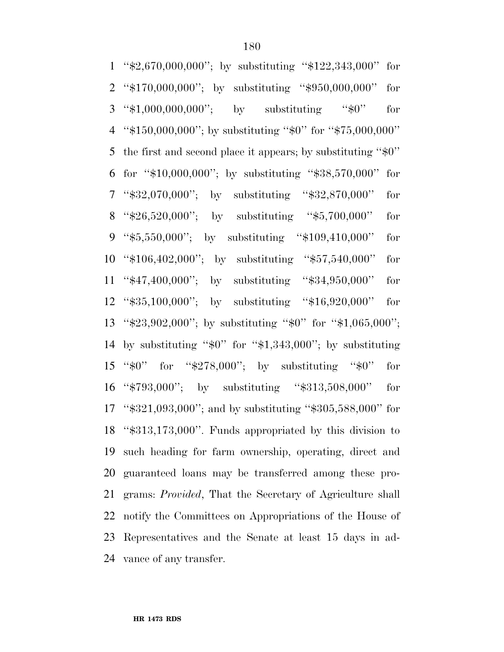''\$2,670,000,000''; by substituting ''\$122,343,000'' for ''\$170,000,000''; by substituting ''\$950,000,000'' for ''\$1,000,000,000''; by substituting ''\$0'' for ''\$150,000,000''; by substituting ''\$0'' for ''\$75,000,000'' the first and second place it appears; by substituting ''\$0'' for ''\$10,000,000''; by substituting ''\$38,570,000'' for ''\$32,070,000''; by substituting ''\$32,870,000'' for ''\$26,520,000''; by substituting ''\$5,700,000'' for ''\$5,550,000''; by substituting ''\$109,410,000'' for ''\$106,402,000''; by substituting ''\$57,540,000'' for ''\$47,400,000''; by substituting ''\$34,950,000'' for ''\$35,100,000''; by substituting ''\$16,920,000'' for ''\$23,902,000''; by substituting ''\$0'' for ''\$1,065,000''; by substituting ''\$0'' for ''\$1,343,000''; by substituting ''\$0'' for ''\$278,000''; by substituting ''\$0'' for ''\$793,000''; by substituting ''\$313,508,000'' for ''\$321,093,000''; and by substituting ''\$305,588,000'' for ''\$313,173,000''. Funds appropriated by this division to such heading for farm ownership, operating, direct and guaranteed loans may be transferred among these pro- grams: *Provided*, That the Secretary of Agriculture shall notify the Committees on Appropriations of the House of Representatives and the Senate at least 15 days in ad-vance of any transfer.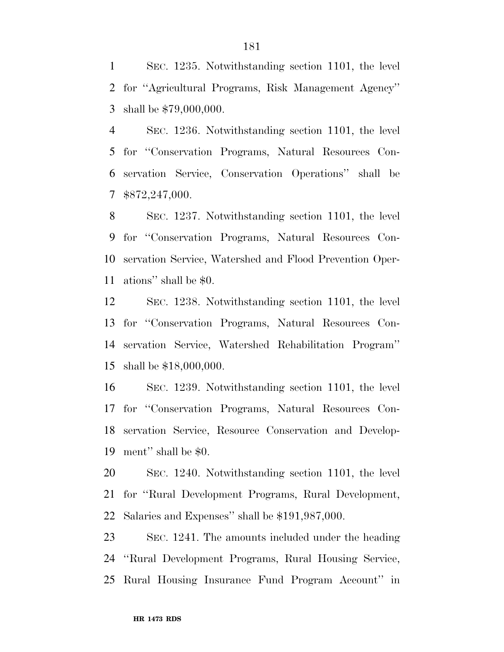SEC. 1235. Notwithstanding section 1101, the level for ''Agricultural Programs, Risk Management Agency'' shall be \$79,000,000.

 SEC. 1236. Notwithstanding section 1101, the level for ''Conservation Programs, Natural Resources Con- servation Service, Conservation Operations'' shall be \$872,247,000.

 SEC. 1237. Notwithstanding section 1101, the level for ''Conservation Programs, Natural Resources Con- servation Service, Watershed and Flood Prevention Oper-ations'' shall be \$0.

 SEC. 1238. Notwithstanding section 1101, the level for ''Conservation Programs, Natural Resources Con- servation Service, Watershed Rehabilitation Program'' shall be \$18,000,000.

 SEC. 1239. Notwithstanding section 1101, the level for ''Conservation Programs, Natural Resources Con- servation Service, Resource Conservation and Develop-ment'' shall be \$0.

 SEC. 1240. Notwithstanding section 1101, the level for ''Rural Development Programs, Rural Development, Salaries and Expenses'' shall be \$191,987,000.

 SEC. 1241. The amounts included under the heading ''Rural Development Programs, Rural Housing Service, Rural Housing Insurance Fund Program Account'' in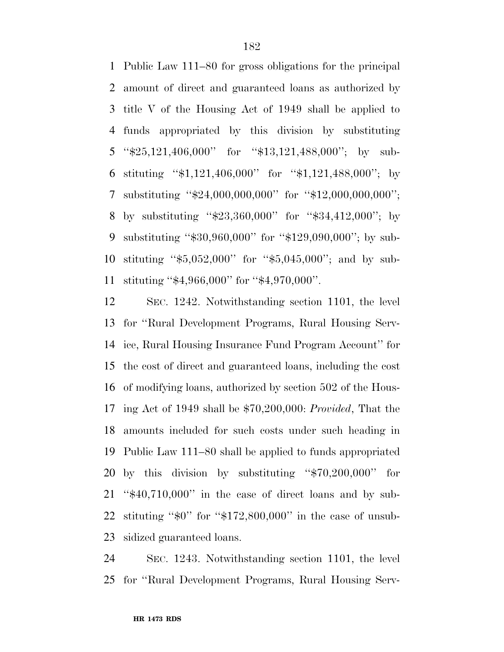Public Law 111–80 for gross obligations for the principal amount of direct and guaranteed loans as authorized by title V of the Housing Act of 1949 shall be applied to funds appropriated by this division by substituting ''\$25,121,406,000'' for ''\$13,121,488,000''; by sub- stituting ''\$1,121,406,000'' for ''\$1,121,488,000''; by substituting ''\$24,000,000,000'' for ''\$12,000,000,000''; by substituting ''\$23,360,000'' for ''\$34,412,000''; by substituting ''\$30,960,000'' for ''\$129,090,000''; by sub- stituting ''\$5,052,000'' for ''\$5,045,000''; and by sub-stituting ''\$4,966,000'' for ''\$4,970,000''.

 SEC. 1242. Notwithstanding section 1101, the level for ''Rural Development Programs, Rural Housing Serv- ice, Rural Housing Insurance Fund Program Account'' for the cost of direct and guaranteed loans, including the cost of modifying loans, authorized by section 502 of the Hous- ing Act of 1949 shall be \$70,200,000: *Provided*, That the amounts included for such costs under such heading in Public Law 111–80 shall be applied to funds appropriated by this division by substituting ''\$70,200,000'' for ''\$40,710,000'' in the case of direct loans and by sub- stituting ''\$0'' for ''\$172,800,000'' in the case of unsub-sidized guaranteed loans.

 SEC. 1243. Notwithstanding section 1101, the level for ''Rural Development Programs, Rural Housing Serv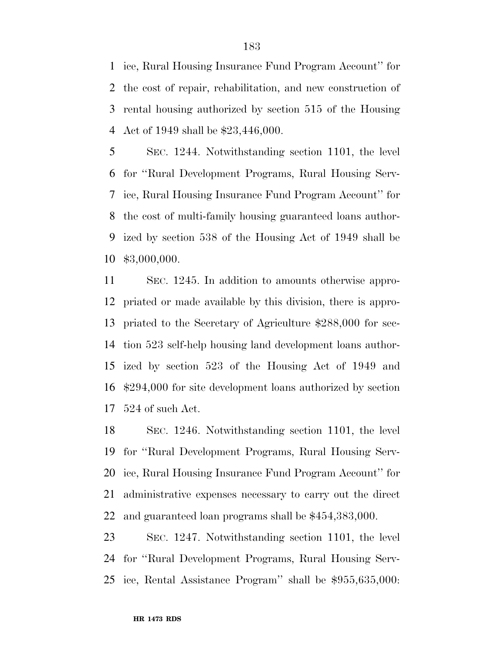ice, Rural Housing Insurance Fund Program Account'' for the cost of repair, rehabilitation, and new construction of rental housing authorized by section 515 of the Housing Act of 1949 shall be \$23,446,000.

 SEC. 1244. Notwithstanding section 1101, the level for ''Rural Development Programs, Rural Housing Serv- ice, Rural Housing Insurance Fund Program Account'' for the cost of multi-family housing guaranteed loans author- ized by section 538 of the Housing Act of 1949 shall be \$3,000,000.

 SEC. 1245. In addition to amounts otherwise appro- priated or made available by this division, there is appro- priated to the Secretary of Agriculture \$288,000 for sec- tion 523 self-help housing land development loans author- ized by section 523 of the Housing Act of 1949 and \$294,000 for site development loans authorized by section 524 of such Act.

 SEC. 1246. Notwithstanding section 1101, the level for ''Rural Development Programs, Rural Housing Serv- ice, Rural Housing Insurance Fund Program Account'' for administrative expenses necessary to carry out the direct and guaranteed loan programs shall be \$454,383,000.

 SEC. 1247. Notwithstanding section 1101, the level for ''Rural Development Programs, Rural Housing Serv-ice, Rental Assistance Program'' shall be \$955,635,000: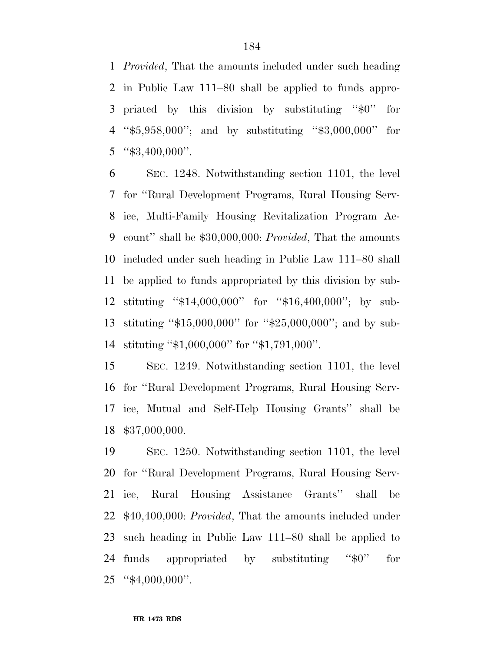*Provided*, That the amounts included under such heading in Public Law 111–80 shall be applied to funds appro- priated by this division by substituting ''\$0'' for ''\$5,958,000''; and by substituting ''\$3,000,000'' for "\$3,400,000".

 SEC. 1248. Notwithstanding section 1101, the level for ''Rural Development Programs, Rural Housing Serv- ice, Multi-Family Housing Revitalization Program Ac- count'' shall be \$30,000,000: *Provided*, That the amounts included under such heading in Public Law 111–80 shall be applied to funds appropriated by this division by sub- stituting ''\$14,000,000'' for ''\$16,400,000''; by sub- stituting ''\$15,000,000'' for ''\$25,000,000''; and by sub-stituting ''\$1,000,000'' for ''\$1,791,000''.

 SEC. 1249. Notwithstanding section 1101, the level for ''Rural Development Programs, Rural Housing Serv- ice, Mutual and Self-Help Housing Grants'' shall be \$37,000,000.

 SEC. 1250. Notwithstanding section 1101, the level for ''Rural Development Programs, Rural Housing Serv- ice, Rural Housing Assistance Grants'' shall be \$40,400,000: *Provided*, That the amounts included under such heading in Public Law 111–80 shall be applied to 24 funds appropriated by substituting "\$0" for ''\$4,000,000''.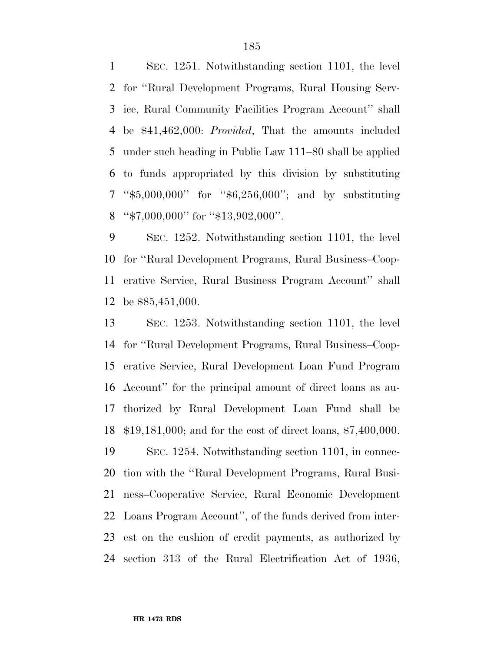SEC. 1251. Notwithstanding section 1101, the level for ''Rural Development Programs, Rural Housing Serv- ice, Rural Community Facilities Program Account'' shall be \$41,462,000: *Provided*, That the amounts included under such heading in Public Law 111–80 shall be applied to funds appropriated by this division by substituting ''\$5,000,000'' for ''\$6,256,000''; and by substituting 8 "\$7,000,000" for "\$13,902,000".

 SEC. 1252. Notwithstanding section 1101, the level for ''Rural Development Programs, Rural Business–Coop- erative Service, Rural Business Program Account'' shall be \$85,451,000.

 SEC. 1253. Notwithstanding section 1101, the level for ''Rural Development Programs, Rural Business–Coop- erative Service, Rural Development Loan Fund Program Account'' for the principal amount of direct loans as au- thorized by Rural Development Loan Fund shall be \$19,181,000; and for the cost of direct loans, \$7,400,000. SEC. 1254. Notwithstanding section 1101, in connec- tion with the ''Rural Development Programs, Rural Busi- ness–Cooperative Service, Rural Economic Development Loans Program Account'', of the funds derived from inter-est on the cushion of credit payments, as authorized by

section 313 of the Rural Electrification Act of 1936,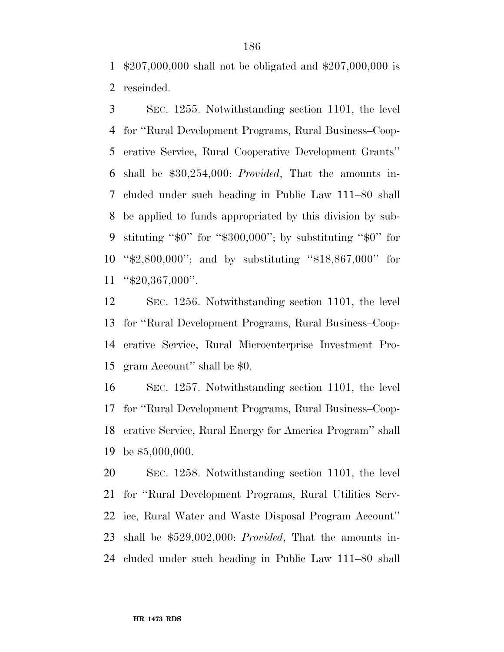\$207,000,000 shall not be obligated and \$207,000,000 is rescinded.

 SEC. 1255. Notwithstanding section 1101, the level for ''Rural Development Programs, Rural Business–Coop- erative Service, Rural Cooperative Development Grants'' shall be \$30,254,000: *Provided*, That the amounts in- cluded under such heading in Public Law 111–80 shall be applied to funds appropriated by this division by sub- stituting ''\$0'' for ''\$300,000''; by substituting ''\$0'' for ''\$2,800,000''; and by substituting ''\$18,867,000'' for ''\$20,367,000''.

 SEC. 1256. Notwithstanding section 1101, the level for ''Rural Development Programs, Rural Business–Coop- erative Service, Rural Microenterprise Investment Pro-gram Account'' shall be \$0.

 SEC. 1257. Notwithstanding section 1101, the level for ''Rural Development Programs, Rural Business–Coop- erative Service, Rural Energy for America Program'' shall be \$5,000,000.

 SEC. 1258. Notwithstanding section 1101, the level for ''Rural Development Programs, Rural Utilities Serv- ice, Rural Water and Waste Disposal Program Account'' shall be \$529,002,000: *Provided*, That the amounts in-cluded under such heading in Public Law 111–80 shall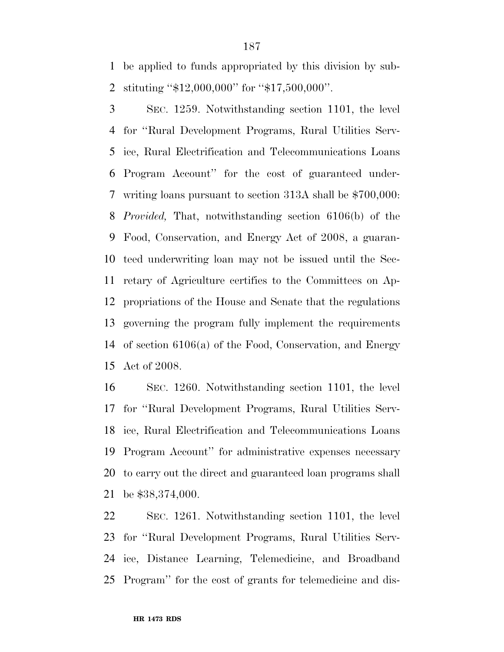be applied to funds appropriated by this division by sub-stituting ''\$12,000,000'' for ''\$17,500,000''.

 SEC. 1259. Notwithstanding section 1101, the level for ''Rural Development Programs, Rural Utilities Serv- ice, Rural Electrification and Telecommunications Loans Program Account'' for the cost of guaranteed under- writing loans pursuant to section 313A shall be \$700,000: *Provided,* That, notwithstanding section 6106(b) of the Food, Conservation, and Energy Act of 2008, a guaran- teed underwriting loan may not be issued until the Sec- retary of Agriculture certifies to the Committees on Ap- propriations of the House and Senate that the regulations governing the program fully implement the requirements of section 6106(a) of the Food, Conservation, and Energy Act of 2008.

 SEC. 1260. Notwithstanding section 1101, the level for ''Rural Development Programs, Rural Utilities Serv- ice, Rural Electrification and Telecommunications Loans Program Account'' for administrative expenses necessary to carry out the direct and guaranteed loan programs shall be \$38,374,000.

 SEC. 1261. Notwithstanding section 1101, the level for ''Rural Development Programs, Rural Utilities Serv- ice, Distance Learning, Telemedicine, and Broadband Program'' for the cost of grants for telemedicine and dis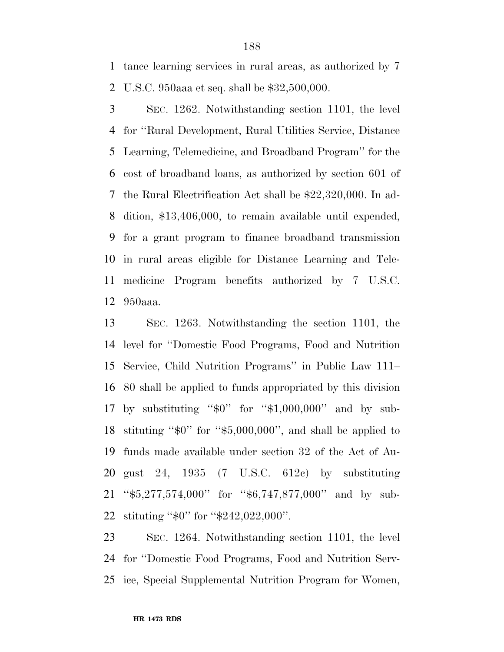tance learning services in rural areas, as authorized by 7 U.S.C. 950aaa et seq. shall be \$32,500,000.

 SEC. 1262. Notwithstanding section 1101, the level for ''Rural Development, Rural Utilities Service, Distance Learning, Telemedicine, and Broadband Program'' for the cost of broadband loans, as authorized by section 601 of the Rural Electrification Act shall be \$22,320,000. In ad- dition, \$13,406,000, to remain available until expended, for a grant program to finance broadband transmission in rural areas eligible for Distance Learning and Tele- medicine Program benefits authorized by 7 U.S.C. 950aaa.

 SEC. 1263. Notwithstanding the section 1101, the level for ''Domestic Food Programs, Food and Nutrition Service, Child Nutrition Programs'' in Public Law 111– 80 shall be applied to funds appropriated by this division by substituting ''\$0'' for ''\$1,000,000'' and by sub- stituting ''\$0'' for ''\$5,000,000'', and shall be applied to funds made available under section 32 of the Act of Au- gust 24, 1935 (7 U.S.C. 612c) by substituting ''\$5,277,574,000'' for ''\$6,747,877,000'' and by sub-stituting ''\$0'' for ''\$242,022,000''.

 SEC. 1264. Notwithstanding section 1101, the level for ''Domestic Food Programs, Food and Nutrition Serv-ice, Special Supplemental Nutrition Program for Women,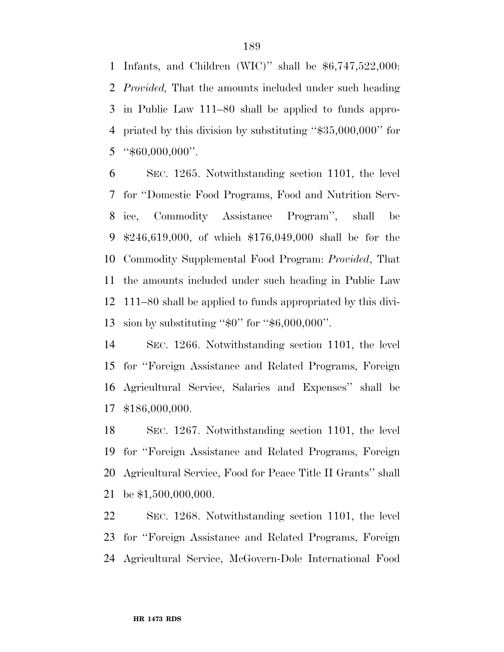Infants, and Children (WIC)'' shall be \$6,747,522,000: *Provided,* That the amounts included under such heading in Public Law 111–80 shall be applied to funds appro- priated by this division by substituting ''\$35,000,000'' for "\$60,000,000".

 SEC. 1265. Notwithstanding section 1101, the level for ''Domestic Food Programs, Food and Nutrition Serv- ice, Commodity Assistance Program'', shall be \$246,619,000, of which \$176,049,000 shall be for the Commodity Supplemental Food Program: *Provided*, That the amounts included under such heading in Public Law 111–80 shall be applied to funds appropriated by this divi-sion by substituting ''\$0'' for ''\$6,000,000''.

 SEC. 1266. Notwithstanding section 1101, the level for ''Foreign Assistance and Related Programs, Foreign Agricultural Service, Salaries and Expenses'' shall be \$186,000,000.

 SEC. 1267. Notwithstanding section 1101, the level for ''Foreign Assistance and Related Programs, Foreign Agricultural Service, Food for Peace Title II Grants'' shall be \$1,500,000,000.

 SEC. 1268. Notwithstanding section 1101, the level for ''Foreign Assistance and Related Programs, Foreign Agricultural Service, McGovern-Dole International Food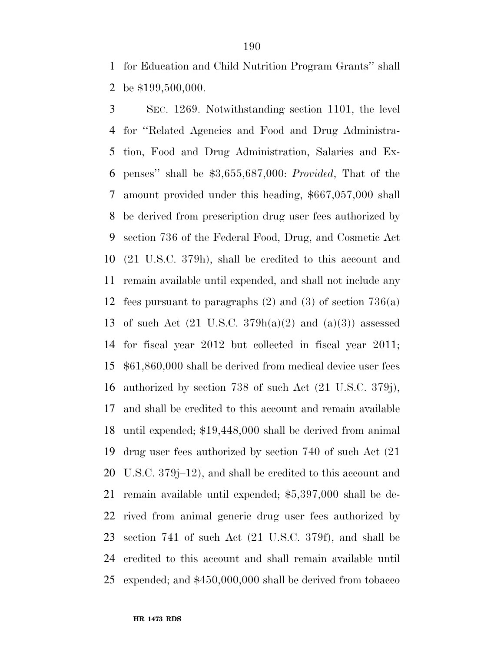for Education and Child Nutrition Program Grants'' shall be \$199,500,000.

 SEC. 1269. Notwithstanding section 1101, the level for ''Related Agencies and Food and Drug Administra- tion, Food and Drug Administration, Salaries and Ex- penses'' shall be \$3,655,687,000: *Provided*, That of the amount provided under this heading, \$667,057,000 shall be derived from prescription drug user fees authorized by section 736 of the Federal Food, Drug, and Cosmetic Act (21 U.S.C. 379h), shall be credited to this account and remain available until expended, and shall not include any fees pursuant to paragraphs (2) and (3) of section 736(a) 13 of such Act  $(21 \text{ U.S.C. } 379h(a)(2)$  and  $(a)(3)$  assessed for fiscal year 2012 but collected in fiscal year 2011; \$61,860,000 shall be derived from medical device user fees authorized by section 738 of such Act (21 U.S.C. 379j), and shall be credited to this account and remain available until expended; \$19,448,000 shall be derived from animal drug user fees authorized by section 740 of such Act (21 U.S.C. 379j–12), and shall be credited to this account and remain available until expended; \$5,397,000 shall be de- rived from animal generic drug user fees authorized by section 741 of such Act (21 U.S.C. 379f), and shall be credited to this account and shall remain available until expended; and \$450,000,000 shall be derived from tobacco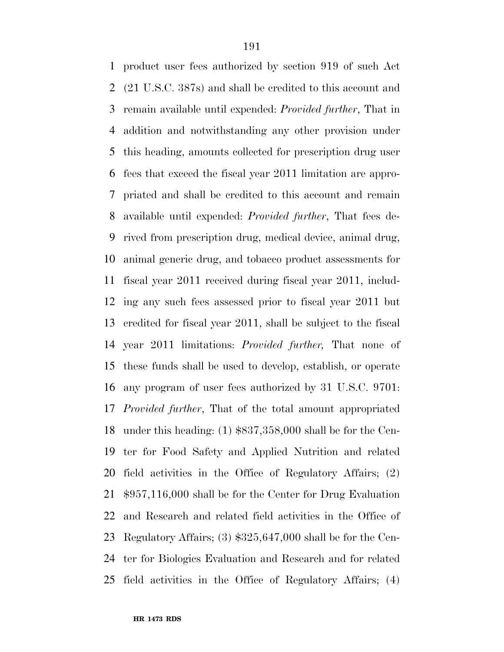product user fees authorized by section 919 of such Act (21 U.S.C. 387s) and shall be credited to this account and remain available until expended: *Provided further*, That in addition and notwithstanding any other provision under this heading, amounts collected for prescription drug user fees that exceed the fiscal year 2011 limitation are appro- priated and shall be credited to this account and remain available until expended: *Provided further*, That fees de- rived from prescription drug, medical device, animal drug, animal generic drug, and tobacco product assessments for fiscal year 2011 received during fiscal year 2011, includ- ing any such fees assessed prior to fiscal year 2011 but credited for fiscal year 2011, shall be subject to the fiscal year 2011 limitations: *Provided further,* That none of these funds shall be used to develop, establish, or operate any program of user fees authorized by 31 U.S.C. 9701: *Provided further*, That of the total amount appropriated under this heading: (1) \$837,358,000 shall be for the Cen- ter for Food Safety and Applied Nutrition and related field activities in the Office of Regulatory Affairs; (2) \$957,116,000 shall be for the Center for Drug Evaluation and Research and related field activities in the Office of Regulatory Affairs; (3) \$325,647,000 shall be for the Cen- ter for Biologics Evaluation and Research and for related field activities in the Office of Regulatory Affairs; (4)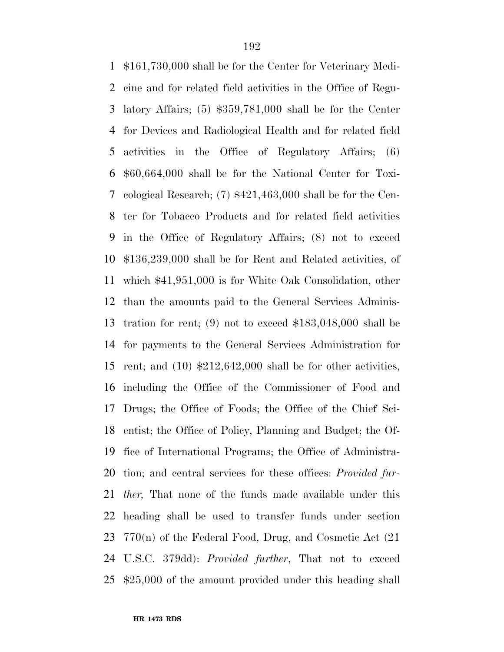\$161,730,000 shall be for the Center for Veterinary Medi- cine and for related field activities in the Office of Regu- latory Affairs; (5) \$359,781,000 shall be for the Center for Devices and Radiological Health and for related field activities in the Office of Regulatory Affairs; (6) \$60,664,000 shall be for the National Center for Toxi- cological Research; (7) \$421,463,000 shall be for the Cen- ter for Tobacco Products and for related field activities in the Office of Regulatory Affairs; (8) not to exceed \$136,239,000 shall be for Rent and Related activities, of which \$41,951,000 is for White Oak Consolidation, other than the amounts paid to the General Services Adminis- tration for rent; (9) not to exceed \$183,048,000 shall be for payments to the General Services Administration for rent; and (10) \$212,642,000 shall be for other activities, including the Office of the Commissioner of Food and Drugs; the Office of Foods; the Office of the Chief Sci- entist; the Office of Policy, Planning and Budget; the Of- fice of International Programs; the Office of Administra- tion; and central services for these offices: *Provided fur- ther,* That none of the funds made available under this heading shall be used to transfer funds under section 770(n) of the Federal Food, Drug, and Cosmetic Act (21 U.S.C. 379dd): *Provided further*, That not to exceed \$25,000 of the amount provided under this heading shall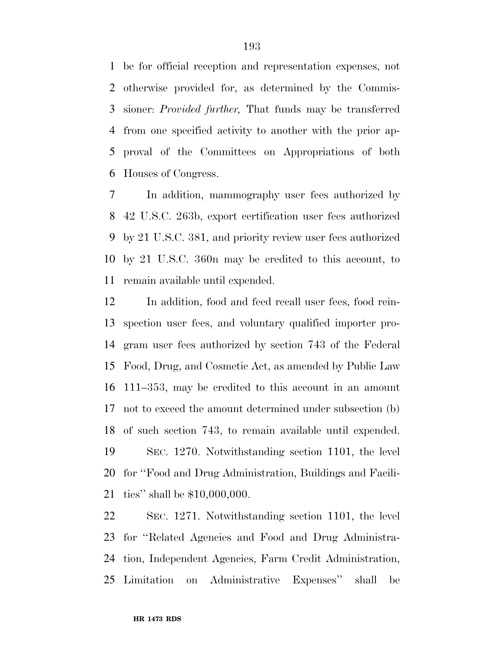be for official reception and representation expenses, not otherwise provided for, as determined by the Commis- sioner: *Provided further,* That funds may be transferred from one specified activity to another with the prior ap- proval of the Committees on Appropriations of both Houses of Congress.

 In addition, mammography user fees authorized by 42 U.S.C. 263b, export certification user fees authorized by 21 U.S.C. 381, and priority review user fees authorized by 21 U.S.C. 360n may be credited to this account, to remain available until expended.

 In addition, food and feed recall user fees, food rein- spection user fees, and voluntary qualified importer pro- gram user fees authorized by section 743 of the Federal Food, Drug, and Cosmetic Act, as amended by Public Law 111–353, may be credited to this account in an amount not to exceed the amount determined under subsection (b) of such section 743, to remain available until expended. SEC. 1270. Notwithstanding section 1101, the level for ''Food and Drug Administration, Buildings and Facili-ties'' shall be \$10,000,000.

 SEC. 1271. Notwithstanding section 1101, the level for ''Related Agencies and Food and Drug Administra- tion, Independent Agencies, Farm Credit Administration, Limitation on Administrative Expenses'' shall be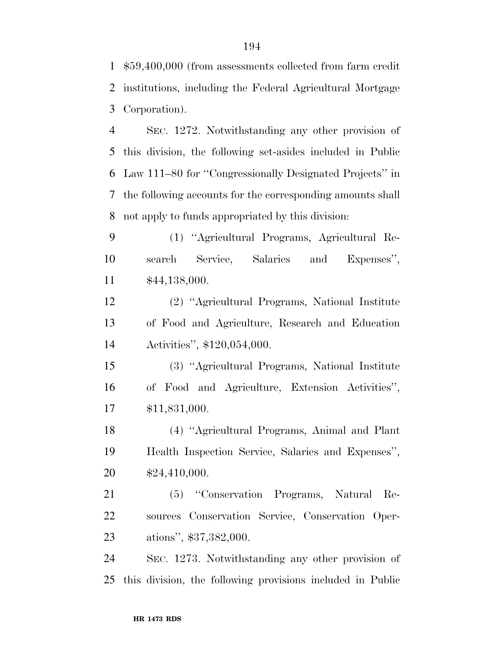\$59,400,000 (from assessments collected from farm credit institutions, including the Federal Agricultural Mortgage Corporation).

 SEC. 1272. Notwithstanding any other provision of this division, the following set-asides included in Public Law 111–80 for ''Congressionally Designated Projects'' in the following accounts for the corresponding amounts shall not apply to funds appropriated by this division:

 (1) ''Agricultural Programs, Agricultural Re- search Service, Salaries and Expenses'', \$44,138,000.

 (2) ''Agricultural Programs, National Institute of Food and Agriculture, Research and Education Activities'', \$120,054,000.

 (3) ''Agricultural Programs, National Institute of Food and Agriculture, Extension Activities'', \$11,831,000.

 (4) ''Agricultural Programs, Animal and Plant Health Inspection Service, Salaries and Expenses'', \$24,410,000.

 (5) ''Conservation Programs, Natural Re- sources Conservation Service, Conservation Oper-ations'', \$37,382,000.

 SEC. 1273. Notwithstanding any other provision of this division, the following provisions included in Public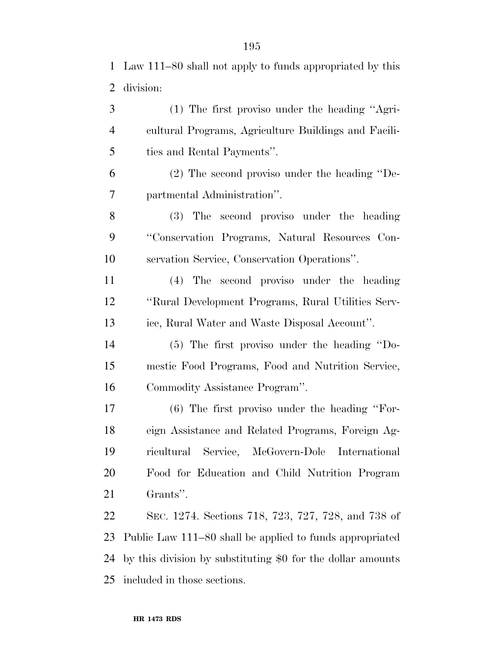Law 111–80 shall not apply to funds appropriated by this division:

 (1) The first proviso under the heading ''Agri- cultural Programs, Agriculture Buildings and Facili- ties and Rental Payments''. (2) The second proviso under the heading ''De- partmental Administration''. (3) The second proviso under the heading ''Conservation Programs, Natural Resources Con- servation Service, Conservation Operations''. (4) The second proviso under the heading ''Rural Development Programs, Rural Utilities Serv-

ice, Rural Water and Waste Disposal Account''.

 (5) The first proviso under the heading ''Do- mestic Food Programs, Food and Nutrition Service, Commodity Assistance Program''.

 (6) The first proviso under the heading ''For- eign Assistance and Related Programs, Foreign Ag- ricultural Service, McGovern-Dole International Food for Education and Child Nutrition Program Grants''.

 SEC. 1274. Sections 718, 723, 727, 728, and 738 of Public Law 111–80 shall be applied to funds appropriated by this division by substituting \$0 for the dollar amounts included in those sections.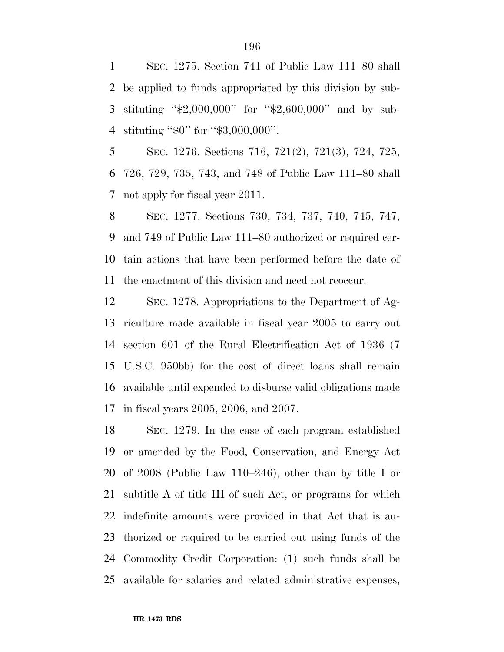SEC. 1275. Section 741 of Public Law 111–80 shall be applied to funds appropriated by this division by sub- stituting ''\$2,000,000'' for ''\$2,600,000'' and by sub-stituting ''\$0'' for ''\$3,000,000''.

 SEC. 1276. Sections 716, 721(2), 721(3), 724, 725, 726, 729, 735, 743, and 748 of Public Law 111–80 shall not apply for fiscal year 2011.

 SEC. 1277. Sections 730, 734, 737, 740, 745, 747, and 749 of Public Law 111–80 authorized or required cer- tain actions that have been performed before the date of the enactment of this division and need not reoccur.

 SEC. 1278. Appropriations to the Department of Ag- riculture made available in fiscal year 2005 to carry out section 601 of the Rural Electrification Act of 1936 (7 U.S.C. 950bb) for the cost of direct loans shall remain available until expended to disburse valid obligations made in fiscal years 2005, 2006, and 2007.

 SEC. 1279. In the case of each program established or amended by the Food, Conservation, and Energy Act of 2008 (Public Law 110–246), other than by title I or subtitle A of title III of such Act, or programs for which indefinite amounts were provided in that Act that is au- thorized or required to be carried out using funds of the Commodity Credit Corporation: (1) such funds shall be available for salaries and related administrative expenses,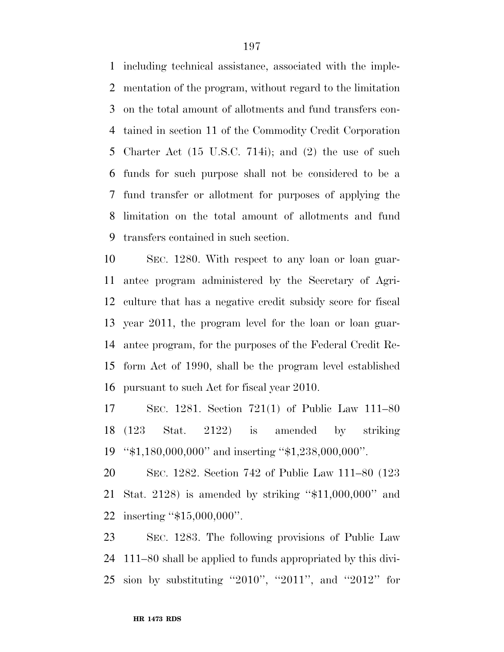including technical assistance, associated with the imple- mentation of the program, without regard to the limitation on the total amount of allotments and fund transfers con- tained in section 11 of the Commodity Credit Corporation Charter Act (15 U.S.C. 714i); and (2) the use of such funds for such purpose shall not be considered to be a fund transfer or allotment for purposes of applying the limitation on the total amount of allotments and fund transfers contained in such section.

 SEC. 1280. With respect to any loan or loan guar- antee program administered by the Secretary of Agri- culture that has a negative credit subsidy score for fiscal year 2011, the program level for the loan or loan guar- antee program, for the purposes of the Federal Credit Re- form Act of 1990, shall be the program level established pursuant to such Act for fiscal year 2010.

 SEC. 1281. Section 721(1) of Public Law 111–80 (123 Stat. 2122) is amended by striking ''\$1,180,000,000'' and inserting ''\$1,238,000,000''.

 SEC. 1282. Section 742 of Public Law 111–80 (123 Stat. 2128) is amended by striking ''\$11,000,000'' and inserting ''\$15,000,000''.

 SEC. 1283. The following provisions of Public Law 111–80 shall be applied to funds appropriated by this divi-sion by substituting ''2010'', ''2011'', and ''2012'' for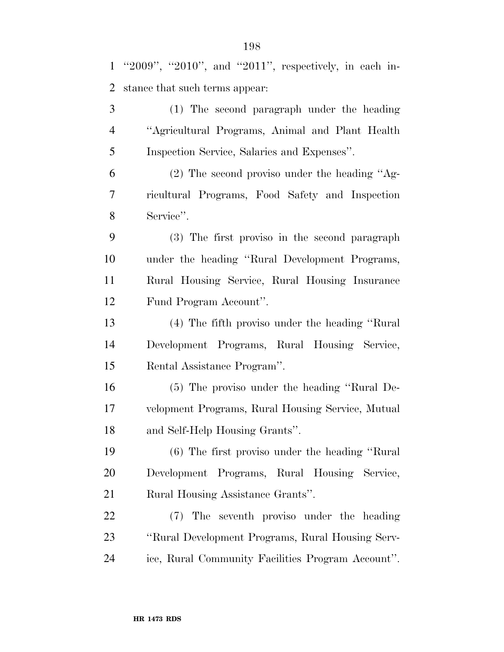''2009'', ''2010'', and ''2011'', respectively, in each in-stance that such terms appear:

 (1) The second paragraph under the heading ''Agricultural Programs, Animal and Plant Health Inspection Service, Salaries and Expenses''.

 (2) The second proviso under the heading ''Ag- ricultural Programs, Food Safety and Inspection Service''.

 (3) The first proviso in the second paragraph under the heading ''Rural Development Programs, Rural Housing Service, Rural Housing Insurance Fund Program Account''.

 (4) The fifth proviso under the heading ''Rural Development Programs, Rural Housing Service, Rental Assistance Program''.

 (5) The proviso under the heading ''Rural De- velopment Programs, Rural Housing Service, Mutual and Self-Help Housing Grants''.

 (6) The first proviso under the heading ''Rural Development Programs, Rural Housing Service, Rural Housing Assistance Grants''.

 (7) The seventh proviso under the heading ''Rural Development Programs, Rural Housing Serv-ice, Rural Community Facilities Program Account''.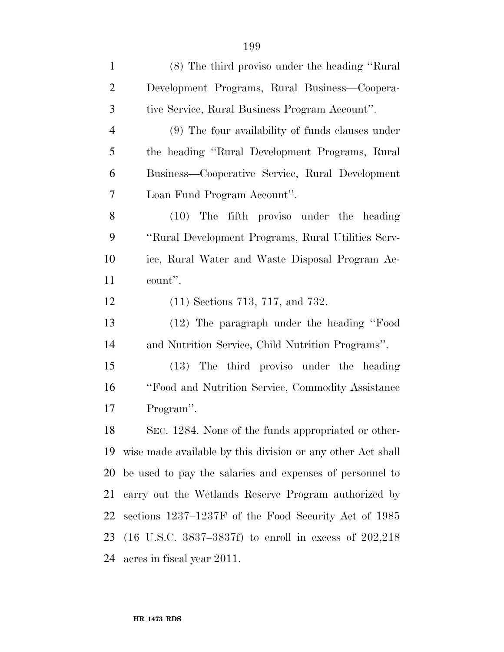| $\mathbf{1}$   | (8) The third proviso under the heading "Rural"                    |
|----------------|--------------------------------------------------------------------|
| $\overline{2}$ | Development Programs, Rural Business—Coopera-                      |
| 3              | tive Service, Rural Business Program Account".                     |
| $\overline{4}$ | (9) The four availability of funds clauses under                   |
| 5              | the heading "Rural Development Programs, Rural                     |
| 6              | Business—Cooperative Service, Rural Development                    |
| 7              | Loan Fund Program Account".                                        |
| 8              | The fifth proviso under the heading<br>(10)                        |
| 9              | "Rural Development Programs, Rural Utilities Serv-                 |
| 10             | ice, Rural Water and Waste Disposal Program Ac-                    |
| 11             | count".                                                            |
| 12             | $(11)$ Sections 713, 717, and 732.                                 |
| 13             | (12) The paragraph under the heading "Food                         |
| 14             | and Nutrition Service, Child Nutrition Programs".                  |
| 15             | (13) The third proviso under the heading                           |
| 16             | "Food and Nutrition Service, Commodity Assistance"                 |
| 17             | Program".                                                          |
| 18             | SEC. 1284. None of the funds appropriated or other-                |
| 19             | wise made available by this division or any other Act shall        |
| 20             | be used to pay the salaries and expenses of personnel to           |
| 21             | carry out the Wetlands Reserve Program authorized by               |
| 22             | sections 1237–1237F of the Food Security Act of 1985               |
| 23             | $(16 \text{ U.S.C. } 3837-3837f)$ to enroll in excess of $202,218$ |
| 24             | acres in fiscal year 2011.                                         |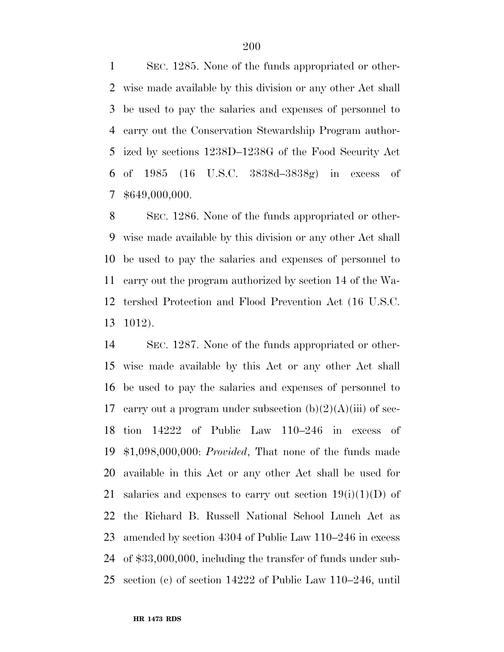SEC. 1285. None of the funds appropriated or other- wise made available by this division or any other Act shall be used to pay the salaries and expenses of personnel to carry out the Conservation Stewardship Program author- ized by sections 1238D–1238G of the Food Security Act of 1985 (16 U.S.C. 3838d–3838g) in excess of \$649,000,000.

 SEC. 1286. None of the funds appropriated or other- wise made available by this division or any other Act shall be used to pay the salaries and expenses of personnel to carry out the program authorized by section 14 of the Wa- tershed Protection and Flood Prevention Act (16 U.S.C. 1012).

 SEC. 1287. None of the funds appropriated or other- wise made available by this Act or any other Act shall be used to pay the salaries and expenses of personnel to 17 carry out a program under subsection  $(b)(2)(A)(iii)$  of sec- tion 14222 of Public Law 110–246 in excess of \$1,098,000,000: *Provided*, That none of the funds made available in this Act or any other Act shall be used for 21 salaries and expenses to carry out section  $19(i)(1)(D)$  of the Richard B. Russell National School Lunch Act as amended by section 4304 of Public Law 110–246 in excess of \$33,000,000, including the transfer of funds under sub-section (c) of section 14222 of Public Law 110–246, until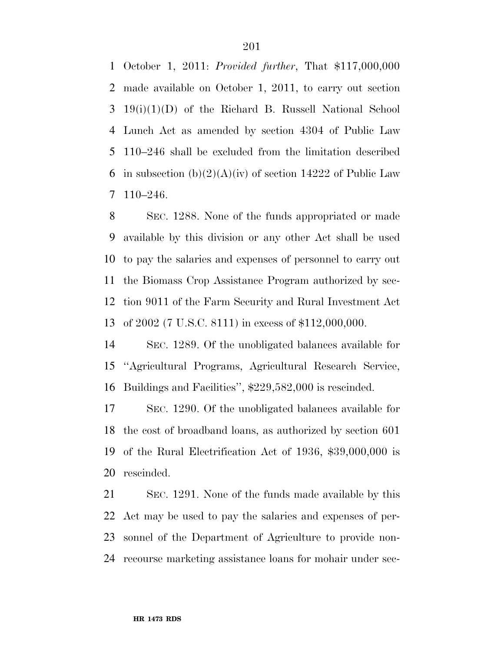October 1, 2011: *Provided further*, That \$117,000,000 made available on October 1, 2011, to carry out section 19(i)(1)(D) of the Richard B. Russell National School Lunch Act as amended by section 4304 of Public Law 110–246 shall be excluded from the limitation described 6 in subsection  $(b)(2)(A)(iv)$  of section 14222 of Public Law 110–246.

 SEC. 1288. None of the funds appropriated or made available by this division or any other Act shall be used to pay the salaries and expenses of personnel to carry out the Biomass Crop Assistance Program authorized by sec- tion 9011 of the Farm Security and Rural Investment Act of 2002 (7 U.S.C. 8111) in excess of \$112,000,000.

 SEC. 1289. Of the unobligated balances available for ''Agricultural Programs, Agricultural Research Service, Buildings and Facilities'', \$229,582,000 is rescinded.

 SEC. 1290. Of the unobligated balances available for the cost of broadband loans, as authorized by section 601 of the Rural Electrification Act of 1936, \$39,000,000 is rescinded.

 SEC. 1291. None of the funds made available by this Act may be used to pay the salaries and expenses of per- sonnel of the Department of Agriculture to provide non-recourse marketing assistance loans for mohair under sec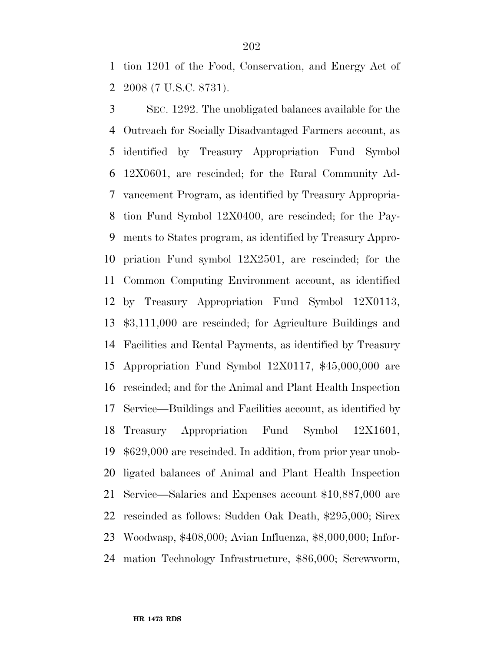tion 1201 of the Food, Conservation, and Energy Act of 2008 (7 U.S.C. 8731).

 SEC. 1292. The unobligated balances available for the Outreach for Socially Disadvantaged Farmers account, as identified by Treasury Appropriation Fund Symbol 12X0601, are rescinded; for the Rural Community Ad- vancement Program, as identified by Treasury Appropria- tion Fund Symbol 12X0400, are rescinded; for the Pay- ments to States program, as identified by Treasury Appro- priation Fund symbol 12X2501, are rescinded; for the Common Computing Environment account, as identified by Treasury Appropriation Fund Symbol 12X0113, \$3,111,000 are rescinded; for Agriculture Buildings and Facilities and Rental Payments, as identified by Treasury Appropriation Fund Symbol 12X0117, \$45,000,000 are rescinded; and for the Animal and Plant Health Inspection Service—Buildings and Facilities account, as identified by Treasury Appropriation Fund Symbol 12X1601, \$629,000 are rescinded. In addition, from prior year unob- ligated balances of Animal and Plant Health Inspection Service—Salaries and Expenses account \$10,887,000 are rescinded as follows: Sudden Oak Death, \$295,000; Sirex Woodwasp, \$408,000; Avian Influenza, \$8,000,000; Infor-mation Technology Infrastructure, \$86,000; Screwworm,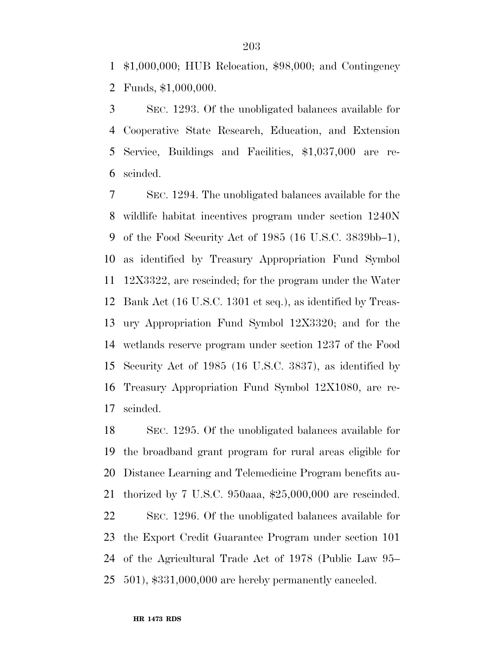\$1,000,000; HUB Relocation, \$98,000; and Contingency Funds, \$1,000,000.

 SEC. 1293. Of the unobligated balances available for Cooperative State Research, Education, and Extension Service, Buildings and Facilities, \$1,037,000 are re-scinded.

 SEC. 1294. The unobligated balances available for the wildlife habitat incentives program under section 1240N of the Food Security Act of 1985 (16 U.S.C. 3839bb–1), as identified by Treasury Appropriation Fund Symbol 12X3322, are rescinded; for the program under the Water Bank Act (16 U.S.C. 1301 et seq.), as identified by Treas- ury Appropriation Fund Symbol 12X3320; and for the wetlands reserve program under section 1237 of the Food Security Act of 1985 (16 U.S.C. 3837), as identified by Treasury Appropriation Fund Symbol 12X1080, are re-scinded.

 SEC. 1295. Of the unobligated balances available for the broadband grant program for rural areas eligible for Distance Learning and Telemedicine Program benefits au- thorized by 7 U.S.C. 950aaa, \$25,000,000 are rescinded. SEC. 1296. Of the unobligated balances available for the Export Credit Guarantee Program under section 101 of the Agricultural Trade Act of 1978 (Public Law 95– 501), \$331,000,000 are hereby permanently canceled.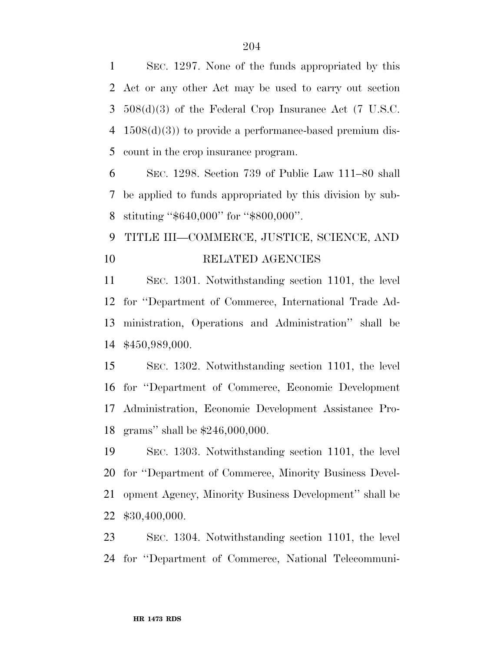SEC. 1297. None of the funds appropriated by this Act or any other Act may be used to carry out section 508(d)(3) of the Federal Crop Insurance Act (7 U.S.C. 1508(d)(3)) to provide a performance-based premium dis-count in the crop insurance program.

 SEC. 1298. Section 739 of Public Law 111–80 shall be applied to funds appropriated by this division by sub-stituting ''\$640,000'' for ''\$800,000''.

 TITLE III—COMMERCE, JUSTICE, SCIENCE, AND RELATED AGENCIES

 SEC. 1301. Notwithstanding section 1101, the level for ''Department of Commerce, International Trade Ad- ministration, Operations and Administration'' shall be \$450,989,000.

 SEC. 1302. Notwithstanding section 1101, the level for ''Department of Commerce, Economic Development Administration, Economic Development Assistance Pro-grams'' shall be \$246,000,000.

 SEC. 1303. Notwithstanding section 1101, the level for ''Department of Commerce, Minority Business Devel- opment Agency, Minority Business Development'' shall be \$30,400,000.

 SEC. 1304. Notwithstanding section 1101, the level for ''Department of Commerce, National Telecommuni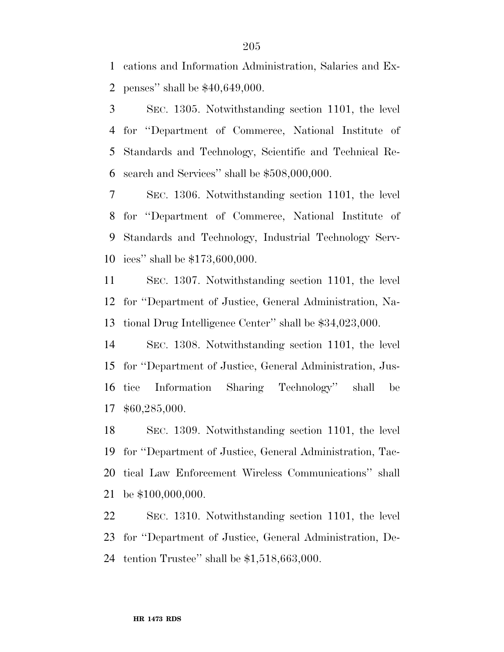cations and Information Administration, Salaries and Ex-penses'' shall be \$40,649,000.

 SEC. 1305. Notwithstanding section 1101, the level for ''Department of Commerce, National Institute of Standards and Technology, Scientific and Technical Re-search and Services'' shall be \$508,000,000.

 SEC. 1306. Notwithstanding section 1101, the level for ''Department of Commerce, National Institute of Standards and Technology, Industrial Technology Serv-ices'' shall be \$173,600,000.

 SEC. 1307. Notwithstanding section 1101, the level for ''Department of Justice, General Administration, Na-tional Drug Intelligence Center'' shall be \$34,023,000.

 SEC. 1308. Notwithstanding section 1101, the level for ''Department of Justice, General Administration, Jus- tice Information Sharing Technology'' shall be \$60,285,000.

 SEC. 1309. Notwithstanding section 1101, the level for ''Department of Justice, General Administration, Tac- tical Law Enforcement Wireless Communications'' shall be \$100,000,000.

 SEC. 1310. Notwithstanding section 1101, the level for ''Department of Justice, General Administration, De-tention Trustee'' shall be \$1,518,663,000.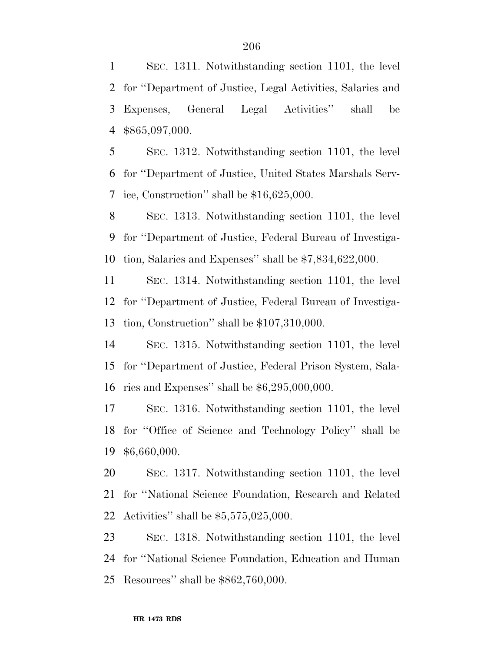SEC. 1311. Notwithstanding section 1101, the level for ''Department of Justice, Legal Activities, Salaries and Expenses, General Legal Activities'' shall be \$865,097,000.

 SEC. 1312. Notwithstanding section 1101, the level for ''Department of Justice, United States Marshals Serv-ice, Construction'' shall be \$16,625,000.

 SEC. 1313. Notwithstanding section 1101, the level for ''Department of Justice, Federal Bureau of Investiga-tion, Salaries and Expenses'' shall be \$7,834,622,000.

 SEC. 1314. Notwithstanding section 1101, the level for ''Department of Justice, Federal Bureau of Investiga-tion, Construction'' shall be \$107,310,000.

 SEC. 1315. Notwithstanding section 1101, the level for ''Department of Justice, Federal Prison System, Sala-ries and Expenses'' shall be \$6,295,000,000.

 SEC. 1316. Notwithstanding section 1101, the level for ''Office of Science and Technology Policy'' shall be \$6,660,000.

 SEC. 1317. Notwithstanding section 1101, the level for ''National Science Foundation, Research and Related Activities'' shall be \$5,575,025,000.

 SEC. 1318. Notwithstanding section 1101, the level for ''National Science Foundation, Education and Human Resources'' shall be \$862,760,000.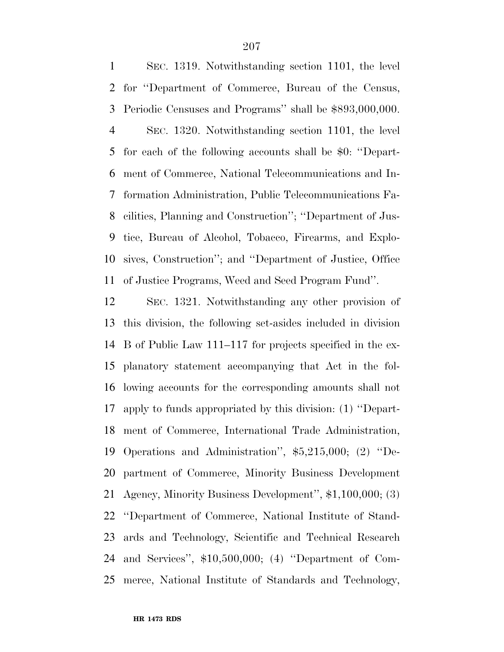SEC. 1319. Notwithstanding section 1101, the level for ''Department of Commerce, Bureau of the Census, Periodic Censuses and Programs'' shall be \$893,000,000. SEC. 1320. Notwithstanding section 1101, the level for each of the following accounts shall be \$0: ''Depart- ment of Commerce, National Telecommunications and In- formation Administration, Public Telecommunications Fa- cilities, Planning and Construction''; ''Department of Jus- tice, Bureau of Alcohol, Tobacco, Firearms, and Explo- sives, Construction''; and ''Department of Justice, Office of Justice Programs, Weed and Seed Program Fund''.

 SEC. 1321. Notwithstanding any other provision of this division, the following set-asides included in division B of Public Law 111–117 for projects specified in the ex- planatory statement accompanying that Act in the fol- lowing accounts for the corresponding amounts shall not apply to funds appropriated by this division: (1) ''Depart- ment of Commerce, International Trade Administration, Operations and Administration'', \$5,215,000; (2) ''De- partment of Commerce, Minority Business Development Agency, Minority Business Development'', \$1,100,000; (3) ''Department of Commerce, National Institute of Stand- ards and Technology, Scientific and Technical Research and Services'', \$10,500,000; (4) ''Department of Com-merce, National Institute of Standards and Technology,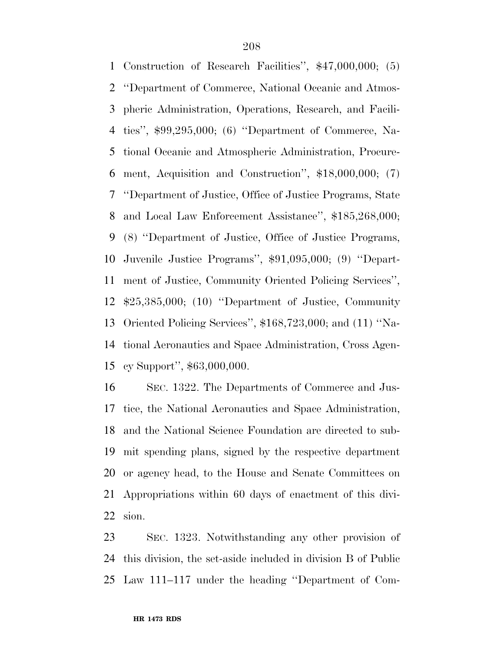Construction of Research Facilities'', \$47,000,000; (5) ''Department of Commerce, National Oceanic and Atmos- pheric Administration, Operations, Research, and Facili- ties'', \$99,295,000; (6) ''Department of Commerce, Na- tional Oceanic and Atmospheric Administration, Procure- ment, Acquisition and Construction'', \$18,000,000; (7) ''Department of Justice, Office of Justice Programs, State and Local Law Enforcement Assistance'', \$185,268,000; (8) ''Department of Justice, Office of Justice Programs, Juvenile Justice Programs'', \$91,095,000; (9) ''Depart- ment of Justice, Community Oriented Policing Services'', \$25,385,000; (10) ''Department of Justice, Community Oriented Policing Services'', \$168,723,000; and (11) ''Na- tional Aeronautics and Space Administration, Cross Agen-cy Support'', \$63,000,000.

 SEC. 1322. The Departments of Commerce and Jus- tice, the National Aeronautics and Space Administration, and the National Science Foundation are directed to sub- mit spending plans, signed by the respective department or agency head, to the House and Senate Committees on Appropriations within 60 days of enactment of this divi-sion.

 SEC. 1323. Notwithstanding any other provision of this division, the set-aside included in division B of Public Law 111–117 under the heading ''Department of Com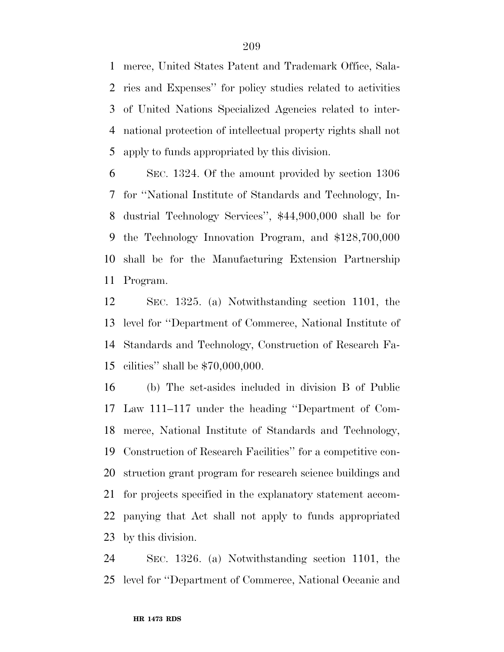merce, United States Patent and Trademark Office, Sala- ries and Expenses'' for policy studies related to activities of United Nations Specialized Agencies related to inter- national protection of intellectual property rights shall not apply to funds appropriated by this division.

 SEC. 1324. Of the amount provided by section 1306 for ''National Institute of Standards and Technology, In- dustrial Technology Services'', \$44,900,000 shall be for the Technology Innovation Program, and \$128,700,000 shall be for the Manufacturing Extension Partnership Program.

 SEC. 1325. (a) Notwithstanding section 1101, the level for ''Department of Commerce, National Institute of Standards and Technology, Construction of Research Fa-cilities'' shall be \$70,000,000.

 (b) The set-asides included in division B of Public Law 111–117 under the heading ''Department of Com- merce, National Institute of Standards and Technology, Construction of Research Facilities'' for a competitive con- struction grant program for research science buildings and for projects specified in the explanatory statement accom- panying that Act shall not apply to funds appropriated by this division.

 SEC. 1326. (a) Notwithstanding section 1101, the level for ''Department of Commerce, National Oceanic and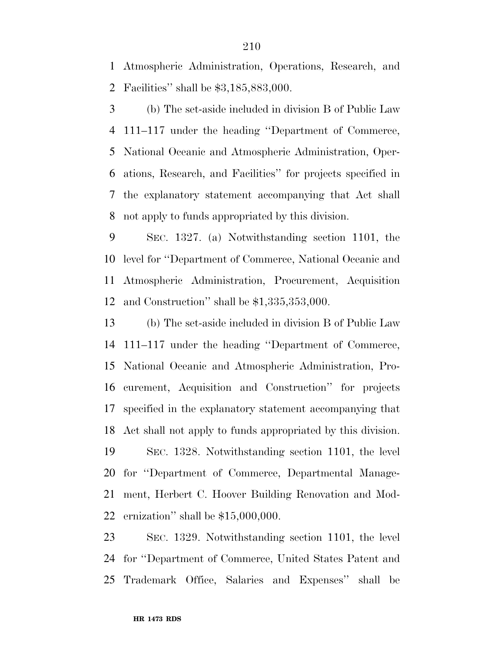Atmospheric Administration, Operations, Research, and Facilities'' shall be \$3,185,883,000.

 (b) The set-aside included in division B of Public Law 111–117 under the heading ''Department of Commerce, National Oceanic and Atmospheric Administration, Oper- ations, Research, and Facilities'' for projects specified in the explanatory statement accompanying that Act shall not apply to funds appropriated by this division.

 SEC. 1327. (a) Notwithstanding section 1101, the level for ''Department of Commerce, National Oceanic and Atmospheric Administration, Procurement, Acquisition and Construction'' shall be \$1,335,353,000.

 (b) The set-aside included in division B of Public Law 111–117 under the heading ''Department of Commerce, National Oceanic and Atmospheric Administration, Pro- curement, Acquisition and Construction'' for projects specified in the explanatory statement accompanying that Act shall not apply to funds appropriated by this division. SEC. 1328. Notwithstanding section 1101, the level for ''Department of Commerce, Departmental Manage- ment, Herbert C. Hoover Building Renovation and Mod-ernization'' shall be \$15,000,000.

 SEC. 1329. Notwithstanding section 1101, the level for ''Department of Commerce, United States Patent and Trademark Office, Salaries and Expenses'' shall be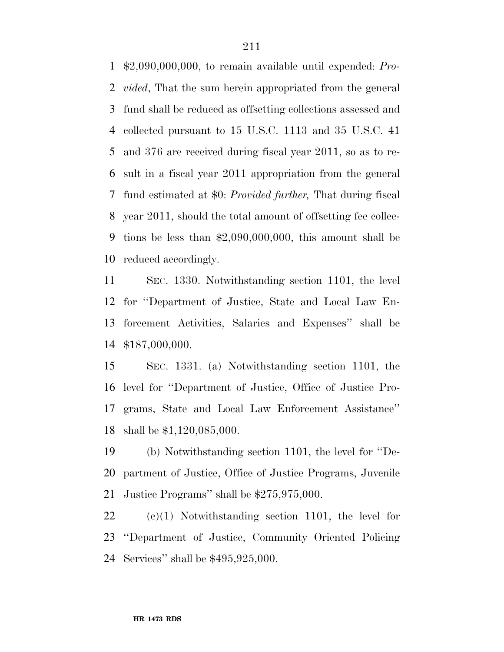\$2,090,000,000, to remain available until expended: *Pro- vided*, That the sum herein appropriated from the general fund shall be reduced as offsetting collections assessed and collected pursuant to 15 U.S.C. 1113 and 35 U.S.C. 41 and 376 are received during fiscal year 2011, so as to re- sult in a fiscal year 2011 appropriation from the general fund estimated at \$0: *Provided further,* That during fiscal year 2011, should the total amount of offsetting fee collec- tions be less than \$2,090,000,000, this amount shall be reduced accordingly.

 SEC. 1330. Notwithstanding section 1101, the level for ''Department of Justice, State and Local Law En- forcement Activities, Salaries and Expenses'' shall be \$187,000,000.

 SEC. 1331. (a) Notwithstanding section 1101, the level for ''Department of Justice, Office of Justice Pro- grams, State and Local Law Enforcement Assistance'' shall be \$1,120,085,000.

 (b) Notwithstanding section 1101, the level for ''De- partment of Justice, Office of Justice Programs, Juvenile Justice Programs'' shall be \$275,975,000.

 (c)(1) Notwithstanding section 1101, the level for ''Department of Justice, Community Oriented Policing Services'' shall be \$495,925,000.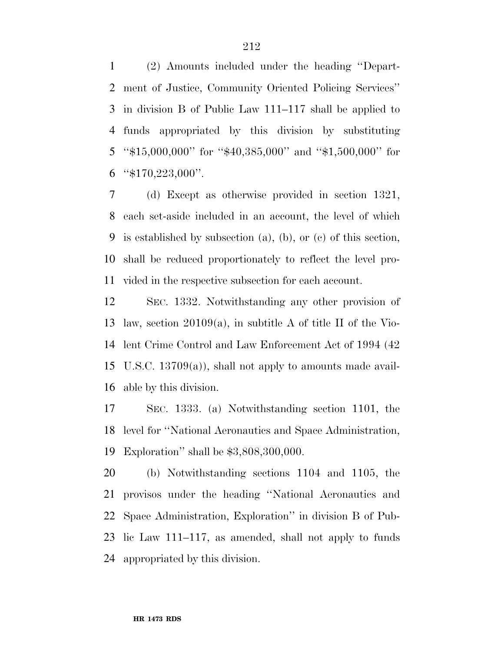(2) Amounts included under the heading ''Depart- ment of Justice, Community Oriented Policing Services'' in division B of Public Law 111–117 shall be applied to funds appropriated by this division by substituting ''\$15,000,000'' for ''\$40,385,000'' and ''\$1,500,000'' for "\$170,223,000".

 (d) Except as otherwise provided in section 1321, each set-aside included in an account, the level of which is established by subsection (a), (b), or (c) of this section, shall be reduced proportionately to reflect the level pro-vided in the respective subsection for each account.

 SEC. 1332. Notwithstanding any other provision of law, section 20109(a), in subtitle A of title II of the Vio- lent Crime Control and Law Enforcement Act of 1994 (42 U.S.C. 13709(a)), shall not apply to amounts made avail-able by this division.

 SEC. 1333. (a) Notwithstanding section 1101, the level for ''National Aeronautics and Space Administration, Exploration'' shall be \$3,808,300,000.

 (b) Notwithstanding sections 1104 and 1105, the provisos under the heading ''National Aeronautics and Space Administration, Exploration'' in division B of Pub- lic Law 111–117, as amended, shall not apply to funds appropriated by this division.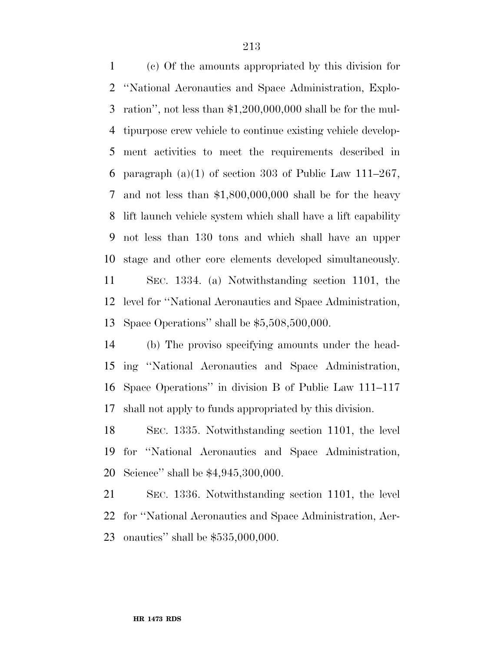(c) Of the amounts appropriated by this division for ''National Aeronautics and Space Administration, Explo- ration'', not less than \$1,200,000,000 shall be for the mul- tipurpose crew vehicle to continue existing vehicle develop- ment activities to meet the requirements described in 6 paragraph  $(a)(1)$  of section 303 of Public Law 111–267, and not less than \$1,800,000,000 shall be for the heavy lift launch vehicle system which shall have a lift capability not less than 130 tons and which shall have an upper stage and other core elements developed simultaneously.

 SEC. 1334. (a) Notwithstanding section 1101, the level for ''National Aeronautics and Space Administration, Space Operations'' shall be \$5,508,500,000.

 (b) The proviso specifying amounts under the head- ing ''National Aeronautics and Space Administration, Space Operations'' in division B of Public Law 111–117 shall not apply to funds appropriated by this division.

 SEC. 1335. Notwithstanding section 1101, the level for ''National Aeronautics and Space Administration, Science'' shall be \$4,945,300,000.

 SEC. 1336. Notwithstanding section 1101, the level for ''National Aeronautics and Space Administration, Aer-onautics'' shall be \$535,000,000.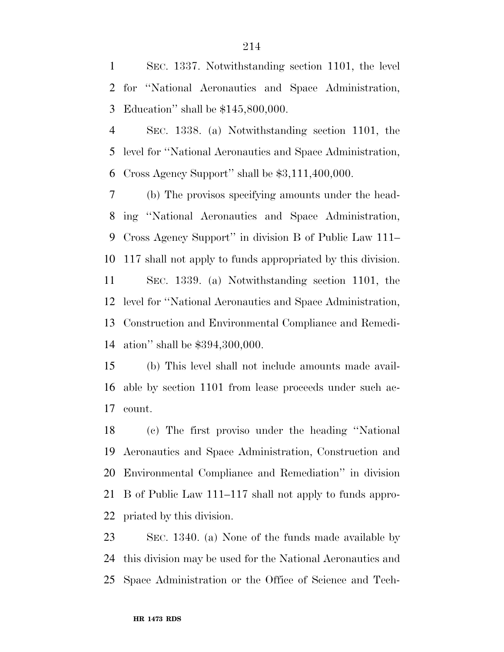SEC. 1337. Notwithstanding section 1101, the level for ''National Aeronautics and Space Administration, Education'' shall be \$145,800,000.

 SEC. 1338. (a) Notwithstanding section 1101, the level for ''National Aeronautics and Space Administration, Cross Agency Support'' shall be \$3,111,400,000.

 (b) The provisos specifying amounts under the head- ing ''National Aeronautics and Space Administration, Cross Agency Support'' in division B of Public Law 111– 117 shall not apply to funds appropriated by this division. SEC. 1339. (a) Notwithstanding section 1101, the level for ''National Aeronautics and Space Administration, Construction and Environmental Compliance and Remedi-ation'' shall be \$394,300,000.

 (b) This level shall not include amounts made avail- able by section 1101 from lease proceeds under such ac-count.

 (c) The first proviso under the heading ''National Aeronautics and Space Administration, Construction and Environmental Compliance and Remediation'' in division B of Public Law 111–117 shall not apply to funds appro-priated by this division.

 SEC. 1340. (a) None of the funds made available by this division may be used for the National Aeronautics and Space Administration or the Office of Science and Tech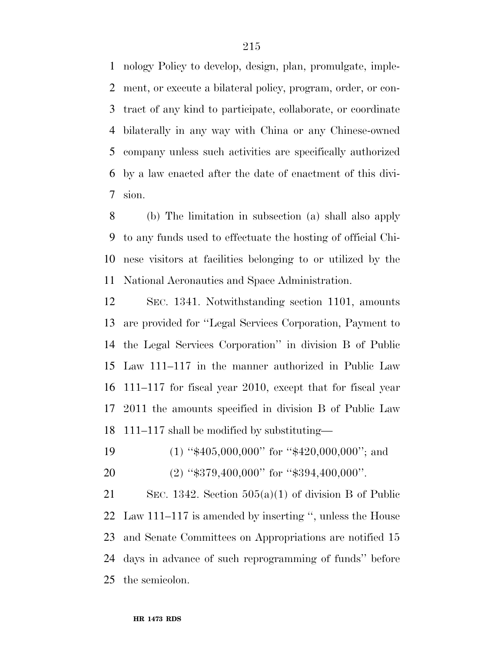nology Policy to develop, design, plan, promulgate, imple- ment, or execute a bilateral policy, program, order, or con- tract of any kind to participate, collaborate, or coordinate bilaterally in any way with China or any Chinese-owned company unless such activities are specifically authorized by a law enacted after the date of enactment of this divi-sion.

 (b) The limitation in subsection (a) shall also apply to any funds used to effectuate the hosting of official Chi- nese visitors at facilities belonging to or utilized by the National Aeronautics and Space Administration.

 SEC. 1341. Notwithstanding section 1101, amounts are provided for ''Legal Services Corporation, Payment to the Legal Services Corporation'' in division B of Public Law 111–117 in the manner authorized in Public Law 111–117 for fiscal year 2010, except that for fiscal year 2011 the amounts specified in division B of Public Law 111–117 shall be modified by substituting—

- 19 (1) " $\text{$}405,000,000$ " for " $\text{$}420,000,000$ "; and
- 20 (2) "\$379,400,000" for "\$394,400,000".

 SEC. 1342. Section 505(a)(1) of division B of Public Law 111–117 is amended by inserting '', unless the House and Senate Committees on Appropriations are notified 15 days in advance of such reprogramming of funds'' before the semicolon.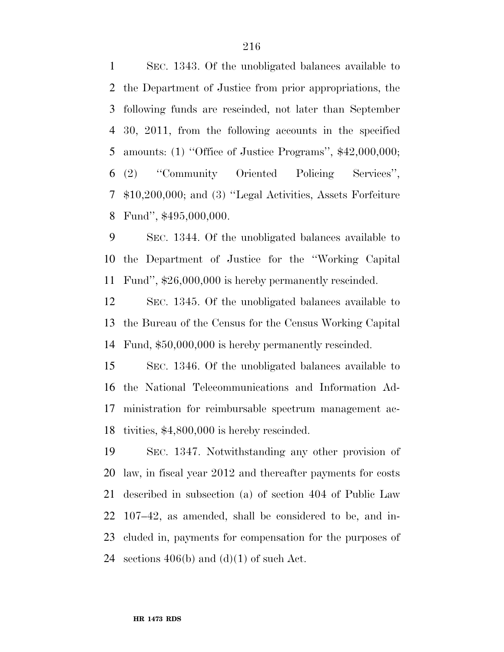SEC. 1343. Of the unobligated balances available to the Department of Justice from prior appropriations, the following funds are rescinded, not later than September 30, 2011, from the following accounts in the specified amounts: (1) ''Office of Justice Programs'', \$42,000,000; (2) ''Community Oriented Policing Services'', \$10,200,000; and (3) ''Legal Activities, Assets Forfeiture Fund'', \$495,000,000.

 SEC. 1344. Of the unobligated balances available to the Department of Justice for the ''Working Capital Fund'', \$26,000,000 is hereby permanently rescinded.

 SEC. 1345. Of the unobligated balances available to the Bureau of the Census for the Census Working Capital Fund, \$50,000,000 is hereby permanently rescinded.

 SEC. 1346. Of the unobligated balances available to the National Telecommunications and Information Ad- ministration for reimbursable spectrum management ac-tivities, \$4,800,000 is hereby rescinded.

 SEC. 1347. Notwithstanding any other provision of law, in fiscal year 2012 and thereafter payments for costs described in subsection (a) of section 404 of Public Law 107–42, as amended, shall be considered to be, and in- cluded in, payments for compensation for the purposes of 24 sections  $406(b)$  and  $(d)(1)$  of such Act.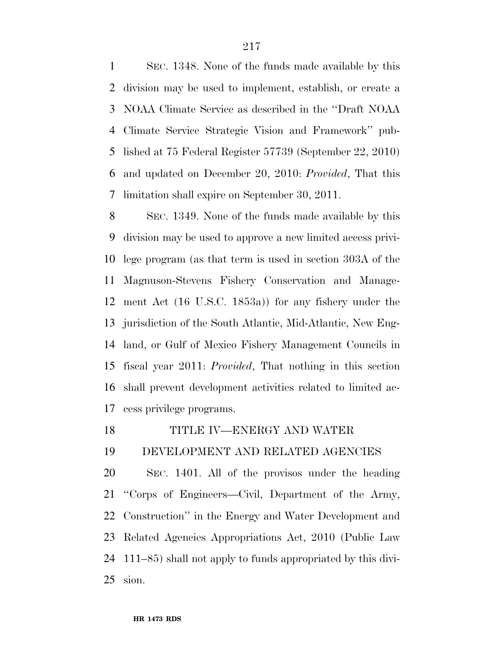SEC. 1348. None of the funds made available by this division may be used to implement, establish, or create a NOAA Climate Service as described in the ''Draft NOAA Climate Service Strategic Vision and Framework'' pub- lished at 75 Federal Register 57739 (September 22, 2010) and updated on December 20, 2010: *Provided*, That this limitation shall expire on September 30, 2011.

 SEC. 1349. None of the funds made available by this division may be used to approve a new limited access privi- lege program (as that term is used in section 303A of the Magnuson-Stevens Fishery Conservation and Manage- ment Act (16 U.S.C. 1853a)) for any fishery under the jurisdiction of the South Atlantic, Mid-Atlantic, New Eng- land, or Gulf of Mexico Fishery Management Councils in fiscal year 2011: *Provided*, That nothing in this section shall prevent development activities related to limited ac-cess privilege programs.

## TITLE IV—ENERGY AND WATER

## DEVELOPMENT AND RELATED AGENCIES

 SEC. 1401. All of the provisos under the heading ''Corps of Engineers—Civil, Department of the Army, Construction'' in the Energy and Water Development and Related Agencies Appropriations Act, 2010 (Public Law 111–85) shall not apply to funds appropriated by this divi-sion.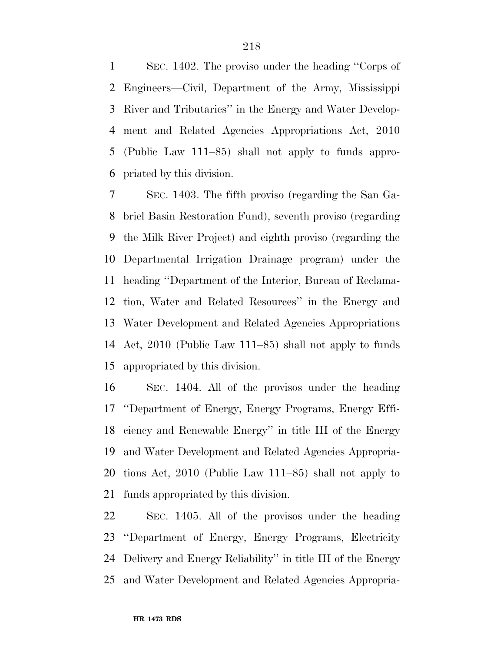SEC. 1402. The proviso under the heading ''Corps of Engineers—Civil, Department of the Army, Mississippi River and Tributaries'' in the Energy and Water Develop- ment and Related Agencies Appropriations Act, 2010 (Public Law 111–85) shall not apply to funds appro-priated by this division.

 SEC. 1403. The fifth proviso (regarding the San Ga- briel Basin Restoration Fund), seventh proviso (regarding the Milk River Project) and eighth proviso (regarding the Departmental Irrigation Drainage program) under the heading ''Department of the Interior, Bureau of Reclama- tion, Water and Related Resources'' in the Energy and Water Development and Related Agencies Appropriations Act, 2010 (Public Law 111–85) shall not apply to funds appropriated by this division.

 SEC. 1404. All of the provisos under the heading ''Department of Energy, Energy Programs, Energy Effi- ciency and Renewable Energy'' in title III of the Energy and Water Development and Related Agencies Appropria- tions Act, 2010 (Public Law 111–85) shall not apply to funds appropriated by this division.

 SEC. 1405. All of the provisos under the heading ''Department of Energy, Energy Programs, Electricity Delivery and Energy Reliability'' in title III of the Energy and Water Development and Related Agencies Appropria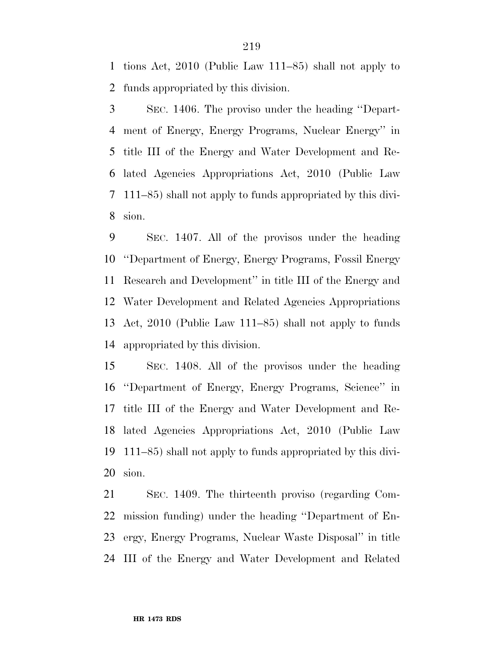tions Act, 2010 (Public Law 111–85) shall not apply to funds appropriated by this division.

 SEC. 1406. The proviso under the heading ''Depart- ment of Energy, Energy Programs, Nuclear Energy'' in title III of the Energy and Water Development and Re- lated Agencies Appropriations Act, 2010 (Public Law 111–85) shall not apply to funds appropriated by this divi-sion.

 SEC. 1407. All of the provisos under the heading ''Department of Energy, Energy Programs, Fossil Energy Research and Development'' in title III of the Energy and Water Development and Related Agencies Appropriations Act, 2010 (Public Law 111–85) shall not apply to funds appropriated by this division.

 SEC. 1408. All of the provisos under the heading ''Department of Energy, Energy Programs, Science'' in title III of the Energy and Water Development and Re- lated Agencies Appropriations Act, 2010 (Public Law 111–85) shall not apply to funds appropriated by this divi-sion.

 SEC. 1409. The thirteenth proviso (regarding Com- mission funding) under the heading ''Department of En- ergy, Energy Programs, Nuclear Waste Disposal'' in title III of the Energy and Water Development and Related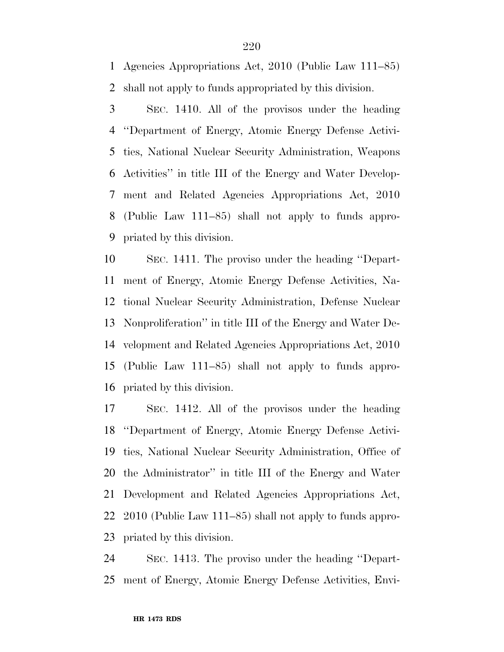Agencies Appropriations Act, 2010 (Public Law 111–85) shall not apply to funds appropriated by this division.

 SEC. 1410. All of the provisos under the heading ''Department of Energy, Atomic Energy Defense Activi- ties, National Nuclear Security Administration, Weapons Activities'' in title III of the Energy and Water Develop- ment and Related Agencies Appropriations Act, 2010 (Public Law 111–85) shall not apply to funds appro-priated by this division.

 SEC. 1411. The proviso under the heading ''Depart- ment of Energy, Atomic Energy Defense Activities, Na- tional Nuclear Security Administration, Defense Nuclear Nonproliferation'' in title III of the Energy and Water De- velopment and Related Agencies Appropriations Act, 2010 (Public Law 111–85) shall not apply to funds appro-priated by this division.

 SEC. 1412. All of the provisos under the heading ''Department of Energy, Atomic Energy Defense Activi- ties, National Nuclear Security Administration, Office of the Administrator'' in title III of the Energy and Water Development and Related Agencies Appropriations Act, 2010 (Public Law 111–85) shall not apply to funds appro-priated by this division.

 SEC. 1413. The proviso under the heading ''Depart-ment of Energy, Atomic Energy Defense Activities, Envi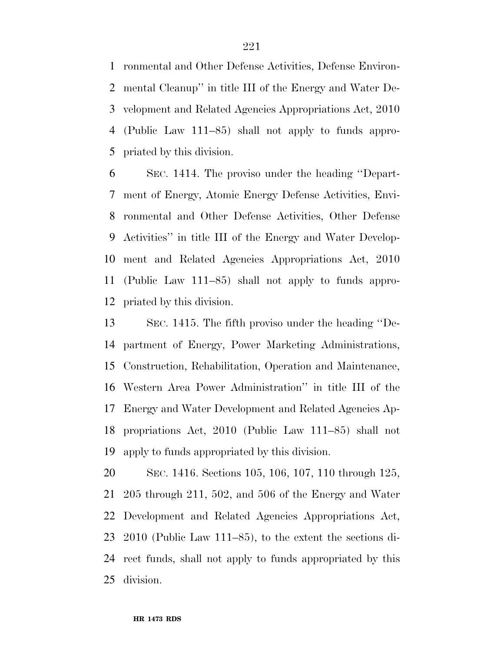ronmental and Other Defense Activities, Defense Environ- mental Cleanup'' in title III of the Energy and Water De- velopment and Related Agencies Appropriations Act, 2010 (Public Law 111–85) shall not apply to funds appro-priated by this division.

 SEC. 1414. The proviso under the heading ''Depart- ment of Energy, Atomic Energy Defense Activities, Envi- ronmental and Other Defense Activities, Other Defense Activities'' in title III of the Energy and Water Develop- ment and Related Agencies Appropriations Act, 2010 (Public Law 111–85) shall not apply to funds appro-priated by this division.

 SEC. 1415. The fifth proviso under the heading ''De- partment of Energy, Power Marketing Administrations, Construction, Rehabilitation, Operation and Maintenance, Western Area Power Administration'' in title III of the Energy and Water Development and Related Agencies Ap- propriations Act, 2010 (Public Law 111–85) shall not apply to funds appropriated by this division.

 SEC. 1416. Sections 105, 106, 107, 110 through 125, 205 through 211, 502, and 506 of the Energy and Water Development and Related Agencies Appropriations Act, 2010 (Public Law 111–85), to the extent the sections di- rect funds, shall not apply to funds appropriated by this division.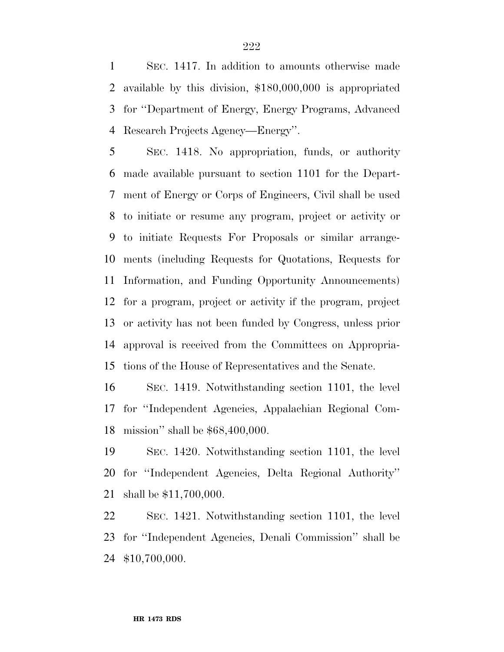SEC. 1417. In addition to amounts otherwise made available by this division, \$180,000,000 is appropriated for ''Department of Energy, Energy Programs, Advanced Research Projects Agency—Energy''.

 SEC. 1418. No appropriation, funds, or authority made available pursuant to section 1101 for the Depart- ment of Energy or Corps of Engineers, Civil shall be used to initiate or resume any program, project or activity or to initiate Requests For Proposals or similar arrange- ments (including Requests for Quotations, Requests for Information, and Funding Opportunity Announcements) for a program, project or activity if the program, project or activity has not been funded by Congress, unless prior approval is received from the Committees on Appropria-tions of the House of Representatives and the Senate.

 SEC. 1419. Notwithstanding section 1101, the level for ''Independent Agencies, Appalachian Regional Com-mission'' shall be \$68,400,000.

 SEC. 1420. Notwithstanding section 1101, the level for ''Independent Agencies, Delta Regional Authority'' shall be \$11,700,000.

 SEC. 1421. Notwithstanding section 1101, the level for ''Independent Agencies, Denali Commission'' shall be \$10,700,000.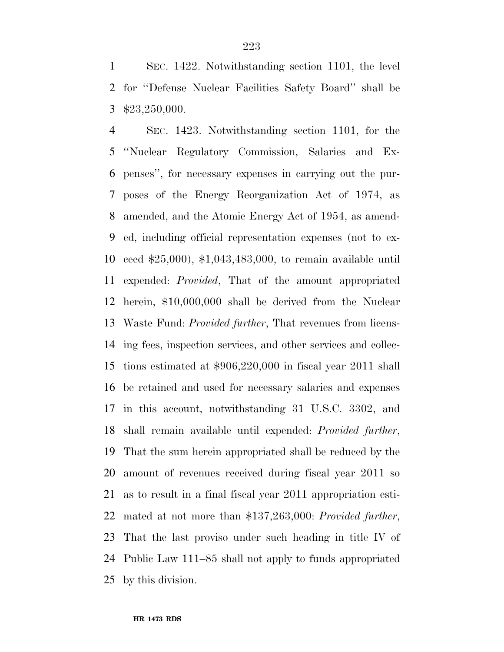SEC. 1422. Notwithstanding section 1101, the level for ''Defense Nuclear Facilities Safety Board'' shall be \$23,250,000.

 SEC. 1423. Notwithstanding section 1101, for the ''Nuclear Regulatory Commission, Salaries and Ex- penses'', for necessary expenses in carrying out the pur- poses of the Energy Reorganization Act of 1974, as amended, and the Atomic Energy Act of 1954, as amend- ed, including official representation expenses (not to ex- ceed \$25,000), \$1,043,483,000, to remain available until expended: *Provided*, That of the amount appropriated herein, \$10,000,000 shall be derived from the Nuclear Waste Fund: *Provided further*, That revenues from licens- ing fees, inspection services, and other services and collec- tions estimated at \$906,220,000 in fiscal year 2011 shall be retained and used for necessary salaries and expenses in this account, notwithstanding 31 U.S.C. 3302, and shall remain available until expended: *Provided further*, That the sum herein appropriated shall be reduced by the amount of revenues received during fiscal year 2011 so as to result in a final fiscal year 2011 appropriation esti- mated at not more than \$137,263,000: *Provided further*, That the last proviso under such heading in title IV of Public Law 111–85 shall not apply to funds appropriated by this division.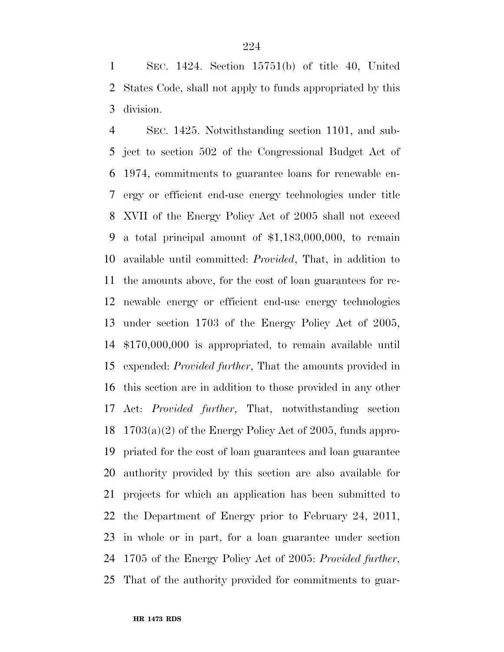SEC. 1424. Section 15751(b) of title 40, United States Code, shall not apply to funds appropriated by this division.

 SEC. 1425. Notwithstanding section 1101, and sub- ject to section 502 of the Congressional Budget Act of 1974, commitments to guarantee loans for renewable en- ergy or efficient end-use energy technologies under title XVII of the Energy Policy Act of 2005 shall not exceed a total principal amount of \$1,183,000,000, to remain available until committed: *Provided*, That, in addition to the amounts above, for the cost of loan guarantees for re- newable energy or efficient end-use energy technologies under section 1703 of the Energy Policy Act of 2005, \$170,000,000 is appropriated, to remain available until expended: *Provided further*, That the amounts provided in this section are in addition to those provided in any other Act: *Provided further*, That, notwithstanding section 1703(a)(2) of the Energy Policy Act of 2005, funds appro- priated for the cost of loan guarantees and loan guarantee authority provided by this section are also available for projects for which an application has been submitted to the Department of Energy prior to February 24, 2011, in whole or in part, for a loan guarantee under section 1705 of the Energy Policy Act of 2005: *Provided further*, That of the authority provided for commitments to guar-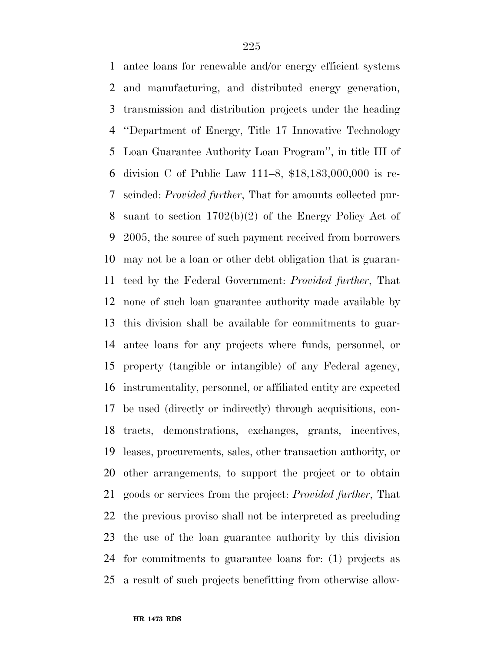antee loans for renewable and/or energy efficient systems and manufacturing, and distributed energy generation, transmission and distribution projects under the heading ''Department of Energy, Title 17 Innovative Technology Loan Guarantee Authority Loan Program'', in title III of division C of Public Law 111–8, \$18,183,000,000 is re- scinded: *Provided further*, That for amounts collected pur- suant to section 1702(b)(2) of the Energy Policy Act of 2005, the source of such payment received from borrowers may not be a loan or other debt obligation that is guaran- teed by the Federal Government: *Provided further*, That none of such loan guarantee authority made available by this division shall be available for commitments to guar- antee loans for any projects where funds, personnel, or property (tangible or intangible) of any Federal agency, instrumentality, personnel, or affiliated entity are expected be used (directly or indirectly) through acquisitions, con- tracts, demonstrations, exchanges, grants, incentives, leases, procurements, sales, other transaction authority, or other arrangements, to support the project or to obtain goods or services from the project: *Provided further*, That the previous proviso shall not be interpreted as precluding the use of the loan guarantee authority by this division for commitments to guarantee loans for: (1) projects as a result of such projects benefitting from otherwise allow-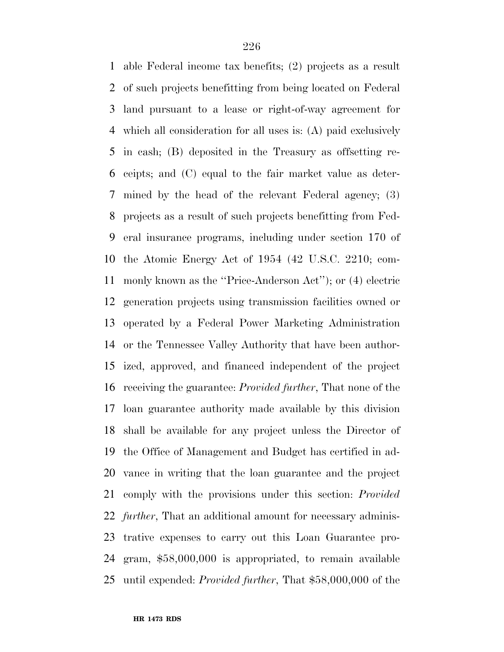able Federal income tax benefits; (2) projects as a result of such projects benefitting from being located on Federal land pursuant to a lease or right-of-way agreement for which all consideration for all uses is: (A) paid exclusively in cash; (B) deposited in the Treasury as offsetting re- ceipts; and (C) equal to the fair market value as deter- mined by the head of the relevant Federal agency; (3) projects as a result of such projects benefitting from Fed- eral insurance programs, including under section 170 of the Atomic Energy Act of 1954 (42 U.S.C. 2210; com- monly known as the ''Price-Anderson Act''); or (4) electric generation projects using transmission facilities owned or operated by a Federal Power Marketing Administration or the Tennessee Valley Authority that have been author- ized, approved, and financed independent of the project receiving the guarantee: *Provided further*, That none of the loan guarantee authority made available by this division shall be available for any project unless the Director of the Office of Management and Budget has certified in ad- vance in writing that the loan guarantee and the project comply with the provisions under this section: *Provided further*, That an additional amount for necessary adminis- trative expenses to carry out this Loan Guarantee pro- gram, \$58,000,000 is appropriated, to remain available until expended: *Provided further*, That \$58,000,000 of the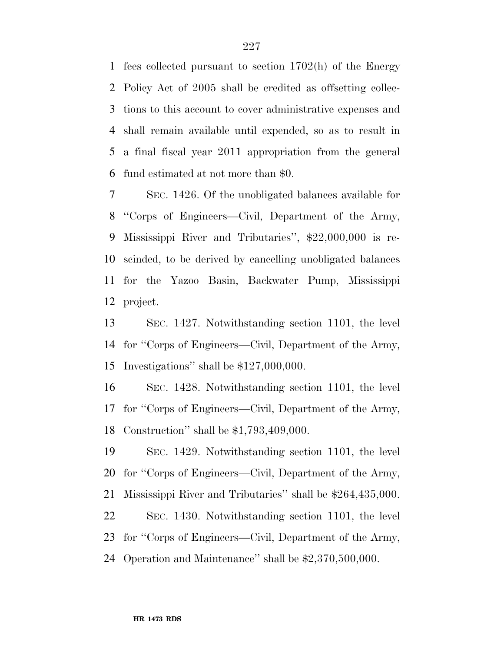fees collected pursuant to section 1702(h) of the Energy Policy Act of 2005 shall be credited as offsetting collec- tions to this account to cover administrative expenses and shall remain available until expended, so as to result in a final fiscal year 2011 appropriation from the general fund estimated at not more than \$0.

 SEC. 1426. Of the unobligated balances available for ''Corps of Engineers—Civil, Department of the Army, Mississippi River and Tributaries'', \$22,000,000 is re- scinded, to be derived by cancelling unobligated balances for the Yazoo Basin, Backwater Pump, Mississippi project.

 SEC. 1427. Notwithstanding section 1101, the level for ''Corps of Engineers—Civil, Department of the Army, Investigations'' shall be \$127,000,000.

 SEC. 1428. Notwithstanding section 1101, the level for ''Corps of Engineers—Civil, Department of the Army, Construction'' shall be \$1,793,409,000.

 SEC. 1429. Notwithstanding section 1101, the level for ''Corps of Engineers—Civil, Department of the Army, Mississippi River and Tributaries'' shall be \$264,435,000. SEC. 1430. Notwithstanding section 1101, the level for ''Corps of Engineers—Civil, Department of the Army, Operation and Maintenance'' shall be \$2,370,500,000.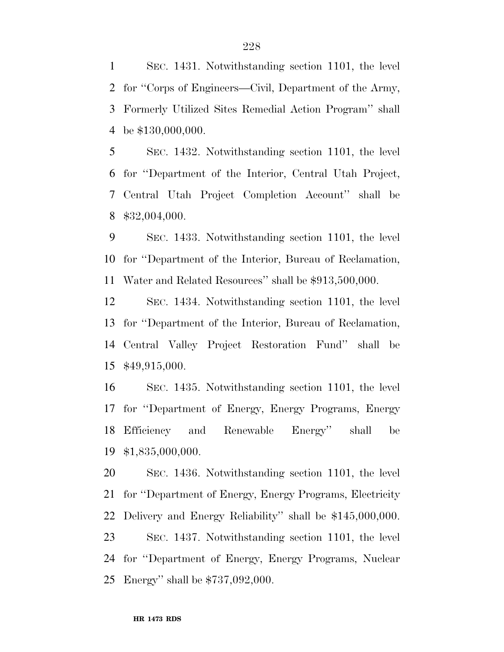SEC. 1431. Notwithstanding section 1101, the level for ''Corps of Engineers—Civil, Department of the Army, Formerly Utilized Sites Remedial Action Program'' shall be \$130,000,000.

 SEC. 1432. Notwithstanding section 1101, the level for ''Department of the Interior, Central Utah Project, Central Utah Project Completion Account'' shall be \$32,004,000.

 SEC. 1433. Notwithstanding section 1101, the level for ''Department of the Interior, Bureau of Reclamation, Water and Related Resources'' shall be \$913,500,000.

 SEC. 1434. Notwithstanding section 1101, the level for ''Department of the Interior, Bureau of Reclamation, Central Valley Project Restoration Fund'' shall be \$49,915,000.

 SEC. 1435. Notwithstanding section 1101, the level for ''Department of Energy, Energy Programs, Energy Efficiency and Renewable Energy'' shall be \$1,835,000,000.

 SEC. 1436. Notwithstanding section 1101, the level for ''Department of Energy, Energy Programs, Electricity Delivery and Energy Reliability'' shall be \$145,000,000. SEC. 1437. Notwithstanding section 1101, the level for ''Department of Energy, Energy Programs, Nuclear Energy'' shall be \$737,092,000.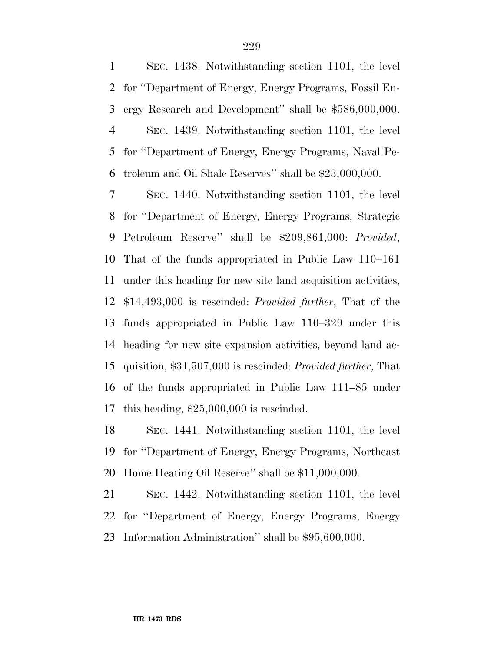SEC. 1438. Notwithstanding section 1101, the level for ''Department of Energy, Energy Programs, Fossil En- ergy Research and Development'' shall be \$586,000,000. SEC. 1439. Notwithstanding section 1101, the level for ''Department of Energy, Energy Programs, Naval Pe-troleum and Oil Shale Reserves'' shall be \$23,000,000.

 SEC. 1440. Notwithstanding section 1101, the level for ''Department of Energy, Energy Programs, Strategic Petroleum Reserve'' shall be \$209,861,000: *Provided*, That of the funds appropriated in Public Law 110–161 under this heading for new site land acquisition activities, \$14,493,000 is rescinded: *Provided further*, That of the funds appropriated in Public Law 110–329 under this heading for new site expansion activities, beyond land ac- quisition, \$31,507,000 is rescinded: *Provided further*, That of the funds appropriated in Public Law 111–85 under this heading, \$25,000,000 is rescinded.

 SEC. 1441. Notwithstanding section 1101, the level for ''Department of Energy, Energy Programs, Northeast Home Heating Oil Reserve'' shall be \$11,000,000.

 SEC. 1442. Notwithstanding section 1101, the level for ''Department of Energy, Energy Programs, Energy Information Administration'' shall be \$95,600,000.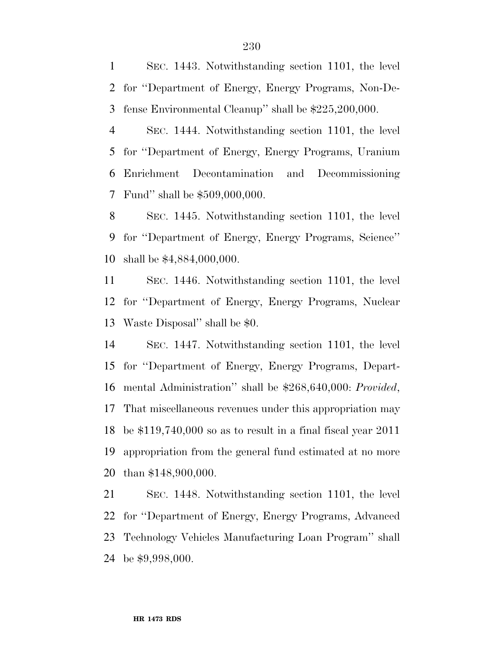SEC. 1443. Notwithstanding section 1101, the level for ''Department of Energy, Energy Programs, Non-De-fense Environmental Cleanup'' shall be \$225,200,000.

 SEC. 1444. Notwithstanding section 1101, the level for ''Department of Energy, Energy Programs, Uranium Enrichment Decontamination and Decommissioning Fund'' shall be \$509,000,000.

 SEC. 1445. Notwithstanding section 1101, the level for ''Department of Energy, Energy Programs, Science'' shall be \$4,884,000,000.

 SEC. 1446. Notwithstanding section 1101, the level for ''Department of Energy, Energy Programs, Nuclear Waste Disposal'' shall be \$0.

 SEC. 1447. Notwithstanding section 1101, the level for ''Department of Energy, Energy Programs, Depart- mental Administration'' shall be \$268,640,000: *Provided*, That miscellaneous revenues under this appropriation may be \$119,740,000 so as to result in a final fiscal year 2011 appropriation from the general fund estimated at no more than \$148,900,000.

 SEC. 1448. Notwithstanding section 1101, the level for ''Department of Energy, Energy Programs, Advanced Technology Vehicles Manufacturing Loan Program'' shall be \$9,998,000.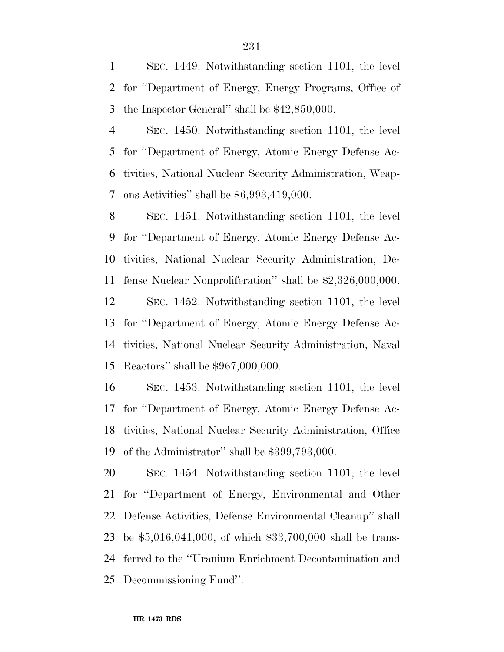SEC. 1449. Notwithstanding section 1101, the level for ''Department of Energy, Energy Programs, Office of the Inspector General'' shall be \$42,850,000.

 SEC. 1450. Notwithstanding section 1101, the level for ''Department of Energy, Atomic Energy Defense Ac- tivities, National Nuclear Security Administration, Weap-ons Activities'' shall be \$6,993,419,000.

 SEC. 1451. Notwithstanding section 1101, the level for ''Department of Energy, Atomic Energy Defense Ac- tivities, National Nuclear Security Administration, De- fense Nuclear Nonproliferation'' shall be \$2,326,000,000. SEC. 1452. Notwithstanding section 1101, the level for ''Department of Energy, Atomic Energy Defense Ac- tivities, National Nuclear Security Administration, Naval Reactors'' shall be \$967,000,000.

 SEC. 1453. Notwithstanding section 1101, the level for ''Department of Energy, Atomic Energy Defense Ac- tivities, National Nuclear Security Administration, Office of the Administrator'' shall be \$399,793,000.

 SEC. 1454. Notwithstanding section 1101, the level for ''Department of Energy, Environmental and Other Defense Activities, Defense Environmental Cleanup'' shall be \$5,016,041,000, of which \$33,700,000 shall be trans- ferred to the ''Uranium Enrichment Decontamination and Decommissioning Fund''.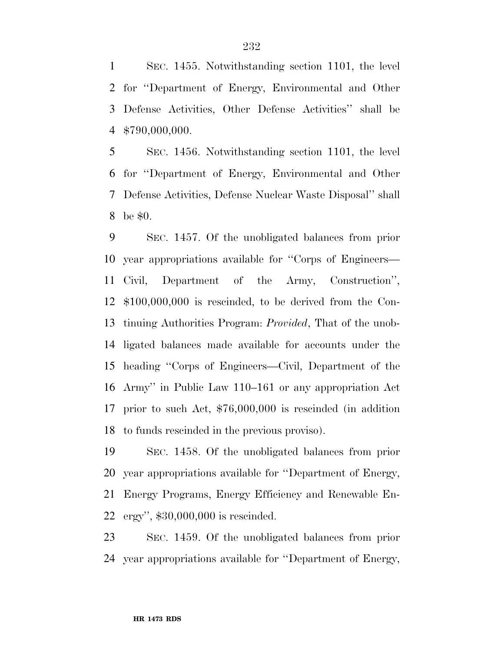SEC. 1455. Notwithstanding section 1101, the level for ''Department of Energy, Environmental and Other Defense Activities, Other Defense Activities'' shall be \$790,000,000.

 SEC. 1456. Notwithstanding section 1101, the level for ''Department of Energy, Environmental and Other Defense Activities, Defense Nuclear Waste Disposal'' shall be \$0.

 SEC. 1457. Of the unobligated balances from prior year appropriations available for ''Corps of Engineers— Civil, Department of the Army, Construction'', \$100,000,000 is rescinded, to be derived from the Con- tinuing Authorities Program: *Provided*, That of the unob- ligated balances made available for accounts under the heading ''Corps of Engineers—Civil, Department of the Army'' in Public Law 110–161 or any appropriation Act prior to such Act, \$76,000,000 is rescinded (in addition to funds rescinded in the previous proviso).

 SEC. 1458. Of the unobligated balances from prior year appropriations available for ''Department of Energy, Energy Programs, Energy Efficiency and Renewable En-ergy'', \$30,000,000 is rescinded.

 SEC. 1459. Of the unobligated balances from prior year appropriations available for ''Department of Energy,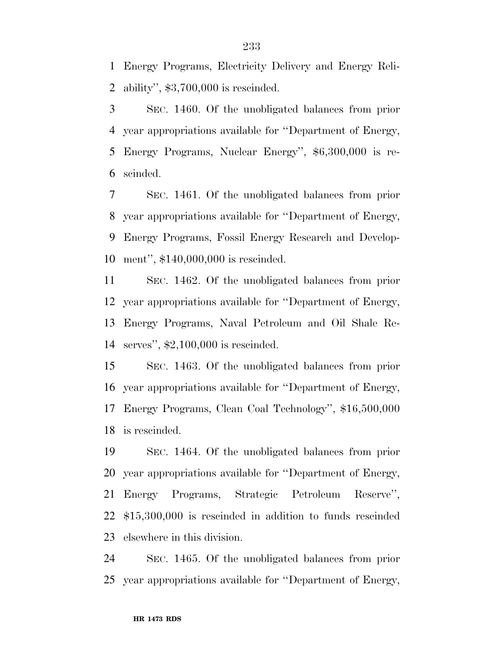Energy Programs, Electricity Delivery and Energy Reli-ability'', \$3,700,000 is rescinded.

 SEC. 1460. Of the unobligated balances from prior year appropriations available for ''Department of Energy, Energy Programs, Nuclear Energy'', \$6,300,000 is re-scinded.

 SEC. 1461. Of the unobligated balances from prior year appropriations available for ''Department of Energy, Energy Programs, Fossil Energy Research and Develop-ment'', \$140,000,000 is rescinded.

 SEC. 1462. Of the unobligated balances from prior year appropriations available for ''Department of Energy, Energy Programs, Naval Petroleum and Oil Shale Re-serves'', \$2,100,000 is rescinded.

 SEC. 1463. Of the unobligated balances from prior year appropriations available for ''Department of Energy, Energy Programs, Clean Coal Technology'', \$16,500,000 is rescinded.

 SEC. 1464. Of the unobligated balances from prior year appropriations available for ''Department of Energy, Energy Programs, Strategic Petroleum Reserve'', \$15,300,000 is rescinded in addition to funds rescinded elsewhere in this division.

 SEC. 1465. Of the unobligated balances from prior year appropriations available for ''Department of Energy,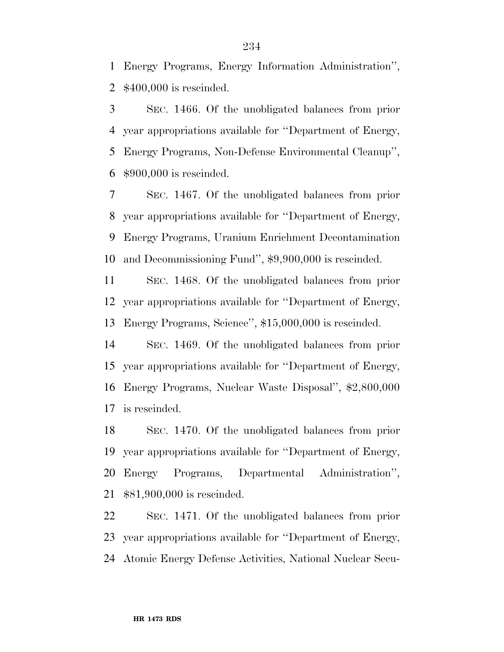Energy Programs, Energy Information Administration'', \$400,000 is rescinded.

 SEC. 1466. Of the unobligated balances from prior year appropriations available for ''Department of Energy, Energy Programs, Non-Defense Environmental Cleanup'', \$900,000 is rescinded.

 SEC. 1467. Of the unobligated balances from prior year appropriations available for ''Department of Energy, Energy Programs, Uranium Enrichment Decontamination and Decommissioning Fund'', \$9,900,000 is rescinded.

 SEC. 1468. Of the unobligated balances from prior year appropriations available for ''Department of Energy, Energy Programs, Science'', \$15,000,000 is rescinded.

 SEC. 1469. Of the unobligated balances from prior year appropriations available for ''Department of Energy, Energy Programs, Nuclear Waste Disposal'', \$2,800,000 is rescinded.

 SEC. 1470. Of the unobligated balances from prior year appropriations available for ''Department of Energy, Energy Programs, Departmental Administration'', \$81,900,000 is rescinded.

 SEC. 1471. Of the unobligated balances from prior year appropriations available for ''Department of Energy, Atomic Energy Defense Activities, National Nuclear Secu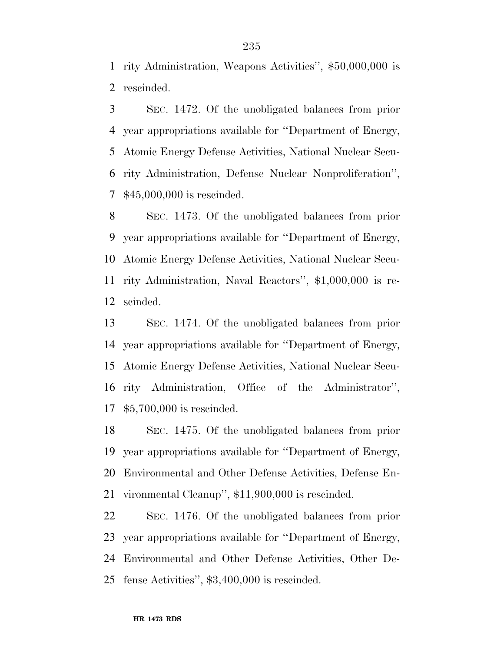rity Administration, Weapons Activities'', \$50,000,000 is rescinded.

 SEC. 1472. Of the unobligated balances from prior year appropriations available for ''Department of Energy, Atomic Energy Defense Activities, National Nuclear Secu- rity Administration, Defense Nuclear Nonproliferation'', \$45,000,000 is rescinded.

 SEC. 1473. Of the unobligated balances from prior year appropriations available for ''Department of Energy, Atomic Energy Defense Activities, National Nuclear Secu- rity Administration, Naval Reactors'', \$1,000,000 is re-scinded.

 SEC. 1474. Of the unobligated balances from prior year appropriations available for ''Department of Energy, Atomic Energy Defense Activities, National Nuclear Secu- rity Administration, Office of the Administrator'', \$5,700,000 is rescinded.

 SEC. 1475. Of the unobligated balances from prior year appropriations available for ''Department of Energy, Environmental and Other Defense Activities, Defense En-vironmental Cleanup'', \$11,900,000 is rescinded.

 SEC. 1476. Of the unobligated balances from prior year appropriations available for ''Department of Energy, Environmental and Other Defense Activities, Other De-fense Activities'', \$3,400,000 is rescinded.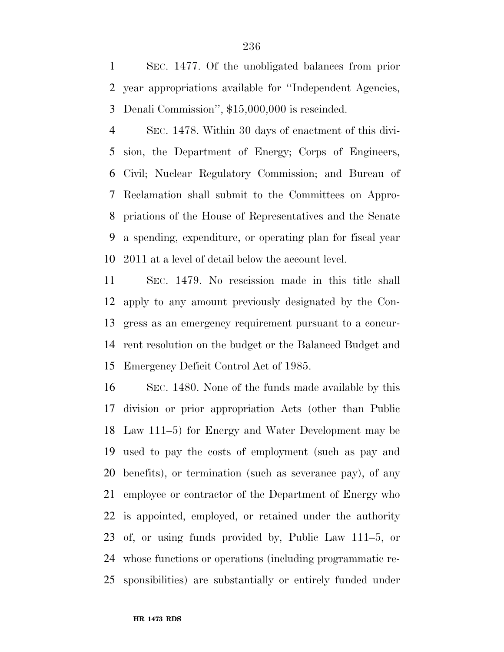SEC. 1477. Of the unobligated balances from prior year appropriations available for ''Independent Agencies, Denali Commission'', \$15,000,000 is rescinded.

 SEC. 1478. Within 30 days of enactment of this divi- sion, the Department of Energy; Corps of Engineers, Civil; Nuclear Regulatory Commission; and Bureau of Reclamation shall submit to the Committees on Appro- priations of the House of Representatives and the Senate a spending, expenditure, or operating plan for fiscal year 2011 at a level of detail below the account level.

 SEC. 1479. No rescission made in this title shall apply to any amount previously designated by the Con- gress as an emergency requirement pursuant to a concur- rent resolution on the budget or the Balanced Budget and Emergency Deficit Control Act of 1985.

 SEC. 1480. None of the funds made available by this division or prior appropriation Acts (other than Public Law 111–5) for Energy and Water Development may be used to pay the costs of employment (such as pay and benefits), or termination (such as severance pay), of any employee or contractor of the Department of Energy who is appointed, employed, or retained under the authority of, or using funds provided by, Public Law 111–5, or whose functions or operations (including programmatic re-sponsibilities) are substantially or entirely funded under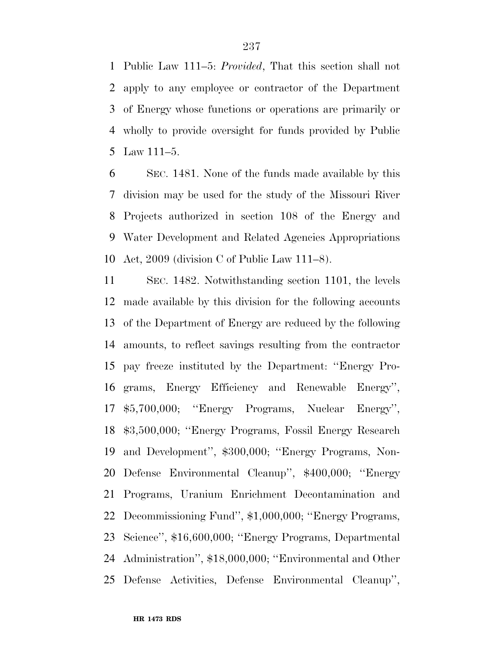Public Law 111–5: *Provided*, That this section shall not apply to any employee or contractor of the Department of Energy whose functions or operations are primarily or wholly to provide oversight for funds provided by Public Law 111–5.

 SEC. 1481. None of the funds made available by this division may be used for the study of the Missouri River Projects authorized in section 108 of the Energy and Water Development and Related Agencies Appropriations Act, 2009 (division C of Public Law 111–8).

 SEC. 1482. Notwithstanding section 1101, the levels made available by this division for the following accounts of the Department of Energy are reduced by the following amounts, to reflect savings resulting from the contractor pay freeze instituted by the Department: ''Energy Pro- grams, Energy Efficiency and Renewable Energy'', \$5,700,000; ''Energy Programs, Nuclear Energy'', \$3,500,000; ''Energy Programs, Fossil Energy Research and Development'', \$300,000; ''Energy Programs, Non- Defense Environmental Cleanup'', \$400,000; ''Energy Programs, Uranium Enrichment Decontamination and Decommissioning Fund'', \$1,000,000; ''Energy Programs, Science'', \$16,600,000; ''Energy Programs, Departmental Administration'', \$18,000,000; ''Environmental and Other Defense Activities, Defense Environmental Cleanup'',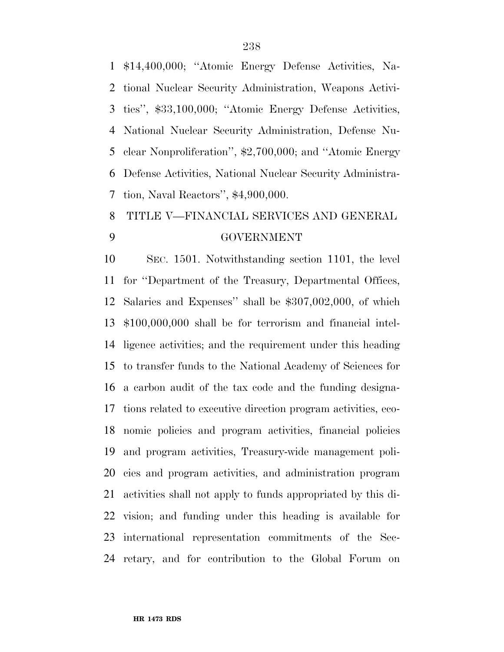\$14,400,000; ''Atomic Energy Defense Activities, Na- tional Nuclear Security Administration, Weapons Activi- ties'', \$33,100,000; ''Atomic Energy Defense Activities, National Nuclear Security Administration, Defense Nu- clear Nonproliferation'', \$2,700,000; and ''Atomic Energy Defense Activities, National Nuclear Security Administra-tion, Naval Reactors'', \$4,900,000.

## TITLE V—FINANCIAL SERVICES AND GENERAL GOVERNMENT

 SEC. 1501. Notwithstanding section 1101, the level for ''Department of the Treasury, Departmental Offices, Salaries and Expenses'' shall be \$307,002,000, of which \$100,000,000 shall be for terrorism and financial intel- ligence activities; and the requirement under this heading to transfer funds to the National Academy of Sciences for a carbon audit of the tax code and the funding designa- tions related to executive direction program activities, eco- nomic policies and program activities, financial policies and program activities, Treasury-wide management poli- cies and program activities, and administration program activities shall not apply to funds appropriated by this di- vision; and funding under this heading is available for international representation commitments of the Sec-retary, and for contribution to the Global Forum on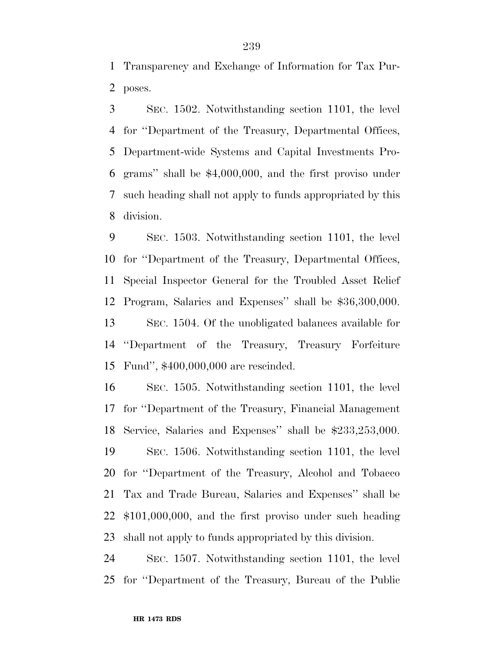Transparency and Exchange of Information for Tax Pur-poses.

 SEC. 1502. Notwithstanding section 1101, the level for ''Department of the Treasury, Departmental Offices, Department-wide Systems and Capital Investments Pro- grams'' shall be \$4,000,000, and the first proviso under such heading shall not apply to funds appropriated by this division.

 SEC. 1503. Notwithstanding section 1101, the level for ''Department of the Treasury, Departmental Offices, Special Inspector General for the Troubled Asset Relief Program, Salaries and Expenses'' shall be \$36,300,000. SEC. 1504. Of the unobligated balances available for ''Department of the Treasury, Treasury Forfeiture Fund'', \$400,000,000 are rescinded.

 SEC. 1505. Notwithstanding section 1101, the level for ''Department of the Treasury, Financial Management Service, Salaries and Expenses'' shall be \$233,253,000. SEC. 1506. Notwithstanding section 1101, the level for ''Department of the Treasury, Alcohol and Tobacco Tax and Trade Bureau, Salaries and Expenses'' shall be \$101,000,000, and the first proviso under such heading shall not apply to funds appropriated by this division.

 SEC. 1507. Notwithstanding section 1101, the level for ''Department of the Treasury, Bureau of the Public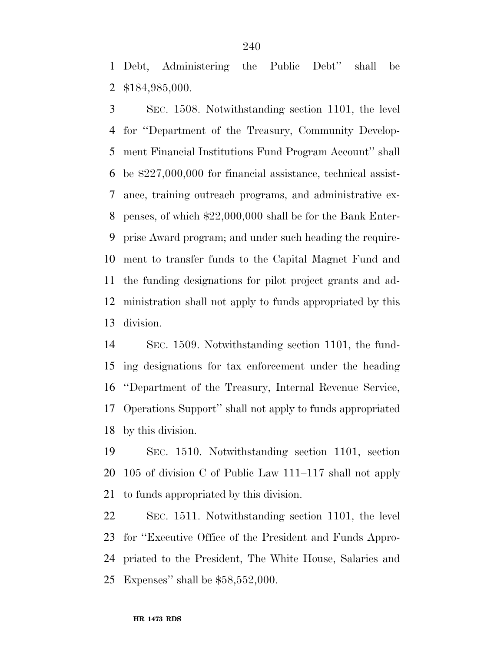Debt, Administering the Public Debt'' shall be \$184,985,000.

 SEC. 1508. Notwithstanding section 1101, the level for ''Department of the Treasury, Community Develop- ment Financial Institutions Fund Program Account'' shall be \$227,000,000 for financial assistance, technical assist- ance, training outreach programs, and administrative ex- penses, of which \$22,000,000 shall be for the Bank Enter- prise Award program; and under such heading the require- ment to transfer funds to the Capital Magnet Fund and the funding designations for pilot project grants and ad- ministration shall not apply to funds appropriated by this division.

 SEC. 1509. Notwithstanding section 1101, the fund- ing designations for tax enforcement under the heading ''Department of the Treasury, Internal Revenue Service, Operations Support'' shall not apply to funds appropriated by this division.

 SEC. 1510. Notwithstanding section 1101, section 105 of division C of Public Law 111–117 shall not apply to funds appropriated by this division.

 SEC. 1511. Notwithstanding section 1101, the level for ''Executive Office of the President and Funds Appro- priated to the President, The White House, Salaries and Expenses'' shall be \$58,552,000.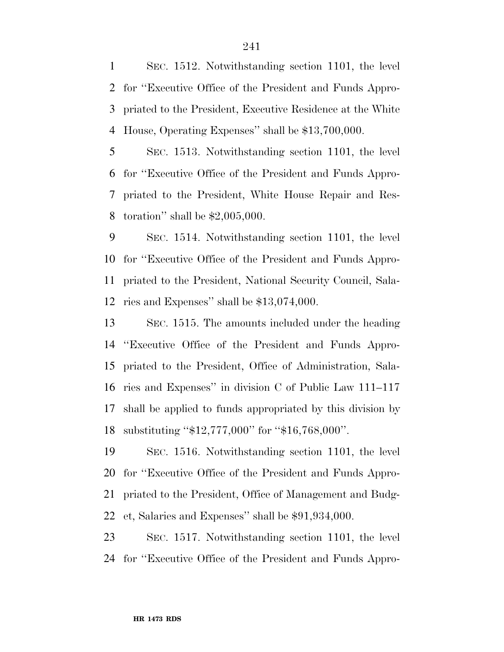SEC. 1512. Notwithstanding section 1101, the level for ''Executive Office of the President and Funds Appro- priated to the President, Executive Residence at the White House, Operating Expenses'' shall be \$13,700,000.

 SEC. 1513. Notwithstanding section 1101, the level for ''Executive Office of the President and Funds Appro- priated to the President, White House Repair and Res-toration'' shall be \$2,005,000.

 SEC. 1514. Notwithstanding section 1101, the level for ''Executive Office of the President and Funds Appro- priated to the President, National Security Council, Sala-ries and Expenses'' shall be \$13,074,000.

 SEC. 1515. The amounts included under the heading ''Executive Office of the President and Funds Appro- priated to the President, Office of Administration, Sala- ries and Expenses'' in division C of Public Law 111–117 shall be applied to funds appropriated by this division by substituting ''\$12,777,000'' for ''\$16,768,000''.

 SEC. 1516. Notwithstanding section 1101, the level for ''Executive Office of the President and Funds Appro- priated to the President, Office of Management and Budg-et, Salaries and Expenses'' shall be \$91,934,000.

 SEC. 1517. Notwithstanding section 1101, the level for ''Executive Office of the President and Funds Appro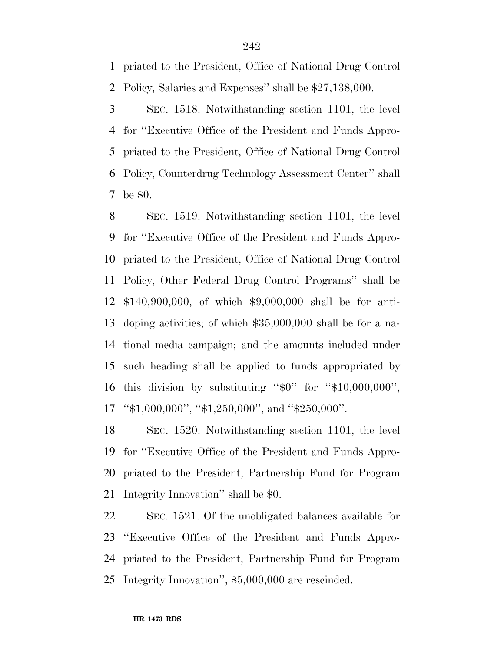priated to the President, Office of National Drug Control Policy, Salaries and Expenses'' shall be \$27,138,000.

 SEC. 1518. Notwithstanding section 1101, the level for ''Executive Office of the President and Funds Appro- priated to the President, Office of National Drug Control Policy, Counterdrug Technology Assessment Center'' shall be \$0.

 SEC. 1519. Notwithstanding section 1101, the level for ''Executive Office of the President and Funds Appro- priated to the President, Office of National Drug Control Policy, Other Federal Drug Control Programs'' shall be \$140,900,000, of which \$9,000,000 shall be for anti- doping activities; of which \$35,000,000 shall be for a na- tional media campaign; and the amounts included under such heading shall be applied to funds appropriated by this division by substituting ''\$0'' for ''\$10,000,000'', ''\$1,000,000'', ''\$1,250,000'', and ''\$250,000''.

 SEC. 1520. Notwithstanding section 1101, the level for ''Executive Office of the President and Funds Appro- priated to the President, Partnership Fund for Program Integrity Innovation'' shall be \$0.

 SEC. 1521. Of the unobligated balances available for ''Executive Office of the President and Funds Appro- priated to the President, Partnership Fund for Program Integrity Innovation'', \$5,000,000 are rescinded.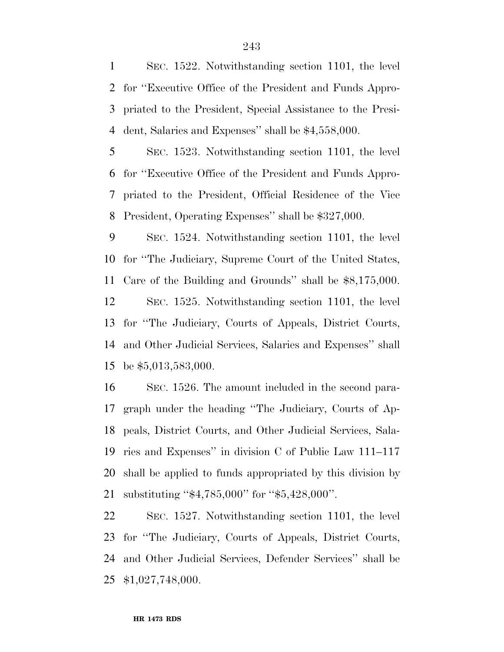SEC. 1522. Notwithstanding section 1101, the level for ''Executive Office of the President and Funds Appro- priated to the President, Special Assistance to the Presi-dent, Salaries and Expenses'' shall be \$4,558,000.

 SEC. 1523. Notwithstanding section 1101, the level for ''Executive Office of the President and Funds Appro- priated to the President, Official Residence of the Vice President, Operating Expenses'' shall be \$327,000.

 SEC. 1524. Notwithstanding section 1101, the level for ''The Judiciary, Supreme Court of the United States, Care of the Building and Grounds'' shall be \$8,175,000. SEC. 1525. Notwithstanding section 1101, the level for ''The Judiciary, Courts of Appeals, District Courts, and Other Judicial Services, Salaries and Expenses'' shall be \$5,013,583,000.

 SEC. 1526. The amount included in the second para- graph under the heading ''The Judiciary, Courts of Ap- peals, District Courts, and Other Judicial Services, Sala- ries and Expenses'' in division C of Public Law 111–117 shall be applied to funds appropriated by this division by substituting ''\$4,785,000'' for ''\$5,428,000''.

 SEC. 1527. Notwithstanding section 1101, the level for ''The Judiciary, Courts of Appeals, District Courts, and Other Judicial Services, Defender Services'' shall be \$1,027,748,000.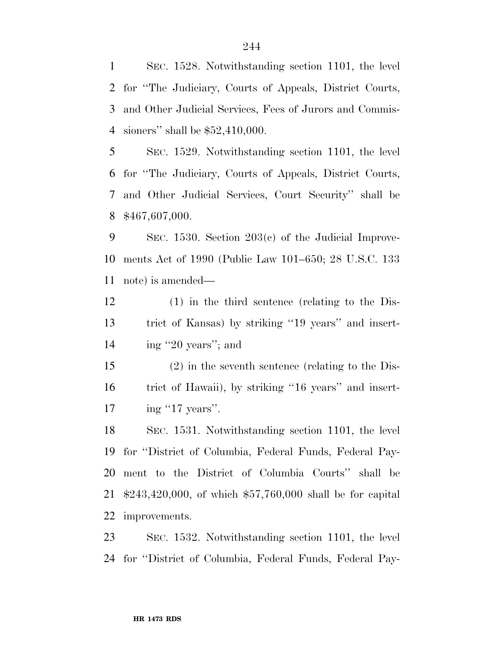SEC. 1528. Notwithstanding section 1101, the level for ''The Judiciary, Courts of Appeals, District Courts, and Other Judicial Services, Fees of Jurors and Commis-sioners'' shall be \$52,410,000.

 SEC. 1529. Notwithstanding section 1101, the level for ''The Judiciary, Courts of Appeals, District Courts, and Other Judicial Services, Court Security'' shall be \$467,607,000.

 SEC. 1530. Section 203(c) of the Judicial Improve- ments Act of 1990 (Public Law 101–650; 28 U.S.C. 133 note) is amended—

 (1) in the third sentence (relating to the Dis- trict of Kansas) by striking ''19 years'' and insert-14 ing "20 years"; and

 (2) in the seventh sentence (relating to the Dis- trict of Hawaii), by striking ''16 years'' and insert-17 ing "17 years".

 SEC. 1531. Notwithstanding section 1101, the level for ''District of Columbia, Federal Funds, Federal Pay- ment to the District of Columbia Courts'' shall be \$243,420,000, of which \$57,760,000 shall be for capital improvements.

 SEC. 1532. Notwithstanding section 1101, the level for ''District of Columbia, Federal Funds, Federal Pay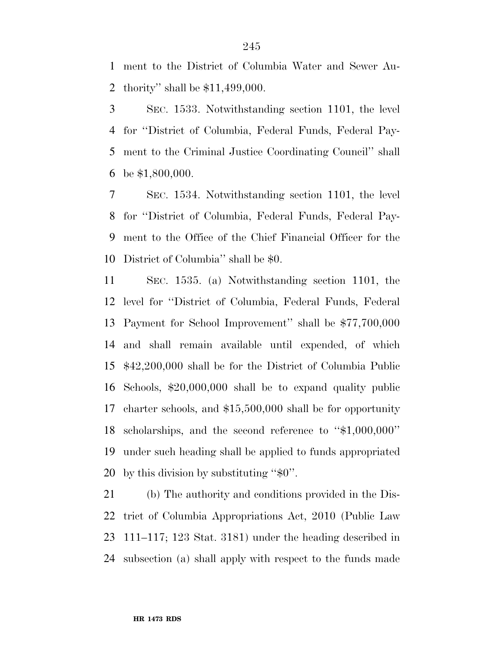ment to the District of Columbia Water and Sewer Au-thority'' shall be \$11,499,000.

 SEC. 1533. Notwithstanding section 1101, the level for ''District of Columbia, Federal Funds, Federal Pay- ment to the Criminal Justice Coordinating Council'' shall be \$1,800,000.

 SEC. 1534. Notwithstanding section 1101, the level for ''District of Columbia, Federal Funds, Federal Pay- ment to the Office of the Chief Financial Officer for the District of Columbia'' shall be \$0.

 SEC. 1535. (a) Notwithstanding section 1101, the level for ''District of Columbia, Federal Funds, Federal Payment for School Improvement'' shall be \$77,700,000 and shall remain available until expended, of which \$42,200,000 shall be for the District of Columbia Public Schools, \$20,000,000 shall be to expand quality public charter schools, and \$15,500,000 shall be for opportunity scholarships, and the second reference to ''\$1,000,000'' under such heading shall be applied to funds appropriated by this division by substituting ''\$0''.

 (b) The authority and conditions provided in the Dis- trict of Columbia Appropriations Act, 2010 (Public Law 111–117; 123 Stat. 3181) under the heading described in subsection (a) shall apply with respect to the funds made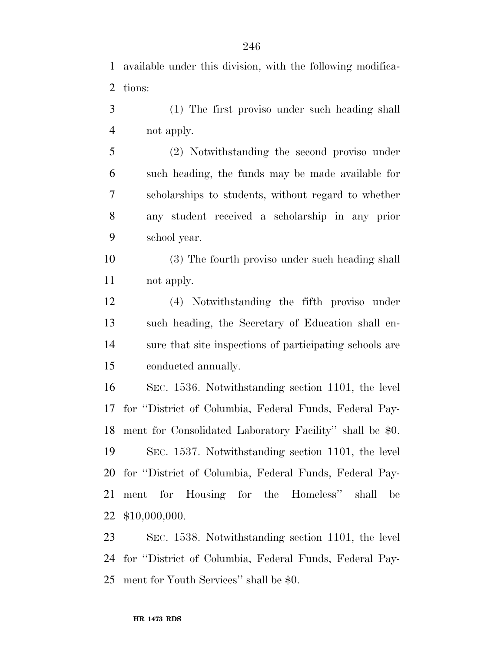available under this division, with the following modifica-tions:

 (1) The first proviso under such heading shall not apply.

 (2) Notwithstanding the second proviso under such heading, the funds may be made available for scholarships to students, without regard to whether any student received a scholarship in any prior school year.

- (3) The fourth proviso under such heading shall not apply.
- (4) Notwithstanding the fifth proviso under such heading, the Secretary of Education shall en- sure that site inspections of participating schools are conducted annually.

 SEC. 1536. Notwithstanding section 1101, the level for ''District of Columbia, Federal Funds, Federal Pay- ment for Consolidated Laboratory Facility'' shall be \$0. SEC. 1537. Notwithstanding section 1101, the level for ''District of Columbia, Federal Funds, Federal Pay- ment for Housing for the Homeless'' shall be \$10,000,000.

 SEC. 1538. Notwithstanding section 1101, the level for ''District of Columbia, Federal Funds, Federal Pay-ment for Youth Services'' shall be \$0.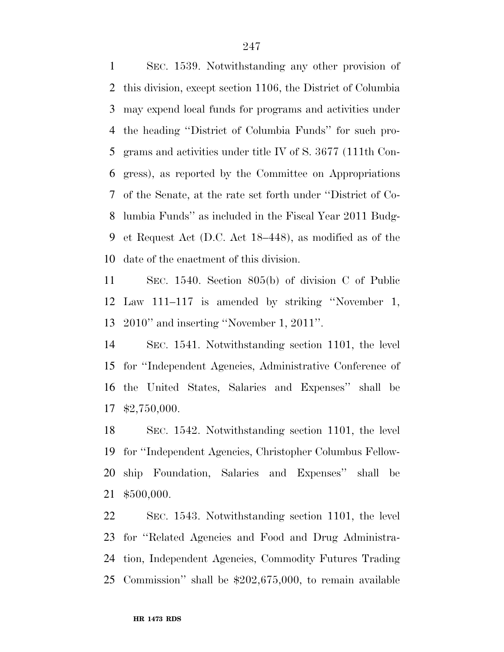SEC. 1539. Notwithstanding any other provision of this division, except section 1106, the District of Columbia may expend local funds for programs and activities under the heading ''District of Columbia Funds'' for such pro- grams and activities under title IV of S. 3677 (111th Con- gress), as reported by the Committee on Appropriations of the Senate, at the rate set forth under ''District of Co- lumbia Funds'' as included in the Fiscal Year 2011 Budg- et Request Act (D.C. Act 18–448), as modified as of the date of the enactment of this division.

 SEC. 1540. Section 805(b) of division C of Public Law 111–117 is amended by striking ''November 1, 2010'' and inserting ''November 1, 2011''.

 SEC. 1541. Notwithstanding section 1101, the level for ''Independent Agencies, Administrative Conference of the United States, Salaries and Expenses'' shall be \$2,750,000.

 SEC. 1542. Notwithstanding section 1101, the level for ''Independent Agencies, Christopher Columbus Fellow- ship Foundation, Salaries and Expenses'' shall be \$500,000.

 SEC. 1543. Notwithstanding section 1101, the level for ''Related Agencies and Food and Drug Administra- tion, Independent Agencies, Commodity Futures Trading Commission'' shall be \$202,675,000, to remain available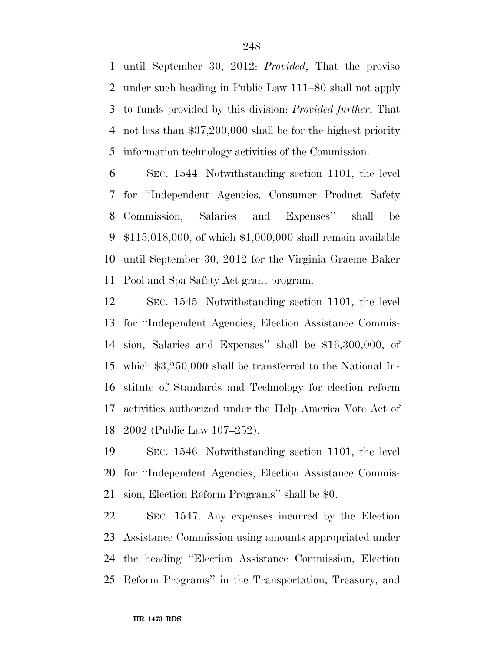until September 30, 2012: *Provided*, That the proviso under such heading in Public Law 111–80 shall not apply to funds provided by this division: *Provided further*, That not less than \$37,200,000 shall be for the highest priority information technology activities of the Commission.

 SEC. 1544. Notwithstanding section 1101, the level for ''Independent Agencies, Consumer Product Safety Commission, Salaries and Expenses'' shall be \$115,018,000, of which \$1,000,000 shall remain available until September 30, 2012 for the Virginia Graeme Baker Pool and Spa Safety Act grant program.

 SEC. 1545. Notwithstanding section 1101, the level for ''Independent Agencies, Election Assistance Commis- sion, Salaries and Expenses'' shall be \$16,300,000, of which \$3,250,000 shall be transferred to the National In- stitute of Standards and Technology for election reform activities authorized under the Help America Vote Act of 2002 (Public Law 107–252).

 SEC. 1546. Notwithstanding section 1101, the level for ''Independent Agencies, Election Assistance Commis-sion, Election Reform Programs'' shall be \$0.

 SEC. 1547. Any expenses incurred by the Election Assistance Commission using amounts appropriated under the heading ''Election Assistance Commission, Election Reform Programs'' in the Transportation, Treasury, and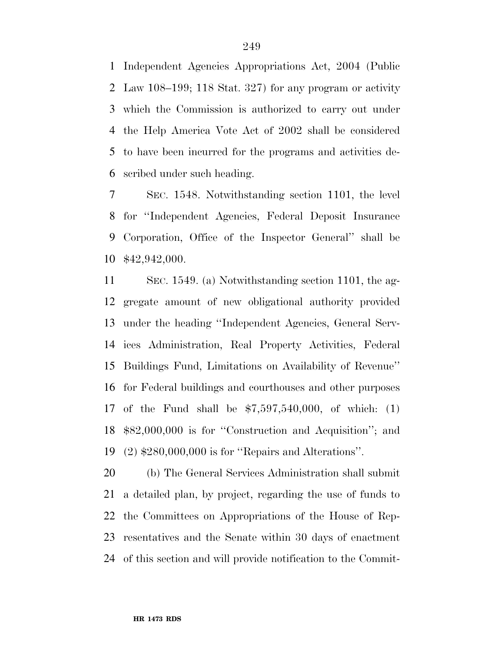Independent Agencies Appropriations Act, 2004 (Public Law 108–199; 118 Stat. 327) for any program or activity which the Commission is authorized to carry out under the Help America Vote Act of 2002 shall be considered to have been incurred for the programs and activities de-scribed under such heading.

 SEC. 1548. Notwithstanding section 1101, the level for ''Independent Agencies, Federal Deposit Insurance Corporation, Office of the Inspector General'' shall be \$42,942,000.

 SEC. 1549. (a) Notwithstanding section 1101, the ag- gregate amount of new obligational authority provided under the heading ''Independent Agencies, General Serv- ices Administration, Real Property Activities, Federal Buildings Fund, Limitations on Availability of Revenue'' for Federal buildings and courthouses and other purposes of the Fund shall be \$7,597,540,000, of which: (1) \$82,000,000 is for ''Construction and Acquisition''; and (2) \$280,000,000 is for ''Repairs and Alterations''.

 (b) The General Services Administration shall submit a detailed plan, by project, regarding the use of funds to the Committees on Appropriations of the House of Rep- resentatives and the Senate within 30 days of enactment of this section and will provide notification to the Commit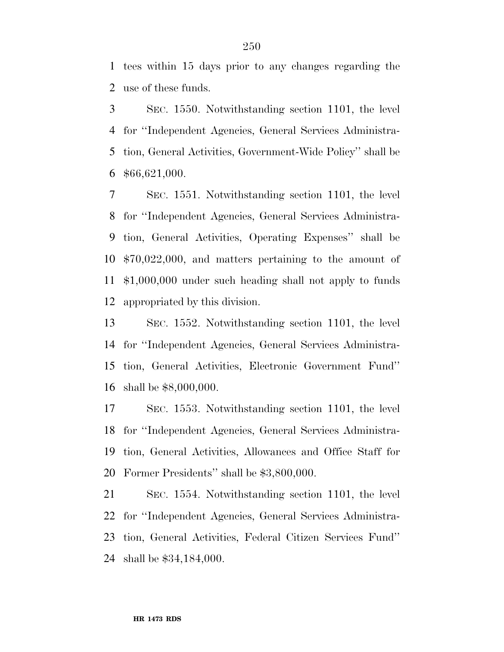tees within 15 days prior to any changes regarding the use of these funds.

 SEC. 1550. Notwithstanding section 1101, the level for ''Independent Agencies, General Services Administra- tion, General Activities, Government-Wide Policy'' shall be \$66,621,000.

 SEC. 1551. Notwithstanding section 1101, the level for ''Independent Agencies, General Services Administra- tion, General Activities, Operating Expenses'' shall be \$70,022,000, and matters pertaining to the amount of \$1,000,000 under such heading shall not apply to funds appropriated by this division.

 SEC. 1552. Notwithstanding section 1101, the level for ''Independent Agencies, General Services Administra- tion, General Activities, Electronic Government Fund'' shall be \$8,000,000.

 SEC. 1553. Notwithstanding section 1101, the level for ''Independent Agencies, General Services Administra- tion, General Activities, Allowances and Office Staff for Former Presidents'' shall be \$3,800,000.

 SEC. 1554. Notwithstanding section 1101, the level for ''Independent Agencies, General Services Administra- tion, General Activities, Federal Citizen Services Fund'' shall be \$34,184,000.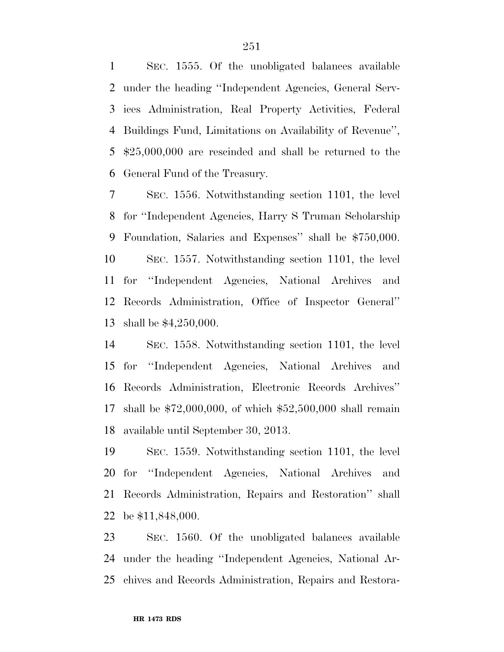SEC. 1555. Of the unobligated balances available under the heading ''Independent Agencies, General Serv- ices Administration, Real Property Activities, Federal Buildings Fund, Limitations on Availability of Revenue'', \$25,000,000 are rescinded and shall be returned to the General Fund of the Treasury.

 SEC. 1556. Notwithstanding section 1101, the level for ''Independent Agencies, Harry S Truman Scholarship Foundation, Salaries and Expenses'' shall be \$750,000. SEC. 1557. Notwithstanding section 1101, the level for ''Independent Agencies, National Archives and Records Administration, Office of Inspector General'' shall be \$4,250,000.

 SEC. 1558. Notwithstanding section 1101, the level for ''Independent Agencies, National Archives and Records Administration, Electronic Records Archives'' shall be \$72,000,000, of which \$52,500,000 shall remain available until September 30, 2013.

 SEC. 1559. Notwithstanding section 1101, the level for ''Independent Agencies, National Archives and Records Administration, Repairs and Restoration'' shall be \$11,848,000.

 SEC. 1560. Of the unobligated balances available under the heading ''Independent Agencies, National Ar-chives and Records Administration, Repairs and Restora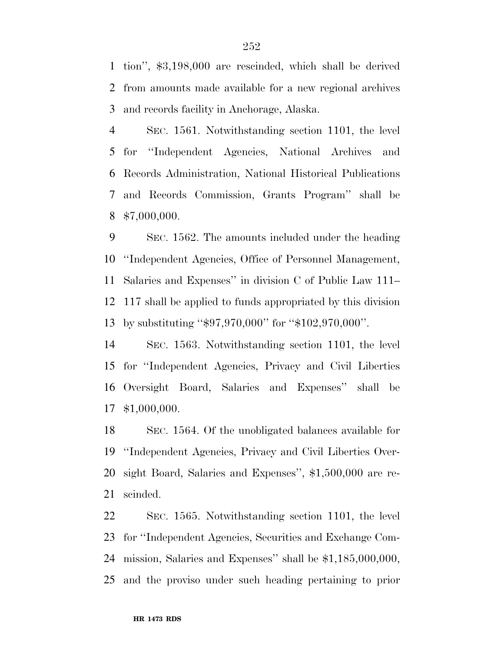tion'', \$3,198,000 are rescinded, which shall be derived from amounts made available for a new regional archives and records facility in Anchorage, Alaska.

 SEC. 1561. Notwithstanding section 1101, the level for ''Independent Agencies, National Archives and Records Administration, National Historical Publications and Records Commission, Grants Program'' shall be \$7,000,000.

 SEC. 1562. The amounts included under the heading ''Independent Agencies, Office of Personnel Management, Salaries and Expenses'' in division C of Public Law 111– 117 shall be applied to funds appropriated by this division by substituting ''\$97,970,000'' for ''\$102,970,000''.

 SEC. 1563. Notwithstanding section 1101, the level for ''Independent Agencies, Privacy and Civil Liberties Oversight Board, Salaries and Expenses'' shall be \$1,000,000.

 SEC. 1564. Of the unobligated balances available for ''Independent Agencies, Privacy and Civil Liberties Over- sight Board, Salaries and Expenses'', \$1,500,000 are re-scinded.

 SEC. 1565. Notwithstanding section 1101, the level for ''Independent Agencies, Securities and Exchange Com- mission, Salaries and Expenses'' shall be \$1,185,000,000, and the proviso under such heading pertaining to prior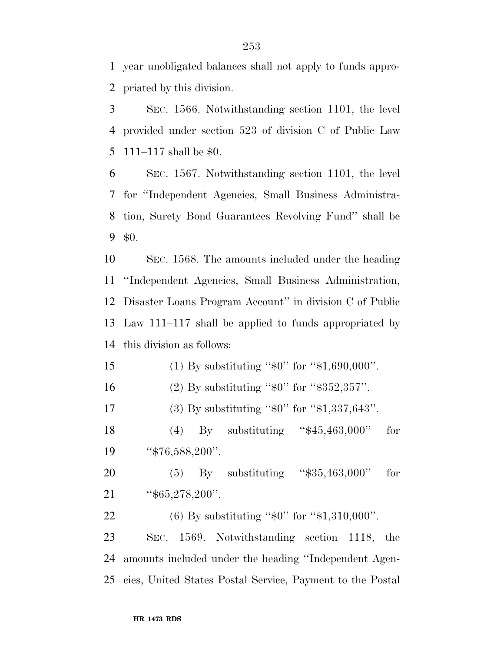year unobligated balances shall not apply to funds appro-priated by this division.

 SEC. 1566. Notwithstanding section 1101, the level provided under section 523 of division C of Public Law 111–117 shall be \$0.

 SEC. 1567. Notwithstanding section 1101, the level for ''Independent Agencies, Small Business Administra- tion, Surety Bond Guarantees Revolving Fund'' shall be \$0.

 SEC. 1568. The amounts included under the heading ''Independent Agencies, Small Business Administration, Disaster Loans Program Account'' in division C of Public Law 111–117 shall be applied to funds appropriated by this division as follows:

15 (1) By substituting "\$0" for "\$1,690,000". 16 (2) By substituting "\$0" for "\$352,357". 17 (3) By substituting "\$0" for "\$1,337,643". (4) By substituting ''\$45,463,000'' for 19 '\$76,588,200". (5) By substituting ''\$35,463,000'' for ''\$65,278,200''. 22 (6) By substituting "\$0" for "\$1,310,000". SEC. 1569. Notwithstanding section 1118, the amounts included under the heading ''Independent Agen-cies, United States Postal Service, Payment to the Postal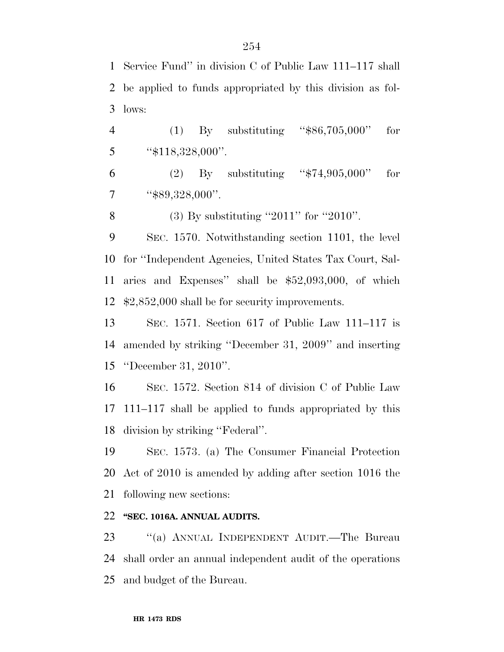Service Fund'' in division C of Public Law 111–117 shall be applied to funds appropriated by this division as fol-lows:

 (1) By substituting ''\$86,705,000'' for 5  $\text{\textdegree{*}}118,328,000$ ".

 (2) By substituting ''\$74,905,000'' for  $7 \qquad$  "\$89,328,000".

(3) By substituting ''2011'' for ''2010''.

 SEC. 1570. Notwithstanding section 1101, the level for ''Independent Agencies, United States Tax Court, Sal- aries and Expenses'' shall be \$52,093,000, of which \$2,852,000 shall be for security improvements.

 SEC. 1571. Section 617 of Public Law 111–117 is amended by striking ''December 31, 2009'' and inserting ''December 31, 2010''.

 SEC. 1572. Section 814 of division C of Public Law 111–117 shall be applied to funds appropriated by this division by striking ''Federal''.

 SEC. 1573. (a) The Consumer Financial Protection Act of 2010 is amended by adding after section 1016 the following new sections:

## **''SEC. 1016A. ANNUAL AUDITS.**

 ''(a) ANNUAL INDEPENDENT AUDIT.—The Bureau shall order an annual independent audit of the operations and budget of the Bureau.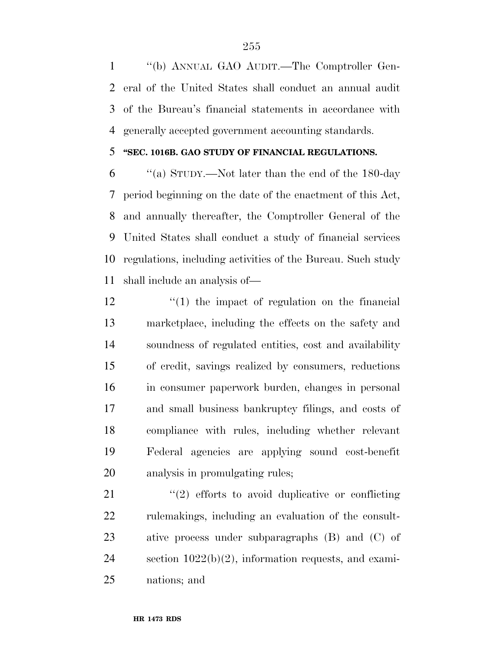''(b) ANNUAL GAO AUDIT.—The Comptroller Gen- eral of the United States shall conduct an annual audit of the Bureau's financial statements in accordance with generally accepted government accounting standards.

## **''SEC. 1016B. GAO STUDY OF FINANCIAL REGULATIONS.**

 ''(a) STUDY.—Not later than the end of the 180-day period beginning on the date of the enactment of this Act, and annually thereafter, the Comptroller General of the United States shall conduct a study of financial services regulations, including activities of the Bureau. Such study shall include an analysis of—

12 ''(1) the impact of regulation on the financial marketplace, including the effects on the safety and soundness of regulated entities, cost and availability of credit, savings realized by consumers, reductions in consumer paperwork burden, changes in personal and small business bankruptcy filings, and costs of compliance with rules, including whether relevant Federal agencies are applying sound cost-benefit analysis in promulgating rules;

21 ''(2) efforts to avoid duplicative or conflicting 22 rulemakings, including an evaluation of the consult- ative process under subparagraphs (B) and (C) of section 1022(b)(2), information requests, and exami-nations; and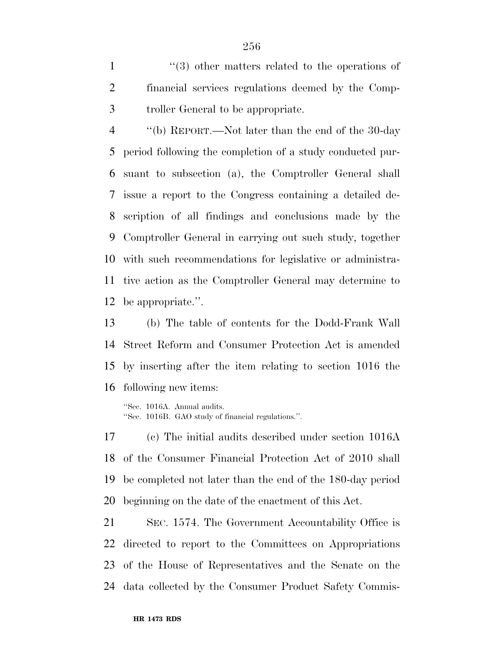1 ''(3) other matters related to the operations of financial services regulations deemed by the Comp-troller General to be appropriate.

 ''(b) REPORT.—Not later than the end of the 30-day period following the completion of a study conducted pur- suant to subsection (a), the Comptroller General shall issue a report to the Congress containing a detailed de- scription of all findings and conclusions made by the Comptroller General in carrying out such study, together with such recommendations for legislative or administra- tive action as the Comptroller General may determine to be appropriate.''.

 (b) The table of contents for the Dodd-Frank Wall Street Reform and Consumer Protection Act is amended by inserting after the item relating to section 1016 the following new items:

''Sec. 1016A. Annual audits. ''Sec. 1016B. GAO study of financial regulations.''.

 (c) The initial audits described under section 1016A of the Consumer Financial Protection Act of 2010 shall be completed not later than the end of the 180-day period beginning on the date of the enactment of this Act.

 SEC. 1574. The Government Accountability Office is directed to report to the Committees on Appropriations of the House of Representatives and the Senate on the data collected by the Consumer Product Safety Commis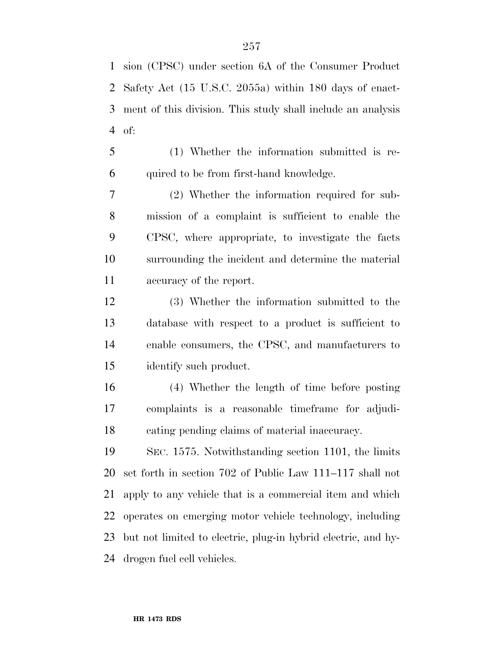sion (CPSC) under section 6A of the Consumer Product Safety Act (15 U.S.C. 2055a) within 180 days of enact- ment of this division. This study shall include an analysis of:

 (1) Whether the information submitted is re-quired to be from first-hand knowledge.

 (2) Whether the information required for sub- mission of a complaint is sufficient to enable the CPSC, where appropriate, to investigate the facts surrounding the incident and determine the material accuracy of the report.

 (3) Whether the information submitted to the database with respect to a product is sufficient to enable consumers, the CPSC, and manufacturers to identify such product.

 (4) Whether the length of time before posting complaints is a reasonable timeframe for adjudi-cating pending claims of material inaccuracy.

 SEC. 1575. Notwithstanding section 1101, the limits set forth in section 702 of Public Law 111–117 shall not apply to any vehicle that is a commercial item and which operates on emerging motor vehicle technology, including but not limited to electric, plug-in hybrid electric, and hy-drogen fuel cell vehicles.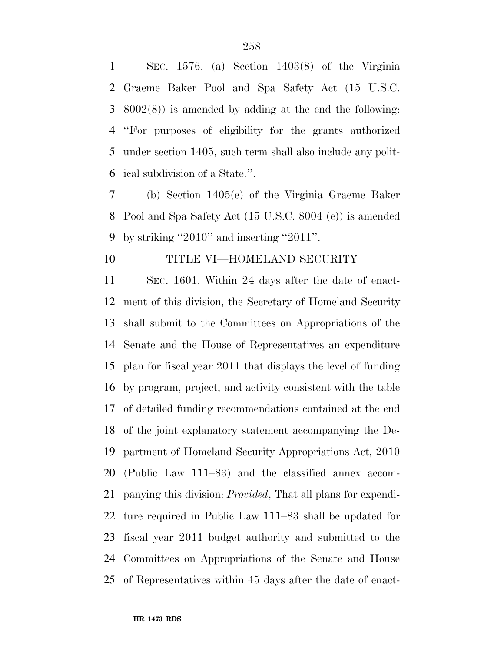SEC. 1576. (a) Section 1403(8) of the Virginia Graeme Baker Pool and Spa Safety Act (15 U.S.C. 8002(8)) is amended by adding at the end the following: ''For purposes of eligibility for the grants authorized under section 1405, such term shall also include any polit-ical subdivision of a State.''.

 (b) Section 1405(e) of the Virginia Graeme Baker Pool and Spa Safety Act (15 U.S.C. 8004 (e)) is amended by striking ''2010'' and inserting ''2011''.

## TITLE VI—HOMELAND SECURITY

 SEC. 1601. Within 24 days after the date of enact- ment of this division, the Secretary of Homeland Security shall submit to the Committees on Appropriations of the Senate and the House of Representatives an expenditure plan for fiscal year 2011 that displays the level of funding by program, project, and activity consistent with the table of detailed funding recommendations contained at the end of the joint explanatory statement accompanying the De- partment of Homeland Security Appropriations Act, 2010 (Public Law 111–83) and the classified annex accom- panying this division: *Provided*, That all plans for expendi- ture required in Public Law 111–83 shall be updated for fiscal year 2011 budget authority and submitted to the Committees on Appropriations of the Senate and House of Representatives within 45 days after the date of enact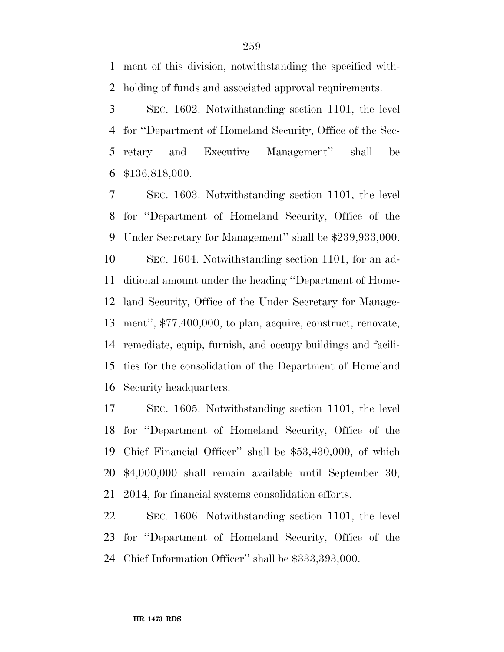ment of this division, notwithstanding the specified with-holding of funds and associated approval requirements.

 SEC. 1602. Notwithstanding section 1101, the level for ''Department of Homeland Security, Office of the Sec- retary and Executive Management'' shall be \$136,818,000.

 SEC. 1603. Notwithstanding section 1101, the level for ''Department of Homeland Security, Office of the Under Secretary for Management'' shall be \$239,933,000. SEC. 1604. Notwithstanding section 1101, for an ad- ditional amount under the heading ''Department of Home- land Security, Office of the Under Secretary for Manage- ment'', \$77,400,000, to plan, acquire, construct, renovate, remediate, equip, furnish, and occupy buildings and facili- ties for the consolidation of the Department of Homeland Security headquarters.

 SEC. 1605. Notwithstanding section 1101, the level for ''Department of Homeland Security, Office of the Chief Financial Officer'' shall be \$53,430,000, of which \$4,000,000 shall remain available until September 30, 2014, for financial systems consolidation efforts.

 SEC. 1606. Notwithstanding section 1101, the level for ''Department of Homeland Security, Office of the Chief Information Officer'' shall be \$333,393,000.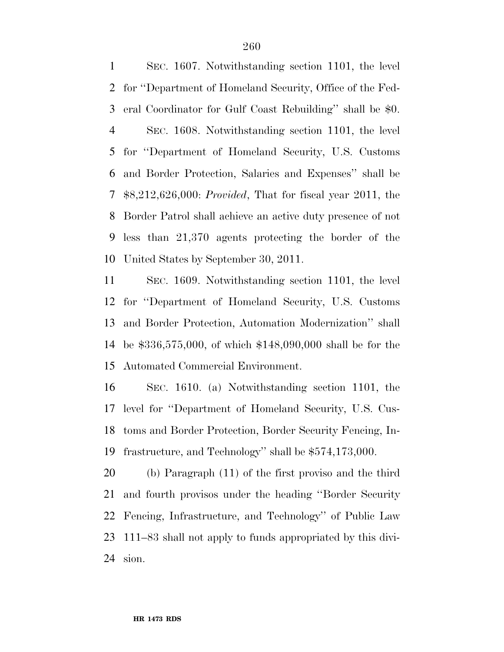SEC. 1607. Notwithstanding section 1101, the level for ''Department of Homeland Security, Office of the Fed- eral Coordinator for Gulf Coast Rebuilding'' shall be \$0. SEC. 1608. Notwithstanding section 1101, the level for ''Department of Homeland Security, U.S. Customs and Border Protection, Salaries and Expenses'' shall be \$8,212,626,000: *Provided*, That for fiscal year 2011, the Border Patrol shall achieve an active duty presence of not less than 21,370 agents protecting the border of the United States by September 30, 2011.

 SEC. 1609. Notwithstanding section 1101, the level for ''Department of Homeland Security, U.S. Customs and Border Protection, Automation Modernization'' shall be \$336,575,000, of which \$148,090,000 shall be for the Automated Commercial Environment.

 SEC. 1610. (a) Notwithstanding section 1101, the level for ''Department of Homeland Security, U.S. Cus- toms and Border Protection, Border Security Fencing, In-frastructure, and Technology'' shall be \$574,173,000.

 (b) Paragraph (11) of the first proviso and the third and fourth provisos under the heading ''Border Security Fencing, Infrastructure, and Technology'' of Public Law 111–83 shall not apply to funds appropriated by this divi-sion.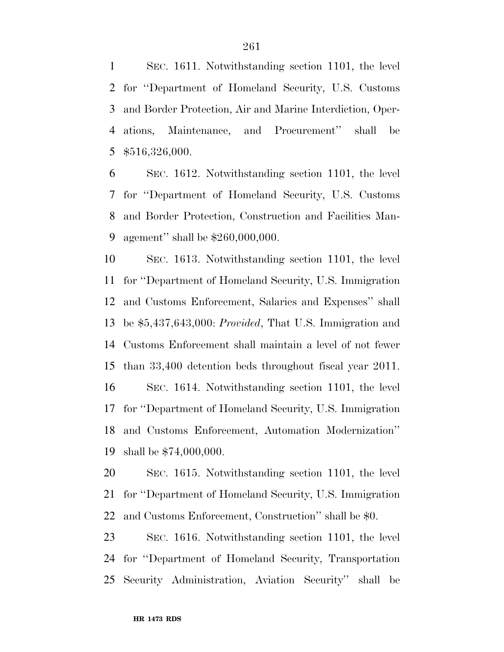SEC. 1611. Notwithstanding section 1101, the level for ''Department of Homeland Security, U.S. Customs and Border Protection, Air and Marine Interdiction, Oper- ations, Maintenance, and Procurement'' shall be \$516,326,000.

 SEC. 1612. Notwithstanding section 1101, the level for ''Department of Homeland Security, U.S. Customs and Border Protection, Construction and Facilities Man-agement'' shall be \$260,000,000.

 SEC. 1613. Notwithstanding section 1101, the level for ''Department of Homeland Security, U.S. Immigration and Customs Enforcement, Salaries and Expenses'' shall be \$5,437,643,000: *Provided*, That U.S. Immigration and Customs Enforcement shall maintain a level of not fewer than 33,400 detention beds throughout fiscal year 2011. SEC. 1614. Notwithstanding section 1101, the level for ''Department of Homeland Security, U.S. Immigration and Customs Enforcement, Automation Modernization'' shall be \$74,000,000.

 SEC. 1615. Notwithstanding section 1101, the level for ''Department of Homeland Security, U.S. Immigration and Customs Enforcement, Construction'' shall be \$0.

 SEC. 1616. Notwithstanding section 1101, the level for ''Department of Homeland Security, Transportation Security Administration, Aviation Security'' shall be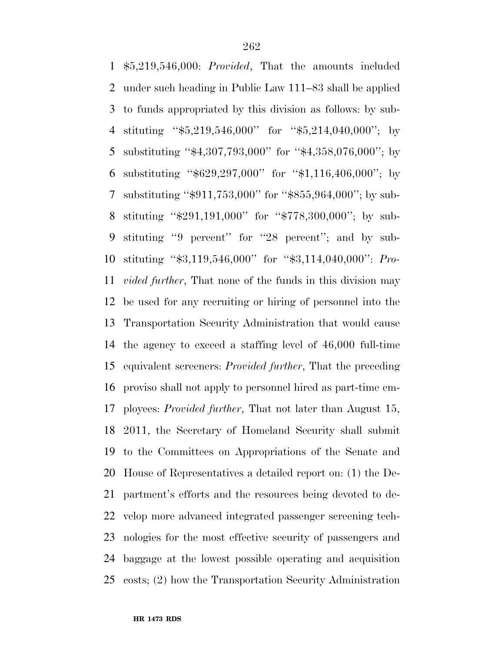\$5,219,546,000: *Provided*, That the amounts included under such heading in Public Law 111–83 shall be applied to funds appropriated by this division as follows: by sub- stituting ''\$5,219,546,000'' for ''\$5,214,040,000''; by substituting ''\$4,307,793,000'' for ''\$4,358,076,000''; by substituting ''\$629,297,000'' for ''\$1,116,406,000''; by substituting ''\$911,753,000'' for ''\$855,964,000''; by sub- stituting ''\$291,191,000'' for ''\$778,300,000''; by sub- stituting ''9 percent'' for ''28 percent''; and by sub- stituting ''\$3,119,546,000'' for ''\$3,114,040,000'': *Pro- vided further*, That none of the funds in this division may be used for any recruiting or hiring of personnel into the Transportation Security Administration that would cause the agency to exceed a staffing level of 46,000 full-time equivalent screeners: *Provided further*, That the preceding proviso shall not apply to personnel hired as part-time em- ployees: *Provided further*, That not later than August 15, 2011, the Secretary of Homeland Security shall submit to the Committees on Appropriations of the Senate and House of Representatives a detailed report on: (1) the De- partment's efforts and the resources being devoted to de- velop more advanced integrated passenger screening tech- nologies for the most effective security of passengers and baggage at the lowest possible operating and acquisition costs; (2) how the Transportation Security Administration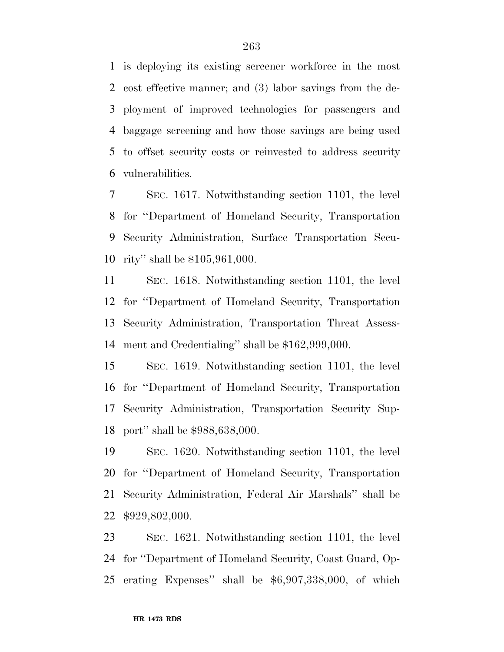is deploying its existing screener workforce in the most cost effective manner; and (3) labor savings from the de- ployment of improved technologies for passengers and baggage screening and how those savings are being used to offset security costs or reinvested to address security vulnerabilities.

 SEC. 1617. Notwithstanding section 1101, the level for ''Department of Homeland Security, Transportation Security Administration, Surface Transportation Secu-rity'' shall be \$105,961,000.

 SEC. 1618. Notwithstanding section 1101, the level for ''Department of Homeland Security, Transportation Security Administration, Transportation Threat Assess-ment and Credentialing'' shall be \$162,999,000.

 SEC. 1619. Notwithstanding section 1101, the level for ''Department of Homeland Security, Transportation Security Administration, Transportation Security Sup-port'' shall be \$988,638,000.

 SEC. 1620. Notwithstanding section 1101, the level for ''Department of Homeland Security, Transportation Security Administration, Federal Air Marshals'' shall be \$929,802,000.

 SEC. 1621. Notwithstanding section 1101, the level for ''Department of Homeland Security, Coast Guard, Op-erating Expenses'' shall be \$6,907,338,000, of which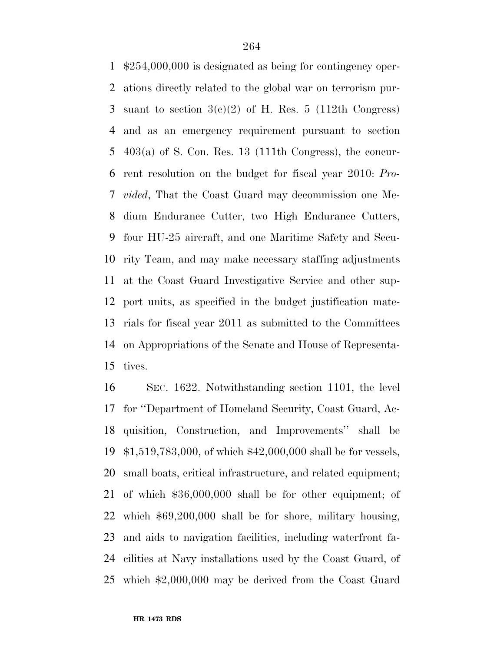\$254,000,000 is designated as being for contingency oper- ations directly related to the global war on terrorism pur-3 suant to section  $3(e)(2)$  of H. Res. 5 (112th Congress) and as an emergency requirement pursuant to section 403(a) of S. Con. Res. 13 (111th Congress), the concur- rent resolution on the budget for fiscal year 2010: *Pro- vided*, That the Coast Guard may decommission one Me- dium Endurance Cutter, two High Endurance Cutters, four HU-25 aircraft, and one Maritime Safety and Secu- rity Team, and may make necessary staffing adjustments at the Coast Guard Investigative Service and other sup- port units, as specified in the budget justification mate- rials for fiscal year 2011 as submitted to the Committees on Appropriations of the Senate and House of Representa-tives.

 SEC. 1622. Notwithstanding section 1101, the level for ''Department of Homeland Security, Coast Guard, Ac- quisition, Construction, and Improvements'' shall be \$1,519,783,000, of which \$42,000,000 shall be for vessels, small boats, critical infrastructure, and related equipment; of which \$36,000,000 shall be for other equipment; of which \$69,200,000 shall be for shore, military housing, and aids to navigation facilities, including waterfront fa- cilities at Navy installations used by the Coast Guard, of which \$2,000,000 may be derived from the Coast Guard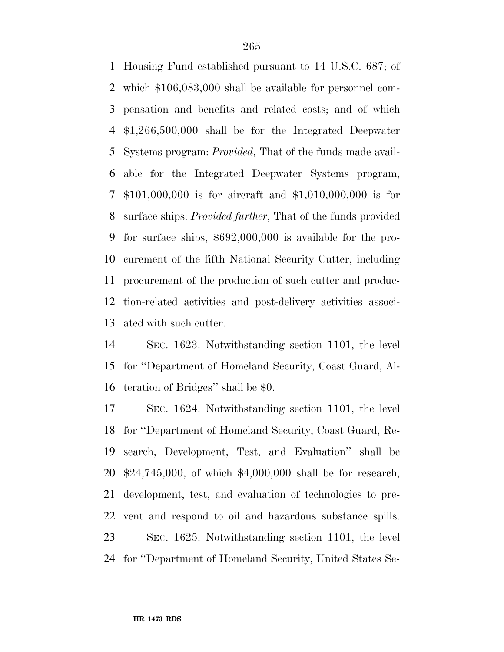Housing Fund established pursuant to 14 U.S.C. 687; of which \$106,083,000 shall be available for personnel com- pensation and benefits and related costs; and of which \$1,266,500,000 shall be for the Integrated Deepwater Systems program: *Provided*, That of the funds made avail- able for the Integrated Deepwater Systems program, \$101,000,000 is for aircraft and \$1,010,000,000 is for surface ships: *Provided further*, That of the funds provided for surface ships, \$692,000,000 is available for the pro- curement of the fifth National Security Cutter, including procurement of the production of such cutter and produc- tion-related activities and post-delivery activities associ-ated with such cutter.

 SEC. 1623. Notwithstanding section 1101, the level for ''Department of Homeland Security, Coast Guard, Al-teration of Bridges'' shall be \$0.

 SEC. 1624. Notwithstanding section 1101, the level for ''Department of Homeland Security, Coast Guard, Re- search, Development, Test, and Evaluation'' shall be \$24,745,000, of which \$4,000,000 shall be for research, development, test, and evaluation of technologies to pre- vent and respond to oil and hazardous substance spills. SEC. 1625. Notwithstanding section 1101, the level for ''Department of Homeland Security, United States Se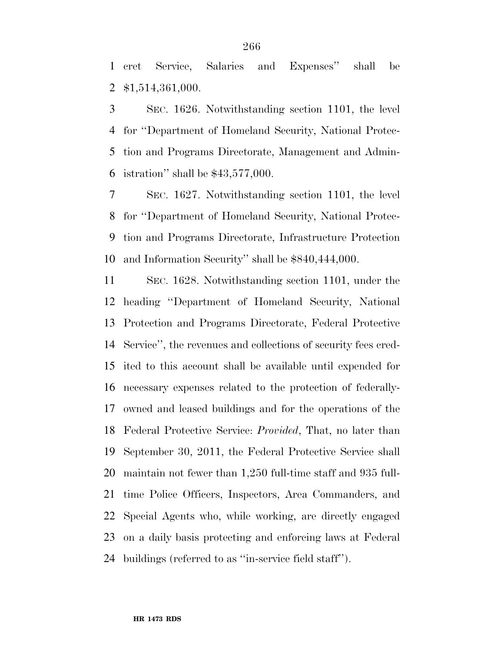cret Service, Salaries and Expenses'' shall be \$1,514,361,000.

 SEC. 1626. Notwithstanding section 1101, the level for ''Department of Homeland Security, National Protec- tion and Programs Directorate, Management and Admin-istration'' shall be \$43,577,000.

 SEC. 1627. Notwithstanding section 1101, the level for ''Department of Homeland Security, National Protec- tion and Programs Directorate, Infrastructure Protection and Information Security'' shall be \$840,444,000.

 SEC. 1628. Notwithstanding section 1101, under the heading ''Department of Homeland Security, National Protection and Programs Directorate, Federal Protective Service'', the revenues and collections of security fees cred- ited to this account shall be available until expended for necessary expenses related to the protection of federally- owned and leased buildings and for the operations of the Federal Protective Service: *Provided*, That, no later than September 30, 2011, the Federal Protective Service shall maintain not fewer than 1,250 full-time staff and 935 full- time Police Officers, Inspectors, Area Commanders, and Special Agents who, while working, are directly engaged on a daily basis protecting and enforcing laws at Federal buildings (referred to as ''in-service field staff'').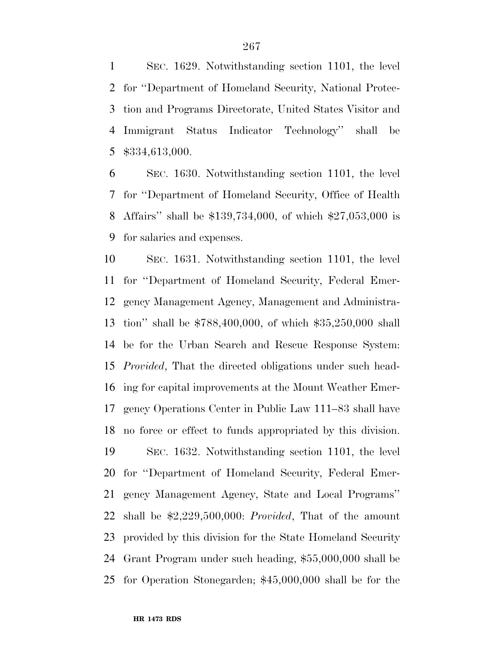SEC. 1629. Notwithstanding section 1101, the level for ''Department of Homeland Security, National Protec- tion and Programs Directorate, United States Visitor and Immigrant Status Indicator Technology'' shall be \$334,613,000.

 SEC. 1630. Notwithstanding section 1101, the level for ''Department of Homeland Security, Office of Health Affairs'' shall be \$139,734,000, of which \$27,053,000 is for salaries and expenses.

 SEC. 1631. Notwithstanding section 1101, the level for ''Department of Homeland Security, Federal Emer- gency Management Agency, Management and Administra- tion'' shall be \$788,400,000, of which \$35,250,000 shall be for the Urban Search and Rescue Response System: *Provided*, That the directed obligations under such head- ing for capital improvements at the Mount Weather Emer- gency Operations Center in Public Law 111–83 shall have no force or effect to funds appropriated by this division. SEC. 1632. Notwithstanding section 1101, the level for ''Department of Homeland Security, Federal Emer- gency Management Agency, State and Local Programs'' shall be \$2,229,500,000: *Provided*, That of the amount provided by this division for the State Homeland Security Grant Program under such heading, \$55,000,000 shall be for Operation Stonegarden; \$45,000,000 shall be for the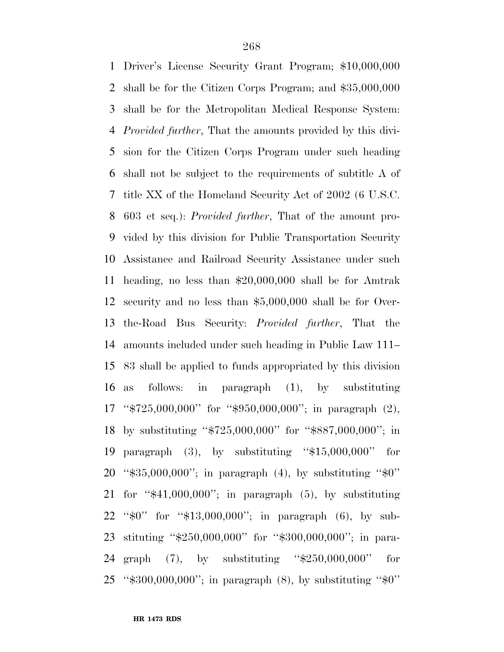Driver's License Security Grant Program; \$10,000,000 shall be for the Citizen Corps Program; and \$35,000,000 shall be for the Metropolitan Medical Response System: *Provided further*, That the amounts provided by this divi- sion for the Citizen Corps Program under such heading shall not be subject to the requirements of subtitle A of title XX of the Homeland Security Act of 2002 (6 U.S.C. 603 et seq.): *Provided further*, That of the amount pro- vided by this division for Public Transportation Security Assistance and Railroad Security Assistance under such heading, no less than \$20,000,000 shall be for Amtrak security and no less than \$5,000,000 shall be for Over- the-Road Bus Security: *Provided further*, That the amounts included under such heading in Public Law 111– 83 shall be applied to funds appropriated by this division as follows: in paragraph (1), by substituting ''\$725,000,000'' for ''\$950,000,000''; in paragraph (2), by substituting ''\$725,000,000'' for ''\$887,000,000''; in paragraph (3), by substituting ''\$15,000,000'' for 20 " $\$35,000,000"$ ; in paragraph (4), by substituting " $\$0"$  for ''\$41,000,000''; in paragraph (5), by substituting ''\$0'' for ''\$13,000,000''; in paragraph (6), by sub- stituting ''\$250,000,000'' for ''\$300,000,000''; in para- graph (7), by substituting ''\$250,000,000'' for ''\$300,000,000''; in paragraph (8), by substituting ''\$0''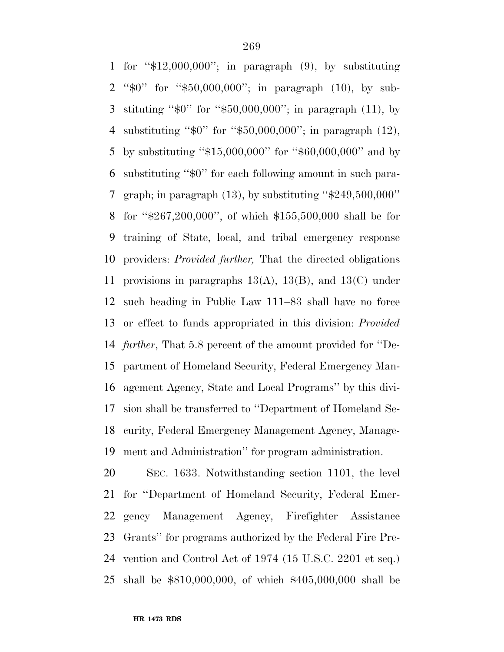for ''\$12,000,000''; in paragraph (9), by substituting ''\$0'' for ''\$50,000,000''; in paragraph (10), by sub- stituting ''\$0'' for ''\$50,000,000''; in paragraph (11), by substituting ''\$0'' for ''\$50,000,000''; in paragraph (12), by substituting ''\$15,000,000'' for ''\$60,000,000'' and by substituting ''\$0'' for each following amount in such para-7 graph; in paragraph  $(13)$ , by substituting " $\$249,500,000"$ " for ''\$267,200,000'', of which \$155,500,000 shall be for training of State, local, and tribal emergency response providers: *Provided further,* That the directed obligations provisions in paragraphs 13(A), 13(B), and 13(C) under such heading in Public Law 111–83 shall have no force or effect to funds appropriated in this division: *Provided further*, That 5.8 percent of the amount provided for ''De- partment of Homeland Security, Federal Emergency Man- agement Agency, State and Local Programs'' by this divi- sion shall be transferred to ''Department of Homeland Se- curity, Federal Emergency Management Agency, Manage-ment and Administration'' for program administration.

 SEC. 1633. Notwithstanding section 1101, the level for ''Department of Homeland Security, Federal Emer- gency Management Agency, Firefighter Assistance Grants'' for programs authorized by the Federal Fire Pre- vention and Control Act of 1974 (15 U.S.C. 2201 et seq.) shall be \$810,000,000, of which \$405,000,000 shall be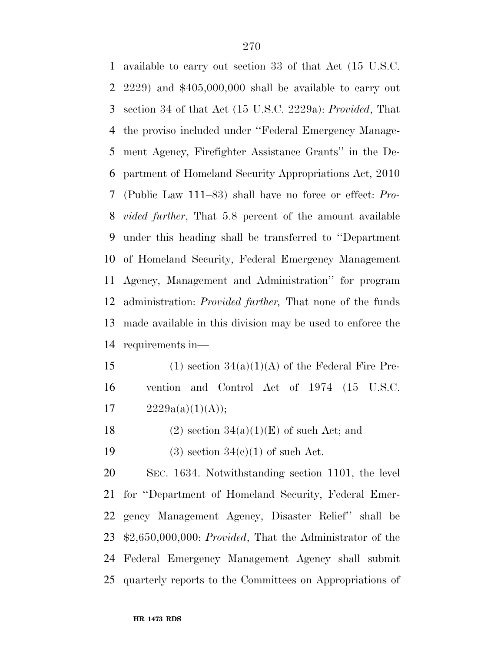available to carry out section 33 of that Act (15 U.S.C. 2229) and \$405,000,000 shall be available to carry out section 34 of that Act (15 U.S.C. 2229a): *Provided*, That the proviso included under ''Federal Emergency Manage- ment Agency, Firefighter Assistance Grants'' in the De- partment of Homeland Security Appropriations Act, 2010 (Public Law 111–83) shall have no force or effect: *Pro- vided further*, That 5.8 percent of the amount available under this heading shall be transferred to ''Department of Homeland Security, Federal Emergency Management Agency, Management and Administration'' for program administration: *Provided further,* That none of the funds made available in this division may be used to enforce the requirements in—

15 (1) section  $34(a)(1)(A)$  of the Federal Fire Pre- vention and Control Act of 1974 (15 U.S.C. 17  $2229a(a)(1)(A));$ 

18 (2) section  $34(a)(1)(E)$  of such Act; and

19 (3) section  $34(e)(1)$  of such Act.

 SEC. 1634. Notwithstanding section 1101, the level for ''Department of Homeland Security, Federal Emer- gency Management Agency, Disaster Relief'' shall be \$2,650,000,000: *Provided*, That the Administrator of the Federal Emergency Management Agency shall submit quarterly reports to the Committees on Appropriations of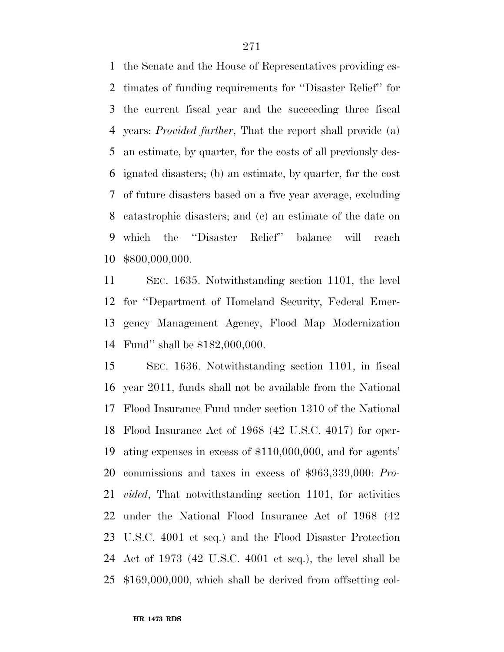the Senate and the House of Representatives providing es- timates of funding requirements for ''Disaster Relief'' for the current fiscal year and the succeeding three fiscal years: *Provided further*, That the report shall provide (a) an estimate, by quarter, for the costs of all previously des- ignated disasters; (b) an estimate, by quarter, for the cost of future disasters based on a five year average, excluding catastrophic disasters; and (c) an estimate of the date on which the ''Disaster Relief'' balance will reach \$800,000,000.

 SEC. 1635. Notwithstanding section 1101, the level for ''Department of Homeland Security, Federal Emer- gency Management Agency, Flood Map Modernization Fund'' shall be \$182,000,000.

 SEC. 1636. Notwithstanding section 1101, in fiscal year 2011, funds shall not be available from the National Flood Insurance Fund under section 1310 of the National Flood Insurance Act of 1968 (42 U.S.C. 4017) for oper- ating expenses in excess of \$110,000,000, and for agents' commissions and taxes in excess of \$963,339,000: *Pro- vided*, That notwithstanding section 1101, for activities under the National Flood Insurance Act of 1968 (42 U.S.C. 4001 et seq.) and the Flood Disaster Protection Act of 1973 (42 U.S.C. 4001 et seq.), the level shall be \$169,000,000, which shall be derived from offsetting col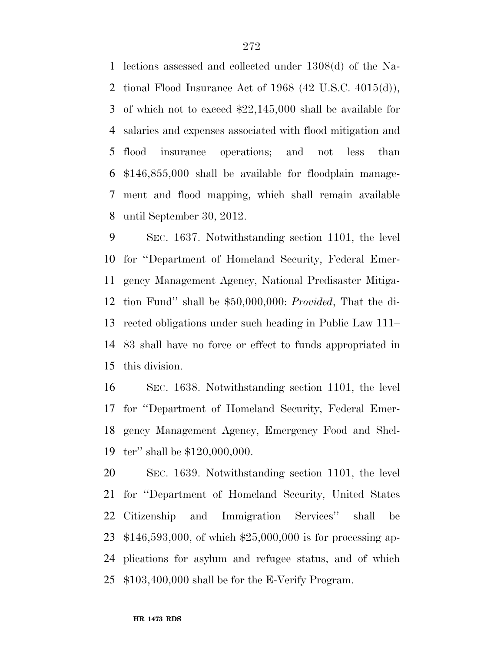lections assessed and collected under 1308(d) of the Na- tional Flood Insurance Act of 1968 (42 U.S.C. 4015(d)), of which not to exceed \$22,145,000 shall be available for salaries and expenses associated with flood mitigation and flood insurance operations; and not less than \$146,855,000 shall be available for floodplain manage- ment and flood mapping, which shall remain available until September 30, 2012.

 SEC. 1637. Notwithstanding section 1101, the level for ''Department of Homeland Security, Federal Emer- gency Management Agency, National Predisaster Mitiga- tion Fund'' shall be \$50,000,000: *Provided*, That the di- rected obligations under such heading in Public Law 111– 83 shall have no force or effect to funds appropriated in this division.

 SEC. 1638. Notwithstanding section 1101, the level for ''Department of Homeland Security, Federal Emer- gency Management Agency, Emergency Food and Shel-ter'' shall be \$120,000,000.

 SEC. 1639. Notwithstanding section 1101, the level for ''Department of Homeland Security, United States Citizenship and Immigration Services'' shall be \$146,593,000, of which \$25,000,000 is for processing ap- plications for asylum and refugee status, and of which \$103,400,000 shall be for the E-Verify Program.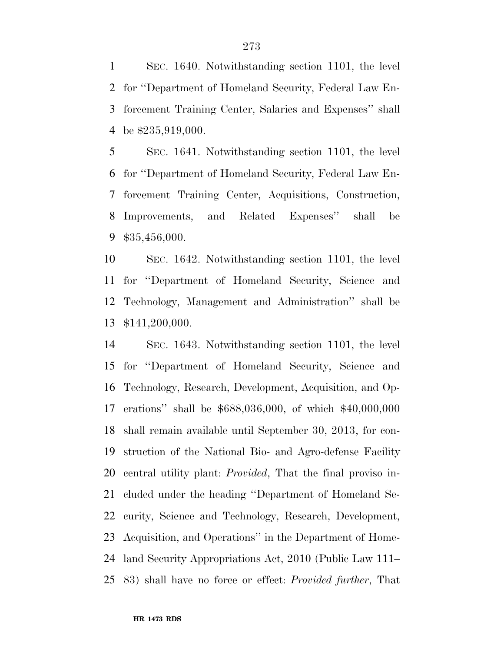SEC. 1640. Notwithstanding section 1101, the level for ''Department of Homeland Security, Federal Law En- forcement Training Center, Salaries and Expenses'' shall be \$235,919,000.

 SEC. 1641. Notwithstanding section 1101, the level for ''Department of Homeland Security, Federal Law En- forcement Training Center, Acquisitions, Construction, Improvements, and Related Expenses'' shall be \$35,456,000.

 SEC. 1642. Notwithstanding section 1101, the level for ''Department of Homeland Security, Science and Technology, Management and Administration'' shall be \$141,200,000.

 SEC. 1643. Notwithstanding section 1101, the level for ''Department of Homeland Security, Science and Technology, Research, Development, Acquisition, and Op- erations'' shall be \$688,036,000, of which \$40,000,000 shall remain available until September 30, 2013, for con- struction of the National Bio- and Agro-defense Facility central utility plant: *Provided*, That the final proviso in- cluded under the heading ''Department of Homeland Se- curity, Science and Technology, Research, Development, Acquisition, and Operations'' in the Department of Home- land Security Appropriations Act, 2010 (Public Law 111– 83) shall have no force or effect: *Provided further*, That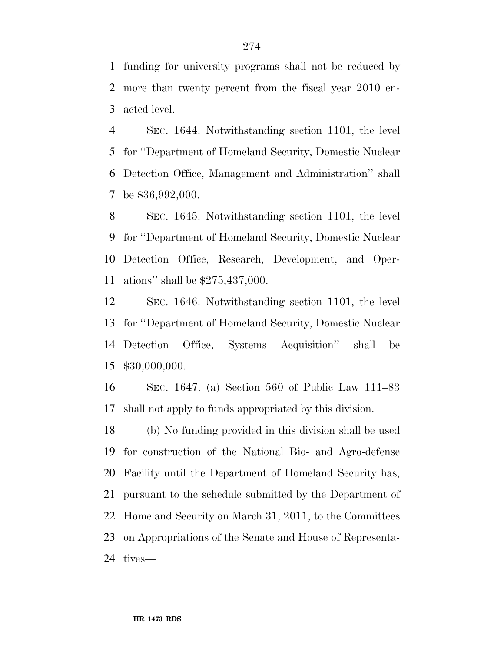funding for university programs shall not be reduced by more than twenty percent from the fiscal year 2010 en-acted level.

 SEC. 1644. Notwithstanding section 1101, the level for ''Department of Homeland Security, Domestic Nuclear Detection Office, Management and Administration'' shall be \$36,992,000.

 SEC. 1645. Notwithstanding section 1101, the level for ''Department of Homeland Security, Domestic Nuclear Detection Office, Research, Development, and Oper-ations'' shall be \$275,437,000.

 SEC. 1646. Notwithstanding section 1101, the level for ''Department of Homeland Security, Domestic Nuclear Detection Office, Systems Acquisition'' shall be \$30,000,000.

 SEC. 1647. (a) Section 560 of Public Law 111–83 shall not apply to funds appropriated by this division.

 (b) No funding provided in this division shall be used for construction of the National Bio- and Agro-defense Facility until the Department of Homeland Security has, pursuant to the schedule submitted by the Department of Homeland Security on March 31, 2011, to the Committees on Appropriations of the Senate and House of Representa-tives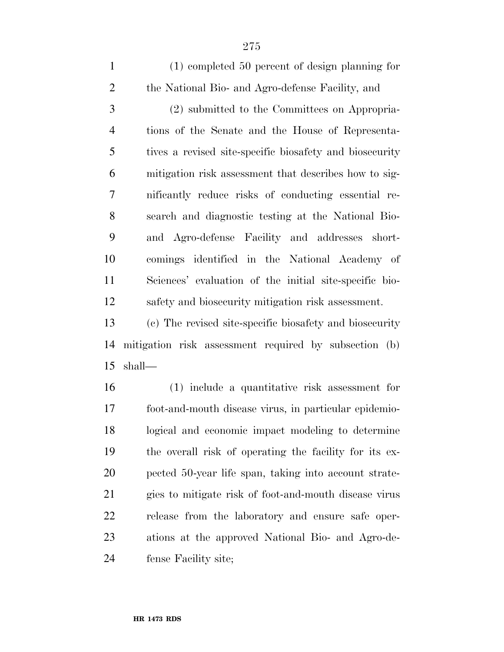(1) completed 50 percent of design planning for the National Bio- and Agro-defense Facility, and

 (2) submitted to the Committees on Appropria- tions of the Senate and the House of Representa- tives a revised site-specific biosafety and biosecurity mitigation risk assessment that describes how to sig- nificantly reduce risks of conducting essential re- search and diagnostic testing at the National Bio- and Agro-defense Facility and addresses short- comings identified in the National Academy of Sciences' evaluation of the initial site-specific bio-safety and biosecurity mitigation risk assessment.

 (c) The revised site-specific biosafety and biosecurity mitigation risk assessment required by subsection (b) shall—

 (1) include a quantitative risk assessment for foot-and-mouth disease virus, in particular epidemio- logical and economic impact modeling to determine the overall risk of operating the facility for its ex- pected 50-year life span, taking into account strate- gies to mitigate risk of foot-and-mouth disease virus release from the laboratory and ensure safe oper- ations at the approved National Bio- and Agro-de-fense Facility site;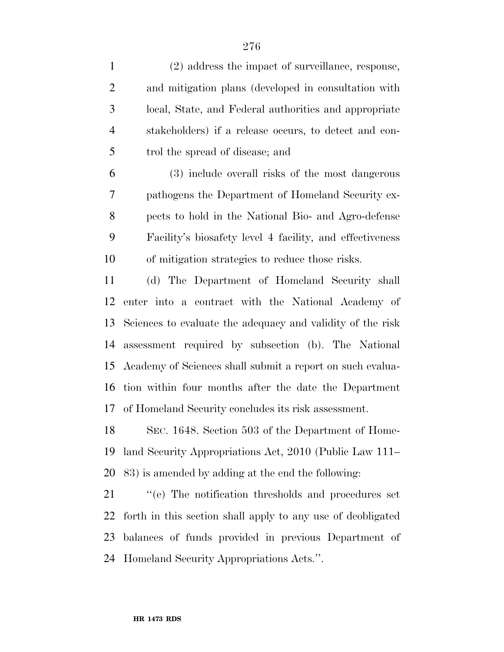| $\mathbf{1}$   | (2) address the impact of surveillance, response,           |
|----------------|-------------------------------------------------------------|
| $\overline{2}$ | and mitigation plans (developed in consultation with        |
| 3              | local, State, and Federal authorities and appropriate       |
| $\overline{4}$ | stakeholders) if a release occurs, to detect and con-       |
| 5              | trol the spread of disease; and                             |
| 6              | (3) include overall risks of the most dangerous             |
| $\overline{7}$ | pathogens the Department of Homeland Security ex-           |
| 8              | pects to hold in the National Bio- and Agro-defense         |
| 9              | Facility's biosafety level 4 facility, and effectiveness    |
| 10             | of mitigation strategies to reduce those risks.             |
| 11             | (d) The Department of Homeland Security shall               |
| 12             | enter into a contract with the National Academy of          |
| 13             | Sciences to evaluate the adequacy and validity of the risk  |
| 14             | assessment required by subsection (b). The National         |
| 15             | Academy of Sciences shall submit a report on such evalua-   |
| 16             | tion within four months after the date the Department       |
| 17             | of Homeland Security concludes its risk assessment.         |
| 18             | SEC. 1648. Section 503 of the Department of Home-           |
| 19             | land Security Appropriations Act, 2010 (Public Law 111–     |
| 20             | 83) is amended by adding at the end the following:          |
| 21             | "(e) The notification thresholds and procedures set         |
| 22             | forth in this section shall apply to any use of deobligated |
| 23             | balances of funds provided in previous Department of        |

Homeland Security Appropriations Acts.''.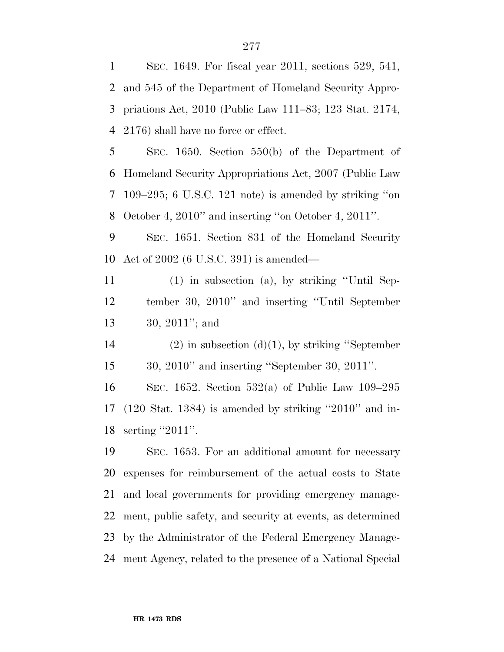SEC. 1649. For fiscal year 2011, sections 529, 541, and 545 of the Department of Homeland Security Appro- priations Act, 2010 (Public Law 111–83; 123 Stat. 2174, 2176) shall have no force or effect. SEC. 1650. Section 550(b) of the Department of Homeland Security Appropriations Act, 2007 (Public Law 109–295; 6 U.S.C. 121 note) is amended by striking ''on October 4, 2010'' and inserting ''on October 4, 2011''. SEC. 1651. Section 831 of the Homeland Security Act of 2002 (6 U.S.C. 391) is amended— (1) in subsection (a), by striking ''Until Sep- tember 30, 2010'' and inserting ''Until September 30, 2011''; and 14 (2) in subsection (d)(1), by striking "September 30, 2010'' and inserting ''September 30, 2011''.

 SEC. 1652. Section 532(a) of Public Law 109–295 (120 Stat. 1384) is amended by striking ''2010'' and in-18 serting "2011".

 SEC. 1653. For an additional amount for necessary expenses for reimbursement of the actual costs to State and local governments for providing emergency manage- ment, public safety, and security at events, as determined by the Administrator of the Federal Emergency Manage-ment Agency, related to the presence of a National Special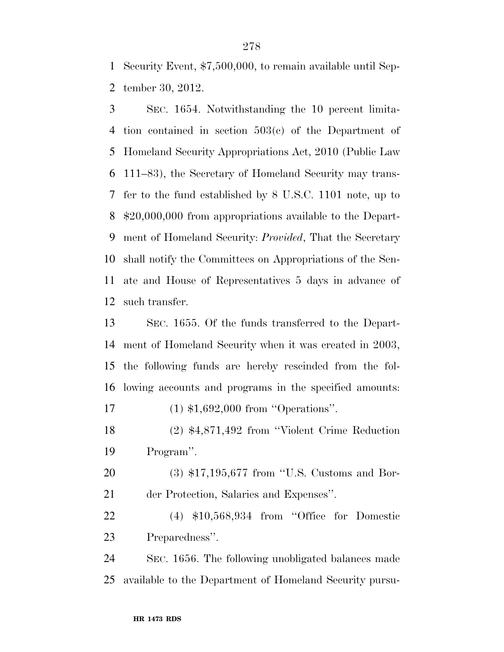Security Event, \$7,500,000, to remain available until Sep-tember 30, 2012.

 SEC. 1654. Notwithstanding the 10 percent limita- tion contained in section 503(c) of the Department of Homeland Security Appropriations Act, 2010 (Public Law 111–83), the Secretary of Homeland Security may trans- fer to the fund established by 8 U.S.C. 1101 note, up to \$20,000,000 from appropriations available to the Depart- ment of Homeland Security: *Provided*, That the Secretary shall notify the Committees on Appropriations of the Sen- ate and House of Representatives 5 days in advance of such transfer.

 SEC. 1655. Of the funds transferred to the Depart- ment of Homeland Security when it was created in 2003, the following funds are hereby rescinded from the fol-lowing accounts and programs in the specified amounts:

17 (1) \$1,692,000 from "Operations".

 (2) \$4,871,492 from ''Violent Crime Reduction Program''.

 (3) \$17,195,677 from ''U.S. Customs and Bor-der Protection, Salaries and Expenses''.

 (4) \$10,568,934 from ''Office for Domestic Preparedness''.

 SEC. 1656. The following unobligated balances made available to the Department of Homeland Security pursu-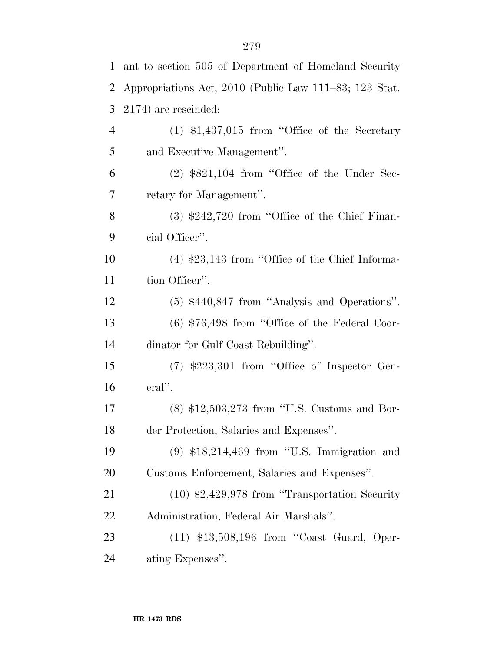| 1  | ant to section 505 of Department of Homeland Security  |
|----|--------------------------------------------------------|
| 2  | Appropriations Act, 2010 (Public Law 111–83; 123 Stat. |
| 3  | 2174) are rescinded:                                   |
| 4  | $(1)$ \$1,437,015 from "Office of the Secretary        |
| 5  | and Executive Management".                             |
| 6  | $(2)$ \$821,104 from "Office of the Under Sec-         |
| 7  | retary for Management".                                |
| 8  | $(3)$ \$242,720 from "Office of the Chief Finan-       |
| 9  | cial Officer".                                         |
| 10 | $(4)$ \$23,143 from "Office of the Chief Informa-      |
| 11 | tion Officer".                                         |
| 12 | $(5)$ \$440,847 from "Analysis and Operations".        |
| 13 | $(6)$ \$76,498 from "Office of the Federal Coor-       |
| 14 | dinator for Gulf Coast Rebuilding".                    |
| 15 | $(7)$ \$223,301 from "Office of Inspector Gen-         |
| 16 | $eral$ ".                                              |
| 17 | $(8)$ \$12,503,273 from "U.S. Customs and Bor-         |
| 18 | der Protection, Salaries and Expenses".                |
| 19 | $(9)$ \$18,214,469 from "U.S. Immigration and          |
| 20 | Customs Enforcement, Salaries and Expenses".           |
| 21 | $(10)$ \$2,429,978 from "Transportation Security       |
| 22 | Administration, Federal Air Marshals".                 |
| 23 | $(11)$ \$13,508,196 from "Coast Guard, Oper-           |
| 24 | ating Expenses".                                       |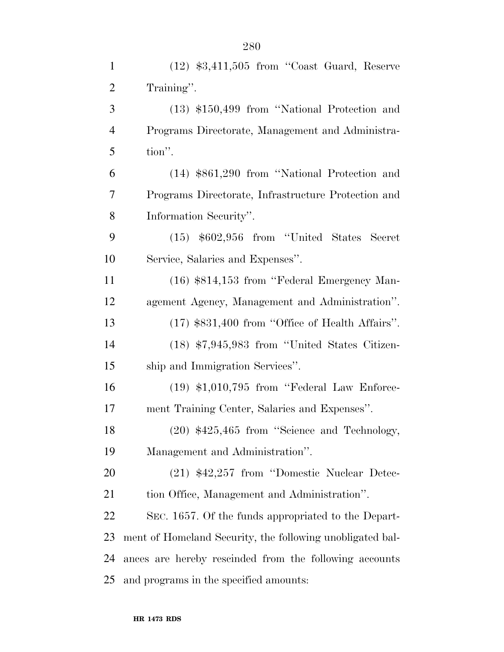| $\mathbf{1}$   | $(12)$ \$3,411,505 from "Coast Guard, Reserve             |
|----------------|-----------------------------------------------------------|
| $\overline{2}$ | Training".                                                |
| 3              | $(13)$ \$150,499 from "National Protection and            |
| $\overline{4}$ | Programs Directorate, Management and Administra-          |
| 5              | tion".                                                    |
| 6              | $(14)$ \$861,290 from "National Protection and            |
| 7              | Programs Directorate, Infrastructure Protection and       |
| 8              | Information Security".                                    |
| 9              | $(15)$ \$602,956 from "United States Secret               |
| 10             | Service, Salaries and Expenses".                          |
| 11             | (16) \$814,153 from "Federal Emergency Man-               |
| 12             | agement Agency, Management and Administration".           |
| 13             | $(17)$ \$831,400 from "Office of Health Affairs".         |
| 14             | $(18)$ \$7,945,983 from "United States Citizen-           |
| 15             | ship and Immigration Services".                           |
| 16             | $(19)$ \$1,010,795 from "Federal Law Enforce-             |
| 17             | ment Training Center, Salaries and Expenses".             |
| 18             | $(20)$ \$425,465 from "Science and Technology,            |
| 19             | Management and Administration".                           |
| <b>20</b>      | $(21)$ \$42,257 from "Domestic Nuclear Detec-             |
| 21             | tion Office, Management and Administration".              |
| 22             | SEC. 1657. Of the funds appropriated to the Depart-       |
| 23             | ment of Homeland Security, the following unobligated bal- |
| 24             | ances are hereby rescinded from the following accounts    |
| 25             | and programs in the specified amounts:                    |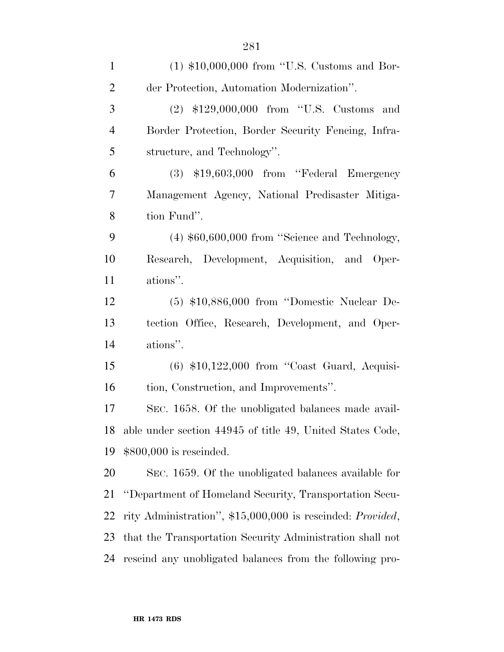| $\mathbf{1}$   | $(1)$ \$10,000,000 from "U.S. Customs and Bor-                     |
|----------------|--------------------------------------------------------------------|
| $\overline{2}$ | der Protection, Automation Modernization".                         |
| 3              | $(2)$ \$129,000,000 from "U.S. Customs and                         |
| $\overline{4}$ | Border Protection, Border Security Fencing, Infra-                 |
| 5              | structure, and Technology".                                        |
| 6              | $(3)$ \$19,603,000 from "Federal Emergency                         |
| 7              | Management Agency, National Predisaster Mitiga-                    |
| 8              | tion Fund".                                                        |
| 9              | $(4)$ \$60,600,000 from "Science and Technology,                   |
| 10             | Research, Development, Acquisition, and Oper-                      |
| 11             | ations".                                                           |
| 12             | $(5)$ \$10,886,000 from "Domestic Nuclear De-                      |
| 13             | tection Office, Research, Development, and Oper-                   |
| 14             | ations".                                                           |
| 15             | $(6)$ \$10,122,000 from "Coast Guard, Acquisi-                     |
| 16             | tion, Construction, and Improvements".                             |
| 17             | SEC. 1658. Of the unobligated balances made avail-                 |
| 18             | able under section 44945 of title 49, United States Code,          |
| 19             | $$800,000$ is rescinded.                                           |
| 20             | SEC. 1659. Of the unobligated balances available for               |
| 21             | "Department of Homeland Security, Transportation Secu-             |
| 22             | rity Administration", \$15,000,000 is rescinded: <i>Provided</i> , |
| 23             | that the Transportation Security Administration shall not          |
| 24             | rescind any unobligated balances from the following pro-           |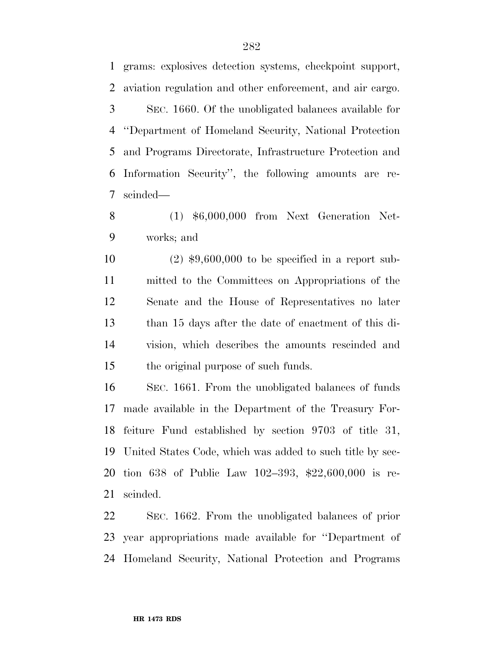grams: explosives detection systems, checkpoint support, aviation regulation and other enforcement, and air cargo. SEC. 1660. Of the unobligated balances available for ''Department of Homeland Security, National Protection and Programs Directorate, Infrastructure Protection and Information Security'', the following amounts are re-scinded—

 (1) \$6,000,000 from Next Generation Net-works; and

 (2) \$9,600,000 to be specified in a report sub- mitted to the Committees on Appropriations of the Senate and the House of Representatives no later than 15 days after the date of enactment of this di- vision, which describes the amounts rescinded and the original purpose of such funds.

 SEC. 1661. From the unobligated balances of funds made available in the Department of the Treasury For- feiture Fund established by section 9703 of title 31, United States Code, which was added to such title by sec- tion 638 of Public Law 102–393, \$22,600,000 is re-scinded.

 SEC. 1662. From the unobligated balances of prior year appropriations made available for ''Department of Homeland Security, National Protection and Programs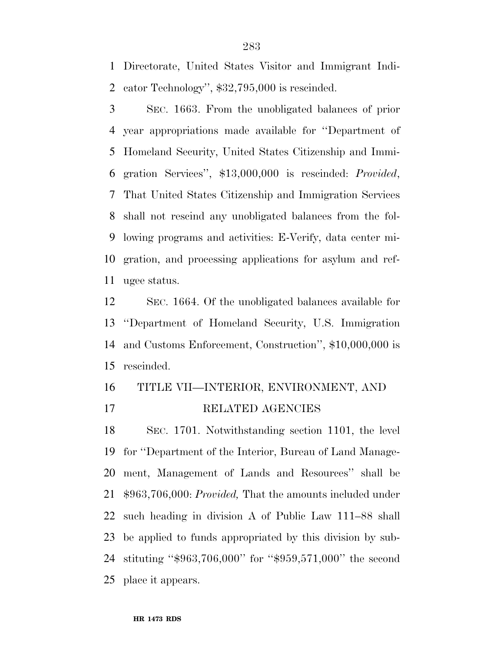Directorate, United States Visitor and Immigrant Indi-cator Technology'', \$32,795,000 is rescinded.

 SEC. 1663. From the unobligated balances of prior year appropriations made available for ''Department of Homeland Security, United States Citizenship and Immi- gration Services'', \$13,000,000 is rescinded: *Provided*, That United States Citizenship and Immigration Services shall not rescind any unobligated balances from the fol- lowing programs and activities: E-Verify, data center mi- gration, and processing applications for asylum and ref-ugee status.

 SEC. 1664. Of the unobligated balances available for ''Department of Homeland Security, U.S. Immigration and Customs Enforcement, Construction'', \$10,000,000 is rescinded.

## TITLE VII—INTERIOR, ENVIRONMENT, AND RELATED AGENCIES

 SEC. 1701. Notwithstanding section 1101, the level for ''Department of the Interior, Bureau of Land Manage- ment, Management of Lands and Resources'' shall be \$963,706,000: *Provided,* That the amounts included under such heading in division A of Public Law 111–88 shall be applied to funds appropriated by this division by sub- stituting ''\$963,706,000'' for ''\$959,571,000'' the second place it appears.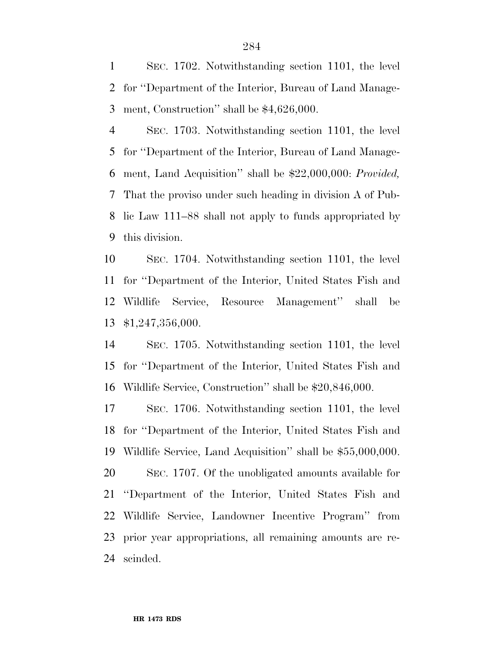SEC. 1702. Notwithstanding section 1101, the level for ''Department of the Interior, Bureau of Land Manage-ment, Construction'' shall be \$4,626,000.

 SEC. 1703. Notwithstanding section 1101, the level for ''Department of the Interior, Bureau of Land Manage- ment, Land Acquisition'' shall be \$22,000,000: *Provided,*  That the proviso under such heading in division A of Pub- lic Law 111–88 shall not apply to funds appropriated by this division.

 SEC. 1704. Notwithstanding section 1101, the level for ''Department of the Interior, United States Fish and Wildlife Service, Resource Management'' shall be \$1,247,356,000.

 SEC. 1705. Notwithstanding section 1101, the level for ''Department of the Interior, United States Fish and Wildlife Service, Construction'' shall be \$20,846,000.

 SEC. 1706. Notwithstanding section 1101, the level for ''Department of the Interior, United States Fish and Wildlife Service, Land Acquisition'' shall be \$55,000,000.

 SEC. 1707. Of the unobligated amounts available for ''Department of the Interior, United States Fish and Wildlife Service, Landowner Incentive Program'' from prior year appropriations, all remaining amounts are re-scinded.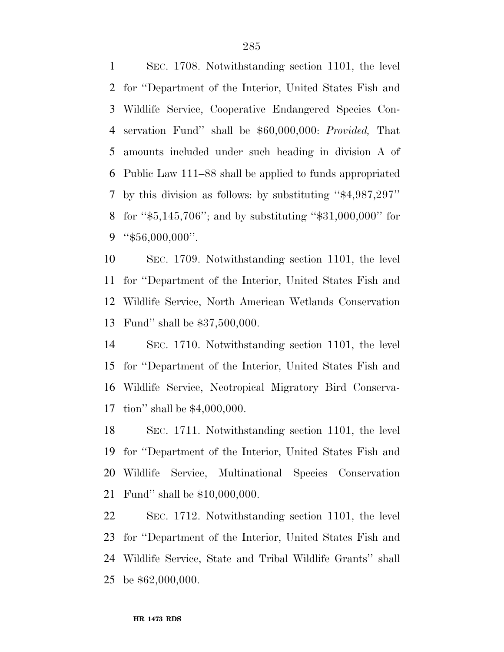SEC. 1708. Notwithstanding section 1101, the level for ''Department of the Interior, United States Fish and Wildlife Service, Cooperative Endangered Species Con- servation Fund'' shall be \$60,000,000: *Provided,* That amounts included under such heading in division A of Public Law 111–88 shall be applied to funds appropriated by this division as follows: by substituting ''\$4,987,297'' for ''\$5,145,706''; and by substituting ''\$31,000,000'' for ''\$56,000,000''.

 SEC. 1709. Notwithstanding section 1101, the level for ''Department of the Interior, United States Fish and Wildlife Service, North American Wetlands Conservation Fund'' shall be \$37,500,000.

 SEC. 1710. Notwithstanding section 1101, the level for ''Department of the Interior, United States Fish and Wildlife Service, Neotropical Migratory Bird Conserva-tion'' shall be \$4,000,000.

 SEC. 1711. Notwithstanding section 1101, the level for ''Department of the Interior, United States Fish and Wildlife Service, Multinational Species Conservation Fund'' shall be \$10,000,000.

 SEC. 1712. Notwithstanding section 1101, the level for ''Department of the Interior, United States Fish and Wildlife Service, State and Tribal Wildlife Grants'' shall be \$62,000,000.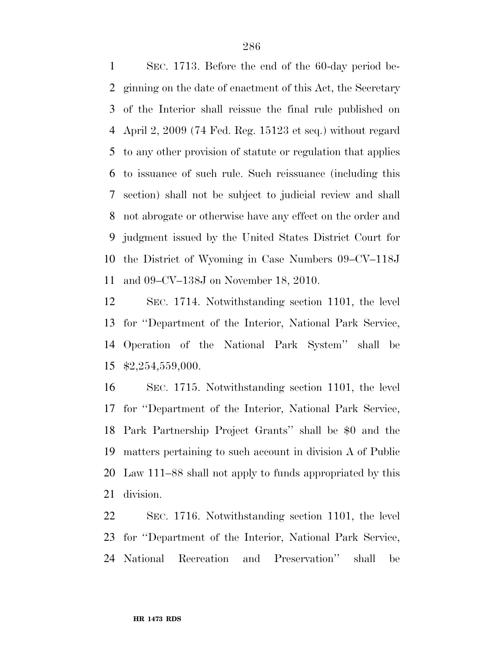SEC. 1713. Before the end of the 60-day period be- ginning on the date of enactment of this Act, the Secretary of the Interior shall reissue the final rule published on April 2, 2009 (74 Fed. Reg. 15123 et seq.) without regard to any other provision of statute or regulation that applies to issuance of such rule. Such reissuance (including this section) shall not be subject to judicial review and shall not abrogate or otherwise have any effect on the order and judgment issued by the United States District Court for the District of Wyoming in Case Numbers 09–CV–118J and 09–CV–138J on November 18, 2010.

 SEC. 1714. Notwithstanding section 1101, the level for ''Department of the Interior, National Park Service, Operation of the National Park System'' shall be \$2,254,559,000.

 SEC. 1715. Notwithstanding section 1101, the level for ''Department of the Interior, National Park Service, Park Partnership Project Grants'' shall be \$0 and the matters pertaining to such account in division A of Public Law 111–88 shall not apply to funds appropriated by this division.

 SEC. 1716. Notwithstanding section 1101, the level for ''Department of the Interior, National Park Service, National Recreation and Preservation'' shall be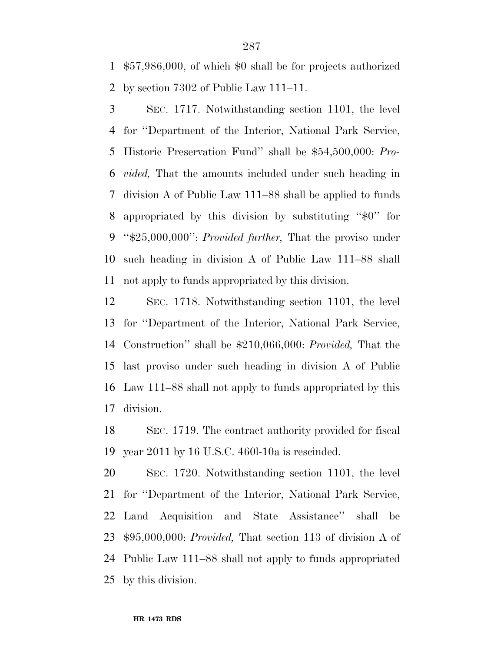\$57,986,000, of which \$0 shall be for projects authorized by section 7302 of Public Law 111–11.

 SEC. 1717. Notwithstanding section 1101, the level for ''Department of the Interior, National Park Service, Historic Preservation Fund'' shall be \$54,500,000: *Pro- vided,* That the amounts included under such heading in division A of Public Law 111–88 shall be applied to funds appropriated by this division by substituting ''\$0'' for ''\$25,000,000'': *Provided further,* That the proviso under such heading in division A of Public Law 111–88 shall not apply to funds appropriated by this division.

 SEC. 1718. Notwithstanding section 1101, the level for ''Department of the Interior, National Park Service, Construction'' shall be \$210,066,000: *Provided,* That the last proviso under such heading in division A of Public Law 111–88 shall not apply to funds appropriated by this division.

 SEC. 1719. The contract authority provided for fiscal year 2011 by 16 U.S.C. 460l-10a is rescinded.

 SEC. 1720. Notwithstanding section 1101, the level for ''Department of the Interior, National Park Service, Land Acquisition and State Assistance'' shall be \$95,000,000: *Provided,* That section 113 of division A of Public Law 111–88 shall not apply to funds appropriated by this division.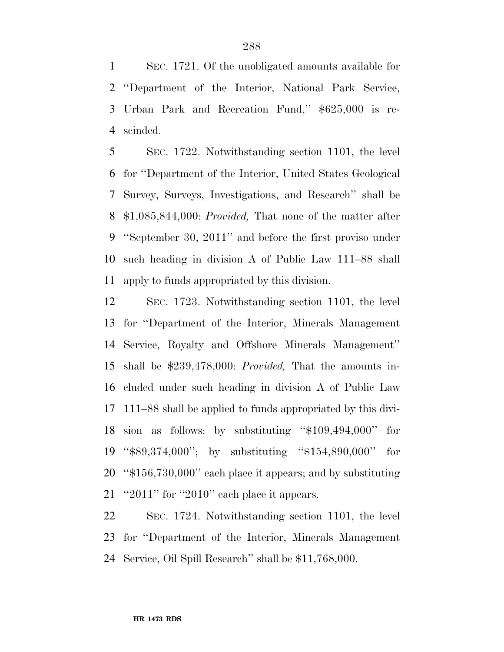SEC. 1721. Of the unobligated amounts available for ''Department of the Interior, National Park Service, Urban Park and Recreation Fund,'' \$625,000 is re-scinded.

 SEC. 1722. Notwithstanding section 1101, the level for ''Department of the Interior, United States Geological Survey, Surveys, Investigations, and Research'' shall be \$1,085,844,000: *Provided,* That none of the matter after ''September 30, 2011'' and before the first proviso under such heading in division A of Public Law 111–88 shall apply to funds appropriated by this division.

 SEC. 1723. Notwithstanding section 1101, the level for ''Department of the Interior, Minerals Management Service, Royalty and Offshore Minerals Management'' shall be \$239,478,000: *Provided,* That the amounts in- cluded under such heading in division A of Public Law 111–88 shall be applied to funds appropriated by this divi- sion as follows: by substituting ''\$109,494,000'' for ''\$89,374,000''; by substituting ''\$154,890,000'' for ''\$156,730,000'' each place it appears; and by substituting ''2011'' for ''2010'' each place it appears.

 SEC. 1724. Notwithstanding section 1101, the level for ''Department of the Interior, Minerals Management Service, Oil Spill Research'' shall be \$11,768,000.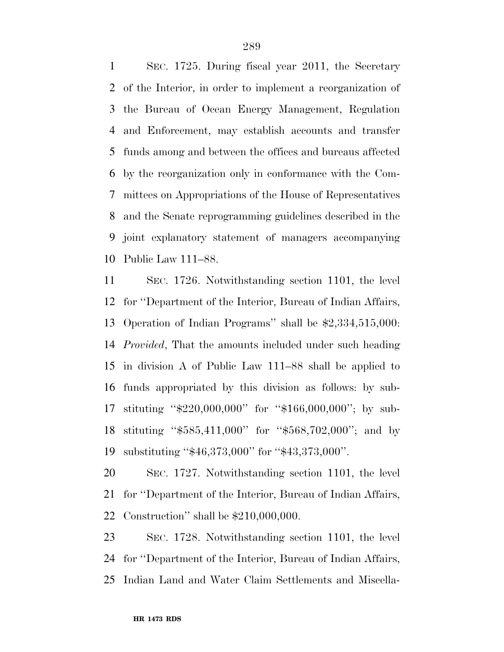SEC. 1725. During fiscal year 2011, the Secretary of the Interior, in order to implement a reorganization of the Bureau of Ocean Energy Management, Regulation and Enforcement, may establish accounts and transfer funds among and between the offices and bureaus affected by the reorganization only in conformance with the Com- mittees on Appropriations of the House of Representatives and the Senate reprogramming guidelines described in the joint explanatory statement of managers accompanying Public Law 111–88.

 SEC. 1726. Notwithstanding section 1101, the level for ''Department of the Interior, Bureau of Indian Affairs, Operation of Indian Programs'' shall be \$2,334,515,000: *Provided*, That the amounts included under such heading in division A of Public Law 111–88 shall be applied to funds appropriated by this division as follows: by sub- stituting ''\$220,000,000'' for ''\$166,000,000''; by sub- stituting ''\$585,411,000'' for ''\$568,702,000''; and by substituting ''\$46,373,000'' for ''\$43,373,000''.

 SEC. 1727. Notwithstanding section 1101, the level for ''Department of the Interior, Bureau of Indian Affairs, Construction'' shall be \$210,000,000.

 SEC. 1728. Notwithstanding section 1101, the level for ''Department of the Interior, Bureau of Indian Affairs, Indian Land and Water Claim Settlements and Miscella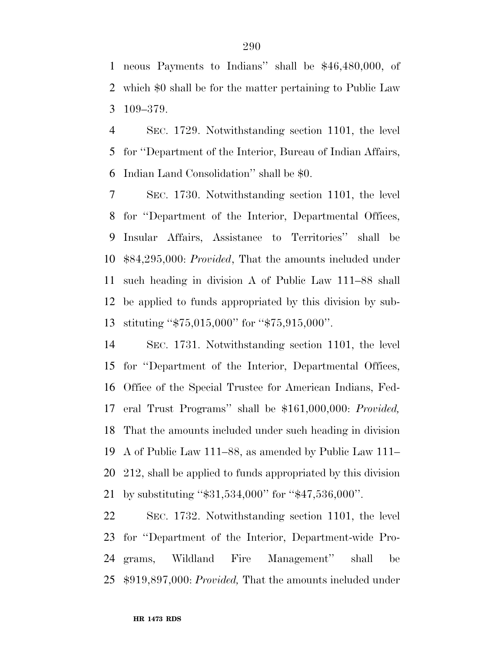neous Payments to Indians'' shall be \$46,480,000, of which \$0 shall be for the matter pertaining to Public Law 109–379.

 SEC. 1729. Notwithstanding section 1101, the level for ''Department of the Interior, Bureau of Indian Affairs, Indian Land Consolidation'' shall be \$0.

 SEC. 1730. Notwithstanding section 1101, the level for ''Department of the Interior, Departmental Offices, Insular Affairs, Assistance to Territories'' shall be \$84,295,000: *Provided*, That the amounts included under such heading in division A of Public Law 111–88 shall be applied to funds appropriated by this division by sub-stituting ''\$75,015,000'' for ''\$75,915,000''.

 SEC. 1731. Notwithstanding section 1101, the level for ''Department of the Interior, Departmental Offices, Office of the Special Trustee for American Indians, Fed- eral Trust Programs'' shall be \$161,000,000: *Provided,*  That the amounts included under such heading in division A of Public Law 111–88, as amended by Public Law 111– 212, shall be applied to funds appropriated by this division by substituting ''\$31,534,000'' for ''\$47,536,000''.

 SEC. 1732. Notwithstanding section 1101, the level for ''Department of the Interior, Department-wide Pro- grams, Wildland Fire Management'' shall be \$919,897,000: *Provided,* That the amounts included under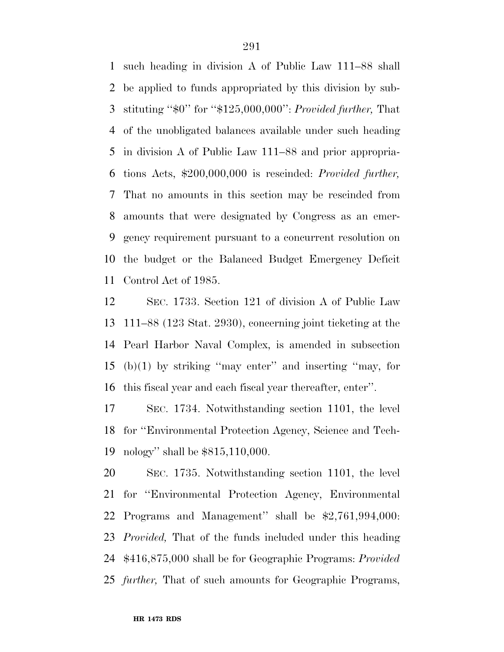such heading in division A of Public Law 111–88 shall be applied to funds appropriated by this division by sub- stituting ''\$0'' for ''\$125,000,000'': *Provided further,* That of the unobligated balances available under such heading in division A of Public Law 111–88 and prior appropria- tions Acts, \$200,000,000 is rescinded: *Provided further,*  That no amounts in this section may be rescinded from amounts that were designated by Congress as an emer- gency requirement pursuant to a concurrent resolution on the budget or the Balanced Budget Emergency Deficit Control Act of 1985.

 SEC. 1733. Section 121 of division A of Public Law 111–88 (123 Stat. 2930), concerning joint ticketing at the Pearl Harbor Naval Complex, is amended in subsection (b)(1) by striking ''may enter'' and inserting ''may, for this fiscal year and each fiscal year thereafter, enter''.

 SEC. 1734. Notwithstanding section 1101, the level for ''Environmental Protection Agency, Science and Tech-nology'' shall be \$815,110,000.

 SEC. 1735. Notwithstanding section 1101, the level for ''Environmental Protection Agency, Environmental Programs and Management'' shall be \$2,761,994,000: *Provided,* That of the funds included under this heading \$416,875,000 shall be for Geographic Programs: *Provided further,* That of such amounts for Geographic Programs,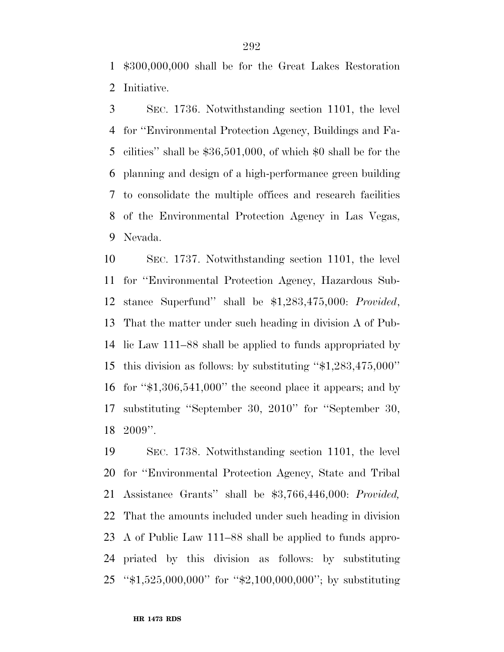\$300,000,000 shall be for the Great Lakes Restoration Initiative.

 SEC. 1736. Notwithstanding section 1101, the level for ''Environmental Protection Agency, Buildings and Fa- cilities'' shall be \$36,501,000, of which \$0 shall be for the planning and design of a high-performance green building to consolidate the multiple offices and research facilities of the Environmental Protection Agency in Las Vegas, Nevada.

 SEC. 1737. Notwithstanding section 1101, the level for ''Environmental Protection Agency, Hazardous Sub- stance Superfund'' shall be \$1,283,475,000: *Provided*, That the matter under such heading in division A of Pub- lic Law 111–88 shall be applied to funds appropriated by this division as follows: by substituting ''\$1,283,475,000'' for ''\$1,306,541,000'' the second place it appears; and by substituting ''September 30, 2010'' for ''September 30, 2009''.

 SEC. 1738. Notwithstanding section 1101, the level for ''Environmental Protection Agency, State and Tribal Assistance Grants'' shall be \$3,766,446,000: *Provided,*  That the amounts included under such heading in division A of Public Law 111–88 shall be applied to funds appro- priated by this division as follows: by substituting ''\$1,525,000,000'' for ''\$2,100,000,000''; by substituting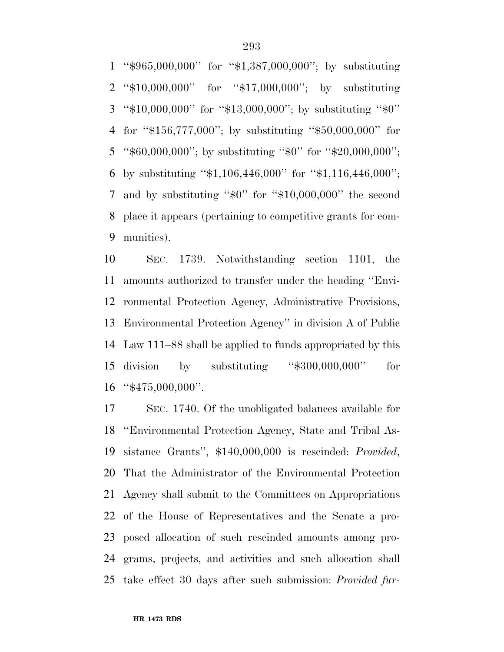''\$965,000,000'' for ''\$1,387,000,000''; by substituting ''\$10,000,000'' for ''\$17,000,000''; by substituting ''\$10,000,000'' for ''\$13,000,000''; by substituting ''\$0'' for ''\$156,777,000''; by substituting ''\$50,000,000'' for ''\$60,000,000''; by substituting ''\$0'' for ''\$20,000,000''; by substituting ''\$1,106,446,000'' for ''\$1,116,446,000''; and by substituting ''\$0'' for ''\$10,000,000'' the second place it appears (pertaining to competitive grants for com-munities).

 SEC. 1739. Notwithstanding section 1101, the amounts authorized to transfer under the heading ''Envi- ronmental Protection Agency, Administrative Provisions, Environmental Protection Agency'' in division A of Public Law 111–88 shall be applied to funds appropriated by this division by substituting ''\$300,000,000'' for ''\$475,000,000''.

 SEC. 1740. Of the unobligated balances available for ''Environmental Protection Agency, State and Tribal As- sistance Grants'', \$140,000,000 is rescinded: *Provided*, That the Administrator of the Environmental Protection Agency shall submit to the Committees on Appropriations of the House of Representatives and the Senate a pro- posed allocation of such rescinded amounts among pro- grams, projects, and activities and such allocation shall take effect 30 days after such submission: *Provided fur-*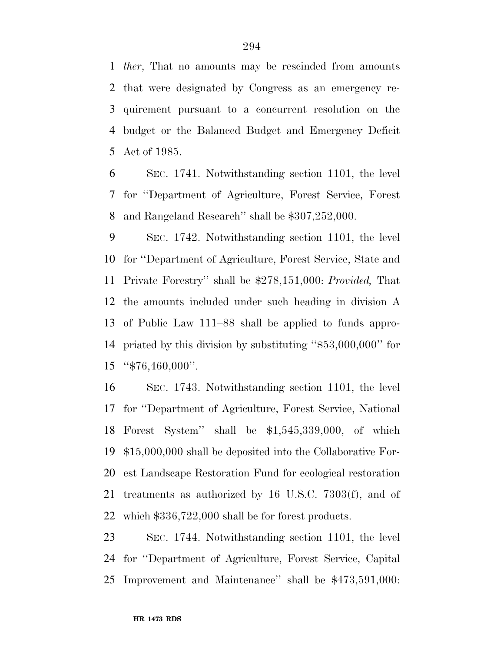*ther*, That no amounts may be rescinded from amounts that were designated by Congress as an emergency re- quirement pursuant to a concurrent resolution on the budget or the Balanced Budget and Emergency Deficit Act of 1985.

 SEC. 1741. Notwithstanding section 1101, the level for ''Department of Agriculture, Forest Service, Forest and Rangeland Research'' shall be \$307,252,000.

 SEC. 1742. Notwithstanding section 1101, the level for ''Department of Agriculture, Forest Service, State and Private Forestry'' shall be \$278,151,000: *Provided,* That the amounts included under such heading in division A of Public Law 111–88 shall be applied to funds appro- priated by this division by substituting ''\$53,000,000'' for ''\$76,460,000''.

 SEC. 1743. Notwithstanding section 1101, the level for ''Department of Agriculture, Forest Service, National Forest System'' shall be \$1,545,339,000, of which \$15,000,000 shall be deposited into the Collaborative For- est Landscape Restoration Fund for ecological restoration treatments as authorized by 16 U.S.C. 7303(f), and of which \$336,722,000 shall be for forest products.

 SEC. 1744. Notwithstanding section 1101, the level for ''Department of Agriculture, Forest Service, Capital Improvement and Maintenance'' shall be \$473,591,000: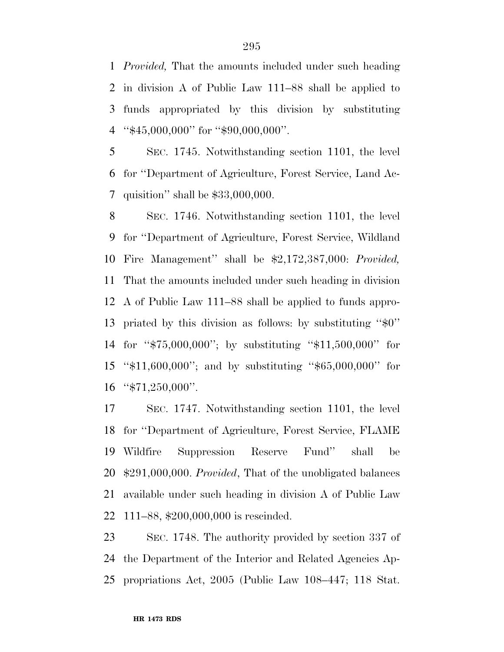*Provided,* That the amounts included under such heading in division A of Public Law 111–88 shall be applied to funds appropriated by this division by substituting ''\$45,000,000'' for ''\$90,000,000''.

 SEC. 1745. Notwithstanding section 1101, the level for ''Department of Agriculture, Forest Service, Land Ac-quisition'' shall be \$33,000,000.

 SEC. 1746. Notwithstanding section 1101, the level for ''Department of Agriculture, Forest Service, Wildland Fire Management'' shall be \$2,172,387,000: *Provided,*  That the amounts included under such heading in division A of Public Law 111–88 shall be applied to funds appro- priated by this division as follows: by substituting ''\$0'' for ''\$75,000,000''; by substituting ''\$11,500,000'' for ''\$11,600,000''; and by substituting ''\$65,000,000'' for "\$71,250,000".

 SEC. 1747. Notwithstanding section 1101, the level for ''Department of Agriculture, Forest Service, FLAME Wildfire Suppression Reserve Fund'' shall be \$291,000,000. *Provided*, That of the unobligated balances available under such heading in division A of Public Law 111–88, \$200,000,000 is rescinded.

 SEC. 1748. The authority provided by section 337 of the Department of the Interior and Related Agencies Ap-propriations Act, 2005 (Public Law 108–447; 118 Stat.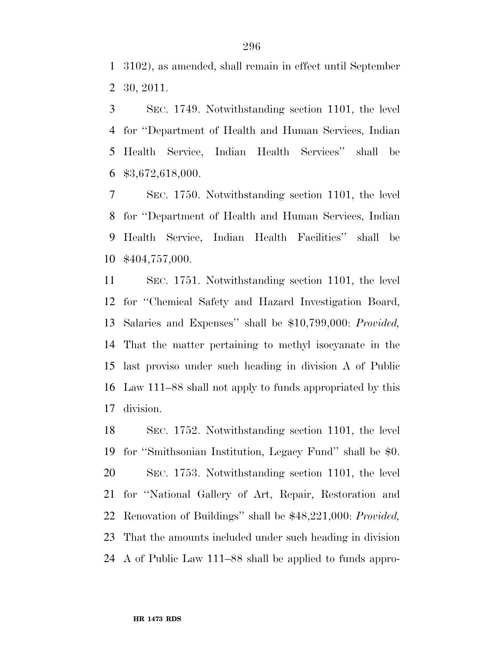3102), as amended, shall remain in effect until September 30, 2011.

 SEC. 1749. Notwithstanding section 1101, the level for ''Department of Health and Human Services, Indian Health Service, Indian Health Services'' shall be \$3,672,618,000.

 SEC. 1750. Notwithstanding section 1101, the level for ''Department of Health and Human Services, Indian Health Service, Indian Health Facilities'' shall be \$404,757,000.

 SEC. 1751. Notwithstanding section 1101, the level for ''Chemical Safety and Hazard Investigation Board, Salaries and Expenses'' shall be \$10,799,000: *Provided,*  That the matter pertaining to methyl isocyanate in the last proviso under such heading in division A of Public Law 111–88 shall not apply to funds appropriated by this division.

 SEC. 1752. Notwithstanding section 1101, the level for ''Smithsonian Institution, Legacy Fund'' shall be \$0. SEC. 1753. Notwithstanding section 1101, the level for ''National Gallery of Art, Repair, Restoration and Renovation of Buildings'' shall be \$48,221,000: *Provided,*  That the amounts included under such heading in division A of Public Law 111–88 shall be applied to funds appro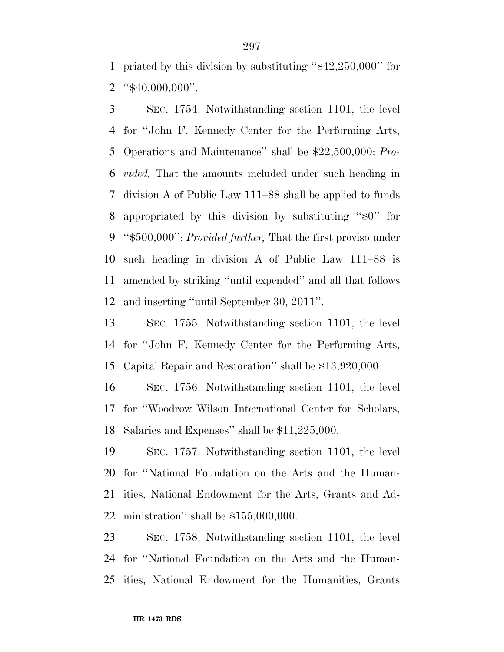priated by this division by substituting ''\$42,250,000'' for "\$40,000,000".

 SEC. 1754. Notwithstanding section 1101, the level for ''John F. Kennedy Center for the Performing Arts, Operations and Maintenance'' shall be \$22,500,000: *Pro- vided,* That the amounts included under such heading in division A of Public Law 111–88 shall be applied to funds appropriated by this division by substituting ''\$0'' for ''\$500,000'': *Provided further,* That the first proviso under such heading in division A of Public Law 111–88 is amended by striking ''until expended'' and all that follows and inserting ''until September 30, 2011''.

 SEC. 1755. Notwithstanding section 1101, the level for ''John F. Kennedy Center for the Performing Arts, Capital Repair and Restoration'' shall be \$13,920,000.

 SEC. 1756. Notwithstanding section 1101, the level for ''Woodrow Wilson International Center for Scholars, Salaries and Expenses'' shall be \$11,225,000.

 SEC. 1757. Notwithstanding section 1101, the level for ''National Foundation on the Arts and the Human- ities, National Endowment for the Arts, Grants and Ad-ministration'' shall be \$155,000,000.

 SEC. 1758. Notwithstanding section 1101, the level for ''National Foundation on the Arts and the Human-ities, National Endowment for the Humanities, Grants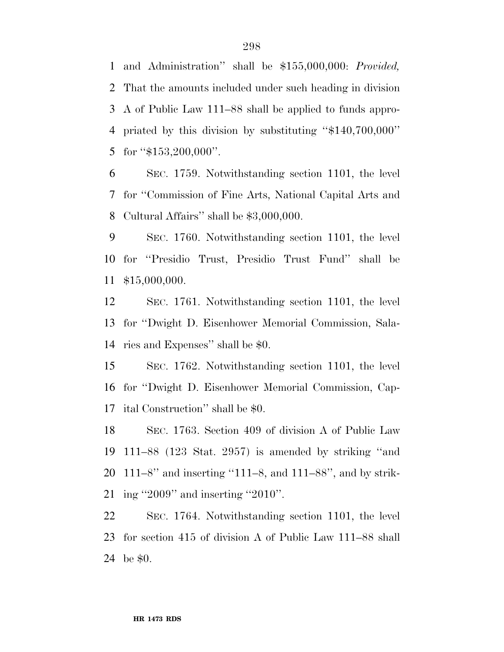and Administration'' shall be \$155,000,000: *Provided,*  That the amounts included under such heading in division A of Public Law 111–88 shall be applied to funds appro- priated by this division by substituting ''\$140,700,000'' 5 for  $4153,200,000$ ".

 SEC. 1759. Notwithstanding section 1101, the level for ''Commission of Fine Arts, National Capital Arts and Cultural Affairs'' shall be \$3,000,000.

 SEC. 1760. Notwithstanding section 1101, the level for ''Presidio Trust, Presidio Trust Fund'' shall be \$15,000,000.

 SEC. 1761. Notwithstanding section 1101, the level for ''Dwight D. Eisenhower Memorial Commission, Sala-ries and Expenses'' shall be \$0.

 SEC. 1762. Notwithstanding section 1101, the level for ''Dwight D. Eisenhower Memorial Commission, Cap-ital Construction'' shall be \$0.

 SEC. 1763. Section 409 of division A of Public Law 111–88 (123 Stat. 2957) is amended by striking ''and 111–8'' and inserting ''111–8, and 111–88'', and by strik-ing ''2009'' and inserting ''2010''.

 SEC. 1764. Notwithstanding section 1101, the level for section 415 of division A of Public Law 111–88 shall be \$0.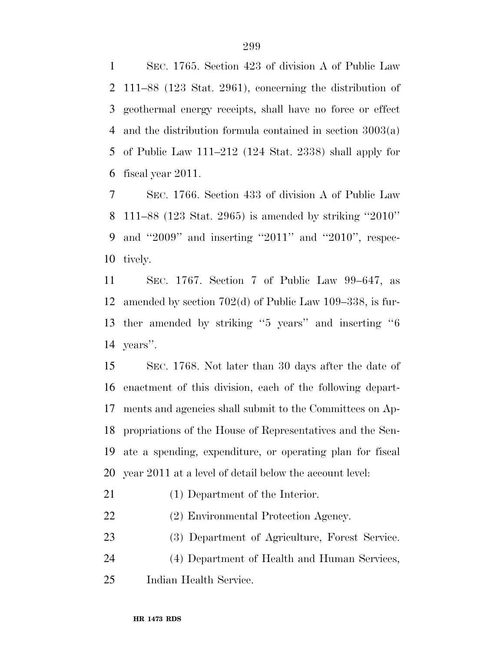SEC. 1765. Section 423 of division A of Public Law 111–88 (123 Stat. 2961), concerning the distribution of geothermal energy receipts, shall have no force or effect and the distribution formula contained in section 3003(a) of Public Law 111–212 (124 Stat. 2338) shall apply for fiscal year 2011.

 SEC. 1766. Section 433 of division A of Public Law 111–88 (123 Stat. 2965) is amended by striking ''2010'' and ''2009'' and inserting ''2011'' and ''2010'', respec-tively.

 SEC. 1767. Section 7 of Public Law 99–647, as amended by section 702(d) of Public Law 109–338, is fur- ther amended by striking ''5 years'' and inserting ''6 years''.

 SEC. 1768. Not later than 30 days after the date of enactment of this division, each of the following depart- ments and agencies shall submit to the Committees on Ap- propriations of the House of Representatives and the Sen- ate a spending, expenditure, or operating plan for fiscal year 2011 at a level of detail below the account level:

- (1) Department of the Interior.
- (2) Environmental Protection Agency.
- (3) Department of Agriculture, Forest Service.
- (4) Department of Health and Human Services,
- Indian Health Service.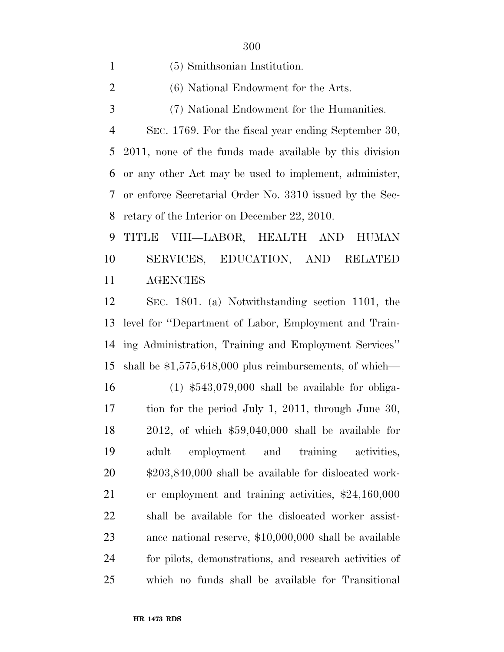(5) Smithsonian Institution. (6) National Endowment for the Arts. (7) National Endowment for the Humanities. SEC. 1769. For the fiscal year ending September 30, 2011, none of the funds made available by this division or any other Act may be used to implement, administer, or enforce Secretarial Order No. 3310 issued by the Sec- retary of the Interior on December 22, 2010. TITLE VIII—LABOR, HEALTH AND HUMAN

 SERVICES, EDUCATION, AND RELATED AGENCIES

 SEC. 1801. (a) Notwithstanding section 1101, the level for ''Department of Labor, Employment and Train- ing Administration, Training and Employment Services'' shall be \$1,575,648,000 plus reimbursements, of which—

 (1) \$543,079,000 shall be available for obliga- tion for the period July 1, 2011, through June 30, 2012, of which \$59,040,000 shall be available for adult employment and training activities, \$203,840,000 shall be available for dislocated work- er employment and training activities, \$24,160,000 shall be available for the dislocated worker assist- ance national reserve, \$10,000,000 shall be available for pilots, demonstrations, and research activities of which no funds shall be available for Transitional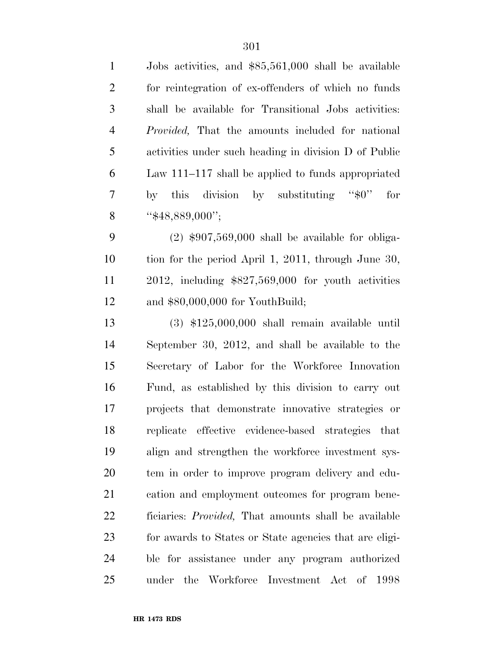| $\mathbf{1}$   | Jobs activities, and \$85,561,000 shall be available     |
|----------------|----------------------------------------------------------|
| $\mathfrak{2}$ | for reintegration of ex-offenders of which no funds      |
| $\mathfrak{Z}$ | shall be available for Transitional Jobs activities:     |
| $\overline{4}$ | <i>Provided</i> , That the amounts included for national |
| 5              | activities under such heading in division D of Public    |
| 6              | Law 111–117 shall be applied to funds appropriated       |
| $\overline{7}$ | by this division by substituting " $\$ 0"<br>for         |
| 8              | " $$48,889,000"$ ;                                       |
| 9              | $(2)$ \$907,569,000 shall be available for obliga-       |
| 10             | tion for the period April 1, 2011, through June 30,      |
| 11             | 2012, including $$827,569,000$ for youth activities      |
| 12             | and $$80,000,000$ for YouthBuild;                        |
| 13             | $(3)$ \$125,000,000 shall remain available until         |
| 14             | September 30, 2012, and shall be available to the        |
| 15             | Secretary of Labor for the Workforce Innovation          |
| 16             | Fund, as established by this division to carry out       |
| 17             | projects that demonstrate innovative strategies or       |
| 18             | replicate effective evidence-based strategies that       |
| 19             | align and strengthen the workforce investment sys-       |
| 20             | tem in order to improve program delivery and edu-        |
| 21             | cation and employment outcomes for program bene-         |
| 22             | ficiaries: Provided, That amounts shall be available     |
| 23             | for awards to States or State agencies that are eligi-   |
| 24             | ble for assistance under any program authorized          |
| 25             | the Workforce Investment Act of<br>1998<br>under         |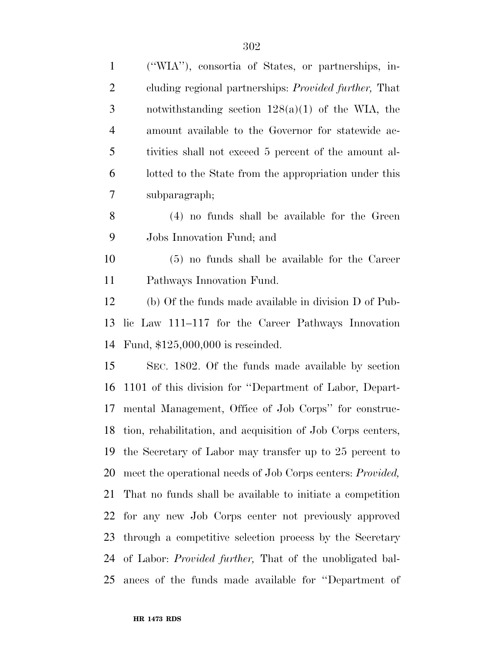| $\mathbf{1}$   | ("WIA"), consortia of States, or partnerships, in-                 |
|----------------|--------------------------------------------------------------------|
| $\overline{c}$ | cluding regional partnerships: <i>Provided further</i> , That      |
| 3              | notwithstanding section $128(a)(1)$ of the WIA, the                |
| $\overline{4}$ | amount available to the Governor for statewide ac-                 |
| 5              | tivities shall not exceed 5 percent of the amount al-              |
| 6              | lotted to the State from the appropriation under this              |
| 7              | subparagraph;                                                      |
| 8              | (4) no funds shall be available for the Green                      |
| 9              | Jobs Innovation Fund; and                                          |
| 10             | $(5)$ no funds shall be available for the Career                   |
| 11             | Pathways Innovation Fund.                                          |
| 12             | (b) Of the funds made available in division D of Pub-              |
| 13             | lic Law 111–117 for the Career Pathways Innovation                 |
| 14             | Fund, $$125,000,000$ is rescinded.                                 |
| 15             | SEC. 1802. Of the funds made available by section                  |
| 16             | 1101 of this division for "Department of Labor, Depart-            |
| 17             | mental Management, Office of Job Corps" for construc-              |
| 18             | tion, rehabilitation, and acquisition of Job Corps centers,        |
| 19             | the Secretary of Labor may transfer up to 25 percent to            |
| 20             | meet the operational needs of Job Corps centers: <i>Provided</i> , |
| 21             | That no funds shall be available to initiate a competition         |
| 22             | for any new Job Corps center not previously approved               |
| 23             | through a competitive selection process by the Secretary           |
| 24             | of Labor: <i>Provided further</i> , That of the unobligated bal-   |
| 25             | ances of the funds made available for "Department of               |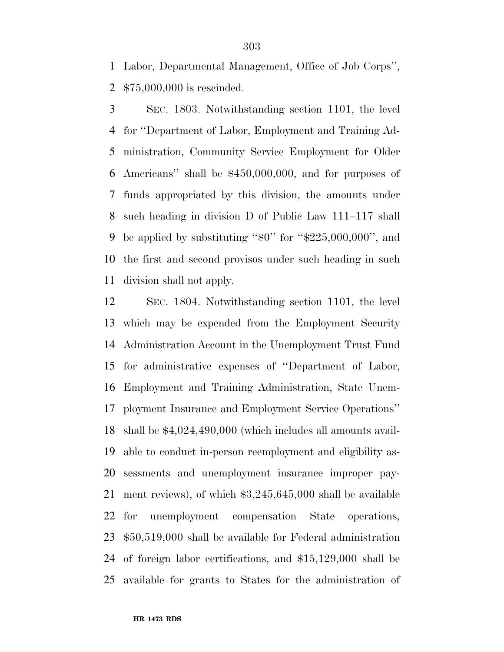Labor, Departmental Management, Office of Job Corps'', \$75,000,000 is rescinded.

 SEC. 1803. Notwithstanding section 1101, the level for ''Department of Labor, Employment and Training Ad- ministration, Community Service Employment for Older Americans'' shall be \$450,000,000, and for purposes of funds appropriated by this division, the amounts under such heading in division D of Public Law 111–117 shall 9 be applied by substituting " $\text{\$0"}$  for " $\text{\$225,000,000",}$  and the first and second provisos under such heading in such division shall not apply.

 SEC. 1804. Notwithstanding section 1101, the level which may be expended from the Employment Security Administration Account in the Unemployment Trust Fund for administrative expenses of ''Department of Labor, Employment and Training Administration, State Unem- ployment Insurance and Employment Service Operations'' shall be \$4,024,490,000 (which includes all amounts avail- able to conduct in-person reemployment and eligibility as- sessments and unemployment insurance improper pay- ment reviews), of which \$3,245,645,000 shall be available for unemployment compensation State operations, \$50,519,000 shall be available for Federal administration of foreign labor certifications, and \$15,129,000 shall be available for grants to States for the administration of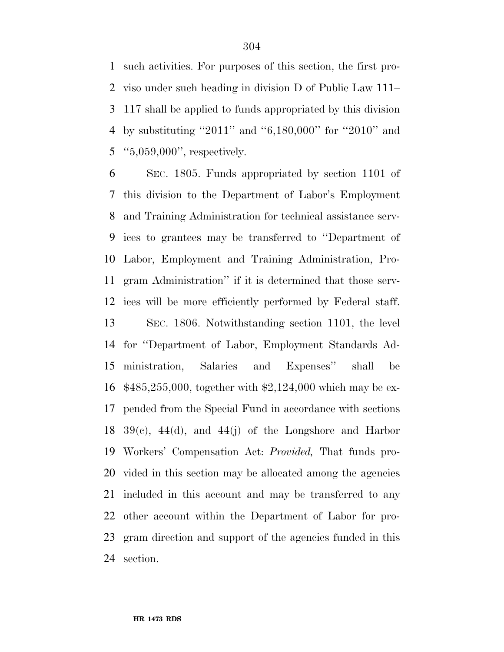such activities. For purposes of this section, the first pro- viso under such heading in division D of Public Law 111– 117 shall be applied to funds appropriated by this division by substituting ''2011'' and ''6,180,000'' for ''2010'' and ''5,059,000'', respectively.

 SEC. 1805. Funds appropriated by section 1101 of this division to the Department of Labor's Employment and Training Administration for technical assistance serv- ices to grantees may be transferred to ''Department of Labor, Employment and Training Administration, Pro- gram Administration'' if it is determined that those serv- ices will be more efficiently performed by Federal staff. SEC. 1806. Notwithstanding section 1101, the level for ''Department of Labor, Employment Standards Ad- ministration, Salaries and Expenses'' shall be \$485,255,000, together with \$2,124,000 which may be ex- pended from the Special Fund in accordance with sections  $39(c)$ , 44(d), and 44(j) of the Longshore and Harbor Workers' Compensation Act: *Provided,* That funds pro- vided in this section may be allocated among the agencies included in this account and may be transferred to any other account within the Department of Labor for pro- gram direction and support of the agencies funded in this section.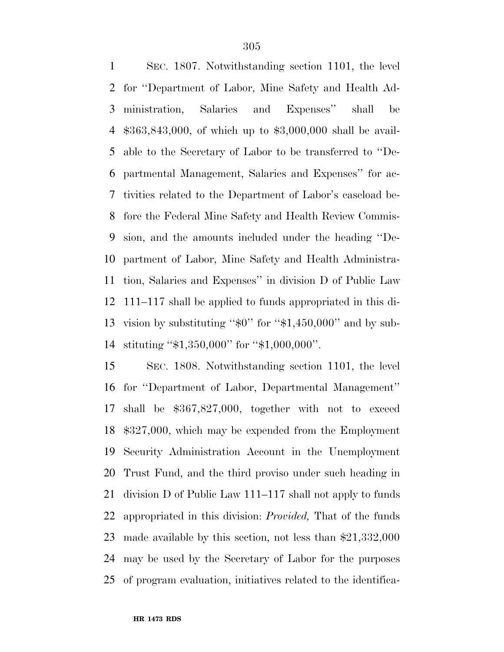SEC. 1807. Notwithstanding section 1101, the level for ''Department of Labor, Mine Safety and Health Ad- ministration, Salaries and Expenses'' shall be \$363,843,000, of which up to \$3,000,000 shall be avail- able to the Secretary of Labor to be transferred to ''De- partmental Management, Salaries and Expenses'' for ac- tivities related to the Department of Labor's caseload be- fore the Federal Mine Safety and Health Review Commis- sion, and the amounts included under the heading ''De- partment of Labor, Mine Safety and Health Administra- tion, Salaries and Expenses'' in division D of Public Law 111–117 shall be applied to funds appropriated in this di-13 vision by substituting " $$0$ " for " $$1,450,000$ " and by sub-stituting ''\$1,350,000'' for ''\$1,000,000''.

 SEC. 1808. Notwithstanding section 1101, the level for ''Department of Labor, Departmental Management'' shall be \$367,827,000, together with not to exceed \$327,000, which may be expended from the Employment Security Administration Account in the Unemployment Trust Fund, and the third proviso under such heading in division D of Public Law 111–117 shall not apply to funds appropriated in this division: *Provided,* That of the funds made available by this section, not less than \$21,332,000 may be used by the Secretary of Labor for the purposes of program evaluation, initiatives related to the identifica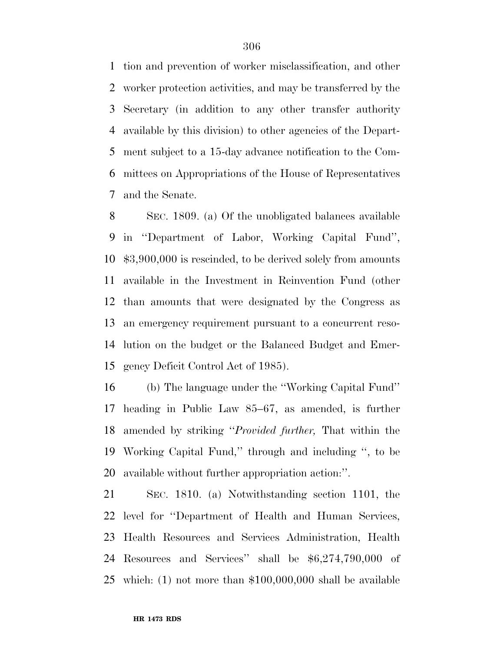tion and prevention of worker misclassification, and other worker protection activities, and may be transferred by the Secretary (in addition to any other transfer authority available by this division) to other agencies of the Depart- ment subject to a 15-day advance notification to the Com- mittees on Appropriations of the House of Representatives and the Senate.

 SEC. 1809. (a) Of the unobligated balances available in ''Department of Labor, Working Capital Fund'', \$3,900,000 is rescinded, to be derived solely from amounts available in the Investment in Reinvention Fund (other than amounts that were designated by the Congress as an emergency requirement pursuant to a concurrent reso- lution on the budget or the Balanced Budget and Emer-gency Deficit Control Act of 1985).

 (b) The language under the ''Working Capital Fund'' heading in Public Law 85–67, as amended, is further amended by striking ''*Provided further,* That within the Working Capital Fund,'' through and including '', to be available without further appropriation action:''.

 SEC. 1810. (a) Notwithstanding section 1101, the level for ''Department of Health and Human Services, Health Resources and Services Administration, Health Resources and Services'' shall be \$6,274,790,000 of which: (1) not more than \$100,000,000 shall be available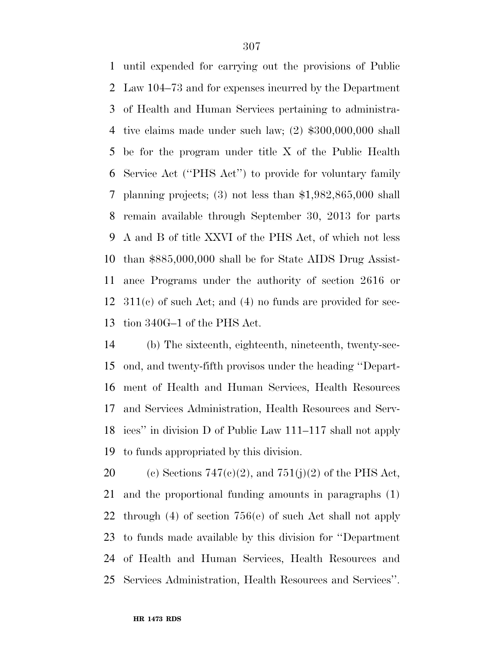until expended for carrying out the provisions of Public Law 104–73 and for expenses incurred by the Department of Health and Human Services pertaining to administra- tive claims made under such law; (2) \$300,000,000 shall be for the program under title X of the Public Health Service Act (''PHS Act'') to provide for voluntary family planning projects; (3) not less than \$1,982,865,000 shall remain available through September 30, 2013 for parts A and B of title XXVI of the PHS Act, of which not less than \$885,000,000 shall be for State AIDS Drug Assist- ance Programs under the authority of section 2616 or 311(c) of such Act; and (4) no funds are provided for sec-tion 340G–1 of the PHS Act.

 (b) The sixteenth, eighteenth, nineteenth, twenty-sec- ond, and twenty-fifth provisos under the heading ''Depart- ment of Health and Human Services, Health Resources and Services Administration, Health Resources and Serv- ices'' in division D of Public Law 111–117 shall not apply to funds appropriated by this division.

20 (c) Sections  $747(c)(2)$ , and  $751(j)(2)$  of the PHS Act, and the proportional funding amounts in paragraphs (1) through (4) of section 756(e) of such Act shall not apply to funds made available by this division for ''Department of Health and Human Services, Health Resources and Services Administration, Health Resources and Services''.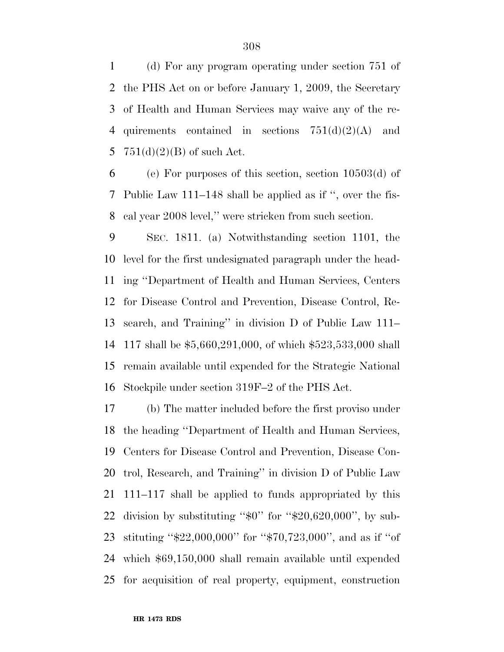(d) For any program operating under section 751 of the PHS Act on or before January 1, 2009, the Secretary of Health and Human Services may waive any of the re-4 quirements contained in sections  $751(d)(2)(A)$  and 5 751(d)(2)(B) of such Act.

6 (e) For purposes of this section, section  $10503(d)$  of Public Law 111–148 shall be applied as if '', over the fis-cal year 2008 level,'' were stricken from such section.

 SEC. 1811. (a) Notwithstanding section 1101, the level for the first undesignated paragraph under the head- ing ''Department of Health and Human Services, Centers for Disease Control and Prevention, Disease Control, Re- search, and Training'' in division D of Public Law 111– 117 shall be \$5,660,291,000, of which \$523,533,000 shall remain available until expended for the Strategic National Stockpile under section 319F–2 of the PHS Act.

 (b) The matter included before the first proviso under the heading ''Department of Health and Human Services, Centers for Disease Control and Prevention, Disease Con- trol, Research, and Training'' in division D of Public Law 111–117 shall be applied to funds appropriated by this 22 division by substituting " $\text{\$0"}$  for " $\text{\$20,620,000"}$ , by sub- stituting ''\$22,000,000'' for ''\$70,723,000'', and as if ''of which \$69,150,000 shall remain available until expended for acquisition of real property, equipment, construction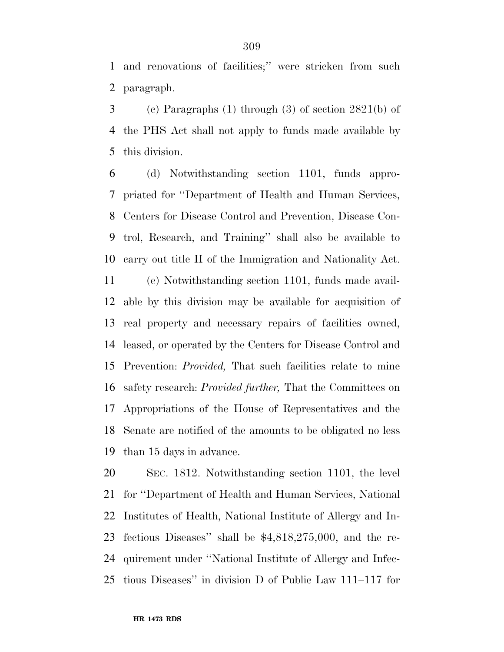and renovations of facilities;'' were stricken from such paragraph.

 (c) Paragraphs (1) through (3) of section 2821(b) of the PHS Act shall not apply to funds made available by this division.

 (d) Notwithstanding section 1101, funds appro- priated for ''Department of Health and Human Services, Centers for Disease Control and Prevention, Disease Con- trol, Research, and Training'' shall also be available to carry out title II of the Immigration and Nationality Act.

 (e) Notwithstanding section 1101, funds made avail- able by this division may be available for acquisition of real property and necessary repairs of facilities owned, leased, or operated by the Centers for Disease Control and Prevention: *Provided,* That such facilities relate to mine safety research: *Provided further,* That the Committees on Appropriations of the House of Representatives and the Senate are notified of the amounts to be obligated no less than 15 days in advance.

 SEC. 1812. Notwithstanding section 1101, the level for ''Department of Health and Human Services, National Institutes of Health, National Institute of Allergy and In- fectious Diseases'' shall be \$4,818,275,000, and the re- quirement under ''National Institute of Allergy and Infec-tious Diseases'' in division D of Public Law 111–117 for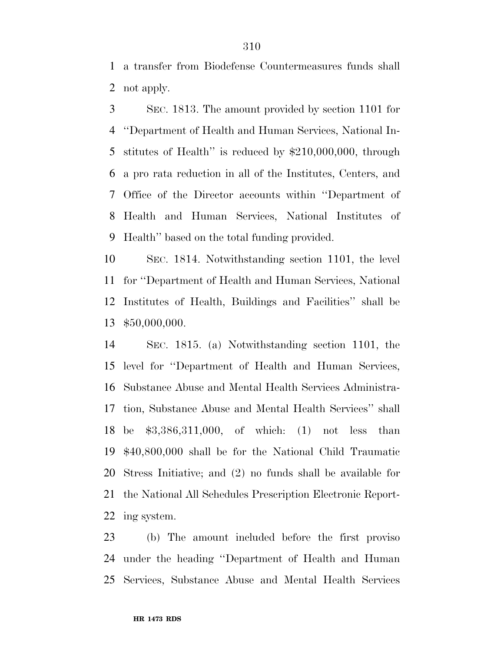a transfer from Biodefense Countermeasures funds shall not apply.

 SEC. 1813. The amount provided by section 1101 for ''Department of Health and Human Services, National In- stitutes of Health'' is reduced by \$210,000,000, through a pro rata reduction in all of the Institutes, Centers, and Office of the Director accounts within ''Department of Health and Human Services, National Institutes of Health'' based on the total funding provided.

 SEC. 1814. Notwithstanding section 1101, the level for ''Department of Health and Human Services, National Institutes of Health, Buildings and Facilities'' shall be \$50,000,000.

 SEC. 1815. (a) Notwithstanding section 1101, the level for ''Department of Health and Human Services, Substance Abuse and Mental Health Services Administra- tion, Substance Abuse and Mental Health Services'' shall be \$3,386,311,000, of which: (1) not less than \$40,800,000 shall be for the National Child Traumatic Stress Initiative; and (2) no funds shall be available for the National All Schedules Prescription Electronic Report-ing system.

 (b) The amount included before the first proviso under the heading ''Department of Health and Human Services, Substance Abuse and Mental Health Services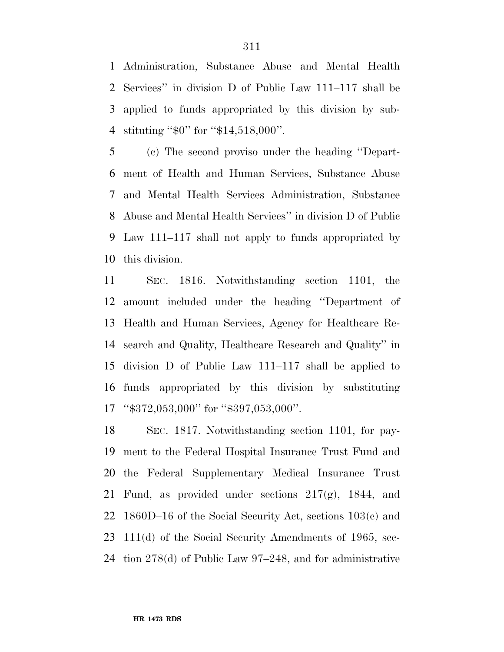Administration, Substance Abuse and Mental Health Services'' in division D of Public Law 111–117 shall be applied to funds appropriated by this division by sub-stituting ''\$0'' for ''\$14,518,000''.

 (c) The second proviso under the heading ''Depart- ment of Health and Human Services, Substance Abuse and Mental Health Services Administration, Substance Abuse and Mental Health Services'' in division D of Public Law 111–117 shall not apply to funds appropriated by this division.

 SEC. 1816. Notwithstanding section 1101, the amount included under the heading ''Department of Health and Human Services, Agency for Healthcare Re- search and Quality, Healthcare Research and Quality'' in division D of Public Law 111–117 shall be applied to funds appropriated by this division by substituting ''\$372,053,000'' for ''\$397,053,000''.

 SEC. 1817. Notwithstanding section 1101, for pay- ment to the Federal Hospital Insurance Trust Fund and the Federal Supplementary Medical Insurance Trust Fund, as provided under sections 217(g), 1844, and 1860D–16 of the Social Security Act, sections 103(c) and 111(d) of the Social Security Amendments of 1965, sec-tion 278(d) of Public Law 97–248, and for administrative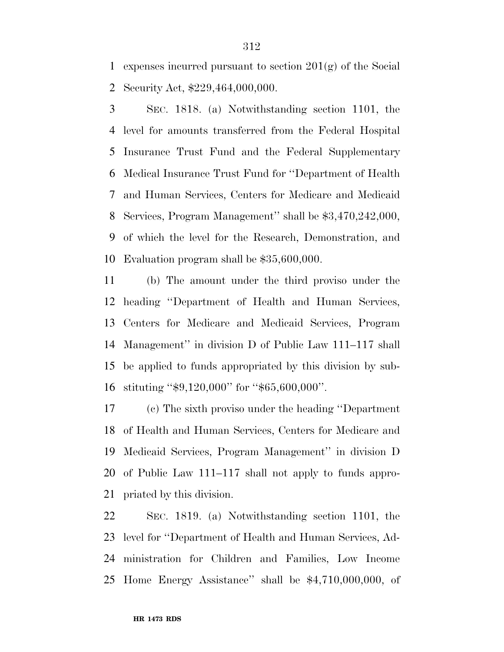expenses incurred pursuant to section 201(g) of the Social Security Act, \$229,464,000,000.

 SEC. 1818. (a) Notwithstanding section 1101, the level for amounts transferred from the Federal Hospital Insurance Trust Fund and the Federal Supplementary Medical Insurance Trust Fund for ''Department of Health and Human Services, Centers for Medicare and Medicaid Services, Program Management'' shall be \$3,470,242,000, of which the level for the Research, Demonstration, and Evaluation program shall be \$35,600,000.

 (b) The amount under the third proviso under the heading ''Department of Health and Human Services, Centers for Medicare and Medicaid Services, Program Management'' in division D of Public Law 111–117 shall be applied to funds appropriated by this division by sub-stituting ''\$9,120,000'' for ''\$65,600,000''.

 (c) The sixth proviso under the heading ''Department of Health and Human Services, Centers for Medicare and Medicaid Services, Program Management'' in division D of Public Law 111–117 shall not apply to funds appro-priated by this division.

 SEC. 1819. (a) Notwithstanding section 1101, the level for ''Department of Health and Human Services, Ad- ministration for Children and Families, Low Income Home Energy Assistance'' shall be \$4,710,000,000, of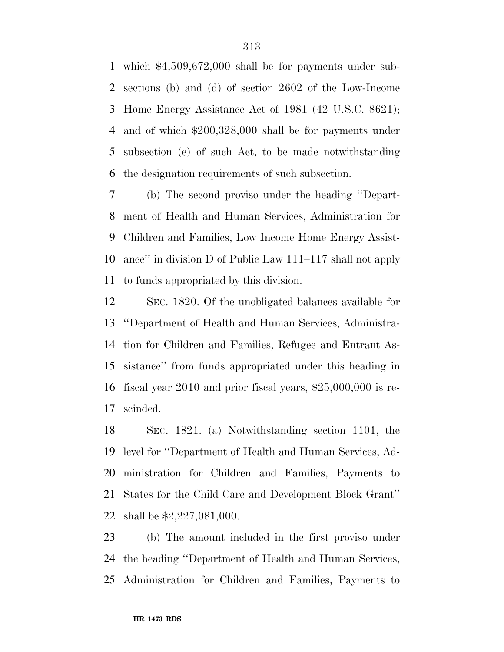which \$4,509,672,000 shall be for payments under sub- sections (b) and (d) of section 2602 of the Low-Income Home Energy Assistance Act of 1981 (42 U.S.C. 8621); and of which \$200,328,000 shall be for payments under subsection (e) of such Act, to be made notwithstanding the designation requirements of such subsection.

 (b) The second proviso under the heading ''Depart- ment of Health and Human Services, Administration for Children and Families, Low Income Home Energy Assist- ance'' in division D of Public Law 111–117 shall not apply to funds appropriated by this division.

 SEC. 1820. Of the unobligated balances available for ''Department of Health and Human Services, Administra- tion for Children and Families, Refugee and Entrant As- sistance'' from funds appropriated under this heading in fiscal year 2010 and prior fiscal years, \$25,000,000 is re-scinded.

 SEC. 1821. (a) Notwithstanding section 1101, the level for ''Department of Health and Human Services, Ad- ministration for Children and Families, Payments to States for the Child Care and Development Block Grant'' shall be \$2,227,081,000.

 (b) The amount included in the first proviso under the heading ''Department of Health and Human Services, Administration for Children and Families, Payments to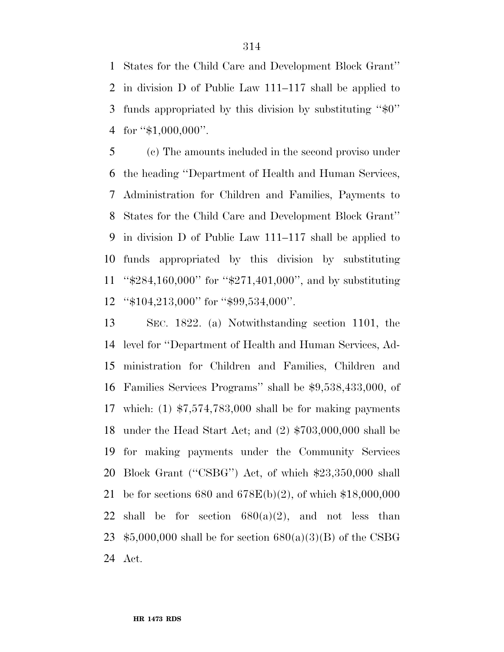States for the Child Care and Development Block Grant'' in division D of Public Law 111–117 shall be applied to funds appropriated by this division by substituting ''\$0'' 4 for "\$1,000,000".

 (c) The amounts included in the second proviso under the heading ''Department of Health and Human Services, Administration for Children and Families, Payments to States for the Child Care and Development Block Grant'' in division D of Public Law 111–117 shall be applied to funds appropriated by this division by substituting ''\$284,160,000'' for ''\$271,401,000'', and by substituting ''\$104,213,000'' for ''\$99,534,000''.

 SEC. 1822. (a) Notwithstanding section 1101, the level for ''Department of Health and Human Services, Ad- ministration for Children and Families, Children and Families Services Programs'' shall be \$9,538,433,000, of which: (1) \$7,574,783,000 shall be for making payments under the Head Start Act; and (2) \$703,000,000 shall be for making payments under the Community Services Block Grant (''CSBG'') Act, of which \$23,350,000 shall be for sections 680 and 678E(b)(2), of which \$18,000,000 22 shall be for section  $680(a)(2)$ , and not less than  $$5,000,000$  shall be for section  $680(a)(3)(B)$  of the CSBG Act.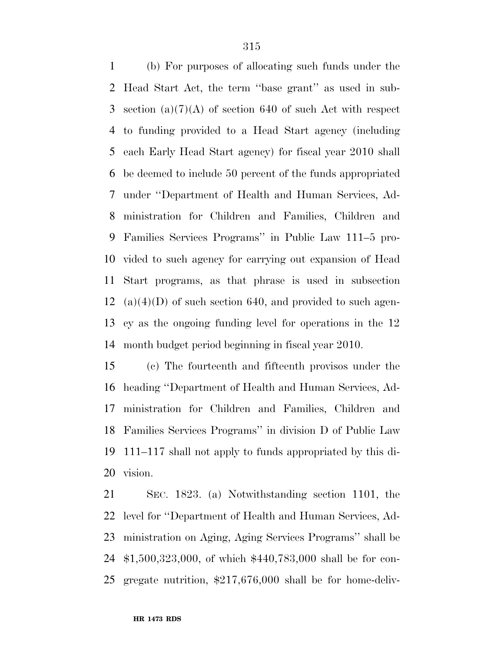(b) For purposes of allocating such funds under the Head Start Act, the term ''base grant'' as used in sub- section (a)(7)(A) of section 640 of such Act with respect to funding provided to a Head Start agency (including each Early Head Start agency) for fiscal year 2010 shall be deemed to include 50 percent of the funds appropriated under ''Department of Health and Human Services, Ad- ministration for Children and Families, Children and Families Services Programs'' in Public Law 111–5 pro- vided to such agency for carrying out expansion of Head Start programs, as that phrase is used in subsection (a)(4)(D) of such section 640, and provided to such agen- cy as the ongoing funding level for operations in the 12 month budget period beginning in fiscal year 2010.

 (c) The fourteenth and fifteenth provisos under the heading ''Department of Health and Human Services, Ad- ministration for Children and Families, Children and Families Services Programs'' in division D of Public Law 111–117 shall not apply to funds appropriated by this di-vision.

 SEC. 1823. (a) Notwithstanding section 1101, the level for ''Department of Health and Human Services, Ad- ministration on Aging, Aging Services Programs'' shall be \$1,500,323,000, of which \$440,783,000 shall be for con-gregate nutrition, \$217,676,000 shall be for home-deliv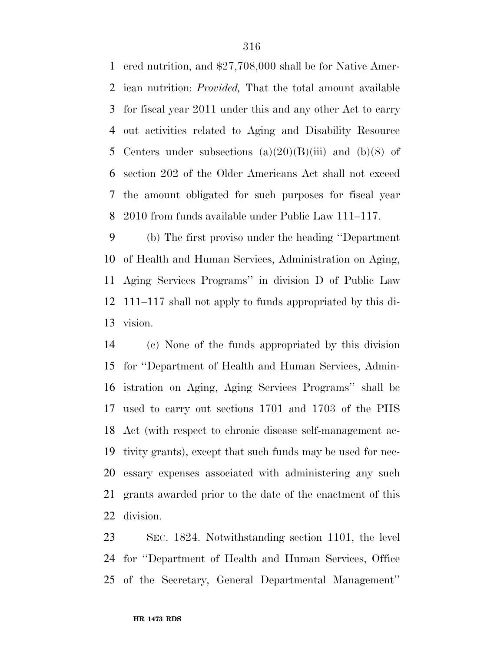ered nutrition, and \$27,708,000 shall be for Native Amer- ican nutrition: *Provided,* That the total amount available for fiscal year 2011 under this and any other Act to carry out activities related to Aging and Disability Resource 5 Centers under subsections  $(a)(20)(B)(iii)$  and  $(b)(8)$  of section 202 of the Older Americans Act shall not exceed the amount obligated for such purposes for fiscal year 2010 from funds available under Public Law 111–117.

 (b) The first proviso under the heading ''Department of Health and Human Services, Administration on Aging, Aging Services Programs'' in division D of Public Law 111–117 shall not apply to funds appropriated by this di-vision.

 (c) None of the funds appropriated by this division for ''Department of Health and Human Services, Admin- istration on Aging, Aging Services Programs'' shall be used to carry out sections 1701 and 1703 of the PHS Act (with respect to chronic disease self-management ac- tivity grants), except that such funds may be used for nec- essary expenses associated with administering any such grants awarded prior to the date of the enactment of this division.

 SEC. 1824. Notwithstanding section 1101, the level for ''Department of Health and Human Services, Office of the Secretary, General Departmental Management''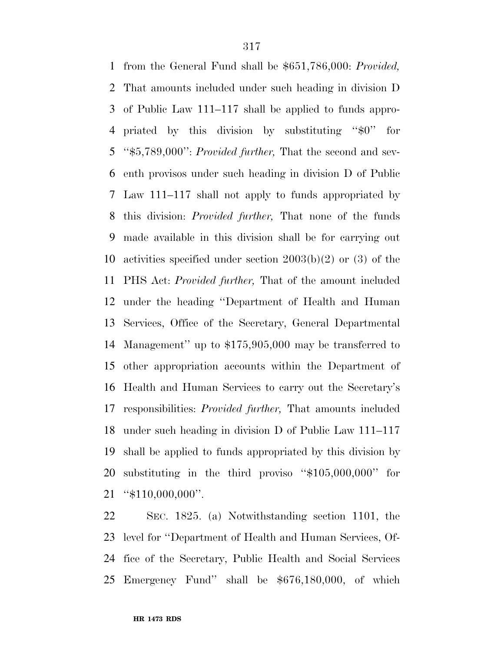from the General Fund shall be \$651,786,000: *Provided,*  That amounts included under such heading in division D of Public Law 111–117 shall be applied to funds appro- priated by this division by substituting ''\$0'' for ''\$5,789,000'': *Provided further,* That the second and sev- enth provisos under such heading in division D of Public Law 111–117 shall not apply to funds appropriated by this division: *Provided further,* That none of the funds made available in this division shall be for carrying out activities specified under section 2003(b)(2) or (3) of the PHS Act: *Provided further,* That of the amount included under the heading ''Department of Health and Human Services, Office of the Secretary, General Departmental Management'' up to \$175,905,000 may be transferred to other appropriation accounts within the Department of Health and Human Services to carry out the Secretary's responsibilities: *Provided further,* That amounts included under such heading in division D of Public Law 111–117 shall be applied to funds appropriated by this division by substituting in the third proviso ''\$105,000,000'' for ''\$110,000,000''.

 SEC. 1825. (a) Notwithstanding section 1101, the level for ''Department of Health and Human Services, Of- fice of the Secretary, Public Health and Social Services Emergency Fund'' shall be \$676,180,000, of which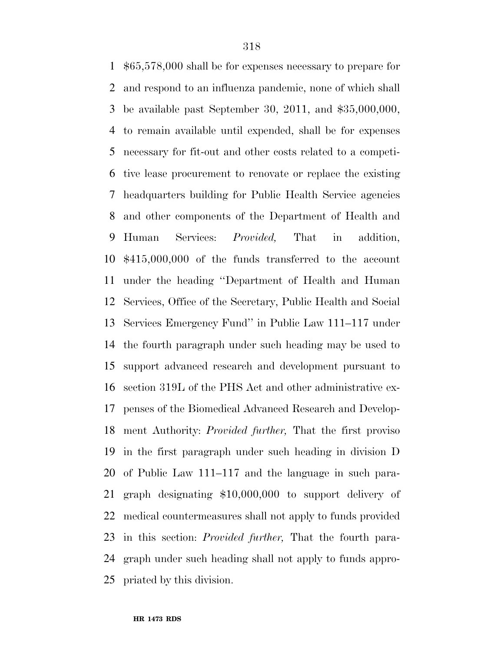\$65,578,000 shall be for expenses necessary to prepare for and respond to an influenza pandemic, none of which shall be available past September 30, 2011, and \$35,000,000, to remain available until expended, shall be for expenses necessary for fit-out and other costs related to a competi- tive lease procurement to renovate or replace the existing headquarters building for Public Health Service agencies and other components of the Department of Health and Human Services: *Provided,* That in addition, \$415,000,000 of the funds transferred to the account under the heading ''Department of Health and Human Services, Office of the Secretary, Public Health and Social Services Emergency Fund'' in Public Law 111–117 under the fourth paragraph under such heading may be used to support advanced research and development pursuant to section 319L of the PHS Act and other administrative ex- penses of the Biomedical Advanced Research and Develop- ment Authority: *Provided further,* That the first proviso in the first paragraph under such heading in division D of Public Law 111–117 and the language in such para- graph designating \$10,000,000 to support delivery of medical countermeasures shall not apply to funds provided in this section: *Provided further,* That the fourth para- graph under such heading shall not apply to funds appro-priated by this division.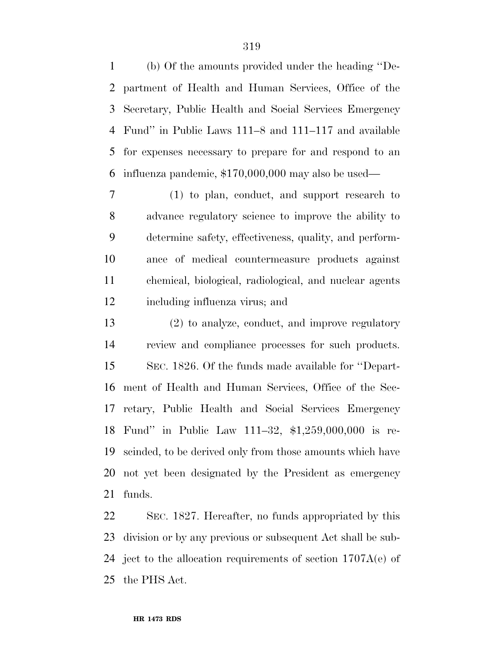(b) Of the amounts provided under the heading ''De- partment of Health and Human Services, Office of the Secretary, Public Health and Social Services Emergency Fund'' in Public Laws 111–8 and 111–117 and available for expenses necessary to prepare for and respond to an influenza pandemic, \$170,000,000 may also be used—

 (1) to plan, conduct, and support research to advance regulatory science to improve the ability to determine safety, effectiveness, quality, and perform- ance of medical countermeasure products against chemical, biological, radiological, and nuclear agents including influenza virus; and

 (2) to analyze, conduct, and improve regulatory review and compliance processes for such products. SEC. 1826. Of the funds made available for ''Depart- ment of Health and Human Services, Office of the Sec- retary, Public Health and Social Services Emergency Fund'' in Public Law 111–32, \$1,259,000,000 is re- scinded, to be derived only from those amounts which have not yet been designated by the President as emergency funds.

 SEC. 1827. Hereafter, no funds appropriated by this division or by any previous or subsequent Act shall be sub-24 ject to the allocation requirements of section  $1707A(e)$  of the PHS Act.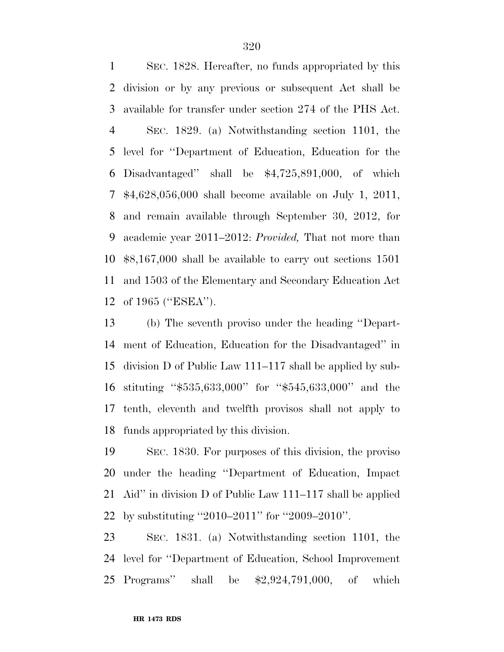SEC. 1828. Hereafter, no funds appropriated by this division or by any previous or subsequent Act shall be available for transfer under section 274 of the PHS Act. SEC. 1829. (a) Notwithstanding section 1101, the level for ''Department of Education, Education for the Disadvantaged'' shall be \$4,725,891,000, of which \$4,628,056,000 shall become available on July 1, 2011, and remain available through September 30, 2012, for academic year 2011–2012: *Provided,* That not more than \$8,167,000 shall be available to carry out sections 1501 and 1503 of the Elementary and Secondary Education Act of 1965 (''ESEA'').

 (b) The seventh proviso under the heading ''Depart- ment of Education, Education for the Disadvantaged'' in division D of Public Law 111–117 shall be applied by sub- stituting ''\$535,633,000'' for ''\$545,633,000'' and the tenth, eleventh and twelfth provisos shall not apply to funds appropriated by this division.

 SEC. 1830. For purposes of this division, the proviso under the heading ''Department of Education, Impact Aid'' in division D of Public Law 111–117 shall be applied by substituting ''2010–2011'' for ''2009–2010''.

 SEC. 1831. (a) Notwithstanding section 1101, the level for ''Department of Education, School Improvement Programs'' shall be \$2,924,791,000, of which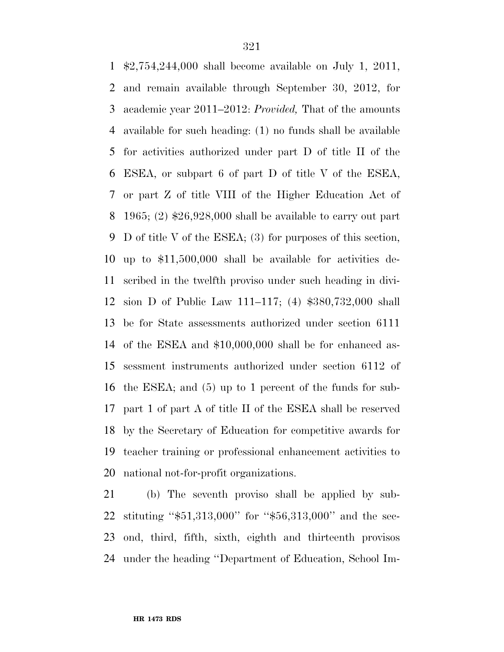\$2,754,244,000 shall become available on July 1, 2011, and remain available through September 30, 2012, for academic year 2011–2012: *Provided,* That of the amounts available for such heading: (1) no funds shall be available for activities authorized under part D of title II of the ESEA, or subpart 6 of part D of title V of the ESEA, or part Z of title VIII of the Higher Education Act of 1965; (2) \$26,928,000 shall be available to carry out part D of title V of the ESEA; (3) for purposes of this section, up to \$11,500,000 shall be available for activities de- scribed in the twelfth proviso under such heading in divi- sion D of Public Law 111–117; (4) \$380,732,000 shall be for State assessments authorized under section 6111 of the ESEA and \$10,000,000 shall be for enhanced as- sessment instruments authorized under section 6112 of the ESEA; and (5) up to 1 percent of the funds for sub- part 1 of part A of title II of the ESEA shall be reserved by the Secretary of Education for competitive awards for teacher training or professional enhancement activities to national not-for-profit organizations.

 (b) The seventh proviso shall be applied by sub- stituting ''\$51,313,000'' for ''\$56,313,000'' and the sec- ond, third, fifth, sixth, eighth and thirteenth provisos under the heading ''Department of Education, School Im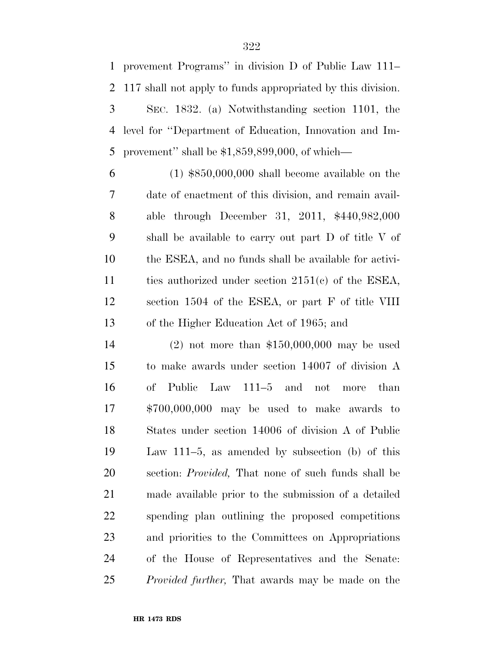provement Programs'' in division D of Public Law 111– 117 shall not apply to funds appropriated by this division. SEC. 1832. (a) Notwithstanding section 1101, the level for ''Department of Education, Innovation and Im-provement'' shall be \$1,859,899,000, of which—

 (1) \$850,000,000 shall become available on the date of enactment of this division, and remain avail- able through December 31, 2011, \$440,982,000 shall be available to carry out part D of title V of the ESEA, and no funds shall be available for activi- ties authorized under section 2151(c) of the ESEA, section 1504 of the ESEA, or part F of title VIII of the Higher Education Act of 1965; and

 (2) not more than \$150,000,000 may be used to make awards under section 14007 of division A of Public Law 111–5 and not more than \$700,000,000 may be used to make awards to States under section 14006 of division A of Public Law 111–5, as amended by subsection (b) of this section: *Provided,* That none of such funds shall be made available prior to the submission of a detailed spending plan outlining the proposed competitions and priorities to the Committees on Appropriations of the House of Representatives and the Senate: *Provided further,* That awards may be made on the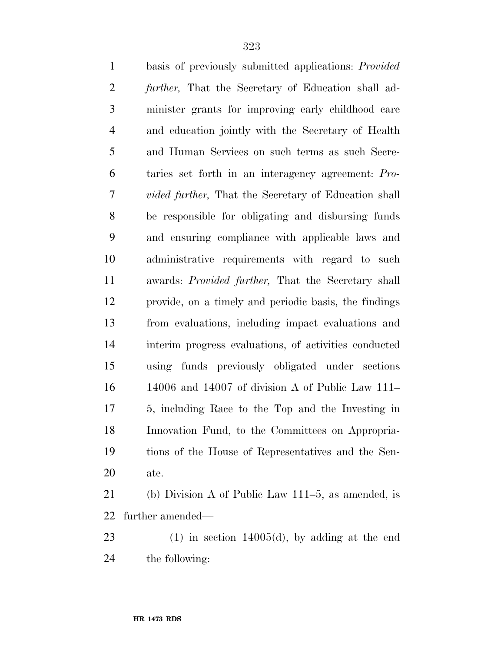| $\mathbf{1}$   | basis of previously submitted applications: <i>Provided</i>  |
|----------------|--------------------------------------------------------------|
| $\overline{2}$ | further, That the Secretary of Education shall ad-           |
| 3              | minister grants for improving early childhood care           |
| $\overline{4}$ | and education jointly with the Secretary of Health           |
| 5              | and Human Services on such terms as such Secre-              |
| 6              | taries set forth in an interagency agreement: Pro-           |
| 7              | <i>vided further</i> , That the Secretary of Education shall |
| 8              | be responsible for obligating and disbursing funds           |
| 9              | and ensuring compliance with applicable laws and             |
| 10             | administrative requirements with regard to such              |
| 11             | awards: Provided further, That the Secretary shall           |
| 12             | provide, on a timely and periodic basis, the findings        |
| 13             | from evaluations, including impact evaluations and           |
| 14             | interim progress evaluations, of activities conducted        |
| 15             | using funds previously obligated under sections              |
| 16             | 14006 and 14007 of division A of Public Law 111-             |
| 17             | 5, including Race to the Top and the Investing in            |
| 18             | Innovation Fund, to the Committees on Appropria-             |
| 19             | tions of the House of Representatives and the Sen-           |
| 20             | ate.                                                         |
|                |                                                              |

 (b) Division A of Public Law 111–5, as amended, is further amended—

 (1) in section 14005(d), by adding at the end the following: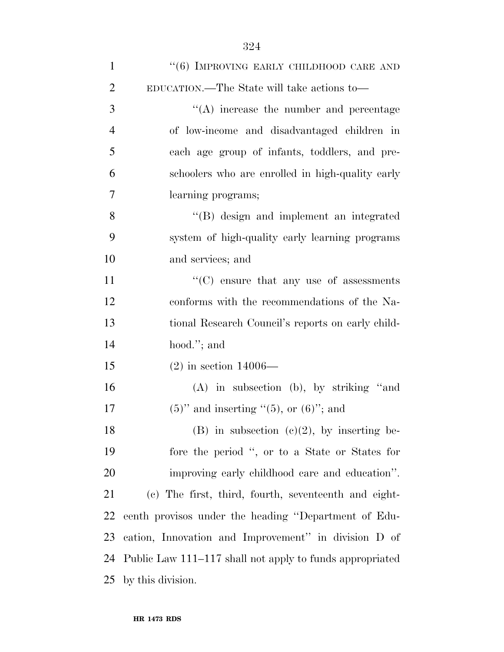| $\mathbf{1}$   | " $(6)$ IMPROVING EARLY CHILDHOOD CARE AND               |
|----------------|----------------------------------------------------------|
| $\overline{2}$ | EDUCATION.—The State will take actions to—               |
| 3              | "(A) increase the number and percentage                  |
| $\overline{4}$ | of low-income and disadvantaged children in              |
| 5              | each age group of infants, toddlers, and pre-            |
| 6              | schoolers who are enrolled in high-quality early         |
| 7              | learning programs;                                       |
| 8              | "(B) design and implement an integrated                  |
| 9              | system of high-quality early learning programs           |
| 10             | and services; and                                        |
| 11             | $\lq\lq$ ensure that any use of assessments              |
| 12             | conforms with the recommendations of the Na-             |
| 13             | tional Research Council's reports on early child-        |
| 14             | hood."; and                                              |
| 15             | $(2)$ in section 14006—                                  |
| 16             | $(A)$ in subsection $(b)$ , by striking "and             |
| 17             | $(5)$ " and inserting " $(5)$ , or $(6)$ "; and          |
| 18             | (B) in subsection (c)(2), by inserting be-               |
| 19             | fore the period ", or to a State or States for           |
| 20             | improving early childhood care and education".           |
| 21             | (c) The first, third, fourth, seventeenth and eight-     |
| 22             | eenth provisos under the heading "Department of Edu-     |
| 23             | cation, Innovation and Improvement" in division D of     |
| 24             | Public Law 111–117 shall not apply to funds appropriated |
| 25             | by this division.                                        |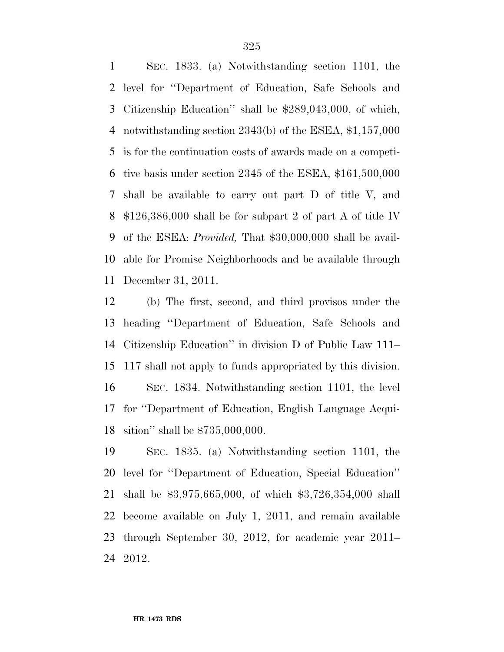SEC. 1833. (a) Notwithstanding section 1101, the level for ''Department of Education, Safe Schools and Citizenship Education'' shall be \$289,043,000, of which, notwithstanding section 2343(b) of the ESEA, \$1,157,000 is for the continuation costs of awards made on a competi- tive basis under section 2345 of the ESEA, \$161,500,000 shall be available to carry out part D of title V, and \$126,386,000 shall be for subpart 2 of part A of title IV of the ESEA: *Provided,* That \$30,000,000 shall be avail- able for Promise Neighborhoods and be available through December 31, 2011.

 (b) The first, second, and third provisos under the heading ''Department of Education, Safe Schools and Citizenship Education'' in division D of Public Law 111– 117 shall not apply to funds appropriated by this division. SEC. 1834. Notwithstanding section 1101, the level for ''Department of Education, English Language Acqui-sition'' shall be \$735,000,000.

 SEC. 1835. (a) Notwithstanding section 1101, the level for ''Department of Education, Special Education'' shall be \$3,975,665,000, of which \$3,726,354,000 shall become available on July 1, 2011, and remain available through September 30, 2012, for academic year 2011– 2012.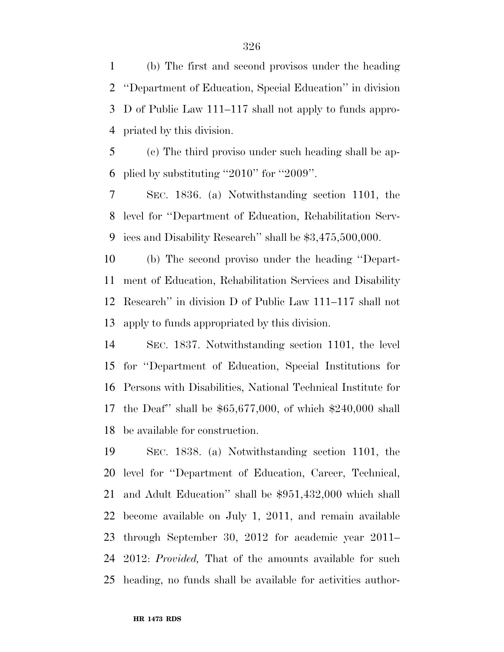(b) The first and second provisos under the heading ''Department of Education, Special Education'' in division D of Public Law 111–117 shall not apply to funds appro-priated by this division.

 (c) The third proviso under such heading shall be ap-plied by substituting ''2010'' for ''2009''.

 SEC. 1836. (a) Notwithstanding section 1101, the level for ''Department of Education, Rehabilitation Serv-ices and Disability Research'' shall be \$3,475,500,000.

 (b) The second proviso under the heading ''Depart- ment of Education, Rehabilitation Services and Disability Research'' in division D of Public Law 111–117 shall not apply to funds appropriated by this division.

 SEC. 1837. Notwithstanding section 1101, the level for ''Department of Education, Special Institutions for Persons with Disabilities, National Technical Institute for the Deaf'' shall be \$65,677,000, of which \$240,000 shall be available for construction.

 SEC. 1838. (a) Notwithstanding section 1101, the level for ''Department of Education, Career, Technical, and Adult Education'' shall be \$951,432,000 which shall become available on July 1, 2011, and remain available through September 30, 2012 for academic year 2011– 2012: *Provided,* That of the amounts available for such heading, no funds shall be available for activities author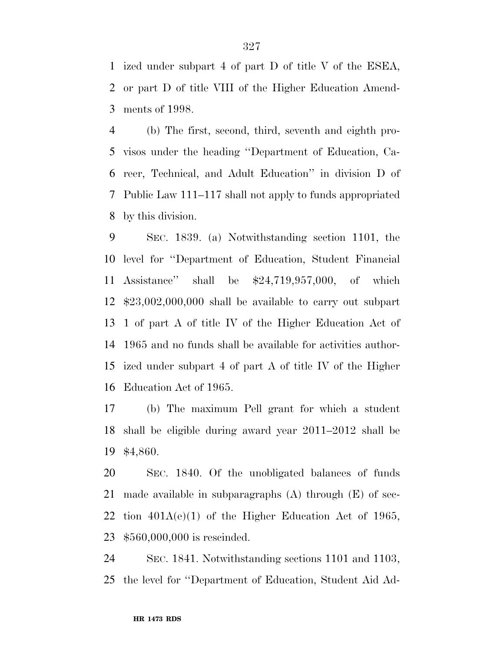ized under subpart 4 of part D of title V of the ESEA, or part D of title VIII of the Higher Education Amend-ments of 1998.

 (b) The first, second, third, seventh and eighth pro- visos under the heading ''Department of Education, Ca- reer, Technical, and Adult Education'' in division D of Public Law 111–117 shall not apply to funds appropriated by this division.

 SEC. 1839. (a) Notwithstanding section 1101, the level for ''Department of Education, Student Financial Assistance'' shall be \$24,719,957,000, of which \$23,002,000,000 shall be available to carry out subpart 1 of part A of title IV of the Higher Education Act of 1965 and no funds shall be available for activities author- ized under subpart 4 of part A of title IV of the Higher Education Act of 1965.

 (b) The maximum Pell grant for which a student shall be eligible during award year 2011–2012 shall be \$4,860.

 SEC. 1840. Of the unobligated balances of funds made available in subparagraphs (A) through (E) of sec-22 tion  $401A(e)(1)$  of the Higher Education Act of 1965, \$560,000,000 is rescinded.

 SEC. 1841. Notwithstanding sections 1101 and 1103, the level for ''Department of Education, Student Aid Ad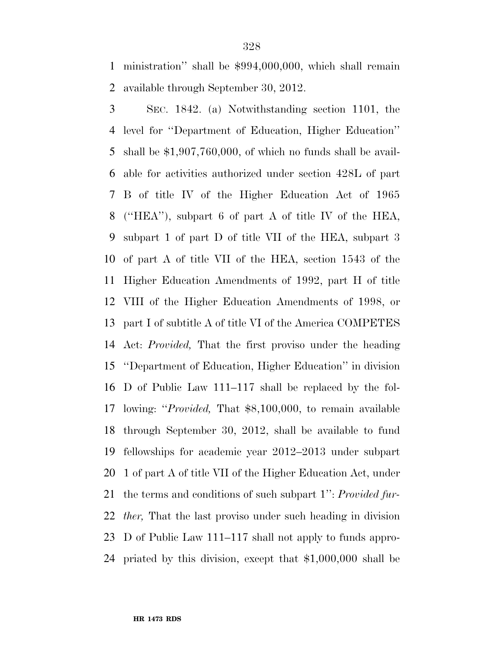ministration'' shall be \$994,000,000, which shall remain available through September 30, 2012.

 SEC. 1842. (a) Notwithstanding section 1101, the level for ''Department of Education, Higher Education'' shall be \$1,907,760,000, of which no funds shall be avail- able for activities authorized under section 428L of part B of title IV of the Higher Education Act of 1965 (''HEA''), subpart 6 of part A of title IV of the HEA, subpart 1 of part D of title VII of the HEA, subpart 3 of part A of title VII of the HEA, section 1543 of the Higher Education Amendments of 1992, part H of title VIII of the Higher Education Amendments of 1998, or part I of subtitle A of title VI of the America COMPETES Act: *Provided,* That the first proviso under the heading ''Department of Education, Higher Education'' in division D of Public Law 111–117 shall be replaced by the fol- lowing: ''*Provided,* That \$8,100,000, to remain available through September 30, 2012, shall be available to fund fellowships for academic year 2012–2013 under subpart 1 of part A of title VII of the Higher Education Act, under the terms and conditions of such subpart 1'': *Provided fur- ther,* That the last proviso under such heading in division D of Public Law 111–117 shall not apply to funds appro-priated by this division, except that \$1,000,000 shall be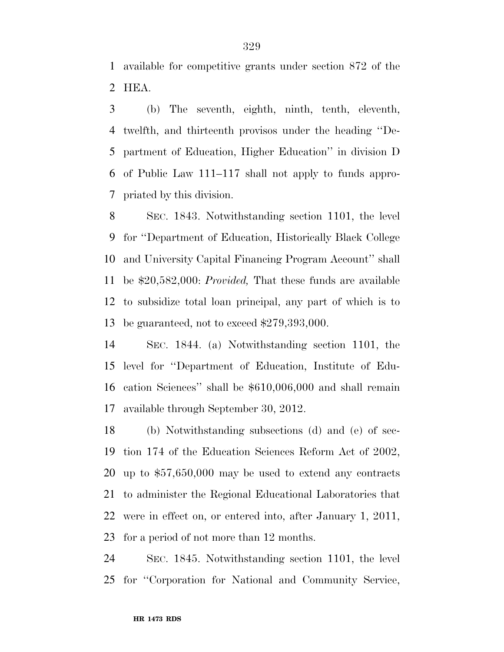available for competitive grants under section 872 of the HEA.

 (b) The seventh, eighth, ninth, tenth, eleventh, twelfth, and thirteenth provisos under the heading ''De- partment of Education, Higher Education'' in division D of Public Law 111–117 shall not apply to funds appro-priated by this division.

 SEC. 1843. Notwithstanding section 1101, the level for ''Department of Education, Historically Black College and University Capital Financing Program Account'' shall be \$20,582,000: *Provided,* That these funds are available to subsidize total loan principal, any part of which is to be guaranteed, not to exceed \$279,393,000.

 SEC. 1844. (a) Notwithstanding section 1101, the level for ''Department of Education, Institute of Edu- cation Sciences'' shall be \$610,006,000 and shall remain available through September 30, 2012.

 (b) Notwithstanding subsections (d) and (e) of sec- tion 174 of the Education Sciences Reform Act of 2002, up to \$57,650,000 may be used to extend any contracts to administer the Regional Educational Laboratories that were in effect on, or entered into, after January 1, 2011, for a period of not more than 12 months.

 SEC. 1845. Notwithstanding section 1101, the level for ''Corporation for National and Community Service,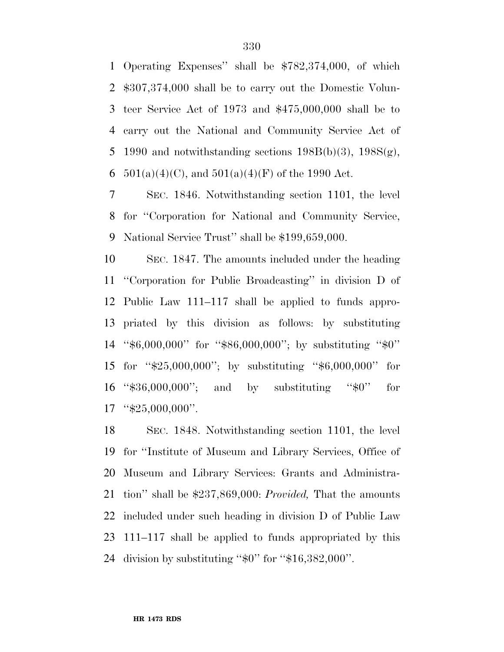Operating Expenses'' shall be \$782,374,000, of which \$307,374,000 shall be to carry out the Domestic Volun- teer Service Act of 1973 and \$475,000,000 shall be to carry out the National and Community Service Act of 5 1990 and notwithstanding sections  $198B(b)(3)$ ,  $198S(g)$ , 6 501(a)(4)(C), and  $501(a)(4)(F)$  of the 1990 Act.

 SEC. 1846. Notwithstanding section 1101, the level for ''Corporation for National and Community Service, National Service Trust'' shall be \$199,659,000.

 SEC. 1847. The amounts included under the heading ''Corporation for Public Broadcasting'' in division D of Public Law 111–117 shall be applied to funds appro- priated by this division as follows: by substituting ''\$6,000,000'' for ''\$86,000,000''; by substituting ''\$0'' for ''\$25,000,000''; by substituting ''\$6,000,000'' for ''\$36,000,000''; and by substituting ''\$0'' for "\$25,000,000".

 SEC. 1848. Notwithstanding section 1101, the level for ''Institute of Museum and Library Services, Office of Museum and Library Services: Grants and Administra- tion'' shall be \$237,869,000: *Provided,* That the amounts included under such heading in division D of Public Law 111–117 shall be applied to funds appropriated by this division by substituting ''\$0'' for ''\$16,382,000''.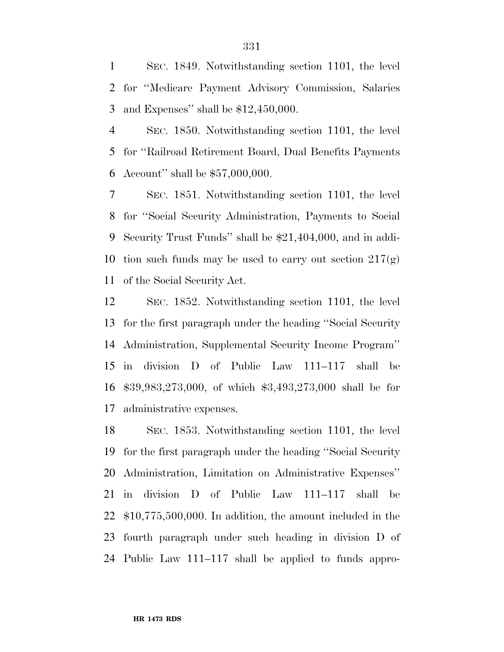SEC. 1849. Notwithstanding section 1101, the level for ''Medicare Payment Advisory Commission, Salaries and Expenses'' shall be \$12,450,000.

 SEC. 1850. Notwithstanding section 1101, the level for ''Railroad Retirement Board, Dual Benefits Payments Account'' shall be \$57,000,000.

 SEC. 1851. Notwithstanding section 1101, the level for ''Social Security Administration, Payments to Social Security Trust Funds'' shall be \$21,404,000, and in addi-10 tion such funds may be used to carry out section  $217(g)$ of the Social Security Act.

 SEC. 1852. Notwithstanding section 1101, the level for the first paragraph under the heading ''Social Security Administration, Supplemental Security Income Program'' in division D of Public Law 111–117 shall be \$39,983,273,000, of which \$3,493,273,000 shall be for administrative expenses.

 SEC. 1853. Notwithstanding section 1101, the level for the first paragraph under the heading ''Social Security Administration, Limitation on Administrative Expenses'' in division D of Public Law 111–117 shall be \$10,775,500,000. In addition, the amount included in the fourth paragraph under such heading in division D of Public Law 111–117 shall be applied to funds appro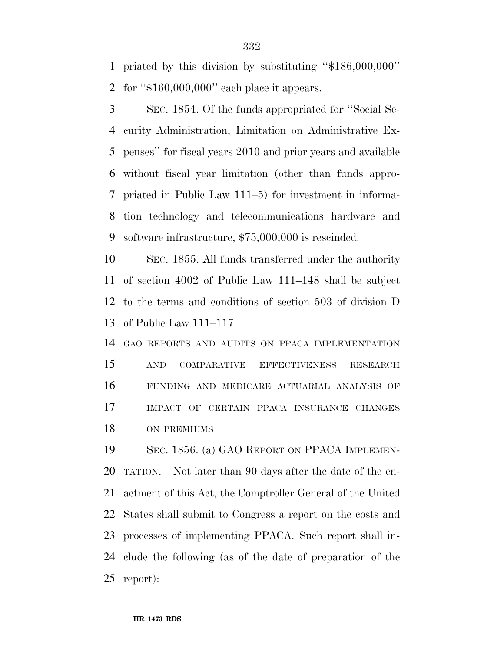priated by this division by substituting ''\$186,000,000''

for ''\$160,000,000'' each place it appears.

 SEC. 1854. Of the funds appropriated for ''Social Se- curity Administration, Limitation on Administrative Ex- penses'' for fiscal years 2010 and prior years and available without fiscal year limitation (other than funds appro- priated in Public Law 111–5) for investment in informa- tion technology and telecommunications hardware and software infrastructure, \$75,000,000 is rescinded.

 SEC. 1855. All funds transferred under the authority of section 4002 of Public Law 111–148 shall be subject to the terms and conditions of section 503 of division D of Public Law 111–117.

 GAO REPORTS AND AUDITS ON PPACA IMPLEMENTATION AND COMPARATIVE EFFECTIVENESS RESEARCH FUNDING AND MEDICARE ACTUARIAL ANALYSIS OF IMPACT OF CERTAIN PPACA INSURANCE CHANGES ON PREMIUMS

 SEC. 1856. (a) GAO REPORT ON PPACA IMPLEMEN- TATION.—Not later than 90 days after the date of the en- actment of this Act, the Comptroller General of the United States shall submit to Congress a report on the costs and processes of implementing PPACA. Such report shall in- clude the following (as of the date of preparation of the report):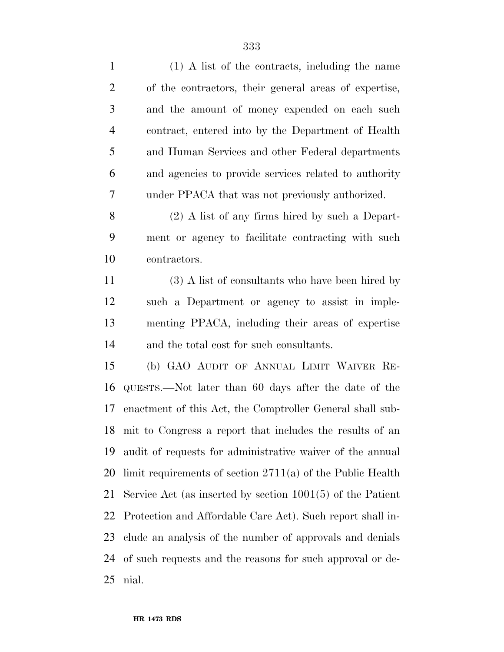| $\mathbf{1}$   | (1) A list of the contracts, including the name              |
|----------------|--------------------------------------------------------------|
| $\overline{2}$ | of the contractors, their general areas of expertise,        |
| 3              | and the amount of money expended on each such                |
| $\overline{4}$ | contract, entered into by the Department of Health           |
| 5              | and Human Services and other Federal departments             |
| 6              | and agencies to provide services related to authority        |
| 7              | under PPACA that was not previously authorized.              |
| 8              | $(2)$ A list of any firms hired by such a Depart-            |
| 9              | ment or agency to facilitate contracting with such           |
| 10             | contractors.                                                 |
| 11             | (3) A list of consultants who have been hired by             |
| 12             | such a Department or agency to assist in imple-              |
| 13             | menting PPACA, including their areas of expertise            |
| 14             | and the total cost for such consultants.                     |
| 15             | (b) GAO AUDIT OF ANNUAL LIMIT WAIVER RE-                     |
| 16             | QUESTS.—Not later than 60 days after the date of the         |
| 17             | enactment of this Act, the Comptroller General shall sub-    |
|                | 18 mit to Congress a report that includes the results of an  |
| 19             | audit of requests for administrative waiver of the annual    |
| 20             | limit requirements of section $2711(a)$ of the Public Health |
| 21             | Service Act (as inserted by section $1001(5)$ of the Patient |
| 22             | Protection and Affordable Care Act). Such report shall in-   |
| 23             | clude an analysis of the number of approvals and denials     |
| 24             | of such requests and the reasons for such approval or de-    |
| 25             | nial.                                                        |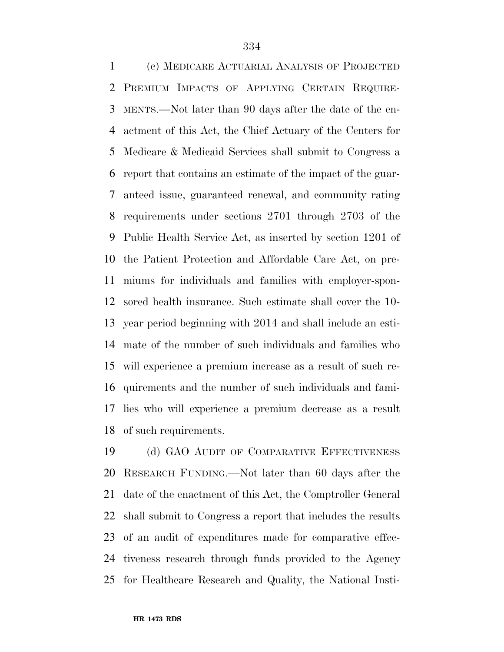(c) MEDICARE ACTUARIAL ANALYSIS OF PROJECTED PREMIUM IMPACTS OF APPLYING CERTAIN REQUIRE- MENTS.—Not later than 90 days after the date of the en- actment of this Act, the Chief Actuary of the Centers for Medicare & Medicaid Services shall submit to Congress a report that contains an estimate of the impact of the guar- anteed issue, guaranteed renewal, and community rating requirements under sections 2701 through 2703 of the Public Health Service Act, as inserted by section 1201 of the Patient Protection and Affordable Care Act, on pre- miums for individuals and families with employer-spon- sored health insurance. Such estimate shall cover the 10- year period beginning with 2014 and shall include an esti- mate of the number of such individuals and families who will experience a premium increase as a result of such re- quirements and the number of such individuals and fami- lies who will experience a premium decrease as a result of such requirements.

 (d) GAO AUDIT OF COMPARATIVE EFFECTIVENESS RESEARCH FUNDING.—Not later than 60 days after the date of the enactment of this Act, the Comptroller General shall submit to Congress a report that includes the results of an audit of expenditures made for comparative effec- tiveness research through funds provided to the Agency for Healthcare Research and Quality, the National Insti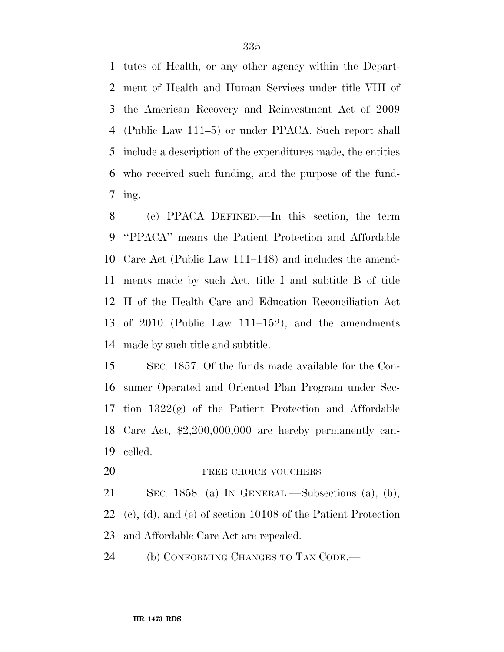tutes of Health, or any other agency within the Depart- ment of Health and Human Services under title VIII of the American Recovery and Reinvestment Act of 2009 (Public Law 111–5) or under PPACA. Such report shall include a description of the expenditures made, the entities who received such funding, and the purpose of the fund-ing.

 (e) PPACA DEFINED.—In this section, the term ''PPACA'' means the Patient Protection and Affordable Care Act (Public Law 111–148) and includes the amend- ments made by such Act, title I and subtitle B of title II of the Health Care and Education Reconciliation Act of 2010 (Public Law 111–152), and the amendments made by such title and subtitle.

 SEC. 1857. Of the funds made available for the Con- sumer Operated and Oriented Plan Program under Sec- tion 1322(g) of the Patient Protection and Affordable Care Act, \$2,200,000,000 are hereby permanently can-celled.

20 FREE CHOICE VOUCHERS

 SEC. 1858. (a) IN GENERAL.—Subsections (a), (b), (c), (d), and (e) of section 10108 of the Patient Protection and Affordable Care Act are repealed.

24 (b) CONFORMING CHANGES TO TAX CODE.—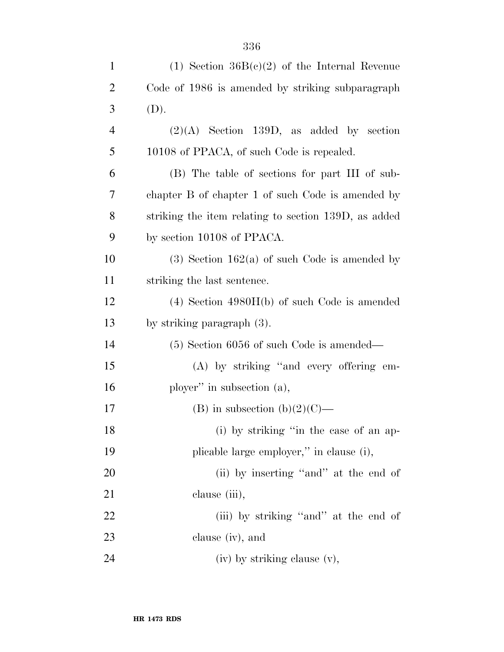| $\mathbf{1}$   | (1) Section $36B(c)(2)$ of the Internal Revenue      |
|----------------|------------------------------------------------------|
| $\overline{c}$ | Code of 1986 is amended by striking subparagraph     |
| 3              | (D).                                                 |
| $\overline{4}$ | $(2)(A)$ Section 139D, as added by section           |
| 5              | 10108 of PPACA, of such Code is repealed.            |
| 6              | (B) The table of sections for part III of sub-       |
| 7              | chapter B of chapter 1 of such Code is amended by    |
| 8              | striking the item relating to section 139D, as added |
| 9              | by section 10108 of PPACA.                           |
| 10             | $(3)$ Section 162(a) of such Code is amended by      |
| 11             | striking the last sentence.                          |
| 12             | $(4)$ Section $4980H(b)$ of such Code is amended     |
| 13             | by striking paragraph $(3)$ .                        |
| 14             | $(5)$ Section 6056 of such Code is amended—          |
| 15             | (A) by striking "and every offering em-              |
| 16             | ployer" in subsection $(a)$ ,                        |
| 17             | (B) in subsection (b)(2)(C)—                         |
| 18             | (i) by striking "in the case of an ap-               |
| 19             | plicable large employer," in clause (i),             |
| 20             | (ii) by inserting "and" at the end of                |
| 21             | clause (iii),                                        |
| 22             | (iii) by striking "and" at the end of                |
| 23             | clause (iv), and                                     |
| 24             | (iv) by striking clause (v),                         |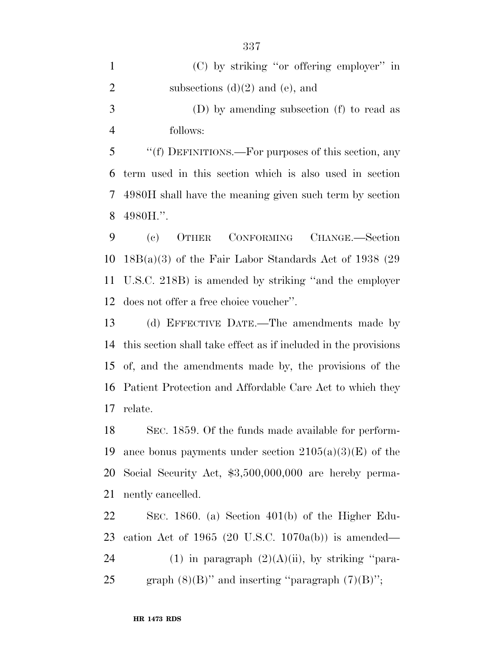| $\mathbf{1}$   | $(C)$ by striking "or offering employer" in               |
|----------------|-----------------------------------------------------------|
| 2              | subsections $(d)(2)$ and $(e)$ , and                      |
| 3              | (D) by amending subsection (f) to read as                 |
| $\overline{4}$ | follows:                                                  |
| $\mathfrak{S}$ | "(f) DEFINITIONS.—For purposes of this section, any       |
|                | 6 term used in this section which is also used in section |
|                | 7 4980H shall have the meaning given such term by section |

4980H.''.

 (c) OTHER CONFORMING CHANGE.—Section 18B(a)(3) of the Fair Labor Standards Act of 1938 (29 U.S.C. 218B) is amended by striking ''and the employer does not offer a free choice voucher''.

 (d) EFFECTIVE DATE.—The amendments made by this section shall take effect as if included in the provisions of, and the amendments made by, the provisions of the Patient Protection and Affordable Care Act to which they relate.

 SEC. 1859. Of the funds made available for perform-19 ance bonus payments under section  $2105(a)(3)(E)$  of the Social Security Act, \$3,500,000,000 are hereby perma-nently cancelled.

 SEC. 1860. (a) Section 401(b) of the Higher Edu- cation Act of 1965 (20 U.S.C. 1070a(b)) is amended— 24 (1) in paragraph  $(2)(A)(ii)$ , by striking "para-25 graph  $(8)(B)$ " and inserting "paragraph  $(7)(B)$ ";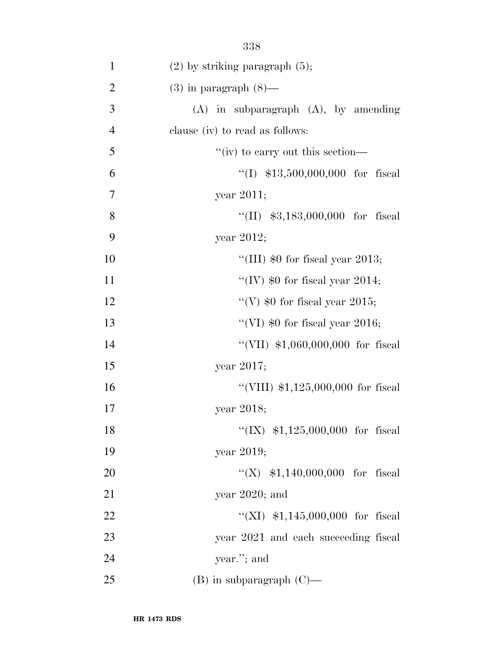| $\mathbf{1}$   | $(2)$ by striking paragraph $(5)$ ;       |
|----------------|-------------------------------------------|
| $\overline{2}$ | $(3)$ in paragraph $(8)$ —                |
| 3              | $(A)$ in subparagraph $(A)$ , by amending |
| $\overline{4}$ | clause (iv) to read as follows:           |
| 5              | "(iv) to carry out this section—          |
| 6              | "(I) $$13,500,000,000$ for fiscal         |
| 7              | year $2011;$                              |
| 8              | "(II) $$3,183,000,000$ for fiscal         |
| 9              | year $2012$ ;                             |
| 10             | "(III) $$0$ for fiscal year 2013;         |
| 11             | "(IV) $$0$ for fiscal year 2014;          |
| 12             | "(V) $$0$ for fiscal year 2015;           |
| 13             | "(VI) $$0$ for fiscal year 2016;          |
| 14             | "(VII) $$1,060,000,000$ for fiscal        |
| 15             | year $2017$ ;                             |
| 16             | "(VIII) $$1,125,000,000$ for fiscal       |
| 17             | year 2018;                                |
| 18             | "(IX) $$1,125,000,000$ for fiscal         |
| 19             | year 2019;                                |
| 20             | "(X) $$1,140,000,000$ for fiscal          |
| 21             | year $2020$ ; and                         |
| 22             | "(XI) $$1,145,000,000$ for fiscal         |
| 23             | year 2021 and each succeeding fiscal      |
| 24             | year."; and                               |
| 25             | $(B)$ in subparagraph $(C)$ —             |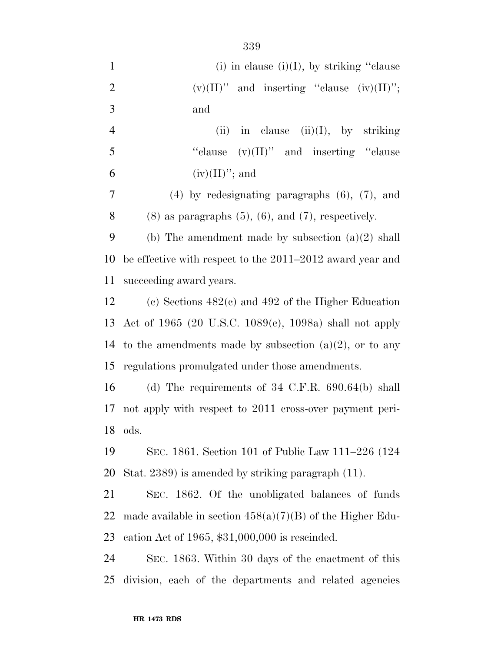| $\mathbf{1}$   | (i) in clause (i)(I), by striking "clause                     |
|----------------|---------------------------------------------------------------|
| $\overline{2}$ | $(v)(II)$ " and inserting "clause $(iv)(II)$ ";               |
| 3              | and                                                           |
| $\overline{4}$ | in clause $(ii)(I)$ , by striking<br>(ii)                     |
| 5              | "clause $(v)(II)$ " and inserting "clause"                    |
| 6              | $(iv)(II)$ "; and                                             |
| $\overline{7}$ | $(4)$ by redesignating paragraphs $(6)$ , $(7)$ , and         |
| 8              | $(8)$ as paragraphs $(5)$ , $(6)$ , and $(7)$ , respectively. |
| 9              | (b) The amendment made by subsection $(a)(2)$ shall           |
| 10             | be effective with respect to the 2011–2012 award year and     |
| 11             | succeeding award years.                                       |
| 12             | (c) Sections $482(c)$ and $492$ of the Higher Education       |
|                | 13 Act of 1965 (20 U.S.C. 1089(c), 1098a) shall not apply     |
| 14             | to the amendments made by subsection $(a)(2)$ , or to any     |
| 15             | regulations promulgated under those amendments.               |
| 16             | (d) The requirements of $34$ C.F.R. $690.64(b)$ shall         |
| 17             | not apply with respect to 2011 cross-over payment peri-       |
| 18             | ods.                                                          |
| 19             | SEC. 1861. Section 101 of Public Law 111–226 (124             |
| 20             | Stat. 2389) is amended by striking paragraph (11).            |
| 21             | SEC. 1862. Of the unobligated balances of funds               |
| 22             | made available in section $458(a)(7)(B)$ of the Higher Edu-   |
| 23             | cation Act of 1965, $$31,000,000$ is rescinded.               |
| 24             | SEC. 1863. Within 30 days of the enactment of this            |
| 25             | division, each of the departments and related agencies        |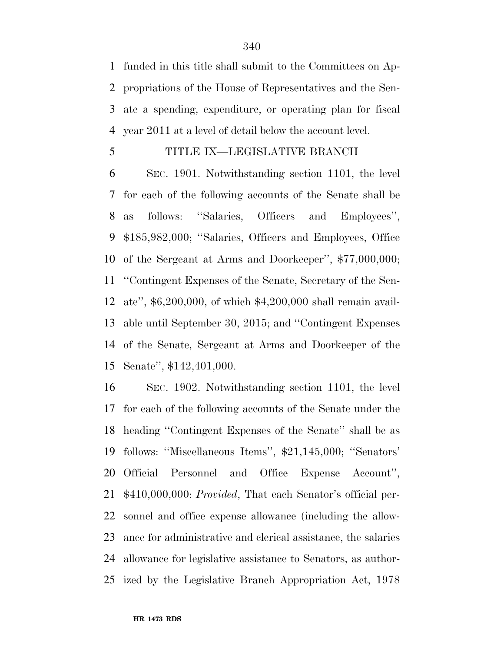funded in this title shall submit to the Committees on Ap- propriations of the House of Representatives and the Sen- ate a spending, expenditure, or operating plan for fiscal year 2011 at a level of detail below the account level.

## TITLE IX—LEGISLATIVE BRANCH

 SEC. 1901. Notwithstanding section 1101, the level for each of the following accounts of the Senate shall be as follows: ''Salaries, Officers and Employees'', \$185,982,000; ''Salaries, Officers and Employees, Office of the Sergeant at Arms and Doorkeeper'', \$77,000,000; ''Contingent Expenses of the Senate, Secretary of the Sen- ate'', \$6,200,000, of which \$4,200,000 shall remain avail- able until September 30, 2015; and ''Contingent Expenses of the Senate, Sergeant at Arms and Doorkeeper of the Senate'', \$142,401,000.

 SEC. 1902. Notwithstanding section 1101, the level for each of the following accounts of the Senate under the heading ''Contingent Expenses of the Senate'' shall be as follows: ''Miscellaneous Items'', \$21,145,000; ''Senators' Official Personnel and Office Expense Account'', \$410,000,000: *Provided*, That each Senator's official per- sonnel and office expense allowance (including the allow- ance for administrative and clerical assistance, the salaries allowance for legislative assistance to Senators, as author-ized by the Legislative Branch Appropriation Act, 1978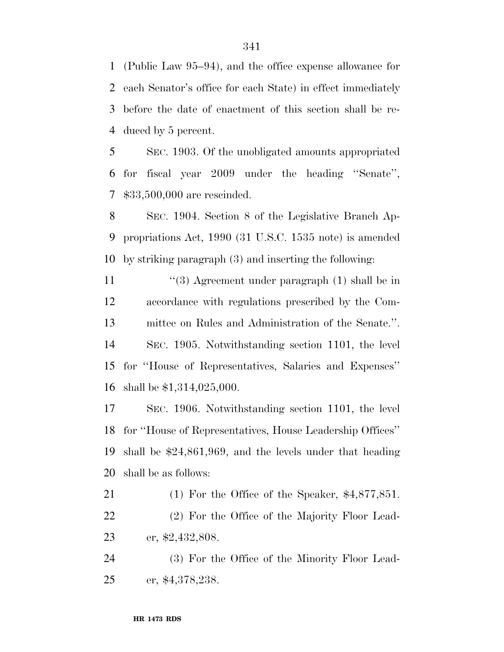(Public Law 95–94), and the office expense allowance for each Senator's office for each State) in effect immediately before the date of enactment of this section shall be re-duced by 5 percent.

 SEC. 1903. Of the unobligated amounts appropriated for fiscal year 2009 under the heading ''Senate'', \$33,500,000 are rescinded.

 SEC. 1904. Section 8 of the Legislative Branch Ap- propriations Act, 1990 (31 U.S.C. 1535 note) is amended by striking paragraph (3) and inserting the following:

11 ''(3) Agreement under paragraph (1) shall be in accordance with regulations prescribed by the Com- mittee on Rules and Administration of the Senate.''. SEC. 1905. Notwithstanding section 1101, the level for ''House of Representatives, Salaries and Expenses'' shall be \$1,314,025,000.

 SEC. 1906. Notwithstanding section 1101, the level for ''House of Representatives, House Leadership Offices'' shall be \$24,861,969, and the levels under that heading shall be as follows:

 (1) For the Office of the Speaker, \$4,877,851. (2) For the Office of the Majority Floor Lead-er, \$2,432,808.

 (3) For the Office of the Minority Floor Lead-er, \$4,378,238.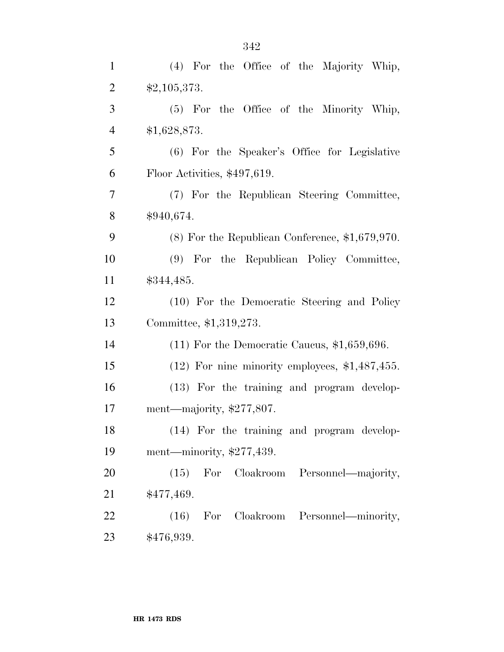| $\mathbf{1}$   | (4) For the Office of the Majority Whip,          |
|----------------|---------------------------------------------------|
| $\overline{2}$ | \$2,105,373.                                      |
| 3              | (5) For the Office of the Minority Whip,          |
| $\overline{4}$ | \$1,628,873.                                      |
| $\mathfrak{S}$ | (6) For the Speaker's Office for Legislative      |
| 6              | Floor Activities, \$497,619.                      |
| $\tau$         | (7) For the Republican Steering Committee,        |
| 8              | \$940,674.                                        |
| 9              | $(8)$ For the Republican Conference, \$1,679,970. |
| 10             | (9) For the Republican Policy Committee,          |
| 11             | \$344,485.                                        |
| 12             | (10) For the Democratic Steering and Policy       |
| 13             | Committee, \$1,319,273.                           |
| 14             | $(11)$ For the Democratic Caucus, \$1,659,696.    |
| 15             | $(12)$ For nine minority employees, \$1,487,455.  |
| 16             | (13) For the training and program develop-        |
| 17             | ment—majority, $$277,807$ .                       |
| 18             | (14) For the training and program develop-        |
| 19             | ment—minority, $$277,439$ .                       |
| 20             | $(15)$ For<br>Cloakroom Personnel—majority,       |
| 21             | \$477,469.                                        |
| 22             | (16) For Cloakroom Personnel—minority,            |
| 23             | \$476,939.                                        |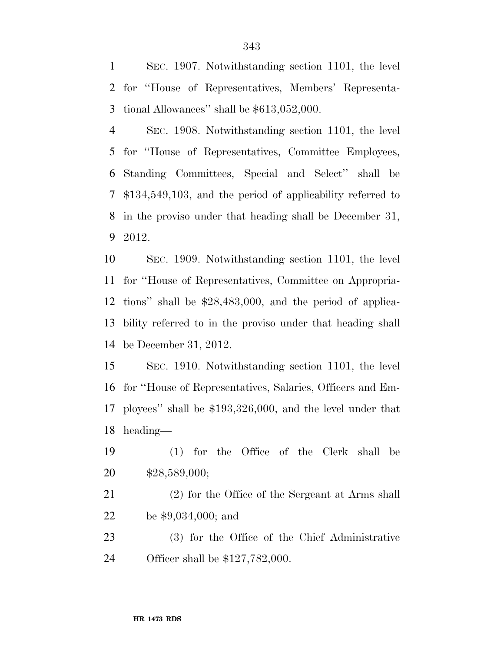SEC. 1907. Notwithstanding section 1101, the level for ''House of Representatives, Members' Representa-tional Allowances'' shall be \$613,052,000.

 SEC. 1908. Notwithstanding section 1101, the level for ''House of Representatives, Committee Employees, Standing Committees, Special and Select'' shall be \$134,549,103, and the period of applicability referred to in the proviso under that heading shall be December 31, 2012.

 SEC. 1909. Notwithstanding section 1101, the level for ''House of Representatives, Committee on Appropria- tions'' shall be \$28,483,000, and the period of applica- bility referred to in the proviso under that heading shall be December 31, 2012.

 SEC. 1910. Notwithstanding section 1101, the level for ''House of Representatives, Salaries, Officers and Em- ployees'' shall be \$193,326,000, and the level under that heading—

 (1) for the Office of the Clerk shall be \$28,589,000;

 (2) for the Office of the Sergeant at Arms shall be \$9,034,000; and

 (3) for the Office of the Chief Administrative Officer shall be \$127,782,000.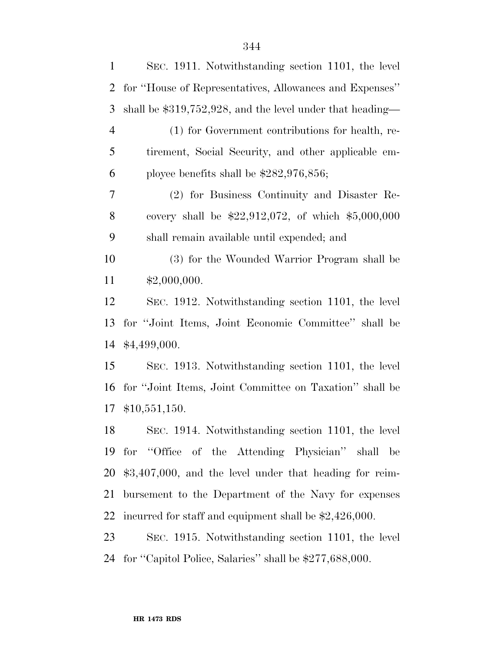| $\mathbf{1}$   | SEC. 1911. Notwithstanding section 1101, the level          |
|----------------|-------------------------------------------------------------|
| $\overline{2}$ | for "House of Representatives, Allowances and Expenses"     |
| 3              | shall be $$319,752,928$ , and the level under that heading— |
| $\overline{4}$ | (1) for Government contributions for health, re-            |
| 5              | tirement, Social Security, and other applicable em-         |
| 6              | ployee benefits shall be $$282,976,856;$                    |
| 7              | (2) for Business Continuity and Disaster Re-                |
| 8              | covery shall be $$22,912,072$ , of which $$5,000,000$       |
| 9              | shall remain available until expended; and                  |
| 10             | (3) for the Wounded Warrior Program shall be                |
| 11             | \$2,000,000.                                                |
| 12             | SEC. 1912. Notwithstanding section 1101, the level          |
| 13             | for "Joint Items, Joint Economic Committee" shall be        |
| 14             | \$4,499,000.                                                |
| 15             | SEC. 1913. Notwithstanding section 1101, the level          |
| 16             | for "Joint Items, Joint Committee on Taxation" shall be     |
| 17             | \$10,551,150.                                               |
| 18             | SEC. 1914. Notwithstanding section 1101, the level          |
| 19             | for "Office of the Attending Physician"<br>shall<br>be      |
| 20             | $$3,407,000$ , and the level under that heading for reim-   |
| 21             | bursement to the Department of the Navy for expenses        |
| 22             | incurred for staff and equipment shall be \$2,426,000.      |
| 23             | SEC. 1915. Notwithstanding section 1101, the level          |
| 24             | for "Capitol Police, Salaries" shall be \$277,688,000.      |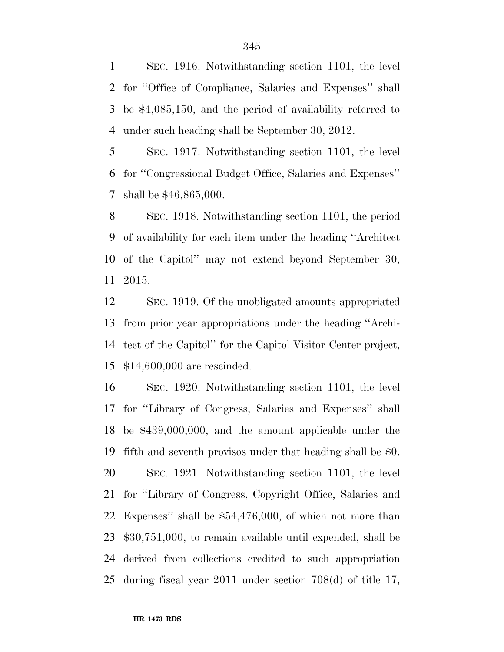SEC. 1916. Notwithstanding section 1101, the level for ''Office of Compliance, Salaries and Expenses'' shall be \$4,085,150, and the period of availability referred to under such heading shall be September 30, 2012.

 SEC. 1917. Notwithstanding section 1101, the level for ''Congressional Budget Office, Salaries and Expenses'' shall be \$46,865,000.

 SEC. 1918. Notwithstanding section 1101, the period of availability for each item under the heading ''Architect of the Capitol'' may not extend beyond September 30, 2015.

 SEC. 1919. Of the unobligated amounts appropriated from prior year appropriations under the heading ''Archi- tect of the Capitol'' for the Capitol Visitor Center project, \$14,600,000 are rescinded.

 SEC. 1920. Notwithstanding section 1101, the level for ''Library of Congress, Salaries and Expenses'' shall be \$439,000,000, and the amount applicable under the fifth and seventh provisos under that heading shall be \$0. SEC. 1921. Notwithstanding section 1101, the level for ''Library of Congress, Copyright Office, Salaries and Expenses'' shall be \$54,476,000, of which not more than \$30,751,000, to remain available until expended, shall be derived from collections credited to such appropriation during fiscal year 2011 under section 708(d) of title 17,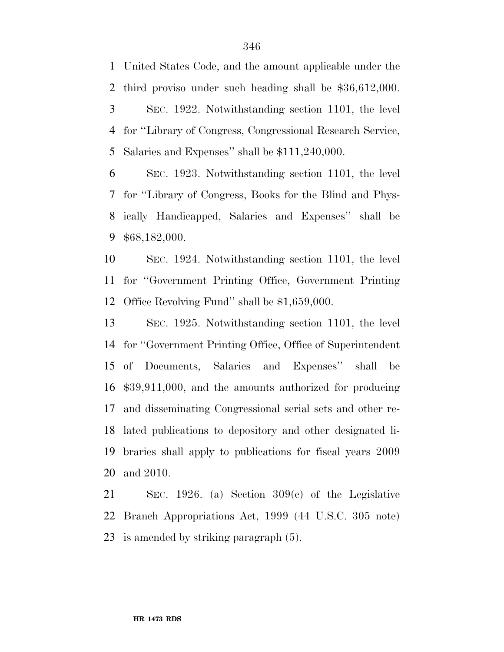United States Code, and the amount applicable under the third proviso under such heading shall be \$36,612,000. SEC. 1922. Notwithstanding section 1101, the level for ''Library of Congress, Congressional Research Service,

Salaries and Expenses'' shall be \$111,240,000.

 SEC. 1923. Notwithstanding section 1101, the level for ''Library of Congress, Books for the Blind and Phys- ically Handicapped, Salaries and Expenses'' shall be \$68,182,000.

 SEC. 1924. Notwithstanding section 1101, the level for ''Government Printing Office, Government Printing Office Revolving Fund'' shall be \$1,659,000.

 SEC. 1925. Notwithstanding section 1101, the level for ''Government Printing Office, Office of Superintendent of Documents, Salaries and Expenses'' shall be \$39,911,000, and the amounts authorized for producing and disseminating Congressional serial sets and other re- lated publications to depository and other designated li- braries shall apply to publications for fiscal years 2009 and 2010.

 SEC. 1926. (a) Section 309(c) of the Legislative Branch Appropriations Act, 1999 (44 U.S.C. 305 note) is amended by striking paragraph (5).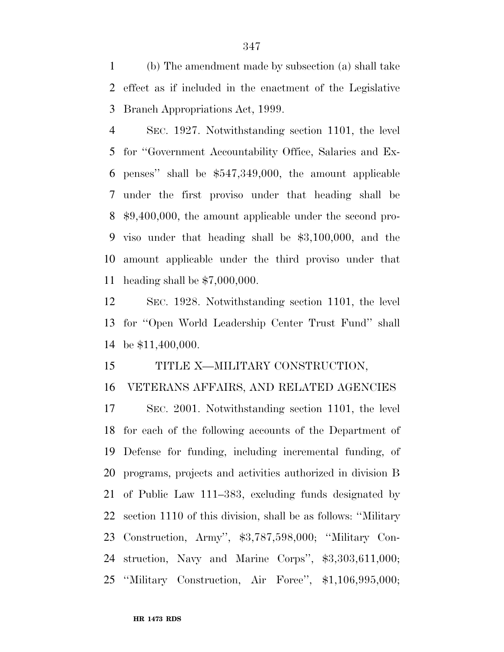(b) The amendment made by subsection (a) shall take effect as if included in the enactment of the Legislative Branch Appropriations Act, 1999.

 SEC. 1927. Notwithstanding section 1101, the level for ''Government Accountability Office, Salaries and Ex- penses'' shall be \$547,349,000, the amount applicable under the first proviso under that heading shall be \$9,400,000, the amount applicable under the second pro- viso under that heading shall be \$3,100,000, and the amount applicable under the third proviso under that heading shall be \$7,000,000.

 SEC. 1928. Notwithstanding section 1101, the level for ''Open World Leadership Center Trust Fund'' shall be \$11,400,000.

## TITLE X—MILITARY CONSTRUCTION,

## VETERANS AFFAIRS, AND RELATED AGENCIES

 SEC. 2001. Notwithstanding section 1101, the level for each of the following accounts of the Department of Defense for funding, including incremental funding, of programs, projects and activities authorized in division B of Public Law 111–383, excluding funds designated by section 1110 of this division, shall be as follows: ''Military Construction, Army'', \$3,787,598,000; ''Military Con- struction, Navy and Marine Corps'', \$3,303,611,000; ''Military Construction, Air Force'', \$1,106,995,000;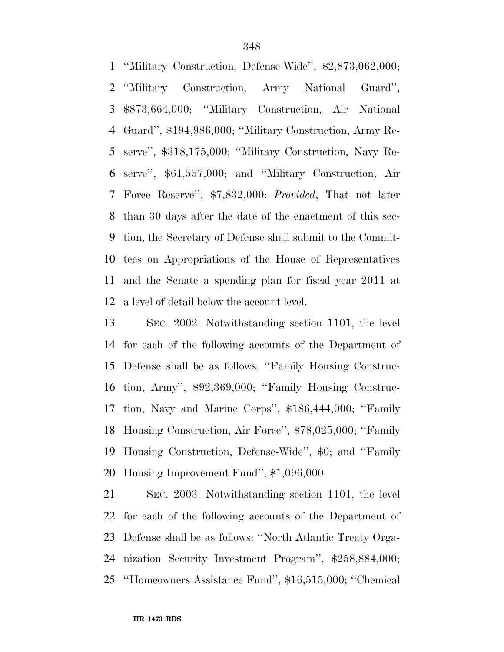''Military Construction, Defense-Wide'', \$2,873,062,000; ''Military Construction, Army National Guard'', \$873,664,000; ''Military Construction, Air National Guard'', \$194,986,000; ''Military Construction, Army Re- serve'', \$318,175,000; ''Military Construction, Navy Re- serve'', \$61,557,000; and ''Military Construction, Air Force Reserve'', \$7,832,000: *Provided*, That not later than 30 days after the date of the enactment of this sec- tion, the Secretary of Defense shall submit to the Commit- tees on Appropriations of the House of Representatives and the Senate a spending plan for fiscal year 2011 at a level of detail below the account level.

 SEC. 2002. Notwithstanding section 1101, the level for each of the following accounts of the Department of Defense shall be as follows: ''Family Housing Construc- tion, Army'', \$92,369,000; ''Family Housing Construc- tion, Navy and Marine Corps'', \$186,444,000; ''Family Housing Construction, Air Force'', \$78,025,000; ''Family Housing Construction, Defense-Wide'', \$0; and ''Family Housing Improvement Fund'', \$1,096,000.

 SEC. 2003. Notwithstanding section 1101, the level for each of the following accounts of the Department of Defense shall be as follows: ''North Atlantic Treaty Orga- nization Security Investment Program'', \$258,884,000; ''Homeowners Assistance Fund'', \$16,515,000; ''Chemical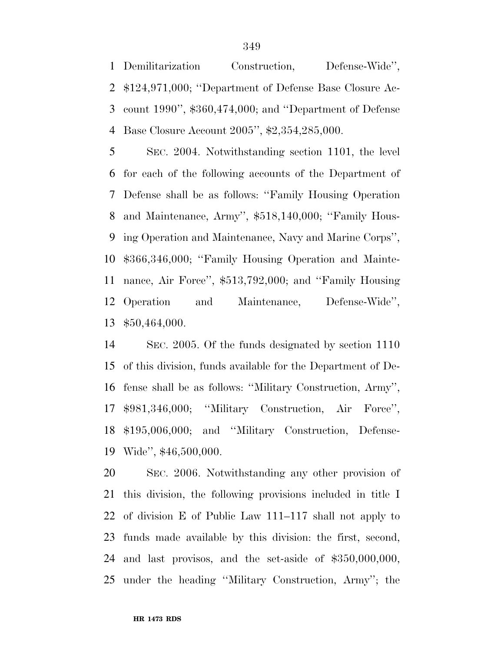Demilitarization Construction, Defense-Wide'', \$124,971,000; ''Department of Defense Base Closure Ac- count 1990'', \$360,474,000; and ''Department of Defense Base Closure Account 2005'', \$2,354,285,000.

 SEC. 2004. Notwithstanding section 1101, the level for each of the following accounts of the Department of Defense shall be as follows: ''Family Housing Operation and Maintenance, Army'', \$518,140,000; ''Family Hous- ing Operation and Maintenance, Navy and Marine Corps'', \$366,346,000; ''Family Housing Operation and Mainte- nance, Air Force'', \$513,792,000; and ''Family Housing Operation and Maintenance, Defense-Wide'', \$50,464,000.

 SEC. 2005. Of the funds designated by section 1110 of this division, funds available for the Department of De- fense shall be as follows: ''Military Construction, Army'', \$981,346,000; ''Military Construction, Air Force'', \$195,006,000; and ''Military Construction, Defense-Wide'', \$46,500,000.

 SEC. 2006. Notwithstanding any other provision of this division, the following provisions included in title I of division E of Public Law 111–117 shall not apply to funds made available by this division: the first, second, and last provisos, and the set-aside of \$350,000,000, under the heading ''Military Construction, Army''; the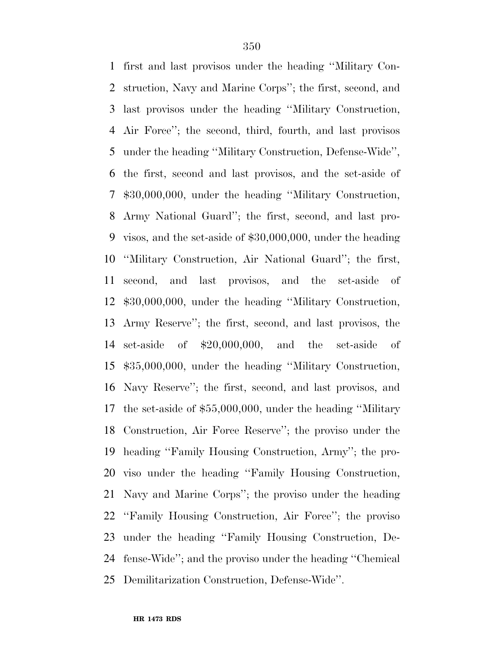first and last provisos under the heading ''Military Con- struction, Navy and Marine Corps''; the first, second, and last provisos under the heading ''Military Construction, Air Force''; the second, third, fourth, and last provisos under the heading ''Military Construction, Defense-Wide'', the first, second and last provisos, and the set-aside of \$30,000,000, under the heading ''Military Construction, Army National Guard''; the first, second, and last pro- visos, and the set-aside of \$30,000,000, under the heading ''Military Construction, Air National Guard''; the first, second, and last provisos, and the set-aside of \$30,000,000, under the heading ''Military Construction, Army Reserve''; the first, second, and last provisos, the set-aside of \$20,000,000, and the set-aside of \$35,000,000, under the heading ''Military Construction, Navy Reserve''; the first, second, and last provisos, and the set-aside of \$55,000,000, under the heading ''Military Construction, Air Force Reserve''; the proviso under the heading ''Family Housing Construction, Army''; the pro- viso under the heading ''Family Housing Construction, Navy and Marine Corps''; the proviso under the heading ''Family Housing Construction, Air Force''; the proviso under the heading ''Family Housing Construction, De- fense-Wide''; and the proviso under the heading ''Chemical Demilitarization Construction, Defense-Wide''.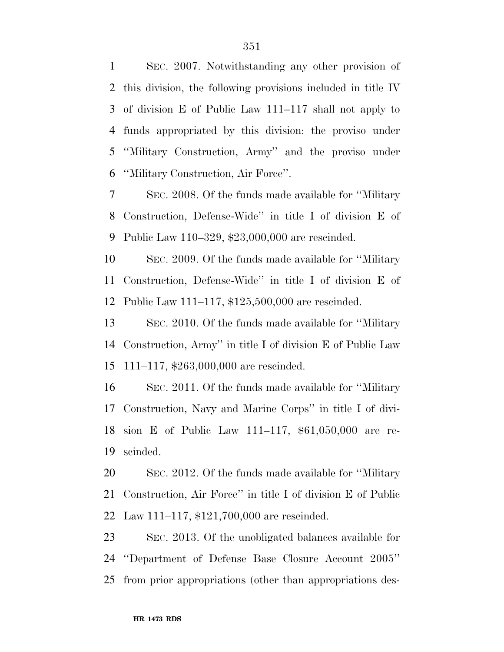SEC. 2007. Notwithstanding any other provision of this division, the following provisions included in title IV of division E of Public Law 111–117 shall not apply to funds appropriated by this division: the proviso under ''Military Construction, Army'' and the proviso under ''Military Construction, Air Force''.

 SEC. 2008. Of the funds made available for ''Military Construction, Defense-Wide'' in title I of division E of Public Law 110–329, \$23,000,000 are rescinded.

 SEC. 2009. Of the funds made available for ''Military Construction, Defense-Wide'' in title I of division E of Public Law 111–117, \$125,500,000 are rescinded.

 SEC. 2010. Of the funds made available for ''Military Construction, Army'' in title I of division E of Public Law 111–117, \$263,000,000 are rescinded.

 SEC. 2011. Of the funds made available for ''Military Construction, Navy and Marine Corps'' in title I of divi- sion E of Public Law 111–117, \$61,050,000 are re-scinded.

 SEC. 2012. Of the funds made available for ''Military Construction, Air Force'' in title I of division E of Public Law 111–117, \$121,700,000 are rescinded.

 SEC. 2013. Of the unobligated balances available for ''Department of Defense Base Closure Account 2005'' from prior appropriations (other than appropriations des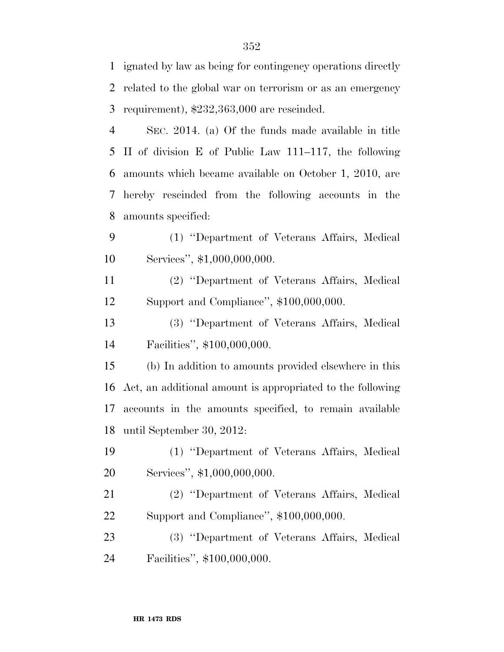ignated by law as being for contingency operations directly related to the global war on terrorism or as an emergency requirement), \$232,363,000 are rescinded.

 SEC. 2014. (a) Of the funds made available in title II of division E of Public Law 111–117, the following amounts which became available on October 1, 2010, are hereby rescinded from the following accounts in the amounts specified:

 (1) ''Department of Veterans Affairs, Medical 10 Services", \$1,000,000,000.

 (2) ''Department of Veterans Affairs, Medical Support and Compliance'', \$100,000,000.

 (3) ''Department of Veterans Affairs, Medical Facilities'', \$100,000,000.

 (b) In addition to amounts provided elsewhere in this Act, an additional amount is appropriated to the following accounts in the amounts specified, to remain available until September 30, 2012:

 (1) ''Department of Veterans Affairs, Medical Services'', \$1,000,000,000.

 (2) ''Department of Veterans Affairs, Medical Support and Compliance'', \$100,000,000.

 (3) ''Department of Veterans Affairs, Medical Facilities'', \$100,000,000.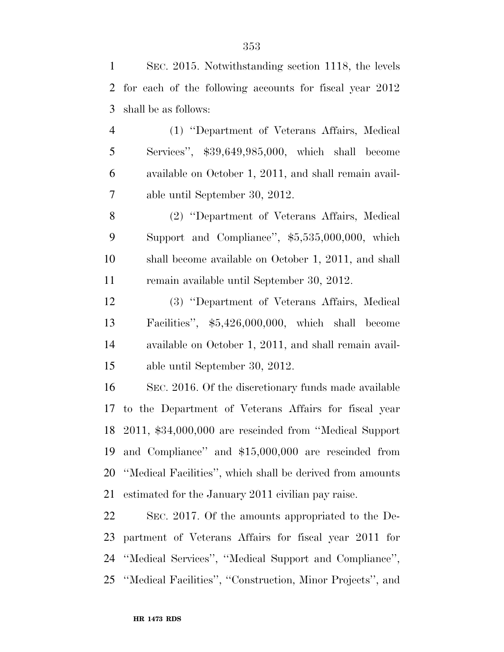SEC. 2015. Notwithstanding section 1118, the levels for each of the following accounts for fiscal year 2012 shall be as follows:

 (1) ''Department of Veterans Affairs, Medical Services'', \$39,649,985,000, which shall become available on October 1, 2011, and shall remain avail-able until September 30, 2012.

 (2) ''Department of Veterans Affairs, Medical Support and Compliance'', \$5,535,000,000, which shall become available on October 1, 2011, and shall remain available until September 30, 2012.

 (3) ''Department of Veterans Affairs, Medical Facilities'', \$5,426,000,000, which shall become available on October 1, 2011, and shall remain avail-able until September 30, 2012.

 SEC. 2016. Of the discretionary funds made available to the Department of Veterans Affairs for fiscal year 2011, \$34,000,000 are rescinded from ''Medical Support and Compliance'' and \$15,000,000 are rescinded from ''Medical Facilities'', which shall be derived from amounts estimated for the January 2011 civilian pay raise.

 SEC. 2017. Of the amounts appropriated to the De- partment of Veterans Affairs for fiscal year 2011 for ''Medical Services'', ''Medical Support and Compliance'', ''Medical Facilities'', ''Construction, Minor Projects'', and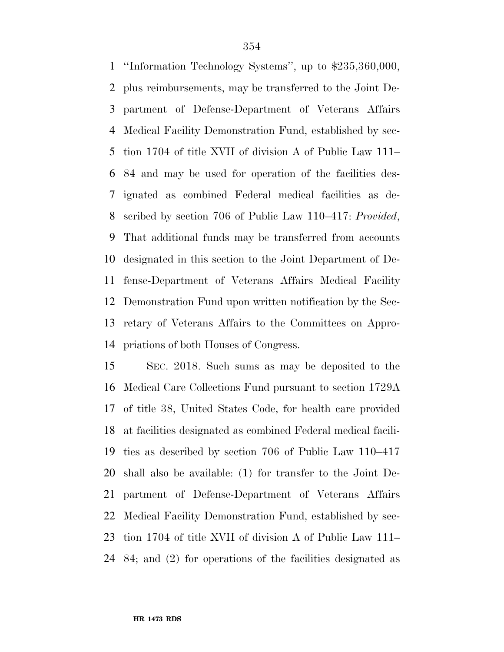''Information Technology Systems'', up to \$235,360,000, plus reimbursements, may be transferred to the Joint De- partment of Defense-Department of Veterans Affairs Medical Facility Demonstration Fund, established by sec- tion 1704 of title XVII of division A of Public Law 111– 84 and may be used for operation of the facilities des- ignated as combined Federal medical facilities as de- scribed by section 706 of Public Law 110–417: *Provided*, That additional funds may be transferred from accounts designated in this section to the Joint Department of De- fense-Department of Veterans Affairs Medical Facility Demonstration Fund upon written notification by the Sec- retary of Veterans Affairs to the Committees on Appro-priations of both Houses of Congress.

 SEC. 2018. Such sums as may be deposited to the Medical Care Collections Fund pursuant to section 1729A of title 38, United States Code, for health care provided at facilities designated as combined Federal medical facili- ties as described by section 706 of Public Law 110–417 shall also be available: (1) for transfer to the Joint De- partment of Defense-Department of Veterans Affairs Medical Facility Demonstration Fund, established by sec- tion 1704 of title XVII of division A of Public Law 111– 84; and (2) for operations of the facilities designated as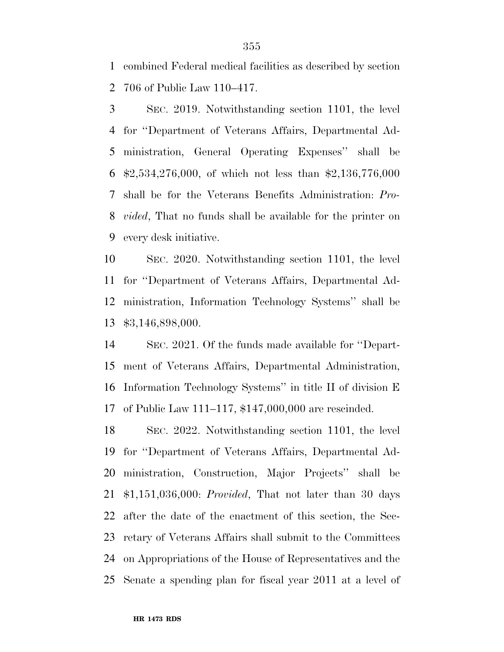combined Federal medical facilities as described by section 706 of Public Law 110–417.

 SEC. 2019. Notwithstanding section 1101, the level for ''Department of Veterans Affairs, Departmental Ad- ministration, General Operating Expenses'' shall be \$2,534,276,000, of which not less than \$2,136,776,000 shall be for the Veterans Benefits Administration: *Pro- vided*, That no funds shall be available for the printer on every desk initiative.

 SEC. 2020. Notwithstanding section 1101, the level for ''Department of Veterans Affairs, Departmental Ad- ministration, Information Technology Systems'' shall be \$3,146,898,000.

 SEC. 2021. Of the funds made available for ''Depart- ment of Veterans Affairs, Departmental Administration, Information Technology Systems'' in title II of division E of Public Law 111–117, \$147,000,000 are rescinded.

 SEC. 2022. Notwithstanding section 1101, the level for ''Department of Veterans Affairs, Departmental Ad- ministration, Construction, Major Projects'' shall be \$1,151,036,000: *Provided*, That not later than 30 days after the date of the enactment of this section, the Sec- retary of Veterans Affairs shall submit to the Committees on Appropriations of the House of Representatives and the Senate a spending plan for fiscal year 2011 at a level of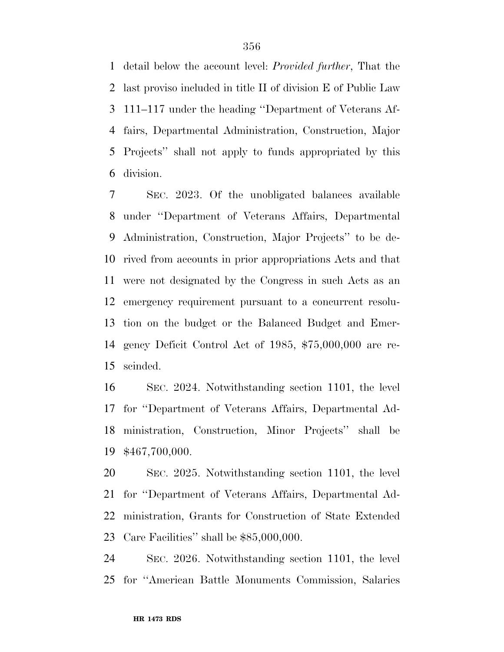detail below the account level: *Provided further*, That the last proviso included in title II of division E of Public Law 111–117 under the heading ''Department of Veterans Af- fairs, Departmental Administration, Construction, Major Projects'' shall not apply to funds appropriated by this division.

 SEC. 2023. Of the unobligated balances available under ''Department of Veterans Affairs, Departmental Administration, Construction, Major Projects'' to be de- rived from accounts in prior appropriations Acts and that were not designated by the Congress in such Acts as an emergency requirement pursuant to a concurrent resolu- tion on the budget or the Balanced Budget and Emer- gency Deficit Control Act of 1985, \$75,000,000 are re-scinded.

 SEC. 2024. Notwithstanding section 1101, the level for ''Department of Veterans Affairs, Departmental Ad- ministration, Construction, Minor Projects'' shall be \$467,700,000.

 SEC. 2025. Notwithstanding section 1101, the level for ''Department of Veterans Affairs, Departmental Ad- ministration, Grants for Construction of State Extended Care Facilities'' shall be \$85,000,000.

 SEC. 2026. Notwithstanding section 1101, the level for ''American Battle Monuments Commission, Salaries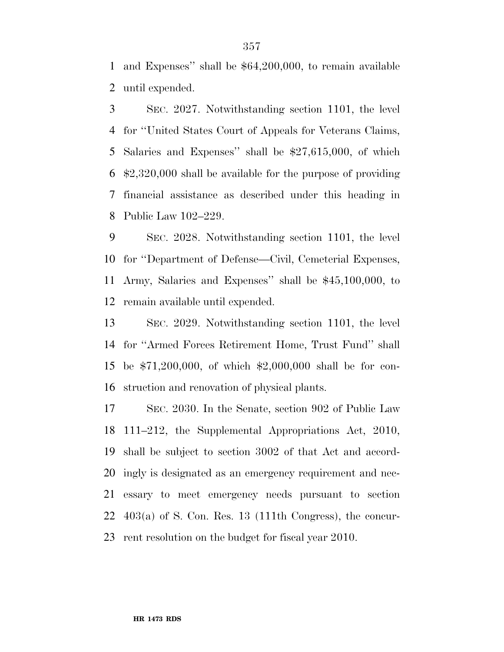and Expenses'' shall be \$64,200,000, to remain available until expended.

 SEC. 2027. Notwithstanding section 1101, the level for ''United States Court of Appeals for Veterans Claims, Salaries and Expenses'' shall be \$27,615,000, of which \$2,320,000 shall be available for the purpose of providing financial assistance as described under this heading in Public Law 102–229.

 SEC. 2028. Notwithstanding section 1101, the level for ''Department of Defense—Civil, Cemeterial Expenses, Army, Salaries and Expenses'' shall be \$45,100,000, to remain available until expended.

 SEC. 2029. Notwithstanding section 1101, the level for ''Armed Forces Retirement Home, Trust Fund'' shall be \$71,200,000, of which \$2,000,000 shall be for con-struction and renovation of physical plants.

 SEC. 2030. In the Senate, section 902 of Public Law 111–212, the Supplemental Appropriations Act, 2010, shall be subject to section 3002 of that Act and accord- ingly is designated as an emergency requirement and nec- essary to meet emergency needs pursuant to section  $403(a)$  of S. Con. Res. 13 (111th Congress), the concur-rent resolution on the budget for fiscal year 2010.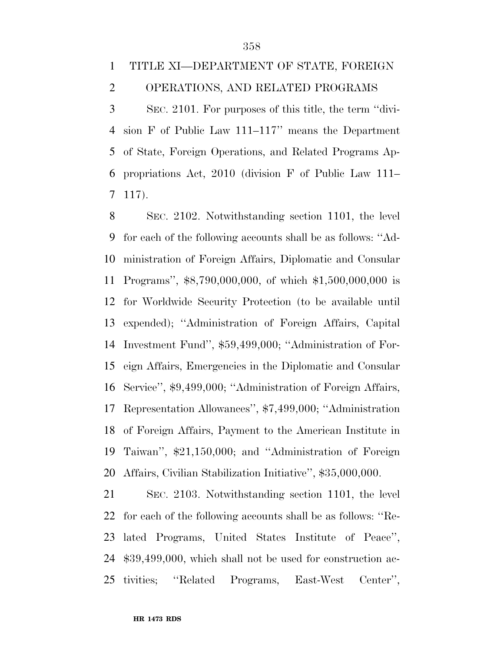## TITLE XI—DEPARTMENT OF STATE, FOREIGN OPERATIONS, AND RELATED PROGRAMS

 SEC. 2101. For purposes of this title, the term ''divi- sion F of Public Law 111–117'' means the Department of State, Foreign Operations, and Related Programs Ap- propriations Act, 2010 (division F of Public Law 111– 117).

 SEC. 2102. Notwithstanding section 1101, the level for each of the following accounts shall be as follows: ''Ad- ministration of Foreign Affairs, Diplomatic and Consular Programs'', \$8,790,000,000, of which \$1,500,000,000 is for Worldwide Security Protection (to be available until expended); ''Administration of Foreign Affairs, Capital Investment Fund'', \$59,499,000; ''Administration of For- eign Affairs, Emergencies in the Diplomatic and Consular Service'', \$9,499,000; ''Administration of Foreign Affairs, Representation Allowances'', \$7,499,000; ''Administration of Foreign Affairs, Payment to the American Institute in Taiwan'', \$21,150,000; and ''Administration of Foreign Affairs, Civilian Stabilization Initiative'', \$35,000,000.

 SEC. 2103. Notwithstanding section 1101, the level for each of the following accounts shall be as follows: ''Re- lated Programs, United States Institute of Peace'', \$39,499,000, which shall not be used for construction ac-tivities; ''Related Programs, East-West Center'',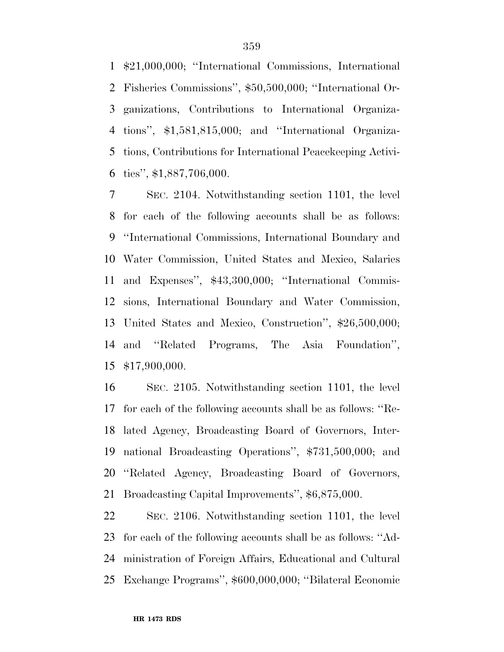\$21,000,000; ''International Commissions, International Fisheries Commissions'', \$50,500,000; ''International Or- ganizations, Contributions to International Organiza- tions'', \$1,581,815,000; and ''International Organiza- tions, Contributions for International Peacekeeping Activi-ties'', \$1,887,706,000.

 SEC. 2104. Notwithstanding section 1101, the level for each of the following accounts shall be as follows: ''International Commissions, International Boundary and Water Commission, United States and Mexico, Salaries and Expenses'', \$43,300,000; ''International Commis- sions, International Boundary and Water Commission, United States and Mexico, Construction'', \$26,500,000; and ''Related Programs, The Asia Foundation'', \$17,900,000.

 SEC. 2105. Notwithstanding section 1101, the level for each of the following accounts shall be as follows: ''Re- lated Agency, Broadcasting Board of Governors, Inter- national Broadcasting Operations'', \$731,500,000; and ''Related Agency, Broadcasting Board of Governors, Broadcasting Capital Improvements'', \$6,875,000.

 SEC. 2106. Notwithstanding section 1101, the level for each of the following accounts shall be as follows: ''Ad- ministration of Foreign Affairs, Educational and Cultural Exchange Programs'', \$600,000,000; ''Bilateral Economic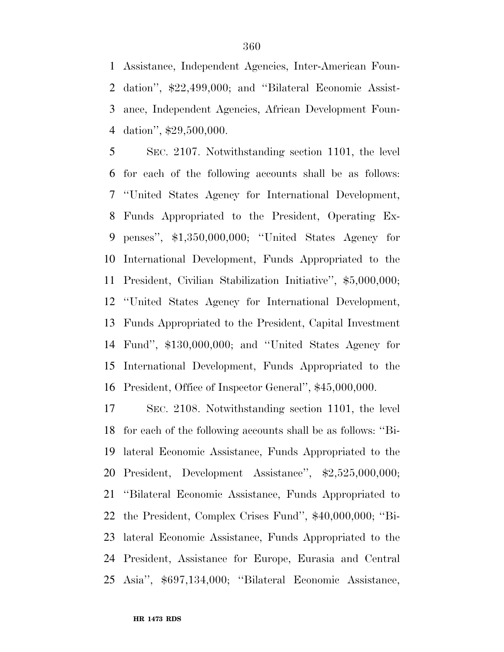Assistance, Independent Agencies, Inter-American Foun- dation'', \$22,499,000; and ''Bilateral Economic Assist- ance, Independent Agencies, African Development Foun-dation'', \$29,500,000.

 SEC. 2107. Notwithstanding section 1101, the level for each of the following accounts shall be as follows: ''United States Agency for International Development, Funds Appropriated to the President, Operating Ex- penses'', \$1,350,000,000; ''United States Agency for International Development, Funds Appropriated to the President, Civilian Stabilization Initiative'', \$5,000,000; ''United States Agency for International Development, Funds Appropriated to the President, Capital Investment Fund'', \$130,000,000; and ''United States Agency for International Development, Funds Appropriated to the President, Office of Inspector General'', \$45,000,000.

 SEC. 2108. Notwithstanding section 1101, the level for each of the following accounts shall be as follows: ''Bi- lateral Economic Assistance, Funds Appropriated to the President, Development Assistance'', \$2,525,000,000; ''Bilateral Economic Assistance, Funds Appropriated to the President, Complex Crises Fund'', \$40,000,000; ''Bi- lateral Economic Assistance, Funds Appropriated to the President, Assistance for Europe, Eurasia and Central Asia'', \$697,134,000; ''Bilateral Economic Assistance,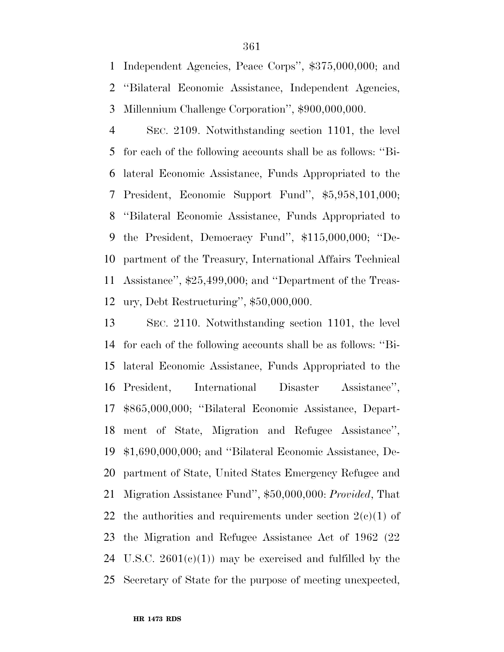Independent Agencies, Peace Corps'', \$375,000,000; and ''Bilateral Economic Assistance, Independent Agencies, Millennium Challenge Corporation'', \$900,000,000.

 SEC. 2109. Notwithstanding section 1101, the level for each of the following accounts shall be as follows: ''Bi- lateral Economic Assistance, Funds Appropriated to the President, Economic Support Fund'', \$5,958,101,000; ''Bilateral Economic Assistance, Funds Appropriated to the President, Democracy Fund'', \$115,000,000; ''De- partment of the Treasury, International Affairs Technical Assistance'', \$25,499,000; and ''Department of the Treas-ury, Debt Restructuring'', \$50,000,000.

 SEC. 2110. Notwithstanding section 1101, the level for each of the following accounts shall be as follows: ''Bi- lateral Economic Assistance, Funds Appropriated to the President, International Disaster Assistance'', \$865,000,000; ''Bilateral Economic Assistance, Depart- ment of State, Migration and Refugee Assistance'', \$1,690,000,000; and ''Bilateral Economic Assistance, De- partment of State, United States Emergency Refugee and Migration Assistance Fund'', \$50,000,000: *Provided*, That 22 the authorities and requirements under section  $2(e)(1)$  of the Migration and Refugee Assistance Act of 1962 (22 24 U.S.C.  $2601(e)(1)$  may be exercised and fulfilled by the Secretary of State for the purpose of meeting unexpected,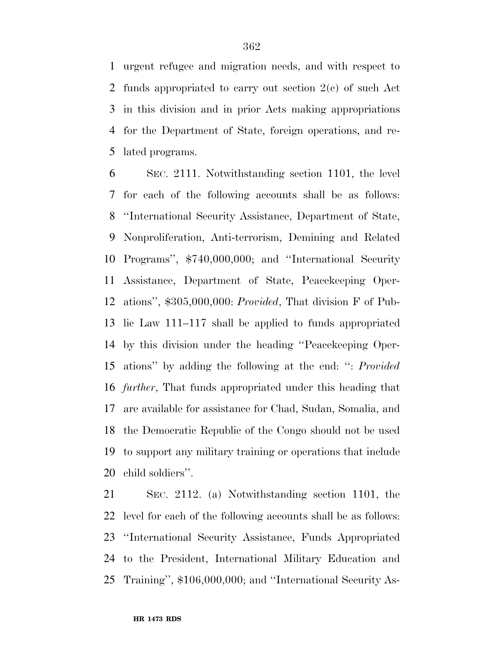urgent refugee and migration needs, and with respect to funds appropriated to carry out section 2(c) of such Act in this division and in prior Acts making appropriations for the Department of State, foreign operations, and re-lated programs.

 SEC. 2111. Notwithstanding section 1101, the level for each of the following accounts shall be as follows: ''International Security Assistance, Department of State, Nonproliferation, Anti-terrorism, Demining and Related Programs'', \$740,000,000; and ''International Security Assistance, Department of State, Peacekeeping Oper- ations'', \$305,000,000: *Provided*, That division F of Pub- lic Law 111–117 shall be applied to funds appropriated by this division under the heading ''Peacekeeping Oper- ations'' by adding the following at the end: '': *Provided further*, That funds appropriated under this heading that are available for assistance for Chad, Sudan, Somalia, and the Democratic Republic of the Congo should not be used to support any military training or operations that include child soldiers''.

 SEC. 2112. (a) Notwithstanding section 1101, the level for each of the following accounts shall be as follows: ''International Security Assistance, Funds Appropriated to the President, International Military Education and Training'', \$106,000,000; and ''International Security As-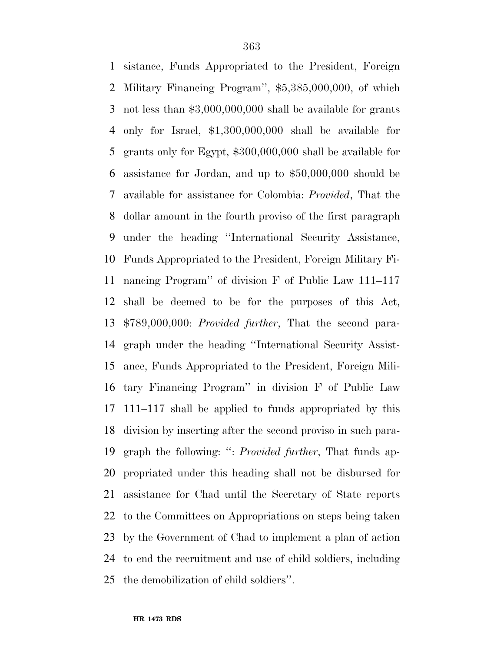sistance, Funds Appropriated to the President, Foreign Military Financing Program'', \$5,385,000,000, of which not less than \$3,000,000,000 shall be available for grants only for Israel, \$1,300,000,000 shall be available for grants only for Egypt, \$300,000,000 shall be available for assistance for Jordan, and up to \$50,000,000 should be available for assistance for Colombia: *Provided*, That the dollar amount in the fourth proviso of the first paragraph under the heading ''International Security Assistance, Funds Appropriated to the President, Foreign Military Fi- nancing Program'' of division F of Public Law 111–117 shall be deemed to be for the purposes of this Act, \$789,000,000: *Provided further*, That the second para- graph under the heading ''International Security Assist- ance, Funds Appropriated to the President, Foreign Mili- tary Financing Program'' in division F of Public Law 111–117 shall be applied to funds appropriated by this division by inserting after the second proviso in such para- graph the following: '': *Provided further*, That funds ap- propriated under this heading shall not be disbursed for assistance for Chad until the Secretary of State reports to the Committees on Appropriations on steps being taken by the Government of Chad to implement a plan of action to end the recruitment and use of child soldiers, including the demobilization of child soldiers''.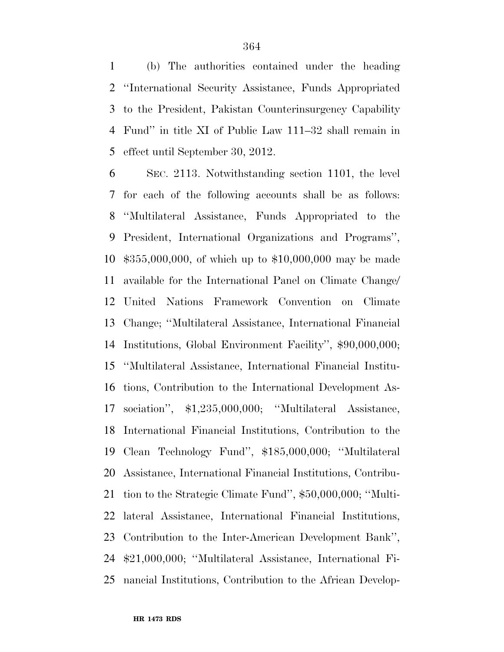(b) The authorities contained under the heading ''International Security Assistance, Funds Appropriated to the President, Pakistan Counterinsurgency Capability Fund'' in title XI of Public Law 111–32 shall remain in effect until September 30, 2012.

 SEC. 2113. Notwithstanding section 1101, the level for each of the following accounts shall be as follows: ''Multilateral Assistance, Funds Appropriated to the President, International Organizations and Programs'', \$355,000,000, of which up to \$10,000,000 may be made available for the International Panel on Climate Change/ United Nations Framework Convention on Climate Change; ''Multilateral Assistance, International Financial Institutions, Global Environment Facility'', \$90,000,000; ''Multilateral Assistance, International Financial Institu- tions, Contribution to the International Development As- sociation'', \$1,235,000,000; ''Multilateral Assistance, International Financial Institutions, Contribution to the Clean Technology Fund'', \$185,000,000; ''Multilateral Assistance, International Financial Institutions, Contribu- tion to the Strategic Climate Fund'', \$50,000,000; ''Multi- lateral Assistance, International Financial Institutions, Contribution to the Inter-American Development Bank'', \$21,000,000; ''Multilateral Assistance, International Fi-nancial Institutions, Contribution to the African Develop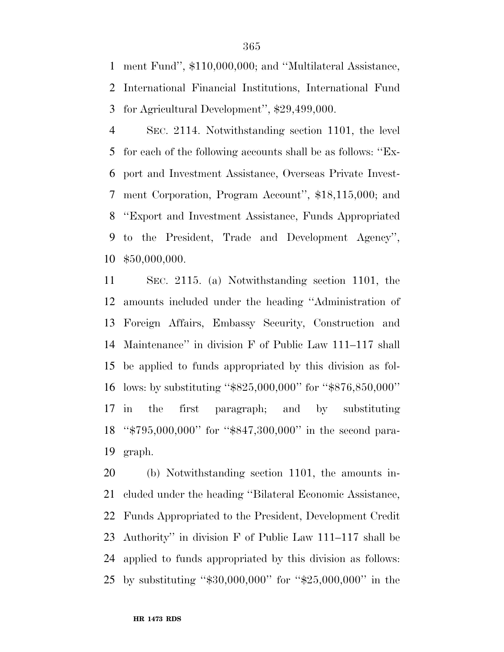ment Fund'', \$110,000,000; and ''Multilateral Assistance, International Financial Institutions, International Fund for Agricultural Development'', \$29,499,000.

 SEC. 2114. Notwithstanding section 1101, the level for each of the following accounts shall be as follows: ''Ex- port and Investment Assistance, Overseas Private Invest- ment Corporation, Program Account'', \$18,115,000; and ''Export and Investment Assistance, Funds Appropriated to the President, Trade and Development Agency'', \$50,000,000.

 SEC. 2115. (a) Notwithstanding section 1101, the amounts included under the heading ''Administration of Foreign Affairs, Embassy Security, Construction and Maintenance'' in division F of Public Law 111–117 shall be applied to funds appropriated by this division as fol- lows: by substituting ''\$825,000,000'' for ''\$876,850,000'' in the first paragraph; and by substituting ''\$795,000,000'' for ''\$847,300,000'' in the second para-graph.

 (b) Notwithstanding section 1101, the amounts in- cluded under the heading ''Bilateral Economic Assistance, Funds Appropriated to the President, Development Credit Authority'' in division F of Public Law 111–117 shall be applied to funds appropriated by this division as follows: by substituting ''\$30,000,000'' for ''\$25,000,000'' in the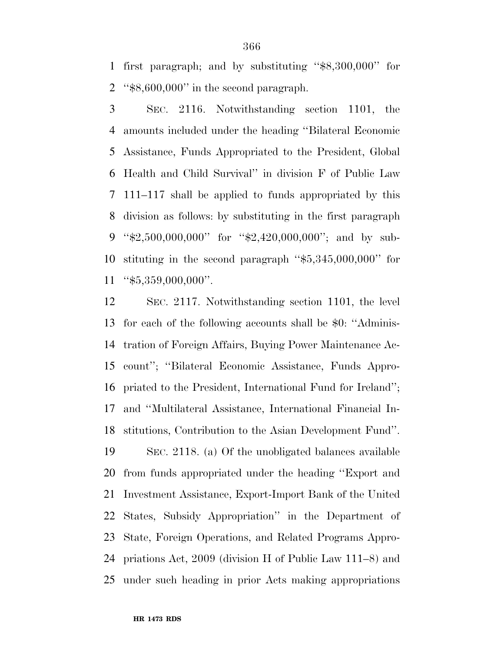first paragraph; and by substituting ''\$8,300,000'' for ''\$8,600,000'' in the second paragraph.

 SEC. 2116. Notwithstanding section 1101, the amounts included under the heading ''Bilateral Economic Assistance, Funds Appropriated to the President, Global Health and Child Survival'' in division F of Public Law 111–117 shall be applied to funds appropriated by this division as follows: by substituting in the first paragraph ''\$2,500,000,000'' for ''\$2,420,000,000''; and by sub- stituting in the second paragraph ''\$5,345,000,000'' for "\$5,359,000,000".

 SEC. 2117. Notwithstanding section 1101, the level for each of the following accounts shall be \$0: ''Adminis- tration of Foreign Affairs, Buying Power Maintenance Ac- count''; ''Bilateral Economic Assistance, Funds Appro- priated to the President, International Fund for Ireland''; and ''Multilateral Assistance, International Financial In- stitutions, Contribution to the Asian Development Fund''. SEC. 2118. (a) Of the unobligated balances available from funds appropriated under the heading ''Export and Investment Assistance, Export-Import Bank of the United States, Subsidy Appropriation'' in the Department of State, Foreign Operations, and Related Programs Appro- priations Act, 2009 (division H of Public Law 111–8) and under such heading in prior Acts making appropriations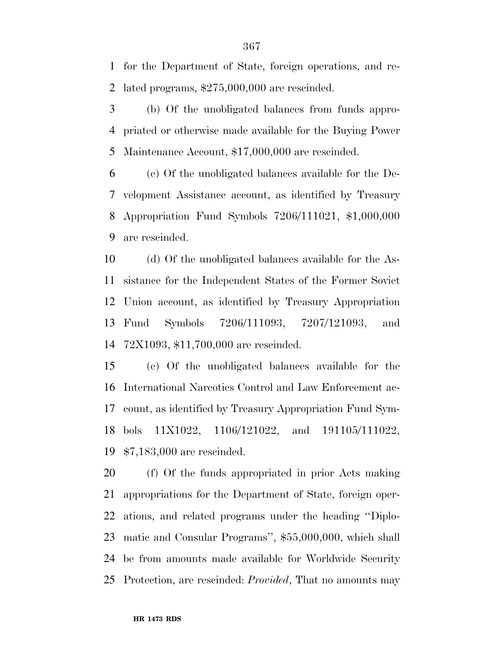for the Department of State, foreign operations, and re-lated programs, \$275,000,000 are rescinded.

 (b) Of the unobligated balances from funds appro- priated or otherwise made available for the Buying Power Maintenance Account, \$17,000,000 are rescinded.

 (c) Of the unobligated balances available for the De- velopment Assistance account, as identified by Treasury Appropriation Fund Symbols 7206/111021, \$1,000,000 are rescinded.

 (d) Of the unobligated balances available for the As- sistance for the Independent States of the Former Soviet Union account, as identified by Treasury Appropriation Fund Symbols 7206/111093, 7207/121093, and 72X1093, \$11,700,000 are rescinded.

 (e) Of the unobligated balances available for the International Narcotics Control and Law Enforcement ac- count, as identified by Treasury Appropriation Fund Sym- bols 11X1022, 1106/121022, and 191105/111022, \$7,183,000 are rescinded.

 (f) Of the funds appropriated in prior Acts making appropriations for the Department of State, foreign oper- ations, and related programs under the heading ''Diplo- matic and Consular Programs'', \$55,000,000, which shall be from amounts made available for Worldwide Security Protection, are rescinded: *Provided*, That no amounts may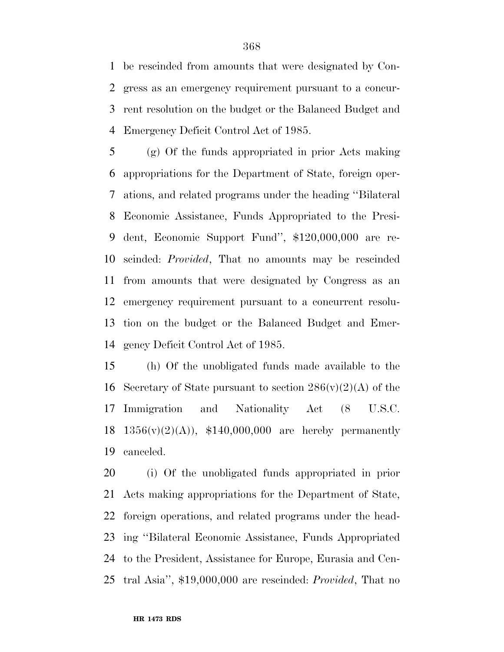be rescinded from amounts that were designated by Con- gress as an emergency requirement pursuant to a concur- rent resolution on the budget or the Balanced Budget and Emergency Deficit Control Act of 1985.

 (g) Of the funds appropriated in prior Acts making appropriations for the Department of State, foreign oper- ations, and related programs under the heading ''Bilateral Economic Assistance, Funds Appropriated to the Presi- dent, Economic Support Fund'', \$120,000,000 are re- scinded: *Provided*, That no amounts may be rescinded from amounts that were designated by Congress as an emergency requirement pursuant to a concurrent resolu- tion on the budget or the Balanced Budget and Emer-gency Deficit Control Act of 1985.

 (h) Of the unobligated funds made available to the 16 Secretary of State pursuant to section  $286(v)(2)(A)$  of the Immigration and Nationality Act (8 U.S.C.  $1356(v)(2)(A)$ , \$140,000,000 are hereby permanently canceled.

 (i) Of the unobligated funds appropriated in prior Acts making appropriations for the Department of State, foreign operations, and related programs under the head- ing ''Bilateral Economic Assistance, Funds Appropriated to the President, Assistance for Europe, Eurasia and Cen-tral Asia'', \$19,000,000 are rescinded: *Provided*, That no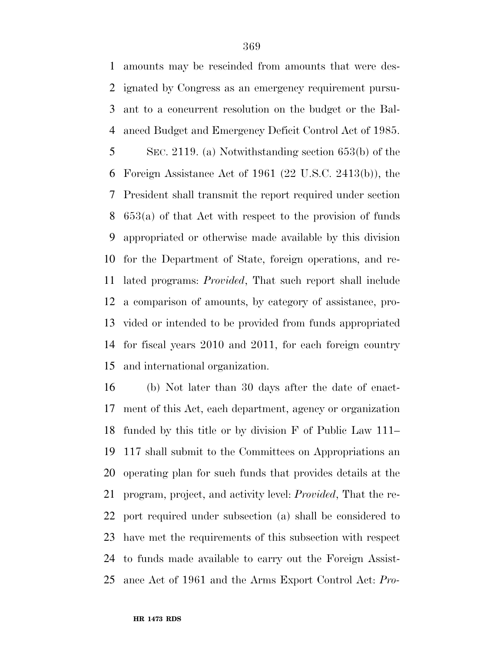amounts may be rescinded from amounts that were des- ignated by Congress as an emergency requirement pursu- ant to a concurrent resolution on the budget or the Bal- anced Budget and Emergency Deficit Control Act of 1985. SEC. 2119. (a) Notwithstanding section 653(b) of the Foreign Assistance Act of 1961 (22 U.S.C. 2413(b)), the President shall transmit the report required under section 653(a) of that Act with respect to the provision of funds appropriated or otherwise made available by this division for the Department of State, foreign operations, and re- lated programs: *Provided*, That such report shall include a comparison of amounts, by category of assistance, pro- vided or intended to be provided from funds appropriated for fiscal years 2010 and 2011, for each foreign country and international organization.

 (b) Not later than 30 days after the date of enact- ment of this Act, each department, agency or organization funded by this title or by division F of Public Law 111– 117 shall submit to the Committees on Appropriations an operating plan for such funds that provides details at the program, project, and activity level: *Provided*, That the re- port required under subsection (a) shall be considered to have met the requirements of this subsection with respect to funds made available to carry out the Foreign Assist-ance Act of 1961 and the Arms Export Control Act: *Pro-*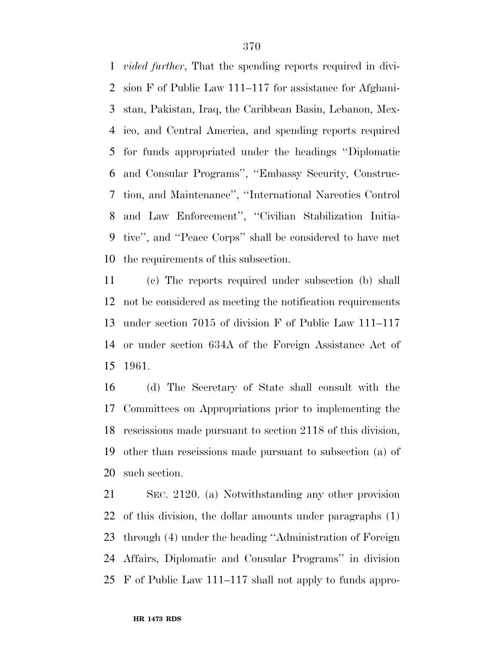*vided further*, That the spending reports required in divi- sion F of Public Law 111–117 for assistance for Afghani- stan, Pakistan, Iraq, the Caribbean Basin, Lebanon, Mex- ico, and Central America, and spending reports required for funds appropriated under the headings ''Diplomatic and Consular Programs'', ''Embassy Security, Construc- tion, and Maintenance'', ''International Narcotics Control and Law Enforcement'', ''Civilian Stabilization Initia- tive'', and ''Peace Corps'' shall be considered to have met the requirements of this subsection.

 (c) The reports required under subsection (b) shall not be considered as meeting the notification requirements under section 7015 of division F of Public Law 111–117 or under section 634A of the Foreign Assistance Act of 1961.

 (d) The Secretary of State shall consult with the Committees on Appropriations prior to implementing the rescissions made pursuant to section 2118 of this division, other than rescissions made pursuant to subsection (a) of such section.

 SEC. 2120. (a) Notwithstanding any other provision of this division, the dollar amounts under paragraphs (1) through (4) under the heading ''Administration of Foreign Affairs, Diplomatic and Consular Programs'' in division F of Public Law 111–117 shall not apply to funds appro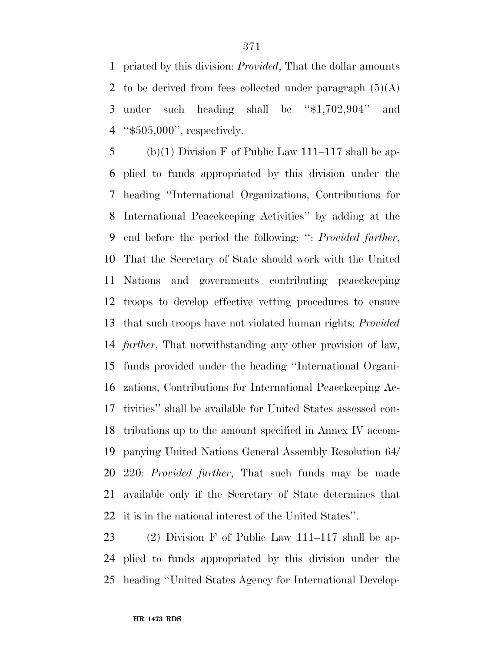priated by this division: *Provided*, That the dollar amounts 2 to be derived from fees collected under paragraph  $(5)(A)$  under such heading shall be ''\$1,702,904'' and ''\$505,000'', respectively.

5 (b)(1) Division F of Public Law 111–117 shall be ap- plied to funds appropriated by this division under the heading ''International Organizations, Contributions for International Peacekeeping Activities'' by adding at the end before the period the following: '': *Provided further*, That the Secretary of State should work with the United Nations and governments contributing peacekeeping troops to develop effective vetting procedures to ensure that such troops have not violated human rights: *Provided further*, That notwithstanding any other provision of law, funds provided under the heading ''International Organi- zations, Contributions for International Peacekeeping Ac- tivities'' shall be available for United States assessed con- tributions up to the amount specified in Annex IV accom- panying United Nations General Assembly Resolution 64/ 220: *Provided further*, That such funds may be made available only if the Secretary of State determines that it is in the national interest of the United States''.

 (2) Division F of Public Law 111–117 shall be ap- plied to funds appropriated by this division under the heading ''United States Agency for International Develop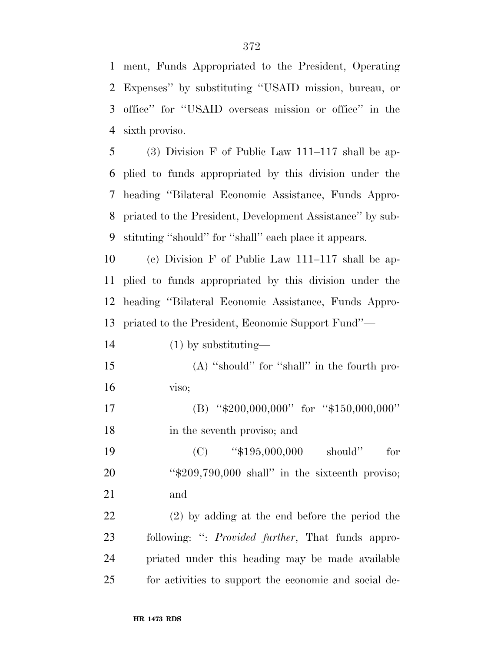ment, Funds Appropriated to the President, Operating Expenses'' by substituting ''USAID mission, bureau, or office'' for ''USAID overseas mission or office'' in the sixth proviso.

 (3) Division F of Public Law 111–117 shall be ap- plied to funds appropriated by this division under the heading ''Bilateral Economic Assistance, Funds Appro- priated to the President, Development Assistance'' by sub-stituting ''should'' for ''shall'' each place it appears.

 (c) Division F of Public Law 111–117 shall be ap- plied to funds appropriated by this division under the heading ''Bilateral Economic Assistance, Funds Appro-priated to the President, Economic Support Fund''—

 (1) by substituting— (A) ''should'' for ''shall'' in the fourth pro- viso; 17 (B) "\$200,000,000" for "\$150,000,000" in the seventh proviso; and 19 (C) "\$195,000,000 should" for ''\$209,790,000 shall'' in the sixteenth proviso; and (2) by adding at the end before the period the following: '': *Provided further*, That funds appro-priated under this heading may be made available

for activities to support the economic and social de-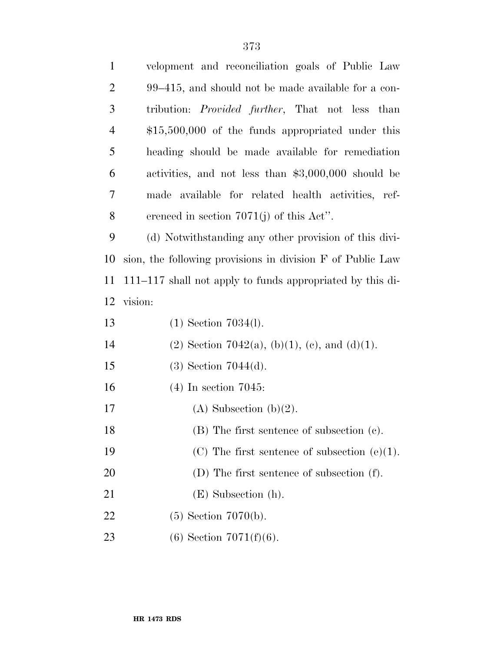| $\mathbf{1}$   | velopment and reconciliation goals of Public Law           |
|----------------|------------------------------------------------------------|
| $\overline{2}$ | 99–415, and should not be made available for a con-        |
| 3              | tribution: <i>Provided further</i> , That not less than    |
| $\overline{4}$ | $$15,500,000$ of the funds appropriated under this         |
| 5              | heading should be made available for remediation           |
| 6              | activities, and not less than \$3,000,000 should be        |
| 7              | made available for related health activities, ref-         |
| 8              | erenced in section $7071(j)$ of this Act".                 |
| 9              | (d) Notwithstanding any other provision of this divi-      |
| 10             | sion, the following provisions in division F of Public Law |
| 11             | 111–117 shall not apply to funds appropriated by this di-  |
| 12             | vision:                                                    |
| 13             | $(1)$ Section 7034(1).                                     |
| 14             | (2) Section 7042(a), (b)(1), (c), and (d)(1).              |
| 15             | $(3)$ Section 7044 $(d)$ .                                 |
| 16             | $(4)$ In section 7045:                                     |
| 17             | $(A)$ Subsection $(b)(2)$ .                                |
| 18             | $(B)$ The first sentence of subsection $(c)$ .             |
| 19             | (C) The first sentence of subsection $(e)(1)$ .            |
| 20             | $(D)$ The first sentence of subsection $(f)$ .             |
| 21             | $(E)$ Subsection $(h)$ .                                   |
| 22             | $(5)$ Section 7070(b).                                     |
| 23             | $(6)$ Section 7071 $(f)(6)$ .                              |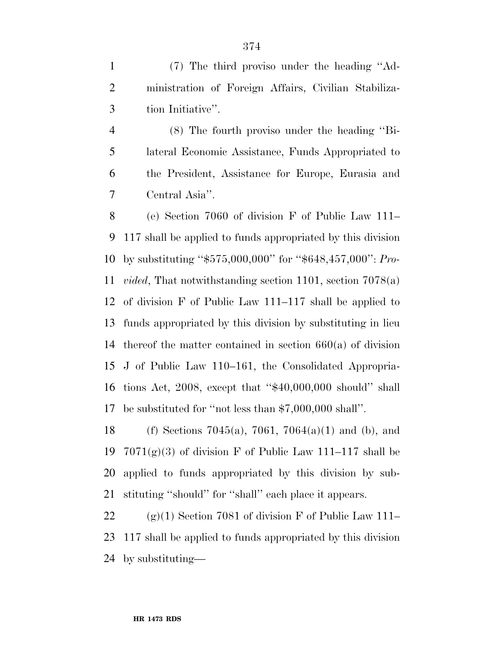(7) The third proviso under the heading ''Ad- ministration of Foreign Affairs, Civilian Stabiliza-tion Initiative''.

 (8) The fourth proviso under the heading ''Bi- lateral Economic Assistance, Funds Appropriated to the President, Assistance for Europe, Eurasia and Central Asia''.

 (e) Section 7060 of division F of Public Law 111– 117 shall be applied to funds appropriated by this division by substituting ''\$575,000,000'' for ''\$648,457,000'': *Pro- vided*, That notwithstanding section 1101, section 7078(a) of division F of Public Law 111–117 shall be applied to funds appropriated by this division by substituting in lieu thereof the matter contained in section 660(a) of division J of Public Law 110–161, the Consolidated Appropria- tions Act, 2008, except that ''\$40,000,000 should'' shall be substituted for ''not less than \$7,000,000 shall''.

18 (f) Sections 7045(a), 7061, 7064(a)(1) and (b), and  $7071(g)(3)$  of division F of Public Law 111–117 shall be applied to funds appropriated by this division by sub-stituting ''should'' for ''shall'' each place it appears.

22 (g)(1) Section 7081 of division F of Public Law 111– 117 shall be applied to funds appropriated by this division by substituting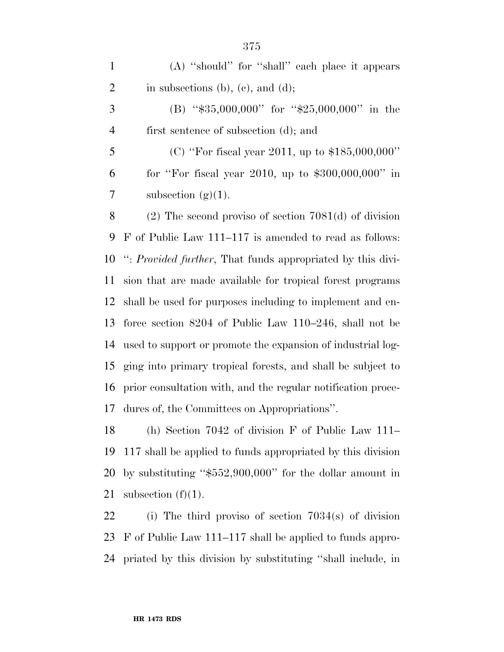(A) ''should'' for ''shall'' each place it appears 2 in subsections (b), (c), and (d);

 (B) ''\$35,000,000'' for ''\$25,000,000'' in the first sentence of subsection (d); and

 (C) ''For fiscal year 2011, up to \$185,000,000'' for ''For fiscal year 2010, up to \$300,000,000'' in 7 subsection  $(g)(1)$ .

 (2) The second proviso of section 7081(d) of division F of Public Law 111–117 is amended to read as follows: '': *Provided further*, That funds appropriated by this divi- sion that are made available for tropical forest programs shall be used for purposes including to implement and en- force section 8204 of Public Law 110–246, shall not be used to support or promote the expansion of industrial log- ging into primary tropical forests, and shall be subject to prior consultation with, and the regular notification proce-dures of, the Committees on Appropriations''.

 (h) Section 7042 of division F of Public Law 111– 117 shall be applied to funds appropriated by this division by substituting ''\$552,900,000'' for the dollar amount in 21 subsection  $(f)(1)$ .

 (i) The third proviso of section 7034(s) of division F of Public Law 111–117 shall be applied to funds appro-priated by this division by substituting ''shall include, in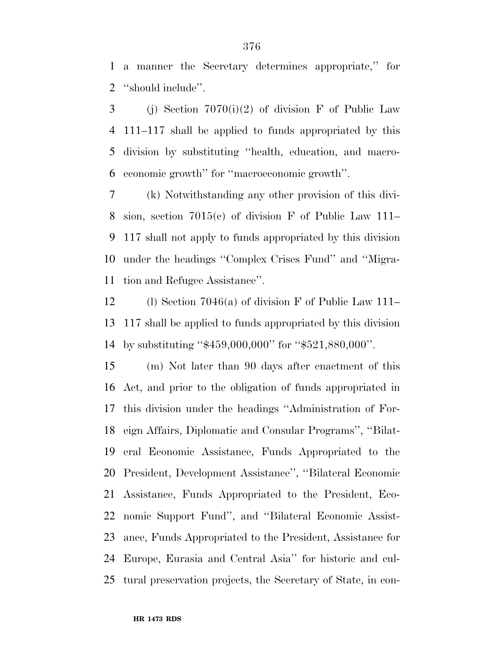a manner the Secretary determines appropriate,'' for ''should include''.

3 (j) Section  $7070(i)(2)$  of division F of Public Law 111–117 shall be applied to funds appropriated by this division by substituting ''health, education, and macro-economic growth'' for ''macroeconomic growth''.

 (k) Notwithstanding any other provision of this divi- sion, section 7015(c) of division F of Public Law 111– 117 shall not apply to funds appropriated by this division under the headings ''Complex Crises Fund'' and ''Migra-tion and Refugee Assistance''.

 (l) Section 7046(a) of division F of Public Law 111– 117 shall be applied to funds appropriated by this division by substituting ''\$459,000,000'' for ''\$521,880,000''.

 (m) Not later than 90 days after enactment of this Act, and prior to the obligation of funds appropriated in this division under the headings ''Administration of For- eign Affairs, Diplomatic and Consular Programs'', ''Bilat- eral Economic Assistance, Funds Appropriated to the President, Development Assistance'', ''Bilateral Economic Assistance, Funds Appropriated to the President, Eco- nomic Support Fund'', and ''Bilateral Economic Assist- ance, Funds Appropriated to the President, Assistance for Europe, Eurasia and Central Asia'' for historic and cul-tural preservation projects, the Secretary of State, in con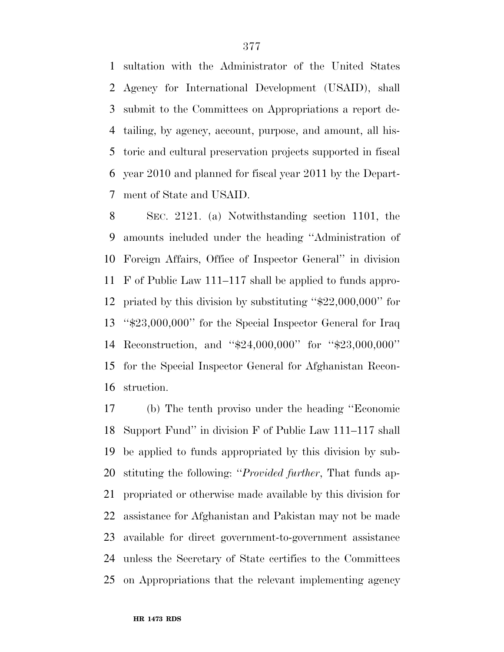sultation with the Administrator of the United States Agency for International Development (USAID), shall submit to the Committees on Appropriations a report de- tailing, by agency, account, purpose, and amount, all his- toric and cultural preservation projects supported in fiscal year 2010 and planned for fiscal year 2011 by the Depart-ment of State and USAID.

 SEC. 2121. (a) Notwithstanding section 1101, the amounts included under the heading ''Administration of Foreign Affairs, Office of Inspector General'' in division F of Public Law 111–117 shall be applied to funds appro- priated by this division by substituting ''\$22,000,000'' for ''\$23,000,000'' for the Special Inspector General for Iraq Reconstruction, and ''\$24,000,000'' for ''\$23,000,000'' for the Special Inspector General for Afghanistan Recon-struction.

 (b) The tenth proviso under the heading ''Economic Support Fund'' in division F of Public Law 111–117 shall be applied to funds appropriated by this division by sub- stituting the following: ''*Provided further*, That funds ap- propriated or otherwise made available by this division for assistance for Afghanistan and Pakistan may not be made available for direct government-to-government assistance unless the Secretary of State certifies to the Committees on Appropriations that the relevant implementing agency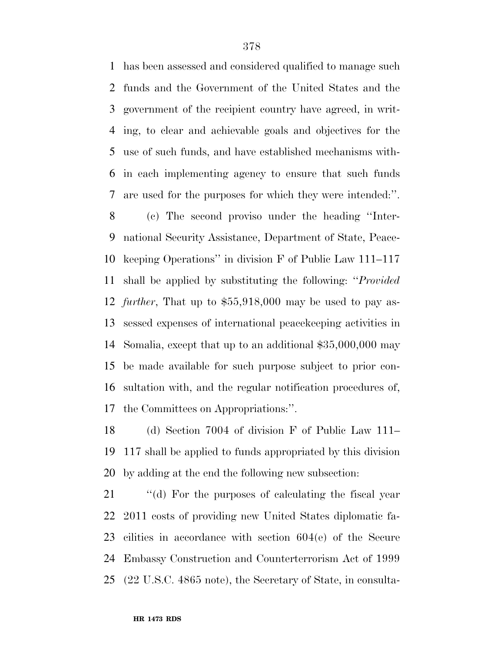has been assessed and considered qualified to manage such funds and the Government of the United States and the government of the recipient country have agreed, in writ- ing, to clear and achievable goals and objectives for the use of such funds, and have established mechanisms with- in each implementing agency to ensure that such funds are used for the purposes for which they were intended:''.

 (c) The second proviso under the heading ''Inter- national Security Assistance, Department of State, Peace- keeping Operations'' in division F of Public Law 111–117 shall be applied by substituting the following: ''*Provided further*, That up to \$55,918,000 may be used to pay as- sessed expenses of international peacekeeping activities in Somalia, except that up to an additional \$35,000,000 may be made available for such purpose subject to prior con- sultation with, and the regular notification procedures of, the Committees on Appropriations:''.

 (d) Section 7004 of division F of Public Law 111– 117 shall be applied to funds appropriated by this division by adding at the end the following new subsection:

21 "(d) For the purposes of calculating the fiscal year 2011 costs of providing new United States diplomatic fa- cilities in accordance with section 604(e) of the Secure Embassy Construction and Counterterrorism Act of 1999 (22 U.S.C. 4865 note), the Secretary of State, in consulta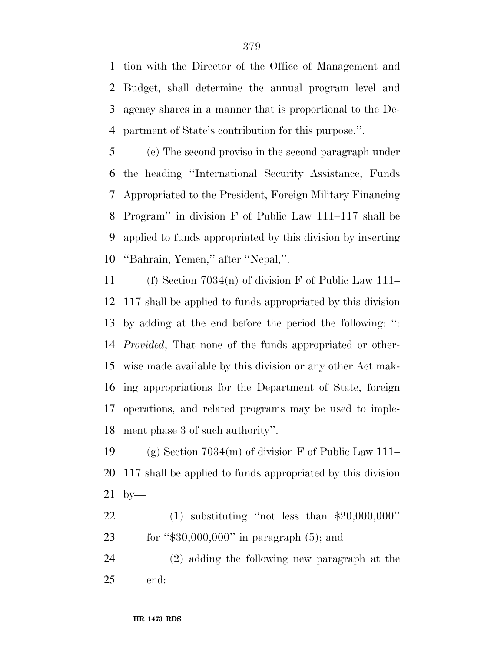tion with the Director of the Office of Management and Budget, shall determine the annual program level and agency shares in a manner that is proportional to the De-partment of State's contribution for this purpose.''.

 (e) The second proviso in the second paragraph under the heading ''International Security Assistance, Funds Appropriated to the President, Foreign Military Financing Program'' in division F of Public Law 111–117 shall be applied to funds appropriated by this division by inserting ''Bahrain, Yemen,'' after ''Nepal,''.

 (f) Section 7034(n) of division F of Public Law 111– 117 shall be applied to funds appropriated by this division by adding at the end before the period the following: '': *Provided*, That none of the funds appropriated or other- wise made available by this division or any other Act mak- ing appropriations for the Department of State, foreign operations, and related programs may be used to imple-ment phase 3 of such authority''.

19 (g) Section  $7034(m)$  of division F of Public Law 111– 117 shall be applied to funds appropriated by this division by—

 (1) substituting ''not less than \$20,000,000'' 23 for "\$30,000,000" in paragraph (5); and

 (2) adding the following new paragraph at the end: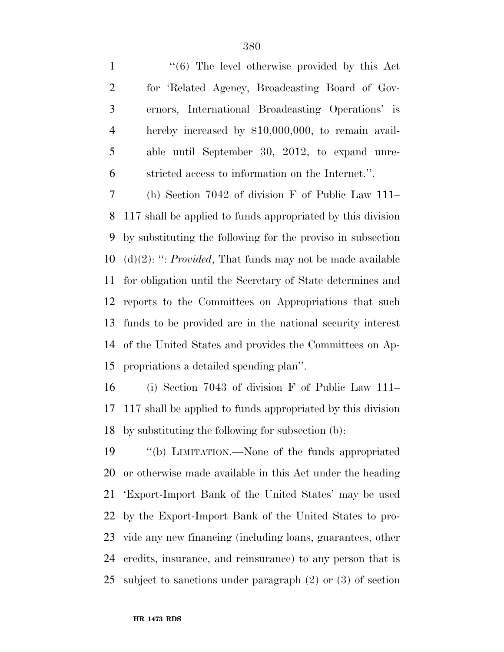1 ''(6) The level otherwise provided by this Act for 'Related Agency, Broadcasting Board of Gov- ernors, International Broadcasting Operations' is hereby increased by \$10,000,000, to remain avail- able until September 30, 2012, to expand unre-stricted access to information on the Internet.''.

 (h) Section 7042 of division F of Public Law 111– 117 shall be applied to funds appropriated by this division by substituting the following for the proviso in subsection (d)(2): '': *Provided*, That funds may not be made available for obligation until the Secretary of State determines and reports to the Committees on Appropriations that such funds to be provided are in the national security interest of the United States and provides the Committees on Ap-propriations a detailed spending plan''.

 (i) Section 7043 of division F of Public Law 111– 117 shall be applied to funds appropriated by this division by substituting the following for subsection (b):

 ''(b) LIMITATION.—None of the funds appropriated or otherwise made available in this Act under the heading 'Export-Import Bank of the United States' may be used by the Export-Import Bank of the United States to pro- vide any new financing (including loans, guarantees, other credits, insurance, and reinsurance) to any person that is subject to sanctions under paragraph (2) or (3) of section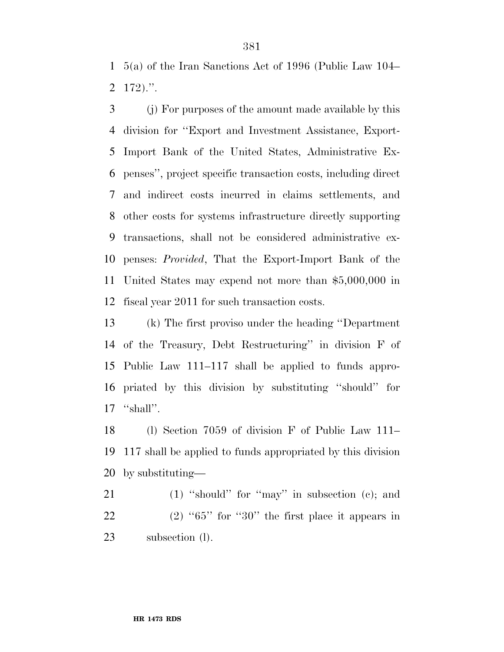5(a) of the Iran Sanctions Act of 1996 (Public Law 104– 172).''.

 (j) For purposes of the amount made available by this division for ''Export and Investment Assistance, Export- Import Bank of the United States, Administrative Ex- penses'', project specific transaction costs, including direct and indirect costs incurred in claims settlements, and other costs for systems infrastructure directly supporting transactions, shall not be considered administrative ex- penses: *Provided*, That the Export-Import Bank of the United States may expend not more than \$5,000,000 in fiscal year 2011 for such transaction costs.

 (k) The first proviso under the heading ''Department of the Treasury, Debt Restructuring'' in division F of Public Law 111–117 shall be applied to funds appro- priated by this division by substituting ''should'' for 17 "shall".

 (l) Section 7059 of division F of Public Law 111– 117 shall be applied to funds appropriated by this division by substituting—

21 (1) "should" for "may" in subsection (c); and 22 (2) "" for " $30$ " the first place it appears in subsection (l).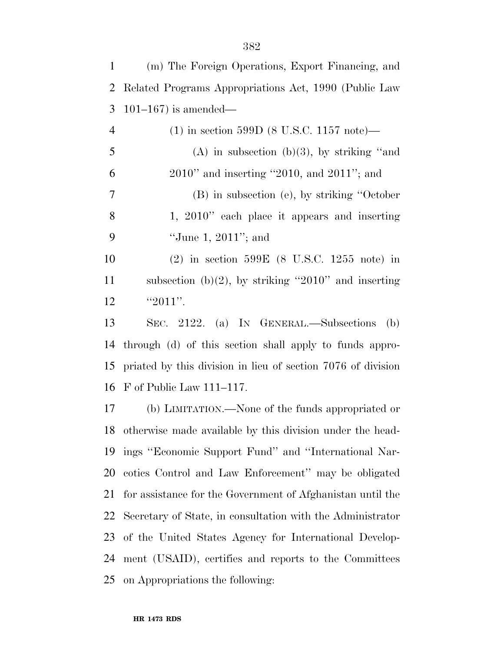| $\mathbf{1}$   | (m) The Foreign Operations, Export Financing, and            |
|----------------|--------------------------------------------------------------|
| 2              | Related Programs Appropriations Act, 1990 (Public Law        |
| 3              | $101-167$ ) is amended—                                      |
| $\overline{4}$ | $(1)$ in section 599D (8 U.S.C. 1157 note)—                  |
| 5              | $(A)$ in subsection $(b)(3)$ , by striking "and              |
| 6              | $2010"$ and inserting "2010, and $2011"$ ; and               |
| $\overline{7}$ | (B) in subsection (e), by striking "October                  |
| 8              | 1, $2010$ " each place it appears and inserting              |
| 9              | "June 1, $2011$ "; and                                       |
| 10             | (2) in section $599E$ (8 U.S.C. 1255 note) in                |
| 11             | subsection (b)(2), by striking "2010" and inserting          |
| 12             | " $2011$ ".                                                  |
| 13             | SEC. 2122. (a) IN GENERAL.—Subsections<br>(b)                |
| 14             | through (d) of this section shall apply to funds appro-      |
| 15             | priated by this division in lieu of section 7076 of division |
| 16             | $F$ of Public Law 111–117.                                   |
| 17             | (b) LIMITATION.—None of the funds appropriated or            |
| 18             | otherwise made available by this division under the head-    |
| 19             | ings "Economic Support Fund" and "International Nar-         |
| 20             | cotics Control and Law Enforcement" may be obligated         |
| 21             | for assistance for the Government of Afghanistan until the   |
| 22             | Secretary of State, in consultation with the Administrator   |
| 23             | of the United States Agency for International Develop-       |
| 24             | ment (USAID), certifies and reports to the Committees        |
| 25             | on Appropriations the following:                             |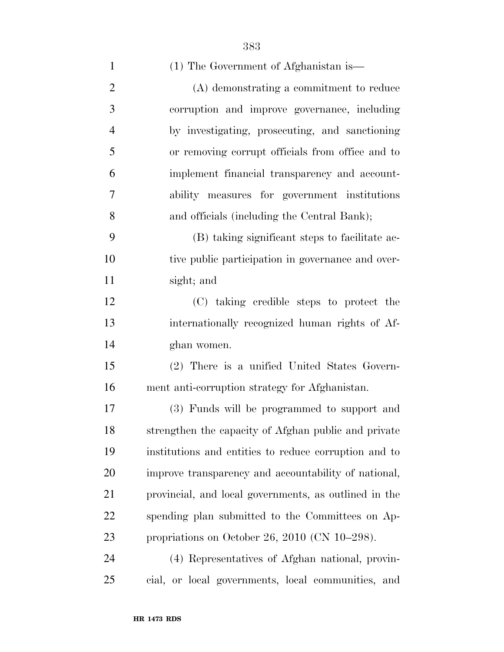|                | 383                                                  |
|----------------|------------------------------------------------------|
| $\mathbf{1}$   | (1) The Government of Afghanistan is—                |
| $\mathbf{2}$   | (A) demonstrating a commitment to reduce             |
| 3              | corruption and improve governance, including         |
| $\overline{4}$ | by investigating, prosecuting, and sanctioning       |
| 5              | or removing corrupt officials from office and to     |
| 6              | implement financial transparency and account-        |
| $\overline{7}$ | ability measures for government institutions         |
| 8              | and officials (including the Central Bank);          |
| 9              | (B) taking significant steps to facilitate ac-       |
| 10             | tive public participation in governance and over-    |
| 11             | sight; and                                           |
| 12             | (C) taking credible steps to protect the             |
| 13             | internationally recognized human rights of Af-       |
| 14             | ghan women.                                          |
| 15             | (2) There is a unified United States Govern-         |
| 16             | ment anti-corruption strategy for Afghanistan.       |
| 17             | (3) Funds will be programmed to support and          |
| 18             | strengthen the capacity of Afghan public and private |

 strengthen the capacity of Afghan public and private institutions and entities to reduce corruption and to improve transparency and accountability of national, provincial, and local governments, as outlined in the spending plan submitted to the Committees on Ap-propriations on October 26, 2010 (CN 10–298).

 (4) Representatives of Afghan national, provin-cial, or local governments, local communities, and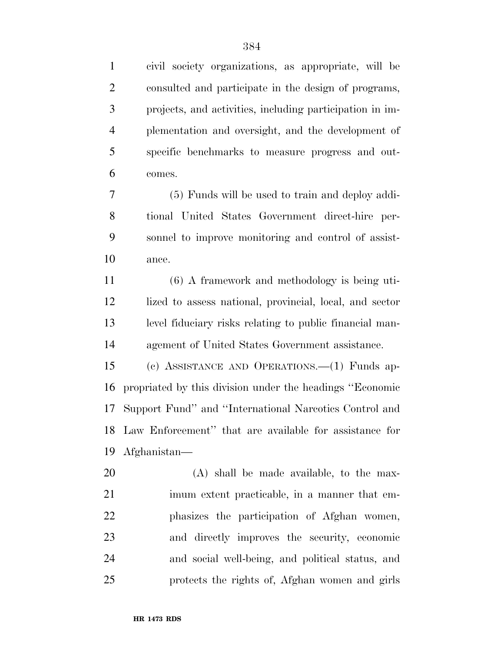civil society organizations, as appropriate, will be consulted and participate in the design of programs, projects, and activities, including participation in im- plementation and oversight, and the development of specific benchmarks to measure progress and out-comes.

 (5) Funds will be used to train and deploy addi- tional United States Government direct-hire per- sonnel to improve monitoring and control of assist-ance.

 (6) A framework and methodology is being uti- lized to assess national, provincial, local, and sector level fiduciary risks relating to public financial man-agement of United States Government assistance.

 (c) ASSISTANCE AND OPERATIONS.—(1) Funds ap- propriated by this division under the headings ''Economic Support Fund'' and ''International Narcotics Control and Law Enforcement'' that are available for assistance for Afghanistan—

 (A) shall be made available, to the max- imum extent practicable, in a manner that em- phasizes the participation of Afghan women, and directly improves the security, economic and social well-being, and political status, and protects the rights of, Afghan women and girls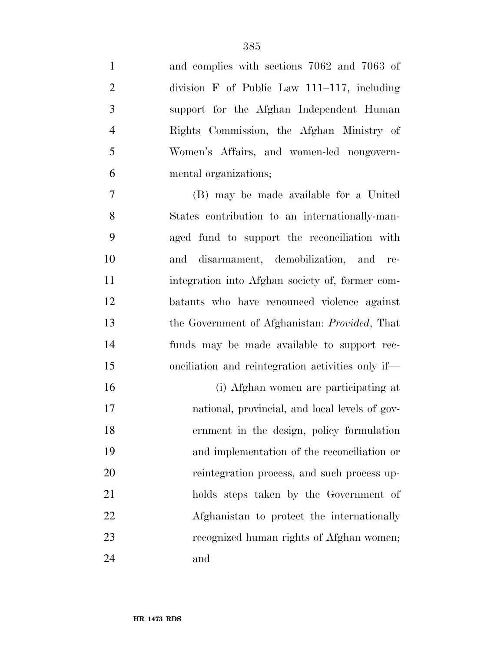and complies with sections 7062 and 7063 of division F of Public Law 111–117, including support for the Afghan Independent Human Rights Commission, the Afghan Ministry of Women's Affairs, and women-led nongovern-mental organizations;

 (B) may be made available for a United States contribution to an internationally-man- aged fund to support the reconciliation with and disarmament, demobilization, and re- integration into Afghan society of, former com- batants who have renounced violence against the Government of Afghanistan: *Provided*, That funds may be made available to support rec-onciliation and reintegration activities only if—

 (i) Afghan women are participating at national, provincial, and local levels of gov- ernment in the design, policy formulation and implementation of the reconciliation or reintegration process, and such process up- holds steps taken by the Government of Afghanistan to protect the internationally recognized human rights of Afghan women; and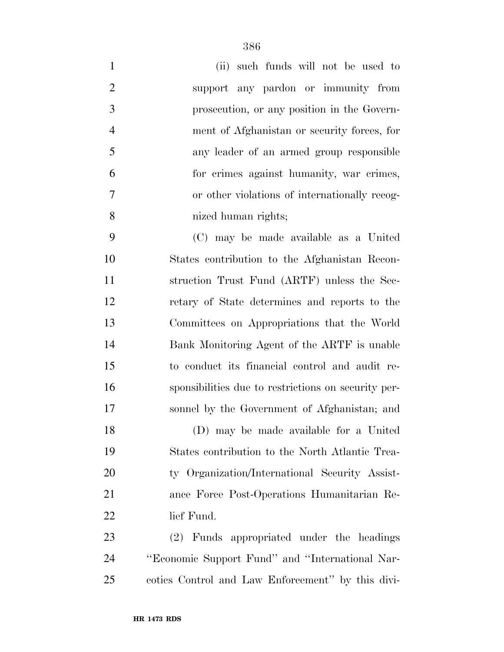| $\mathbf{1}$   | such funds will not be used to<br>(ii)              |
|----------------|-----------------------------------------------------|
| $\overline{2}$ | support any pardon or immunity from                 |
| 3              | prosecution, or any position in the Govern-         |
| $\overline{4}$ | ment of Afghanistan or security forces, for         |
| 5              | any leader of an armed group responsible            |
| 6              | for crimes against humanity, war crimes,            |
| $\overline{7}$ | or other violations of internationally recog-       |
| 8              | nized human rights;                                 |
| 9              | (C) may be made available as a United               |
| 10             | States contribution to the Afghanistan Recon-       |
| 11             | struction Trust Fund (ARTF) unless the Sec-         |
| 12             | retary of State determines and reports to the       |
| 13             | Committees on Appropriations that the World         |
| 14             | Bank Monitoring Agent of the ARTF is unable         |
| 15             | to conduct its financial control and audit re-      |
| 16             | sponsibilities due to restrictions on security per- |
| 17             | sonnel by the Government of Afghanistan; and        |
| 18             | (D) may be made available for a United              |
| 19             | States contribution to the North Atlantic Trea-     |
| 20             | ty Organization/International Security Assist-      |
| 21             | ance Force Post-Operations Humanitarian Re-         |
| 22             | lief Fund.                                          |
| 23             | (2) Funds appropriated under the headings           |
| 24             | "Economic Support Fund" and "International Nar-     |
| 25             | cotics Control and Law Enforcement" by this divi-   |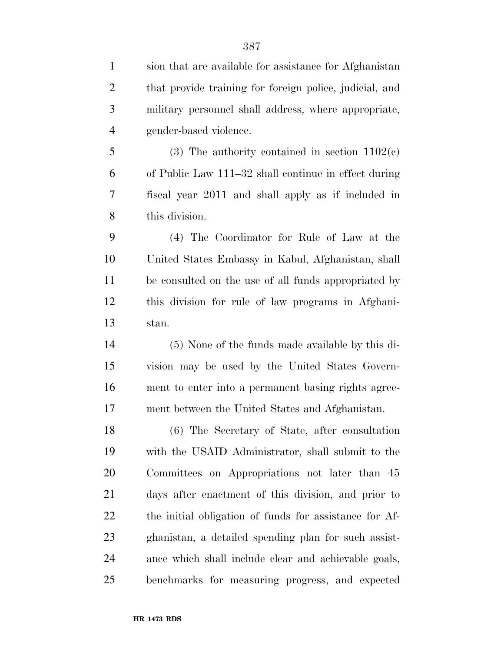| $\mathbf{1}$   | sion that are available for assistance for Afghanistan  |
|----------------|---------------------------------------------------------|
| $\overline{2}$ | that provide training for foreign police, judicial, and |
| 3              | military personnel shall address, where appropriate,    |
| $\overline{4}$ | gender-based violence.                                  |
| 5              | (3) The authority contained in section $1102(c)$        |
| 6              | of Public Law 111–32 shall continue in effect during    |
| 7              | fiscal year 2011 and shall apply as if included in      |
| 8              | this division.                                          |
| 9              | (4) The Coordinator for Rule of Law at the              |
| 10             | United States Embassy in Kabul, Afghanistan, shall      |
| 11             | be consulted on the use of all funds appropriated by    |
| 12             | this division for rule of law programs in Afghani-      |
| 13             | stan.                                                   |
| 14             | (5) None of the funds made available by this di-        |
| 15             | vision may be used by the United States Govern-         |
| 16             | ment to enter into a permanent basing rights agree-     |
| 17             | ment between the United States and Afghanistan.         |
| 18             | (6) The Secretary of State, after consultation          |
| 19             | with the USAID Administrator, shall submit to the       |
| 20             | Committees on Appropriations not later than 45          |
| 21             | days after enactment of this division, and prior to     |
| 22             | the initial obligation of funds for assistance for Af-  |
| 23             | ghanistan, a detailed spending plan for such assist-    |
| 24             | ance which shall include clear and achievable goals,    |
| 25             | benchmarks for measuring progress, and expected         |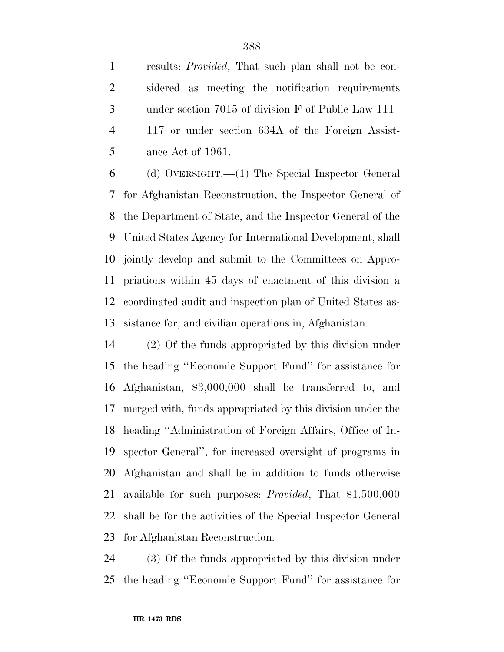results: *Provided*, That such plan shall not be con- sidered as meeting the notification requirements under section 7015 of division F of Public Law 111– 117 or under section 634A of the Foreign Assist-ance Act of 1961.

 (d) OVERSIGHT.—(1) The Special Inspector General for Afghanistan Reconstruction, the Inspector General of the Department of State, and the Inspector General of the United States Agency for International Development, shall jointly develop and submit to the Committees on Appro- priations within 45 days of enactment of this division a coordinated audit and inspection plan of United States as-sistance for, and civilian operations in, Afghanistan.

 (2) Of the funds appropriated by this division under the heading ''Economic Support Fund'' for assistance for Afghanistan, \$3,000,000 shall be transferred to, and merged with, funds appropriated by this division under the heading ''Administration of Foreign Affairs, Office of In- spector General'', for increased oversight of programs in Afghanistan and shall be in addition to funds otherwise available for such purposes: *Provided*, That \$1,500,000 shall be for the activities of the Special Inspector General for Afghanistan Reconstruction.

 (3) Of the funds appropriated by this division under the heading ''Economic Support Fund'' for assistance for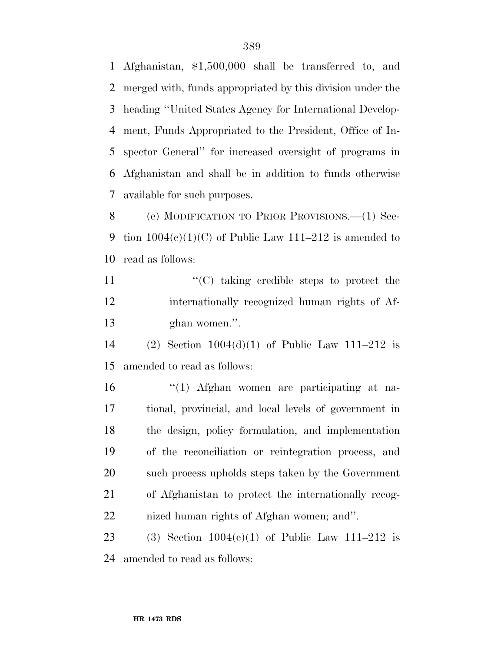Afghanistan, \$1,500,000 shall be transferred to, and merged with, funds appropriated by this division under the heading ''United States Agency for International Develop- ment, Funds Appropriated to the President, Office of In- spector General'' for increased oversight of programs in Afghanistan and shall be in addition to funds otherwise available for such purposes.

8 (e) MODIFICATION TO PRIOR PROVISIONS.—(1) Sec-9 tion  $1004(e)(1)(C)$  of Public Law  $111-212$  is amended to read as follows:

11  $\langle (C)$  taking credible steps to protect the internationally recognized human rights of Af-ghan women.''.

 (2) Section 1004(d)(1) of Public Law 111–212 is amended to read as follows:

 ''(1) Afghan women are participating at na- tional, provincial, and local levels of government in the design, policy formulation, and implementation of the reconciliation or reintegration process, and such process upholds steps taken by the Government of Afghanistan to protect the internationally recog-nized human rights of Afghan women; and''.

23 (3) Section  $1004(e)(1)$  of Public Law  $111-212$  is amended to read as follows: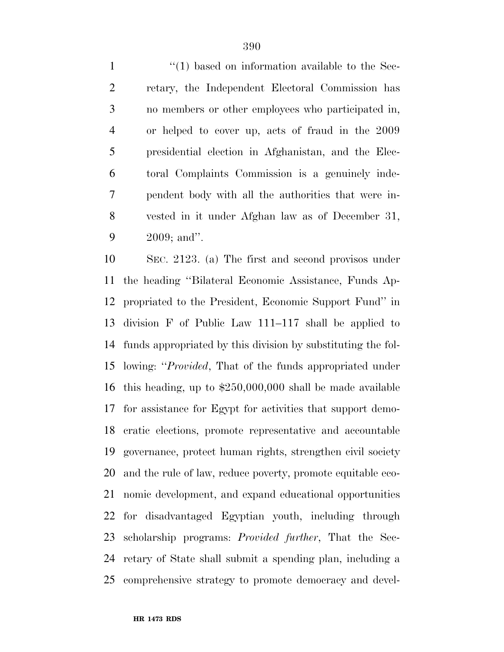$\frac{1}{1}$   $\frac{1}{2}$  based on information available to the Sec- retary, the Independent Electoral Commission has no members or other employees who participated in, or helped to cover up, acts of fraud in the 2009 presidential election in Afghanistan, and the Elec- toral Complaints Commission is a genuinely inde- pendent body with all the authorities that were in- vested in it under Afghan law as of December 31, 2009; and''.

 SEC. 2123. (a) The first and second provisos under the heading ''Bilateral Economic Assistance, Funds Ap- propriated to the President, Economic Support Fund'' in division F of Public Law 111–117 shall be applied to funds appropriated by this division by substituting the fol- lowing: ''*Provided*, That of the funds appropriated under this heading, up to \$250,000,000 shall be made available for assistance for Egypt for activities that support demo- cratic elections, promote representative and accountable governance, protect human rights, strengthen civil society and the rule of law, reduce poverty, promote equitable eco- nomic development, and expand educational opportunities for disadvantaged Egyptian youth, including through scholarship programs: *Provided further*, That the Sec- retary of State shall submit a spending plan, including a comprehensive strategy to promote democracy and devel-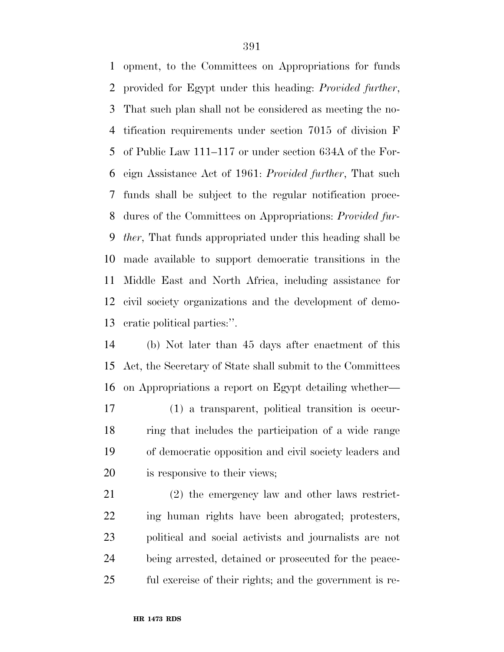opment, to the Committees on Appropriations for funds provided for Egypt under this heading: *Provided further*, That such plan shall not be considered as meeting the no- tification requirements under section 7015 of division F of Public Law 111–117 or under section 634A of the For- eign Assistance Act of 1961: *Provided further*, That such funds shall be subject to the regular notification proce- dures of the Committees on Appropriations: *Provided fur- ther*, That funds appropriated under this heading shall be made available to support democratic transitions in the Middle East and North Africa, including assistance for civil society organizations and the development of demo-cratic political parties:''.

 (b) Not later than 45 days after enactment of this Act, the Secretary of State shall submit to the Committees on Appropriations a report on Egypt detailing whether—

 (1) a transparent, political transition is occur- ring that includes the participation of a wide range of democratic opposition and civil society leaders and is responsive to their views;

 (2) the emergency law and other laws restrict- ing human rights have been abrogated; protesters, political and social activists and journalists are not being arrested, detained or prosecuted for the peace-ful exercise of their rights; and the government is re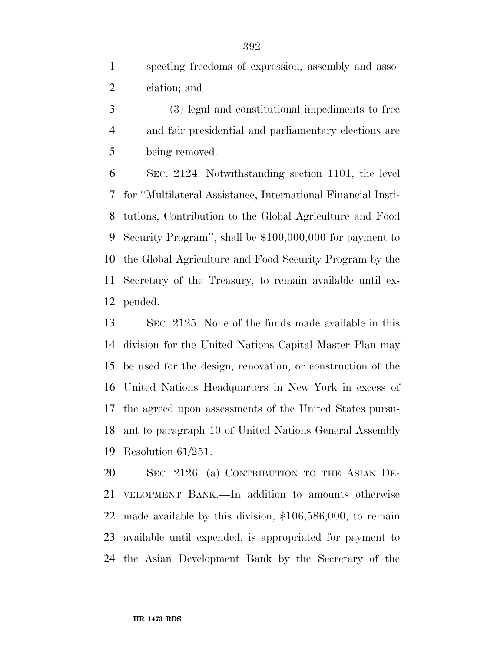specting freedoms of expression, assembly and asso-ciation; and

 (3) legal and constitutional impediments to free and fair presidential and parliamentary elections are being removed.

 SEC. 2124. Notwithstanding section 1101, the level for ''Multilateral Assistance, International Financial Insti- tutions, Contribution to the Global Agriculture and Food Security Program'', shall be \$100,000,000 for payment to the Global Agriculture and Food Security Program by the Secretary of the Treasury, to remain available until ex-pended.

 SEC. 2125. None of the funds made available in this division for the United Nations Capital Master Plan may be used for the design, renovation, or construction of the United Nations Headquarters in New York in excess of the agreed upon assessments of the United States pursu- ant to paragraph 10 of United Nations General Assembly Resolution 61/251.

 SEC. 2126. (a) CONTRIBUTION TO THE ASIAN DE- VELOPMENT BANK.—In addition to amounts otherwise made available by this division, \$106,586,000, to remain available until expended, is appropriated for payment to the Asian Development Bank by the Secretary of the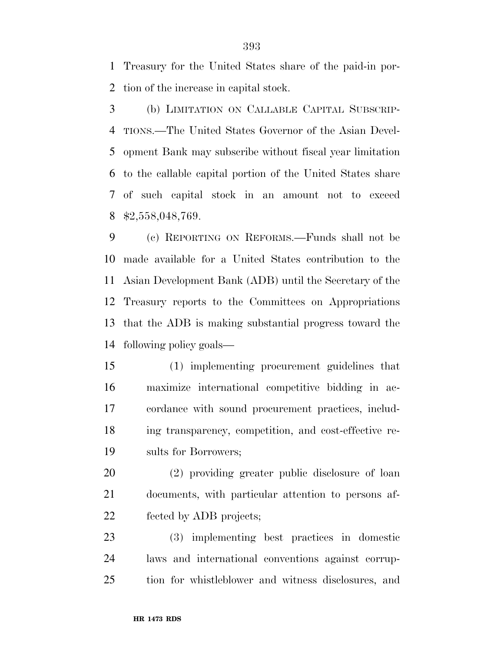Treasury for the United States share of the paid-in por-tion of the increase in capital stock.

 (b) LIMITATION ON CALLABLE CAPITAL SUBSCRIP- TIONS.—The United States Governor of the Asian Devel- opment Bank may subscribe without fiscal year limitation to the callable capital portion of the United States share of such capital stock in an amount not to exceed \$2,558,048,769.

 (c) REPORTING ON REFORMS.—Funds shall not be made available for a United States contribution to the Asian Development Bank (ADB) until the Secretary of the Treasury reports to the Committees on Appropriations that the ADB is making substantial progress toward the following policy goals—

 (1) implementing procurement guidelines that maximize international competitive bidding in ac- cordance with sound procurement practices, includ- ing transparency, competition, and cost-effective re-sults for Borrowers;

 (2) providing greater public disclosure of loan documents, with particular attention to persons af-fected by ADB projects;

 (3) implementing best practices in domestic laws and international conventions against corrup-tion for whistleblower and witness disclosures, and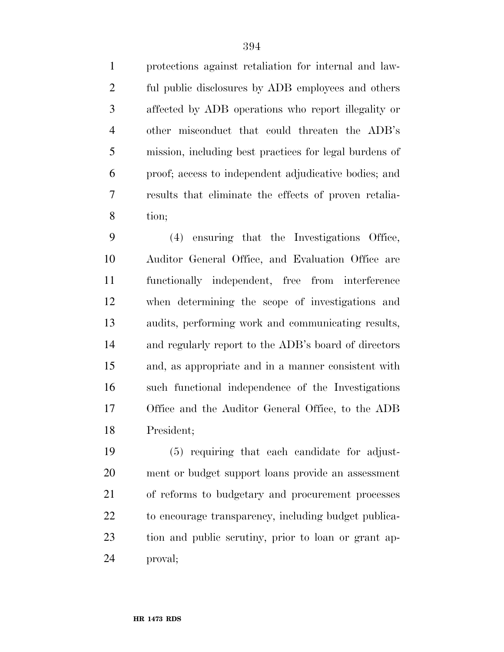protections against retaliation for internal and law- ful public disclosures by ADB employees and others affected by ADB operations who report illegality or other misconduct that could threaten the ADB's mission, including best practices for legal burdens of proof; access to independent adjudicative bodies; and results that eliminate the effects of proven retalia-tion;

 (4) ensuring that the Investigations Office, Auditor General Office, and Evaluation Office are functionally independent, free from interference when determining the scope of investigations and audits, performing work and communicating results, and regularly report to the ADB's board of directors and, as appropriate and in a manner consistent with such functional independence of the Investigations Office and the Auditor General Office, to the ADB President;

 (5) requiring that each candidate for adjust- ment or budget support loans provide an assessment of reforms to budgetary and procurement processes 22 to encourage transparency, including budget publica- tion and public scrutiny, prior to loan or grant ap-proval;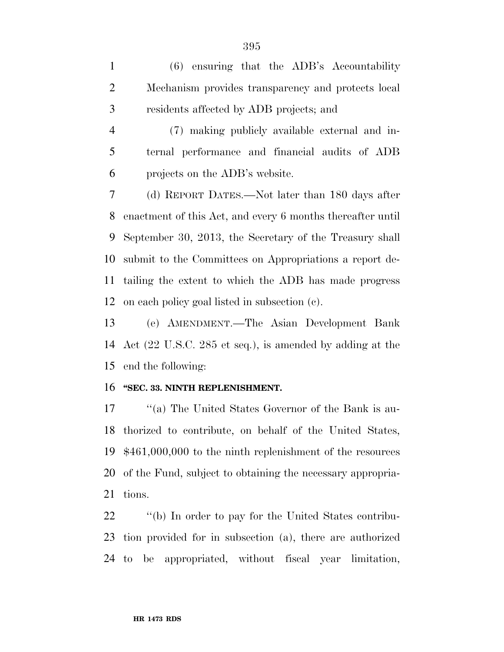(6) ensuring that the ADB's Accountability Mechanism provides transparency and protects local residents affected by ADB projects; and

 (7) making publicly available external and in- ternal performance and financial audits of ADB projects on the ADB's website.

 (d) REPORT DATES.—Not later than 180 days after enactment of this Act, and every 6 months thereafter until September 30, 2013, the Secretary of the Treasury shall submit to the Committees on Appropriations a report de- tailing the extent to which the ADB has made progress on each policy goal listed in subsection (c).

 (e) AMENDMENT.—The Asian Development Bank Act (22 U.S.C. 285 et seq.), is amended by adding at the end the following:

## **''SEC. 33. NINTH REPLENISHMENT.**

17 ''(a) The United States Governor of the Bank is au- thorized to contribute, on behalf of the United States, \$461,000,000 to the ninth replenishment of the resources of the Fund, subject to obtaining the necessary appropria-tions.

22  $\qquad$  "(b) In order to pay for the United States contribu- tion provided for in subsection (a), there are authorized to be appropriated, without fiscal year limitation,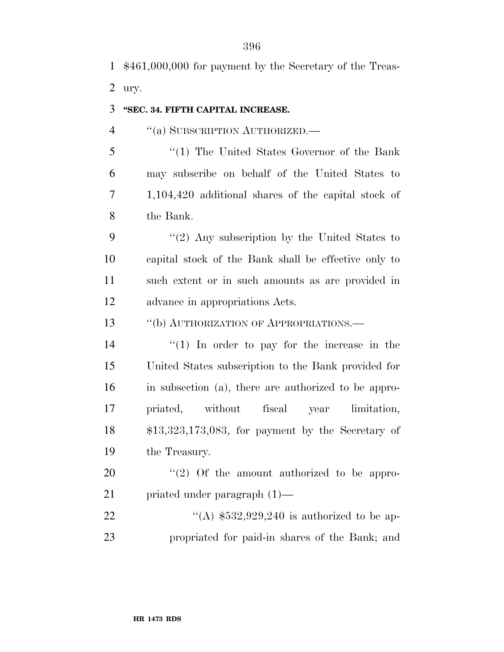\$461,000,000 for payment by the Secretary of the Treas-ury.

## **''SEC. 34. FIFTH CAPITAL INCREASE.**

4 "(a) SUBSCRIPTION AUTHORIZED.—

 ''(1) The United States Governor of the Bank may subscribe on behalf of the United States to 1,104,420 additional shares of the capital stock of the Bank.

 $\frac{1}{2}$  Any subscription by the United States to capital stock of the Bank shall be effective only to such extent or in such amounts as are provided in advance in appropriations Acts.

13 "(b) AUTHORIZATION OF APPROPRIATIONS.—

 $(1)$  In order to pay for the increase in the United States subscription to the Bank provided for in subsection (a), there are authorized to be appro- priated, without fiscal year limitation, \$13,323,173,083, for payment by the Secretary of the Treasury.

 ''(2) Of the amount authorized to be appro-priated under paragraph (1)—

22  $\text{``(A) $532,929,240 is authorized to be ap-}$ propriated for paid-in shares of the Bank; and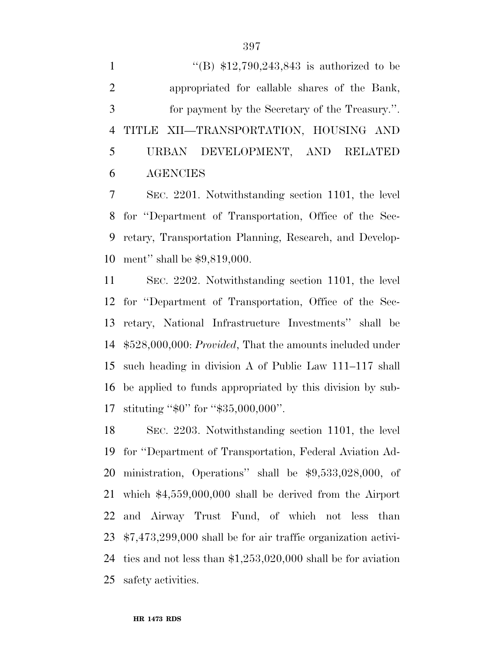$\text{``(B) $12,790,243,843 is authorized to be}$  appropriated for callable shares of the Bank, for payment by the Secretary of the Treasury.''. TITLE XII—TRANSPORTATION, HOUSING AND URBAN DEVELOPMENT, AND RELATED AGENCIES

 SEC. 2201. Notwithstanding section 1101, the level for ''Department of Transportation, Office of the Sec- retary, Transportation Planning, Research, and Develop-ment'' shall be \$9,819,000.

 SEC. 2202. Notwithstanding section 1101, the level for ''Department of Transportation, Office of the Sec- retary, National Infrastructure Investments'' shall be \$528,000,000: *Provided*, That the amounts included under such heading in division A of Public Law 111–117 shall be applied to funds appropriated by this division by sub-stituting ''\$0'' for ''\$35,000,000''.

 SEC. 2203. Notwithstanding section 1101, the level for ''Department of Transportation, Federal Aviation Ad- ministration, Operations'' shall be \$9,533,028,000, of which \$4,559,000,000 shall be derived from the Airport and Airway Trust Fund, of which not less than \$7,473,299,000 shall be for air traffic organization activi- ties and not less than \$1,253,020,000 shall be for aviation safety activities.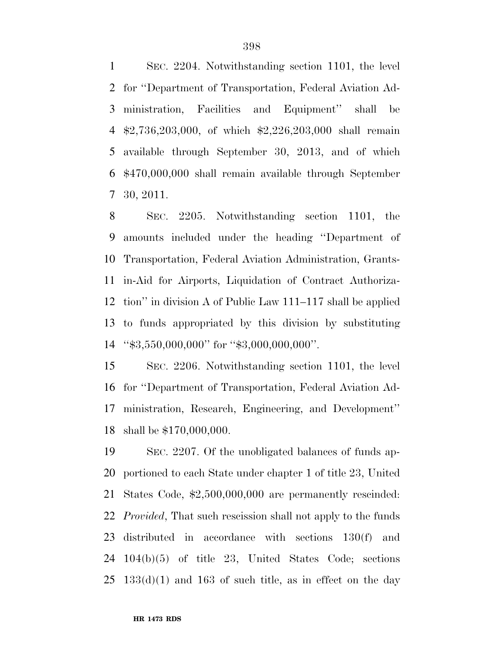SEC. 2204. Notwithstanding section 1101, the level for ''Department of Transportation, Federal Aviation Ad- ministration, Facilities and Equipment'' shall be \$2,736,203,000, of which \$2,226,203,000 shall remain available through September 30, 2013, and of which \$470,000,000 shall remain available through September 30, 2011.

 SEC. 2205. Notwithstanding section 1101, the amounts included under the heading ''Department of Transportation, Federal Aviation Administration, Grants- in-Aid for Airports, Liquidation of Contract Authoriza- tion'' in division A of Public Law 111–117 shall be applied to funds appropriated by this division by substituting ''\$3,550,000,000'' for ''\$3,000,000,000''.

 SEC. 2206. Notwithstanding section 1101, the level for ''Department of Transportation, Federal Aviation Ad- ministration, Research, Engineering, and Development'' shall be \$170,000,000.

 SEC. 2207. Of the unobligated balances of funds ap- portioned to each State under chapter 1 of title 23, United States Code, \$2,500,000,000 are permanently rescinded: *Provided*, That such rescission shall not apply to the funds distributed in accordance with sections 130(f) and 104(b)(5) of title 23, United States Code; sections  $25 \text{ } 133\text{ (d)}(1)$  and  $163 \text{ of such title}$ , as in effect on the day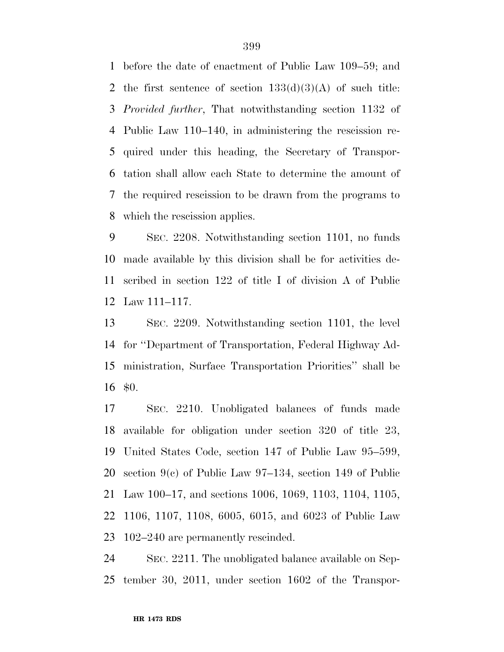before the date of enactment of Public Law 109–59; and 2 the first sentence of section  $133(d)(3)(A)$  of such title: *Provided further*, That notwithstanding section 1132 of Public Law 110–140, in administering the rescission re- quired under this heading, the Secretary of Transpor- tation shall allow each State to determine the amount of the required rescission to be drawn from the programs to which the rescission applies.

 SEC. 2208. Notwithstanding section 1101, no funds made available by this division shall be for activities de- scribed in section 122 of title I of division A of Public Law 111–117.

 SEC. 2209. Notwithstanding section 1101, the level for ''Department of Transportation, Federal Highway Ad- ministration, Surface Transportation Priorities'' shall be \$0.

 SEC. 2210. Unobligated balances of funds made available for obligation under section 320 of title 23, United States Code, section 147 of Public Law 95–599, section 9(c) of Public Law 97–134, section 149 of Public Law 100–17, and sections 1006, 1069, 1103, 1104, 1105, 1106, 1107, 1108, 6005, 6015, and 6023 of Public Law 102–240 are permanently rescinded.

 SEC. 2211. The unobligated balance available on Sep-tember 30, 2011, under section 1602 of the Transpor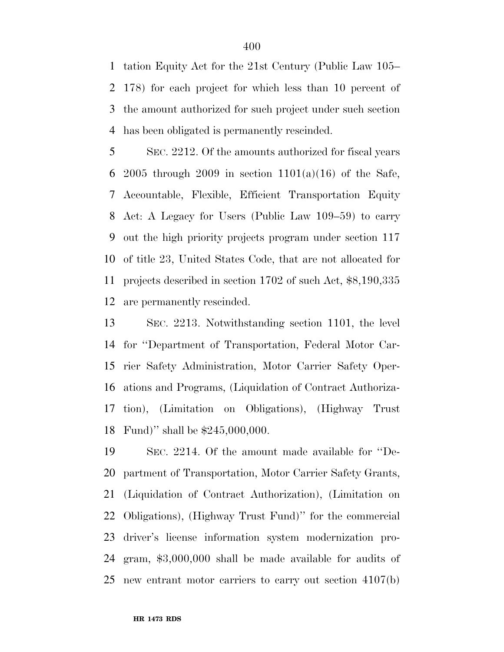tation Equity Act for the 21st Century (Public Law 105– 178) for each project for which less than 10 percent of the amount authorized for such project under such section has been obligated is permanently rescinded.

 SEC. 2212. Of the amounts authorized for fiscal years 6 2005 through 2009 in section  $1101(a)(16)$  of the Safe, Accountable, Flexible, Efficient Transportation Equity Act: A Legacy for Users (Public Law 109–59) to carry out the high priority projects program under section 117 of title 23, United States Code, that are not allocated for projects described in section 1702 of such Act, \$8,190,335 are permanently rescinded.

 SEC. 2213. Notwithstanding section 1101, the level for ''Department of Transportation, Federal Motor Car- rier Safety Administration, Motor Carrier Safety Oper- ations and Programs, (Liquidation of Contract Authoriza- tion), (Limitation on Obligations), (Highway Trust Fund)'' shall be \$245,000,000.

 SEC. 2214. Of the amount made available for ''De- partment of Transportation, Motor Carrier Safety Grants, (Liquidation of Contract Authorization), (Limitation on Obligations), (Highway Trust Fund)'' for the commercial driver's license information system modernization pro- gram, \$3,000,000 shall be made available for audits of new entrant motor carriers to carry out section 4107(b)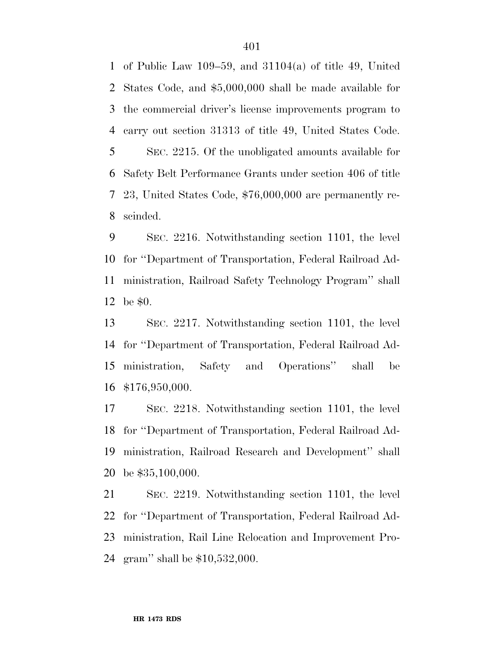of Public Law 109–59, and 31104(a) of title 49, United States Code, and \$5,000,000 shall be made available for the commercial driver's license improvements program to carry out section 31313 of title 49, United States Code. SEC. 2215. Of the unobligated amounts available for Safety Belt Performance Grants under section 406 of title 23, United States Code, \$76,000,000 are permanently re-scinded.

 SEC. 2216. Notwithstanding section 1101, the level for ''Department of Transportation, Federal Railroad Ad- ministration, Railroad Safety Technology Program'' shall be \$0.

 SEC. 2217. Notwithstanding section 1101, the level for ''Department of Transportation, Federal Railroad Ad- ministration, Safety and Operations'' shall be \$176,950,000.

 SEC. 2218. Notwithstanding section 1101, the level for ''Department of Transportation, Federal Railroad Ad- ministration, Railroad Research and Development'' shall be \$35,100,000.

 SEC. 2219. Notwithstanding section 1101, the level for ''Department of Transportation, Federal Railroad Ad- ministration, Rail Line Relocation and Improvement Pro-gram'' shall be \$10,532,000.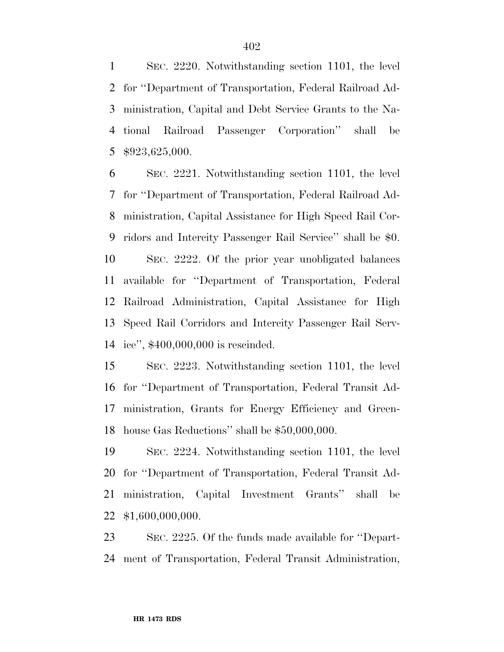SEC. 2220. Notwithstanding section 1101, the level for ''Department of Transportation, Federal Railroad Ad- ministration, Capital and Debt Service Grants to the Na- tional Railroad Passenger Corporation'' shall be \$923,625,000.

 SEC. 2221. Notwithstanding section 1101, the level for ''Department of Transportation, Federal Railroad Ad- ministration, Capital Assistance for High Speed Rail Cor- ridors and Intercity Passenger Rail Service'' shall be \$0. SEC. 2222. Of the prior year unobligated balances available for ''Department of Transportation, Federal Railroad Administration, Capital Assistance for High Speed Rail Corridors and Intercity Passenger Rail Serv-ice'', \$400,000,000 is rescinded.

 SEC. 2223. Notwithstanding section 1101, the level for ''Department of Transportation, Federal Transit Ad- ministration, Grants for Energy Efficiency and Green-house Gas Reductions'' shall be \$50,000,000.

 SEC. 2224. Notwithstanding section 1101, the level for ''Department of Transportation, Federal Transit Ad- ministration, Capital Investment Grants'' shall be \$1,600,000,000.

 SEC. 2225. Of the funds made available for ''Depart-ment of Transportation, Federal Transit Administration,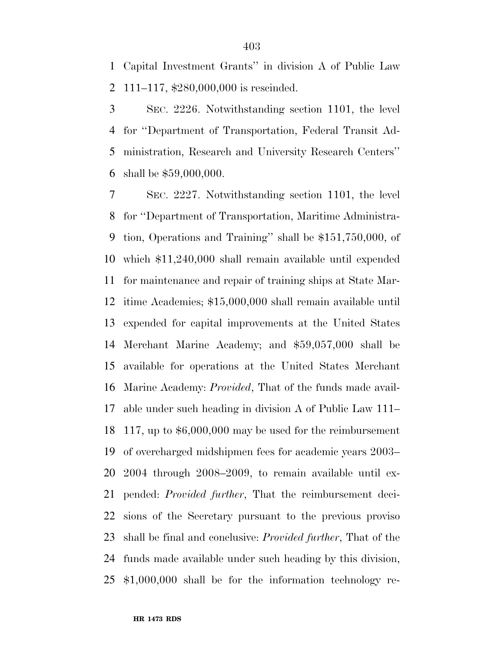Capital Investment Grants'' in division A of Public Law 111–117, \$280,000,000 is rescinded.

 SEC. 2226. Notwithstanding section 1101, the level for ''Department of Transportation, Federal Transit Ad- ministration, Research and University Research Centers'' shall be \$59,000,000.

 SEC. 2227. Notwithstanding section 1101, the level for ''Department of Transportation, Maritime Administra- tion, Operations and Training'' shall be \$151,750,000, of which \$11,240,000 shall remain available until expended for maintenance and repair of training ships at State Mar- itime Academies; \$15,000,000 shall remain available until expended for capital improvements at the United States Merchant Marine Academy; and \$59,057,000 shall be available for operations at the United States Merchant Marine Academy: *Provided*, That of the funds made avail- able under such heading in division A of Public Law 111– 117, up to \$6,000,000 may be used for the reimbursement of overcharged midshipmen fees for academic years 2003– 2004 through 2008–2009, to remain available until ex- pended: *Provided further*, That the reimbursement deci- sions of the Secretary pursuant to the previous proviso shall be final and conclusive: *Provided further*, That of the funds made available under such heading by this division, \$1,000,000 shall be for the information technology re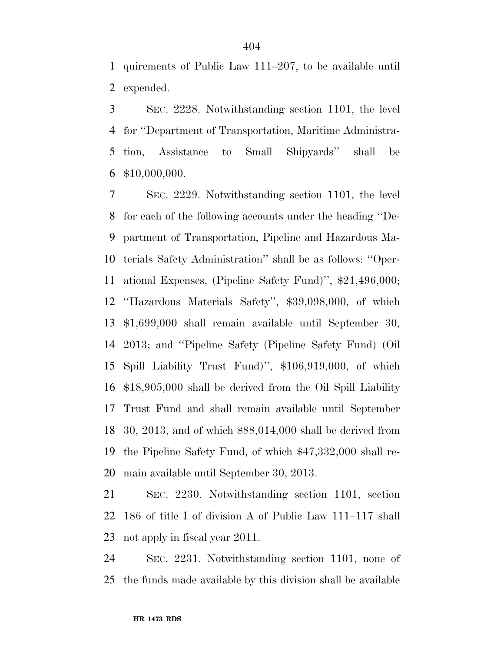quirements of Public Law 111–207, to be available until expended.

 SEC. 2228. Notwithstanding section 1101, the level for ''Department of Transportation, Maritime Administra- tion, Assistance to Small Shipyards'' shall be \$10,000,000.

 SEC. 2229. Notwithstanding section 1101, the level for each of the following accounts under the heading ''De- partment of Transportation, Pipeline and Hazardous Ma- terials Safety Administration'' shall be as follows: ''Oper- ational Expenses, (Pipeline Safety Fund)'', \$21,496,000; ''Hazardous Materials Safety'', \$39,098,000, of which \$1,699,000 shall remain available until September 30, 2013; and ''Pipeline Safety (Pipeline Safety Fund) (Oil Spill Liability Trust Fund)'', \$106,919,000, of which \$18,905,000 shall be derived from the Oil Spill Liability Trust Fund and shall remain available until September 30, 2013, and of which \$88,014,000 shall be derived from the Pipeline Safety Fund, of which \$47,332,000 shall re-main available until September 30, 2013.

 SEC. 2230. Notwithstanding section 1101, section 186 of title I of division A of Public Law 111–117 shall not apply in fiscal year 2011.

 SEC. 2231. Notwithstanding section 1101, none of the funds made available by this division shall be available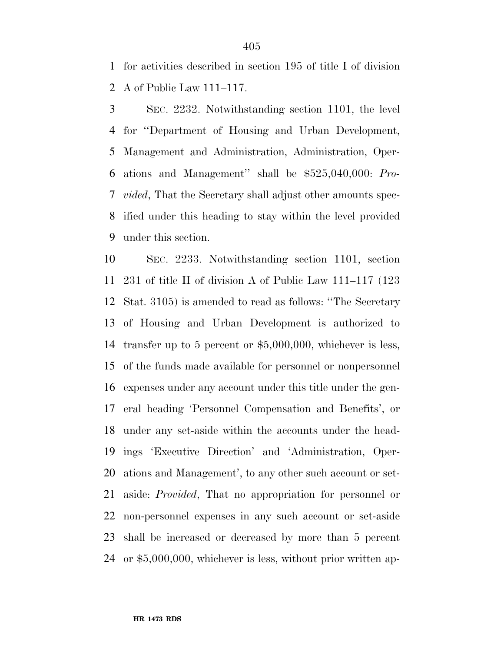for activities described in section 195 of title I of division A of Public Law 111–117.

 SEC. 2232. Notwithstanding section 1101, the level for ''Department of Housing and Urban Development, Management and Administration, Administration, Oper- ations and Management'' shall be \$525,040,000: *Pro- vided*, That the Secretary shall adjust other amounts spec- ified under this heading to stay within the level provided under this section.

 SEC. 2233. Notwithstanding section 1101, section 231 of title II of division A of Public Law 111–117 (123 Stat. 3105) is amended to read as follows: ''The Secretary of Housing and Urban Development is authorized to transfer up to 5 percent or \$5,000,000, whichever is less, of the funds made available for personnel or nonpersonnel expenses under any account under this title under the gen- eral heading 'Personnel Compensation and Benefits', or under any set-aside within the accounts under the head- ings 'Executive Direction' and 'Administration, Oper- ations and Management', to any other such account or set- aside: *Provided*, That no appropriation for personnel or non-personnel expenses in any such account or set-aside shall be increased or decreased by more than 5 percent or \$5,000,000, whichever is less, without prior written ap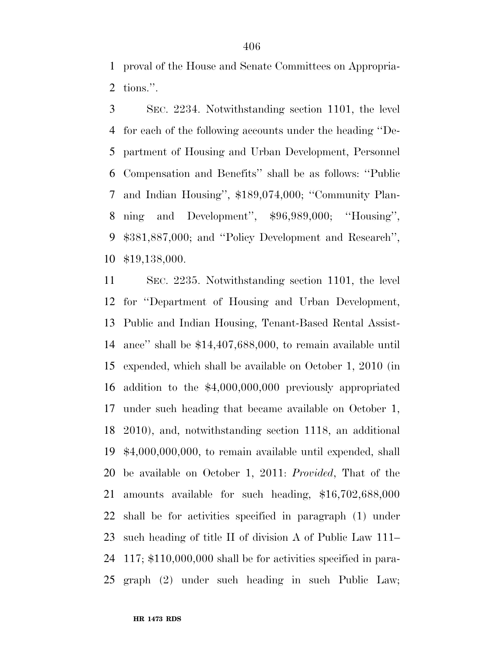proval of the House and Senate Committees on Appropria-tions.''.

 SEC. 2234. Notwithstanding section 1101, the level for each of the following accounts under the heading ''De- partment of Housing and Urban Development, Personnel Compensation and Benefits'' shall be as follows: ''Public and Indian Housing'', \$189,074,000; ''Community Plan- ning and Development'', \$96,989,000; ''Housing'', \$381,887,000; and ''Policy Development and Research'', \$19,138,000.

 SEC. 2235. Notwithstanding section 1101, the level for ''Department of Housing and Urban Development, Public and Indian Housing, Tenant-Based Rental Assist- ance'' shall be \$14,407,688,000, to remain available until expended, which shall be available on October 1, 2010 (in addition to the \$4,000,000,000 previously appropriated under such heading that became available on October 1, 2010), and, notwithstanding section 1118, an additional \$4,000,000,000, to remain available until expended, shall be available on October 1, 2011: *Provided*, That of the amounts available for such heading, \$16,702,688,000 shall be for activities specified in paragraph (1) under such heading of title II of division A of Public Law 111– 117; \$110,000,000 shall be for activities specified in para-graph (2) under such heading in such Public Law;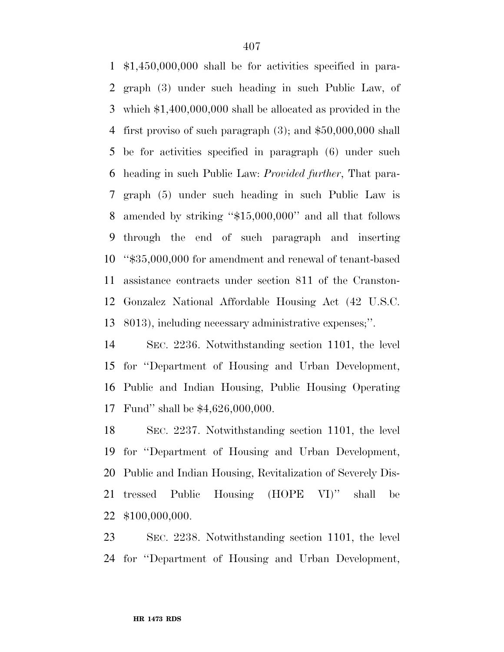\$1,450,000,000 shall be for activities specified in para- graph (3) under such heading in such Public Law, of which \$1,400,000,000 shall be allocated as provided in the first proviso of such paragraph (3); and \$50,000,000 shall be for activities specified in paragraph (6) under such heading in such Public Law: *Provided further*, That para- graph (5) under such heading in such Public Law is amended by striking ''\$15,000,000'' and all that follows through the end of such paragraph and inserting ''\$35,000,000 for amendment and renewal of tenant-based assistance contracts under section 811 of the Cranston- Gonzalez National Affordable Housing Act (42 U.S.C. 8013), including necessary administrative expenses;''.

 SEC. 2236. Notwithstanding section 1101, the level for ''Department of Housing and Urban Development, Public and Indian Housing, Public Housing Operating Fund'' shall be \$4,626,000,000.

 SEC. 2237. Notwithstanding section 1101, the level for ''Department of Housing and Urban Development, Public and Indian Housing, Revitalization of Severely Dis- tressed Public Housing (HOPE VI)'' shall be \$100,000,000.

 SEC. 2238. Notwithstanding section 1101, the level for ''Department of Housing and Urban Development,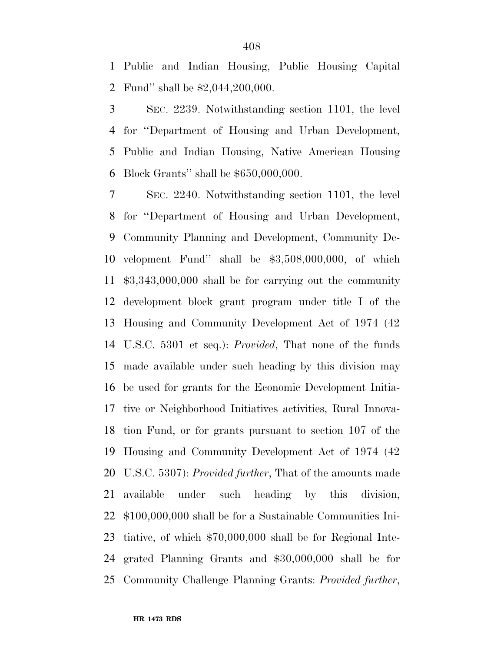Public and Indian Housing, Public Housing Capital Fund'' shall be \$2,044,200,000.

 SEC. 2239. Notwithstanding section 1101, the level for ''Department of Housing and Urban Development, Public and Indian Housing, Native American Housing Block Grants'' shall be \$650,000,000.

 SEC. 2240. Notwithstanding section 1101, the level for ''Department of Housing and Urban Development, Community Planning and Development, Community De- velopment Fund'' shall be \$3,508,000,000, of which \$3,343,000,000 shall be for carrying out the community development block grant program under title I of the Housing and Community Development Act of 1974 (42 U.S.C. 5301 et seq.): *Provided*, That none of the funds made available under such heading by this division may be used for grants for the Economic Development Initia- tive or Neighborhood Initiatives activities, Rural Innova- tion Fund, or for grants pursuant to section 107 of the Housing and Community Development Act of 1974 (42 U.S.C. 5307): *Provided further*, That of the amounts made available under such heading by this division, \$100,000,000 shall be for a Sustainable Communities Ini- tiative, of which \$70,000,000 shall be for Regional Inte- grated Planning Grants and \$30,000,000 shall be for Community Challenge Planning Grants: *Provided further*,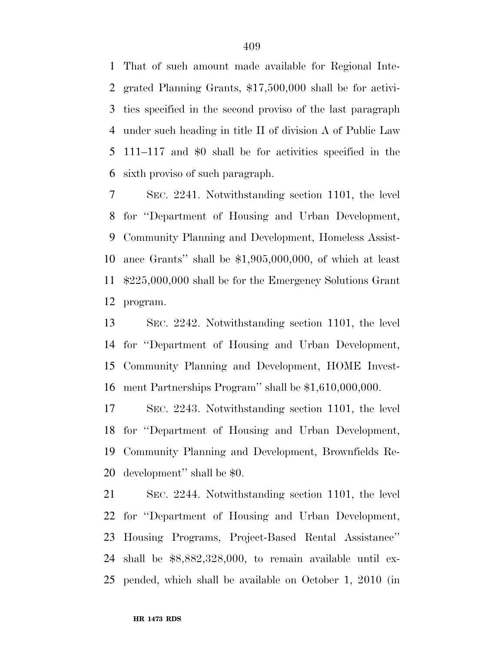That of such amount made available for Regional Inte- grated Planning Grants, \$17,500,000 shall be for activi- ties specified in the second proviso of the last paragraph under such heading in title II of division A of Public Law 111–117 and \$0 shall be for activities specified in the sixth proviso of such paragraph.

 SEC. 2241. Notwithstanding section 1101, the level for ''Department of Housing and Urban Development, Community Planning and Development, Homeless Assist- ance Grants'' shall be \$1,905,000,000, of which at least \$225,000,000 shall be for the Emergency Solutions Grant program.

 SEC. 2242. Notwithstanding section 1101, the level for ''Department of Housing and Urban Development, Community Planning and Development, HOME Invest-ment Partnerships Program'' shall be \$1,610,000,000.

 SEC. 2243. Notwithstanding section 1101, the level for ''Department of Housing and Urban Development, Community Planning and Development, Brownfields Re-development'' shall be \$0.

 SEC. 2244. Notwithstanding section 1101, the level for ''Department of Housing and Urban Development, Housing Programs, Project-Based Rental Assistance'' shall be \$8,882,328,000, to remain available until ex-pended, which shall be available on October 1, 2010 (in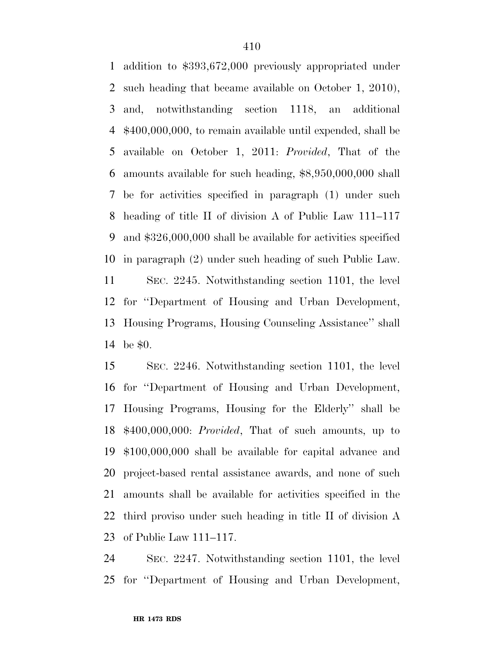addition to \$393,672,000 previously appropriated under such heading that became available on October 1, 2010), and, notwithstanding section 1118, an additional \$400,000,000, to remain available until expended, shall be available on October 1, 2011: *Provided*, That of the amounts available for such heading, \$8,950,000,000 shall be for activities specified in paragraph (1) under such heading of title II of division A of Public Law 111–117 and \$326,000,000 shall be available for activities specified in paragraph (2) under such heading of such Public Law. SEC. 2245. Notwithstanding section 1101, the level for ''Department of Housing and Urban Development, Housing Programs, Housing Counseling Assistance'' shall be \$0.

 SEC. 2246. Notwithstanding section 1101, the level for ''Department of Housing and Urban Development, Housing Programs, Housing for the Elderly'' shall be \$400,000,000: *Provided*, That of such amounts, up to \$100,000,000 shall be available for capital advance and project-based rental assistance awards, and none of such amounts shall be available for activities specified in the third proviso under such heading in title II of division A of Public Law 111–117.

 SEC. 2247. Notwithstanding section 1101, the level for ''Department of Housing and Urban Development,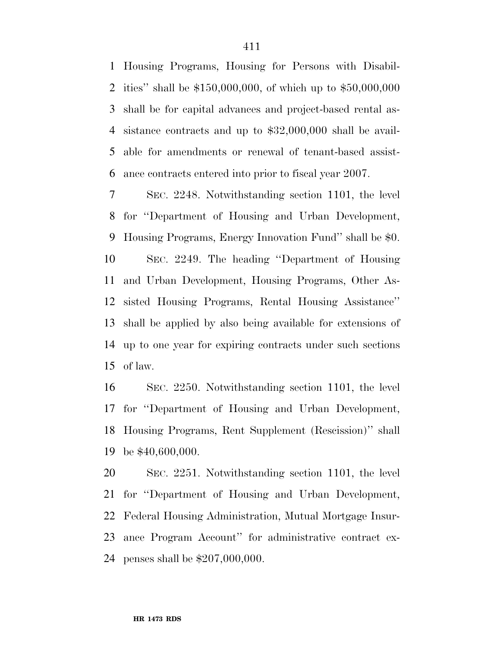Housing Programs, Housing for Persons with Disabil- ities'' shall be \$150,000,000, of which up to \$50,000,000 shall be for capital advances and project-based rental as- sistance contracts and up to \$32,000,000 shall be avail- able for amendments or renewal of tenant-based assist-ance contracts entered into prior to fiscal year 2007.

 SEC. 2248. Notwithstanding section 1101, the level for ''Department of Housing and Urban Development, Housing Programs, Energy Innovation Fund'' shall be \$0. SEC. 2249. The heading ''Department of Housing and Urban Development, Housing Programs, Other As- sisted Housing Programs, Rental Housing Assistance'' shall be applied by also being available for extensions of up to one year for expiring contracts under such sections of law.

 SEC. 2250. Notwithstanding section 1101, the level for ''Department of Housing and Urban Development, Housing Programs, Rent Supplement (Rescission)'' shall be \$40,600,000.

 SEC. 2251. Notwithstanding section 1101, the level for ''Department of Housing and Urban Development, Federal Housing Administration, Mutual Mortgage Insur- ance Program Account'' for administrative contract ex-penses shall be \$207,000,000.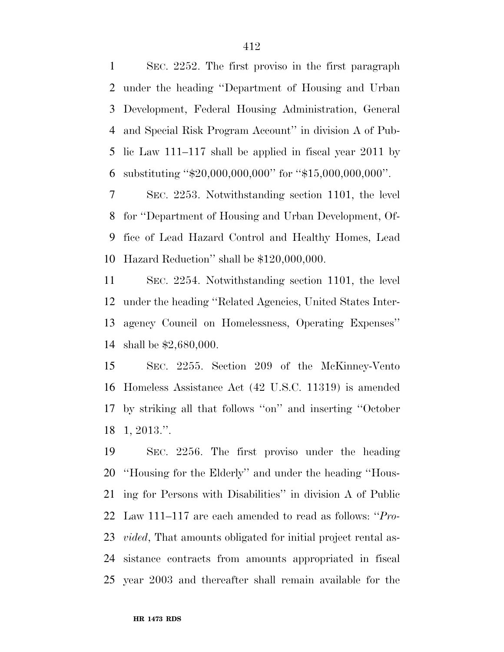SEC. 2252. The first proviso in the first paragraph under the heading ''Department of Housing and Urban Development, Federal Housing Administration, General and Special Risk Program Account'' in division A of Pub- lic Law 111–117 shall be applied in fiscal year 2011 by substituting ''\$20,000,000,000'' for ''\$15,000,000,000''.

 SEC. 2253. Notwithstanding section 1101, the level for ''Department of Housing and Urban Development, Of- fice of Lead Hazard Control and Healthy Homes, Lead Hazard Reduction'' shall be \$120,000,000.

 SEC. 2254. Notwithstanding section 1101, the level under the heading ''Related Agencies, United States Inter- agency Council on Homelessness, Operating Expenses'' shall be \$2,680,000.

 SEC. 2255. Section 209 of the McKinney-Vento Homeless Assistance Act (42 U.S.C. 11319) is amended by striking all that follows ''on'' and inserting ''October 1, 2013.''.

 SEC. 2256. The first proviso under the heading ''Housing for the Elderly'' and under the heading ''Hous- ing for Persons with Disabilities'' in division A of Public Law 111–117 are each amended to read as follows: ''*Pro- vided*, That amounts obligated for initial project rental as- sistance contracts from amounts appropriated in fiscal year 2003 and thereafter shall remain available for the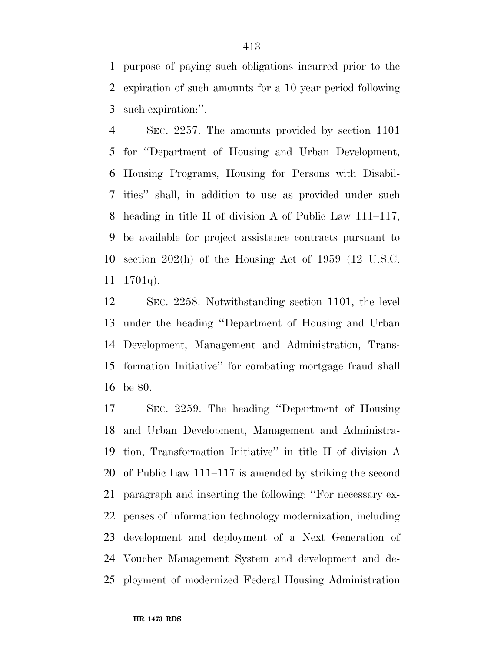purpose of paying such obligations incurred prior to the expiration of such amounts for a 10 year period following such expiration:''.

 SEC. 2257. The amounts provided by section 1101 for ''Department of Housing and Urban Development, Housing Programs, Housing for Persons with Disabil- ities'' shall, in addition to use as provided under such heading in title II of division A of Public Law 111–117, be available for project assistance contracts pursuant to section 202(h) of the Housing Act of 1959 (12 U.S.C. 1701q).

 SEC. 2258. Notwithstanding section 1101, the level under the heading ''Department of Housing and Urban Development, Management and Administration, Trans- formation Initiative'' for combating mortgage fraud shall be \$0.

 SEC. 2259. The heading ''Department of Housing and Urban Development, Management and Administra- tion, Transformation Initiative'' in title II of division A of Public Law 111–117 is amended by striking the second paragraph and inserting the following: ''For necessary ex- penses of information technology modernization, including development and deployment of a Next Generation of Voucher Management System and development and de-ployment of modernized Federal Housing Administration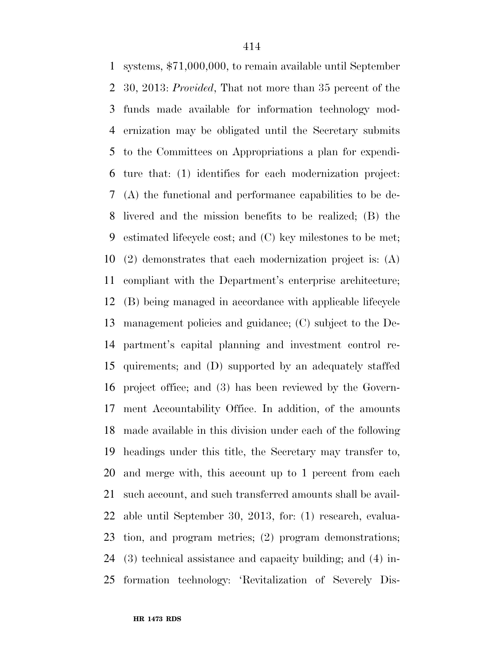systems, \$71,000,000, to remain available until September 30, 2013: *Provided*, That not more than 35 percent of the funds made available for information technology mod- ernization may be obligated until the Secretary submits to the Committees on Appropriations a plan for expendi- ture that: (1) identifies for each modernization project: (A) the functional and performance capabilities to be de- livered and the mission benefits to be realized; (B) the estimated lifecycle cost; and (C) key milestones to be met; (2) demonstrates that each modernization project is: (A) compliant with the Department's enterprise architecture; (B) being managed in accordance with applicable lifecycle management policies and guidance; (C) subject to the De- partment's capital planning and investment control re- quirements; and (D) supported by an adequately staffed project office; and (3) has been reviewed by the Govern- ment Accountability Office. In addition, of the amounts made available in this division under each of the following headings under this title, the Secretary may transfer to, and merge with, this account up to 1 percent from each such account, and such transferred amounts shall be avail- able until September 30, 2013, for: (1) research, evalua- tion, and program metrics; (2) program demonstrations; (3) technical assistance and capacity building; and (4) in-formation technology: 'Revitalization of Severely Dis-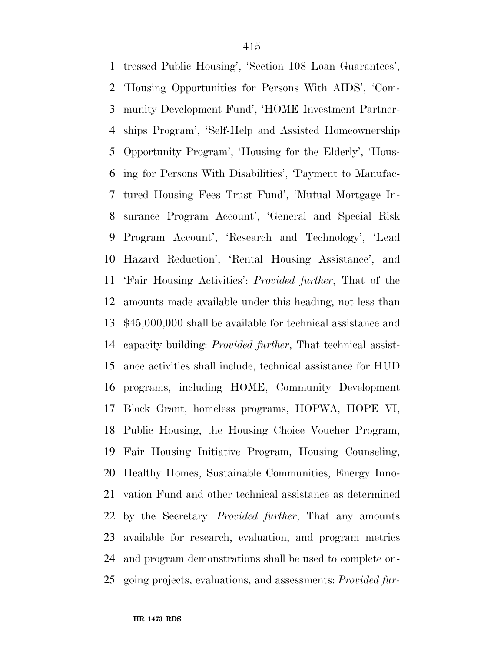tressed Public Housing', 'Section 108 Loan Guarantees', 'Housing Opportunities for Persons With AIDS', 'Com- munity Development Fund', 'HOME Investment Partner- ships Program', 'Self-Help and Assisted Homeownership Opportunity Program', 'Housing for the Elderly', 'Hous- ing for Persons With Disabilities', 'Payment to Manufac- tured Housing Fees Trust Fund', 'Mutual Mortgage In- surance Program Account', 'General and Special Risk Program Account', 'Research and Technology', 'Lead Hazard Reduction', 'Rental Housing Assistance', and 'Fair Housing Activities': *Provided further*, That of the amounts made available under this heading, not less than \$45,000,000 shall be available for technical assistance and capacity building: *Provided further*, That technical assist- ance activities shall include, technical assistance for HUD programs, including HOME, Community Development Block Grant, homeless programs, HOPWA, HOPE VI, Public Housing, the Housing Choice Voucher Program, Fair Housing Initiative Program, Housing Counseling, Healthy Homes, Sustainable Communities, Energy Inno- vation Fund and other technical assistance as determined by the Secretary: *Provided further*, That any amounts available for research, evaluation, and program metrics and program demonstrations shall be used to complete on-going projects, evaluations, and assessments: *Provided fur-*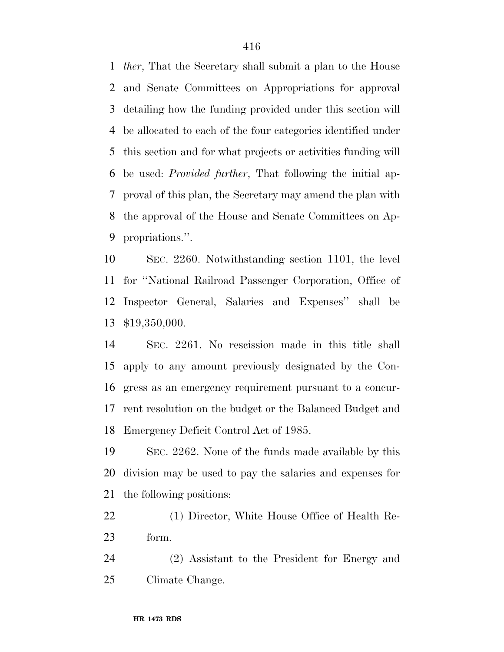*ther*, That the Secretary shall submit a plan to the House and Senate Committees on Appropriations for approval detailing how the funding provided under this section will be allocated to each of the four categories identified under this section and for what projects or activities funding will be used: *Provided further*, That following the initial ap- proval of this plan, the Secretary may amend the plan with the approval of the House and Senate Committees on Ap-propriations.''.

 SEC. 2260. Notwithstanding section 1101, the level for ''National Railroad Passenger Corporation, Office of Inspector General, Salaries and Expenses'' shall be \$19,350,000.

 SEC. 2261. No rescission made in this title shall apply to any amount previously designated by the Con- gress as an emergency requirement pursuant to a concur- rent resolution on the budget or the Balanced Budget and Emergency Deficit Control Act of 1985.

 SEC. 2262. None of the funds made available by this division may be used to pay the salaries and expenses for the following positions:

 (1) Director, White House Office of Health Re-form.

 (2) Assistant to the President for Energy and Climate Change.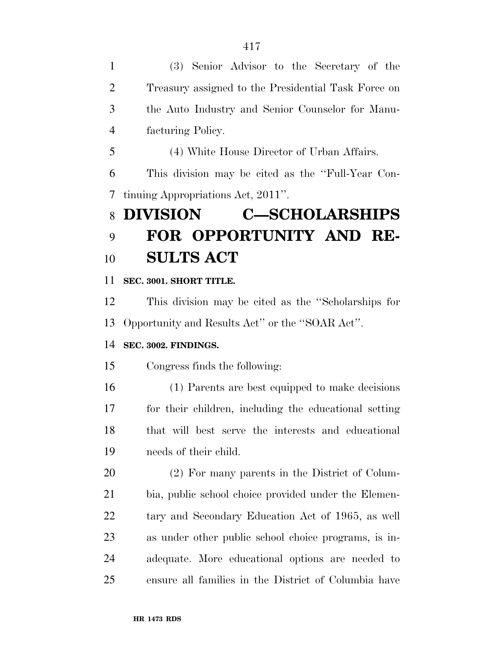(3) Senior Advisor to the Secretary of the Treasury assigned to the Presidential Task Force on the Auto Industry and Senior Counselor for Manu-facturing Policy.

(4) White House Director of Urban Affairs.

 This division may be cited as the ''Full-Year Con-tinuing Appropriations Act, 2011''.

# **DIVISION C—SCHOLARSHIPS FOR OPPORTUNITY AND RE-SULTS ACT**

**SEC. 3001. SHORT TITLE.** 

 This division may be cited as the ''Scholarships for Opportunity and Results Act'' or the ''SOAR Act''.

### **SEC. 3002. FINDINGS.**

Congress finds the following:

 (1) Parents are best equipped to make decisions for their children, including the educational setting that will best serve the interests and educational needs of their child.

 (2) For many parents in the District of Colum- bia, public school choice provided under the Elemen- tary and Secondary Education Act of 1965, as well as under other public school choice programs, is in- adequate. More educational options are needed to ensure all families in the District of Columbia have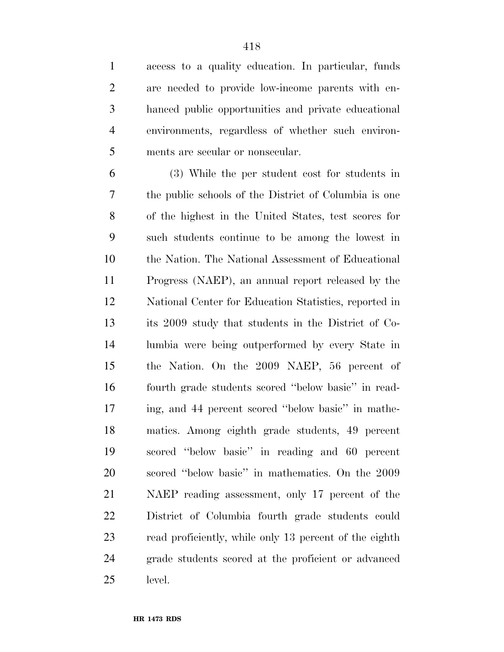access to a quality education. In particular, funds are needed to provide low-income parents with en- hanced public opportunities and private educational environments, regardless of whether such environ-ments are secular or nonsecular.

 (3) While the per student cost for students in the public schools of the District of Columbia is one of the highest in the United States, test scores for such students continue to be among the lowest in the Nation. The National Assessment of Educational Progress (NAEP), an annual report released by the National Center for Education Statistics, reported in its 2009 study that students in the District of Co- lumbia were being outperformed by every State in the Nation. On the 2009 NAEP, 56 percent of fourth grade students scored ''below basic'' in read- ing, and 44 percent scored ''below basic'' in mathe- matics. Among eighth grade students, 49 percent scored ''below basic'' in reading and 60 percent scored ''below basic'' in mathematics. On the 2009 NAEP reading assessment, only 17 percent of the District of Columbia fourth grade students could read proficiently, while only 13 percent of the eighth grade students scored at the proficient or advanced level.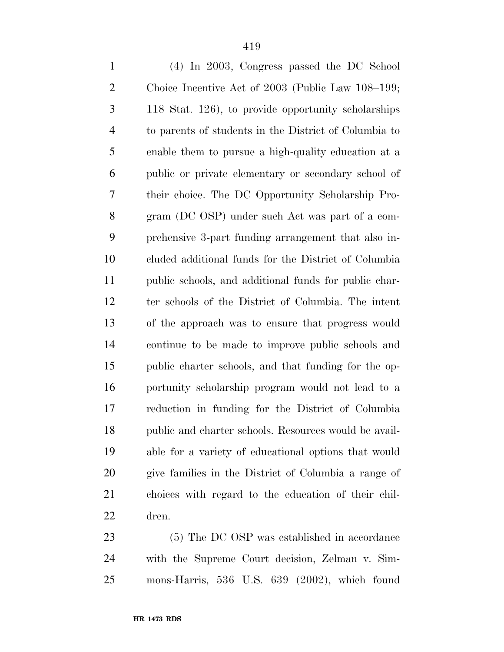| $\mathbf{1}$   | (4) In 2003, Congress passed the DC School            |
|----------------|-------------------------------------------------------|
| $\mathbf{2}$   | Choice Incentive Act of 2003 (Public Law 108–199;     |
| 3              | 118 Stat. 126), to provide opportunity scholarships   |
| $\overline{4}$ | to parents of students in the District of Columbia to |
| 5              | enable them to pursue a high-quality education at a   |
| 6              | public or private elementary or secondary school of   |
| 7              | their choice. The DC Opportunity Scholarship Pro-     |
| 8              | gram (DC OSP) under such Act was part of a com-       |
| 9              | prehensive 3-part funding arrangement that also in-   |
| 10             | cluded additional funds for the District of Columbia  |
| 11             | public schools, and additional funds for public char- |
| 12             | ter schools of the District of Columbia. The intent   |
| 13             | of the approach was to ensure that progress would     |
| 14             | continue to be made to improve public schools and     |
| 15             | public charter schools, and that funding for the op-  |
| 16             | portunity scholarship program would not lead to a     |
| 17             | reduction in funding for the District of Columbia     |
| 18             | public and charter schools. Resources would be avail- |
| 19             | able for a variety of educational options that would  |
| 20             | give families in the District of Columbia a range of  |
| 21             | choices with regard to the education of their chil-   |
| 22             | dren.                                                 |
|                |                                                       |

 (5) The DC OSP was established in accordance with the Supreme Court decision, Zelman v. Sim-mons-Harris, 536 U.S. 639 (2002), which found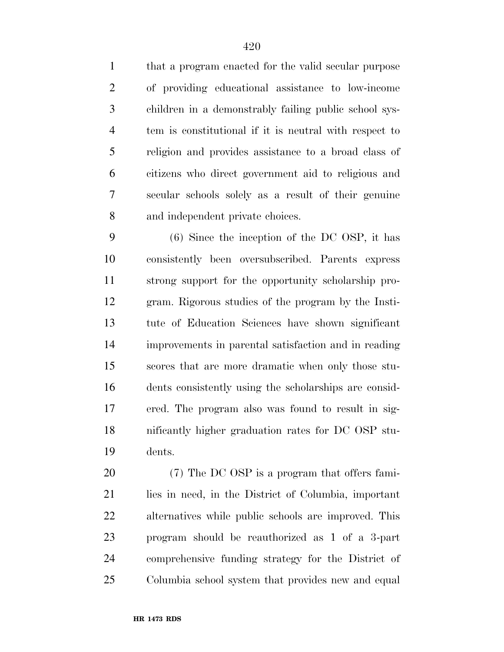that a program enacted for the valid secular purpose of providing educational assistance to low-income children in a demonstrably failing public school sys- tem is constitutional if it is neutral with respect to religion and provides assistance to a broad class of citizens who direct government aid to religious and secular schools solely as a result of their genuine and independent private choices.

 (6) Since the inception of the DC OSP, it has consistently been oversubscribed. Parents express strong support for the opportunity scholarship pro- gram. Rigorous studies of the program by the Insti- tute of Education Sciences have shown significant improvements in parental satisfaction and in reading scores that are more dramatic when only those stu- dents consistently using the scholarships are consid- ered. The program also was found to result in sig- nificantly higher graduation rates for DC OSP stu-dents.

 (7) The DC OSP is a program that offers fami- lies in need, in the District of Columbia, important alternatives while public schools are improved. This program should be reauthorized as 1 of a 3-part comprehensive funding strategy for the District of Columbia school system that provides new and equal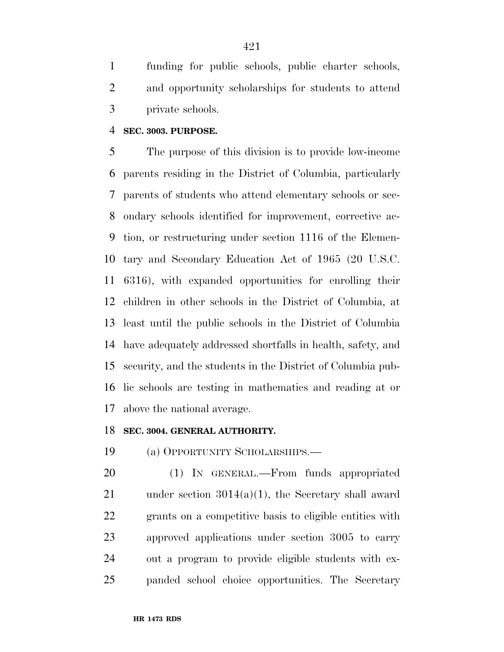funding for public schools, public charter schools, and opportunity scholarships for students to attend private schools.

#### **SEC. 3003. PURPOSE.**

 The purpose of this division is to provide low-income parents residing in the District of Columbia, particularly parents of students who attend elementary schools or sec- ondary schools identified for improvement, corrective ac- tion, or restructuring under section 1116 of the Elemen- tary and Secondary Education Act of 1965 (20 U.S.C. 6316), with expanded opportunities for enrolling their children in other schools in the District of Columbia, at least until the public schools in the District of Columbia have adequately addressed shortfalls in health, safety, and security, and the students in the District of Columbia pub- lic schools are testing in mathematics and reading at or above the national average.

#### **SEC. 3004. GENERAL AUTHORITY.**

(a) OPPORTUNITY SCHOLARSHIPS.—

 (1) IN GENERAL.—From funds appropriated under section 3014(a)(1), the Secretary shall award grants on a competitive basis to eligible entities with approved applications under section 3005 to carry out a program to provide eligible students with ex-panded school choice opportunities. The Secretary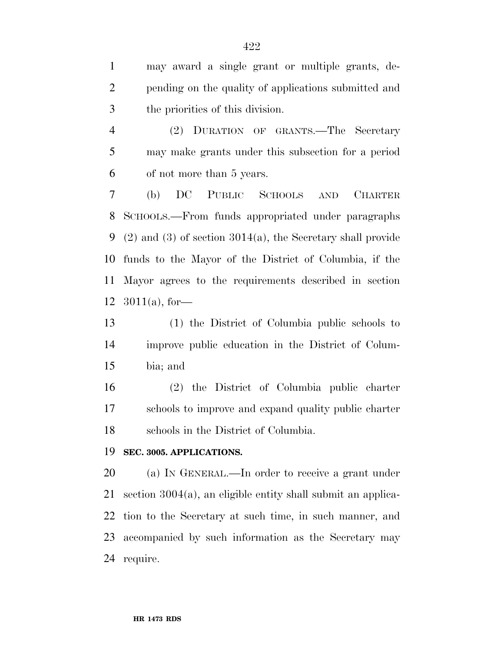may award a single grant or multiple grants, de- pending on the quality of applications submitted and the priorities of this division.

 (2) DURATION OF GRANTS.—The Secretary may make grants under this subsection for a period of not more than 5 years.

 (b) DC PUBLIC SCHOOLS AND CHARTER SCHOOLS.—From funds appropriated under paragraphs (2) and (3) of section 3014(a), the Secretary shall provide funds to the Mayor of the District of Columbia, if the Mayor agrees to the requirements described in section 3011(a), for—

 (1) the District of Columbia public schools to improve public education in the District of Colum-bia; and

 (2) the District of Columbia public charter schools to improve and expand quality public charter schools in the District of Columbia.

#### **SEC. 3005. APPLICATIONS.**

 (a) IN GENERAL.—In order to receive a grant under section 3004(a), an eligible entity shall submit an applica- tion to the Secretary at such time, in such manner, and accompanied by such information as the Secretary may require.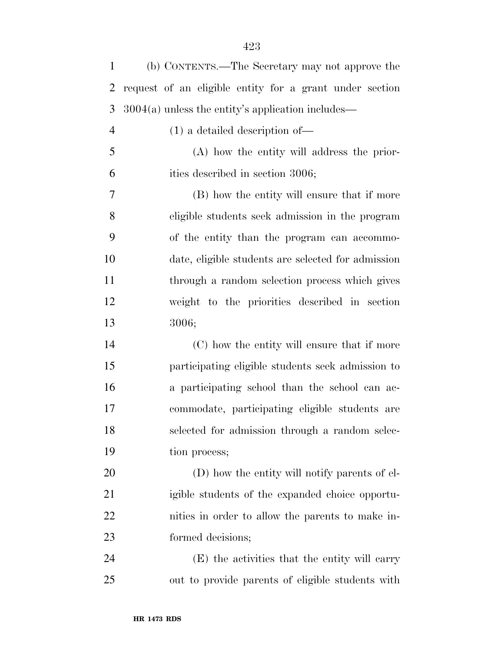| $\mathbf{1}$   | (b) CONTENTS.—The Secretary may not approve the         |
|----------------|---------------------------------------------------------|
| 2              | request of an eligible entity for a grant under section |
| 3              | $3004(a)$ unless the entity's application includes—     |
| $\overline{4}$ | $(1)$ a detailed description of —                       |
| 5              | (A) how the entity will address the prior-              |
| 6              | ities described in section 3006;                        |
| 7              | (B) how the entity will ensure that if more             |
| 8              | eligible students seek admission in the program         |
| 9              | of the entity than the program can accommo-             |
| 10             | date, eligible students are selected for admission      |
| 11             | through a random selection process which gives          |
| 12             | weight to the priorities described in section           |
| 13             | 3006;                                                   |
| 14             | (C) how the entity will ensure that if more             |
| 15             | participating eligible students seek admission to       |
| 16             | a participating school than the school can ac-          |
| 17             | commodate, participating eligible students are          |
| 18             | selected for admission through a random selec-          |
| 19             | tion process;                                           |
| 20             | (D) how the entity will notify parents of el-           |
| 21             | igible students of the expanded choice opportu-         |
| 22             | nities in order to allow the parents to make in-        |
| 23             | formed decisions;                                       |
| 24             | (E) the activities that the entity will carry           |
| 25             | out to provide parents of eligible students with        |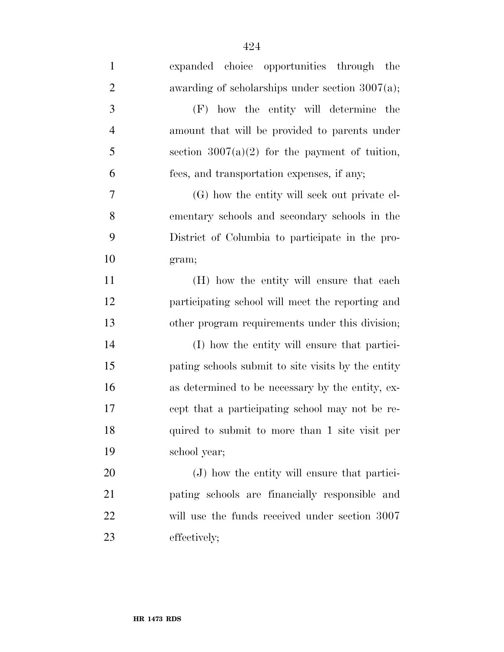| $\mathbf{1}$   | expanded choice opportunities through the          |
|----------------|----------------------------------------------------|
| $\overline{2}$ | awarding of scholarships under section $3007(a)$ ; |
| 3              | (F) how the entity will determine the              |
| $\overline{4}$ | amount that will be provided to parents under      |
| 5              | section $3007(a)(2)$ for the payment of tuition,   |
| 6              | fees, and transportation expenses, if any;         |
| 7              | (G) how the entity will seek out private el-       |
| 8              | ementary schools and secondary schools in the      |
| 9              | District of Columbia to participate in the pro-    |
| 10             | gram;                                              |
| 11             | (H) how the entity will ensure that each           |
| 12             | participating school will meet the reporting and   |
| 13             | other program requirements under this division;    |
| 14             | (I) how the entity will ensure that partici-       |
| 15             | pating schools submit to site visits by the entity |
| 16             | as determined to be necessary by the entity, ex-   |
| 17             | cept that a participating school may not be re-    |
| 18             | quired to submit to more than 1 site visit per     |
| 19             | school year;                                       |
| 20             | (J) how the entity will ensure that partici-       |
| 21             | pating schools are financially responsible and     |
| 22             | will use the funds received under section 3007     |
| 23             | effectively;                                       |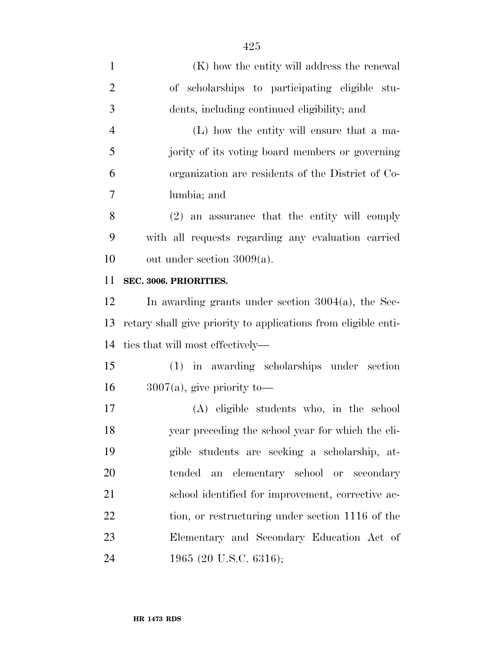| $\mathbf{1}$   | (K) how the entity will address the renewal                    |
|----------------|----------------------------------------------------------------|
| $\overline{2}$ | of scholarships to participating eligible stu-                 |
| 3              | dents, including continued eligibility; and                    |
| $\overline{4}$ | (L) how the entity will ensure that a ma-                      |
| 5              | jority of its voting board members or governing                |
| 6              | organization are residents of the District of Co-              |
| 7              | lumbia; and                                                    |
| 8              | (2) an assurance that the entity will comply                   |
| 9              | with all requests regarding any evaluation carried             |
| 10             | out under section $3009(a)$ .                                  |
| 11             | SEC. 3006. PRIORITIES.                                         |
| 12             | In awarding grants under section $3004(a)$ , the Sec-          |
| 13             | retary shall give priority to applications from eligible enti- |
| 14             | ties that will most effectively—                               |
| 15             | (1) in awarding scholarships under section                     |
| 16             | $3007(a)$ , give priority to-                                  |
| 17             | (A) eligible students who, in the school                       |
| 18             | year preceding the school year for which the eli-              |
| 19             | gible students are seeking a scholarship, at-                  |
| 20             | tended an elementary school or secondary                       |
| 21             | school identified for improvement, corrective ac-              |
| 22             | tion, or restructuring under section 1116 of the               |
| 23             | Elementary and Secondary Education Act of                      |
| 24             | 1965 (20 U.S.C. 6316);                                         |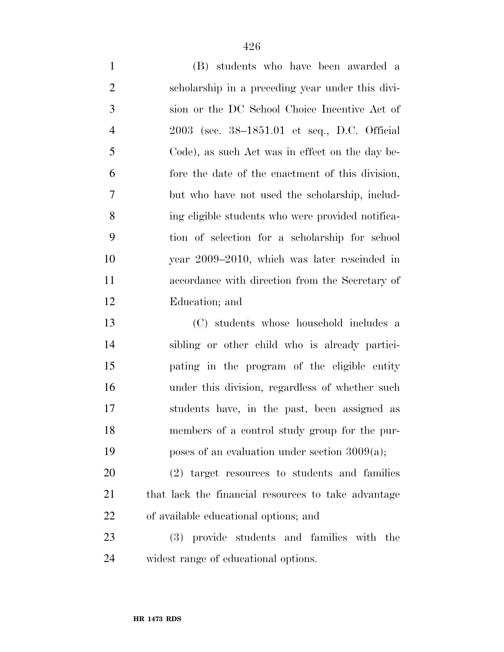(B) students who have been awarded a scholarship in a preceding year under this divi- sion or the DC School Choice Incentive Act of 2003 (sec. 38–1851.01 et seq., D.C. Official Code), as such Act was in effect on the day be- fore the date of the enactment of this division, but who have not used the scholarship, includ- ing eligible students who were provided notifica- tion of selection for a scholarship for school year 2009–2010, which was later rescinded in accordance with direction from the Secretary of Education; and

 (C) students whose household includes a sibling or other child who is already partici- pating in the program of the eligible entity under this division, regardless of whether such students have, in the past, been assigned as members of a control study group for the pur-poses of an evaluation under section 3009(a);

 (2) target resources to students and families 21 that lack the financial resources to take advantage of available educational options; and

 (3) provide students and families with the widest range of educational options.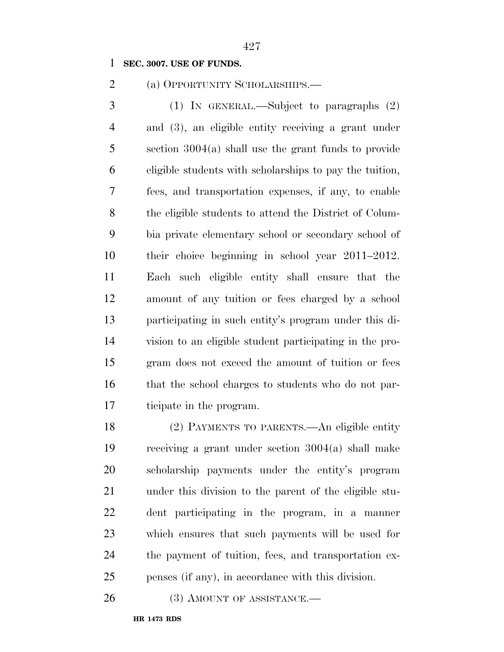**SEC. 3007. USE OF FUNDS.** 

(a) OPPORTUNITY SCHOLARSHIPS.—

 (1) IN GENERAL.—Subject to paragraphs (2) and (3), an eligible entity receiving a grant under section 3004(a) shall use the grant funds to provide eligible students with scholarships to pay the tuition, fees, and transportation expenses, if any, to enable the eligible students to attend the District of Colum- bia private elementary school or secondary school of their choice beginning in school year 2011–2012. Each such eligible entity shall ensure that the amount of any tuition or fees charged by a school participating in such entity's program under this di- vision to an eligible student participating in the pro- gram does not exceed the amount of tuition or fees that the school charges to students who do not par-ticipate in the program.

 (2) PAYMENTS TO PARENTS.—An eligible entity receiving a grant under section 3004(a) shall make scholarship payments under the entity's program under this division to the parent of the eligible stu- dent participating in the program, in a manner which ensures that such payments will be used for the payment of tuition, fees, and transportation ex-penses (if any), in accordance with this division.

26 (3) AMOUNT OF ASSISTANCE.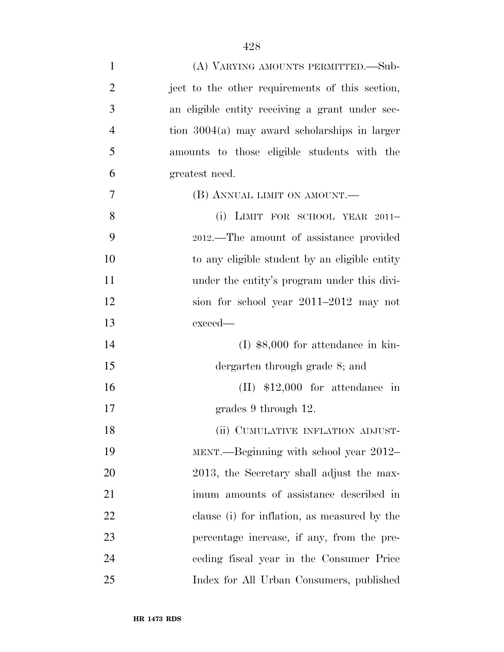| $\mathbf{1}$   | (A) VARYING AMOUNTS PERMITTED.—Sub-             |
|----------------|-------------------------------------------------|
| $\overline{2}$ | ject to the other requirements of this section, |
| 3              | an eligible entity receiving a grant under sec- |
| $\overline{4}$ | tion $3004(a)$ may award scholarships in larger |
| 5              | amounts to those eligible students with the     |
| 6              | greatest need.                                  |
| 7              | (B) ANNUAL LIMIT ON AMOUNT.—                    |
| 8              | (i) LIMIT FOR SCHOOL YEAR $2011-$               |
| 9              | 2012.—The amount of assistance provided         |
| 10             | to any eligible student by an eligible entity   |
| 11             | under the entity's program under this divi-     |
| 12             | sion for school year 2011–2012 may not          |
| 13             | exceed—                                         |
| 14             | $(I)$ \$8,000 for attendance in kin-            |
| 15             | dergarten through grade 8; and                  |
| 16             | $(II)$ \$12,000 for attendance in               |
| 17             | grades 9 through 12.                            |
| 18             | (ii) CUMULATIVE INFLATION ADJUST-               |
| 19             | MENT.—Beginning with school year 2012–          |
| 20             | 2013, the Secretary shall adjust the max-       |
| 21             | imum amounts of assistance described in         |
| 22             | clause (i) for inflation, as measured by the    |
| 23             | percentage increase, if any, from the pre-      |
| 24             | ceding fiscal year in the Consumer Price        |
| 25             | Index for All Urban Consumers, published        |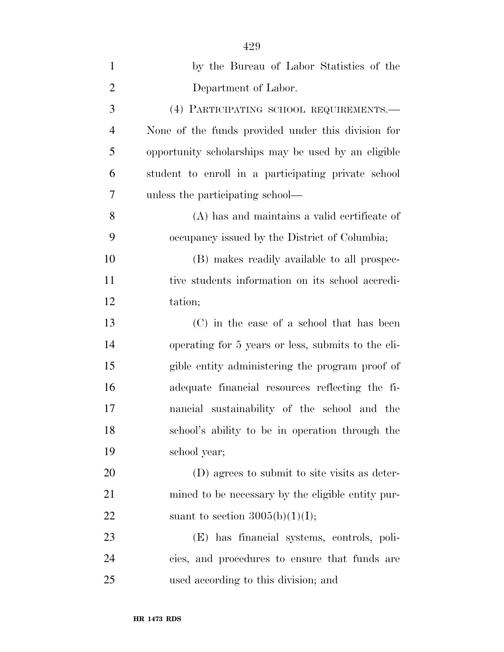| $\mathbf{1}$   | by the Bureau of Labor Statistics of the            |
|----------------|-----------------------------------------------------|
| $\overline{2}$ | Department of Labor.                                |
| 3              | (4) PARTICIPATING SCHOOL REQUIREMENTS.-             |
| $\overline{4}$ | None of the funds provided under this division for  |
| 5              | opportunity scholarships may be used by an eligible |
| 6              | student to enroll in a participating private school |
| 7              | unless the participating school—                    |
| 8              | (A) has and maintains a valid certificate of        |
| 9              | occupancy issued by the District of Columbia;       |
| 10             | (B) makes readily available to all prospec-         |
| 11             | tive students information on its school accredi-    |
| 12             | tation;                                             |
| 13             | (C) in the case of a school that has been           |
| 14             | operating for 5 years or less, submits to the eli-  |
| 15             | gible entity administering the program proof of     |
| 16             | adequate financial resources reflecting the fi-     |
| 17             | nancial sustainability of the school and the        |
| 18             | school's ability to be in operation through the     |
| 19             | school year;                                        |
| 20             | (D) agrees to submit to site visits as deter-       |
| 21             | mined to be necessary by the eligible entity pur-   |
| 22             | suant to section $3005(b)(1)(I);$                   |
| 23             | (E) has financial systems, controls, poli-          |
| 24             | cies, and procedures to ensure that funds are       |
| 25             | used according to this division; and                |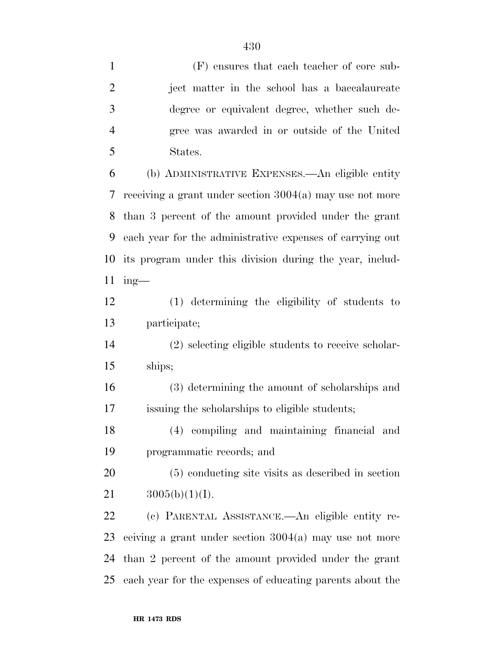(F) ensures that each teacher of core sub- ject matter in the school has a baccalaureate degree or equivalent degree, whether such de- gree was awarded in or outside of the United States. (b) ADMINISTRATIVE EXPENSES.—An eligible entity receiving a grant under section 3004(a) may use not more than 3 percent of the amount provided under the grant each year for the administrative expenses of carrying out its program under this division during the year, includ- ing— (1) determining the eligibility of students to participate; (2) selecting eligible students to receive scholar- ships; (3) determining the amount of scholarships and issuing the scholarships to eligible students; (4) compiling and maintaining financial and programmatic records; and (5) conducting site visits as described in section  $3005(b)(1)(I)$ . (c) PARENTAL ASSISTANCE.—An eligible entity re- ceiving a grant under section 3004(a) may use not more than 2 percent of the amount provided under the grant each year for the expenses of educating parents about the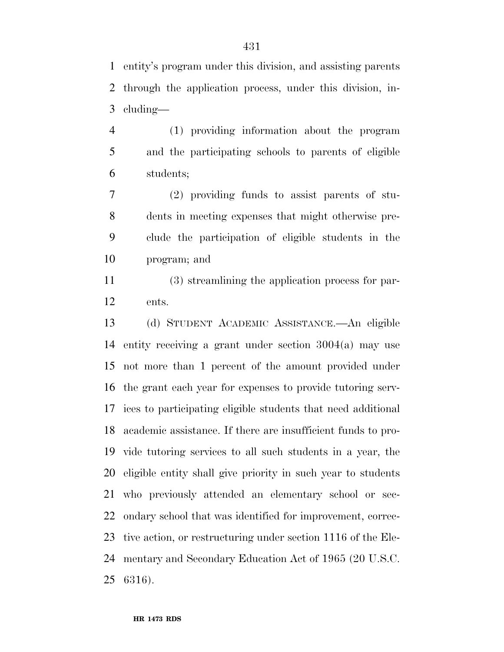entity's program under this division, and assisting parents through the application process, under this division, in-cluding—

 (1) providing information about the program and the participating schools to parents of eligible students;

 (2) providing funds to assist parents of stu- dents in meeting expenses that might otherwise pre- clude the participation of eligible students in the program; and

 (3) streamlining the application process for par-ents.

 (d) STUDENT ACADEMIC ASSISTANCE.—An eligible entity receiving a grant under section 3004(a) may use not more than 1 percent of the amount provided under the grant each year for expenses to provide tutoring serv- ices to participating eligible students that need additional academic assistance. If there are insufficient funds to pro- vide tutoring services to all such students in a year, the eligible entity shall give priority in such year to students who previously attended an elementary school or sec- ondary school that was identified for improvement, correc- tive action, or restructuring under section 1116 of the Ele- mentary and Secondary Education Act of 1965 (20 U.S.C. 6316).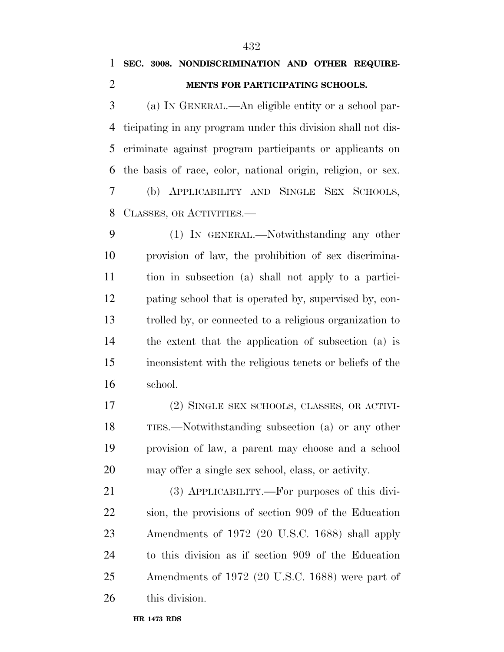## **SEC. 3008. NONDISCRIMINATION AND OTHER REQUIRE-MENTS FOR PARTICIPATING SCHOOLS.**

 (a) IN GENERAL.—An eligible entity or a school par- ticipating in any program under this division shall not dis- criminate against program participants or applicants on the basis of race, color, national origin, religion, or sex. (b) APPLICABILITY AND SINGLE SEX SCHOOLS, CLASSES, OR ACTIVITIES.—

 (1) IN GENERAL.—Notwithstanding any other provision of law, the prohibition of sex discrimina- tion in subsection (a) shall not apply to a partici- pating school that is operated by, supervised by, con- trolled by, or connected to a religious organization to the extent that the application of subsection (a) is inconsistent with the religious tenets or beliefs of the school.

 (2) SINGLE SEX SCHOOLS, CLASSES, OR ACTIVI- TIES.—Notwithstanding subsection (a) or any other provision of law, a parent may choose and a school may offer a single sex school, class, or activity.

 (3) APPLICABILITY.—For purposes of this divi- sion, the provisions of section 909 of the Education Amendments of 1972 (20 U.S.C. 1688) shall apply to this division as if section 909 of the Education Amendments of 1972 (20 U.S.C. 1688) were part of this division.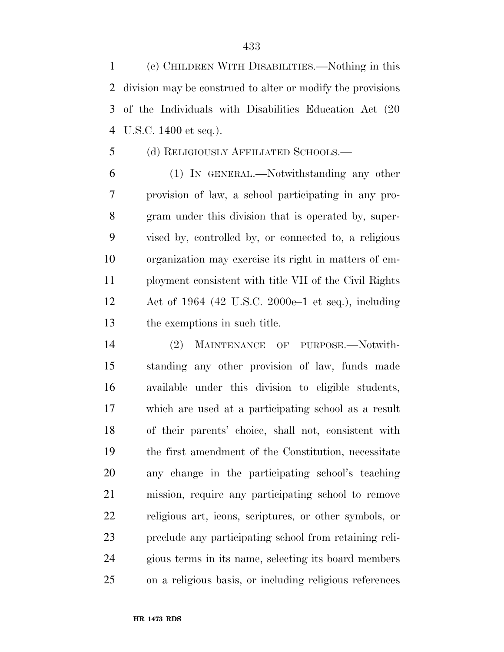(c) CHILDREN WITH DISABILITIES.—Nothing in this division may be construed to alter or modify the provisions of the Individuals with Disabilities Education Act (20 U.S.C. 1400 et seq.).

## (d) RELIGIOUSLY AFFILIATED SCHOOLS.—

 (1) IN GENERAL.—Notwithstanding any other provision of law, a school participating in any pro- gram under this division that is operated by, super- vised by, controlled by, or connected to, a religious organization may exercise its right in matters of em- ployment consistent with title VII of the Civil Rights Act of 1964 (42 U.S.C. 2000e–1 et seq.), including the exemptions in such title.

 (2) MAINTENANCE OF PURPOSE.—Notwith- standing any other provision of law, funds made available under this division to eligible students, which are used at a participating school as a result of their parents' choice, shall not, consistent with the first amendment of the Constitution, necessitate any change in the participating school's teaching mission, require any participating school to remove religious art, icons, scriptures, or other symbols, or preclude any participating school from retaining reli- gious terms in its name, selecting its board members on a religious basis, or including religious references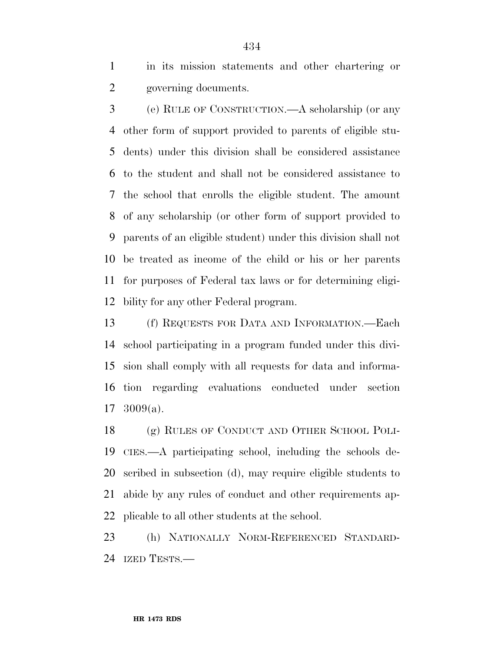in its mission statements and other chartering or governing documents.

 (e) RULE OF CONSTRUCTION.—A scholarship (or any other form of support provided to parents of eligible stu- dents) under this division shall be considered assistance to the student and shall not be considered assistance to the school that enrolls the eligible student. The amount of any scholarship (or other form of support provided to parents of an eligible student) under this division shall not be treated as income of the child or his or her parents for purposes of Federal tax laws or for determining eligi-bility for any other Federal program.

 (f) REQUESTS FOR DATA AND INFORMATION.—Each school participating in a program funded under this divi- sion shall comply with all requests for data and informa- tion regarding evaluations conducted under section 3009(a).

 (g) RULES OF CONDUCT AND OTHER SCHOOL POLI- CIES.—A participating school, including the schools de- scribed in subsection (d), may require eligible students to abide by any rules of conduct and other requirements ap-plicable to all other students at the school.

 (h) NATIONALLY NORM-REFERENCED STANDARD-IZED TESTS.—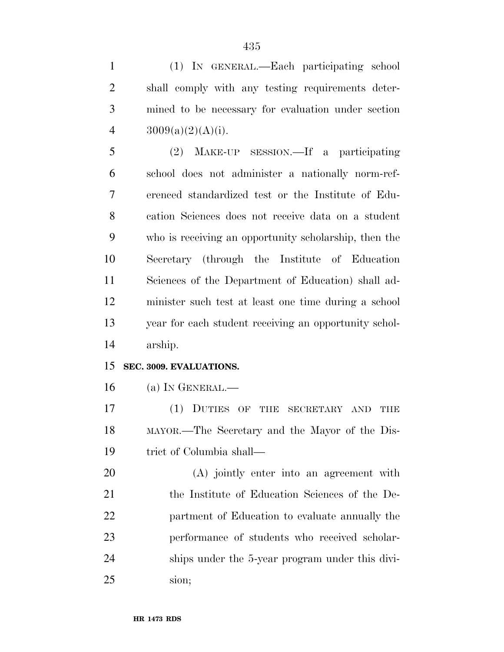(1) IN GENERAL.—Each participating school shall comply with any testing requirements deter- mined to be necessary for evaluation under section  $3009(a)(2)(A)(i)$ .

 (2) MAKE-UP SESSION.—If a participating school does not administer a nationally norm-ref- erenced standardized test or the Institute of Edu- cation Sciences does not receive data on a student who is receiving an opportunity scholarship, then the Secretary (through the Institute of Education Sciences of the Department of Education) shall ad- minister such test at least one time during a school year for each student receiving an opportunity schol-arship.

## **SEC. 3009. EVALUATIONS.**

(a) IN GENERAL.—

 (1) DUTIES OF THE SECRETARY AND THE MAYOR.—The Secretary and the Mayor of the Dis-trict of Columbia shall—

 (A) jointly enter into an agreement with the Institute of Education Sciences of the De- partment of Education to evaluate annually the performance of students who received scholar- ships under the 5-year program under this divi-sion;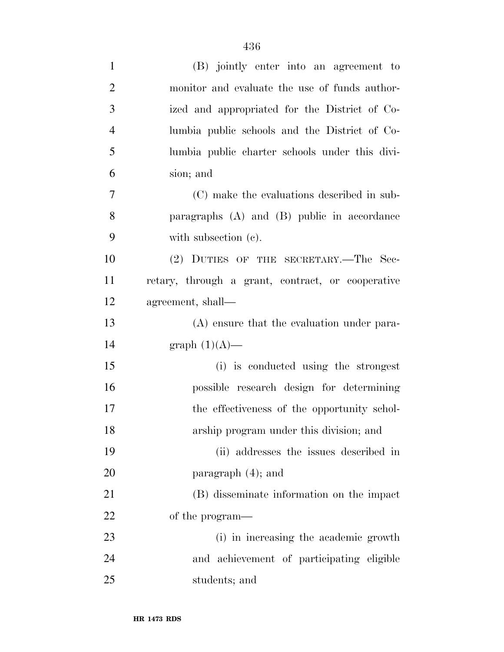| $\mathbf{1}$   | (B) jointly enter into an agreement to            |
|----------------|---------------------------------------------------|
| $\overline{2}$ | monitor and evaluate the use of funds author-     |
| 3              | ized and appropriated for the District of Co-     |
| $\overline{4}$ | lumbia public schools and the District of Co-     |
| 5              | lumbia public charter schools under this divi-    |
| 6              | sion; and                                         |
| 7              | (C) make the evaluations described in sub-        |
| 8              | paragraphs $(A)$ and $(B)$ public in accordance   |
| 9              | with subsection (c).                              |
| 10             | (2) DUTIES OF THE SECRETARY.—The Sec-             |
| 11             | retary, through a grant, contract, or cooperative |
| 12             | agreement, shall—                                 |
| 13             | (A) ensure that the evaluation under para-        |
| 14             | graph $(1)(A)$ —                                  |
| 15             | (i) is conducted using the strongest              |
| 16             | possible research design for determining          |
| 17             | the effectiveness of the opportunity schol-       |
| 18             | arship program under this division; and           |
| 19             | (ii) addresses the issues described in            |
| 20             | paragraph $(4)$ ; and                             |
| 21             | (B) disseminate information on the impact         |
| 22             | of the program—                                   |
| 23             | (i) in increasing the academic growth             |
| 24             | and achievement of participating eligible         |
| 25             | students; and                                     |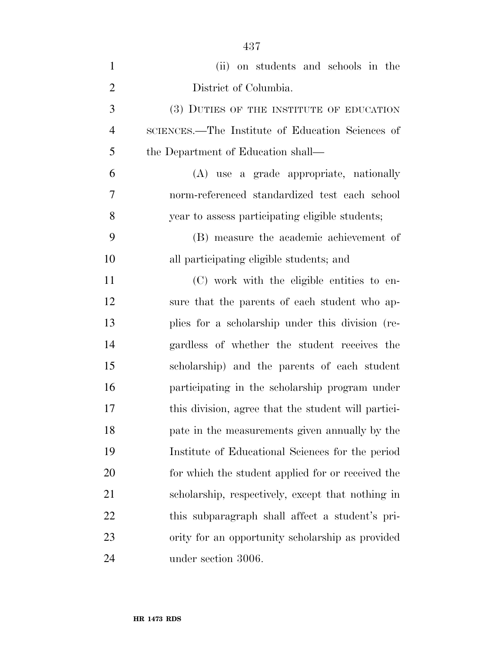| $\mathbf{1}$   | (ii) on students and schools in the                 |
|----------------|-----------------------------------------------------|
| $\overline{2}$ | District of Columbia.                               |
| 3              | (3) DUTIES OF THE INSTITUTE OF EDUCATION            |
| $\overline{4}$ | SCIENCES.—The Institute of Education Sciences of    |
| 5              | the Department of Education shall—                  |
| 6              | (A) use a grade appropriate, nationally             |
| 7              | norm-referenced standardized test each school       |
| 8              | year to assess participating eligible students;     |
| 9              | (B) measure the academic achievement of             |
| 10             | all participating eligible students; and            |
| 11             | (C) work with the eligible entities to en-          |
| 12             | sure that the parents of each student who ap-       |
| 13             | plies for a scholarship under this division (re-    |
| 14             | gardless of whether the student receives the        |
| 15             | scholarship) and the parents of each student        |
| 16             | participating in the scholarship program under      |
| 17             | this division, agree that the student will partici- |
| 18             | pate in the measurements given annually by the      |
| 19             | Institute of Educational Sciences for the period    |
| 20             | for which the student applied for or received the   |
| 21             | scholarship, respectively, except that nothing in   |
| 22             | this subparagraph shall affect a student's pri-     |
| 23             | ority for an opportunity scholarship as provided    |
| 24             | under section 3006.                                 |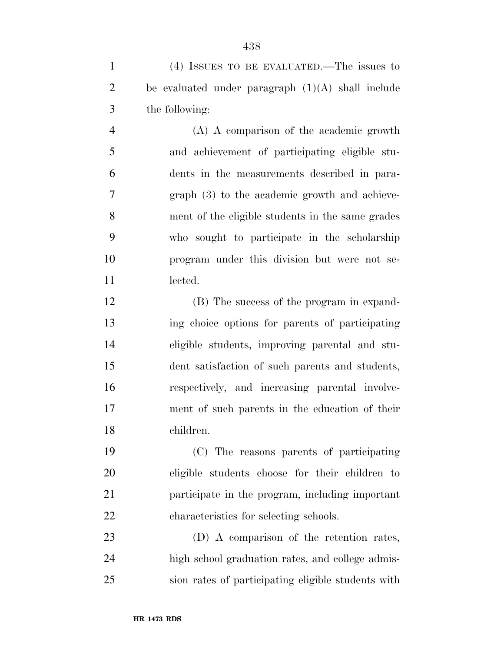(4) ISSUES TO BE EVALUATED.—The issues to 2 be evaluated under paragraph  $(1)(A)$  shall include the following: (A) A comparison of the academic growth and achievement of participating eligible stu- dents in the measurements described in para- graph (3) to the academic growth and achieve- ment of the eligible students in the same grades who sought to participate in the scholarship program under this division but were not se-11 lected. (B) The success of the program in expand- ing choice options for parents of participating eligible students, improving parental and stu- dent satisfaction of such parents and students, respectively, and increasing parental involve-ment of such parents in the education of their

 (C) The reasons parents of participating eligible students choose for their children to participate in the program, including important characteristics for selecting schools.

 (D) A comparison of the retention rates, high school graduation rates, and college admis-sion rates of participating eligible students with

children.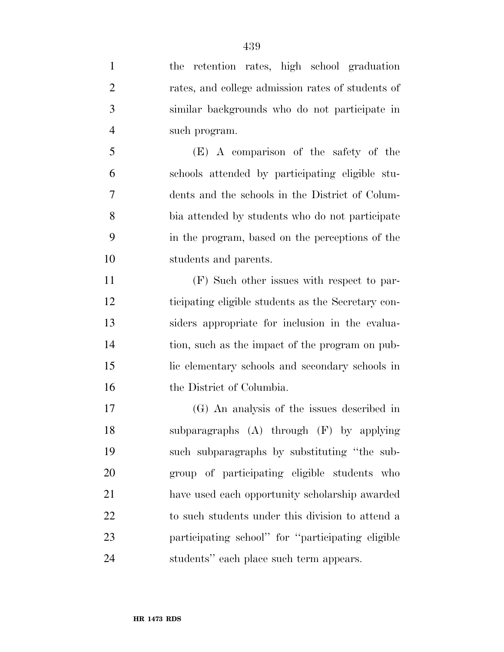| $\mathbf{1}$   | the retention rates, high school graduation        |
|----------------|----------------------------------------------------|
| $\overline{2}$ | rates, and college admission rates of students of  |
| 3              | similar backgrounds who do not participate in      |
| $\overline{4}$ | such program.                                      |
| 5              | (E) A comparison of the safety of the              |
| 6              | schools attended by participating eligible stu-    |
| 7              | dents and the schools in the District of Colum-    |
| 8              | bia attended by students who do not participate    |
| 9              | in the program, based on the perceptions of the    |
| 10             | students and parents.                              |
| 11             | (F) Such other issues with respect to par-         |
| 12             | ticipating eligible students as the Secretary con- |
| 13             | siders appropriate for inclusion in the evalua-    |
| 14             | tion, such as the impact of the program on pub-    |
| 15             | lic elementary schools and secondary schools in    |
| 16             | the District of Columbia.                          |
| 17             | (G) An analysis of the issues described in         |
| 18             | subparagraphs $(A)$ through $(F)$ by applying      |
| 19             | such subparagraphs by substituting "the sub-       |
| 20             | group of participating eligible students who       |
| 21             | have used each opportunity scholarship awarded     |
| 22             | to such students under this division to attend a   |
| 23             | participating school" for "participating eligible  |
| 24             | students" each place such term appears.            |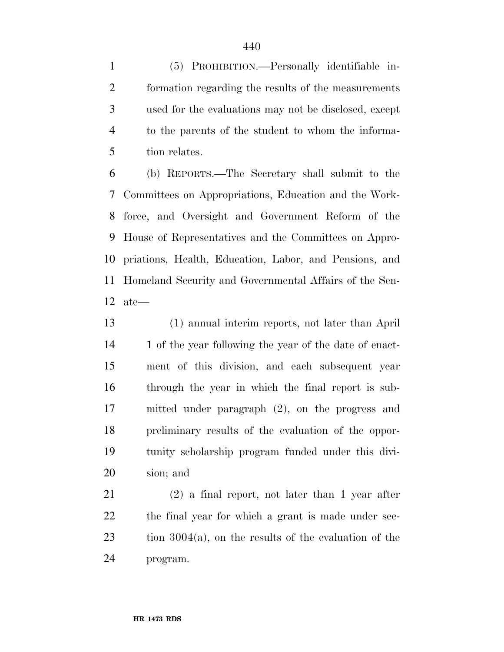(5) PROHIBITION.—Personally identifiable in- formation regarding the results of the measurements used for the evaluations may not be disclosed, except to the parents of the student to whom the informa-tion relates.

 (b) REPORTS.—The Secretary shall submit to the Committees on Appropriations, Education and the Work- force, and Oversight and Government Reform of the House of Representatives and the Committees on Appro- priations, Health, Education, Labor, and Pensions, and Homeland Security and Governmental Affairs of the Sen-ate—

 (1) annual interim reports, not later than April 14 1 of the year following the year of the date of enact- ment of this division, and each subsequent year through the year in which the final report is sub- mitted under paragraph (2), on the progress and preliminary results of the evaluation of the oppor- tunity scholarship program funded under this divi-sion; and

 (2) a final report, not later than 1 year after 22 the final year for which a grant is made under sec- tion 3004(a), on the results of the evaluation of the program.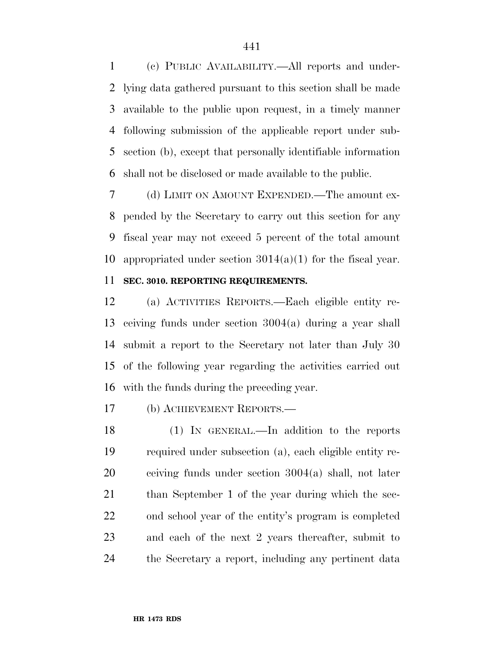(c) PUBLIC AVAILABILITY.—All reports and under- lying data gathered pursuant to this section shall be made available to the public upon request, in a timely manner following submission of the applicable report under sub- section (b), except that personally identifiable information shall not be disclosed or made available to the public.

 (d) LIMIT ON AMOUNT EXPENDED.—The amount ex- pended by the Secretary to carry out this section for any fiscal year may not exceed 5 percent of the total amount 10 appropriated under section  $3014(a)(1)$  for the fiscal year.

# **SEC. 3010. REPORTING REQUIREMENTS.**

 (a) ACTIVITIES REPORTS.—Each eligible entity re- ceiving funds under section 3004(a) during a year shall submit a report to the Secretary not later than July 30 of the following year regarding the activities carried out with the funds during the preceding year.

# (b) ACHIEVEMENT REPORTS.—

 (1) IN GENERAL.—In addition to the reports required under subsection (a), each eligible entity re- ceiving funds under section 3004(a) shall, not later 21 than September 1 of the year during which the sec- ond school year of the entity's program is completed and each of the next 2 years thereafter, submit to the Secretary a report, including any pertinent data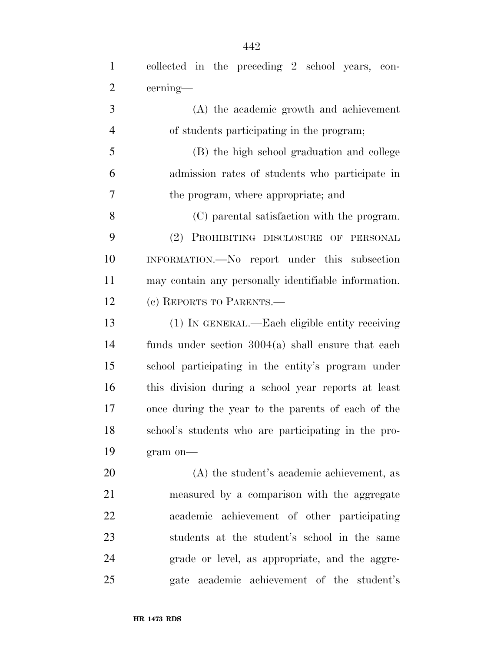| $\mathbf{1}$   | collected in the preceding 2 school years, con-      |
|----------------|------------------------------------------------------|
| $\overline{2}$ | cerning—                                             |
| 3              | (A) the academic growth and achievement              |
| $\overline{4}$ | of students participating in the program;            |
| 5              | (B) the high school graduation and college           |
| 6              | admission rates of students who participate in       |
| 7              | the program, where appropriate; and                  |
| 8              | (C) parental satisfaction with the program.          |
| 9              | (2) PROHIBITING DISCLOSURE OF PERSONAL               |
| 10             | INFORMATION.-No report under this subsection         |
| 11             | may contain any personally identifiable information. |
| 12             | (c) REPORTS TO PARENTS.—                             |
| 13             | (1) IN GENERAL.—Each eligible entity receiving       |
| 14             | funds under section $3004(a)$ shall ensure that each |
| 15             | school participating in the entity's program under   |
| 16             | this division during a school year reports at least  |
| 17             | once during the year to the parents of each of the   |
| 18             | school's students who are participating in the pro-  |
| 19             | gram on-                                             |
| 20             | (A) the student's academic achievement, as           |
| 21             | measured by a comparison with the aggregate          |
| 22             | academic achievement of other participating          |
| 23             | students at the student's school in the same         |
| 24             | grade or level, as appropriate, and the aggre-       |
| 25             | gate academic achievement of the student's           |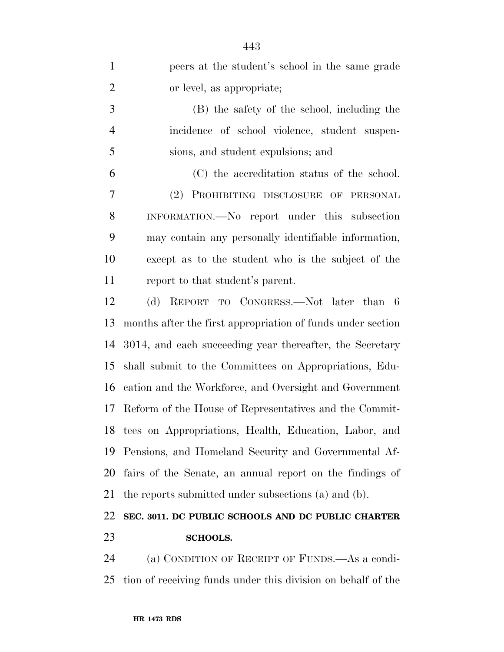| $\mathbf{1}$   | peers at the student's school in the same grade             |
|----------------|-------------------------------------------------------------|
| $\overline{2}$ | or level, as appropriate;                                   |
| 3              | (B) the safety of the school, including the                 |
| $\overline{4}$ | incidence of school violence, student suspen-               |
| 5              | sions, and student expulsions; and                          |
| 6              | (C) the accreditation status of the school.                 |
| 7              | (2) PROHIBITING DISCLOSURE OF PERSONAL                      |
| 8              | INFORMATION.—No report under this subsection                |
| 9              | may contain any personally identifiable information,        |
| 10             | except as to the student who is the subject of the          |
| 11             | report to that student's parent.                            |
| 12             | (d) REPORT TO CONGRESS.—Not later than 6                    |
| 13             | months after the first appropriation of funds under section |
| 14             | 3014, and each succeeding year thereafter, the Secretary    |
| 15             | shall submit to the Committees on Appropriations, Edu-      |
| 16             | cation and the Workforce, and Oversight and Government      |
| 17             | Reform of the House of Representatives and the Commit-      |
|                | 18 tees on Appropriations, Health, Education, Labor, and    |
| 19             | Pensions, and Homeland Security and Governmental Af-        |
| 20             | fairs of the Senate, an annual report on the findings of    |
| 21             | the reports submitted under subsections (a) and (b).        |
| 22             | SEC. 3011. DC PUBLIC SCHOOLS AND DC PUBLIC CHARTER          |

# **SCHOOLS.**

 (a) CONDITION OF RECEIPT OF FUNDS.—As a condi-tion of receiving funds under this division on behalf of the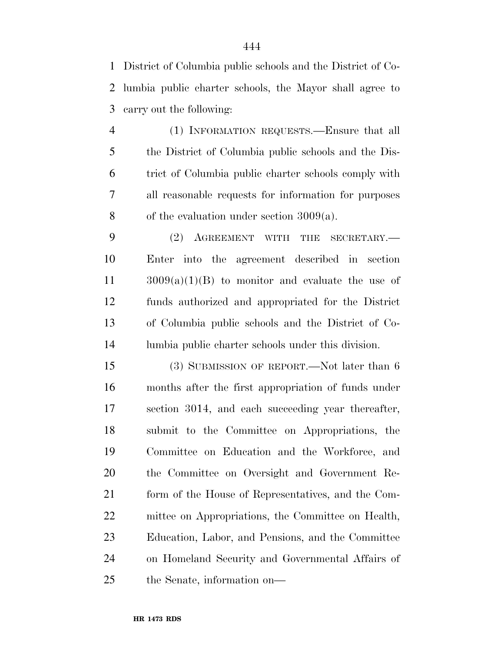District of Columbia public schools and the District of Co- lumbia public charter schools, the Mayor shall agree to carry out the following:

 (1) INFORMATION REQUESTS.—Ensure that all the District of Columbia public schools and the Dis- trict of Columbia public charter schools comply with all reasonable requests for information for purposes of the evaluation under section 3009(a).

 (2) AGREEMENT WITH THE SECRETARY.— Enter into the agreement described in section 3009(a)(1)(B) to monitor and evaluate the use of funds authorized and appropriated for the District of Columbia public schools and the District of Co-lumbia public charter schools under this division.

15 (3) SUBMISSION OF REPORT.—Not later than 6 months after the first appropriation of funds under section 3014, and each succeeding year thereafter, submit to the Committee on Appropriations, the Committee on Education and the Workforce, and the Committee on Oversight and Government Re- form of the House of Representatives, and the Com- mittee on Appropriations, the Committee on Health, Education, Labor, and Pensions, and the Committee on Homeland Security and Governmental Affairs of the Senate, information on—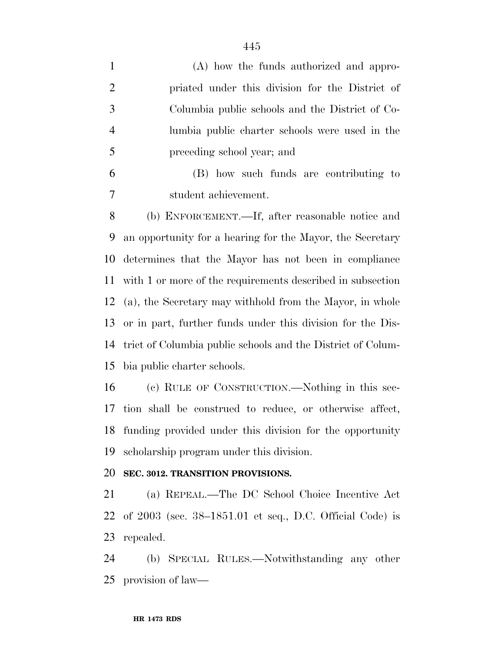| 1 | (A) how the funds authorized and appro-         |
|---|-------------------------------------------------|
| 2 | priated under this division for the District of |
| 3 | Columbia public schools and the District of Co- |
| 4 | lumbia public charter schools were used in the  |
| 5 | preceding school year; and                      |
|   |                                                 |

 (B) how such funds are contributing to student achievement.

 (b) ENFORCEMENT.—If, after reasonable notice and an opportunity for a hearing for the Mayor, the Secretary determines that the Mayor has not been in compliance with 1 or more of the requirements described in subsection (a), the Secretary may withhold from the Mayor, in whole or in part, further funds under this division for the Dis- trict of Columbia public schools and the District of Colum-bia public charter schools.

 (c) RULE OF CONSTRUCTION.—Nothing in this sec- tion shall be construed to reduce, or otherwise affect, funding provided under this division for the opportunity scholarship program under this division.

#### **SEC. 3012. TRANSITION PROVISIONS.**

 (a) REPEAL.—The DC School Choice Incentive Act of 2003 (sec. 38–1851.01 et seq., D.C. Official Code) is repealed.

 (b) SPECIAL RULES.—Notwithstanding any other provision of law—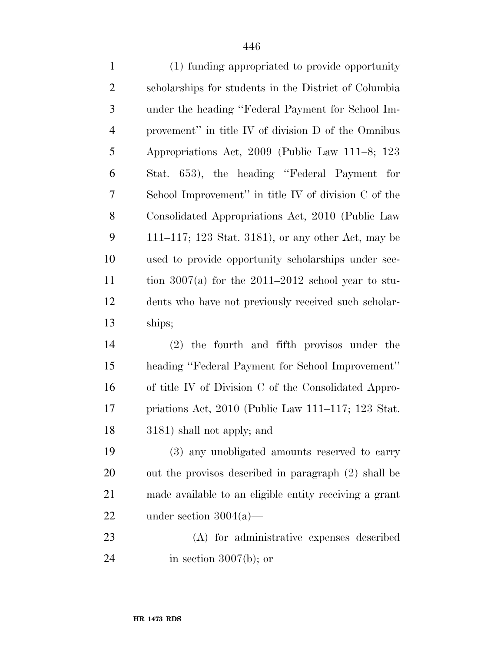| $\mathbf{1}$   | (1) funding appropriated to provide opportunity        |
|----------------|--------------------------------------------------------|
| $\overline{2}$ | scholarships for students in the District of Columbia  |
| 3              | under the heading "Federal Payment for School Im-      |
| $\overline{4}$ | provement" in title IV of division D of the Omnibus    |
| 5              | Appropriations Act, 2009 (Public Law 111–8; 123        |
| 6              | Stat. 653), the heading "Federal Payment for           |
| $\tau$         | School Improvement" in title IV of division C of the   |
| 8              | Consolidated Appropriations Act, 2010 (Public Law      |
| 9              | 111–117; 123 Stat. 3181), or any other Act, may be     |
| 10             | used to provide opportunity scholarships under sec-    |
| 11             | tion 3007(a) for the $2011-2012$ school year to stu-   |
| 12             | dents who have not previously received such scholar-   |
| 13             | ships;                                                 |
| 14             | $(2)$ the fourth and fifth provisos under the          |
| 15             | heading "Federal Payment for School Improvement"       |
| 16             | of title IV of Division C of the Consolidated Appro-   |
| 17             | priations Act, $2010$ (Public Law 111–117; 123 Stat.   |
| 18             | 3181) shall not apply; and                             |
| 19             | (3) any unobligated amounts reserved to carry          |
| 20             | out the provisos described in paragraph (2) shall be   |
| 21             | made available to an eligible entity receiving a grant |
| 22             | under section $3004(a)$ —                              |
| 23             | (A) for administrative expenses described              |
|                |                                                        |

24 in section 3007(b); or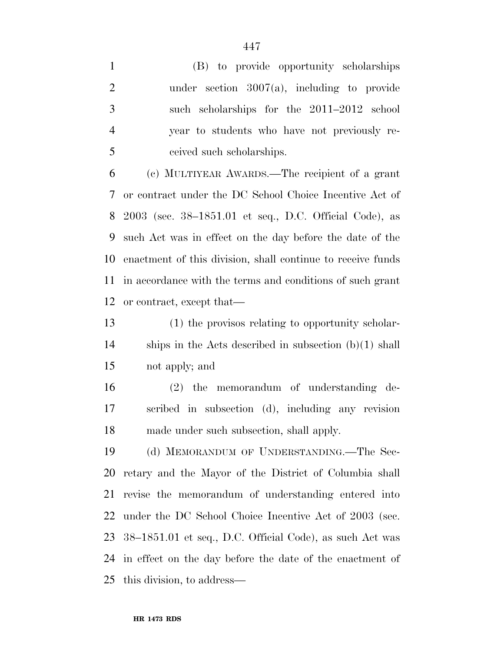(B) to provide opportunity scholarships under section 3007(a), including to provide such scholarships for the 2011–2012 school year to students who have not previously re-ceived such scholarships.

 (c) MULTIYEAR AWARDS.—The recipient of a grant or contract under the DC School Choice Incentive Act of 2003 (sec. 38–1851.01 et seq., D.C. Official Code), as such Act was in effect on the day before the date of the enactment of this division, shall continue to receive funds in accordance with the terms and conditions of such grant or contract, except that—

 (1) the provisos relating to opportunity scholar- ships in the Acts described in subsection (b)(1) shall not apply; and

 (2) the memorandum of understanding de- scribed in subsection (d), including any revision made under such subsection, shall apply.

 (d) MEMORANDUM OF UNDERSTANDING.—The Sec- retary and the Mayor of the District of Columbia shall revise the memorandum of understanding entered into under the DC School Choice Incentive Act of 2003 (sec. 38–1851.01 et seq., D.C. Official Code), as such Act was in effect on the day before the date of the enactment of this division, to address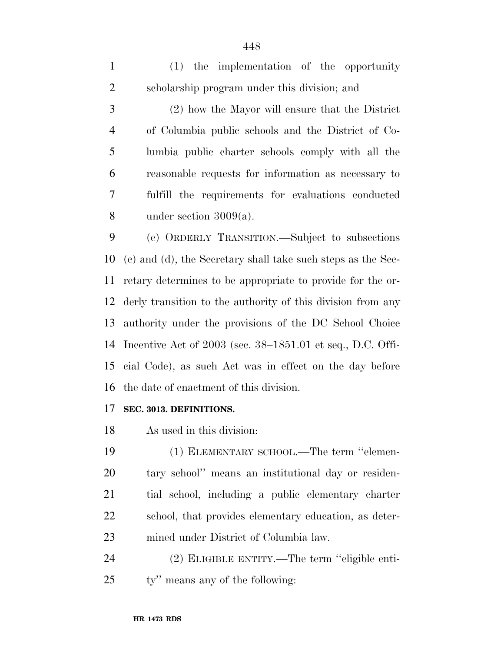(1) the implementation of the opportunity scholarship program under this division; and

 (2) how the Mayor will ensure that the District of Columbia public schools and the District of Co- lumbia public charter schools comply with all the reasonable requests for information as necessary to fulfill the requirements for evaluations conducted under section 3009(a).

 (e) ORDERLY TRANSITION.—Subject to subsections (c) and (d), the Secretary shall take such steps as the Sec- retary determines to be appropriate to provide for the or- derly transition to the authority of this division from any authority under the provisions of the DC School Choice Incentive Act of 2003 (sec. 38–1851.01 et seq., D.C. Offi- cial Code), as such Act was in effect on the day before the date of enactment of this division.

#### **SEC. 3013. DEFINITIONS.**

As used in this division:

 (1) ELEMENTARY SCHOOL.—The term ''elemen- tary school'' means an institutional day or residen- tial school, including a public elementary charter school, that provides elementary education, as deter-mined under District of Columbia law.

 (2) ELIGIBLE ENTITY.—The term ''eligible enti-ty'' means any of the following: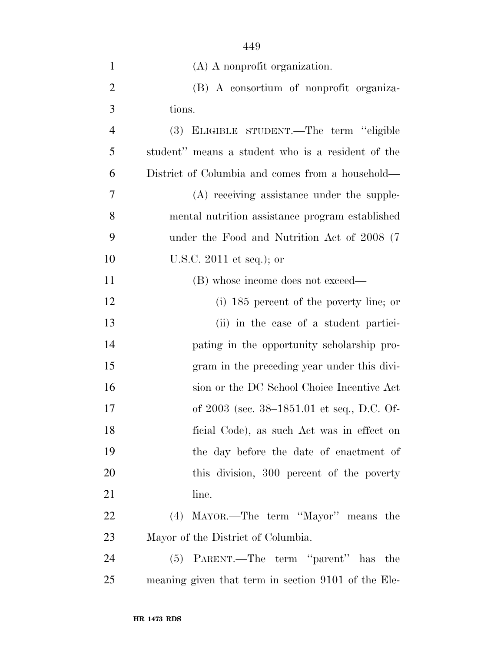| $\mathbf{1}$   | (A) A nonprofit organization.                       |
|----------------|-----------------------------------------------------|
| $\overline{2}$ | (B) A consortium of nonprofit organiza-             |
| 3              | tions.                                              |
| $\overline{4}$ | (3) ELIGIBLE STUDENT.—The term "eligible            |
| 5              | student" means a student who is a resident of the   |
| 6              | District of Columbia and comes from a household—    |
| 7              | (A) receiving assistance under the supple-          |
| 8              | mental nutrition assistance program established     |
| 9              | under the Food and Nutrition Act of 2008 (7)        |
| 10             | U.S.C. $2011$ et seq.); or                          |
| 11             | (B) whose income does not exceed—                   |
| 12             | $(i)$ 185 percent of the poverty line; or           |
| 13             | (ii) in the case of a student partici-              |
| 14             | pating in the opportunity scholarship pro-          |
| 15             | gram in the preceding year under this divi-         |
| 16             | sion or the DC School Choice Incentive Act          |
| 17             | of 2003 (sec. 38-1851.01 et seq., D.C. Of-          |
| 18             | ficial Code), as such Act was in effect on          |
| 19             | the day before the date of enactment of             |
| 20             | this division, 300 percent of the poverty           |
| 21             | line.                                               |
| <u>22</u>      | (4) MAYOR.—The term "Mayor" means the               |
| 23             | Mayor of the District of Columbia.                  |
| 24             | (5) PARENT.—The term "parent" has the               |
| 25             | meaning given that term in section 9101 of the Ele- |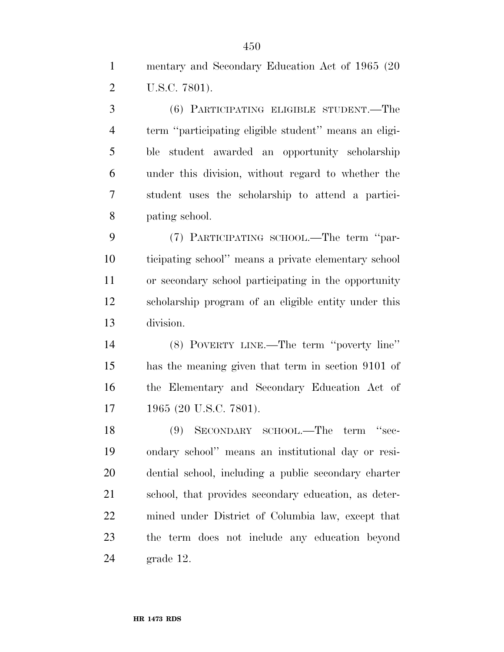mentary and Secondary Education Act of 1965 (20 U.S.C. 7801).

 (6) PARTICIPATING ELIGIBLE STUDENT.—The term ''participating eligible student'' means an eligi- ble student awarded an opportunity scholarship under this division, without regard to whether the student uses the scholarship to attend a partici-pating school.

 (7) PARTICIPATING SCHOOL.—The term ''par- ticipating school'' means a private elementary school or secondary school participating in the opportunity scholarship program of an eligible entity under this division.

 (8) POVERTY LINE.—The term ''poverty line'' has the meaning given that term in section 9101 of the Elementary and Secondary Education Act of 1965 (20 U.S.C. 7801).

 (9) SECONDARY SCHOOL.—The term ''sec- ondary school'' means an institutional day or resi- dential school, including a public secondary charter school, that provides secondary education, as deter- mined under District of Columbia law, except that the term does not include any education beyond grade 12.